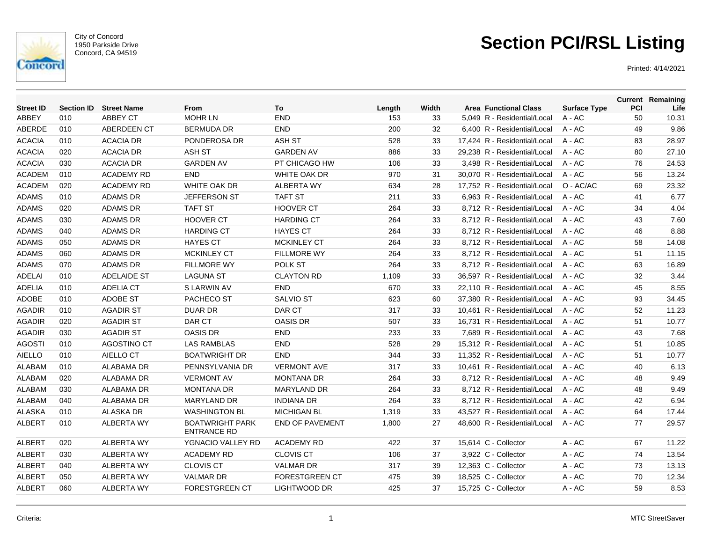

City of Concord 1950 Parkside Drive Concord, CA 94519

# **Section PCI/RSL Listing**

| <b>Street ID</b> | <b>Section ID</b> | <b>Street Name</b> | From                                         | To                     | Length | Width | <b>Area Functional Class</b> | <b>Surface Type</b> | PCI | <b>Current Remaining</b><br>Life |
|------------------|-------------------|--------------------|----------------------------------------------|------------------------|--------|-------|------------------------------|---------------------|-----|----------------------------------|
| <b>ABBEY</b>     | 010               | <b>ABBEY CT</b>    | <b>MOHR LN</b>                               | <b>END</b>             | 153    | 33    | 5,049 R - Residential/Local  | $A - AC$            | 50  | 10.31                            |
| ABERDE           | 010               | ABERDEEN CT        | <b>BERMUDA DR</b>                            | <b>END</b>             | 200    | 32    | 6.400 R - Residential/Local  | $A - AC$            | 49  | 9.86                             |
| <b>ACACIA</b>    | 010               | <b>ACACIA DR</b>   | PONDEROSA DR                                 | <b>ASH ST</b>          | 528    | 33    | 17,424 R - Residential/Local | A - AC              | 83  | 28.97                            |
| <b>ACACIA</b>    | 020               | <b>ACACIA DR</b>   | <b>ASH ST</b>                                | <b>GARDEN AV</b>       | 886    | 33    | 29.238 R - Residential/Local | $A - AC$            | 80  | 27.10                            |
| <b>ACACIA</b>    | 030               | <b>ACACIA DR</b>   | <b>GARDEN AV</b>                             | PT CHICAGO HW          | 106    | 33    | 3.498 R - Residential/Local  | $A - AC$            | 76  | 24.53                            |
| <b>ACADEM</b>    | 010               | <b>ACADEMY RD</b>  | <b>END</b>                                   | WHITE OAK DR           | 970    | 31    | 30,070 R - Residential/Local | $A - AC$            | 56  | 13.24                            |
| <b>ACADEM</b>    | 020               | <b>ACADEMY RD</b>  | WHITE OAK DR                                 | <b>ALBERTA WY</b>      | 634    | 28    | 17,752 R - Residential/Local | O - AC/AC           | 69  | 23.32                            |
| <b>ADAMS</b>     | 010               | <b>ADAMS DR</b>    | JEFFERSON ST                                 | <b>TAFT ST</b>         | 211    | 33    | 6,963 R - Residential/Local  | $A - AC$            | 41  | 6.77                             |
| <b>ADAMS</b>     | 020               | <b>ADAMS DR</b>    | <b>TAFT ST</b>                               | <b>HOOVER CT</b>       | 264    | 33    | 8,712 R - Residential/Local  | $A - AC$            | 34  | 4.04                             |
| <b>ADAMS</b>     | 030               | <b>ADAMS DR</b>    | <b>HOOVER CT</b>                             | <b>HARDING CT</b>      | 264    | 33    | 8,712 R - Residential/Local  | $A - AC$            | 43  | 7.60                             |
| <b>ADAMS</b>     | 040               | <b>ADAMS DR</b>    | <b>HARDING CT</b>                            | <b>HAYES CT</b>        | 264    | 33    | 8.712 R - Residential/Local  | $A - AC$            | 46  | 8.88                             |
| <b>ADAMS</b>     | 050               | <b>ADAMS DR</b>    | <b>HAYES CT</b>                              | <b>MCKINLEY CT</b>     | 264    | 33    | 8.712 R - Residential/Local  | $A - AC$            | 58  | 14.08                            |
| <b>ADAMS</b>     | 060               | <b>ADAMS DR</b>    | <b>MCKINLEY CT</b>                           | <b>FILLMORE WY</b>     | 264    | 33    | 8,712 R - Residential/Local  | $A - AC$            | 51  | 11.15                            |
| <b>ADAMS</b>     | 070               | <b>ADAMS DR</b>    | <b>FILLMORE WY</b>                           | POLK ST                | 264    | 33    | 8,712 R - Residential/Local  | A - AC              | 63  | 16.89                            |
| <b>ADELAI</b>    | 010               | <b>ADELAIDE ST</b> | <b>LAGUNA ST</b>                             | <b>CLAYTON RD</b>      | 1,109  | 33    | 36,597 R - Residential/Local | $A - AC$            | 32  | 3.44                             |
| <b>ADELIA</b>    | 010               | <b>ADELIA CT</b>   | S LARWIN AV                                  | <b>END</b>             | 670    | 33    | 22,110 R - Residential/Local | A - AC              | 45  | 8.55                             |
| <b>ADOBE</b>     | 010               | <b>ADOBE ST</b>    | PACHECO ST                                   | <b>SALVIO ST</b>       | 623    | 60    | 37,380 R - Residential/Local | $A - AC$            | 93  | 34.45                            |
| <b>AGADIR</b>    | 010               | <b>AGADIR ST</b>   | <b>DUAR DR</b>                               | DAR CT                 | 317    | 33    | 10,461 R - Residential/Local | $A - AC$            | 52  | 11.23                            |
| <b>AGADIR</b>    | 020               | <b>AGADIR ST</b>   | DAR CT                                       | <b>OASIS DR</b>        | 507    | 33    | 16.731 R - Residential/Local | $A - AC$            | 51  | 10.77                            |
| <b>AGADIR</b>    | 030               | <b>AGADIR ST</b>   | <b>OASIS DR</b>                              | <b>END</b>             | 233    | 33    | 7,689 R - Residential/Local  | $A - AC$            | 43  | 7.68                             |
| <b>AGOSTI</b>    | 010               | <b>AGOSTINO CT</b> | <b>LAS RAMBLAS</b>                           | <b>END</b>             | 528    | 29    | 15,312 R - Residential/Local | A - AC              | 51  | 10.85                            |
| <b>AIELLO</b>    | 010               | AIELLO CT          | <b>BOATWRIGHT DR</b>                         | <b>END</b>             | 344    | 33    | 11,352 R - Residential/Local | A - AC              | 51  | 10.77                            |
| <b>ALABAM</b>    | 010               | <b>ALABAMA DR</b>  | PENNSYLVANIA DR                              | <b>VERMONT AVE</b>     | 317    | 33    | 10,461 R - Residential/Local | $A - AC$            | 40  | 6.13                             |
| <b>ALABAM</b>    | 020               | <b>ALABAMA DR</b>  | <b>VERMONT AV</b>                            | <b>MONTANA DR</b>      | 264    | 33    | 8.712 R - Residential/Local  | $A - AC$            | 48  | 9.49                             |
| <b>ALABAM</b>    | 030               | ALABAMA DR         | <b>MONTANA DR</b>                            | <b>MARYLAND DR</b>     | 264    | 33    | 8.712 R - Residential/Local  | $A - AC$            | 48  | 9.49                             |
| <b>ALABAM</b>    | 040               | <b>ALABAMA DR</b>  | <b>MARYLAND DR</b>                           | <b>INDIANA DR</b>      | 264    | 33    | 8.712 R - Residential/Local  | $A - AC$            | 42  | 6.94                             |
| <b>ALASKA</b>    | 010               | <b>ALASKA DR</b>   | <b>WASHINGTON BL</b>                         | <b>MICHIGAN BL</b>     | 1,319  | 33    | 43.527 R - Residential/Local | $A - AC$            | 64  | 17.44                            |
| <b>ALBERT</b>    | 010               | <b>ALBERTA WY</b>  | <b>BOATWRIGHT PARK</b><br><b>ENTRANCE RD</b> | <b>END OF PAVEMENT</b> | 1,800  | 27    | 48,600 R - Residential/Local | A - AC              | 77  | 29.57                            |
| <b>ALBERT</b>    | 020               | <b>ALBERTA WY</b>  | YGNACIO VALLEY RD                            | ACADEMY RD             | 422    | 37    | 15,614 C - Collector         | $A - AC$            | 67  | 11.22                            |
| <b>ALBERT</b>    | 030               | <b>ALBERTA WY</b>  | <b>ACADEMY RD</b>                            | <b>CLOVIS CT</b>       | 106    | 37    | 3,922 C - Collector          | $A - AC$            | 74  | 13.54                            |
| <b>ALBERT</b>    | 040               | <b>ALBERTA WY</b>  | <b>CLOVIS CT</b>                             | <b>VALMAR DR</b>       | 317    | 39    | 12,363 C - Collector         | $A - AC$            | 73  | 13.13                            |
| <b>ALBERT</b>    | 050               | <b>ALBERTA WY</b>  | <b>VALMAR DR</b>                             | <b>FORESTGREEN CT</b>  | 475    | 39    | 18.525 C - Collector         | $A - AC$            | 70  | 12.34                            |
| <b>ALBERT</b>    | 060               | <b>ALBERTA WY</b>  | <b>FORESTGREEN CT</b>                        | LIGHTWOOD DR           | 425    | 37    | 15,725 C - Collector         | $A - AC$            | 59  | 8.53                             |
|                  |                   |                    |                                              |                        |        |       |                              |                     |     |                                  |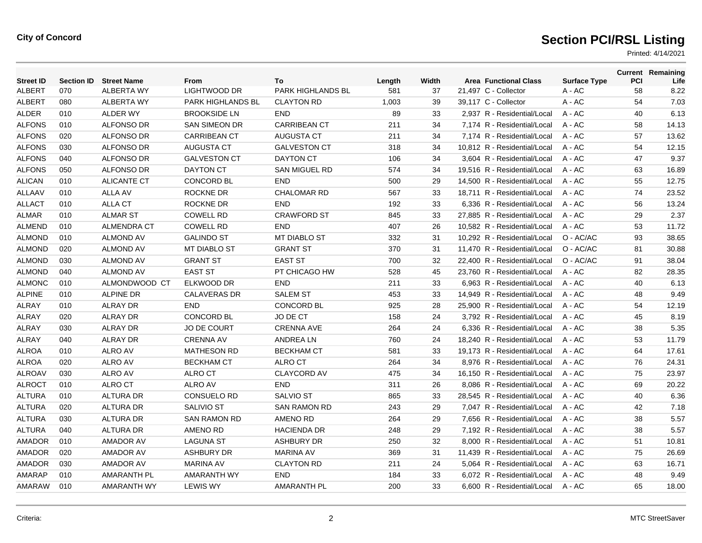| <b>Street ID</b> | <b>Section ID</b> | <b>Street Name</b> | From                     | To                  | Length | Width | <b>Area Functional Class</b> | <b>Surface Type</b> | PCI | <b>Current Remaining</b><br>Life |
|------------------|-------------------|--------------------|--------------------------|---------------------|--------|-------|------------------------------|---------------------|-----|----------------------------------|
| <b>ALBERT</b>    | 070               | <b>ALBERTA WY</b>  | LIGHTWOOD DR             | PARK HIGHLANDS BL   | 581    | 37    | 21,497 C - Collector         | $A - AC$            | 58  | 8.22                             |
| <b>ALBERT</b>    | 080               | <b>ALBERTA WY</b>  | <b>PARK HIGHLANDS BL</b> | <b>CLAYTON RD</b>   | 1,003  | 39    | 39,117 C - Collector         | A - AC              | 54  | 7.03                             |
| ALDER            | 010               | <b>ALDER WY</b>    | <b>BROOKSIDE LN</b>      | <b>END</b>          | 89     | 33    | 2,937 R - Residential/Local  | A - AC              | 40  | 6.13                             |
| <b>ALFONS</b>    | 010               | <b>ALFONSO DR</b>  | <b>SAN SIMEON DR</b>     | <b>CARRIBEAN CT</b> | 211    | 34    | 7,174 R - Residential/Local  | $A - AC$            | 58  | 14.13                            |
| <b>ALFONS</b>    | 020               | <b>ALFONSO DR</b>  | <b>CARRIBEAN CT</b>      | <b>AUGUSTA CT</b>   | 211    | 34    | 7,174 R - Residential/Local  | $A - AC$            | 57  | 13.62                            |
| <b>ALFONS</b>    | 030               | <b>ALFONSO DR</b>  | <b>AUGUSTA CT</b>        | <b>GALVESTON CT</b> | 318    | 34    | 10,812 R - Residential/Local | $A - AC$            | 54  | 12.15                            |
| <b>ALFONS</b>    | 040               | <b>ALFONSO DR</b>  | <b>GALVESTON CT</b>      | <b>DAYTON CT</b>    | 106    | 34    | 3.604 R - Residential/Local  | $A - AC$            | 47  | 9.37                             |
| <b>ALFONS</b>    | 050               | <b>ALFONSO DR</b>  | <b>DAYTON CT</b>         | SAN MIGUEL RD       | 574    | 34    | 19,516 R - Residential/Local | $A - AC$            | 63  | 16.89                            |
| <b>ALICAN</b>    | 010               | <b>ALICANTE CT</b> | <b>CONCORD BL</b>        | <b>END</b>          | 500    | 29    | 14,500 R - Residential/Local | $A - AC$            | 55  | 12.75                            |
| <b>ALLAAV</b>    | 010               | <b>ALLA AV</b>     | ROCKNE DR                | CHALOMAR RD         | 567    | 33    | 18.711 R - Residential/Local | $A - AC$            | 74  | 23.52                            |
| <b>ALLACT</b>    | 010               | <b>ALLA CT</b>     | <b>ROCKNE DR</b>         | <b>END</b>          | 192    | 33    | 6.336 R - Residential/Local  | $A - AC$            | 56  | 13.24                            |
| <b>ALMAR</b>     | 010               | <b>ALMAR ST</b>    | <b>COWELL RD</b>         | <b>CRAWFORD ST</b>  | 845    | 33    | 27,885 R - Residential/Local | A - AC              | 29  | 2.37                             |
| <b>ALMEND</b>    | 010               | <b>ALMENDRA CT</b> | <b>COWELL RD</b>         | <b>END</b>          | 407    | 26    | 10,582 R - Residential/Local | $A - AC$            | 53  | 11.72                            |
| <b>ALMOND</b>    | 010               | <b>ALMOND AV</b>   | <b>GALINDO ST</b>        | <b>MT DIABLO ST</b> | 332    | 31    | 10,292 R - Residential/Local | O - AC/AC           | 93  | 38.65                            |
| <b>ALMOND</b>    | 020               | <b>ALMOND AV</b>   | <b>MT DIABLO ST</b>      | <b>GRANT ST</b>     | 370    | 31    | 11,470 R - Residential/Local | O - AC/AC           | 81  | 30.88                            |
| <b>ALMOND</b>    | 030               | <b>ALMOND AV</b>   | <b>GRANT ST</b>          | <b>EAST ST</b>      | 700    | 32    | 22,400 R - Residential/Local | O - AC/AC           | 91  | 38.04                            |
| <b>ALMOND</b>    | 040               | <b>ALMOND AV</b>   | <b>EAST ST</b>           | PT CHICAGO HW       | 528    | 45    | 23,760 R - Residential/Local | A - AC              | 82  | 28.35                            |
| <b>ALMONC</b>    | 010               | ALMONDWOOD CT      | ELKWOOD DR               | <b>END</b>          | 211    | 33    | 6.963 R - Residential/Local  | $A - AC$            | 40  | 6.13                             |
| <b>ALPINE</b>    | 010               | <b>ALPINE DR</b>   | <b>CALAVERAS DR</b>      | <b>SALEM ST</b>     | 453    | 33    | 14,949 R - Residential/Local | A - AC              | 48  | 9.49                             |
| <b>ALRAY</b>     | 010               | <b>ALRAY DR</b>    | <b>END</b>               | <b>CONCORD BL</b>   | 925    | 28    | 25,900 R - Residential/Local | $A - AC$            | 54  | 12.19                            |
| <b>ALRAY</b>     | 020               | <b>ALRAY DR</b>    | <b>CONCORD BL</b>        | JO DE CT            | 158    | 24    | 3.792 R - Residential/Local  | $A - AC$            | 45  | 8.19                             |
| <b>ALRAY</b>     | 030               | <b>ALRAY DR</b>    | <b>JO DE COURT</b>       | <b>CRENNA AVE</b>   | 264    | 24    | 6.336 R - Residential/Local  | $A - AC$            | 38  | 5.35                             |
| <b>ALRAY</b>     | 040               | <b>ALRAY DR</b>    | <b>CRENNA AV</b>         | ANDREA LN           | 760    | 24    | 18,240 R - Residential/Local | A - AC              | 53  | 11.79                            |
| <b>ALROA</b>     | 010               | ALRO AV            | <b>MATHESON RD</b>       | <b>BECKHAM CT</b>   | 581    | 33    | 19.173 R - Residential/Local | $A - AC$            | 64  | 17.61                            |
| <b>ALROA</b>     | 020               | <b>ALRO AV</b>     | <b>BECKHAM CT</b>        | ALRO CT             | 264    | 34    | 8.976 R - Residential/Local  | $A - AC$            | 76  | 24.31                            |
| <b>ALROAV</b>    | 030               | <b>ALRO AV</b>     | ALRO CT                  | <b>CLAYCORD AV</b>  | 475    | 34    | 16,150 R - Residential/Local | $A - AC$            | 75  | 23.97                            |
| <b>ALROCT</b>    | 010               | <b>ALRO CT</b>     | <b>ALRO AV</b>           | <b>END</b>          | 311    | 26    | 8,086 R - Residential/Local  | A - AC              | 69  | 20.22                            |
| <b>ALTURA</b>    | 010               | ALTURA DR          | <b>CONSUELO RD</b>       | <b>SALVIO ST</b>    | 865    | 33    | 28,545 R - Residential/Local | A - AC              | 40  | 6.36                             |
| <b>ALTURA</b>    | 020               | ALTURA DR          | <b>SALIVIO ST</b>        | <b>SAN RAMON RD</b> | 243    | 29    | 7.047 R - Residential/Local  | $A - AC$            | 42  | 7.18                             |
| <b>ALTURA</b>    | 030               | <b>ALTURA DR</b>   | <b>SAN RAMON RD</b>      | <b>AMENO RD</b>     | 264    | 29    | 7,656 R - Residential/Local  | A - AC              | 38  | 5.57                             |
| <b>ALTURA</b>    | 040               | <b>ALTURA DR</b>   | <b>AMENO RD</b>          | <b>HACIENDA DR</b>  | 248    | 29    | 7,192 R - Residential/Local  | A - AC              | 38  | 5.57                             |
| <b>AMADOR</b>    | 010               | <b>AMADOR AV</b>   | <b>LAGUNA ST</b>         | <b>ASHBURY DR</b>   | 250    | 32    | 8,000 R - Residential/Local  | A - AC              | 51  | 10.81                            |
| AMADOR           | 020               | <b>AMADOR AV</b>   | <b>ASHBURY DR</b>        | <b>MARINA AV</b>    | 369    | 31    | 11.439 R - Residential/Local | $A - AC$            | 75  | 26.69                            |
| AMADOR           | 030               | <b>AMADOR AV</b>   | <b>MARINA AV</b>         | <b>CLAYTON RD</b>   | 211    | 24    | 5,064 R - Residential/Local  | A - AC              | 63  | 16.71                            |
| AMARAP           | 010               | <b>AMARANTH PL</b> | AMARANTH WY              | <b>END</b>          | 184    | 33    | 6.072 R - Residential/Local  | A - AC              | 48  | 9.49                             |
| AMARAW           | 010               | AMARANTH WY        | <b>LEWIS WY</b>          | <b>AMARANTH PL</b>  | 200    | 33    | 6.600 R - Residential/Local  | $A - AC$            | 65  | 18.00                            |
|                  |                   |                    |                          |                     |        |       |                              |                     |     |                                  |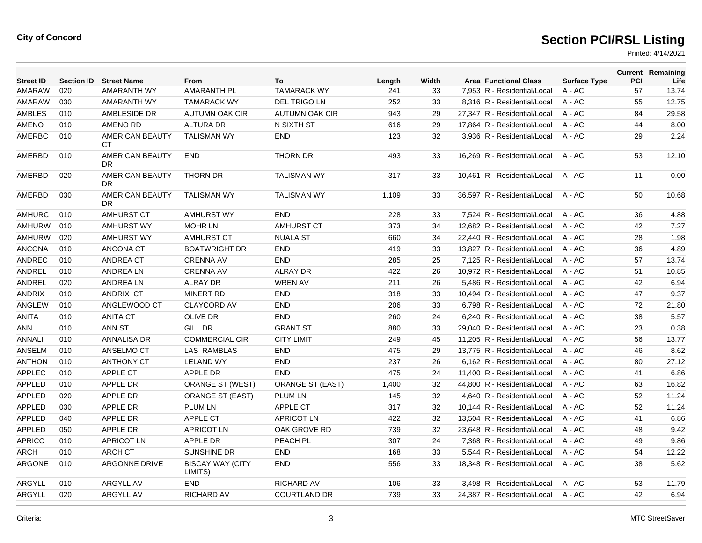| <b>Street ID</b> | <b>Section ID</b> | <b>Street Name</b>     | <b>From</b>                        | To                      | Length | Width | <b>Area Functional Class</b> | <b>Surface Type</b> | <b>PCI</b> | <b>Current Remaining</b><br>Life |
|------------------|-------------------|------------------------|------------------------------------|-------------------------|--------|-------|------------------------------|---------------------|------------|----------------------------------|
| AMARAW           | 020               | <b>AMARANTH WY</b>     | <b>AMARANTH PL</b>                 | <b>TAMARACK WY</b>      | 241    | 33    | 7,953 R - Residential/Local  | $A - AC$            | 57         | 13.74                            |
| AMARAW           | 030               | AMARANTH WY            | <b>TAMARACK WY</b>                 | <b>DEL TRIGO LN</b>     | 252    | 33    | 8.316 R - Residential/Local  | $A - AC$            | 55         | 12.75                            |
| <b>AMBLES</b>    | 010               | AMBLESIDE DR           | AUTUMN OAK CIR                     | <b>AUTUMN OAK CIR</b>   | 943    | 29    | 27,347 R - Residential/Local | $A - AC$            | 84         | 29.58                            |
| <b>AMENO</b>     | 010               | <b>AMENO RD</b>        | <b>ALTURA DR</b>                   | N SIXTH ST              | 616    | 29    | 17,864 R - Residential/Local | $A - AC$            | 44         | 8.00                             |
| AMERBC           | 010               | <b>AMERICAN BEAUTY</b> | <b>TALISMAN WY</b>                 | <b>END</b>              | 123    | 32    | 3,936 R - Residential/Local  | $A - AC$            | 29         | 2.24                             |
|                  |                   | СT                     |                                    |                         |        |       |                              |                     |            |                                  |
| AMERBD           | 010               | AMERICAN BEAUTY<br>DR. | <b>END</b>                         | <b>THORN DR</b>         | 493    | 33    | 16,269 R - Residential/Local | A - AC              | 53         | 12.10                            |
| AMERBD           | 020               | AMERICAN BEAUTY<br>DR. | <b>THORN DR</b>                    | <b>TALISMAN WY</b>      | 317    | 33    | 10,461 R - Residential/Local | A - AC              | 11         | 0.00                             |
| AMERBD           | 030               | AMERICAN BEAUTY<br>DR. | <b>TALISMAN WY</b>                 | <b>TALISMAN WY</b>      | 1,109  | 33    | 36,597 R - Residential/Local | $A - AC$            | 50         | 10.68                            |
| <b>AMHURC</b>    | 010               | AMHURST CT             | <b>AMHURST WY</b>                  | <b>END</b>              | 228    | 33    | 7,524 R - Residential/Local  | $A - AC$            | 36         | 4.88                             |
| AMHURW           | 010               | <b>AMHURST WY</b>      | <b>MOHR LN</b>                     | <b>AMHURST CT</b>       | 373    | 34    | 12.682 R - Residential/Local | $A - AC$            | 42         | 7.27                             |
| <b>AMHURW</b>    | 020               | <b>AMHURST WY</b>      | <b>AMHURST CT</b>                  | <b>NUALA ST</b>         | 660    | 34    | 22,440 R - Residential/Local | $A - AC$            | 28         | 1.98                             |
| <b>ANCONA</b>    | 010               | <b>ANCONA CT</b>       | <b>BOATWRIGHT DR</b>               | <b>END</b>              | 419    | 33    | 13,827 R - Residential/Local | $A - AC$            | 36         | 4.89                             |
| ANDREC           | 010               | ANDREA CT              | <b>CRENNA AV</b>                   | <b>END</b>              | 285    | 25    | 7.125 R - Residential/Local  | $A - AC$            | 57         | 13.74                            |
| ANDREL           | 010               | ANDREA LN              | <b>CRENNA AV</b>                   | <b>ALRAY DR</b>         | 422    | 26    | 10,972 R - Residential/Local | $A - AC$            | 51         | 10.85                            |
| ANDREL           | 020               | ANDREA LN              | <b>ALRAY DR</b>                    | <b>WREN AV</b>          | 211    | 26    | 5,486 R - Residential/Local  | $A - AC$            | 42         | 6.94                             |
| <b>ANDRIX</b>    | 010               | ANDRIX CT              | <b>MINERT RD</b>                   | <b>END</b>              | 318    | 33    | 10,494 R - Residential/Local | $A - AC$            | 47         | 9.37                             |
| <b>ANGLEW</b>    | 010               | ANGLEWOOD CT           | <b>CLAYCORD AV</b>                 | <b>END</b>              | 206    | 33    | 6.798 R - Residential/Local  | $A - AC$            | 72         | 21.80                            |
| <b>ANITA</b>     | 010               | <b>ANITA CT</b>        | <b>OLIVE DR</b>                    | <b>END</b>              | 260    | 24    | 6,240 R - Residential/Local  | $A - AC$            | 38         | 5.57                             |
| ANN              | 010               | ANN ST                 | <b>GILL DR</b>                     | <b>GRANT ST</b>         | 880    | 33    | 29,040 R - Residential/Local | $A - AC$            | 23         | 0.38                             |
| <b>ANNALI</b>    | 010               | ANNALISA DR            | <b>COMMERCIAL CIR</b>              | <b>CITY LIMIT</b>       | 249    | 45    | 11,205 R - Residential/Local | $A - AC$            | 56         | 13.77                            |
| <b>ANSELM</b>    | 010               | ANSELMO CT             | <b>LAS RAMBLAS</b>                 | <b>END</b>              | 475    | 29    | 13.775 R - Residential/Local | $A - AC$            | 46         | 8.62                             |
| <b>ANTHON</b>    | 010               | <b>ANTHONY CT</b>      | <b>LELAND WY</b>                   | <b>END</b>              | 237    | 26    | 6.162 R - Residential/Local  | $A - AC$            | 80         | 27.12                            |
| <b>APPLEC</b>    | 010               | APPLE CT               | <b>APPLE DR</b>                    | <b>END</b>              | 475    | 24    | 11,400 R - Residential/Local | $A - AC$            | 41         | 6.86                             |
| <b>APPLED</b>    | 010               | APPLE DR               | <b>ORANGE ST (WEST)</b>            | <b>ORANGE ST (EAST)</b> | 1,400  | 32    | 44,800 R - Residential/Local | $A - AC$            | 63         | 16.82                            |
| APPLED           | 020               | APPLE DR               | <b>ORANGE ST (EAST)</b>            | <b>PLUM LN</b>          | 145    | 32    | 4,640 R - Residential/Local  | $A - AC$            | 52         | 11.24                            |
| <b>APPLED</b>    | 030               | <b>APPLE DR</b>        | <b>PLUM LN</b>                     | <b>APPLE CT</b>         | 317    | 32    | 10,144 R - Residential/Local | $A - AC$            | 52         | 11.24                            |
| <b>APPLED</b>    | 040               | <b>APPLE DR</b>        | APPLE CT                           | <b>APRICOT LN</b>       | 422    | 32    | 13,504 R - Residential/Local | $A - AC$            | 41         | 6.86                             |
| APPLED           | 050               | <b>APPLE DR</b>        | <b>APRICOT LN</b>                  | OAK GROVE RD            | 739    | 32    | 23,648 R - Residential/Local | $A - AC$            | 48         | 9.42                             |
| <b>APRICO</b>    | 010               | <b>APRICOT LN</b>      | APPLE DR                           | PEACH PL                | 307    | 24    | 7,368 R - Residential/Local  | $A - AC$            | 49         | 9.86                             |
| <b>ARCH</b>      | 010               | <b>ARCH CT</b>         | <b>SUNSHINE DR</b>                 | <b>END</b>              | 168    | 33    | 5,544 R - Residential/Local  | $A - AC$            | 54         | 12.22                            |
| <b>ARGONE</b>    | 010               | ARGONNE DRIVE          | <b>BISCAY WAY (CITY</b><br>LIMITS) | <b>END</b>              | 556    | 33    | 18,348 R - Residential/Local | $A - AC$            | 38         | 5.62                             |
| ARGYLL           | 010               | <b>ARGYLL AV</b>       | <b>END</b>                         | <b>RICHARD AV</b>       | 106    | 33    | 3,498 R - Residential/Local  | $A - AC$            | 53         | 11.79                            |
| ARGYLL           | 020               | <b>ARGYLL AV</b>       | <b>RICHARD AV</b>                  | <b>COURTLAND DR</b>     | 739    | 33    | 24.387 R - Residential/Local | A - AC              | 42         | 6.94                             |
|                  |                   |                        |                                    |                         |        |       |                              |                     |            |                                  |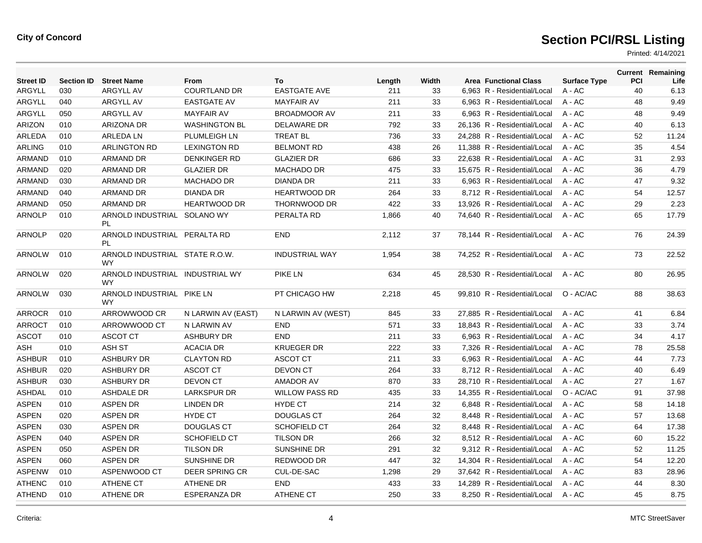| <b>Street ID</b> |     | <b>Section ID</b> Street Name                | From                 | To                    | Length | Width | <b>Area Functional Class</b> | <b>Surface Type</b> | PCI | <b>Current Remaining</b><br>Life |
|------------------|-----|----------------------------------------------|----------------------|-----------------------|--------|-------|------------------------------|---------------------|-----|----------------------------------|
| ARGYLL           | 030 | ARGYLL AV                                    | <b>COURTLAND DR</b>  | <b>EASTGATE AVE</b>   | 211    | 33    | 6,963 R - Residential/Local  | $A - AC$            | 40  | 6.13                             |
| ARGYLL           | 040 | ARGYLL AV                                    | <b>EASTGATE AV</b>   | <b>MAYFAIR AV</b>     | 211    | 33    | 6,963 R - Residential/Local  | $A - AC$            | 48  | 9.49                             |
| <b>ARGYLL</b>    | 050 | <b>ARGYLL AV</b>                             | <b>MAYFAIR AV</b>    | <b>BROADMOOR AV</b>   | 211    | 33    | 6.963 R - Residential/Local  | $A - AC$            | 48  | 9.49                             |
| <b>ARIZON</b>    | 010 | <b>ARIZONA DR</b>                            | <b>WASHINGTON BL</b> | <b>DELAWARE DR</b>    | 792    | 33    | 26.136 R - Residential/Local | $A - AC$            | 40  | 6.13                             |
| ARLEDA           | 010 | <b>ARLEDA LN</b>                             | PLUMLEIGH LN         | <b>TREAT BL</b>       | 736    | 33    | 24,288 R - Residential/Local | A - AC              | 52  | 11.24                            |
| <b>ARLING</b>    | 010 | <b>ARLINGTON RD</b>                          | <b>LEXINGTON RD</b>  | <b>BELMONT RD</b>     | 438    | 26    | 11,388 R - Residential/Local | $A - AC$            | 35  | 4.54                             |
| <b>ARMAND</b>    | 010 | <b>ARMAND DR</b>                             | <b>DENKINGER RD</b>  | <b>GLAZIER DR</b>     | 686    | 33    | 22,638 R - Residential/Local | $A - AC$            | 31  | 2.93                             |
| <b>ARMAND</b>    | 020 | <b>ARMAND DR</b>                             | <b>GLAZIER DR</b>    | <b>MACHADO DR</b>     | 475    | 33    | 15,675 R - Residential/Local | $A - AC$            | 36  | 4.79                             |
| <b>ARMAND</b>    | 030 | <b>ARMAND DR</b>                             | <b>MACHADO DR</b>    | <b>DIANDA DR</b>      | 211    | 33    | 6.963 R - Residential/Local  | $A - AC$            | 47  | 9.32                             |
| ARMAND           | 040 | <b>ARMAND DR</b>                             | <b>DIANDA DR</b>     | <b>HEARTWOOD DR</b>   | 264    | 33    | 8,712 R - Residential/Local  | $A - AC$            | 54  | 12.57                            |
| ARMAND           | 050 | <b>ARMAND DR</b>                             | <b>HEARTWOOD DR</b>  | THORNWOOD DR          | 422    | 33    | 13,926 R - Residential/Local | A - AC              | 29  | 2.23                             |
| <b>ARNOLP</b>    | 010 | ARNOLD INDUSTRIAL SOLANO WY<br>PL            |                      | PERALTA RD            | 1,866  | 40    | 74,640 R - Residential/Local | $A - AC$            | 65  | 17.79                            |
| <b>ARNOLP</b>    | 020 | ARNOLD INDUSTRIAL PERALTA RD<br>PL           |                      | <b>END</b>            | 2.112  | 37    | 78,144 R - Residential/Local | $A - AC$            | 76  | 24.39                            |
| <b>ARNOLW</b>    | 010 | ARNOLD INDUSTRIAL STATE R.O.W.<br><b>WY</b>  |                      | <b>INDUSTRIAL WAY</b> | 1,954  | 38    | 74,252 R - Residential/Local | $A - AC$            | 73  | 22.52                            |
| <b>ARNOLW</b>    | 020 | ARNOLD INDUSTRIAL INDUSTRIAL WY<br><b>WY</b> |                      | <b>PIKE LN</b>        | 634    | 45    | 28,530 R - Residential/Local | $A - AC$            | 80  | 26.95                            |
| <b>ARNOLW</b>    | 030 | ARNOLD INDUSTRIAL PIKE LN<br><b>WY</b>       |                      | PT CHICAGO HW         | 2,218  | 45    | 99,810 R - Residential/Local | O - AC/AC           | 88  | 38.63                            |
| ARROCR           | 010 | ARROWWOOD CR                                 | N LARWIN AV (EAST)   | N LARWIN AV (WEST)    | 845    | 33    | 27,885 R - Residential/Local | $A - AC$            | 41  | 6.84                             |
| <b>ARROCT</b>    | 010 | ARROWWOOD CT                                 | N LARWIN AV          | <b>END</b>            | 571    | 33    | 18.843 R - Residential/Local | $A - AC$            | 33  | 3.74                             |
| <b>ASCOT</b>     | 010 | <b>ASCOT CT</b>                              | <b>ASHBURY DR</b>    | <b>END</b>            | 211    | 33    | 6,963 R - Residential/Local  | $A - AC$            | 34  | 4.17                             |
| ASH              | 010 | ASH ST                                       | <b>ACACIA DR</b>     | <b>KRUEGER DR</b>     | 222    | 33    | 7,326 R - Residential/Local  | A - AC              | 78  | 25.58                            |
| <b>ASHBUR</b>    | 010 | <b>ASHBURY DR</b>                            | <b>CLAYTON RD</b>    | <b>ASCOT CT</b>       | 211    | 33    | 6,963 R - Residential/Local  | A - AC              | 44  | 7.73                             |
| <b>ASHBUR</b>    | 020 | <b>ASHBURY DR</b>                            | <b>ASCOT CT</b>      | <b>DEVON CT</b>       | 264    | 33    | 8,712 R - Residential/Local  | $A - AC$            | 40  | 6.49                             |
| <b>ASHBUR</b>    | 030 | <b>ASHBURY DR</b>                            | <b>DEVON CT</b>      | <b>AMADOR AV</b>      | 870    | 33    | 28,710 R - Residential/Local | $A - AC$            | 27  | 1.67                             |
| <b>ASHDAL</b>    | 010 | <b>ASHDALE DR</b>                            | <b>LARKSPUR DR</b>   | <b>WILLOW PASS RD</b> | 435    | 33    | 14.355 R - Residential/Local | O - AC/AC           | 91  | 37.98                            |
| <b>ASPEN</b>     | 010 | <b>ASPEN DR</b>                              | <b>LINDEN DR</b>     | <b>HYDE CT</b>        | 214    | 32    | 6.848 R - Residential/Local  | $A - AC$            | 58  | 14.18                            |
| <b>ASPEN</b>     | 020 | <b>ASPEN DR</b>                              | <b>HYDE CT</b>       | <b>DOUGLAS CT</b>     | 264    | 32    | 8.448 R - Residential/Local  | $A - AC$            | 57  | 13.68                            |
| <b>ASPEN</b>     | 030 | <b>ASPEN DR</b>                              | <b>DOUGLAS CT</b>    | <b>SCHOFIELD CT</b>   | 264    | 32    | 8,448 R - Residential/Local  | $A - AC$            | 64  | 17.38                            |
| <b>ASPEN</b>     | 040 | <b>ASPEN DR</b>                              | <b>SCHOFIELD CT</b>  | <b>TILSON DR</b>      | 266    | 32    | 8,512 R - Residential/Local  | $A - AC$            | 60  | 15.22                            |
| <b>ASPEN</b>     | 050 | <b>ASPEN DR</b>                              | <b>TILSON DR</b>     | SUNSHINE DR           | 291    | 32    | 9,312 R - Residential/Local  | $A - AC$            | 52  | 11.25                            |
| <b>ASPEN</b>     | 060 | <b>ASPEN DR</b>                              | <b>SUNSHINE DR</b>   | REDWOOD DR            | 447    | 32    | 14.304 R - Residential/Local | $A - AC$            | 54  | 12.20                            |
| <b>ASPENW</b>    | 010 | ASPENWOOD CT                                 | DEER SPRING CR       | CUL-DE-SAC            | 1,298  | 29    | 37.642 R - Residential/Local | A - AC              | 83  | 28.96                            |
| <b>ATHENC</b>    | 010 | <b>ATHENE CT</b>                             | <b>ATHENE DR</b>     | <b>END</b>            | 433    | 33    | 14.289 R - Residential/Local | $A - AC$            | 44  | 8.30                             |
| <b>ATHEND</b>    | 010 | <b>ATHENE DR</b>                             | <b>ESPERANZA DR</b>  | <b>ATHENE CT</b>      | 250    | 33    | 8.250 R - Residential/Local  | $A - AC$            | 45  | 8.75                             |
|                  |     |                                              |                      |                       |        |       |                              |                     |     |                                  |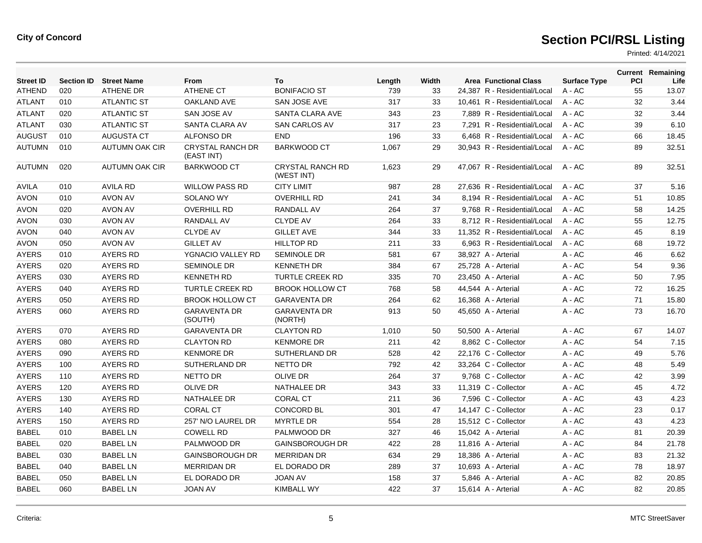| <b>Street ID</b> | <b>Section ID</b> | <b>Street Name</b>    | <b>From</b>                           | To                                    | Length | Width | <b>Area Functional Class</b> | <b>Surface Type</b> | PCI | <b>Current Remaining</b><br>Life |
|------------------|-------------------|-----------------------|---------------------------------------|---------------------------------------|--------|-------|------------------------------|---------------------|-----|----------------------------------|
| ATHEND           | 020               | <b>ATHENE DR</b>      | <b>ATHENE CT</b>                      | <b>BONIFACIO ST</b>                   | 739    | 33    | 24,387 R - Residential/Local | $A - AC$            | 55  | 13.07                            |
| <b>ATLANT</b>    | 010               | <b>ATLANTIC ST</b>    | <b>OAKLAND AVE</b>                    | SAN JOSE AVE                          | 317    | 33    | 10.461 R - Residential/Local | $A - AC$            | 32  | 3.44                             |
| <b>ATLANT</b>    | 020               | <b>ATLANTIC ST</b>    | SAN JOSE AV                           | SANTA CLARA AVE                       | 343    | 23    | 7,889 R - Residential/Local  | A - AC              | 32  | 3.44                             |
| <b>ATLANT</b>    | 030               | <b>ATLANTIC ST</b>    | SANTA CLARA AV                        | <b>SAN CARLOS AV</b>                  | 317    | 23    | 7.291 R - Residential/Local  | $A - AC$            | 39  | 6.10                             |
| <b>AUGUST</b>    | 010               | <b>AUGUSTA CT</b>     | <b>ALFONSO DR</b>                     | <b>END</b>                            | 196    | 33    | 6,468 R - Residential/Local  | $A - AC$            | 66  | 18.45                            |
| <b>AUTUMN</b>    | 010               | <b>AUTUMN OAK CIR</b> | <b>CRYSTAL RANCH DR</b><br>(EAST INT) | <b>BARKWOOD CT</b>                    | 1,067  | 29    | 30,943 R - Residential/Local | $A - AC$            | 89  | 32.51                            |
| AUTUMN           | 020               | <b>AUTUMN OAK CIR</b> | <b>BARKWOOD CT</b>                    | <b>CRYSTAL RANCH RD</b><br>(WEST INT) | 1,623  | 29    | 47.067 R - Residential/Local | $A - AC$            | 89  | 32.51                            |
| <b>AVILA</b>     | 010               | <b>AVILA RD</b>       | <b>WILLOW PASS RD</b>                 | <b>CITY LIMIT</b>                     | 987    | 28    | 27.636 R - Residential/Local | $A - AC$            | 37  | 5.16                             |
| <b>AVON</b>      | 010               | AVON AV               | <b>SOLANO WY</b>                      | <b>OVERHILL RD</b>                    | 241    | 34    | 8.194 R - Residential/Local  | $A - AC$            | 51  | 10.85                            |
| <b>AVON</b>      | 020               | AVON AV               | <b>OVERHILL RD</b>                    | <b>RANDALL AV</b>                     | 264    | 37    | 9.768 R - Residential/Local  | $A - AC$            | 58  | 14.25                            |
| <b>AVON</b>      | 030               | <b>AVON AV</b>        | <b>RANDALL AV</b>                     | <b>CLYDE AV</b>                       | 264    | 33    | 8,712 R - Residential/Local  | A - AC              | 55  | 12.75                            |
| <b>AVON</b>      | 040               | AVON AV               | <b>CLYDE AV</b>                       | <b>GILLET AVE</b>                     | 344    | 33    | 11.352 R - Residential/Local | $A - AC$            | 45  | 8.19                             |
| <b>AVON</b>      | 050               | <b>AVON AV</b>        | <b>GILLET AV</b>                      | <b>HILLTOP RD</b>                     | 211    | 33    | 6,963 R - Residential/Local  | $A - AC$            | 68  | 19.72                            |
| <b>AYERS</b>     | 010               | <b>AYERS RD</b>       | YGNACIO VALLEY RD                     | SEMINOLE DR                           | 581    | 67    | 38,927 A - Arterial          | $A - AC$            | 46  | 6.62                             |
| <b>AYERS</b>     | 020               | <b>AYERS RD</b>       | <b>SEMINOLE DR</b>                    | <b>KENNETH DR</b>                     | 384    | 67    | 25.728 A - Arterial          | $A - AC$            | 54  | 9.36                             |
| <b>AYERS</b>     | 030               | AYERS RD              | <b>KENNETH RD</b>                     | <b>TURTLE CREEK RD</b>                | 335    | 70    | 23,450 A - Arterial          | $A - AC$            | 50  | 7.95                             |
| <b>AYERS</b>     | 040               | <b>AYERS RD</b>       | <b>TURTLE CREEK RD</b>                | <b>BROOK HOLLOW CT</b>                | 768    | 58    | 44.544 A - Arterial          | $A - AC$            | 72  | 16.25                            |
| <b>AYERS</b>     | 050               | <b>AYERS RD</b>       | <b>BROOK HOLLOW CT</b>                | <b>GARAVENTA DR</b>                   | 264    | 62    | 16,368 A - Arterial          | $A - AC$            | 71  | 15.80                            |
| <b>AYERS</b>     | 060               | <b>AYERS RD</b>       | <b>GARAVENTA DR</b><br>(SOUTH)        | <b>GARAVENTA DR</b><br>(NORTH)        | 913    | 50    | 45,650 A - Arterial          | $A - AC$            | 73  | 16.70                            |
| <b>AYERS</b>     | 070               | <b>AYERS RD</b>       | <b>GARAVENTA DR</b>                   | <b>CLAYTON RD</b>                     | 1,010  | 50    | 50.500 A - Arterial          | $A - AC$            | 67  | 14.07                            |
| <b>AYERS</b>     | 080               | <b>AYERS RD</b>       | <b>CLAYTON RD</b>                     | <b>KENMORE DR</b>                     | 211    | 42    | 8,862 C - Collector          | $A - AC$            | 54  | 7.15                             |
| <b>AYERS</b>     | 090               | <b>AYERS RD</b>       | <b>KENMORE DR</b>                     | <b>SUTHERLAND DR</b>                  | 528    | 42    | 22,176 C - Collector         | A - AC              | 49  | 5.76                             |
| <b>AYERS</b>     | 100               | <b>AYERS RD</b>       | SUTHERLAND DR                         | NETTO DR                              | 792    | 42    | 33,264 C - Collector         | $A - AC$            | 48  | 5.49                             |
| <b>AYERS</b>     | 110               | <b>AYERS RD</b>       | <b>NETTO DR</b>                       | <b>OLIVE DR</b>                       | 264    | 37    | 9.768 C - Collector          | $A - AC$            | 42  | 3.99                             |
| <b>AYERS</b>     | 120               | <b>AYERS RD</b>       | <b>OLIVE DR</b>                       | <b>NATHALEE DR</b>                    | 343    | 33    | 11.319 C - Collector         | $A - AC$            | 45  | 4.72                             |
| <b>AYERS</b>     | 130               | AYERS RD              | NATHALEE DR                           | <b>CORAL CT</b>                       | 211    | 36    | 7,596 C - Collector          | $A - AC$            | 43  | 4.23                             |
| <b>AYERS</b>     | 140               | AYERS RD              | <b>CORAL CT</b>                       | <b>CONCORD BL</b>                     | 301    | 47    | 14.147 C - Collector         | $A - AC$            | 23  | 0.17                             |
| <b>AYERS</b>     | 150               | <b>AYERS RD</b>       | 257' N/O LAUREL DR                    | <b>MYRTLE DR</b>                      | 554    | 28    | 15,512 C - Collector         | $A - AC$            | 43  | 4.23                             |
| <b>BABEL</b>     | 010               | <b>BABEL LN</b>       | <b>COWELL RD</b>                      | PALMWOOD DR                           | 327    | 46    | 15,042 A - Arterial          | $A - AC$            | 81  | 20.39                            |
| BABEL            | 020               | <b>BABEL LN</b>       | PALMWOOD DR                           | <b>GAINSBOROUGH DR</b>                | 422    | 28    | 11,816 A - Arterial          | $A - AC$            | 84  | 21.78                            |
| <b>BABEL</b>     | 030               | <b>BABEL LN</b>       | <b>GAINSBOROUGH DR</b>                | <b>MERRIDAN DR</b>                    | 634    | 29    | 18,386 A - Arterial          | $A - AC$            | 83  | 21.32                            |
| <b>BABEL</b>     | 040               | <b>BABEL LN</b>       | <b>MERRIDAN DR</b>                    | EL DORADO DR                          | 289    | 37    | 10,693 A - Arterial          | $A - AC$            | 78  | 18.97                            |
| BABEL            | 050               | <b>BABEL LN</b>       | EL DORADO DR                          | <b>JOAN AV</b>                        | 158    | 37    | 5,846 A - Arterial           | $A - AC$            | 82  | 20.85                            |
| <b>BABEL</b>     | 060               | <b>BABEL LN</b>       | <b>JOAN AV</b>                        | <b>KIMBALL WY</b>                     | 422    | 37    | 15,614 A - Arterial          | A - AC              | 82  | 20.85                            |
|                  |                   |                       |                                       |                                       |        |       |                              |                     |     |                                  |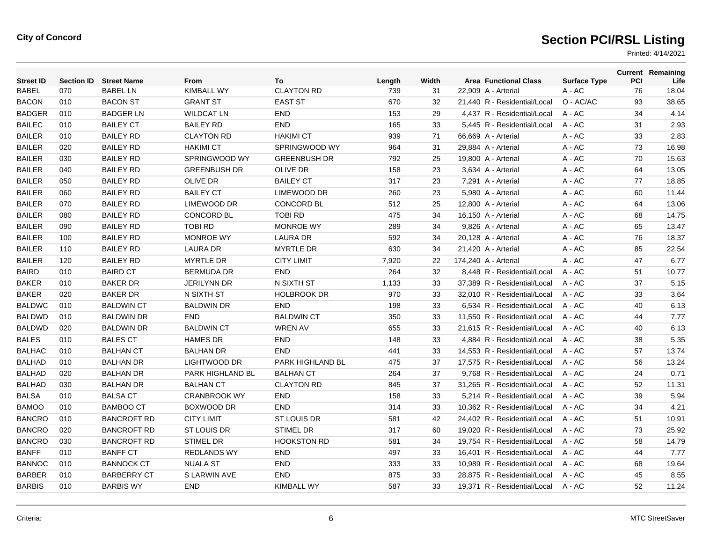| <b>Street ID</b> | <b>Section ID</b> | <b>Street Name</b> | From                | To                  | Length | Width |                      | <b>Area Functional Class</b> | <b>Surface Type</b> | <b>PCI</b> | <b>Current Remaining</b><br>Life |
|------------------|-------------------|--------------------|---------------------|---------------------|--------|-------|----------------------|------------------------------|---------------------|------------|----------------------------------|
| <b>BABEL</b>     | 070               | <b>BABEL LN</b>    | <b>KIMBALL WY</b>   | <b>CLAYTON RD</b>   | 739    | 31    | 22,909 A - Arterial  |                              | A - AC              | 76         | 18.04                            |
| <b>BACON</b>     | 010               | <b>BACON ST</b>    | <b>GRANT ST</b>     | <b>EAST ST</b>      | 670    | 32    |                      | 21,440 R - Residential/Local | O - AC/AC           | 93         | 38.65                            |
| <b>BADGER</b>    | 010               | <b>BADGER LN</b>   | <b>WILDCAT LN</b>   | <b>END</b>          | 153    | 29    |                      | 4,437 R - Residential/Local  | $A - AC$            | 34         | 4.14                             |
| <b>BAILEC</b>    | 010               | <b>BAILEY CT</b>   | <b>BAILEY RD</b>    | <b>END</b>          | 165    | 33    |                      | 5,445 R - Residential/Local  | $A - AC$            | 31         | 2.93                             |
| <b>BAILER</b>    | 010               | <b>BAILEY RD</b>   | <b>CLAYTON RD</b>   | <b>HAKIMI CT</b>    | 939    | 71    | 66.669 A - Arterial  |                              | $A - AC$            | 33         | 2.83                             |
| <b>BAILER</b>    | 020               | <b>BAILEY RD</b>   | <b>HAKIMI CT</b>    | SPRINGWOOD WY       | 964    | 31    | 29,884 A - Arterial  |                              | $A - AC$            | 73         | 16.98                            |
| <b>BAILER</b>    | 030               | <b>BAILEY RD</b>   | SPRINGWOOD WY       | <b>GREENBUSH DR</b> | 792    | 25    | 19,800 A - Arterial  |                              | A - AC              | 70         | 15.63                            |
| <b>BAILER</b>    | 040               | <b>BAILEY RD</b>   | <b>GREENBUSH DR</b> | <b>OLIVE DR</b>     | 158    | 23    | 3,634 A - Arterial   |                              | A - AC              | 64         | 13.05                            |
| <b>BAILER</b>    | 050               | <b>BAILEY RD</b>   | <b>OLIVE DR</b>     | <b>BAILEY CT</b>    | 317    | 23    | 7,291 A - Arterial   |                              | A - AC              | 77         | 18.85                            |
| <b>BAILER</b>    | 060               | <b>BAILEY RD</b>   | <b>BAILEY CT</b>    | LIMEWOOD DR         | 260    | 23    | 5,980 A - Arterial   |                              | $A - AC$            | 60         | 11.44                            |
| <b>BAILER</b>    | 070               | <b>BAILEY RD</b>   | LIMEWOOD DR         | <b>CONCORD BL</b>   | 512    | 25    | 12,800 A - Arterial  |                              | A - AC              | 64         | 13.06                            |
| <b>BAILER</b>    | 080               | <b>BAILEY RD</b>   | <b>CONCORD BL</b>   | <b>TOBI RD</b>      | 475    | 34    | 16,150 A - Arterial  |                              | A - AC              | 68         | 14.75                            |
| <b>BAILER</b>    | 090               | <b>BAILEY RD</b>   | <b>TOBI RD</b>      | MONROE WY           | 289    | 34    | 9,826 A - Arterial   |                              | A - AC              | 65         | 13.47                            |
| <b>BAILER</b>    | 100               | <b>BAILEY RD</b>   | <b>MONROE WY</b>    | <b>LAURA DR</b>     | 592    | 34    | 20,128 A - Arterial  |                              | $A - AC$            | 76         | 18.37                            |
| <b>BAILER</b>    | 110               | <b>BAILEY RD</b>   | <b>LAURA DR</b>     | <b>MYRTLE DR</b>    | 630    | 34    | 21,420 A - Arterial  |                              | $A - AC$            | 85         | 22.54                            |
| <b>BAILER</b>    | 120               | <b>BAILEY RD</b>   | <b>MYRTLE DR</b>    | <b>CITY LIMIT</b>   | 7,920  | 22    | 174,240 A - Arterial |                              | A - AC              | 47         | 6.77                             |
| <b>BAIRD</b>     | 010               | <b>BAIRD CT</b>    | <b>BERMUDA DR</b>   | <b>END</b>          | 264    | 32    |                      | 8,448 R - Residential/Local  | A - AC              | 51         | 10.77                            |
| <b>BAKER</b>     | 010               | <b>BAKER DR</b>    | <b>JERILYNN DR</b>  | N SIXTH ST          | 1,133  | 33    |                      | 37,389 R - Residential/Local | $A - AC$            | 37         | 5.15                             |
| <b>BAKER</b>     | 020               | <b>BAKER DR</b>    | N SIXTH ST          | <b>HOLBROOK DR</b>  | 970    | 33    |                      | 32,010 R - Residential/Local | A - AC              | 33         | 3.64                             |
| <b>BALDWC</b>    | 010               | <b>BALDWIN CT</b>  | <b>BALDWIN DR</b>   | <b>END</b>          | 198    | 33    |                      | 6,534 R - Residential/Local  | A - AC              | 40         | 6.13                             |
| <b>BALDWD</b>    | 010               | <b>BALDWIN DR</b>  | <b>END</b>          | <b>BALDWIN CT</b>   | 350    | 33    |                      | 11,550 R - Residential/Local | A - AC              | 44         | 7.77                             |
| <b>BALDWD</b>    | 020               | <b>BALDWIN DR</b>  | <b>BALDWIN CT</b>   | <b>WREN AV</b>      | 655    | 33    |                      | 21.615 R - Residential/Local | $A - AC$            | 40         | 6.13                             |
| <b>BALES</b>     | 010               | <b>BALES CT</b>    | <b>HAMES DR</b>     | <b>END</b>          | 148    | 33    |                      | 4.884 R - Residential/Local  | $A - AC$            | 38         | 5.35                             |
| <b>BALHAC</b>    | 010               | <b>BALHAN CT</b>   | <b>BALHAN DR</b>    | <b>END</b>          | 441    | 33    |                      | 14,553 R - Residential/Local | A - AC              | 57         | 13.74                            |
| <b>BALHAD</b>    | 010               | <b>BALHAN DR</b>   | LIGHTWOOD DR        | PARK HIGHLAND BL    | 475    | 37    |                      | 17,575 R - Residential/Local | $A - AC$            | 56         | 13.24                            |
| <b>BALHAD</b>    | 020               | <b>BALHAN DR</b>   | PARK HIGHLAND BL    | <b>BALHAN CT</b>    | 264    | 37    |                      | 9.768 R - Residential/Local  | $A - AC$            | 24         | 0.71                             |
| <b>BALHAD</b>    | 030               | <b>BALHAN DR</b>   | <b>BALHAN CT</b>    | <b>CLAYTON RD</b>   | 845    | 37    |                      | 31.265 R - Residential/Local | $A - AC$            | 52         | 11.31                            |
| <b>BALSA</b>     | 010               | <b>BALSA CT</b>    | <b>CRANBROOK WY</b> | <b>END</b>          | 158    | 33    |                      | 5,214 R - Residential/Local  | $A - AC$            | 39         | 5.94                             |
| <b>BAMOO</b>     | 010               | <b>BAMBOO CT</b>   | BOXWOOD DR          | <b>END</b>          | 314    | 33    |                      | 10,362 R - Residential/Local | A - AC              | 34         | 4.21                             |
| <b>BANCRO</b>    | 010               | <b>BANCROFT RD</b> | <b>CITY LIMIT</b>   | <b>ST LOUIS DR</b>  | 581    | 42    |                      | 24,402 R - Residential/Local | A - AC              | 51         | 10.91                            |
| <b>BANCRO</b>    | 020               | <b>BANCROFT RD</b> | <b>ST LOUIS DR</b>  | <b>STIMEL DR</b>    | 317    | 60    |                      | 19.020 R - Residential/Local | $A - AC$            | 73         | 25.92                            |
| <b>BANCRO</b>    | 030               | <b>BANCROFT RD</b> | <b>STIMEL DR</b>    | <b>HOOKSTON RD</b>  | 581    | 34    |                      | 19.754 R - Residential/Local | $A - AC$            | 58         | 14.79                            |
| <b>BANFF</b>     | 010               | <b>BANFF CT</b>    | <b>REDLANDS WY</b>  | <b>END</b>          | 497    | 33    |                      | 16,401 R - Residential/Local | A - AC              | 44         | 7.77                             |
| <b>BANNOC</b>    | 010               | <b>BANNOCK CT</b>  | <b>NUALA ST</b>     | <b>END</b>          | 333    | 33    |                      | 10,989 R - Residential/Local | A - AC              | 68         | 19.64                            |
| <b>BARBER</b>    | 010               | <b>BARBERRY CT</b> | S LARWIN AVE        | <b>END</b>          | 875    | 33    |                      | 28.875 R - Residential/Local | A - AC              | 45         | 8.55                             |
| <b>BARBIS</b>    | 010               | <b>BARBIS WY</b>   | <b>END</b>          | KIMBALL WY          | 587    | 33    |                      | 19.371 R - Residential/Local | A - AC              | 52         | 11.24                            |
|                  |                   |                    |                     |                     |        |       |                      |                              |                     |            |                                  |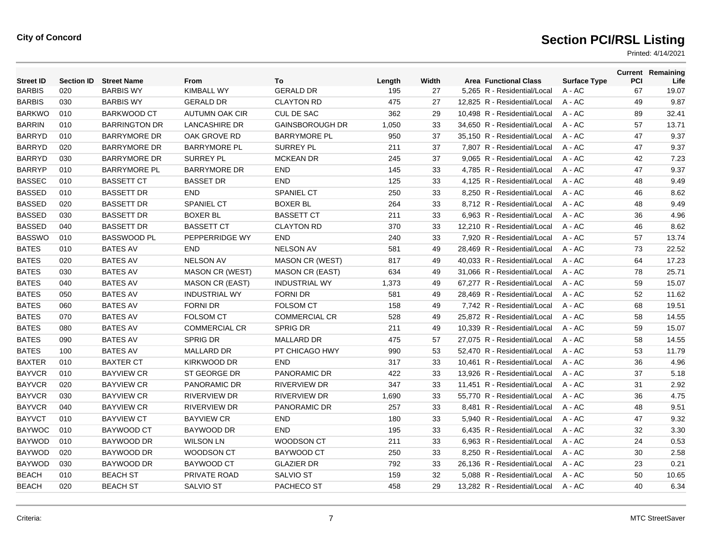| <b>Street ID</b> | <b>Section ID</b> | <b>Street Name</b>   | From                   | To                     | Length | Width | <b>Area Functional Class</b> | <b>Surface Type</b> | PCI | <b>Current Remaining</b><br>Life |
|------------------|-------------------|----------------------|------------------------|------------------------|--------|-------|------------------------------|---------------------|-----|----------------------------------|
| <b>BARBIS</b>    | 020               | <b>BARBIS WY</b>     | <b>KIMBALL WY</b>      | <b>GERALD DR</b>       | 195    | 27    | 5,265 R - Residential/Local  | A - AC              | 67  | 19.07                            |
| <b>BARBIS</b>    | 030               | <b>BARBIS WY</b>     | <b>GERALD DR</b>       | <b>CLAYTON RD</b>      | 475    | 27    | 12,825 R - Residential/Local | A - AC              | 49  | 9.87                             |
| <b>BARKWO</b>    | 010               | <b>BARKWOOD CT</b>   | AUTUMN OAK CIR         | <b>CUL DE SAC</b>      | 362    | 29    | 10,498 R - Residential/Local | $A - AC$            | 89  | 32.41                            |
| <b>BARRIN</b>    | 010               | <b>BARRINGTON DR</b> | <b>LANCASHIRE DR</b>   | <b>GAINSBOROUGH DR</b> | 1,050  | 33    | 34,650 R - Residential/Local | $A - AC$            | 57  | 13.71                            |
| <b>BARRYD</b>    | 010               | <b>BARRYMORE DR</b>  | OAK GROVE RD           | <b>BARRYMORE PL</b>    | 950    | 37    | 35,150 R - Residential/Local | A - AC              | 47  | 9.37                             |
| <b>BARRYD</b>    | 020               | <b>BARRYMORE DR</b>  | <b>BARRYMORE PL</b>    | <b>SURREY PL</b>       | 211    | 37    | 7,807 R - Residential/Local  | $A - AC$            | 47  | 9.37                             |
| <b>BARRYD</b>    | 030               | <b>BARRYMORE DR</b>  | <b>SURREY PL</b>       | <b>MCKEAN DR</b>       | 245    | 37    | 9.065 R - Residential/Local  | $A - AC$            | 42  | 7.23                             |
| <b>BARRYP</b>    | 010               | <b>BARRYMORE PL</b>  | <b>BARRYMORE DR</b>    | <b>END</b>             | 145    | 33    | 4,785 R - Residential/Local  | $A - AC$            | 47  | 9.37                             |
| <b>BASSEC</b>    | 010               | <b>BASSETT CT</b>    | <b>BASSET DR</b>       | <b>END</b>             | 125    | 33    | 4,125 R - Residential/Local  | A - AC              | 48  | 9.49                             |
| <b>BASSED</b>    | 010               | <b>BASSETT DR</b>    | <b>END</b>             | <b>SPANIEL CT</b>      | 250    | 33    | 8.250 R - Residential/Local  | $A - AC$            | 46  | 8.62                             |
| <b>BASSED</b>    | 020               | <b>BASSETT DR</b>    | <b>SPANIEL CT</b>      | <b>BOXER BL</b>        | 264    | 33    | 8.712 R - Residential/Local  | $A - AC$            | 48  | 9.49                             |
| <b>BASSED</b>    | 030               | <b>BASSETT DR</b>    | <b>BOXER BL</b>        | <b>BASSETT CT</b>      | 211    | 33    | 6,963 R - Residential/Local  | A - AC              | 36  | 4.96                             |
| <b>BASSED</b>    | 040               | <b>BASSETT DR</b>    | <b>BASSETT CT</b>      | <b>CLAYTON RD</b>      | 370    | 33    | 12,210 R - Residential/Local | A - AC              | 46  | 8.62                             |
| <b>BASSWO</b>    | 010               | <b>BASSWOOD PL</b>   | PEPPERRIDGE WY         | <b>END</b>             | 240    | 33    | 7,920 R - Residential/Local  | A - AC              | 57  | 13.74                            |
| <b>BATES</b>     | 010               | <b>BATES AV</b>      | <b>END</b>             | <b>NELSON AV</b>       | 581    | 49    | 28,469 R - Residential/Local | $A - AC$            | 73  | 22.52                            |
| <b>BATES</b>     | 020               | <b>BATES AV</b>      | <b>NELSON AV</b>       | <b>MASON CR (WEST)</b> | 817    | 49    | 40,033 R - Residential/Local | A - AC              | 64  | 17.23                            |
| <b>BATES</b>     | 030               | <b>BATES AV</b>      | <b>MASON CR (WEST)</b> | <b>MASON CR (EAST)</b> | 634    | 49    | 31,066 R - Residential/Local | A - AC              | 78  | 25.71                            |
| <b>BATES</b>     | 040               | <b>BATES AV</b>      | <b>MASON CR (EAST)</b> | <b>INDUSTRIAL WY</b>   | 1,373  | 49    | 67.277 R - Residential/Local | $A - AC$            | 59  | 15.07                            |
| <b>BATES</b>     | 050               | <b>BATES AV</b>      | <b>INDUSTRIAL WY</b>   | <b>FORNI DR</b>        | 581    | 49    | 28,469 R - Residential/Local | $A - AC$            | 52  | 11.62                            |
| <b>BATES</b>     | 060               | <b>BATES AV</b>      | <b>FORNI DR</b>        | <b>FOLSOM CT</b>       | 158    | 49    | 7,742 R - Residential/Local  | A - AC              | 68  | 19.51                            |
| <b>BATES</b>     | 070               | <b>BATES AV</b>      | <b>FOLSOM CT</b>       | <b>COMMERCIAL CR</b>   | 528    | 49    | 25,872 R - Residential/Local | A - AC              | 58  | 14.55                            |
| <b>BATES</b>     | 080               | <b>BATES AV</b>      | <b>COMMERCIAL CR</b>   | <b>SPRIG DR</b>        | 211    | 49    | 10.339 R - Residential/Local | $A - AC$            | 59  | 15.07                            |
| <b>BATES</b>     | 090               | <b>BATES AV</b>      | <b>SPRIG DR</b>        | <b>MALLARD DR</b>      | 475    | 57    | 27,075 R - Residential/Local | A - AC              | 58  | 14.55                            |
| <b>BATES</b>     | 100               | <b>BATES AV</b>      | <b>MALLARD DR</b>      | PT CHICAGO HWY         | 990    | 53    | 52.470 R - Residential/Local | $A - AC$            | 53  | 11.79                            |
| <b>BAXTER</b>    | 010               | <b>BAXTER CT</b>     | KIRKWOOD DR            | <b>END</b>             | 317    | 33    | 10.461 R - Residential/Local | $A - AC$            | 36  | 4.96                             |
| <b>BAYVCR</b>    | 010               | <b>BAYVIEW CR</b>    | ST GEORGE DR           | PANORAMIC DR           | 422    | 33    | 13,926 R - Residential/Local | A - AC              | 37  | 5.18                             |
| <b>BAYVCR</b>    | 020               | <b>BAYVIEW CR</b>    | PANORAMIC DR           | <b>RIVERVIEW DR</b>    | 347    | 33    | 11,451 R - Residential/Local | A - AC              | 31  | 2.92                             |
| <b>BAYVCR</b>    | 030               | <b>BAYVIEW CR</b>    | <b>RIVERVIEW DR</b>    | <b>RIVERVIEW DR</b>    | 1,690  | 33    | 55,770 R - Residential/Local | $A - AC$            | 36  | 4.75                             |
| <b>BAYVCR</b>    | 040               | <b>BAYVIEW CR</b>    | <b>RIVERVIEW DR</b>    | PANORAMIC DR           | 257    | 33    | 8,481 R - Residential/Local  | $A - AC$            | 48  | 9.51                             |
| <b>BAYVCT</b>    | 010               | <b>BAYVIEW CT</b>    | <b>BAYVIEW CR</b>      | <b>END</b>             | 180    | 33    | 5,940 R - Residential/Local  | A - AC              | 47  | 9.32                             |
| <b>BAYWOC</b>    | 010               | <b>BAYWOOD CT</b>    | BAYWOOD DR             | <b>END</b>             | 195    | 33    | 6,435 R - Residential/Local  | $A - AC$            | 32  | 3.30                             |
| <b>BAYWOD</b>    | 010               | BAYWOOD DR           | <b>WILSON LN</b>       | <b>WOODSON CT</b>      | 211    | 33    | 6,963 R - Residential/Local  | A - AC              | 24  | 0.53                             |
| <b>BAYWOD</b>    | 020               | BAYWOOD DR           | WOODSON CT             | <b>BAYWOOD CT</b>      | 250    | 33    | 8,250 R - Residential/Local  | $A - AC$            | 30  | 2.58                             |
| <b>BAYWOD</b>    | 030               | BAYWOOD DR           | <b>BAYWOOD CT</b>      | <b>GLAZIER DR</b>      | 792    | 33    | 26,136 R - Residential/Local | A - AC              | 23  | 0.21                             |
| <b>BEACH</b>     | 010               | <b>BEACH ST</b>      | PRIVATE ROAD           | <b>SALVIO ST</b>       | 159    | 32    | 5,088 R - Residential/Local  | A - AC              | 50  | 10.65                            |
| <b>BEACH</b>     | 020               | <b>BEACH ST</b>      | <b>SALVIO ST</b>       | PACHECO ST             | 458    | 29    | 13.282 R - Residential/Local | $A - AC$            | 40  | 6.34                             |
|                  |                   |                      |                        |                        |        |       |                              |                     |     |                                  |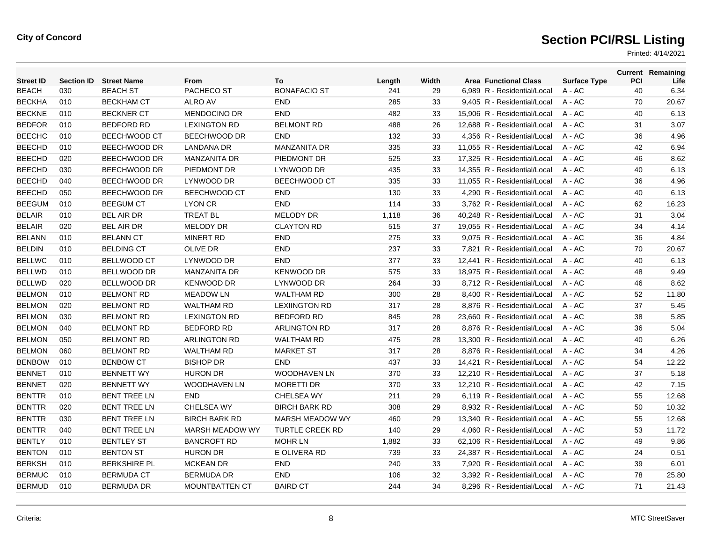| <b>Street ID</b> | <b>Section ID</b> | <b>Street Name</b>  | From                   | To                     | Length | Width | <b>Area Functional Class</b> | <b>Surface Type</b> | <b>PCI</b> | <b>Current Remaining</b><br>Life |
|------------------|-------------------|---------------------|------------------------|------------------------|--------|-------|------------------------------|---------------------|------------|----------------------------------|
| <b>BEACH</b>     | 030               | <b>BEACH ST</b>     | PACHECO ST             | <b>BONAFACIO ST</b>    | 241    | 29    | 6,989 R - Residential/Local  | A - AC              | 40         | 6.34                             |
| <b>BECKHA</b>    | 010               | <b>BECKHAM CT</b>   | ALRO AV                | <b>END</b>             | 285    | 33    | 9,405 R - Residential/Local  | A - AC              | 70         | 20.67                            |
| <b>BECKNE</b>    | 010               | <b>BECKNER CT</b>   | <b>MENDOCINO DR</b>    | <b>END</b>             | 482    | 33    | 15,906 R - Residential/Local | $A - AC$            | 40         | 6.13                             |
| <b>BEDFOR</b>    | 010               | <b>BEDFORD RD</b>   | <b>LEXINGTON RD</b>    | <b>BELMONT RD</b>      | 488    | 26    | 12.688 R - Residential/Local | $A - AC$            | 31         | 3.07                             |
| <b>BEECHC</b>    | 010               | BEECHWOOD CT        | BEECHWOOD DR           | <b>END</b>             | 132    | 33    | 4,356 R - Residential/Local  | A - AC              | 36         | 4.96                             |
| <b>BEECHD</b>    | 010               | BEECHWOOD DR        | <b>LANDANA DR</b>      | <b>MANZANITA DR</b>    | 335    | 33    | 11,055 R - Residential/Local | $A - AC$            | 42         | 6.94                             |
| <b>BEECHD</b>    | 020               | BEECHWOOD DR        | <b>MANZANITA DR</b>    | PIEDMONT DR            | 525    | 33    | 17,325 R - Residential/Local | $A - AC$            | 46         | 8.62                             |
| <b>BEECHD</b>    | 030               | BEECHWOOD DR        | PIEDMONT DR            | LYNWOOD DR             | 435    | 33    | 14.355 R - Residential/Local | $A - AC$            | 40         | 6.13                             |
| <b>BEECHD</b>    | 040               | BEECHWOOD DR        | LYNWOOD DR             | BEECHWOOD CT           | 335    | 33    | 11,055 R - Residential/Local | A - AC              | 36         | 4.96                             |
| <b>BEECHD</b>    | 050               | BEECHWOOD DR        | BEECHWOOD CT           | <b>END</b>             | 130    | 33    | 4,290 R - Residential/Local  | A - AC              | 40         | 6.13                             |
| <b>BEEGUM</b>    | 010               | <b>BEEGUM CT</b>    | <b>LYON CR</b>         | <b>END</b>             | 114    | 33    | 3,762 R - Residential/Local  | A - AC              | 62         | 16.23                            |
| <b>BELAIR</b>    | 010               | <b>BEL AIR DR</b>   | <b>TREAT BL</b>        | <b>MELODY DR</b>       | 1,118  | 36    | 40.248 R - Residential/Local | $A - AC$            | 31         | 3.04                             |
| <b>BELAIR</b>    | 020               | <b>BEL AIR DR</b>   | <b>MELODY DR</b>       | <b>CLAYTON RD</b>      | 515    | 37    | 19,055 R - Residential/Local | A - AC              | 34         | 4.14                             |
| <b>BELANN</b>    | 010               | <b>BELANN CT</b>    | <b>MINERT RD</b>       | <b>END</b>             | 275    | 33    | 9,075 R - Residential/Local  | A - AC              | 36         | 4.84                             |
| <b>BELDIN</b>    | 010               | <b>BELDING CT</b>   | <b>OLIVE DR</b>        | <b>END</b>             | 237    | 33    | 7,821 R - Residential/Local  | A - AC              | 70         | 20.67                            |
| <b>BELLWC</b>    | 010               | <b>BELLWOOD CT</b>  | LYNWOOD DR             | <b>END</b>             | 377    | 33    | 12,441 R - Residential/Local | A - AC              | 40         | 6.13                             |
| <b>BELLWD</b>    | 010               | BELLWOOD DR         | <b>MANZANITA DR</b>    | <b>KENWOOD DR</b>      | 575    | 33    | 18,975 R - Residential/Local | A - AC              | 48         | 9.49                             |
| <b>BELLWD</b>    | 020               | <b>BELLWOOD DR</b>  | <b>KENWOOD DR</b>      | LYNWOOD DR             | 264    | 33    | 8,712 R - Residential/Local  | A - AC              | 46         | 8.62                             |
| <b>BELMON</b>    | 010               | <b>BELMONT RD</b>   | <b>MEADOW LN</b>       | <b>WALTHAM RD</b>      | 300    | 28    | 8,400 R - Residential/Local  | $A - AC$            | 52         | 11.80                            |
| <b>BELMON</b>    | 020               | <b>BELMONT RD</b>   | <b>WALTHAM RD</b>      | <b>LEXIINGTON RD</b>   | 317    | 28    | 8.876 R - Residential/Local  | $A - AC$            | 37         | 5.45                             |
| <b>BELMON</b>    | 030               | <b>BELMONT RD</b>   | <b>LEXINGTON RD</b>    | <b>BEDFORD RD</b>      | 845    | 28    | 23,660 R - Residential/Local | A - AC              | 38         | 5.85                             |
| <b>BELMON</b>    | 040               | <b>BELMONT RD</b>   | <b>BEDFORD RD</b>      | <b>ARLINGTON RD</b>    | 317    | 28    | 8,876 R - Residential/Local  | A - AC              | 36         | 5.04                             |
| <b>BELMON</b>    | 050               | <b>BELMONT RD</b>   | <b>ARLINGTON RD</b>    | <b>WALTHAM RD</b>      | 475    | 28    | 13,300 R - Residential/Local | $A - AC$            | 40         | 6.26                             |
| <b>BELMON</b>    | 060               | <b>BELMONT RD</b>   | <b>WALTHAM RD</b>      | <b>MARKET ST</b>       | 317    | 28    | 8.876 R - Residential/Local  | $A - AC$            | 34         | 4.26                             |
| <b>BENBOW</b>    | 010               | <b>BENBOW CT</b>    | <b>BISHOP DR</b>       | <b>END</b>             | 437    | 33    | 14,421 R - Residential/Local | A - AC              | 54         | 12.22                            |
| <b>BENNET</b>    | 010               | <b>BENNETT WY</b>   | <b>HURON DR</b>        | <b>WOODHAVEN LN</b>    | 370    | 33    | 12,210 R - Residential/Local | A - AC              | 37         | 5.18                             |
| <b>BENNET</b>    | 020               | <b>BENNETT WY</b>   | <b>WOODHAVEN LN</b>    | <b>MORETTI DR</b>      | 370    | 33    | 12,210 R - Residential/Local | A - AC              | 42         | 7.15                             |
| <b>BENTTR</b>    | 010               | <b>BENT TREE LN</b> | <b>END</b>             | <b>CHELSEA WY</b>      | 211    | 29    | 6.119 R - Residential/Local  | $A - AC$            | 55         | 12.68                            |
| <b>BENTTR</b>    | 020               | <b>BENT TREE LN</b> | CHELSEA WY             | <b>BIRCH BARK RD</b>   | 308    | 29    | 8,932 R - Residential/Local  | $A - AC$            | 50         | 10.32                            |
| BENTTR           | 030               | <b>BENT TREE LN</b> | <b>BIRCH BARK RD</b>   | <b>MARSH MEADOW WY</b> | 460    | 29    | 13,340 R - Residential/Local | A - AC              | 55         | 12.68                            |
| <b>BENTTR</b>    | 040               | <b>BENT TREE LN</b> | <b>MARSH MEADOW WY</b> | <b>TURTLE CREEK RD</b> | 140    | 29    | 4,060 R - Residential/Local  | A - AC              | 53         | 11.72                            |
| <b>BENTLY</b>    | 010               | <b>BENTLEY ST</b>   | <b>BANCROFT RD</b>     | <b>MOHR LN</b>         | 1,882  | 33    | 62,106 R - Residential/Local | A - AC              | 49         | 9.86                             |
| <b>BENTON</b>    | 010               | <b>BENTON ST</b>    | <b>HURON DR</b>        | E OLIVERA RD           | 739    | 33    | 24,387 R - Residential/Local | A - AC              | 24         | 0.51                             |
| <b>BERKSH</b>    | 010               | <b>BERKSHIRE PL</b> | <b>MCKEAN DR</b>       | <b>END</b>             | 240    | 33    | 7,920 R - Residential/Local  | A - AC              | 39         | 6.01                             |
| <b>BERMUC</b>    | 010               | <b>BERMUDA CT</b>   | <b>BERMUDA DR</b>      | <b>END</b>             | 106    | 32    | 3.392 R - Residential/Local  | A - AC              | 78         | 25.80                            |
| <b>BERMUD</b>    | 010               | <b>BERMUDA DR</b>   | <b>MOUNTBATTEN CT</b>  | <b>BAIRD CT</b>        | 244    | 34    | 8.296 R - Residential/Local  | $A - AC$            | 71         | 21.43                            |
|                  |                   |                     |                        |                        |        |       |                              |                     |            |                                  |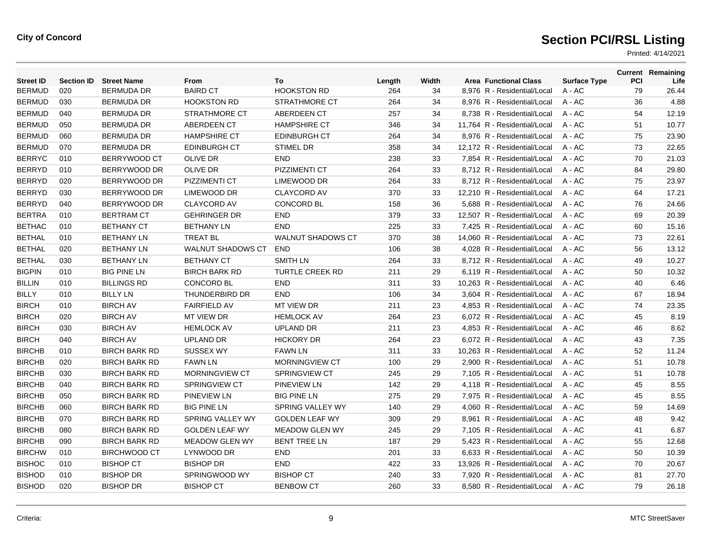| <b>Street ID</b> | <b>Section ID</b> | <b>Street Name</b>   | From                    | To                       | Length | Width | <b>Area Functional Class</b> | <b>Surface Type</b> | <b>PCI</b> | <b>Current Remaining</b><br>Life |
|------------------|-------------------|----------------------|-------------------------|--------------------------|--------|-------|------------------------------|---------------------|------------|----------------------------------|
| <b>BERMUD</b>    | 020               | BERMUDA DR           | <b>BAIRD CT</b>         | <b>HOOKSTON RD</b>       | 264    | 34    | 8,976 R - Residential/Local  | A - AC              | 79         | 26.44                            |
| <b>BERMUD</b>    | 030               | <b>BERMUDA DR</b>    | <b>HOOKSTON RD</b>      | <b>STRATHMORE CT</b>     | 264    | 34    | 8,976 R - Residential/Local  | A - AC              | 36         | 4.88                             |
| <b>BERMUD</b>    | 040               | <b>BERMUDA DR</b>    | <b>STRATHMORE CT</b>    | ABERDEEN CT              | 257    | 34    | 8,738 R - Residential/Local  | $A - AC$            | 54         | 12.19                            |
| <b>BERMUD</b>    | 050               | <b>BERMUDA DR</b>    | ABERDEEN CT             | <b>HAMPSHIRE CT</b>      | 346    | 34    | 11.764 R - Residential/Local | $A - AC$            | 51         | 10.77                            |
| <b>BERMUD</b>    | 060               | <b>BERMUDA DR</b>    | <b>HAMPSHIRE CT</b>     | <b>EDINBURGH CT</b>      | 264    | 34    | 8,976 R - Residential/Local  | A - AC              | 75         | 23.90                            |
| <b>BERMUD</b>    | 070               | <b>BERMUDA DR</b>    | <b>EDINBURGH CT</b>     | <b>STIMEL DR</b>         | 358    | 34    | 12,172 R - Residential/Local | $A - AC$            | 73         | 22.65                            |
| <b>BERRYC</b>    | 010               | BERRYWOOD CT         | <b>OLIVE DR</b>         | <b>END</b>               | 238    | 33    | 7,854 R - Residential/Local  | $A - AC$            | 70         | 21.03                            |
| <b>BERRYD</b>    | 010               | BERRYWOOD DR         | <b>OLIVE DR</b>         | <b>PIZZIMENTI CT</b>     | 264    | 33    | 8.712 R - Residential/Local  | $A - AC$            | 84         | 29.80                            |
| <b>BERRYD</b>    | 020               | BERRYWOOD DR         | PIZZIMENTI CT           | LIMEWOOD DR              | 264    | 33    | 8,712 R - Residential/Local  | A - AC              | 75         | 23.97                            |
| <b>BERRYD</b>    | 030               | BERRYWOOD DR         | LIMEWOOD DR             | <b>CLAYCORD AV</b>       | 370    | 33    | 12,210 R - Residential/Local | A - AC              | 64         | 17.21                            |
| <b>BERRYD</b>    | 040               | BERRYWOOD DR         | <b>CLAYCORD AV</b>      | <b>CONCORD BL</b>        | 158    | 36    | 5,688 R - Residential/Local  | A - AC              | 76         | 24.66                            |
| <b>BERTRA</b>    | 010               | <b>BERTRAM CT</b>    | <b>GEHRINGER DR</b>     | <b>END</b>               | 379    | 33    | 12,507 R - Residential/Local | $A - AC$            | 69         | 20.39                            |
| <b>BETHAC</b>    | 010               | <b>BETHANY CT</b>    | <b>BETHANY LN</b>       | <b>END</b>               | 225    | 33    | 7,425 R - Residential/Local  | A - AC              | 60         | 15.16                            |
| <b>BETHAL</b>    | 010               | <b>BETHANY LN</b>    | <b>TREAT BL</b>         | <b>WALNUT SHADOWS CT</b> | 370    | 38    | 14,060 R - Residential/Local | A - AC              | 73         | 22.61                            |
| <b>BETHAL</b>    | 020               | <b>BETHANY LN</b>    | WALNUT SHADOWS CT       | <b>END</b>               | 106    | 38    | 4,028 R - Residential/Local  | $A - AC$            | 56         | 13.12                            |
| <b>BETHAL</b>    | 030               | <b>BETHANY LN</b>    | <b>BETHANY CT</b>       | <b>SMITH LN</b>          | 264    | 33    | 8,712 R - Residential/Local  | $A - AC$            | 49         | 10.27                            |
| <b>BIGPIN</b>    | 010               | <b>BIG PINE LN</b>   | <b>BIRCH BARK RD</b>    | <b>TURTLE CREEK RD</b>   | 211    | 29    | 6,119 R - Residential/Local  | A - AC              | 50         | 10.32                            |
| BILLIN           | 010               | <b>BILLINGS RD</b>   | <b>CONCORD BL</b>       | <b>END</b>               | 311    | 33    | 10,263 R - Residential/Local | A - AC              | 40         | 6.46                             |
| <b>BILLY</b>     | 010               | <b>BILLY LN</b>      | THUNDERBIRD DR          | <b>END</b>               | 106    | 34    | 3,604 R - Residential/Local  | $A - AC$            | 67         | 18.94                            |
| <b>BIRCH</b>     | 010               | <b>BIRCH AV</b>      | <b>FAIRFIELD AV</b>     | <b>MT VIEW DR</b>        | 211    | 23    | 4.853 R - Residential/Local  | $A - AC$            | 74         | 23.35                            |
| <b>BIRCH</b>     | 020               | <b>BIRCH AV</b>      | <b>MT VIEW DR</b>       | <b>HEMLOCK AV</b>        | 264    | 23    | 6,072 R - Residential/Local  | $A - AC$            | 45         | 8.19                             |
| <b>BIRCH</b>     | 030               | <b>BIRCH AV</b>      | <b>HEMLOCK AV</b>       | <b>UPLAND DR</b>         | 211    | 23    | 4,853 R - Residential/Local  | $A - AC$            | 46         | 8.62                             |
| <b>BIRCH</b>     | 040               | <b>BIRCH AV</b>      | <b>UPLAND DR</b>        | <b>HICKORY DR</b>        | 264    | 23    | 6,072 R - Residential/Local  | $A - AC$            | 43         | 7.35                             |
| <b>BIRCHB</b>    | 010               | <b>BIRCH BARK RD</b> | <b>SUSSEX WY</b>        | <b>FAWN LN</b>           | 311    | 33    | 10.263 R - Residential/Local | $A - AC$            | 52         | 11.24                            |
| <b>BIRCHB</b>    | 020               | <b>BIRCH BARK RD</b> | <b>FAWN LN</b>          | MORNINGVIEW CT           | 100    | 29    | 2,900 R - Residential/Local  | $A - AC$            | 51         | 10.78                            |
| <b>BIRCHB</b>    | 030               | <b>BIRCH BARK RD</b> | <b>MORNINGVIEW CT</b>   | <b>SPRINGVIEW CT</b>     | 245    | 29    | 7,105 R - Residential/Local  | A - AC              | 51         | 10.78                            |
| <b>BIRCHB</b>    | 040               | <b>BIRCH BARK RD</b> | <b>SPRINGVIEW CT</b>    | <b>PINEVIEW LN</b>       | 142    | 29    | 4,118 R - Residential/Local  | A - AC              | 45         | 8.55                             |
| <b>BIRCHB</b>    | 050               | <b>BIRCH BARK RD</b> | <b>PINEVIEW LN</b>      | <b>BIG PINE LN</b>       | 275    | 29    | 7.975 R - Residential/Local  | $A - AC$            | 45         | 8.55                             |
| <b>BIRCHB</b>    | 060               | <b>BIRCH BARK RD</b> | <b>BIG PINE LN</b>      | SPRING VALLEY WY         | 140    | 29    | 4,060 R - Residential/Local  | $A - AC$            | 59         | 14.69                            |
| <b>BIRCHB</b>    | 070               | <b>BIRCH BARK RD</b> | <b>SPRING VALLEY WY</b> | <b>GOLDEN LEAF WY</b>    | 309    | 29    | 8,961 R - Residential/Local  | A - AC              | 48         | 9.42                             |
| <b>BIRCHB</b>    | 080               | <b>BIRCH BARK RD</b> | <b>GOLDEN LEAF WY</b>   | <b>MEADOW GLEN WY</b>    | 245    | 29    | 7,105 R - Residential/Local  | A - AC              | 41         | 6.87                             |
| <b>BIRCHB</b>    | 090               | <b>BIRCH BARK RD</b> | <b>MEADOW GLEN WY</b>   | <b>BENT TREE LN</b>      | 187    | 29    | 5,423 R - Residential/Local  | A - AC              | 55         | 12.68                            |
| <b>BIRCHW</b>    | 010               | <b>BIRCHWOOD CT</b>  | LYNWOOD DR              | <b>END</b>               | 201    | 33    | 6,633 R - Residential/Local  | A - AC              | 50         | 10.39                            |
| <b>BISHOC</b>    | 010               | <b>BISHOP CT</b>     | <b>BISHOP DR</b>        | <b>END</b>               | 422    | 33    | 13,926 R - Residential/Local | A - AC              | 70         | 20.67                            |
| <b>BISHOD</b>    | 010               | <b>BISHOP DR</b>     | SPRINGWOOD WY           | <b>BISHOP CT</b>         | 240    | 33    | 7.920 R - Residential/Local  | A - AC              | 81         | 27.70                            |
| <b>BISHOD</b>    | 020               | <b>BISHOP DR</b>     | <b>BISHOP CT</b>        | <b>BENBOW CT</b>         | 260    | 33    | 8.580 R - Residential/Local  | $A - AC$            | 79         | 26.18                            |
|                  |                   |                      |                         |                          |        |       |                              |                     |            |                                  |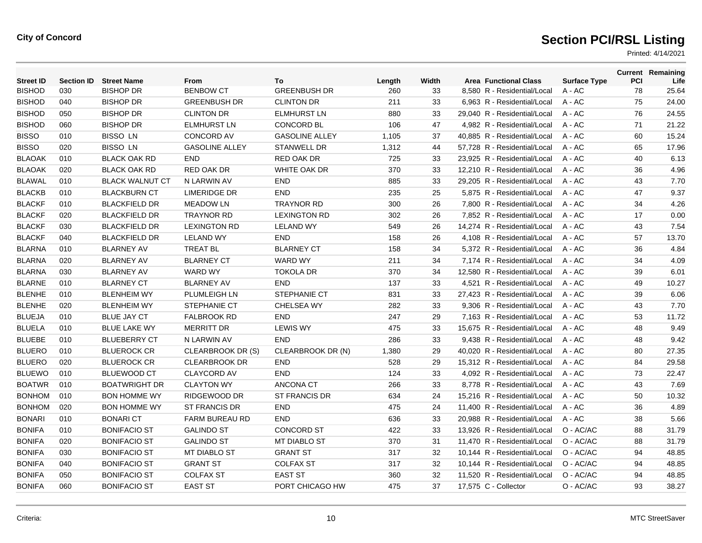| <b>Street ID</b> | <b>Section ID</b> | <b>Street Name</b>     | From                  | To                    | Length | Width | <b>Area Functional Class</b> | <b>Surface Type</b> | <b>PCI</b> | <b>Current Remaining</b><br>Life |
|------------------|-------------------|------------------------|-----------------------|-----------------------|--------|-------|------------------------------|---------------------|------------|----------------------------------|
| <b>BISHOD</b>    | 030               | <b>BISHOP DR</b>       | <b>BENBOW CT</b>      | <b>GREENBUSH DR</b>   | 260    | 33    | 8.580 R - Residential/Local  | $A - AC$            | 78         | 25.64                            |
| <b>BISHOD</b>    | 040               | <b>BISHOP DR</b>       | <b>GREENBUSH DR</b>   | <b>CLINTON DR</b>     | 211    | 33    | 6,963 R - Residential/Local  | $A - AC$            | 75         | 24.00                            |
| <b>BISHOD</b>    | 050               | <b>BISHOP DR</b>       | <b>CLINTON DR</b>     | <b>ELMHURST LN</b>    | 880    | 33    | 29,040 R - Residential/Local | $A - AC$            | 76         | 24.55                            |
| <b>BISHOD</b>    | 060               | <b>BISHOP DR</b>       | <b>ELMHURST LN</b>    | <b>CONCORD BL</b>     | 106    | 47    | 4,982 R - Residential/Local  | $A - AC$            | 71         | 21.22                            |
| <b>BISSO</b>     | 010               | <b>BISSO LN</b>        | <b>CONCORD AV</b>     | <b>GASOLINE ALLEY</b> | 1,105  | 37    | 40.885 R - Residential/Local | $A - AC$            | 60         | 15.24                            |
| <b>BISSO</b>     | 020               | <b>BISSO LN</b>        | <b>GASOLINE ALLEY</b> | <b>STANWELL DR</b>    | 1,312  | 44    | 57,728 R - Residential/Local | $A - AC$            | 65         | 17.96                            |
| <b>BLAOAK</b>    | 010               | <b>BLACK OAK RD</b>    | <b>END</b>            | <b>RED OAK DR</b>     | 725    | 33    | 23,925 R - Residential/Local | $A - AC$            | 40         | 6.13                             |
| <b>BLAOAK</b>    | 020               | <b>BLACK OAK RD</b>    | RED OAK DR            | WHITE OAK DR          | 370    | 33    | 12,210 R - Residential/Local | $A - AC$            | 36         | 4.96                             |
| <b>BLAWAL</b>    | 010               | <b>BLACK WALNUT CT</b> | N LARWIN AV           | <b>END</b>            | 885    | 33    | 29,205 R - Residential/Local | $A - AC$            | 43         | 7.70                             |
| <b>BLACKB</b>    | 010               | <b>BLACKBURN CT</b>    | <b>LIMERIDGE DR</b>   | <b>END</b>            | 235    | 25    | 5.875 R - Residential/Local  | $A - AC$            | 47         | 9.37                             |
| <b>BLACKF</b>    | 010               | <b>BLACKFIELD DR</b>   | <b>MEADOW LN</b>      | <b>TRAYNOR RD</b>     | 300    | 26    | 7,800 R - Residential/Local  | $A - AC$            | 34         | 4.26                             |
| <b>BLACKF</b>    | 020               | <b>BLACKFIELD DR</b>   | <b>TRAYNOR RD</b>     | <b>LEXINGTON RD</b>   | 302    | 26    | 7,852 R - Residential/Local  | $A - AC$            | 17         | 0.00                             |
| <b>BLACKF</b>    | 030               | <b>BLACKFIELD DR</b>   | <b>LEXINGTON RD</b>   | <b>LELAND WY</b>      | 549    | 26    | 14,274 R - Residential/Local | $A - AC$            | 43         | 7.54                             |
| <b>BLACKF</b>    | 040               | <b>BLACKFIELD DR</b>   | <b>LELAND WY</b>      | <b>END</b>            | 158    | 26    | 4,108 R - Residential/Local  | $A - AC$            | 57         | 13.70                            |
| <b>BLARNA</b>    | 010               | <b>BLARNEY AV</b>      | <b>TREAT BL</b>       | <b>BLARNEY CT</b>     | 158    | 34    | 5,372 R - Residential/Local  | A - AC              | 36         | 4.84                             |
| <b>BLARNA</b>    | 020               | <b>BLARNEY AV</b>      | <b>BLARNEY CT</b>     | <b>WARD WY</b>        | 211    | 34    | 7,174 R - Residential/Local  | $A - AC$            | 34         | 4.09                             |
| <b>BLARNA</b>    | 030               | <b>BLARNEY AV</b>      | <b>WARD WY</b>        | <b>TOKOLA DR</b>      | 370    | 34    | 12.580 R - Residential/Local | $A - AC$            | 39         | 6.01                             |
| <b>BLARNE</b>    | 010               | <b>BLARNEY CT</b>      | <b>BLARNEY AV</b>     | <b>END</b>            | 137    | 33    | 4.521 R - Residential/Local  | $A - AC$            | 49         | 10.27                            |
| <b>BLENHE</b>    | 010               | <b>BLENHEIM WY</b>     | PLUMLEIGH LN          | STEPHANIE CT          | 831    | 33    | 27,423 R - Residential/Local | $A - AC$            | 39         | 6.06                             |
| <b>BLENHE</b>    | 020               | <b>BLENHEIM WY</b>     | <b>STEPHANIE CT</b>   | <b>CHELSEA WY</b>     | 282    | 33    | 9,306 R - Residential/Local  | A - AC              | 43         | 7.70                             |
| <b>BLUEJA</b>    | 010               | <b>BLUE JAY CT</b>     | <b>FALBROOK RD</b>    | <b>END</b>            | 247    | 29    | 7,163 R - Residential/Local  | $A - AC$            | 53         | 11.72                            |
| <b>BLUELA</b>    | 010               | <b>BLUE LAKE WY</b>    | <b>MERRITT DR</b>     | <b>LEWIS WY</b>       | 475    | 33    | 15,675 R - Residential/Local | $A - AC$            | 48         | 9.49                             |
| <b>BLUEBE</b>    | 010               | <b>BLUEBERRY CT</b>    | N LARWIN AV           | <b>END</b>            | 286    | 33    | 9.438 R - Residential/Local  | $A - AC$            | 48         | 9.42                             |
| <b>BLUERO</b>    | 010               | <b>BLUEROCK CR</b>     | CLEARBROOK DR (S)     | CLEARBROOK DR (N)     | 1,380  | 29    | 40,020 R - Residential/Local | A - AC              | 80         | 27.35                            |
| <b>BLUERO</b>    | 020               | <b>BLUEROCK CR</b>     | <b>CLEARBROOK DR</b>  | <b>END</b>            | 528    | 29    | 15,312 R - Residential/Local | A - AC              | 84         | 29.58                            |
| <b>BLUEWO</b>    | 010               | <b>BLUEWOOD CT</b>     | <b>CLAYCORD AV</b>    | <b>END</b>            | 124    | 33    | 4,092 R - Residential/Local  | $A - AC$            | 73         | 22.47                            |
| <b>BOATWR</b>    | 010               | <b>BOATWRIGHT DR</b>   | <b>CLAYTON WY</b>     | <b>ANCONA CT</b>      | 266    | 33    | 8,778 R - Residential/Local  | $A - AC$            | 43         | 7.69                             |
| <b>BONHOM</b>    | 010               | <b>BON HOMME WY</b>    | RIDGEWOOD DR          | <b>ST FRANCIS DR</b>  | 634    | 24    | 15,216 R - Residential/Local | $A - AC$            | 50         | 10.32                            |
| <b>BONHOM</b>    | 020               | <b>BON HOMME WY</b>    | ST FRANCIS DR         | <b>END</b>            | 475    | 24    | 11,400 R - Residential/Local | $A - AC$            | 36         | 4.89                             |
| <b>BONARI</b>    | 010               | <b>BONARI CT</b>       | <b>FARM BUREAU RD</b> | <b>END</b>            | 636    | 33    | 20,988 R - Residential/Local | $A - AC$            | 38         | 5.66                             |
| <b>BONIFA</b>    | 010               | <b>BONIFACIO ST</b>    | <b>GALINDO ST</b>     | <b>CONCORD ST</b>     | 422    | 33    | 13,926 R - Residential/Local | O - AC/AC           | 88         | 31.79                            |
| <b>BONIFA</b>    | 020               | <b>BONIFACIO ST</b>    | <b>GALINDO ST</b>     | <b>MT DIABLO ST</b>   | 370    | 31    | 11,470 R - Residential/Local | O - AC/AC           | 88         | 31.79                            |
| <b>BONIFA</b>    | 030               | <b>BONIFACIO ST</b>    | MT DIABLO ST          | <b>GRANT ST</b>       | 317    | 32    | 10,144 R - Residential/Local | O - AC/AC           | 94         | 48.85                            |
| <b>BONIFA</b>    | 040               | <b>BONIFACIO ST</b>    | <b>GRANT ST</b>       | <b>COLFAX ST</b>      | 317    | 32    | 10,144 R - Residential/Local | O - AC/AC           | 94         | 48.85                            |
| <b>BONIFA</b>    | 050               | <b>BONIFACIO ST</b>    | <b>COLFAX ST</b>      | <b>EAST ST</b>        | 360    | 32    | 11,520 R - Residential/Local | O - AC/AC           | 94         | 48.85                            |
| <b>BONIFA</b>    | 060               | <b>BONIFACIO ST</b>    | <b>EAST ST</b>        | PORT CHICAGO HW       | 475    | 37    | 17,575 C - Collector         | O - AC/AC           | 93         | 38.27                            |
|                  |                   |                        |                       |                       |        |       |                              |                     |            |                                  |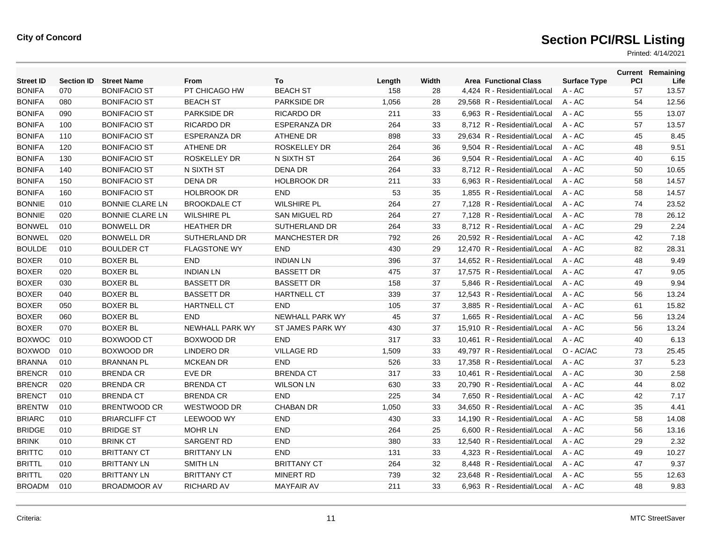| <b>Street ID</b> | <b>Section ID</b> | <b>Street Name</b>     | From                   | To                   | Length | Width | <b>Area Functional Class</b> | <b>Surface Type</b> | PCI | <b>Current Remaining</b><br>Life |
|------------------|-------------------|------------------------|------------------------|----------------------|--------|-------|------------------------------|---------------------|-----|----------------------------------|
| <b>BONIFA</b>    | 070               | <b>BONIFACIO ST</b>    | PT CHICAGO HW          | <b>BEACH ST</b>      | 158    | 28    | 4,424 R - Residential/Local  | A - AC              | 57  | 13.57                            |
| <b>BONIFA</b>    | 080               | <b>BONIFACIO ST</b>    | <b>BEACH ST</b>        | <b>PARKSIDE DR</b>   | 1,056  | 28    | 29,568 R - Residential/Local | A - AC              | 54  | 12.56                            |
| <b>BONIFA</b>    | 090               | <b>BONIFACIO ST</b>    | <b>PARKSIDE DR</b>     | <b>RICARDO DR</b>    | 211    | 33    | 6,963 R - Residential/Local  | $A - AC$            | 55  | 13.07                            |
| <b>BONIFA</b>    | 100               | <b>BONIFACIO ST</b>    | <b>RICARDO DR</b>      | <b>ESPERANZA DR</b>  | 264    | 33    | 8,712 R - Residential/Local  | $A - AC$            | 57  | 13.57                            |
| <b>BONIFA</b>    | 110               | <b>BONIFACIO ST</b>    | <b>ESPERANZA DR</b>    | <b>ATHENE DR</b>     | 898    | 33    | 29,634 R - Residential/Local | A - AC              | 45  | 8.45                             |
| <b>BONIFA</b>    | 120               | <b>BONIFACIO ST</b>    | <b>ATHENE DR</b>       | <b>ROSKELLEY DR</b>  | 264    | 36    | 9,504 R - Residential/Local  | $A - AC$            | 48  | 9.51                             |
| <b>BONIFA</b>    | 130               | <b>BONIFACIO ST</b>    | <b>ROSKELLEY DR</b>    | N SIXTH ST           | 264    | 36    | 9.504 R - Residential/Local  | $A - AC$            | 40  | 6.15                             |
| <b>BONIFA</b>    | 140               | <b>BONIFACIO ST</b>    | N SIXTH ST             | <b>DENA DR</b>       | 264    | 33    | 8,712 R - Residential/Local  | $A - AC$            | 50  | 10.65                            |
| <b>BONIFA</b>    | 150               | <b>BONIFACIO ST</b>    | <b>DENA DR</b>         | <b>HOLBROOK DR</b>   | 211    | 33    | 6,963 R - Residential/Local  | A - AC              | 58  | 14.57                            |
| <b>BONIFA</b>    | 160               | <b>BONIFACIO ST</b>    | <b>HOLBROOK DR</b>     | <b>END</b>           | 53     | 35    | 1.855 R - Residential/Local  | $A - AC$            | 58  | 14.57                            |
| <b>BONNIE</b>    | 010               | <b>BONNIE CLARE LN</b> | <b>BROOKDALE CT</b>    | <b>WILSHIRE PL</b>   | 264    | 27    | 7.128 R - Residential/Local  | $A - AC$            | 74  | 23.52                            |
| <b>BONNIE</b>    | 020               | <b>BONNIE CLARE LN</b> | <b>WILSHIRE PL</b>     | SAN MIGUEL RD        | 264    | 27    | 7,128 R - Residential/Local  | A - AC              | 78  | 26.12                            |
| <b>BONWEL</b>    | 010               | <b>BONWELL DR</b>      | <b>HEATHER DR</b>      | SUTHERLAND DR        | 264    | 33    | 8,712 R - Residential/Local  | A - AC              | 29  | 2.24                             |
| <b>BONWEL</b>    | 020               | <b>BONWELL DR</b>      | SUTHERLAND DR          | <b>MANCHESTER DR</b> | 792    | 26    | 20,592 R - Residential/Local | $A - AC$            | 42  | 7.18                             |
| <b>BOULDE</b>    | 010               | <b>BOULDER CT</b>      | <b>FLAGSTONE WY</b>    | <b>END</b>           | 430    | 29    | 12,470 R - Residential/Local | $A - AC$            | 82  | 28.31                            |
| <b>BOXER</b>     | 010               | <b>BOXER BL</b>        | <b>END</b>             | <b>INDIAN LN</b>     | 396    | 37    | 14,652 R - Residential/Local | A - AC              | 48  | 9.49                             |
| <b>BOXER</b>     | 020               | <b>BOXER BL</b>        | <b>INDIAN LN</b>       | <b>BASSETT DR</b>    | 475    | 37    | 17,575 R - Residential/Local | A - AC              | 47  | 9.05                             |
| <b>BOXER</b>     | 030               | <b>BOXER BL</b>        | <b>BASSETT DR</b>      | <b>BASSETT DR</b>    | 158    | 37    | 5.846 R - Residential/Local  | $A - AC$            | 49  | 9.94                             |
| <b>BOXER</b>     | 040               | <b>BOXER BL</b>        | <b>BASSETT DR</b>      | <b>HARTNELL CT</b>   | 339    | 37    | 12,543 R - Residential/Local | A - AC              | 56  | 13.24                            |
| <b>BOXER</b>     | 050               | <b>BOXER BL</b>        | <b>HARTNELL CT</b>     | <b>END</b>           | 105    | 37    | 3,885 R - Residential/Local  | A - AC              | 61  | 15.82                            |
| <b>BOXER</b>     | 060               | <b>BOXER BL</b>        | <b>END</b>             | NEWHALL PARK WY      | 45     | 37    | 1.665 R - Residential/Local  | $A - AC$            | 56  | 13.24                            |
| <b>BOXER</b>     | 070               | <b>BOXER BL</b>        | <b>NEWHALL PARK WY</b> | ST JAMES PARK WY     | 430    | 37    | 15.910 R - Residential/Local | $A - AC$            | 56  | 13.24                            |
| <b>BOXWOC</b>    | 010               | BOXWOOD CT             | BOXWOOD DR             | <b>END</b>           | 317    | 33    | 10,461 R - Residential/Local | $A - AC$            | 40  | 6.13                             |
| <b>BOXWOD</b>    | 010               | <b>BOXWOOD DR</b>      | LINDERO DR             | <b>VILLAGE RD</b>    | 1,509  | 33    | 49.797 R - Residential/Local | O - AC/AC           | 73  | 25.45                            |
| <b>BRANNA</b>    | 010               | <b>BRANNAN PL</b>      | <b>MCKEAN DR</b>       | <b>END</b>           | 526    | 33    | 17.358 R - Residential/Local | $A - AC$            | 37  | 5.23                             |
| <b>BRENCR</b>    | 010               | <b>BRENDA CR</b>       | EVE DR                 | <b>BRENDA CT</b>     | 317    | 33    | 10,461 R - Residential/Local | A - AC              | 30  | 2.58                             |
| <b>BRENCR</b>    | 020               | <b>BRENDA CR</b>       | <b>BRENDA CT</b>       | <b>WILSON LN</b>     | 630    | 33    | 20,790 R - Residential/Local | A - AC              | 44  | 8.02                             |
| <b>BRENCT</b>    | 010               | <b>BRENDA CT</b>       | <b>BRENDA CR</b>       | <b>END</b>           | 225    | 34    | 7,650 R - Residential/Local  | A - AC              | 42  | 7.17                             |
| <b>BRENTW</b>    | 010               | <b>BRENTWOOD CR</b>    | WESTWOOD DR            | <b>CHABAN DR</b>     | 1,050  | 33    | 34.650 R - Residential/Local | $A - AC$            | 35  | 4.41                             |
| <b>BRIARC</b>    | 010               | <b>BRIARCLIFF CT</b>   | <b>LEEWOOD WY</b>      | <b>END</b>           | 430    | 33    | 14,190 R - Residential/Local | A - AC              | 58  | 14.08                            |
| <b>BRIDGE</b>    | 010               | <b>BRIDGE ST</b>       | <b>MOHR LN</b>         | <b>END</b>           | 264    | 25    | 6,600 R - Residential/Local  | A - AC              | 56  | 13.16                            |
| <b>BRINK</b>     | 010               | <b>BRINK CT</b>        | <b>SARGENT RD</b>      | <b>END</b>           | 380    | 33    | 12,540 R - Residential/Local | A - AC              | 29  | 2.32                             |
| <b>BRITTC</b>    | 010               | <b>BRITTANY CT</b>     | <b>BRITTANY LN</b>     | <b>END</b>           | 131    | 33    | 4,323 R - Residential/Local  | $A - AC$            | 49  | 10.27                            |
| <b>BRITTL</b>    | 010               | <b>BRITTANY LN</b>     | <b>SMITH LN</b>        | <b>BRITTANY CT</b>   | 264    | 32    | 8,448 R - Residential/Local  | A - AC              | 47  | 9.37                             |
| <b>BRITTL</b>    | 020               | <b>BRITTANY LN</b>     | <b>BRITTANY CT</b>     | <b>MINERT RD</b>     | 739    | 32    | 23.648 R - Residential/Local | A - AC              | 55  | 12.63                            |
| <b>BROADM</b>    | 010               | <b>BROADMOOR AV</b>    | <b>RICHARD AV</b>      | <b>MAYFAIR AV</b>    | 211    | 33    | 6.963 R - Residential/Local  | $A - AC$            | 48  | 9.83                             |
|                  |                   |                        |                        |                      |        |       |                              |                     |     |                                  |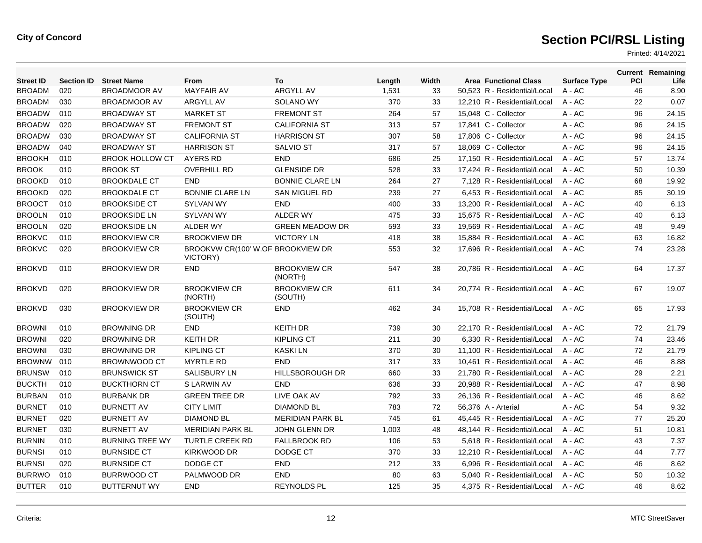| <b>Street ID</b> | <b>Section ID</b> | <b>Street Name</b>     | <b>From</b>                                   | To                             | Length | Width | <b>Area Functional Class</b> | <b>Surface Type</b> | PCI | <b>Current Remaining</b><br>Life |
|------------------|-------------------|------------------------|-----------------------------------------------|--------------------------------|--------|-------|------------------------------|---------------------|-----|----------------------------------|
| <b>BROADM</b>    | 020               | <b>BROADMOOR AV</b>    | <b>MAYFAIR AV</b>                             | <b>ARGYLL AV</b>               | 1,531  | 33    | 50,523 R - Residential/Local | A - AC              | 46  | 8.90                             |
| <b>BROADM</b>    | 030               | <b>BROADMOOR AV</b>    | ARGYLL AV                                     | <b>SOLANO WY</b>               | 370    | 33    | 12,210 R - Residential/Local | $A - AC$            | 22  | 0.07                             |
| <b>BROADW</b>    | 010               | <b>BROADWAY ST</b>     | <b>MARKET ST</b>                              | <b>FREMONT ST</b>              | 264    | 57    | 15.048 C - Collector         | $A - AC$            | 96  | 24.15                            |
| <b>BROADW</b>    | 020               | <b>BROADWAY ST</b>     | <b>FREMONT ST</b>                             | <b>CALIFORNIA ST</b>           | 313    | 57    | 17,841 C - Collector         | $A - AC$            | 96  | 24.15                            |
| <b>BROADW</b>    | 030               | <b>BROADWAY ST</b>     | <b>CALIFORNIA ST</b>                          | <b>HARRISON ST</b>             | 307    | 58    | 17,806 C - Collector         | A - AC              | 96  | 24.15                            |
| <b>BROADW</b>    | 040               | <b>BROADWAY ST</b>     | <b>HARRISON ST</b>                            | <b>SALVIO ST</b>               | 317    | 57    | 18.069 C - Collector         | $A - AC$            | 96  | 24.15                            |
| <b>BROOKH</b>    | 010               | <b>BROOK HOLLOW CT</b> | <b>AYERS RD</b>                               | <b>END</b>                     | 686    | 25    | 17.150 R - Residential/Local | $A - AC$            | 57  | 13.74                            |
| <b>BROOK</b>     | 010               | <b>BROOK ST</b>        | <b>OVERHILL RD</b>                            | <b>GLENSIDE DR</b>             | 528    | 33    | 17,424 R - Residential/Local | $A - AC$            | 50  | 10.39                            |
| <b>BROOKD</b>    | 010               | <b>BROOKDALE CT</b>    | <b>END</b>                                    | <b>BONNIE CLARE LN</b>         | 264    | 27    | 7.128 R - Residential/Local  | $A - AC$            | 68  | 19.92                            |
| <b>BROOKD</b>    | 020               | <b>BROOKDALE CT</b>    | <b>BONNIE CLARE LN</b>                        | <b>SAN MIGUEL RD</b>           | 239    | 27    | 6.453 R - Residential/Local  | $A - AC$            | 85  | 30.19                            |
| <b>BROOCT</b>    | 010               | <b>BROOKSIDE CT</b>    | <b>SYLVAN WY</b>                              | <b>END</b>                     | 400    | 33    | 13.200 R - Residential/Local | $A - AC$            | 40  | 6.13                             |
| <b>BROOLN</b>    | 010               | <b>BROOKSIDE LN</b>    | <b>SYLVAN WY</b>                              | <b>ALDER WY</b>                | 475    | 33    | 15,675 R - Residential/Local | A - AC              | 40  | 6.13                             |
| <b>BROOLN</b>    | 020               | <b>BROOKSIDE LN</b>    | <b>ALDER WY</b>                               | <b>GREEN MEADOW DR</b>         | 593    | 33    | 19,569 R - Residential/Local | $A - AC$            | 48  | 9.49                             |
| <b>BROKVC</b>    | 010               | <b>BROOKVIEW CR</b>    | <b>BROOKVIEW DR</b>                           | <b>VICTORY LN</b>              | 418    | 38    | 15.884 R - Residential/Local | $A - AC$            | 63  | 16.82                            |
| <b>BROKVC</b>    | 020               | <b>BROOKVIEW CR</b>    | BROOKVW CR(100' W.OF BROOKVIEW DR<br>VICTORY) |                                | 553    | 32    | 17,696 R - Residential/Local | $A - AC$            | 74  | 23.28                            |
| <b>BROKVD</b>    | 010               | <b>BROOKVIEW DR</b>    | <b>END</b>                                    | <b>BROOKVIEW CR</b><br>(NORTH) | 547    | 38    | 20,786 R - Residential/Local | $A - AC$            | 64  | 17.37                            |
| <b>BROKVD</b>    | 020               | <b>BROOKVIEW DR</b>    | <b>BROOKVIEW CR</b><br>(NORTH)                | <b>BROOKVIEW CR</b><br>(SOUTH) | 611    | 34    | 20,774 R - Residential/Local | $A - AC$            | 67  | 19.07                            |
| <b>BROKVD</b>    | 030               | <b>BROOKVIEW DR</b>    | <b>BROOKVIEW CR</b><br>(SOUTH)                | <b>END</b>                     | 462    | 34    | 15.708 R - Residential/Local | $A - AC$            | 65  | 17.93                            |
| <b>BROWNI</b>    | 010               | <b>BROWNING DR</b>     | <b>END</b>                                    | <b>KEITH DR</b>                | 739    | 30    | 22.170 R - Residential/Local | $A - AC$            | 72  | 21.79                            |
| <b>BROWNI</b>    | 020               | <b>BROWNING DR</b>     | <b>KEITH DR</b>                               | <b>KIPLING CT</b>              | 211    | 30    | 6,330 R - Residential/Local  | $A - AC$            | 74  | 23.46                            |
| <b>BROWNI</b>    | 030               | <b>BROWNING DR</b>     | <b>KIPLING CT</b>                             | <b>KASKILN</b>                 | 370    | 30    | 11,100 R - Residential/Local | $A - AC$            | 72  | 21.79                            |
| <b>BROWNW</b>    | 010               | <b>BROWNWOOD CT</b>    | <b>MYRTLE RD</b>                              | <b>END</b>                     | 317    | 33    | 10.461 R - Residential/Local | $A - AC$            | 46  | 8.88                             |
| <b>BRUNSW</b>    | 010               | <b>BRUNSWICK ST</b>    | <b>SALISBURY LN</b>                           | <b>HILLSBOROUGH DR</b>         | 660    | 33    | 21.780 R - Residential/Local | $A - AC$            | 29  | 2.21                             |
| <b>BUCKTH</b>    | 010               | <b>BUCKTHORN CT</b>    | S LARWIN AV                                   | <b>END</b>                     | 636    | 33    | 20,988 R - Residential/Local | $A - AC$            | 47  | 8.98                             |
| <b>BURBAN</b>    | 010               | <b>BURBANK DR</b>      | <b>GREEN TREE DR</b>                          | LIVE OAK AV                    | 792    | 33    | 26,136 R - Residential/Local | $A - AC$            | 46  | 8.62                             |
| <b>BURNET</b>    | 010               | <b>BURNETT AV</b>      | <b>CITY LIMIT</b>                             | <b>DIAMOND BL</b>              | 783    | 72    | 56.376 A - Arterial          | $A - AC$            | 54  | 9.32                             |
| <b>BURNET</b>    | 020               | <b>BURNETT AV</b>      | <b>DIAMOND BL</b>                             | <b>MERIDIAN PARK BL</b>        | 745    | 61    | 45,445 R - Residential/Local | $A - AC$            | 77  | 25.20                            |
| <b>BURNET</b>    | 030               | <b>BURNETT AV</b>      | <b>MERIDIAN PARK BL</b>                       | <b>JOHN GLENN DR</b>           | 1,003  | 48    | 48,144 R - Residential/Local | $A - AC$            | 51  | 10.81                            |
| <b>BURNIN</b>    | 010               | <b>BURNING TREE WY</b> | <b>TURTLE CREEK RD</b>                        | <b>FALLBROOK RD</b>            | 106    | 53    | 5.618 R - Residential/Local  | $A - AC$            | 43  | 7.37                             |
| <b>BURNSI</b>    | 010               | <b>BURNSIDE CT</b>     | <b>KIRKWOOD DR</b>                            | DODGE CT                       | 370    | 33    | 12.210 R - Residential/Local | $A - AC$            | 44  | 7.77                             |
| <b>BURNSI</b>    | 020               | <b>BURNSIDE CT</b>     | DODGE CT                                      | <b>END</b>                     | 212    | 33    | 6,996 R - Residential/Local  | $A - AC$            | 46  | 8.62                             |
| <b>BURRWO</b>    | 010               | <b>BURRWOOD CT</b>     | PALMWOOD DR                                   | <b>END</b>                     | 80     | 63    | 5.040 R - Residential/Local  | $A - AC$            | 50  | 10.32                            |
| <b>BUTTER</b>    | 010               | <b>BUTTERNUT WY</b>    | <b>END</b>                                    | <b>REYNOLDS PL</b>             | 125    | 35    | 4.375 R - Residential/Local  | $A - AC$            | 46  | 8.62                             |
|                  |                   |                        |                                               |                                |        |       |                              |                     |     |                                  |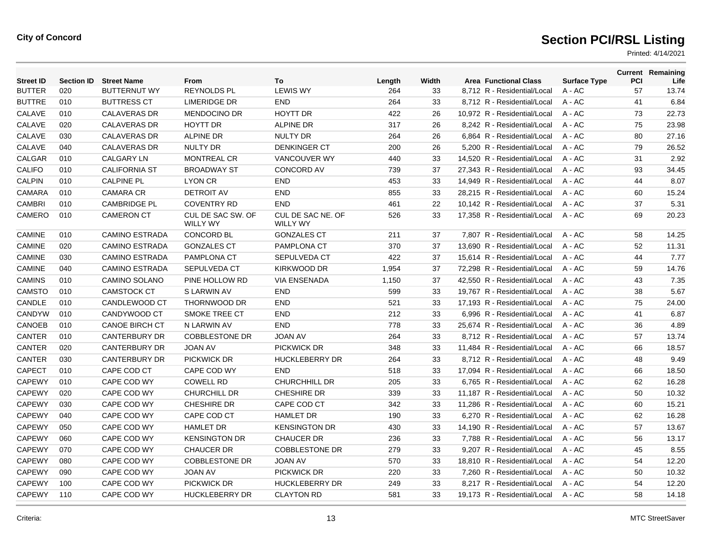| <b>Street ID</b> | <b>Section ID</b> | <b>Street Name</b>    | From                                 | To                                   | Length | Width | <b>Area Functional Class</b> | <b>Surface Type</b> | PCI | <b>Current Remaining</b><br>Life |
|------------------|-------------------|-----------------------|--------------------------------------|--------------------------------------|--------|-------|------------------------------|---------------------|-----|----------------------------------|
| <b>BUTTER</b>    | 020               | <b>BUTTERNUT WY</b>   | <b>REYNOLDS PL</b>                   | <b>LEWIS WY</b>                      | 264    | 33    | 8,712 R - Residential/Local  | $A - AC$            | 57  | 13.74                            |
| <b>BUTTRE</b>    | 010               | <b>BUTTRESS CT</b>    | <b>LIMERIDGE DR</b>                  | <b>END</b>                           | 264    | 33    | 8,712 R - Residential/Local  | $A - AC$            | 41  | 6.84                             |
| CALAVE           | 010               | <b>CALAVERAS DR</b>   | <b>MENDOCINO DR</b>                  | <b>HOYTT DR</b>                      | 422    | 26    | 10.972 R - Residential/Local | $A - AC$            | 73  | 22.73                            |
| CALAVE           | 020               | <b>CALAVERAS DR</b>   | <b>HOYTT DR</b>                      | <b>ALPINE DR</b>                     | 317    | 26    | 8.242 R - Residential/Local  | $A - AC$            | 75  | 23.98                            |
| CALAVE           | 030               | <b>CALAVERAS DR</b>   | <b>ALPINE DR</b>                     | <b>NULTY DR</b>                      | 264    | 26    | 6.864 R - Residential/Local  | $A - AC$            | 80  | 27.16                            |
| CALAVE           | 040               | <b>CALAVERAS DR</b>   | <b>NULTY DR</b>                      | <b>DENKINGER CT</b>                  | 200    | 26    | 5,200 R - Residential/Local  | $A - AC$            | 79  | 26.52                            |
| CALGAR           | 010               | <b>CALGARY LN</b>     | <b>MONTREAL CR</b>                   | <b>VANCOUVER WY</b>                  | 440    | 33    | 14,520 R - Residential/Local | $A - AC$            | 31  | 2.92                             |
| <b>CALIFO</b>    | 010               | <b>CALIFORNIA ST</b>  | <b>BROADWAY ST</b>                   | <b>CONCORD AV</b>                    | 739    | 37    | 27.343 R - Residential/Local | $A - AC$            | 93  | 34.45                            |
| <b>CALPIN</b>    | 010               | <b>CALPINE PL</b>     | <b>LYON CR</b>                       | <b>END</b>                           | 453    | 33    | 14,949 R - Residential/Local | $A - AC$            | 44  | 8.07                             |
| <b>CAMARA</b>    | 010               | <b>CAMARA CR</b>      | <b>DETROIT AV</b>                    | <b>END</b>                           | 855    | 33    | 28,215 R - Residential/Local | $A - AC$            | 60  | 15.24                            |
| <b>CAMBRI</b>    | 010               | <b>CAMBRIDGE PL</b>   | <b>COVENTRY RD</b>                   | <b>END</b>                           | 461    | 22    | 10,142 R - Residential/Local | $A - AC$            | 37  | 5.31                             |
| CAMERO           | 010               | <b>CAMERON CT</b>     | CUL DE SAC SW. OF<br><b>WILLY WY</b> | CUL DE SAC NE. OF<br><b>WILLY WY</b> | 526    | 33    | 17,358 R - Residential/Local | $A - AC$            | 69  | 20.23                            |
| <b>CAMINE</b>    | 010               | <b>CAMINO ESTRADA</b> | <b>CONCORD BL</b>                    | <b>GONZALES CT</b>                   | 211    | 37    | 7.807 R - Residential/Local  | $A - AC$            | 58  | 14.25                            |
| <b>CAMINE</b>    | 020               | <b>CAMINO ESTRADA</b> | <b>GONZALES CT</b>                   | <b>PAMPLONA CT</b>                   | 370    | 37    | 13.690 R - Residential/Local | $A - AC$            | 52  | 11.31                            |
| <b>CAMINE</b>    | 030               | <b>CAMINO ESTRADA</b> | <b>PAMPLONA CT</b>                   | SEPULVEDA CT                         | 422    | 37    | 15,614 R - Residential/Local | $A - AC$            | 44  | 7.77                             |
| <b>CAMINE</b>    | 040               | <b>CAMINO ESTRADA</b> | <b>SEPULVEDA CT</b>                  | KIRKWOOD DR                          | 1,954  | 37    | 72,298 R - Residential/Local | $A - AC$            | 59  | 14.76                            |
| <b>CAMINS</b>    | 010               | <b>CAMINO SOLANO</b>  | PINE HOLLOW RD                       | <b>VIA ENSENADA</b>                  | 1,150  | 37    | 42.550 R - Residential/Local | $A - AC$            | 43  | 7.35                             |
| CAMSTO           | 010               | <b>CAMSTOCK CT</b>    | S LARWIN AV                          | <b>END</b>                           | 599    | 33    | 19.767 R - Residential/Local | $A - AC$            | 38  | 5.67                             |
| CANDLE           | 010               | CANDLEWOOD CT         | <b>THORNWOOD DR</b>                  | <b>END</b>                           | 521    | 33    | 17,193 R - Residential/Local | $A - AC$            | 75  | 24.00                            |
| CANDYW           | 010               | CANDYWOOD CT          | <b>SMOKE TREE CT</b>                 | <b>END</b>                           | 212    | 33    | 6,996 R - Residential/Local  | $A - AC$            | 41  | 6.87                             |
| CANOEB           | 010               | <b>CANOE BIRCH CT</b> | N LARWIN AV                          | <b>END</b>                           | 778    | 33    | 25,674 R - Residential/Local | $A - AC$            | 36  | 4.89                             |
| CANTER           | 010               | <b>CANTERBURY DR</b>  | <b>COBBLESTONE DR</b>                | <b>JOAN AV</b>                       | 264    | 33    | 8.712 R - Residential/Local  | $A - AC$            | 57  | 13.74                            |
| CANTER           | 020               | <b>CANTERBURY DR</b>  | <b>JOAN AV</b>                       | <b>PICKWICK DR</b>                   | 348    | 33    | 11,484 R - Residential/Local | $A - AC$            | 66  | 18.57                            |
| CANTER           | 030               | <b>CANTERBURY DR</b>  | <b>PICKWICK DR</b>                   | <b>HUCKLEBERRY DR</b>                | 264    | 33    | 8,712 R - Residential/Local  | A - AC              | 48  | 9.49                             |
| CAPECT           | 010               | CAPE COD CT           | CAPE COD WY                          | <b>END</b>                           | 518    | 33    | 17,094 R - Residential/Local | $A - AC$            | 66  | 18.50                            |
| <b>CAPEWY</b>    | 010               | CAPE COD WY           | <b>COWELL RD</b>                     | CHURCHHILL DR                        | 205    | 33    | 6,765 R - Residential/Local  | $A - AC$            | 62  | 16.28                            |
| <b>CAPEWY</b>    | 020               | CAPE COD WY           | <b>CHURCHILL DR</b>                  | <b>CHESHIRE DR</b>                   | 339    | 33    | 11.187 R - Residential/Local | $A - AC$            | 50  | 10.32                            |
| <b>CAPEWY</b>    | 030               | CAPE COD WY           | <b>CHESHIRE DR</b>                   | CAPE COD CT                          | 342    | 33    | 11,286 R - Residential/Local | A - AC              | 60  | 15.21                            |
| <b>CAPEWY</b>    | 040               | CAPE COD WY           | CAPE COD CT                          | <b>HAMLET DR</b>                     | 190    | 33    | 6,270 R - Residential/Local  | $A - AC$            | 62  | 16.28                            |
| <b>CAPEWY</b>    | 050               | CAPE COD WY           | <b>HAMLET DR</b>                     | <b>KENSINGTON DR</b>                 | 430    | 33    | 14,190 R - Residential/Local | $A - AC$            | 57  | 13.67                            |
| <b>CAPEWY</b>    | 060               | CAPE COD WY           | <b>KENSINGTON DR</b>                 | <b>CHAUCER DR</b>                    | 236    | 33    | 7.788 R - Residential/Local  | $A - AC$            | 56  | 13.17                            |
| <b>CAPEWY</b>    | 070               | CAPE COD WY           | <b>CHAUCER DR</b>                    | <b>COBBLESTONE DR</b>                | 279    | 33    | 9.207 R - Residential/Local  | $A - AC$            | 45  | 8.55                             |
| <b>CAPEWY</b>    | 080               | CAPE COD WY           | <b>COBBLESTONE DR</b>                | <b>JOAN AV</b>                       | 570    | 33    | 18,810 R - Residential/Local | A - AC              | 54  | 12.20                            |
| CAPEWY           | 090               | CAPE COD WY           | <b>JOAN AV</b>                       | PICKWICK DR                          | 220    | 33    | 7,260 R - Residential/Local  | $A - AC$            | 50  | 10.32                            |
| <b>CAPEWY</b>    | 100               | CAPE COD WY           | PICKWICK DR                          | <b>HUCKLEBERRY DR</b>                | 249    | 33    | 8,217 R - Residential/Local  | $A - AC$            | 54  | 12.20                            |
| <b>CAPEWY</b>    | 110               | CAPE COD WY           | <b>HUCKLEBERRY DR</b>                | <b>CLAYTON RD</b>                    | 581    | 33    | 19.173 R - Residential/Local | $A - AC$            | 58  | 14.18                            |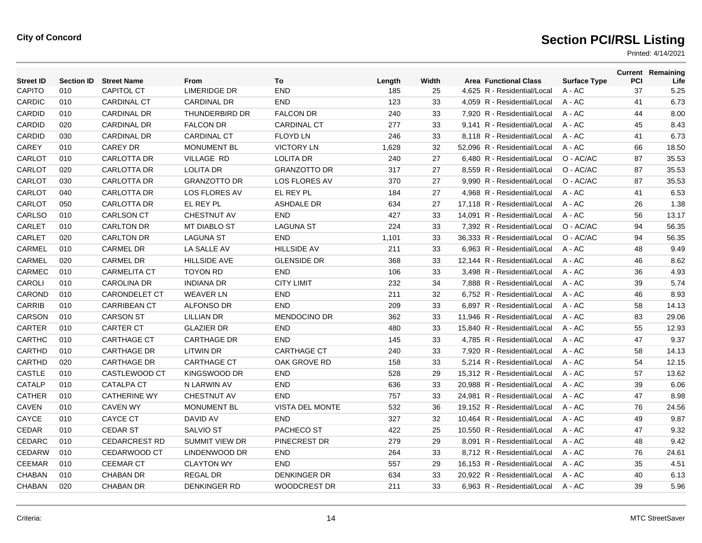| <b>Street ID</b> | <b>Section ID</b> | <b>Street Name</b>   | From                  | To                     | Length | Width | <b>Area Functional Class</b> | <b>Surface Type</b> | <b>PCI</b> | <b>Current Remaining</b><br>Life |
|------------------|-------------------|----------------------|-----------------------|------------------------|--------|-------|------------------------------|---------------------|------------|----------------------------------|
| CAPITO           | 010               | <b>CAPITOL CT</b>    | <b>LIMERIDGE DR</b>   | <b>END</b>             | 185    | 25    | 4,625 R - Residential/Local  | A - AC              | 37         | 5.25                             |
| <b>CARDIC</b>    | 010               | <b>CARDINAL CT</b>   | CARDINAL DR           | <b>END</b>             | 123    | 33    | 4,059 R - Residential/Local  | A - AC              | 41         | 6.73                             |
| <b>CARDID</b>    | 010               | <b>CARDINAL DR</b>   | THUNDERBIRD DR        | <b>FALCON DR</b>       | 240    | 33    | 7,920 R - Residential/Local  | A - AC              | 44         | 8.00                             |
| <b>CARDID</b>    | 020               | <b>CARDINAL DR</b>   | <b>FALCON DR</b>      | <b>CARDINAL CT</b>     | 277    | 33    | 9.141 R - Residential/Local  | $A - AC$            | 45         | 8.43                             |
| <b>CARDID</b>    | 030               | <b>CARDINAL DR</b>   | <b>CARDINAL CT</b>    | <b>FLOYD LN</b>        | 246    | 33    | 8.118 R - Residential/Local  | $A - AC$            | 41         | 6.73                             |
| <b>CAREY</b>     | 010               | <b>CAREY DR</b>      | <b>MONUMENT BL</b>    | <b>VICTORY LN</b>      | 1,628  | 32    | 52,096 R - Residential/Local | $A - AC$            | 66         | 18.50                            |
| CARLOT           | 010               | <b>CARLOTTA DR</b>   | <b>VILLAGE RD</b>     | <b>LOLITA DR</b>       | 240    | 27    | 6,480 R - Residential/Local  | O - AC/AC           | 87         | 35.53                            |
| CARLOT           | 020               | <b>CARLOTTA DR</b>   | <b>LOLITA DR</b>      | <b>GRANZOTTO DR</b>    | 317    | 27    | 8.559 R - Residential/Local  | O - AC/AC           | 87         | 35.53                            |
| CARLOT           | 030               | <b>CARLOTTA DR</b>   | <b>GRANZOTTO DR</b>   | <b>LOS FLORES AV</b>   | 370    | 27    | 9.990 R - Residential/Local  | O - AC/AC           | 87         | 35.53                            |
| CARLOT           | 040               | <b>CARLOTTA DR</b>   | <b>LOS FLORES AV</b>  | EL REY PL              | 184    | 27    | 4,968 R - Residential/Local  | A - AC              | 41         | 6.53                             |
| CARLOT           | 050               | <b>CARLOTTA DR</b>   | EL REY PL             | <b>ASHDALE DR</b>      | 634    | 27    | 17,118 R - Residential/Local | A - AC              | 26         | 1.38                             |
| CARLSO           | 010               | <b>CARLSON CT</b>    | <b>CHESTNUT AV</b>    | <b>END</b>             | 427    | 33    | 14,091 R - Residential/Local | A - AC              | 56         | 13.17                            |
| CARLET           | 010               | <b>CARLTON DR</b>    | <b>MT DIABLO ST</b>   | <b>LAGUNA ST</b>       | 224    | 33    | 7,392 R - Residential/Local  | O - AC/AC           | 94         | 56.35                            |
| CARLET           | 020               | <b>CARLTON DR</b>    | <b>LAGUNA ST</b>      | <b>END</b>             | 1,101  | 33    | 36.333 R - Residential/Local | O - AC/AC           | 94         | 56.35                            |
| CARMEL           | 010               | <b>CARMEL DR</b>     | LA SALLE AV           | <b>HILLSIDE AV</b>     | 211    | 33    | 6,963 R - Residential/Local  | A - AC              | 48         | 9.49                             |
| CARMEL           | 020               | <b>CARMEL DR</b>     | <b>HILLSIDE AVE</b>   | <b>GLENSIDE DR</b>     | 368    | 33    | 12,144 R - Residential/Local | A - AC              | 46         | 8.62                             |
| CARMEC           | 010               | <b>CARMELITA CT</b>  | <b>TOYON RD</b>       | <b>END</b>             | 106    | 33    | 3,498 R - Residential/Local  | A - AC              | 36         | 4.93                             |
| CAROLI           | 010               | <b>CAROLINA DR</b>   | <b>INDIANA DR</b>     | <b>CITY LIMIT</b>      | 232    | 34    | 7.888 R - Residential/Local  | $A - AC$            | 39         | 5.74                             |
| CAROND           | 010               | <b>CARONDELET CT</b> | <b>WEAVER LN</b>      | <b>END</b>             | 211    | 32    | 6,752 R - Residential/Local  | A - AC              | 46         | 8.93                             |
| <b>CARRIB</b>    | 010               | <b>CARRIBEAN CT</b>  | <b>ALFONSO DR</b>     | <b>END</b>             | 209    | 33    | 6,897 R - Residential/Local  | A - AC              | 58         | 14.13                            |
| CARSON           | 010               | <b>CARSON ST</b>     | <b>LILLIAN DR</b>     | <b>MENDOCINO DR</b>    | 362    | 33    | 11,946 R - Residential/Local | A - AC              | 83         | 29.06                            |
| <b>CARTER</b>    | 010               | <b>CARTER CT</b>     | <b>GLAZIER DR</b>     | <b>END</b>             | 480    | 33    | 15.840 R - Residential/Local | $A - AC$            | 55         | 12.93                            |
| <b>CARTHC</b>    | 010               | <b>CARTHAGE CT</b>   | <b>CARTHAGE DR</b>    | <b>END</b>             | 145    | 33    | 4.785 R - Residential/Local  | $A - AC$            | 47         | 9.37                             |
| CARTHD           | 010               | <b>CARTHAGE DR</b>   | <b>LITWIN DR</b>      | <b>CARTHAGE CT</b>     | 240    | 33    | 7,920 R - Residential/Local  | A - AC              | 58         | 14.13                            |
| CARTHD           | 020               | <b>CARTHAGE DR</b>   | <b>CARTHAGE CT</b>    | OAK GROVE RD           | 158    | 33    | 5,214 R - Residential/Local  | $A - AC$            | 54         | 12.15                            |
| <b>CASTLE</b>    | 010               | CASTLEWOOD CT        | KINGSWOOD DR          | <b>END</b>             | 528    | 29    | 15.312 R - Residential/Local | $A - AC$            | 57         | 13.62                            |
| CATALP           | 010               | <b>CATALPA CT</b>    | N LARWIN AV           | <b>END</b>             | 636    | 33    | 20.988 R - Residential/Local | $A - AC$            | 39         | 6.06                             |
| <b>CATHER</b>    | 010               | <b>CATHERINE WY</b>  | <b>CHESTNUT AV</b>    | <b>END</b>             | 757    | 33    | 24,981 R - Residential/Local | A - AC              | 47         | 8.98                             |
| <b>CAVEN</b>     | 010               | <b>CAVEN WY</b>      | <b>MONUMENT BL</b>    | <b>VISTA DEL MONTE</b> | 532    | 36    | 19,152 R - Residential/Local | A - AC              | 76         | 24.56                            |
| CAYCE            | 010               | <b>CAYCE CT</b>      | DAVID AV              | <b>END</b>             | 327    | 32    | 10,464 R - Residential/Local | A - AC              | 49         | 9.87                             |
| CEDAR            | 010               | <b>CEDAR ST</b>      | <b>SALVIO ST</b>      | <b>PACHECO ST</b>      | 422    | 25    | 10.550 R - Residential/Local | A - AC              | 47         | 9.32                             |
| CEDARC           | 010               | <b>CEDARCREST RD</b> | <b>SUMMIT VIEW DR</b> | PINECREST DR           | 279    | 29    | 8.091 R - Residential/Local  | $A - AC$            | 48         | 9.42                             |
| CEDARW           | 010               | CEDARWOOD CT         | LINDENWOOD DR         | <b>END</b>             | 264    | 33    | 8,712 R - Residential/Local  | A - AC              | 76         | 24.61                            |
| <b>CEEMAR</b>    | 010               | <b>CEEMAR CT</b>     | <b>CLAYTON WY</b>     | <b>END</b>             | 557    | 29    | 16,153 R - Residential/Local | A - AC              | 35         | 4.51                             |
| CHABAN           | 010               | <b>CHABAN DR</b>     | <b>REGAL DR</b>       | <b>DENKINGER DR</b>    | 634    | 33    | 20.922 R - Residential/Local | A - AC              | 40         | 6.13                             |
| <b>CHABAN</b>    | 020               | <b>CHABAN DR</b>     | <b>DENKINGER RD</b>   | WOODCREST DR           | 211    | 33    | 6,963 R - Residential/Local  | $A - AC$            | 39         | 5.96                             |
|                  |                   |                      |                       |                        |        |       |                              |                     |            |                                  |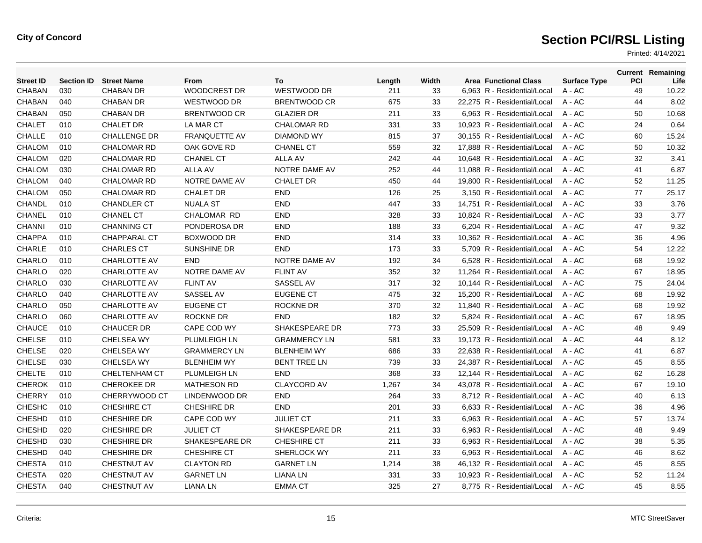| <b>CHABAN</b><br>030<br><b>CHABAN DR</b><br><b>WOODCREST DR</b><br>WESTWOOD DR<br>211<br>49<br>33<br>6,963 R - Residential/Local<br>A - AC<br><b>CHABAN</b><br>040<br><b>CHABAN DR</b><br>WESTWOOD DR<br>BRENTWOOD CR<br>675<br>A - AC<br>44<br>33<br>22,275 R - Residential/Local<br>050<br><b>CHABAN</b><br><b>CHABAN DR</b><br>BRENTWOOD CR<br><b>GLAZIER DR</b><br>211<br>33<br>6,963 R - Residential/Local<br>A - AC<br>50<br><b>CHALET</b><br>24<br>010<br><b>CHALET DR</b><br>LA MAR CT<br><b>CHALOMAR RD</b><br>331<br>33<br>10.923 R - Residential/Local<br>$A - AC$<br><b>CHALLE</b><br>010<br><b>CHALLENGE DR</b><br><b>FRANQUETTE AV</b><br>37<br>60<br><b>DIAMOND WY</b><br>815<br>30.155 R - Residential/Local<br>$A - AC$<br><b>CHALOM</b><br>010<br><b>CHALOMAR RD</b><br>OAK GOVE RD<br><b>CHANEL CT</b><br>32<br>$A - AC$<br>50<br>559<br>17,888 R - Residential/Local<br><b>CHALOM</b><br>020<br><b>CHALOMAR RD</b><br><b>CHANEL CT</b><br><b>ALLA AV</b><br>242<br>44<br>10,648 R - Residential/Local<br>$A - AC$<br>32<br><b>CHALOM</b><br><b>ALLA AV</b><br>030<br><b>CHALOMAR RD</b><br>NOTRE DAME AV<br>252<br>44<br>11.088 R - Residential/Local<br>$A - AC$<br>41<br>CHALOM<br>040<br>52<br><b>CHALOMAR RD</b><br>NOTRE DAME AV<br><b>CHALET DR</b><br>450<br>44<br>19.800 R - Residential/Local<br>$A - AC$<br>CHALOM<br>050<br><b>END</b><br>77<br><b>CHALOMAR RD</b><br><b>CHALET DR</b><br>126<br>25<br>3,150 R - Residential/Local<br>A - AC<br><b>CHANDL</b><br>010<br><b>END</b><br>33<br>14,751 R - Residential/Local<br>A - AC<br>33<br><b>CHANDLER CT</b><br><b>NUALA ST</b><br>447<br><b>CHANEL</b><br>010<br><b>CHANEL CT</b><br><b>CHALOMAR RD</b><br><b>END</b><br>33<br>10,824 R - Residential/Local<br>A - AC<br>33<br>328<br><b>CHANNI</b><br>PONDEROSA DR<br><b>END</b><br>010<br><b>CHANNING CT</b><br>33<br>6.204 R - Residential/Local<br>$A - AC$<br>47<br>188<br><b>CHAPPA</b><br><b>BOXWOOD DR</b><br><b>END</b><br>010<br><b>CHAPPARAL CT</b><br>314<br>33<br>10.362 R - Residential/Local<br>$A - AC$<br>36<br><b>CHARLE</b><br><b>SUNSHINE DR</b><br><b>END</b><br>33<br>5,709 R - Residential/Local<br>54<br>010<br><b>CHARLES CT</b><br>173<br>A - AC<br><b>CHARLO</b><br>010<br><b>CHARLOTTE AV</b><br><b>END</b><br>NOTRE DAME AV<br>34<br>6,528 R - Residential/Local<br>A - AC<br>68<br>192<br>CHARLO<br><b>FLINT AV</b><br>020<br><b>CHARLOTTE AV</b><br>NOTRE DAME AV<br>352<br>32<br>11,264 R - Residential/Local<br>A - AC<br>67<br>CHARLO<br>030<br><b>FLINT AV</b><br>SASSEL AV<br>32<br>10.144 R - Residential/Local<br>75<br><b>CHARLOTTE AV</b><br>317<br>$A - AC$<br><b>CHARLO</b><br>040<br><b>CHARLOTTE AV</b><br>SASSEL AV<br><b>EUGENE CT</b><br>32<br>15,200 R - Residential/Local<br>68<br>475<br>A - AC<br><b>CHARLO</b><br>050<br><b>CHARLOTTE AV</b><br><b>EUGENE CT</b><br>ROCKNE DR<br>370<br>32<br>11,840 R - Residential/Local<br>A - AC<br>68<br>CHARLO<br>060<br><b>CHARLOTTE AV</b><br><b>ROCKNE DR</b><br><b>END</b><br>182<br>32<br>5,824 R - Residential/Local<br>$A - AC$<br>67<br>CHAUCE<br>SHAKESPEARE DR<br>010<br><b>CHAUCER DR</b><br>CAPE COD WY<br>773<br>33<br>25.509 R - Residential/Local<br>$A - AC$<br>48<br><b>CHELSE</b><br><b>CHELSEA WY</b><br>33<br>010<br><b>PLUMLEIGH LN</b><br><b>GRAMMERCY LN</b><br>581<br>19.173 R - Residential/Local<br>$A - AC$<br>44<br><b>CHELSE</b><br>020<br><b>CHELSEA WY</b><br><b>GRAMMERCY LN</b><br><b>BLENHEIM WY</b><br>33<br>22,638 R - Residential/Local<br>41<br>686<br>A - AC<br><b>CHELSE</b><br>030<br><b>CHELSEA WY</b><br><b>BLENHEIM WY</b><br><b>BENT TREE LN</b><br>739<br>33<br>24,387 R - Residential/Local<br>A - AC<br>45<br><b>CHELTE</b><br><b>END</b><br>010<br><b>CHELTENHAM CT</b><br><b>PLUMLEIGH LN</b><br>368<br>33<br>12.144 R - Residential/Local<br>$A - AC$<br>62<br><b>CHEROK</b><br><b>CLAYCORD AV</b><br>34<br>010<br><b>CHEROKEE DR</b><br><b>MATHESON RD</b><br>1.267<br>43.078 R - Residential/Local<br>$A - AC$<br>67<br><b>CHERRY</b><br>010<br>CHERRYWOOD CT<br><b>END</b><br>LINDENWOOD DR<br>264<br>33<br>8,712 R - Residential/Local<br>A - AC<br>40<br><b>CHESHC</b><br>010<br><b>CHESHIRE CT</b><br><b>CHESHIRE DR</b><br><b>END</b><br>6,633 R - Residential/Local<br>201<br>33<br>A - AC<br>36<br><b>CHESHD</b><br>010<br><b>CHESHIRE DR</b><br>CAPE COD WY<br><b>JULIET CT</b><br>33<br>6,963 R - Residential/Local<br>57<br>211<br>A - AC<br><b>CHESHD</b><br>020<br><b>CHESHIRE DR</b><br><b>JULIET CT</b><br>SHAKESPEARE DR<br>211<br>33<br>6.963 R - Residential/Local<br>$A - AC$<br>48<br><b>CHESHD</b><br>030<br>SHAKESPEARE DR<br><b>CHESHIRE CT</b><br><b>CHESHIRE DR</b><br>211<br>33<br>6.963 R - Residential/Local<br>$A - AC$<br>38<br><b>CHESHD</b><br>040<br><b>CHESHIRE DR</b><br><b>CHESHIRE CT</b><br>SHERLOCK WY<br>33<br>6,963 R - Residential/Local<br>211<br>A - AC<br>46<br><b>CHESTA</b><br>010<br><b>CHESTNUT AV</b><br><b>CLAYTON RD</b><br><b>GARNET LN</b><br>38<br>46,132 R - Residential/Local<br>1,214<br>A - AC<br>45<br><b>CHESTA</b><br>020<br><b>CHESTNUT AV</b><br><b>GARNET LN</b><br><b>LIANA LN</b><br>331<br>33<br>10.923 R - Residential/Local<br>52<br>A - AC<br><b>CHESTA</b><br>040<br>CHESTNUT AV<br>325<br>45<br><b>LIANA LN</b><br><b>EMMA CT</b><br>27<br>8.775 R - Residential/Local<br>$A - AC$ | <b>Street ID</b> | <b>Section ID</b> | <b>Street Name</b> | From | To | Length | Width | <b>Area Functional Class</b> | <b>Surface Type</b> | <b>PCI</b> | <b>Current Remaining</b><br>Life |
|---------------------------------------------------------------------------------------------------------------------------------------------------------------------------------------------------------------------------------------------------------------------------------------------------------------------------------------------------------------------------------------------------------------------------------------------------------------------------------------------------------------------------------------------------------------------------------------------------------------------------------------------------------------------------------------------------------------------------------------------------------------------------------------------------------------------------------------------------------------------------------------------------------------------------------------------------------------------------------------------------------------------------------------------------------------------------------------------------------------------------------------------------------------------------------------------------------------------------------------------------------------------------------------------------------------------------------------------------------------------------------------------------------------------------------------------------------------------------------------------------------------------------------------------------------------------------------------------------------------------------------------------------------------------------------------------------------------------------------------------------------------------------------------------------------------------------------------------------------------------------------------------------------------------------------------------------------------------------------------------------------------------------------------------------------------------------------------------------------------------------------------------------------------------------------------------------------------------------------------------------------------------------------------------------------------------------------------------------------------------------------------------------------------------------------------------------------------------------------------------------------------------------------------------------------------------------------------------------------------------------------------------------------------------------------------------------------------------------------------------------------------------------------------------------------------------------------------------------------------------------------------------------------------------------------------------------------------------------------------------------------------------------------------------------------------------------------------------------------------------------------------------------------------------------------------------------------------------------------------------------------------------------------------------------------------------------------------------------------------------------------------------------------------------------------------------------------------------------------------------------------------------------------------------------------------------------------------------------------------------------------------------------------------------------------------------------------------------------------------------------------------------------------------------------------------------------------------------------------------------------------------------------------------------------------------------------------------------------------------------------------------------------------------------------------------------------------------------------------------------------------------------------------------------------------------------------------------------------------------------------------------------------------------------------------------------------------------------------------------------------------------------------------------------------------------------------------------------------------------------------------------------------------------------------------------------------------------------------------------------------------------------------------------------------------------------------------------------------------------------------------------------------------------------------------------------------------------------------------------------------------------------------------------------------------------------------------------------------------------------------------------------------------------------------------------------------------------------------------------------------------------------------------------------------------------------------------------------------------------------------------------------------------------------------------------------------------------------|------------------|-------------------|--------------------|------|----|--------|-------|------------------------------|---------------------|------------|----------------------------------|
|                                                                                                                                                                                                                                                                                                                                                                                                                                                                                                                                                                                                                                                                                                                                                                                                                                                                                                                                                                                                                                                                                                                                                                                                                                                                                                                                                                                                                                                                                                                                                                                                                                                                                                                                                                                                                                                                                                                                                                                                                                                                                                                                                                                                                                                                                                                                                                                                                                                                                                                                                                                                                                                                                                                                                                                                                                                                                                                                                                                                                                                                                                                                                                                                                                                                                                                                                                                                                                                                                                                                                                                                                                                                                                                                                                                                                                                                                                                                                                                                                                                                                                                                                                                                                                                                                                                                                                                                                                                                                                                                                                                                                                                                                                                                                                                                                                                                                                                                                                                                                                                                                                                                                                                                                                                                                                                                             |                  |                   |                    |      |    |        |       |                              |                     |            | 10.22                            |
|                                                                                                                                                                                                                                                                                                                                                                                                                                                                                                                                                                                                                                                                                                                                                                                                                                                                                                                                                                                                                                                                                                                                                                                                                                                                                                                                                                                                                                                                                                                                                                                                                                                                                                                                                                                                                                                                                                                                                                                                                                                                                                                                                                                                                                                                                                                                                                                                                                                                                                                                                                                                                                                                                                                                                                                                                                                                                                                                                                                                                                                                                                                                                                                                                                                                                                                                                                                                                                                                                                                                                                                                                                                                                                                                                                                                                                                                                                                                                                                                                                                                                                                                                                                                                                                                                                                                                                                                                                                                                                                                                                                                                                                                                                                                                                                                                                                                                                                                                                                                                                                                                                                                                                                                                                                                                                                                             |                  |                   |                    |      |    |        |       |                              |                     |            | 8.02                             |
|                                                                                                                                                                                                                                                                                                                                                                                                                                                                                                                                                                                                                                                                                                                                                                                                                                                                                                                                                                                                                                                                                                                                                                                                                                                                                                                                                                                                                                                                                                                                                                                                                                                                                                                                                                                                                                                                                                                                                                                                                                                                                                                                                                                                                                                                                                                                                                                                                                                                                                                                                                                                                                                                                                                                                                                                                                                                                                                                                                                                                                                                                                                                                                                                                                                                                                                                                                                                                                                                                                                                                                                                                                                                                                                                                                                                                                                                                                                                                                                                                                                                                                                                                                                                                                                                                                                                                                                                                                                                                                                                                                                                                                                                                                                                                                                                                                                                                                                                                                                                                                                                                                                                                                                                                                                                                                                                             |                  |                   |                    |      |    |        |       |                              |                     |            | 10.68                            |
|                                                                                                                                                                                                                                                                                                                                                                                                                                                                                                                                                                                                                                                                                                                                                                                                                                                                                                                                                                                                                                                                                                                                                                                                                                                                                                                                                                                                                                                                                                                                                                                                                                                                                                                                                                                                                                                                                                                                                                                                                                                                                                                                                                                                                                                                                                                                                                                                                                                                                                                                                                                                                                                                                                                                                                                                                                                                                                                                                                                                                                                                                                                                                                                                                                                                                                                                                                                                                                                                                                                                                                                                                                                                                                                                                                                                                                                                                                                                                                                                                                                                                                                                                                                                                                                                                                                                                                                                                                                                                                                                                                                                                                                                                                                                                                                                                                                                                                                                                                                                                                                                                                                                                                                                                                                                                                                                             |                  |                   |                    |      |    |        |       |                              |                     |            | 0.64                             |
|                                                                                                                                                                                                                                                                                                                                                                                                                                                                                                                                                                                                                                                                                                                                                                                                                                                                                                                                                                                                                                                                                                                                                                                                                                                                                                                                                                                                                                                                                                                                                                                                                                                                                                                                                                                                                                                                                                                                                                                                                                                                                                                                                                                                                                                                                                                                                                                                                                                                                                                                                                                                                                                                                                                                                                                                                                                                                                                                                                                                                                                                                                                                                                                                                                                                                                                                                                                                                                                                                                                                                                                                                                                                                                                                                                                                                                                                                                                                                                                                                                                                                                                                                                                                                                                                                                                                                                                                                                                                                                                                                                                                                                                                                                                                                                                                                                                                                                                                                                                                                                                                                                                                                                                                                                                                                                                                             |                  |                   |                    |      |    |        |       |                              |                     |            | 15.24                            |
|                                                                                                                                                                                                                                                                                                                                                                                                                                                                                                                                                                                                                                                                                                                                                                                                                                                                                                                                                                                                                                                                                                                                                                                                                                                                                                                                                                                                                                                                                                                                                                                                                                                                                                                                                                                                                                                                                                                                                                                                                                                                                                                                                                                                                                                                                                                                                                                                                                                                                                                                                                                                                                                                                                                                                                                                                                                                                                                                                                                                                                                                                                                                                                                                                                                                                                                                                                                                                                                                                                                                                                                                                                                                                                                                                                                                                                                                                                                                                                                                                                                                                                                                                                                                                                                                                                                                                                                                                                                                                                                                                                                                                                                                                                                                                                                                                                                                                                                                                                                                                                                                                                                                                                                                                                                                                                                                             |                  |                   |                    |      |    |        |       |                              |                     |            | 10.32                            |
|                                                                                                                                                                                                                                                                                                                                                                                                                                                                                                                                                                                                                                                                                                                                                                                                                                                                                                                                                                                                                                                                                                                                                                                                                                                                                                                                                                                                                                                                                                                                                                                                                                                                                                                                                                                                                                                                                                                                                                                                                                                                                                                                                                                                                                                                                                                                                                                                                                                                                                                                                                                                                                                                                                                                                                                                                                                                                                                                                                                                                                                                                                                                                                                                                                                                                                                                                                                                                                                                                                                                                                                                                                                                                                                                                                                                                                                                                                                                                                                                                                                                                                                                                                                                                                                                                                                                                                                                                                                                                                                                                                                                                                                                                                                                                                                                                                                                                                                                                                                                                                                                                                                                                                                                                                                                                                                                             |                  |                   |                    |      |    |        |       |                              |                     |            | 3.41                             |
|                                                                                                                                                                                                                                                                                                                                                                                                                                                                                                                                                                                                                                                                                                                                                                                                                                                                                                                                                                                                                                                                                                                                                                                                                                                                                                                                                                                                                                                                                                                                                                                                                                                                                                                                                                                                                                                                                                                                                                                                                                                                                                                                                                                                                                                                                                                                                                                                                                                                                                                                                                                                                                                                                                                                                                                                                                                                                                                                                                                                                                                                                                                                                                                                                                                                                                                                                                                                                                                                                                                                                                                                                                                                                                                                                                                                                                                                                                                                                                                                                                                                                                                                                                                                                                                                                                                                                                                                                                                                                                                                                                                                                                                                                                                                                                                                                                                                                                                                                                                                                                                                                                                                                                                                                                                                                                                                             |                  |                   |                    |      |    |        |       |                              |                     |            | 6.87                             |
|                                                                                                                                                                                                                                                                                                                                                                                                                                                                                                                                                                                                                                                                                                                                                                                                                                                                                                                                                                                                                                                                                                                                                                                                                                                                                                                                                                                                                                                                                                                                                                                                                                                                                                                                                                                                                                                                                                                                                                                                                                                                                                                                                                                                                                                                                                                                                                                                                                                                                                                                                                                                                                                                                                                                                                                                                                                                                                                                                                                                                                                                                                                                                                                                                                                                                                                                                                                                                                                                                                                                                                                                                                                                                                                                                                                                                                                                                                                                                                                                                                                                                                                                                                                                                                                                                                                                                                                                                                                                                                                                                                                                                                                                                                                                                                                                                                                                                                                                                                                                                                                                                                                                                                                                                                                                                                                                             |                  |                   |                    |      |    |        |       |                              |                     |            | 11.25                            |
|                                                                                                                                                                                                                                                                                                                                                                                                                                                                                                                                                                                                                                                                                                                                                                                                                                                                                                                                                                                                                                                                                                                                                                                                                                                                                                                                                                                                                                                                                                                                                                                                                                                                                                                                                                                                                                                                                                                                                                                                                                                                                                                                                                                                                                                                                                                                                                                                                                                                                                                                                                                                                                                                                                                                                                                                                                                                                                                                                                                                                                                                                                                                                                                                                                                                                                                                                                                                                                                                                                                                                                                                                                                                                                                                                                                                                                                                                                                                                                                                                                                                                                                                                                                                                                                                                                                                                                                                                                                                                                                                                                                                                                                                                                                                                                                                                                                                                                                                                                                                                                                                                                                                                                                                                                                                                                                                             |                  |                   |                    |      |    |        |       |                              |                     |            | 25.17                            |
|                                                                                                                                                                                                                                                                                                                                                                                                                                                                                                                                                                                                                                                                                                                                                                                                                                                                                                                                                                                                                                                                                                                                                                                                                                                                                                                                                                                                                                                                                                                                                                                                                                                                                                                                                                                                                                                                                                                                                                                                                                                                                                                                                                                                                                                                                                                                                                                                                                                                                                                                                                                                                                                                                                                                                                                                                                                                                                                                                                                                                                                                                                                                                                                                                                                                                                                                                                                                                                                                                                                                                                                                                                                                                                                                                                                                                                                                                                                                                                                                                                                                                                                                                                                                                                                                                                                                                                                                                                                                                                                                                                                                                                                                                                                                                                                                                                                                                                                                                                                                                                                                                                                                                                                                                                                                                                                                             |                  |                   |                    |      |    |        |       |                              |                     |            | 3.76                             |
|                                                                                                                                                                                                                                                                                                                                                                                                                                                                                                                                                                                                                                                                                                                                                                                                                                                                                                                                                                                                                                                                                                                                                                                                                                                                                                                                                                                                                                                                                                                                                                                                                                                                                                                                                                                                                                                                                                                                                                                                                                                                                                                                                                                                                                                                                                                                                                                                                                                                                                                                                                                                                                                                                                                                                                                                                                                                                                                                                                                                                                                                                                                                                                                                                                                                                                                                                                                                                                                                                                                                                                                                                                                                                                                                                                                                                                                                                                                                                                                                                                                                                                                                                                                                                                                                                                                                                                                                                                                                                                                                                                                                                                                                                                                                                                                                                                                                                                                                                                                                                                                                                                                                                                                                                                                                                                                                             |                  |                   |                    |      |    |        |       |                              |                     |            | 3.77                             |
|                                                                                                                                                                                                                                                                                                                                                                                                                                                                                                                                                                                                                                                                                                                                                                                                                                                                                                                                                                                                                                                                                                                                                                                                                                                                                                                                                                                                                                                                                                                                                                                                                                                                                                                                                                                                                                                                                                                                                                                                                                                                                                                                                                                                                                                                                                                                                                                                                                                                                                                                                                                                                                                                                                                                                                                                                                                                                                                                                                                                                                                                                                                                                                                                                                                                                                                                                                                                                                                                                                                                                                                                                                                                                                                                                                                                                                                                                                                                                                                                                                                                                                                                                                                                                                                                                                                                                                                                                                                                                                                                                                                                                                                                                                                                                                                                                                                                                                                                                                                                                                                                                                                                                                                                                                                                                                                                             |                  |                   |                    |      |    |        |       |                              |                     |            | 9.32                             |
|                                                                                                                                                                                                                                                                                                                                                                                                                                                                                                                                                                                                                                                                                                                                                                                                                                                                                                                                                                                                                                                                                                                                                                                                                                                                                                                                                                                                                                                                                                                                                                                                                                                                                                                                                                                                                                                                                                                                                                                                                                                                                                                                                                                                                                                                                                                                                                                                                                                                                                                                                                                                                                                                                                                                                                                                                                                                                                                                                                                                                                                                                                                                                                                                                                                                                                                                                                                                                                                                                                                                                                                                                                                                                                                                                                                                                                                                                                                                                                                                                                                                                                                                                                                                                                                                                                                                                                                                                                                                                                                                                                                                                                                                                                                                                                                                                                                                                                                                                                                                                                                                                                                                                                                                                                                                                                                                             |                  |                   |                    |      |    |        |       |                              |                     |            | 4.96                             |
|                                                                                                                                                                                                                                                                                                                                                                                                                                                                                                                                                                                                                                                                                                                                                                                                                                                                                                                                                                                                                                                                                                                                                                                                                                                                                                                                                                                                                                                                                                                                                                                                                                                                                                                                                                                                                                                                                                                                                                                                                                                                                                                                                                                                                                                                                                                                                                                                                                                                                                                                                                                                                                                                                                                                                                                                                                                                                                                                                                                                                                                                                                                                                                                                                                                                                                                                                                                                                                                                                                                                                                                                                                                                                                                                                                                                                                                                                                                                                                                                                                                                                                                                                                                                                                                                                                                                                                                                                                                                                                                                                                                                                                                                                                                                                                                                                                                                                                                                                                                                                                                                                                                                                                                                                                                                                                                                             |                  |                   |                    |      |    |        |       |                              |                     |            | 12.22                            |
|                                                                                                                                                                                                                                                                                                                                                                                                                                                                                                                                                                                                                                                                                                                                                                                                                                                                                                                                                                                                                                                                                                                                                                                                                                                                                                                                                                                                                                                                                                                                                                                                                                                                                                                                                                                                                                                                                                                                                                                                                                                                                                                                                                                                                                                                                                                                                                                                                                                                                                                                                                                                                                                                                                                                                                                                                                                                                                                                                                                                                                                                                                                                                                                                                                                                                                                                                                                                                                                                                                                                                                                                                                                                                                                                                                                                                                                                                                                                                                                                                                                                                                                                                                                                                                                                                                                                                                                                                                                                                                                                                                                                                                                                                                                                                                                                                                                                                                                                                                                                                                                                                                                                                                                                                                                                                                                                             |                  |                   |                    |      |    |        |       |                              |                     |            | 19.92                            |
|                                                                                                                                                                                                                                                                                                                                                                                                                                                                                                                                                                                                                                                                                                                                                                                                                                                                                                                                                                                                                                                                                                                                                                                                                                                                                                                                                                                                                                                                                                                                                                                                                                                                                                                                                                                                                                                                                                                                                                                                                                                                                                                                                                                                                                                                                                                                                                                                                                                                                                                                                                                                                                                                                                                                                                                                                                                                                                                                                                                                                                                                                                                                                                                                                                                                                                                                                                                                                                                                                                                                                                                                                                                                                                                                                                                                                                                                                                                                                                                                                                                                                                                                                                                                                                                                                                                                                                                                                                                                                                                                                                                                                                                                                                                                                                                                                                                                                                                                                                                                                                                                                                                                                                                                                                                                                                                                             |                  |                   |                    |      |    |        |       |                              |                     |            | 18.95                            |
|                                                                                                                                                                                                                                                                                                                                                                                                                                                                                                                                                                                                                                                                                                                                                                                                                                                                                                                                                                                                                                                                                                                                                                                                                                                                                                                                                                                                                                                                                                                                                                                                                                                                                                                                                                                                                                                                                                                                                                                                                                                                                                                                                                                                                                                                                                                                                                                                                                                                                                                                                                                                                                                                                                                                                                                                                                                                                                                                                                                                                                                                                                                                                                                                                                                                                                                                                                                                                                                                                                                                                                                                                                                                                                                                                                                                                                                                                                                                                                                                                                                                                                                                                                                                                                                                                                                                                                                                                                                                                                                                                                                                                                                                                                                                                                                                                                                                                                                                                                                                                                                                                                                                                                                                                                                                                                                                             |                  |                   |                    |      |    |        |       |                              |                     |            | 24.04                            |
|                                                                                                                                                                                                                                                                                                                                                                                                                                                                                                                                                                                                                                                                                                                                                                                                                                                                                                                                                                                                                                                                                                                                                                                                                                                                                                                                                                                                                                                                                                                                                                                                                                                                                                                                                                                                                                                                                                                                                                                                                                                                                                                                                                                                                                                                                                                                                                                                                                                                                                                                                                                                                                                                                                                                                                                                                                                                                                                                                                                                                                                                                                                                                                                                                                                                                                                                                                                                                                                                                                                                                                                                                                                                                                                                                                                                                                                                                                                                                                                                                                                                                                                                                                                                                                                                                                                                                                                                                                                                                                                                                                                                                                                                                                                                                                                                                                                                                                                                                                                                                                                                                                                                                                                                                                                                                                                                             |                  |                   |                    |      |    |        |       |                              |                     |            | 19.92                            |
|                                                                                                                                                                                                                                                                                                                                                                                                                                                                                                                                                                                                                                                                                                                                                                                                                                                                                                                                                                                                                                                                                                                                                                                                                                                                                                                                                                                                                                                                                                                                                                                                                                                                                                                                                                                                                                                                                                                                                                                                                                                                                                                                                                                                                                                                                                                                                                                                                                                                                                                                                                                                                                                                                                                                                                                                                                                                                                                                                                                                                                                                                                                                                                                                                                                                                                                                                                                                                                                                                                                                                                                                                                                                                                                                                                                                                                                                                                                                                                                                                                                                                                                                                                                                                                                                                                                                                                                                                                                                                                                                                                                                                                                                                                                                                                                                                                                                                                                                                                                                                                                                                                                                                                                                                                                                                                                                             |                  |                   |                    |      |    |        |       |                              |                     |            | 19.92                            |
|                                                                                                                                                                                                                                                                                                                                                                                                                                                                                                                                                                                                                                                                                                                                                                                                                                                                                                                                                                                                                                                                                                                                                                                                                                                                                                                                                                                                                                                                                                                                                                                                                                                                                                                                                                                                                                                                                                                                                                                                                                                                                                                                                                                                                                                                                                                                                                                                                                                                                                                                                                                                                                                                                                                                                                                                                                                                                                                                                                                                                                                                                                                                                                                                                                                                                                                                                                                                                                                                                                                                                                                                                                                                                                                                                                                                                                                                                                                                                                                                                                                                                                                                                                                                                                                                                                                                                                                                                                                                                                                                                                                                                                                                                                                                                                                                                                                                                                                                                                                                                                                                                                                                                                                                                                                                                                                                             |                  |                   |                    |      |    |        |       |                              |                     |            | 18.95                            |
|                                                                                                                                                                                                                                                                                                                                                                                                                                                                                                                                                                                                                                                                                                                                                                                                                                                                                                                                                                                                                                                                                                                                                                                                                                                                                                                                                                                                                                                                                                                                                                                                                                                                                                                                                                                                                                                                                                                                                                                                                                                                                                                                                                                                                                                                                                                                                                                                                                                                                                                                                                                                                                                                                                                                                                                                                                                                                                                                                                                                                                                                                                                                                                                                                                                                                                                                                                                                                                                                                                                                                                                                                                                                                                                                                                                                                                                                                                                                                                                                                                                                                                                                                                                                                                                                                                                                                                                                                                                                                                                                                                                                                                                                                                                                                                                                                                                                                                                                                                                                                                                                                                                                                                                                                                                                                                                                             |                  |                   |                    |      |    |        |       |                              |                     |            | 9.49                             |
|                                                                                                                                                                                                                                                                                                                                                                                                                                                                                                                                                                                                                                                                                                                                                                                                                                                                                                                                                                                                                                                                                                                                                                                                                                                                                                                                                                                                                                                                                                                                                                                                                                                                                                                                                                                                                                                                                                                                                                                                                                                                                                                                                                                                                                                                                                                                                                                                                                                                                                                                                                                                                                                                                                                                                                                                                                                                                                                                                                                                                                                                                                                                                                                                                                                                                                                                                                                                                                                                                                                                                                                                                                                                                                                                                                                                                                                                                                                                                                                                                                                                                                                                                                                                                                                                                                                                                                                                                                                                                                                                                                                                                                                                                                                                                                                                                                                                                                                                                                                                                                                                                                                                                                                                                                                                                                                                             |                  |                   |                    |      |    |        |       |                              |                     |            | 8.12                             |
|                                                                                                                                                                                                                                                                                                                                                                                                                                                                                                                                                                                                                                                                                                                                                                                                                                                                                                                                                                                                                                                                                                                                                                                                                                                                                                                                                                                                                                                                                                                                                                                                                                                                                                                                                                                                                                                                                                                                                                                                                                                                                                                                                                                                                                                                                                                                                                                                                                                                                                                                                                                                                                                                                                                                                                                                                                                                                                                                                                                                                                                                                                                                                                                                                                                                                                                                                                                                                                                                                                                                                                                                                                                                                                                                                                                                                                                                                                                                                                                                                                                                                                                                                                                                                                                                                                                                                                                                                                                                                                                                                                                                                                                                                                                                                                                                                                                                                                                                                                                                                                                                                                                                                                                                                                                                                                                                             |                  |                   |                    |      |    |        |       |                              |                     |            | 6.87                             |
|                                                                                                                                                                                                                                                                                                                                                                                                                                                                                                                                                                                                                                                                                                                                                                                                                                                                                                                                                                                                                                                                                                                                                                                                                                                                                                                                                                                                                                                                                                                                                                                                                                                                                                                                                                                                                                                                                                                                                                                                                                                                                                                                                                                                                                                                                                                                                                                                                                                                                                                                                                                                                                                                                                                                                                                                                                                                                                                                                                                                                                                                                                                                                                                                                                                                                                                                                                                                                                                                                                                                                                                                                                                                                                                                                                                                                                                                                                                                                                                                                                                                                                                                                                                                                                                                                                                                                                                                                                                                                                                                                                                                                                                                                                                                                                                                                                                                                                                                                                                                                                                                                                                                                                                                                                                                                                                                             |                  |                   |                    |      |    |        |       |                              |                     |            | 8.55                             |
|                                                                                                                                                                                                                                                                                                                                                                                                                                                                                                                                                                                                                                                                                                                                                                                                                                                                                                                                                                                                                                                                                                                                                                                                                                                                                                                                                                                                                                                                                                                                                                                                                                                                                                                                                                                                                                                                                                                                                                                                                                                                                                                                                                                                                                                                                                                                                                                                                                                                                                                                                                                                                                                                                                                                                                                                                                                                                                                                                                                                                                                                                                                                                                                                                                                                                                                                                                                                                                                                                                                                                                                                                                                                                                                                                                                                                                                                                                                                                                                                                                                                                                                                                                                                                                                                                                                                                                                                                                                                                                                                                                                                                                                                                                                                                                                                                                                                                                                                                                                                                                                                                                                                                                                                                                                                                                                                             |                  |                   |                    |      |    |        |       |                              |                     |            | 16.28                            |
|                                                                                                                                                                                                                                                                                                                                                                                                                                                                                                                                                                                                                                                                                                                                                                                                                                                                                                                                                                                                                                                                                                                                                                                                                                                                                                                                                                                                                                                                                                                                                                                                                                                                                                                                                                                                                                                                                                                                                                                                                                                                                                                                                                                                                                                                                                                                                                                                                                                                                                                                                                                                                                                                                                                                                                                                                                                                                                                                                                                                                                                                                                                                                                                                                                                                                                                                                                                                                                                                                                                                                                                                                                                                                                                                                                                                                                                                                                                                                                                                                                                                                                                                                                                                                                                                                                                                                                                                                                                                                                                                                                                                                                                                                                                                                                                                                                                                                                                                                                                                                                                                                                                                                                                                                                                                                                                                             |                  |                   |                    |      |    |        |       |                              |                     |            | 19.10                            |
|                                                                                                                                                                                                                                                                                                                                                                                                                                                                                                                                                                                                                                                                                                                                                                                                                                                                                                                                                                                                                                                                                                                                                                                                                                                                                                                                                                                                                                                                                                                                                                                                                                                                                                                                                                                                                                                                                                                                                                                                                                                                                                                                                                                                                                                                                                                                                                                                                                                                                                                                                                                                                                                                                                                                                                                                                                                                                                                                                                                                                                                                                                                                                                                                                                                                                                                                                                                                                                                                                                                                                                                                                                                                                                                                                                                                                                                                                                                                                                                                                                                                                                                                                                                                                                                                                                                                                                                                                                                                                                                                                                                                                                                                                                                                                                                                                                                                                                                                                                                                                                                                                                                                                                                                                                                                                                                                             |                  |                   |                    |      |    |        |       |                              |                     |            | 6.13                             |
|                                                                                                                                                                                                                                                                                                                                                                                                                                                                                                                                                                                                                                                                                                                                                                                                                                                                                                                                                                                                                                                                                                                                                                                                                                                                                                                                                                                                                                                                                                                                                                                                                                                                                                                                                                                                                                                                                                                                                                                                                                                                                                                                                                                                                                                                                                                                                                                                                                                                                                                                                                                                                                                                                                                                                                                                                                                                                                                                                                                                                                                                                                                                                                                                                                                                                                                                                                                                                                                                                                                                                                                                                                                                                                                                                                                                                                                                                                                                                                                                                                                                                                                                                                                                                                                                                                                                                                                                                                                                                                                                                                                                                                                                                                                                                                                                                                                                                                                                                                                                                                                                                                                                                                                                                                                                                                                                             |                  |                   |                    |      |    |        |       |                              |                     |            | 4.96                             |
|                                                                                                                                                                                                                                                                                                                                                                                                                                                                                                                                                                                                                                                                                                                                                                                                                                                                                                                                                                                                                                                                                                                                                                                                                                                                                                                                                                                                                                                                                                                                                                                                                                                                                                                                                                                                                                                                                                                                                                                                                                                                                                                                                                                                                                                                                                                                                                                                                                                                                                                                                                                                                                                                                                                                                                                                                                                                                                                                                                                                                                                                                                                                                                                                                                                                                                                                                                                                                                                                                                                                                                                                                                                                                                                                                                                                                                                                                                                                                                                                                                                                                                                                                                                                                                                                                                                                                                                                                                                                                                                                                                                                                                                                                                                                                                                                                                                                                                                                                                                                                                                                                                                                                                                                                                                                                                                                             |                  |                   |                    |      |    |        |       |                              |                     |            | 13.74                            |
|                                                                                                                                                                                                                                                                                                                                                                                                                                                                                                                                                                                                                                                                                                                                                                                                                                                                                                                                                                                                                                                                                                                                                                                                                                                                                                                                                                                                                                                                                                                                                                                                                                                                                                                                                                                                                                                                                                                                                                                                                                                                                                                                                                                                                                                                                                                                                                                                                                                                                                                                                                                                                                                                                                                                                                                                                                                                                                                                                                                                                                                                                                                                                                                                                                                                                                                                                                                                                                                                                                                                                                                                                                                                                                                                                                                                                                                                                                                                                                                                                                                                                                                                                                                                                                                                                                                                                                                                                                                                                                                                                                                                                                                                                                                                                                                                                                                                                                                                                                                                                                                                                                                                                                                                                                                                                                                                             |                  |                   |                    |      |    |        |       |                              |                     |            | 9.49                             |
|                                                                                                                                                                                                                                                                                                                                                                                                                                                                                                                                                                                                                                                                                                                                                                                                                                                                                                                                                                                                                                                                                                                                                                                                                                                                                                                                                                                                                                                                                                                                                                                                                                                                                                                                                                                                                                                                                                                                                                                                                                                                                                                                                                                                                                                                                                                                                                                                                                                                                                                                                                                                                                                                                                                                                                                                                                                                                                                                                                                                                                                                                                                                                                                                                                                                                                                                                                                                                                                                                                                                                                                                                                                                                                                                                                                                                                                                                                                                                                                                                                                                                                                                                                                                                                                                                                                                                                                                                                                                                                                                                                                                                                                                                                                                                                                                                                                                                                                                                                                                                                                                                                                                                                                                                                                                                                                                             |                  |                   |                    |      |    |        |       |                              |                     |            | 5.35                             |
|                                                                                                                                                                                                                                                                                                                                                                                                                                                                                                                                                                                                                                                                                                                                                                                                                                                                                                                                                                                                                                                                                                                                                                                                                                                                                                                                                                                                                                                                                                                                                                                                                                                                                                                                                                                                                                                                                                                                                                                                                                                                                                                                                                                                                                                                                                                                                                                                                                                                                                                                                                                                                                                                                                                                                                                                                                                                                                                                                                                                                                                                                                                                                                                                                                                                                                                                                                                                                                                                                                                                                                                                                                                                                                                                                                                                                                                                                                                                                                                                                                                                                                                                                                                                                                                                                                                                                                                                                                                                                                                                                                                                                                                                                                                                                                                                                                                                                                                                                                                                                                                                                                                                                                                                                                                                                                                                             |                  |                   |                    |      |    |        |       |                              |                     |            | 8.62                             |
|                                                                                                                                                                                                                                                                                                                                                                                                                                                                                                                                                                                                                                                                                                                                                                                                                                                                                                                                                                                                                                                                                                                                                                                                                                                                                                                                                                                                                                                                                                                                                                                                                                                                                                                                                                                                                                                                                                                                                                                                                                                                                                                                                                                                                                                                                                                                                                                                                                                                                                                                                                                                                                                                                                                                                                                                                                                                                                                                                                                                                                                                                                                                                                                                                                                                                                                                                                                                                                                                                                                                                                                                                                                                                                                                                                                                                                                                                                                                                                                                                                                                                                                                                                                                                                                                                                                                                                                                                                                                                                                                                                                                                                                                                                                                                                                                                                                                                                                                                                                                                                                                                                                                                                                                                                                                                                                                             |                  |                   |                    |      |    |        |       |                              |                     |            | 8.55                             |
|                                                                                                                                                                                                                                                                                                                                                                                                                                                                                                                                                                                                                                                                                                                                                                                                                                                                                                                                                                                                                                                                                                                                                                                                                                                                                                                                                                                                                                                                                                                                                                                                                                                                                                                                                                                                                                                                                                                                                                                                                                                                                                                                                                                                                                                                                                                                                                                                                                                                                                                                                                                                                                                                                                                                                                                                                                                                                                                                                                                                                                                                                                                                                                                                                                                                                                                                                                                                                                                                                                                                                                                                                                                                                                                                                                                                                                                                                                                                                                                                                                                                                                                                                                                                                                                                                                                                                                                                                                                                                                                                                                                                                                                                                                                                                                                                                                                                                                                                                                                                                                                                                                                                                                                                                                                                                                                                             |                  |                   |                    |      |    |        |       |                              |                     |            | 11.24                            |
|                                                                                                                                                                                                                                                                                                                                                                                                                                                                                                                                                                                                                                                                                                                                                                                                                                                                                                                                                                                                                                                                                                                                                                                                                                                                                                                                                                                                                                                                                                                                                                                                                                                                                                                                                                                                                                                                                                                                                                                                                                                                                                                                                                                                                                                                                                                                                                                                                                                                                                                                                                                                                                                                                                                                                                                                                                                                                                                                                                                                                                                                                                                                                                                                                                                                                                                                                                                                                                                                                                                                                                                                                                                                                                                                                                                                                                                                                                                                                                                                                                                                                                                                                                                                                                                                                                                                                                                                                                                                                                                                                                                                                                                                                                                                                                                                                                                                                                                                                                                                                                                                                                                                                                                                                                                                                                                                             |                  |                   |                    |      |    |        |       |                              |                     |            | 8.55                             |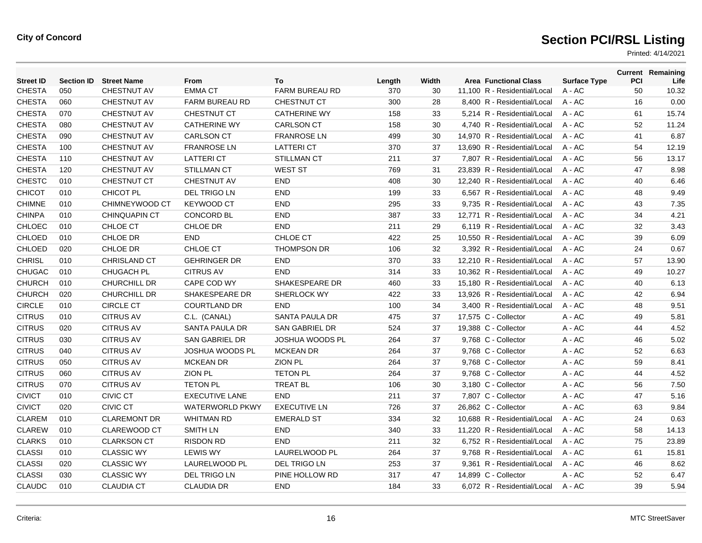| <b>Street ID</b> | <b>Section ID</b> | <b>Street Name</b>   | From                   | To                     | Length | Width | <b>Area Functional Class</b> | <b>Surface Type</b> | <b>PCI</b> | <b>Current Remaining</b><br>Life |
|------------------|-------------------|----------------------|------------------------|------------------------|--------|-------|------------------------------|---------------------|------------|----------------------------------|
| <b>CHESTA</b>    | 050               | <b>CHESTNUT AV</b>   | <b>EMMA CT</b>         | FARM BUREAU RD         | 370    | 30    | 11,100 R - Residential/Local | A - AC              | 50         | 10.32                            |
| <b>CHESTA</b>    | 060               | <b>CHESTNUT AV</b>   | <b>FARM BUREAU RD</b>  | <b>CHESTNUT CT</b>     | 300    | 28    | 8,400 R - Residential/Local  | A - AC              | 16         | 0.00                             |
| <b>CHESTA</b>    | 070               | <b>CHESTNUT AV</b>   | <b>CHESTNUT CT</b>     | <b>CATHERINE WY</b>    | 158    | 33    | 5.214 R - Residential/Local  | $A - AC$            | 61         | 15.74                            |
| <b>CHESTA</b>    | 080               | <b>CHESTNUT AV</b>   | <b>CATHERINE WY</b>    | <b>CARLSON CT</b>      | 158    | 30    | 4.740 R - Residential/Local  | $A - AC$            | 52         | 11.24                            |
| <b>CHESTA</b>    | 090               | <b>CHESTNUT AV</b>   | <b>CARLSON CT</b>      | <b>FRANROSE LN</b>     | 499    | 30    | 14,970 R - Residential/Local | $A - AC$            | 41         | 6.87                             |
| <b>CHESTA</b>    | 100               | <b>CHESTNUT AV</b>   | <b>FRANROSE LN</b>     | <b>LATTERI CT</b>      | 370    | 37    | 13,690 R - Residential/Local | A - AC              | 54         | 12.19                            |
| <b>CHESTA</b>    | 110               | <b>CHESTNUT AV</b>   | <b>LATTERI CT</b>      | <b>STILLMAN CT</b>     | 211    | 37    | 7,807 R - Residential/Local  | $A - AC$            | 56         | 13.17                            |
| <b>CHESTA</b>    | 120               | <b>CHESTNUT AV</b>   | STILLMAN CT            | <b>WEST ST</b>         | 769    | 31    | 23.839 R - Residential/Local | $A - AC$            | 47         | 8.98                             |
| <b>CHESTC</b>    | 010               | <b>CHESTNUT CT</b>   | <b>CHESTNUT AV</b>     | <b>END</b>             | 408    | 30    | 12,240 R - Residential/Local | A - AC              | 40         | 6.46                             |
| <b>CHICOT</b>    | 010               | CHICOT PL            | <b>DEL TRIGO LN</b>    | <b>END</b>             | 199    | 33    | 6,567 R - Residential/Local  | A - AC              | 48         | 9.49                             |
| <b>CHIMNE</b>    | 010               | CHIMNEYWOOD CT       | <b>KEYWOOD CT</b>      | <b>END</b>             | 295    | 33    | 9,735 R - Residential/Local  | $A - AC$            | 43         | 7.35                             |
| <b>CHINPA</b>    | 010               | <b>CHINQUAPIN CT</b> | <b>CONCORD BL</b>      | <b>END</b>             | 387    | 33    | 12,771 R - Residential/Local | A - AC              | 34         | 4.21                             |
| CHLOEC           | 010               | CHLOE CT             | CHLOE DR               | <b>END</b>             | 211    | 29    | 6,119 R - Residential/Local  | A - AC              | 32         | 3.43                             |
| CHLOED           | 010               | CHLOE DR             | <b>END</b>             | CHLOE CT               | 422    | 25    | 10,550 R - Residential/Local | $A - AC$            | 39         | 6.09                             |
| CHLOED           | 020               | CHLOE DR             | CHLOE CT               | <b>THOMPSON DR</b>     | 106    | 32    | 3.392 R - Residential/Local  | $A - AC$            | 24         | 0.67                             |
| <b>CHRISL</b>    | 010               | <b>CHRISLAND CT</b>  | <b>GEHRINGER DR</b>    | <b>END</b>             | 370    | 33    | 12,210 R - Residential/Local | A - AC              | 57         | 13.90                            |
| <b>CHUGAC</b>    | 010               | <b>CHUGACH PL</b>    | <b>CITRUS AV</b>       | <b>END</b>             | 314    | 33    | 10,362 R - Residential/Local | $A - AC$            | 49         | 10.27                            |
| <b>CHURCH</b>    | 010               | <b>CHURCHILL DR</b>  | CAPE COD WY            | SHAKESPEARE DR         | 460    | 33    | 15.180 R - Residential/Local | $A - AC$            | 40         | 6.13                             |
| <b>CHURCH</b>    | 020               | <b>CHURCHILL DR</b>  | SHAKESPEARE DR         | SHERLOCK WY            | 422    | 33    | 13,926 R - Residential/Local | $A - AC$            | 42         | 6.94                             |
| <b>CIRCLE</b>    | 010               | <b>CIRCLE CT</b>     | <b>COURTLAND DR</b>    | <b>END</b>             | 100    | 34    | 3,400 R - Residential/Local  | $A - AC$            | 48         | 9.51                             |
| <b>CITRUS</b>    | 010               | <b>CITRUS AV</b>     | C.L. (CANAL)           | SANTA PAULA DR         | 475    | 37    | 17,575 C - Collector         | A - AC              | 49         | 5.81                             |
| <b>CITRUS</b>    | 020               | <b>CITRUS AV</b>     | SANTA PAULA DR         | <b>SAN GABRIEL DR</b>  | 524    | 37    | 19,388 C - Collector         | A - AC              | 44         | 4.52                             |
| <b>CITRUS</b>    | 030               | <b>CITRUS AV</b>     | <b>SAN GABRIEL DR</b>  | <b>JOSHUA WOODS PL</b> | 264    | 37    | 9,768 C - Collector          | A - AC              | 46         | 5.02                             |
| <b>CITRUS</b>    | 040               | <b>CITRUS AV</b>     | <b>JOSHUA WOODS PL</b> | <b>MCKEAN DR</b>       | 264    | 37    | 9,768 C - Collector          | A - AC              | 52         | 6.63                             |
| <b>CITRUS</b>    | 050               | <b>CITRUS AV</b>     | <b>MCKEAN DR</b>       | <b>ZION PL</b>         | 264    | 37    | 9,768 C - Collector          | A - AC              | 59         | 8.41                             |
| <b>CITRUS</b>    | 060               | <b>CITRUS AV</b>     | <b>ZION PL</b>         | <b>TETON PL</b>        | 264    | 37    | 9,768 C - Collector          | A - AC              | 44         | 4.52                             |
| <b>CITRUS</b>    | 070               | <b>CITRUS AV</b>     | <b>TETON PL</b>        | <b>TREAT BL</b>        | 106    | 30    | 3,180 C - Collector          | A - AC              | 56         | 7.50                             |
| <b>CIVICT</b>    | 010               | <b>CIVIC CT</b>      | <b>EXECUTIVE LANE</b>  | <b>END</b>             | 211    | 37    | 7,807 C - Collector          | A - AC              | 47         | 5.16                             |
| <b>CIVICT</b>    | 020               | CIVIC CT             | <b>WATERWORLD PKWY</b> | <b>EXECUTIVE LN</b>    | 726    | 37    | 26,862 C - Collector         | A - AC              | 63         | 9.84                             |
| <b>CLAREM</b>    | 010               | <b>CLAREMONT DR</b>  | <b>WHITMAN RD</b>      | <b>EMERALD ST</b>      | 334    | 32    | 10,688 R - Residential/Local | $A - AC$            | 24         | 0.63                             |
| <b>CLAREW</b>    | 010               | <b>CLAREWOOD CT</b>  | <b>SMITH LN</b>        | <b>END</b>             | 340    | 33    | 11,220 R - Residential/Local | $A - AC$            | 58         | 14.13                            |
| <b>CLARKS</b>    | 010               | <b>CLARKSON CT</b>   | <b>RISDON RD</b>       | <b>END</b>             | 211    | 32    | 6,752 R - Residential/Local  | $A - AC$            | 75         | 23.89                            |
| <b>CLASSI</b>    | 010               | <b>CLASSIC WY</b>    | <b>LEWIS WY</b>        | <b>LAURELWOOD PL</b>   | 264    | 37    | 9.768 R - Residential/Local  | $A - AC$            | 61         | 15.81                            |
| <b>CLASSI</b>    | 020               | <b>CLASSIC WY</b>    | LAURELWOOD PL          | <b>DEL TRIGO LN</b>    | 253    | 37    | 9,361 R - Residential/Local  | $A - AC$            | 46         | 8.62                             |
| <b>CLASSI</b>    | 030               | <b>CLASSIC WY</b>    | <b>DEL TRIGO LN</b>    | PINE HOLLOW RD         | 317    | 47    | 14,899 C - Collector         | A - AC              | 52         | 6.47                             |
| <b>CLAUDC</b>    | 010               | <b>CLAUDIA CT</b>    | <b>CLAUDIA DR</b>      | <b>END</b>             | 184    | 33    | 6,072 R - Residential/Local  | $A - AC$            | 39         | 5.94                             |
|                  |                   |                      |                        |                        |        |       |                              |                     |            |                                  |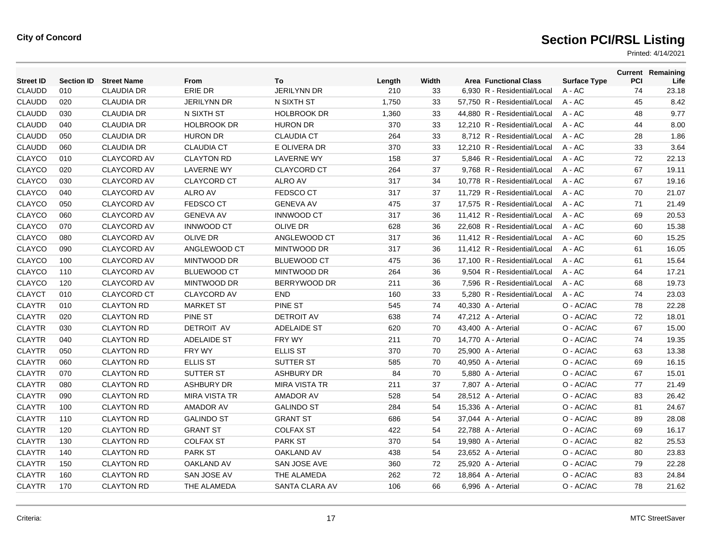| <b>Street ID</b> | <b>Section ID</b> | <b>Street Name</b> | From                 | To                   | Length | Width | <b>Area Functional Class</b> | <b>Surface Type</b> | <b>PCI</b> | <b>Current Remaining</b><br>Life |
|------------------|-------------------|--------------------|----------------------|----------------------|--------|-------|------------------------------|---------------------|------------|----------------------------------|
| <b>CLAUDD</b>    | 010               | <b>CLAUDIA DR</b>  | ERIE DR              | <b>JERILYNN DR</b>   | 210    | 33    | 6,930 R - Residential/Local  | $A - AC$            | 74         | 23.18                            |
| <b>CLAUDD</b>    | 020               | <b>CLAUDIA DR</b>  | <b>JERILYNN DR</b>   | N SIXTH ST           | 1,750  | 33    | 57,750 R - Residential/Local | A - AC              | 45         | 8.42                             |
| <b>CLAUDD</b>    | 030               | <b>CLAUDIA DR</b>  | N SIXTH ST           | <b>HOLBROOK DR</b>   | 1,360  | 33    | 44,880 R - Residential/Local | A - AC              | 48         | 9.77                             |
| <b>CLAUDD</b>    | 040               | <b>CLAUDIA DR</b>  | <b>HOLBROOK DR</b>   | <b>HURON DR</b>      | 370    | 33    | 12.210 R - Residential/Local | $A - AC$            | 44         | 8.00                             |
| <b>CLAUDD</b>    | 050               | <b>CLAUDIA DR</b>  | <b>HURON DR</b>      | <b>CLAUDIA CT</b>    | 264    | 33    | 8.712 R - Residential/Local  | $A - AC$            | 28         | 1.86                             |
| <b>CLAUDD</b>    | 060               | <b>CLAUDIA DR</b>  | <b>CLAUDIA CT</b>    | E OLIVERA DR         | 370    | 33    | 12,210 R - Residential/Local | $A - AC$            | 33         | 3.64                             |
| <b>CLAYCO</b>    | 010               | <b>CLAYCORD AV</b> | <b>CLAYTON RD</b>    | <b>LAVERNE WY</b>    | 158    | 37    | 5,846 R - Residential/Local  | A - AC              | 72         | 22.13                            |
| <b>CLAYCO</b>    | 020               | <b>CLAYCORD AV</b> | <b>LAVERNE WY</b>    | <b>CLAYCORD CT</b>   | 264    | 37    | 9.768 R - Residential/Local  | $A - AC$            | 67         | 19.11                            |
| <b>CLAYCO</b>    | 030               | <b>CLAYCORD AV</b> | <b>CLAYCORD CT</b>   | <b>ALRO AV</b>       | 317    | 34    | 10.778 R - Residential/Local | $A - AC$            | 67         | 19.16                            |
| CLAYCO           | 040               | <b>CLAYCORD AV</b> | <b>ALRO AV</b>       | <b>FEDSCO CT</b>     | 317    | 37    | 11,729 R - Residential/Local | A - AC              | 70         | 21.07                            |
| <b>CLAYCO</b>    | 050               | <b>CLAYCORD AV</b> | <b>FEDSCO CT</b>     | <b>GENEVA AV</b>     | 475    | 37    | 17,575 R - Residential/Local | A - AC              | 71         | 21.49                            |
| <b>CLAYCO</b>    | 060               | <b>CLAYCORD AV</b> | <b>GENEVA AV</b>     | <b>INNWOOD CT</b>    | 317    | 36    | 11,412 R - Residential/Local | A - AC              | 69         | 20.53                            |
| <b>CLAYCO</b>    | 070               | <b>CLAYCORD AV</b> | <b>INNWOOD CT</b>    | OLIVE DR             | 628    | 36    | 22,608 R - Residential/Local | A - AC              | 60         | 15.38                            |
| CLAYCO           | 080               | <b>CLAYCORD AV</b> | <b>OLIVE DR</b>      | ANGLEWOOD CT         | 317    | 36    | 11,412 R - Residential/Local | $A - AC$            | 60         | 15.25                            |
| CLAYCO           | 090               | <b>CLAYCORD AV</b> | ANGLEWOOD CT         | MINTWOOD DR          | 317    | 36    | 11,412 R - Residential/Local | A - AC              | 61         | 16.05                            |
| <b>CLAYCO</b>    | 100               | <b>CLAYCORD AV</b> | MINTWOOD DR          | <b>BLUEWOOD CT</b>   | 475    | 36    | 17,100 R - Residential/Local | A - AC              | 61         | 15.64                            |
| <b>CLAYCO</b>    | 110               | <b>CLAYCORD AV</b> | <b>BLUEWOOD CT</b>   | MINTWOOD DR          | 264    | 36    | 9,504 R - Residential/Local  | A - AC              | 64         | 17.21                            |
| <b>CLAYCO</b>    | 120               | <b>CLAYCORD AV</b> | MINTWOOD DR          | BERRYWOOD DR         | 211    | 36    | 7.596 R - Residential/Local  | $A - AC$            | 68         | 19.73                            |
| <b>CLAYCT</b>    | 010               | <b>CLAYCORD CT</b> | <b>CLAYCORD AV</b>   | <b>END</b>           | 160    | 33    | 5,280 R - Residential/Local  | $A - AC$            | 74         | 23.03                            |
| <b>CLAYTR</b>    | 010               | <b>CLAYTON RD</b>  | <b>MARKET ST</b>     | PINE ST              | 545    | 74    | 40,330 A - Arterial          | O - AC/AC           | 78         | 22.28                            |
| <b>CLAYTR</b>    | 020               | <b>CLAYTON RD</b>  | <b>PINE ST</b>       | <b>DETROIT AV</b>    | 638    | 74    | 47,212 A - Arterial          | O - AC/AC           | 72         | 18.01                            |
| <b>CLAYTR</b>    | 030               | <b>CLAYTON RD</b>  | <b>DETROIT AV</b>    | <b>ADELAIDE ST</b>   | 620    | 70    | 43,400 A - Arterial          | O - AC/AC           | 67         | 15.00                            |
| <b>CLAYTR</b>    | 040               | <b>CLAYTON RD</b>  | <b>ADELAIDE ST</b>   | FRY WY               | 211    | 70    | 14,770 A - Arterial          | O - AC/AC           | 74         | 19.35                            |
| <b>CLAYTR</b>    | 050               | <b>CLAYTON RD</b>  | FRY WY               | <b>ELLIS ST</b>      | 370    | 70    | 25,900 A - Arterial          | O - AC/AC           | 63         | 13.38                            |
| <b>CLAYTR</b>    | 060               | <b>CLAYTON RD</b>  | <b>ELLIS ST</b>      | SUTTER ST            | 585    | 70    | 40,950 A - Arterial          | O - AC/AC           | 69         | 16.15                            |
| <b>CLAYTR</b>    | 070               | <b>CLAYTON RD</b>  | <b>SUTTER ST</b>     | <b>ASHBURY DR</b>    | 84     | 70    | 5,880 A - Arterial           | O - AC/AC           | 67         | 15.01                            |
| <b>CLAYTR</b>    | 080               | <b>CLAYTON RD</b>  | <b>ASHBURY DR</b>    | <b>MIRA VISTA TR</b> | 211    | 37    | 7,807 A - Arterial           | O - AC/AC           | 77         | 21.49                            |
| <b>CLAYTR</b>    | 090               | <b>CLAYTON RD</b>  | <b>MIRA VISTA TR</b> | <b>AMADOR AV</b>     | 528    | 54    | 28,512 A - Arterial          | O - AC/AC           | 83         | 26.42                            |
| <b>CLAYTR</b>    | 100               | <b>CLAYTON RD</b>  | <b>AMADOR AV</b>     | <b>GALINDO ST</b>    | 284    | 54    | 15,336 A - Arterial          | O - AC/AC           | 81         | 24.67                            |
| <b>CLAYTR</b>    | 110               | <b>CLAYTON RD</b>  | <b>GALINDO ST</b>    | <b>GRANT ST</b>      | 686    | 54    | 37,044 A - Arterial          | O - AC/AC           | 89         | 28.08                            |
| <b>CLAYTR</b>    | 120               | <b>CLAYTON RD</b>  | <b>GRANT ST</b>      | <b>COLFAX ST</b>     | 422    | 54    | 22,788 A - Arterial          | O - AC/AC           | 69         | 16.17                            |
| <b>CLAYTR</b>    | 130               | <b>CLAYTON RD</b>  | <b>COLFAX ST</b>     | <b>PARK ST</b>       | 370    | 54    | 19,980 A - Arterial          | O - AC/AC           | 82         | 25.53                            |
| <b>CLAYTR</b>    | 140               | <b>CLAYTON RD</b>  | <b>PARK ST</b>       | OAKLAND AV           | 438    | 54    | 23,652 A - Arterial          | O - AC/AC           | 80         | 23.83                            |
| <b>CLAYTR</b>    | 150               | <b>CLAYTON RD</b>  | <b>OAKLAND AV</b>    | SAN JOSE AVE         | 360    | 72    | 25,920 A - Arterial          | O - AC/AC           | 79         | 22.28                            |
| <b>CLAYTR</b>    | 160               | <b>CLAYTON RD</b>  | SAN JOSE AV          | THE ALAMEDA          | 262    | 72    | 18,864 A - Arterial          | O - AC/AC           | 83         | 24.84                            |
| <b>CLAYTR</b>    | 170               | <b>CLAYTON RD</b>  | THE ALAMEDA          | SANTA CLARA AV       | 106    | 66    | 6,996 A - Arterial           | O - AC/AC           | 78         | 21.62                            |
|                  |                   |                    |                      |                      |        |       |                              |                     |            |                                  |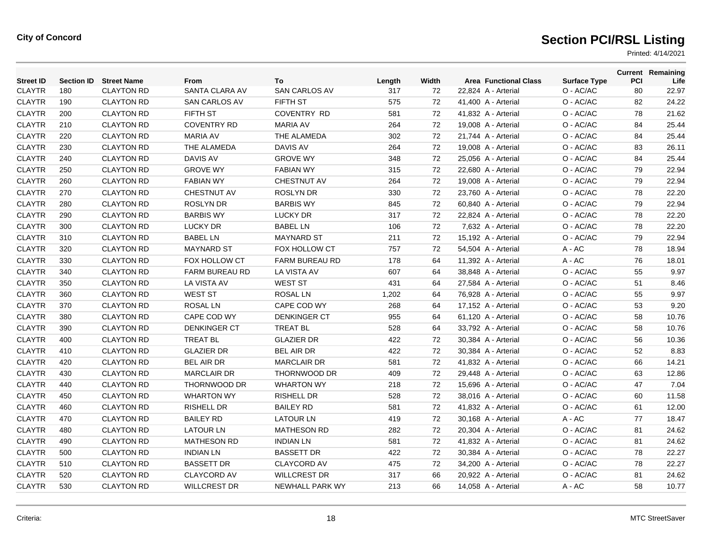| <b>Street ID</b> |     | <b>Section ID</b> Street Name | From                 | To                    | Length | Width | <b>Area Functional Class</b> | <b>Surface Type</b> | PCI | <b>Current Remaining</b><br>Life |
|------------------|-----|-------------------------------|----------------------|-----------------------|--------|-------|------------------------------|---------------------|-----|----------------------------------|
| <b>CLAYTR</b>    | 180 | <b>CLAYTON RD</b>             | SANTA CLARA AV       | <b>SAN CARLOS AV</b>  | 317    | 72    | 22,824 A - Arterial          | O - AC/AC           | 80  | 22.97                            |
| <b>CLAYTR</b>    | 190 | <b>CLAYTON RD</b>             | <b>SAN CARLOS AV</b> | <b>FIFTH ST</b>       | 575    | 72    | 41,400 A - Arterial          | O - AC/AC           | 82  | 24.22                            |
| <b>CLAYTR</b>    | 200 | <b>CLAYTON RD</b>             | FIFTH ST             | <b>COVENTRY RD</b>    | 581    | 72    | 41,832 A - Arterial          | O - AC/AC           | 78  | 21.62                            |
| <b>CLAYTR</b>    | 210 | <b>CLAYTON RD</b>             | <b>COVENTRY RD</b>   | <b>MARIA AV</b>       | 264    | 72    | 19,008 A - Arterial          | O - AC/AC           | 84  | 25.44                            |
| <b>CLAYTR</b>    | 220 | <b>CLAYTON RD</b>             | <b>MARIA AV</b>      | THE ALAMEDA           | 302    | 72    | 21,744 A - Arterial          | O - AC/AC           | 84  | 25.44                            |
| <b>CLAYTR</b>    | 230 | <b>CLAYTON RD</b>             | THE ALAMEDA          | <b>DAVIS AV</b>       | 264    | 72    | 19,008 A - Arterial          | O - AC/AC           | 83  | 26.11                            |
| <b>CLAYTR</b>    | 240 | <b>CLAYTON RD</b>             | <b>DAVIS AV</b>      | <b>GROVE WY</b>       | 348    | 72    | 25,056 A - Arterial          | O - AC/AC           | 84  | 25.44                            |
| <b>CLAYTR</b>    | 250 | <b>CLAYTON RD</b>             | <b>GROVE WY</b>      | <b>FABIAN WY</b>      | 315    | 72    | 22,680 A - Arterial          | O - AC/AC           | 79  | 22.94                            |
| <b>CLAYTR</b>    | 260 | <b>CLAYTON RD</b>             | <b>FABIAN WY</b>     | <b>CHESTNUT AV</b>    | 264    | 72    | 19,008 A - Arterial          | O - AC/AC           | 79  | 22.94                            |
| <b>CLAYTR</b>    | 270 | <b>CLAYTON RD</b>             | <b>CHESTNUT AV</b>   | <b>ROSLYN DR</b>      | 330    | 72    | 23,760 A - Arterial          | O - AC/AC           | 78  | 22.20                            |
| <b>CLAYTR</b>    | 280 | <b>CLAYTON RD</b>             | <b>ROSLYN DR</b>     | <b>BARBIS WY</b>      | 845    | 72    | 60,840 A - Arterial          | O - AC/AC           | 79  | 22.94                            |
| <b>CLAYTR</b>    | 290 | <b>CLAYTON RD</b>             | <b>BARBIS WY</b>     | LUCKY DR              | 317    | 72    | 22,824 A - Arterial          | O - AC/AC           | 78  | 22.20                            |
| <b>CLAYTR</b>    | 300 | <b>CLAYTON RD</b>             | <b>LUCKY DR</b>      | <b>BABEL LN</b>       | 106    | 72    | 7,632 A - Arterial           | O - AC/AC           | 78  | 22.20                            |
| <b>CLAYTR</b>    | 310 | <b>CLAYTON RD</b>             | <b>BABEL LN</b>      | <b>MAYNARD ST</b>     | 211    | 72    | 15,192 A - Arterial          | O - AC/AC           | 79  | 22.94                            |
| <b>CLAYTR</b>    | 320 | <b>CLAYTON RD</b>             | <b>MAYNARD ST</b>    | FOX HOLLOW CT         | 757    | 72    | 54,504 A - Arterial          | A - AC              | 78  | 18.94                            |
| <b>CLAYTR</b>    | 330 | <b>CLAYTON RD</b>             | FOX HOLLOW CT        | <b>FARM BUREAU RD</b> | 178    | 64    | 11,392 A - Arterial          | A - AC              | 76  | 18.01                            |
| <b>CLAYTR</b>    | 340 | <b>CLAYTON RD</b>             | FARM BUREAU RD       | <b>LA VISTA AV</b>    | 607    | 64    | 38,848 A - Arterial          | O - AC/AC           | 55  | 9.97                             |
| <b>CLAYTR</b>    | 350 | <b>CLAYTON RD</b>             | LA VISTA AV          | <b>WEST ST</b>        | 431    | 64    | 27,584 A - Arterial          | O - AC/AC           | 51  | 8.46                             |
| <b>CLAYTR</b>    | 360 | <b>CLAYTON RD</b>             | <b>WEST ST</b>       | <b>ROSAL LN</b>       | 1,202  | 64    | 76,928 A - Arterial          | O - AC/AC           | 55  | 9.97                             |
| <b>CLAYTR</b>    | 370 | <b>CLAYTON RD</b>             | <b>ROSAL LN</b>      | CAPE COD WY           | 268    | 64    | 17,152 A - Arterial          | O - AC/AC           | 53  | 9.20                             |
| <b>CLAYTR</b>    | 380 | <b>CLAYTON RD</b>             | CAPE COD WY          | <b>DENKINGER CT</b>   | 955    | 64    | 61,120 A - Arterial          | O - AC/AC           | 58  | 10.76                            |
| <b>CLAYTR</b>    | 390 | <b>CLAYTON RD</b>             | <b>DENKINGER CT</b>  | <b>TREAT BL</b>       | 528    | 64    | 33,792 A - Arterial          | O - AC/AC           | 58  | 10.76                            |
| <b>CLAYTR</b>    | 400 | <b>CLAYTON RD</b>             | <b>TREAT BL</b>      | <b>GLAZIER DR</b>     | 422    | 72    | 30,384 A - Arterial          | O - AC/AC           | 56  | 10.36                            |
| <b>CLAYTR</b>    | 410 | <b>CLAYTON RD</b>             | <b>GLAZIER DR</b>    | <b>BEL AIR DR</b>     | 422    | 72    | 30,384 A - Arterial          | O - AC/AC           | 52  | 8.83                             |
| <b>CLAYTR</b>    | 420 | <b>CLAYTON RD</b>             | <b>BEL AIR DR</b>    | <b>MARCLAIR DR</b>    | 581    | 72    | 41,832 A - Arterial          | O - AC/AC           | 66  | 14.21                            |
| <b>CLAYTR</b>    | 430 | <b>CLAYTON RD</b>             | <b>MARCLAIR DR</b>   | THORNWOOD DR          | 409    | 72    | 29,448 A - Arterial          | O - AC/AC           | 63  | 12.86                            |
| <b>CLAYTR</b>    | 440 | <b>CLAYTON RD</b>             | THORNWOOD DR         | <b>WHARTON WY</b>     | 218    | 72    | 15,696 A - Arterial          | O - AC/AC           | 47  | 7.04                             |
| <b>CLAYTR</b>    | 450 | <b>CLAYTON RD</b>             | <b>WHARTON WY</b>    | <b>RISHELL DR</b>     | 528    | 72    | 38,016 A - Arterial          | O - AC/AC           | 60  | 11.58                            |
| <b>CLAYTR</b>    | 460 | <b>CLAYTON RD</b>             | <b>RISHELL DR</b>    | <b>BAILEY RD</b>      | 581    | 72    | 41,832 A - Arterial          | O - AC/AC           | 61  | 12.00                            |
| <b>CLAYTR</b>    | 470 | <b>CLAYTON RD</b>             | <b>BAILEY RD</b>     | <b>LATOUR LN</b>      | 419    | 72    | 30,168 A - Arterial          | A - AC              | 77  | 18.47                            |
| <b>CLAYTR</b>    | 480 | <b>CLAYTON RD</b>             | <b>LATOUR LN</b>     | <b>MATHESON RD</b>    | 282    | 72    | 20,304 A - Arterial          | O - AC/AC           | 81  | 24.62                            |
| <b>CLAYTR</b>    | 490 | <b>CLAYTON RD</b>             | <b>MATHESON RD</b>   | <b>INDIAN LN</b>      | 581    | 72    | 41,832 A - Arterial          | O - AC/AC           | 81  | 24.62                            |
| <b>CLAYTR</b>    | 500 | <b>CLAYTON RD</b>             | <b>INDIAN LN</b>     | <b>BASSETT DR</b>     | 422    | 72    | 30,384 A - Arterial          | O - AC/AC           | 78  | 22.27                            |
| <b>CLAYTR</b>    | 510 | <b>CLAYTON RD</b>             | <b>BASSETT DR</b>    | CLAYCORD AV           | 475    | 72    | 34,200 A - Arterial          | O - AC/AC           | 78  | 22.27                            |
| <b>CLAYTR</b>    | 520 | <b>CLAYTON RD</b>             | <b>CLAYCORD AV</b>   | <b>WILLCREST DR</b>   | 317    | 66    | 20,922 A - Arterial          | O - AC/AC           | 81  | 24.62                            |
| <b>CLAYTR</b>    | 530 | <b>CLAYTON RD</b>             | <b>WILLCREST DR</b>  | NEWHALL PARK WY       | 213    | 66    | 14,058 A - Arterial          | A - AC              | 58  | 10.77                            |
|                  |     |                               |                      |                       |        |       |                              |                     |     |                                  |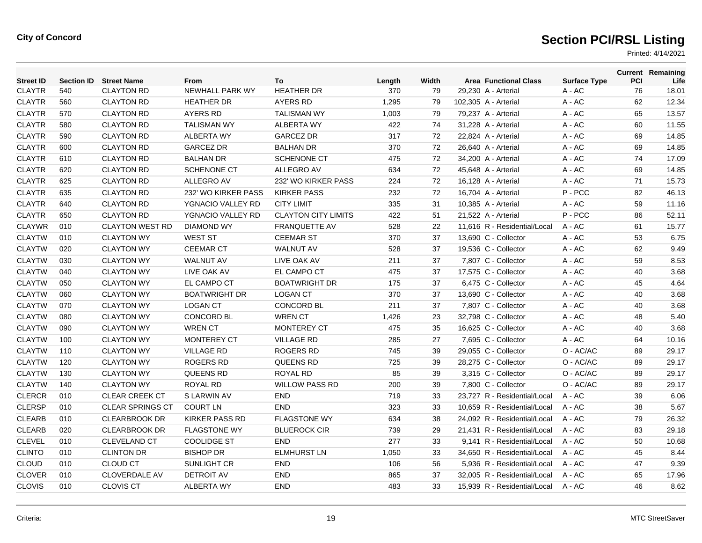| <b>Street ID</b> | <b>Section ID</b> | <b>Street Name</b>      | <b>From</b>           | To                         | Length | Width | <b>Area Functional Class</b> | <b>Surface Type</b> | PCI | <b>Current Remaining</b><br>Life |
|------------------|-------------------|-------------------------|-----------------------|----------------------------|--------|-------|------------------------------|---------------------|-----|----------------------------------|
| <b>CLAYTR</b>    | 540               | <b>CLAYTON RD</b>       | NEWHALL PARK WY       | <b>HEATHER DR</b>          | 370    | 79    | 29,230 A - Arterial          | A - AC              | 76  | 18.01                            |
| <b>CLAYTR</b>    | 560               | <b>CLAYTON RD</b>       | <b>HEATHER DR</b>     | <b>AYERS RD</b>            | 1,295  | 79    | 102,305 A - Arterial         | A - AC              | 62  | 12.34                            |
| <b>CLAYTR</b>    | 570               | <b>CLAYTON RD</b>       | <b>AYERS RD</b>       | <b>TALISMAN WY</b>         | 1,003  | 79    | 79,237 A - Arterial          | $A - AC$            | 65  | 13.57                            |
| <b>CLAYTR</b>    | 580               | <b>CLAYTON RD</b>       | <b>TALISMAN WY</b>    | <b>ALBERTA WY</b>          | 422    | 74    | 31,228 A - Arterial          | A - AC              | 60  | 11.55                            |
| <b>CLAYTR</b>    | 590               | <b>CLAYTON RD</b>       | <b>ALBERTA WY</b>     | <b>GARCEZ DR</b>           | 317    | 72    | 22,824 A - Arterial          | A - AC              | 69  | 14.85                            |
| <b>CLAYTR</b>    | 600               | <b>CLAYTON RD</b>       | <b>GARCEZ DR</b>      | <b>BALHAN DR</b>           | 370    | 72    | 26,640 A - Arterial          | A - AC              | 69  | 14.85                            |
| <b>CLAYTR</b>    | 610               | <b>CLAYTON RD</b>       | <b>BALHAN DR</b>      | <b>SCHENONE CT</b>         | 475    | 72    | 34,200 A - Arterial          | A - AC              | 74  | 17.09                            |
| <b>CLAYTR</b>    | 620               | <b>CLAYTON RD</b>       | <b>SCHENONE CT</b>    | <b>ALLEGRO AV</b>          | 634    | 72    | 45.648 A - Arterial          | $A - AC$            | 69  | 14.85                            |
| <b>CLAYTR</b>    | 625               | <b>CLAYTON RD</b>       | ALLEGRO AV            | 232' WO KIRKER PASS        | 224    | 72    | 16,128 A - Arterial          | A - AC              | 71  | 15.73                            |
| <b>CLAYTR</b>    | 635               | <b>CLAYTON RD</b>       | 232' WO KIRKER PASS   | <b>KIRKER PASS</b>         | 232    | 72    | 16,704 A - Arterial          | P-PCC               | 82  | 46.13                            |
| <b>CLAYTR</b>    | 640               | <b>CLAYTON RD</b>       | YGNACIO VALLEY RD     | <b>CITY LIMIT</b>          | 335    | 31    | 10,385 A - Arterial          | $A - AC$            | 59  | 11.16                            |
| <b>CLAYTR</b>    | 650               | <b>CLAYTON RD</b>       | YGNACIO VALLEY RD     | <b>CLAYTON CITY LIMITS</b> | 422    | 51    | 21,522 A - Arterial          | P-PCC               | 86  | 52.11                            |
| <b>CLAYWR</b>    | 010               | <b>CLAYTON WEST RD</b>  | <b>DIAMOND WY</b>     | <b>FRANQUETTE AV</b>       | 528    | 22    | 11,616 R - Residential/Local | $A - AC$            | 61  | 15.77                            |
| <b>CLAYTW</b>    | 010               | <b>CLAYTON WY</b>       | <b>WEST ST</b>        | <b>CEEMAR ST</b>           | 370    | 37    | 13,690 C - Collector         | $A - AC$            | 53  | 6.75                             |
| <b>CLAYTW</b>    | 020               | <b>CLAYTON WY</b>       | <b>CEEMAR CT</b>      | <b>WALNUT AV</b>           | 528    | 37    | 19,536 C - Collector         | A - AC              | 62  | 9.49                             |
| <b>CLAYTW</b>    | 030               | <b>CLAYTON WY</b>       | <b>WALNUT AV</b>      | LIVE OAK AV                | 211    | 37    | 7,807 C - Collector          | A - AC              | 59  | 8.53                             |
| <b>CLAYTW</b>    | 040               | <b>CLAYTON WY</b>       | LIVE OAK AV           | EL CAMPO CT                | 475    | 37    | 17,575 C - Collector         | A - AC              | 40  | 3.68                             |
| <b>CLAYTW</b>    | 050               | <b>CLAYTON WY</b>       | EL CAMPO CT           | <b>BOATWRIGHT DR</b>       | 175    | 37    | 6,475 C - Collector          | A - AC              | 45  | 4.64                             |
| <b>CLAYTW</b>    | 060               | <b>CLAYTON WY</b>       | <b>BOATWRIGHT DR</b>  | <b>LOGAN CT</b>            | 370    | 37    | 13,690 C - Collector         | A - AC              | 40  | 3.68                             |
| <b>CLAYTW</b>    | 070               | <b>CLAYTON WY</b>       | <b>LOGAN CT</b>       | <b>CONCORD BL</b>          | 211    | 37    | 7,807 C - Collector          | $A - AC$            | 40  | 3.68                             |
| <b>CLAYTW</b>    | 080               | <b>CLAYTON WY</b>       | <b>CONCORD BL</b>     | <b>WREN CT</b>             | 1,426  | 23    | 32,798 C - Collector         | A - AC              | 48  | 5.40                             |
| <b>CLAYTW</b>    | 090               | <b>CLAYTON WY</b>       | <b>WREN CT</b>        | <b>MONTEREY CT</b>         | 475    | 35    | 16,625 C - Collector         | A - AC              | 40  | 3.68                             |
| <b>CLAYTW</b>    | 100               | <b>CLAYTON WY</b>       | MONTEREY CT           | <b>VILLAGE RD</b>          | 285    | 27    | 7,695 C - Collector          | $A - AC$            | 64  | 10.16                            |
| <b>CLAYTW</b>    | 110               | <b>CLAYTON WY</b>       | <b>VILLAGE RD</b>     | ROGERS RD                  | 745    | 39    | 29,055 C - Collector         | O - AC/AC           | 89  | 29.17                            |
| <b>CLAYTW</b>    | 120               | <b>CLAYTON WY</b>       | <b>ROGERS RD</b>      | QUEENS RD                  | 725    | 39    | 28,275 C - Collector         | O - AC/AC           | 89  | 29.17                            |
| <b>CLAYTW</b>    | 130               | <b>CLAYTON WY</b>       | <b>QUEENS RD</b>      | ROYAL RD                   | 85     | 39    | 3,315 C - Collector          | O - AC/AC           | 89  | 29.17                            |
| <b>CLAYTW</b>    | 140               | <b>CLAYTON WY</b>       | ROYAL RD              | <b>WILLOW PASS RD</b>      | 200    | 39    | 7,800 C - Collector          | O - AC/AC           | 89  | 29.17                            |
| <b>CLERCR</b>    | 010               | <b>CLEAR CREEK CT</b>   | S LARWIN AV           | <b>END</b>                 | 719    | 33    | 23,727 R - Residential/Local | $A - AC$            | 39  | 6.06                             |
| <b>CLERSP</b>    | 010               | <b>CLEAR SPRINGS CT</b> | <b>COURT LN</b>       | <b>END</b>                 | 323    | 33    | 10,659 R - Residential/Local | $A - AC$            | 38  | 5.67                             |
| <b>CLEARB</b>    | 010               | <b>CLEARBROOK DR</b>    | <b>KIRKER PASS RD</b> | <b>FLAGSTONE WY</b>        | 634    | 38    | 24,092 R - Residential/Local | $A - AC$            | 79  | 26.32                            |
| <b>CLEARB</b>    | 020               | <b>CLEARBROOK DR</b>    | <b>FLAGSTONE WY</b>   | <b>BLUEROCK CIR</b>        | 739    | 29    | 21.431 R - Residential/Local | $A - AC$            | 83  | 29.18                            |
| <b>CLEVEL</b>    | 010               | <b>CLEVELAND CT</b>     | <b>COOLIDGE ST</b>    | <b>END</b>                 | 277    | 33    | 9,141 R - Residential/Local  | $A - AC$            | 50  | 10.68                            |
| <b>CLINTO</b>    | 010               | <b>CLINTON DR</b>       | <b>BISHOP DR</b>      | <b>ELMHURST LN</b>         | 1,050  | 33    | 34,650 R - Residential/Local | $A - AC$            | 45  | 8.44                             |
| <b>CLOUD</b>     | 010               | <b>CLOUD CT</b>         | <b>SUNLIGHT CR</b>    | <b>END</b>                 | 106    | 56    | 5.936 R - Residential/Local  | $A - AC$            | 47  | 9.39                             |
| <b>CLOVER</b>    | 010               | <b>CLOVERDALE AV</b>    | <b>DETROIT AV</b>     | <b>END</b>                 | 865    | 37    | 32,005 R - Residential/Local | A - AC              | 65  | 17.96                            |
| <b>CLOVIS</b>    | 010               | <b>CLOVIS CT</b>        | <b>ALBERTA WY</b>     | <b>END</b>                 | 483    | 33    | 15,939 R - Residential/Local | $A - AC$            | 46  | 8.62                             |
|                  |                   |                         |                       |                            |        |       |                              |                     |     |                                  |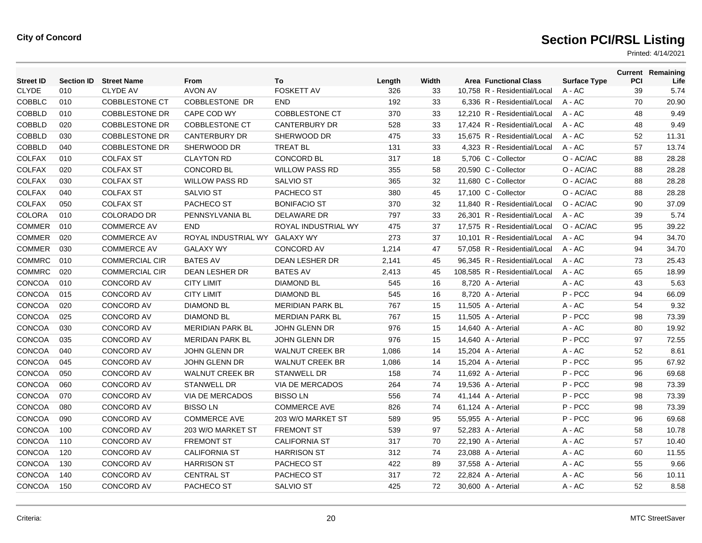| <b>Street ID</b> |     | <b>Section ID Street Name</b> | From                    | To                      | Length | Width | <b>Area Functional Class</b>  | <b>Surface Type</b> | <b>PCI</b> | <b>Current Remaining</b><br>Life |
|------------------|-----|-------------------------------|-------------------------|-------------------------|--------|-------|-------------------------------|---------------------|------------|----------------------------------|
| <b>CLYDE</b>     | 010 | <b>CLYDE AV</b>               | <b>AVON AV</b>          | <b>FOSKETT AV</b>       | 326    | 33    | 10,758 R - Residential/Local  | $A - AC$            | 39         | 5.74                             |
| <b>COBBLC</b>    | 010 | <b>COBBLESTONE CT</b>         | COBBLESTONE DR          | <b>END</b>              | 192    | 33    | 6,336 R - Residential/Local   | $A - AC$            | 70         | 20.90                            |
| <b>COBBLD</b>    | 010 | <b>COBBLESTONE DR</b>         | CAPE COD WY             | <b>COBBLESTONE CT</b>   | 370    | 33    | 12,210 R - Residential/Local  | $A - AC$            | 48         | 9.49                             |
| <b>COBBLD</b>    | 020 | <b>COBBLESTONE DR</b>         | <b>COBBLESTONE CT</b>   | <b>CANTERBURY DR</b>    | 528    | 33    | 17.424 R - Residential/Local  | $A - AC$            | 48         | 9.49                             |
| <b>COBBLD</b>    | 030 | <b>COBBLESTONE DR</b>         | <b>CANTERBURY DR</b>    | SHERWOOD DR             | 475    | 33    | 15,675 R - Residential/Local  | A - AC              | 52         | 11.31                            |
| <b>COBBLD</b>    | 040 | <b>COBBLESTONE DR</b>         | SHERWOOD DR             | <b>TREAT BL</b>         | 131    | 33    | 4,323 R - Residential/Local   | $A - AC$            | 57         | 13.74                            |
| <b>COLFAX</b>    | 010 | <b>COLFAX ST</b>              | <b>CLAYTON RD</b>       | <b>CONCORD BL</b>       | 317    | 18    | 5,706 C - Collector           | O - AC/AC           | 88         | 28.28                            |
| COLFAX           | 020 | <b>COLFAX ST</b>              | <b>CONCORD BL</b>       | <b>WILLOW PASS RD</b>   | 355    | 58    | 20,590 C - Collector          | O - AC/AC           | 88         | 28.28                            |
| <b>COLFAX</b>    | 030 | <b>COLFAX ST</b>              | <b>WILLOW PASS RD</b>   | <b>SALVIO ST</b>        | 365    | 32    | 11,680 C - Collector          | O - AC/AC           | 88         | 28.28                            |
| <b>COLFAX</b>    | 040 | <b>COLFAX ST</b>              | <b>SALVIO ST</b>        | PACHECO ST              | 380    | 45    | 17,100 C - Collector          | O - AC/AC           | 88         | 28.28                            |
| <b>COLFAX</b>    | 050 | <b>COLFAX ST</b>              | PACHECO ST              | <b>BONIFACIO ST</b>     | 370    | 32    | 11.840 R - Residential/Local  | O - AC/AC           | 90         | 37.09                            |
| COLORA           | 010 | <b>COLORADO DR</b>            | PENNSYLVANIA BL         | <b>DELAWARE DR</b>      | 797    | 33    | 26,301 R - Residential/Local  | $A - AC$            | 39         | 5.74                             |
| <b>COMMER</b>    | 010 | <b>COMMERCE AV</b>            | <b>END</b>              | ROYAL INDUSTRIAL WY     | 475    | 37    | 17,575 R - Residential/Local  | O - AC/AC           | 95         | 39.22                            |
| <b>COMMER</b>    | 020 | <b>COMMERCE AV</b>            | ROYAL INDUSTRIAL WY     | <b>GALAXY WY</b>        | 273    | 37    | 10,101 R - Residential/Local  | $A - AC$            | 94         | 34.70                            |
| <b>COMMER</b>    | 030 | <b>COMMERCE AV</b>            | <b>GALAXY WY</b>        | <b>CONCORD AV</b>       | 1,214  | 47    | 57.058 R - Residential/Local  | $A - AC$            | 94         | 34.70                            |
| <b>COMMRC</b>    | 010 | <b>COMMERCIAL CIR</b>         | <b>BATES AV</b>         | <b>DEAN LESHER DR</b>   | 2,141  | 45    | 96,345 R - Residential/Local  | A - AC              | 73         | 25.43                            |
| <b>COMMRC</b>    | 020 | <b>COMMERCIAL CIR</b>         | <b>DEAN LESHER DR</b>   | <b>BATES AV</b>         | 2,413  | 45    | 108,585 R - Residential/Local | $A - AC$            | 65         | 18.99                            |
| CONCOA           | 010 | <b>CONCORD AV</b>             | <b>CITY LIMIT</b>       | <b>DIAMOND BL</b>       | 545    | 16    | 8,720 A - Arterial            | $A - AC$            | 43         | 5.63                             |
| CONCOA           | 015 | CONCORD AV                    | <b>CITY LIMIT</b>       | <b>DIAMOND BL</b>       | 545    | 16    | 8,720 A - Arterial            | P-PCC               | 94         | 66.09                            |
| CONCOA           | 020 | <b>CONCORD AV</b>             | <b>DIAMOND BL</b>       | <b>MERIDIAN PARK BL</b> | 767    | 15    | 11,505 A - Arterial           | $A - AC$            | 54         | 9.32                             |
| CONCOA           | 025 | <b>CONCORD AV</b>             | <b>DIAMOND BL</b>       | <b>MERDIAN PARK BL</b>  | 767    | 15    | 11,505 A - Arterial           | P-PCC               | 98         | 73.39                            |
| CONCOA           | 030 | <b>CONCORD AV</b>             | <b>MERIDIAN PARK BL</b> | <b>JOHN GLENN DR</b>    | 976    | 15    | 14,640 A - Arterial           | $A - AC$            | 80         | 19.92                            |
| CONCOA           | 035 | CONCORD AV                    | <b>MERIDAN PARK BL</b>  | <b>JOHN GLENN DR</b>    | 976    | 15    | 14,640 A - Arterial           | P-PCC               | 97         | 72.55                            |
| CONCOA           | 040 | <b>CONCORD AV</b>             | <b>JOHN GLENN DR</b>    | <b>WALNUT CREEK BR</b>  | 1,086  | 14    | 15,204 A - Arterial           | $A - AC$            | 52         | 8.61                             |
| CONCOA           | 045 | <b>CONCORD AV</b>             | <b>JOHN GLENN DR</b>    | <b>WALNUT CREEK BR</b>  | 1,086  | 14    | 15,204 A - Arterial           | P-PCC               | 95         | 67.92                            |
| CONCOA           | 050 | <b>CONCORD AV</b>             | <b>WALNUT CREEK BR</b>  | <b>STANWELL DR</b>      | 158    | 74    | 11,692 A - Arterial           | P-PCC               | 96         | 69.68                            |
| CONCOA           | 060 | CONCORD AV                    | <b>STANWELL DR</b>      | VIA DE MERCADOS         | 264    | 74    | 19,536 A - Arterial           | P-PCC               | 98         | 73.39                            |
| CONCOA           | 070 | <b>CONCORD AV</b>             | VIA DE MERCADOS         | <b>BISSOLN</b>          | 556    | 74    | 41,144 A - Arterial           | P-PCC               | 98         | 73.39                            |
| CONCOA           | 080 | <b>CONCORD AV</b>             | <b>BISSOLN</b>          | <b>COMMERCE AVE</b>     | 826    | 74    | 61,124 A - Arterial           | P-PCC               | 98         | 73.39                            |
| CONCOA           | 090 | <b>CONCORD AV</b>             | <b>COMMERCE AVE</b>     | 203 W/O MARKET ST       | 589    | 95    | 55,955 A - Arterial           | P-PCC               | 96         | 69.68                            |
| CONCOA           | 100 | <b>CONCORD AV</b>             | 203 W/O MARKET ST       | <b>FREMONT ST</b>       | 539    | 97    | 52,283 A - Arterial           | $A - AC$            | 58         | 10.78                            |
| CONCOA           | 110 | <b>CONCORD AV</b>             | <b>FREMONT ST</b>       | <b>CALIFORNIA ST</b>    | 317    | 70    | 22,190 A - Arterial           | A - AC              | 57         | 10.40                            |
| CONCOA           | 120 | <b>CONCORD AV</b>             | <b>CALIFORNIA ST</b>    | <b>HARRISON ST</b>      | 312    | 74    | 23,088 A - Arterial           | $A - AC$            | 60         | 11.55                            |
| CONCOA           | 130 | CONCORD AV                    | <b>HARRISON ST</b>      | PACHECO ST              | 422    | 89    | 37,558 A - Arterial           | $A - AC$            | 55         | 9.66                             |
| CONCOA           | 140 | <b>CONCORD AV</b>             | <b>CENTRAL ST</b>       | PACHECO ST              | 317    | 72    | 22,824 A - Arterial           | $A - AC$            | 56         | 10.11                            |
| <b>CONCOA</b>    | 150 | <b>CONCORD AV</b>             | PACHECO ST              | <b>SALVIO ST</b>        | 425    | 72    | 30,600 A - Arterial           | $A - AC$            | 52         | 8.58                             |
|                  |     |                               |                         |                         |        |       |                               |                     |            |                                  |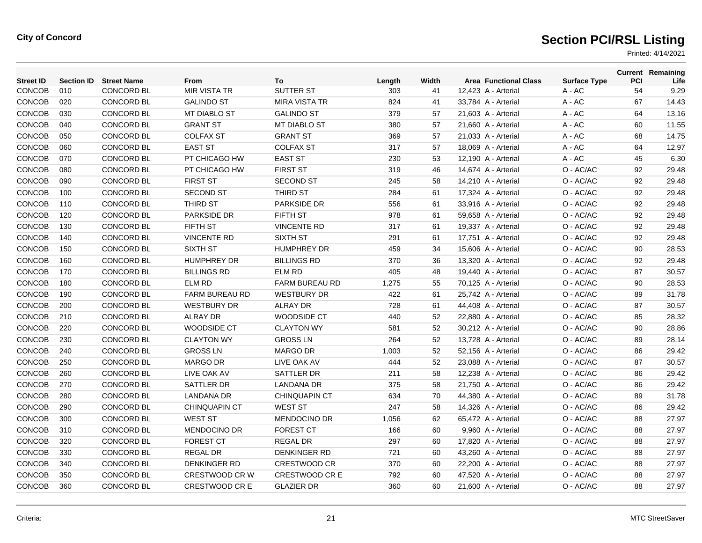| <b>Street ID</b> | <b>Section ID</b> | <b>Street Name</b> | From                  | To                    | Length | Width | <b>Area Functional Class</b> | <b>Surface Type</b> | PCI | <b>Current Remaining</b><br>Life |
|------------------|-------------------|--------------------|-----------------------|-----------------------|--------|-------|------------------------------|---------------------|-----|----------------------------------|
| CONCOB           | 010               | <b>CONCORD BL</b>  | <b>MIR VISTA TR</b>   | <b>SUTTER ST</b>      | 303    | 41    | 12,423 A - Arterial          | A - AC              | 54  | 9.29                             |
| CONCOB           | 020               | <b>CONCORD BL</b>  | <b>GALINDO ST</b>     | <b>MIRA VISTA TR</b>  | 824    | 41    | 33,784 A - Arterial          | A - AC              | 67  | 14.43                            |
| CONCOB           | 030               | <b>CONCORD BL</b>  | <b>MT DIABLO ST</b>   | <b>GALINDO ST</b>     | 379    | 57    | 21,603 A - Arterial          | A - AC              | 64  | 13.16                            |
| CONCOB           | 040               | <b>CONCORD BL</b>  | <b>GRANT ST</b>       | MT DIABLO ST          | 380    | 57    | 21,660 A - Arterial          | A - AC              | 60  | 11.55                            |
| <b>CONCOB</b>    | 050               | <b>CONCORD BL</b>  | <b>COLFAX ST</b>      | <b>GRANT ST</b>       | 369    | 57    | 21,033 A - Arterial          | A - AC              | 68  | 14.75                            |
| CONCOB           | 060               | <b>CONCORD BL</b>  | <b>EAST ST</b>        | <b>COLFAX ST</b>      | 317    | 57    | 18,069 A - Arterial          | A - AC              | 64  | 12.97                            |
| CONCOB           | 070               | <b>CONCORD BL</b>  | PT CHICAGO HW         | <b>EAST ST</b>        | 230    | 53    | 12,190 A - Arterial          | A - AC              | 45  | 6.30                             |
| <b>CONCOB</b>    | 080               | <b>CONCORD BL</b>  | PT CHICAGO HW         | <b>FIRST ST</b>       | 319    | 46    | 14,674 A - Arterial          | O - AC/AC           | 92  | 29.48                            |
| CONCOB           | 090               | <b>CONCORD BL</b>  | <b>FIRST ST</b>       | <b>SECOND ST</b>      | 245    | 58    | 14,210 A - Arterial          | O - AC/AC           | 92  | 29.48                            |
| <b>CONCOB</b>    | 100               | <b>CONCORD BL</b>  | <b>SECOND ST</b>      | THIRD ST              | 284    | 61    | 17,324 A - Arterial          | O - AC/AC           | 92  | 29.48                            |
| CONCOB           | 110               | <b>CONCORD BL</b>  | <b>THIRD ST</b>       | <b>PARKSIDE DR</b>    | 556    | 61    | 33,916 A - Arterial          | O - AC/AC           | 92  | 29.48                            |
| <b>CONCOB</b>    | 120               | <b>CONCORD BL</b>  | PARKSIDE DR           | <b>FIFTH ST</b>       | 978    | 61    | 59,658 A - Arterial          | O - AC/AC           | 92  | 29.48                            |
| CONCOB           | 130               | CONCORD BL         | FIFTH ST              | <b>VINCENTE RD</b>    | 317    | 61    | 19,337 A - Arterial          | O - AC/AC           | 92  | 29.48                            |
| <b>CONCOB</b>    | 140               | CONCORD BL         | <b>VINCENTE RD</b>    | <b>SIXTH ST</b>       | 291    | 61    | 17,751 A - Arterial          | O - AC/AC           | 92  | 29.48                            |
| CONCOB           | 150               | CONCORD BL         | <b>SIXTH ST</b>       | <b>HUMPHREY DR</b>    | 459    | 34    | 15,606 A - Arterial          | O - AC/AC           | 90  | 28.53                            |
| <b>CONCOB</b>    | 160               | CONCORD BL         | <b>HUMPHREY DR</b>    | <b>BILLINGS RD</b>    | 370    | 36    | 13,320 A - Arterial          | O - AC/AC           | 92  | 29.48                            |
| <b>CONCOB</b>    | 170               | CONCORD BL         | <b>BILLINGS RD</b>    | <b>ELM RD</b>         | 405    | 48    | 19,440 A - Arterial          | O - AC/AC           | 87  | 30.57                            |
| <b>CONCOB</b>    | 180               | <b>CONCORD BL</b>  | <b>ELM RD</b>         | <b>FARM BUREAU RD</b> | 1,275  | 55    | 70,125 A - Arterial          | O - AC/AC           | 90  | 28.53                            |
| CONCOB           | 190               | <b>CONCORD BL</b>  | FARM BUREAU RD        | <b>WESTBURY DR</b>    | 422    | 61    | 25,742 A - Arterial          | O - AC/AC           | 89  | 31.78                            |
| CONCOB           | 200               | <b>CONCORD BL</b>  | <b>WESTBURY DR</b>    | <b>ALRAY DR</b>       | 728    | 61    | 44,408 A - Arterial          | O - AC/AC           | 87  | 30.57                            |
| CONCOB           | 210               | CONCORD BL         | <b>ALRAY DR</b>       | WOODSIDE CT           | 440    | 52    | 22,880 A - Arterial          | O - AC/AC           | 85  | 28.32                            |
| CONCOB           | 220               | <b>CONCORD BL</b>  | WOODSIDE CT           | <b>CLAYTON WY</b>     | 581    | 52    | 30,212 A - Arterial          | O - AC/AC           | 90  | 28.86                            |
| <b>CONCOB</b>    | 230               | <b>CONCORD BL</b>  | <b>CLAYTON WY</b>     | <b>GROSS LN</b>       | 264    | 52    | 13,728 A - Arterial          | O - AC/AC           | 89  | 28.14                            |
| <b>CONCOB</b>    | 240               | <b>CONCORD BL</b>  | <b>GROSS LN</b>       | <b>MARGO DR</b>       | 1,003  | 52    | 52,156 A - Arterial          | O - AC/AC           | 86  | 29.42                            |
| <b>CONCOB</b>    | 250               | <b>CONCORD BL</b>  | <b>MARGO DR</b>       | LIVE OAK AV           | 444    | 52    | 23,088 A - Arterial          | O - AC/AC           | 87  | 30.57                            |
| <b>CONCOB</b>    | 260               | <b>CONCORD BL</b>  | LIVE OAK AV           | SATTLER DR            | 211    | 58    | 12,238 A - Arterial          | O - AC/AC           | 86  | 29.42                            |
| <b>CONCOB</b>    | 270               | <b>CONCORD BL</b>  | SATTLER DR            | LANDANA DR            | 375    | 58    | 21,750 A - Arterial          | O - AC/AC           | 86  | 29.42                            |
| CONCOB           | 280               | <b>CONCORD BL</b>  | <b>LANDANA DR</b>     | <b>CHINQUAPIN CT</b>  | 634    | 70    | 44,380 A - Arterial          | O - AC/AC           | 89  | 31.78                            |
| <b>CONCOB</b>    | 290               | <b>CONCORD BL</b>  | <b>CHINQUAPIN CT</b>  | <b>WEST ST</b>        | 247    | 58    | 14,326 A - Arterial          | O - AC/AC           | 86  | 29.42                            |
| <b>CONCOB</b>    | 300               | <b>CONCORD BL</b>  | <b>WEST ST</b>        | <b>MENDOCINO DR</b>   | 1,056  | 62    | 65,472 A - Arterial          | O - AC/AC           | 88  | 27.97                            |
| CONCOB           | 310               | <b>CONCORD BL</b>  | <b>MENDOCINO DR</b>   | <b>FOREST CT</b>      | 166    | 60    | 9,960 A - Arterial           | O - AC/AC           | 88  | 27.97                            |
| CONCOB           | 320               | CONCORD BL         | <b>FOREST CT</b>      | REGAL DR              | 297    | 60    | 17,820 A - Arterial          | O - AC/AC           | 88  | 27.97                            |
| CONCOB           | 330               | <b>CONCORD BL</b>  | <b>REGAL DR</b>       | <b>DENKINGER RD</b>   | 721    | 60    | 43,260 A - Arterial          | O - AC/AC           | 88  | 27.97                            |
| CONCOB           | 340               | <b>CONCORD BL</b>  | <b>DENKINGER RD</b>   | <b>CRESTWOOD CR</b>   | 370    | 60    | 22,200 A - Arterial          | O - AC/AC           | 88  | 27.97                            |
| CONCOB           | 350               | <b>CONCORD BL</b>  | <b>CRESTWOOD CR W</b> | <b>CRESTWOOD CRE</b>  | 792    | 60    | 47,520 A - Arterial          | O - AC/AC           | 88  | 27.97                            |
| CONCOB           | 360               | <b>CONCORD BL</b>  | <b>CRESTWOOD CR E</b> | <b>GLAZIER DR</b>     | 360    | 60    | 21,600 A - Arterial          | O - AC/AC           | 88  | 27.97                            |
|                  |                   |                    |                       |                       |        |       |                              |                     |     |                                  |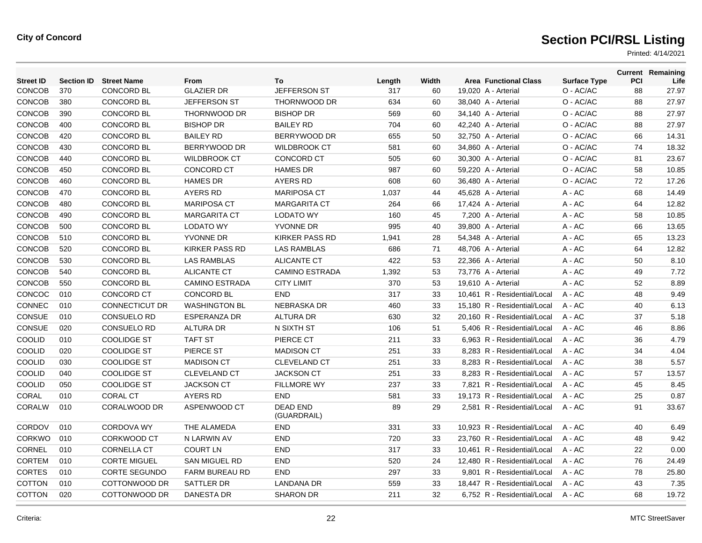| <b>Street ID</b> | <b>Section ID</b> | <b>Street Name</b>    | <b>From</b>           | To                             | Length | Width | <b>Area Functional Class</b> | <b>Surface Type</b> | PCI | <b>Current Remaining</b><br>Life |
|------------------|-------------------|-----------------------|-----------------------|--------------------------------|--------|-------|------------------------------|---------------------|-----|----------------------------------|
| <b>CONCOB</b>    | 370               | <b>CONCORD BL</b>     | <b>GLAZIER DR</b>     | JEFFERSON ST                   | 317    | 60    | 19,020 A - Arterial          | O - AC/AC           | 88  | 27.97                            |
| <b>CONCOB</b>    | 380               | <b>CONCORD BL</b>     | <b>JEFFERSON ST</b>   | THORNWOOD DR                   | 634    | 60    | 38,040 A - Arterial          | O - AC/AC           | 88  | 27.97                            |
| CONCOB           | 390               | <b>CONCORD BL</b>     | <b>THORNWOOD DR</b>   | <b>BISHOP DR</b>               | 569    | 60    | 34,140 A - Arterial          | O - AC/AC           | 88  | 27.97                            |
| CONCOB           | 400               | CONCORD BL            | <b>BISHOP DR</b>      | <b>BAILEY RD</b>               | 704    | 60    | 42,240 A - Arterial          | O - AC/AC           | 88  | 27.97                            |
| CONCOB           | 420               | <b>CONCORD BL</b>     | <b>BAILEY RD</b>      | BERRYWOOD DR                   | 655    | 50    | 32,750 A - Arterial          | O - AC/AC           | 66  | 14.31                            |
| CONCOB           | 430               | <b>CONCORD BL</b>     | BERRYWOOD DR          | <b>WILDBROOK CT</b>            | 581    | 60    | 34,860 A - Arterial          | O - AC/AC           | 74  | 18.32                            |
| CONCOB           | 440               | <b>CONCORD BL</b>     | <b>WILDBROOK CT</b>   | <b>CONCORD CT</b>              | 505    | 60    | 30,300 A - Arterial          | O - AC/AC           | 81  | 23.67                            |
| CONCOB           | 450               | <b>CONCORD BL</b>     | CONCORD CT            | <b>HAMES DR</b>                | 987    | 60    | 59,220 A - Arterial          | O - AC/AC           | 58  | 10.85                            |
| CONCOB           | 460               | <b>CONCORD BL</b>     | <b>HAMES DR</b>       | AYERS RD                       | 608    | 60    | 36,480 A - Arterial          | O - AC/AC           | 72  | 17.26                            |
| CONCOB           | 470               | <b>CONCORD BL</b>     | <b>AYERS RD</b>       | <b>MARIPOSA CT</b>             | 1,037  | 44    | 45,628 A - Arterial          | $A - AC$            | 68  | 14.49                            |
| CONCOB           | 480               | <b>CONCORD BL</b>     | <b>MARIPOSA CT</b>    | <b>MARGARITA CT</b>            | 264    | 66    | 17,424 A - Arterial          | $A - AC$            | 64  | 12.82                            |
| CONCOB           | 490               | <b>CONCORD BL</b>     | <b>MARGARITA CT</b>   | <b>LODATO WY</b>               | 160    | 45    | 7,200 A - Arterial           | $A - AC$            | 58  | 10.85                            |
| CONCOB           | 500               | <b>CONCORD BL</b>     | <b>LODATO WY</b>      | YVONNE DR                      | 995    | 40    | 39,800 A - Arterial          | $A - AC$            | 66  | 13.65                            |
| CONCOB           | 510               | CONCORD BL            | <b>YVONNE DR</b>      | <b>KIRKER PASS RD</b>          | 1,941  | 28    | 54,348 A - Arterial          | A - AC              | 65  | 13.23                            |
| CONCOB           | 520               | <b>CONCORD BL</b>     | <b>KIRKER PASS RD</b> | <b>LAS RAMBLAS</b>             | 686    | 71    | 48,706 A - Arterial          | A - AC              | 64  | 12.82                            |
| CONCOB           | 530               | <b>CONCORD BL</b>     | <b>LAS RAMBLAS</b>    | <b>ALICANTE CT</b>             | 422    | 53    | 22,366 A - Arterial          | $A - AC$            | 50  | 8.10                             |
| CONCOB           | 540               | <b>CONCORD BL</b>     | <b>ALICANTE CT</b>    | <b>CAMINO ESTRADA</b>          | 1,392  | 53    | 73,776 A - Arterial          | $A - AC$            | 49  | 7.72                             |
| CONCOB           | 550               | <b>CONCORD BL</b>     | <b>CAMINO ESTRADA</b> | <b>CITY LIMIT</b>              | 370    | 53    | 19,610 A - Arterial          | $A - AC$            | 52  | 8.89                             |
| CONCOC           | 010               | CONCORD CT            | <b>CONCORD BL</b>     | <b>END</b>                     | 317    | 33    | 10,461 R - Residential/Local | $A - AC$            | 48  | 9.49                             |
| CONNEC           | 010               | <b>CONNECTICUT DR</b> | <b>WASHINGTON BL</b>  | <b>NEBRASKA DR</b>             | 460    | 33    | 15.180 R - Residential/Local | $A - AC$            | 40  | 6.13                             |
| CONSUE           | 010               | <b>CONSUELO RD</b>    | <b>ESPERANZA DR</b>   | <b>ALTURA DR</b>               | 630    | 32    | 20,160 R - Residential/Local | $A - AC$            | 37  | 5.18                             |
| CONSUE           | 020               | <b>CONSUELO RD</b>    | <b>ALTURA DR</b>      | N SIXTH ST                     | 106    | 51    | 5,406 R - Residential/Local  | $A - AC$            | 46  | 8.86                             |
| COOLID           | 010               | <b>COOLIDGE ST</b>    | <b>TAFT ST</b>        | PIERCE CT                      | 211    | 33    | 6,963 R - Residential/Local  | $A - AC$            | 36  | 4.79                             |
| COOLID           | 020               | <b>COOLIDGE ST</b>    | PIERCE ST             | <b>MADISON CT</b>              | 251    | 33    | 8.283 R - Residential/Local  | $A - AC$            | 34  | 4.04                             |
| COOLID           | 030               | <b>COOLIDGE ST</b>    | <b>MADISON CT</b>     | <b>CLEVELAND CT</b>            | 251    | 33    | 8.283 R - Residential/Local  | $A - AC$            | 38  | 5.57                             |
| <b>COOLID</b>    | 040               | <b>COOLIDGE ST</b>    | <b>CLEVELAND CT</b>   | <b>JACKSON CT</b>              | 251    | 33    | 8.283 R - Residential/Local  | $A - AC$            | 57  | 13.57                            |
| <b>COOLID</b>    | 050               | <b>COOLIDGE ST</b>    | <b>JACKSON CT</b>     | <b>FILLMORE WY</b>             | 237    | 33    | 7,821 R - Residential/Local  | $A - AC$            | 45  | 8.45                             |
| CORAL            | 010               | <b>CORAL CT</b>       | <b>AYERS RD</b>       | END                            | 581    | 33    | 19,173 R - Residential/Local | $A - AC$            | 25  | 0.87                             |
| CORALW           | 010               | <b>CORALWOOD DR</b>   | ASPENWOOD CT          | <b>DEAD END</b><br>(GUARDRAIL) | 89     | 29    | 2,581 R - Residential/Local  | $A - AC$            | 91  | 33.67                            |
| CORDOV           | 010               | <b>CORDOVA WY</b>     | THE ALAMEDA           | <b>END</b>                     | 331    | 33    | 10.923 R - Residential/Local | $A - AC$            | 40  | 6.49                             |
| <b>CORKWO</b>    | 010               | <b>CORKWOOD CT</b>    | N LARWIN AV           | <b>END</b>                     | 720    | 33    | 23.760 R - Residential/Local | $A - AC$            | 48  | 9.42                             |
| CORNEL           | 010               | <b>CORNELLA CT</b>    | <b>COURT LN</b>       | <b>END</b>                     | 317    | 33    | 10,461 R - Residential/Local | A - AC              | 22  | 0.00                             |
| CORTEM           | 010               | <b>CORTE MIGUEL</b>   | <b>SAN MIGUEL RD</b>  | <b>END</b>                     | 520    | 24    | 12,480 R - Residential/Local | A - AC              | 76  | 24.49                            |
| <b>CORTES</b>    | 010               | <b>CORTE SEGUNDO</b>  | FARM BUREAU RD        | <b>END</b>                     | 297    | 33    | 9,801 R - Residential/Local  | A - AC              | 78  | 25.80                            |
| COTTON           | 010               | COTTONWOOD DR         | SATTLER DR            | <b>LANDANA DR</b>              | 559    | 33    | 18.447 R - Residential/Local | $A - AC$            | 43  | 7.35                             |
| COTTON           | 020               | COTTONWOOD DR         | DANESTA DR            | <b>SHARON DR</b>               | 211    | 32    | 6,752 R - Residential/Local  | $A - AC$            | 68  | 19.72                            |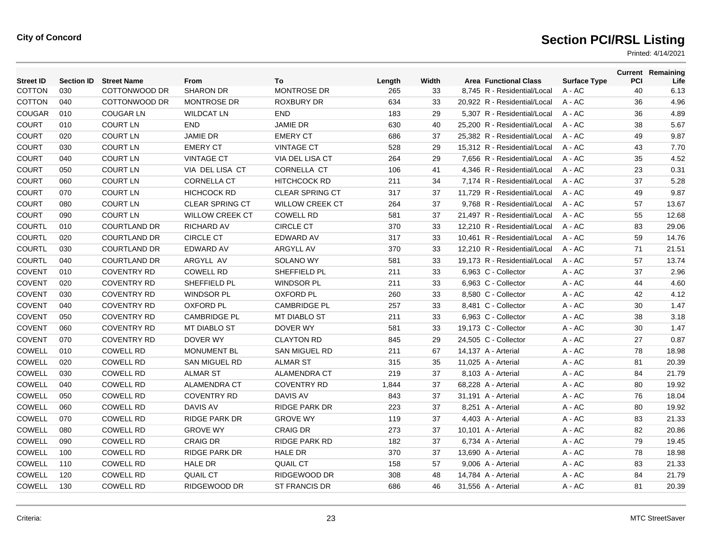| <b>Street ID</b> | <b>Section ID</b> | <b>Street Name</b>  | From                   | To                     | Length | Width | <b>Area Functional Class</b> | <b>Surface Type</b> | PCI | <b>Current Remaining</b><br>Life |
|------------------|-------------------|---------------------|------------------------|------------------------|--------|-------|------------------------------|---------------------|-----|----------------------------------|
| <b>COTTON</b>    | 030               | COTTONWOOD DR       | <b>SHARON DR</b>       | <b>MONTROSE DR</b>     | 265    | 33    | 8,745 R - Residential/Local  | A - AC              | 40  | 6.13                             |
| <b>COTTON</b>    | 040               | COTTONWOOD DR       | <b>MONTROSE DR</b>     | <b>ROXBURY DR</b>      | 634    | 33    | 20,922 R - Residential/Local | A - AC              | 36  | 4.96                             |
| <b>COUGAR</b>    | 010               | <b>COUGAR LN</b>    | <b>WILDCAT LN</b>      | <b>END</b>             | 183    | 29    | 5.307 R - Residential/Local  | $A - AC$            | 36  | 4.89                             |
| <b>COURT</b>     | 010               | <b>COURT LN</b>     | <b>END</b>             | <b>JAMIE DR</b>        | 630    | 40    | 25.200 R - Residential/Local | $A - AC$            | 38  | 5.67                             |
| <b>COURT</b>     | 020               | <b>COURT LN</b>     | <b>JAMIE DR</b>        | <b>EMERY CT</b>        | 686    | 37    | 25,382 R - Residential/Local | A - AC              | 49  | 9.87                             |
| <b>COURT</b>     | 030               | <b>COURT LN</b>     | <b>EMERY CT</b>        | <b>VINTAGE CT</b>      | 528    | 29    | 15,312 R - Residential/Local | $A - AC$            | 43  | 7.70                             |
| <b>COURT</b>     | 040               | <b>COURT LN</b>     | <b>VINTAGE CT</b>      | VIA DEL LISA CT        | 264    | 29    | 7.656 R - Residential/Local  | $A - AC$            | 35  | 4.52                             |
| <b>COURT</b>     | 050               | <b>COURT LN</b>     | VIA DEL LISA CT        | <b>CORNELLA CT</b>     | 106    | 41    | 4,346 R - Residential/Local  | A - AC              | 23  | 0.31                             |
| <b>COURT</b>     | 060               | <b>COURT LN</b>     | <b>CORNELLA CT</b>     | <b>HITCHCOCK RD</b>    | 211    | 34    | 7,174 R - Residential/Local  | A - AC              | 37  | 5.28                             |
| <b>COURT</b>     | 070               | <b>COURT LN</b>     | <b>HICHCOCK RD</b>     | <b>CLEAR SPRING CT</b> | 317    | 37    | 11,729 R - Residential/Local | A - AC              | 49  | 9.87                             |
| <b>COURT</b>     | 080               | <b>COURT LN</b>     | <b>CLEAR SPRING CT</b> | <b>WILLOW CREEK CT</b> | 264    | 37    | 9,768 R - Residential/Local  | A - AC              | 57  | 13.67                            |
| <b>COURT</b>     | 090               | <b>COURT LN</b>     | <b>WILLOW CREEK CT</b> | <b>COWELL RD</b>       | 581    | 37    | 21,497 R - Residential/Local | A - AC              | 55  | 12.68                            |
| <b>COURTL</b>    | 010               | <b>COURTLAND DR</b> | <b>RICHARD AV</b>      | <b>CIRCLE CT</b>       | 370    | 33    | 12,210 R - Residential/Local | A - AC              | 83  | 29.06                            |
| <b>COURTL</b>    | 020               | <b>COURTLAND DR</b> | <b>CIRCLE CT</b>       | <b>EDWARD AV</b>       | 317    | 33    | 10,461 R - Residential/Local | A - AC              | 59  | 14.76                            |
| <b>COURTL</b>    | 030               | <b>COURTLAND DR</b> | <b>EDWARD AV</b>       | <b>ARGYLL AV</b>       | 370    | 33    | 12.210 R - Residential/Local | $A - AC$            | 71  | 21.51                            |
| <b>COURTL</b>    | 040               | <b>COURTLAND DR</b> | ARGYLL AV              | SOLANO WY              | 581    | 33    | 19,173 R - Residential/Local | A - AC              | 57  | 13.74                            |
| <b>COVENT</b>    | 010               | <b>COVENTRY RD</b>  | <b>COWELL RD</b>       | SHEFFIELD PL           | 211    | 33    | 6,963 C - Collector          | A - AC              | 37  | 2.96                             |
| <b>COVENT</b>    | 020               | <b>COVENTRY RD</b>  | SHEFFIELD PL           | <b>WINDSOR PL</b>      | 211    | 33    | 6.963 C - Collector          | A - AC              | 44  | 4.60                             |
| COVENT           | 030               | <b>COVENTRY RD</b>  | <b>WINDSOR PL</b>      | <b>OXFORD PL</b>       | 260    | 33    | 8,580 C - Collector          | $A - AC$            | 42  | 4.12                             |
| <b>COVENT</b>    | 040               | <b>COVENTRY RD</b>  | <b>OXFORD PL</b>       | <b>CAMBRIDGE PL</b>    | 257    | 33    | 8,481 C - Collector          | A - AC              | 30  | 1.47                             |
| <b>COVENT</b>    | 050               | <b>COVENTRY RD</b>  | <b>CAMBRIDGE PL</b>    | <b>MT DIABLO ST</b>    | 211    | 33    | 6.963 C - Collector          | $A - AC$            | 38  | 3.18                             |
| <b>COVENT</b>    | 060               | <b>COVENTRY RD</b>  | <b>MT DIABLO ST</b>    | <b>DOVER WY</b>        | 581    | 33    | 19.173 C - Collector         | $A - AC$            | 30  | 1.47                             |
| <b>COVENT</b>    | 070               | <b>COVENTRY RD</b>  | DOVER WY               | <b>CLAYTON RD</b>      | 845    | 29    | 24,505 C - Collector         | $A - AC$            | 27  | 0.87                             |
| COWELL           | 010               | <b>COWELL RD</b>    | <b>MONUMENT BL</b>     | <b>SAN MIGUEL RD</b>   | 211    | 67    | 14,137 A - Arterial          | A - AC              | 78  | 18.98                            |
| COWELL           | 020               | <b>COWELL RD</b>    | <b>SAN MIGUEL RD</b>   | <b>ALMAR ST</b>        | 315    | 35    | 11,025 A - Arterial          | A - AC              | 81  | 20.39                            |
| COWELL           | 030               | <b>COWELL RD</b>    | <b>ALMAR ST</b>        | <b>ALAMENDRA CT</b>    | 219    | 37    | 8,103 A - Arterial           | A - AC              | 84  | 21.79                            |
| COWELL           | 040               | <b>COWELL RD</b>    | <b>ALAMENDRA CT</b>    | <b>COVENTRY RD</b>     | 1,844  | 37    | 68,228 A - Arterial          | A - AC              | 80  | 19.92                            |
| COWELL           | 050               | <b>COWELL RD</b>    | <b>COVENTRY RD</b>     | <b>DAVIS AV</b>        | 843    | 37    | 31,191 A - Arterial          | A - AC              | 76  | 18.04                            |
| COWELL           | 060               | <b>COWELL RD</b>    | <b>DAVIS AV</b>        | RIDGE PARK DR          | 223    | 37    | 8,251 A - Arterial           | A - AC              | 80  | 19.92                            |
| COWELL           | 070               | <b>COWELL RD</b>    | <b>RIDGE PARK DR</b>   | <b>GROVE WY</b>        | 119    | 37    | 4,403 A - Arterial           | A - AC              | 83  | 21.33                            |
| COWELL           | 080               | <b>COWELL RD</b>    | <b>GROVE WY</b>        | <b>CRAIG DR</b>        | 273    | 37    | 10,101 A - Arterial          | $A - AC$            | 82  | 20.86                            |
| COWELL           | 090               | <b>COWELL RD</b>    | <b>CRAIG DR</b>        | <b>RIDGE PARK RD</b>   | 182    | 37    | 6,734 A - Arterial           | A - AC              | 79  | 19.45                            |
| <b>COWELL</b>    | 100               | <b>COWELL RD</b>    | <b>RIDGE PARK DR</b>   | <b>HALE DR</b>         | 370    | 37    | 13.690 A - Arterial          | A - AC              | 78  | 18.98                            |
| <b>COWELL</b>    | 110               | <b>COWELL RD</b>    | <b>HALE DR</b>         | <b>QUAIL CT</b>        | 158    | 57    | 9,006 A - Arterial           | $A - AC$            | 83  | 21.33                            |
| COWELL           | 120               | <b>COWELL RD</b>    | <b>QUAIL CT</b>        | RIDGEWOOD DR           | 308    | 48    | 14,784 A - Arterial          | A - AC              | 84  | 21.79                            |
| COWELL           | 130               | <b>COWELL RD</b>    | RIDGEWOOD DR           | <b>ST FRANCIS DR</b>   | 686    | 46    | 31,556 A - Arterial          | $A - AC$            | 81  | 20.39                            |
|                  |                   |                     |                        |                        |        |       |                              |                     |     |                                  |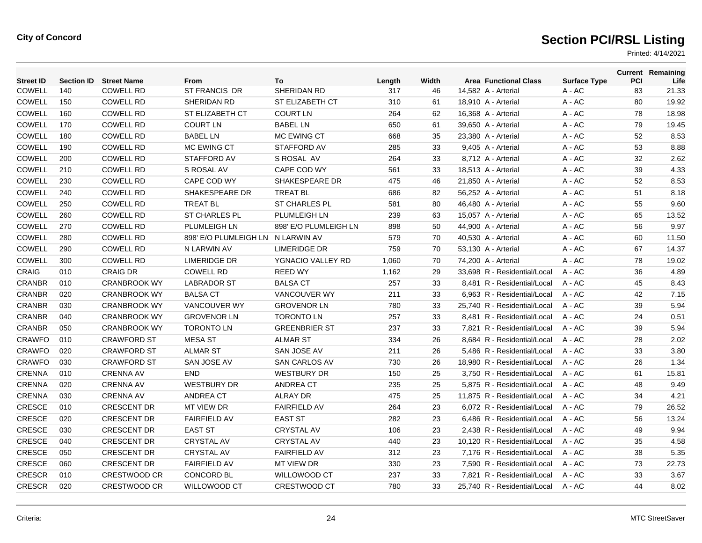| <b>Street ID</b> | <b>Section ID</b> | <b>Street Name</b>  | From                              | To                    | Length | Width | <b>Area Functional Class</b> | <b>Surface Type</b> | PCI | <b>Current Remaining</b><br>Life |
|------------------|-------------------|---------------------|-----------------------------------|-----------------------|--------|-------|------------------------------|---------------------|-----|----------------------------------|
| <b>COWELL</b>    | 140               | <b>COWELL RD</b>    | ST FRANCIS DR                     | SHERIDAN RD           | 317    | 46    | 14,582 A - Arterial          | A - AC              | 83  | 21.33                            |
| <b>COWELL</b>    | 150               | <b>COWELL RD</b>    | SHERIDAN RD                       | ST ELIZABETH CT       | 310    | 61    | 18,910 A - Arterial          | A - AC              | 80  | 19.92                            |
| <b>COWELL</b>    | 160               | <b>COWELL RD</b>    | <b>ST ELIZABETH CT</b>            | <b>COURT LN</b>       | 264    | 62    | 16,368 A - Arterial          | A - AC              | 78  | 18.98                            |
| <b>COWELL</b>    | 170               | <b>COWELL RD</b>    | <b>COURT LN</b>                   | <b>BABEL LN</b>       | 650    | 61    | 39,650 A - Arterial          | A - AC              | 79  | 19.45                            |
| COWELL           | 180               | <b>COWELL RD</b>    | <b>BABEL LN</b>                   | MC EWING CT           | 668    | 35    | 23,380 A - Arterial          | A - AC              | 52  | 8.53                             |
| <b>COWELL</b>    | 190               | <b>COWELL RD</b>    | <b>MC EWING CT</b>                | STAFFORD AV           | 285    | 33    | 9,405 A - Arterial           | A - AC              | 53  | 8.88                             |
| <b>COWELL</b>    | 200               | <b>COWELL RD</b>    | <b>STAFFORD AV</b>                | S ROSAL AV            | 264    | 33    | 8,712 A - Arterial           | A - AC              | 32  | 2.62                             |
| COWELL           | 210               | <b>COWELL RD</b>    | S ROSAL AV                        | CAPE COD WY           | 561    | 33    | 18,513 A - Arterial          | $A - AC$            | 39  | 4.33                             |
| COWELL           | 230               | <b>COWELL RD</b>    | CAPE COD WY                       | SHAKESPEARE DR        | 475    | 46    | 21,850 A - Arterial          | A - AC              | 52  | 8.53                             |
| COWELL           | 240               | <b>COWELL RD</b>    | SHAKESPEARE DR                    | <b>TREAT BL</b>       | 686    | 82    | 56,252 A - Arterial          | A - AC              | 51  | 8.18                             |
| <b>COWELL</b>    | 250               | <b>COWELL RD</b>    | <b>TREAT BL</b>                   | ST CHARLES PL         | 581    | 80    | 46,480 A - Arterial          | $A - AC$            | 55  | 9.60                             |
| COWELL           | 260               | <b>COWELL RD</b>    | <b>ST CHARLES PL</b>              | <b>PLUMLEIGH LN</b>   | 239    | 63    | 15,057 A - Arterial          | A - AC              | 65  | 13.52                            |
| <b>COWELL</b>    | 270               | <b>COWELL RD</b>    | <b>PLUMLEIGH LN</b>               | 898' E/O PLUMLEIGH LN | 898    | 50    | 44,900 A - Arterial          | A - AC              | 56  | 9.97                             |
| <b>COWELL</b>    | 280               | <b>COWELL RD</b>    | 898' E/O PLUMLEIGH LN N LARWIN AV |                       | 579    | 70    | 40,530 A - Arterial          | A - AC              | 60  | 11.50                            |
| COWELL           | 290               | <b>COWELL RD</b>    | N LARWIN AV                       | <b>LIMERIDGE DR</b>   | 759    | 70    | 53,130 A - Arterial          | $A - AC$            | 67  | 14.37                            |
| COWELL           | 300               | <b>COWELL RD</b>    | <b>LIMERIDGE DR</b>               | YGNACIO VALLEY RD     | 1,060  | 70    | 74,200 A - Arterial          | A - AC              | 78  | 19.02                            |
| CRAIG            | 010               | <b>CRAIG DR</b>     | <b>COWELL RD</b>                  | <b>REED WY</b>        | 1,162  | 29    | 33,698 R - Residential/Local | A - AC              | 36  | 4.89                             |
| CRANBR           | 010               | <b>CRANBROOK WY</b> | <b>LABRADOR ST</b>                | <b>BALSA CT</b>       | 257    | 33    | 8.481 R - Residential/Local  | $A - AC$            | 45  | 8.43                             |
| <b>CRANBR</b>    | 020               | <b>CRANBROOK WY</b> | <b>BALSA CT</b>                   | VANCOUVER WY          | 211    | 33    | 6,963 R - Residential/Local  | A - AC              | 42  | 7.15                             |
| CRANBR           | 030               | <b>CRANBROOK WY</b> | VANCOUVER WY                      | <b>GROVENOR LN</b>    | 780    | 33    | 25,740 R - Residential/Local | $A - AC$            | 39  | 5.94                             |
| CRANBR           | 040               | <b>CRANBROOK WY</b> | <b>GROVENOR LN</b>                | <b>TORONTO LN</b>     | 257    | 33    | 8,481 R - Residential/Local  | $A - AC$            | 24  | 0.51                             |
| CRANBR           | 050               | <b>CRANBROOK WY</b> | <b>TORONTO LN</b>                 | <b>GREENBRIER ST</b>  | 237    | 33    | 7,821 R - Residential/Local  | A - AC              | 39  | 5.94                             |
| <b>CRAWFO</b>    | 010               | <b>CRAWFORD ST</b>  | <b>MESA ST</b>                    | <b>ALMAR ST</b>       | 334    | 26    | 8,684 R - Residential/Local  | A - AC              | 28  | 2.02                             |
| <b>CRAWFO</b>    | 020               | <b>CRAWFORD ST</b>  | <b>ALMAR ST</b>                   | <b>SAN JOSE AV</b>    | 211    | 26    | 5,486 R - Residential/Local  | A - AC              | 33  | 3.80                             |
| <b>CRAWFO</b>    | 030               | <b>CRAWFORD ST</b>  | SAN JOSE AV                       | <b>SAN CARLOS AV</b>  | 730    | 26    | 18.980 R - Residential/Local | $A - AC$            | 26  | 1.34                             |
| <b>CRENNA</b>    | 010               | <b>CRENNA AV</b>    | <b>END</b>                        | <b>WESTBURY DR</b>    | 150    | 25    | 3,750 R - Residential/Local  | A - AC              | 61  | 15.81                            |
| CRENNA           | 020               | <b>CRENNA AV</b>    | <b>WESTBURY DR</b>                | <b>ANDREA CT</b>      | 235    | 25    | 5,875 R - Residential/Local  | $A - AC$            | 48  | 9.49                             |
| <b>CRENNA</b>    | 030               | <b>CRENNA AV</b>    | ANDREA CT                         | <b>ALRAY DR</b>       | 475    | 25    | 11,875 R - Residential/Local | $A - AC$            | 34  | 4.21                             |
| <b>CRESCE</b>    | 010               | <b>CRESCENT DR</b>  | MT VIEW DR                        | <b>FAIRFIELD AV</b>   | 264    | 23    | 6.072 R - Residential/Local  | $A - AC$            | 79  | 26.52                            |
| CRESCE           | 020               | <b>CRESCENT DR</b>  | <b>FAIRFIELD AV</b>               | <b>EAST ST</b>        | 282    | 23    | 6,486 R - Residential/Local  | A - AC              | 56  | 13.24                            |
| CRESCE           | 030               | <b>CRESCENT DR</b>  | <b>EAST ST</b>                    | <b>CRYSTAL AV</b>     | 106    | 23    | 2,438 R - Residential/Local  | A - AC              | 49  | 9.94                             |
| CRESCE           | 040               | <b>CRESCENT DR</b>  | <b>CRYSTAL AV</b>                 | <b>CRYSTAL AV</b>     | 440    | 23    | 10.120 R - Residential/Local | $A - AC$            | 35  | 4.58                             |
| CRESCE           | 050               | <b>CRESCENT DR</b>  | <b>CRYSTAL AV</b>                 | <b>FAIRFIELD AV</b>   | 312    | 23    | 7,176 R - Residential/Local  | $A - AC$            | 38  | 5.35                             |
| CRESCE           | 060               | <b>CRESCENT DR</b>  | <b>FAIRFIELD AV</b>               | <b>MT VIEW DR</b>     | 330    | 23    | 7,590 R - Residential/Local  | A - AC              | 73  | 22.73                            |
| <b>CRESCR</b>    | 010               | <b>CRESTWOOD CR</b> | <b>CONCORD BL</b>                 | <b>WILLOWOOD CT</b>   | 237    | 33    | 7.821 R - Residential/Local  | A - AC              | 33  | 3.67                             |
| <b>CRESCR</b>    | 020               | <b>CRESTWOOD CR</b> | <b>WILLOWOOD CT</b>               | <b>CRESTWOOD CT</b>   | 780    | 33    | 25.740 R - Residential/Local | $A - AC$            | 44  | 8.02                             |
|                  |                   |                     |                                   |                       |        |       |                              |                     |     |                                  |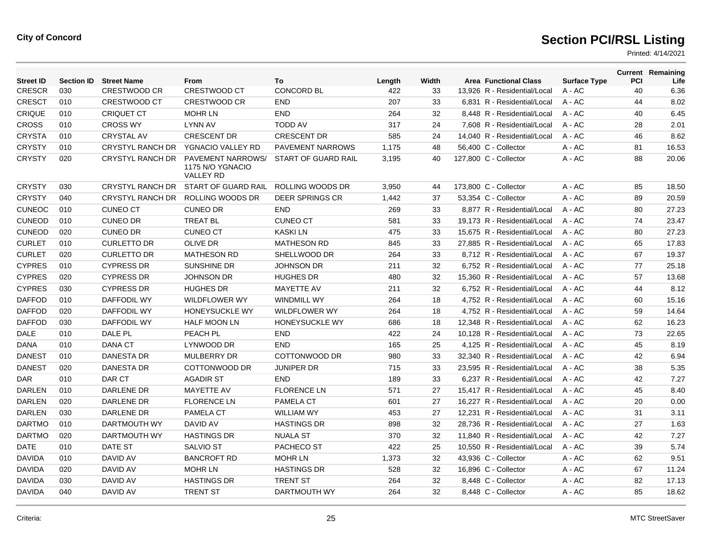| <b>Street ID</b> | <b>Section ID</b> | <b>Street Name</b>      | From                                                             | To                      | Length | Width |                       | <b>Area Functional Class</b> | <b>Surface Type</b> | <b>PCI</b> | <b>Current Remaining</b><br>Life |
|------------------|-------------------|-------------------------|------------------------------------------------------------------|-------------------------|--------|-------|-----------------------|------------------------------|---------------------|------------|----------------------------------|
| <b>CRESCR</b>    | 030               | <b>CRESTWOOD CR</b>     | <b>CRESTWOOD CT</b>                                              | <b>CONCORD BL</b>       | 422    | 33    |                       | 13.926 R - Residential/Local | $A - AC$            | 40         | 6.36                             |
| <b>CRESCT</b>    | 010               | CRESTWOOD CT            | <b>CRESTWOOD CR</b>                                              | <b>END</b>              | 207    | 33    |                       | 6,831 R - Residential/Local  | A - AC              | 44         | 8.02                             |
| <b>CRIQUE</b>    | 010               | <b>CRIQUET CT</b>       | <b>MOHR LN</b>                                                   | <b>END</b>              | 264    | 32    |                       | 8,448 R - Residential/Local  | A - AC              | 40         | 6.45                             |
| <b>CROSS</b>     | 010               | <b>CROSS WY</b>         | <b>LYNN AV</b>                                                   | <b>TODD AV</b>          | 317    | 24    |                       | 7.608 R - Residential/Local  | A - AC              | 28         | 2.01                             |
| <b>CRYSTA</b>    | 010               | <b>CRYSTAL AV</b>       | <b>CRESCENT DR</b>                                               | <b>CRESCENT DR</b>      | 585    | 24    |                       | 14,040 R - Residential/Local | $A - AC$            | 46         | 8.62                             |
| <b>CRYSTY</b>    | 010               | <b>CRYSTYL RANCH DR</b> | YGNACIO VALLEY RD                                                | <b>PAVEMENT NARROWS</b> | 1.175  | 48    |                       | 56.400 C - Collector         | $A - AC$            | 81         | 16.53                            |
| <b>CRYSTY</b>    | 020               | <b>CRYSTYL RANCH DR</b> | <b>PAVEMENT NARROWS/</b><br>1175 N/O YGNACIO<br><b>VALLEY RD</b> | START OF GUARD RAIL     | 3,195  | 40    | 127,800 C - Collector |                              | A - AC              | 88         | 20.06                            |
| <b>CRYSTY</b>    | 030               | CRYSTYL RANCH DR        | START OF GUARD RAIL                                              | ROLLING WOODS DR        | 3,950  | 44    | 173,800 C - Collector |                              | A - AC              | 85         | 18.50                            |
| <b>CRYSTY</b>    | 040               | <b>CRYSTYL RANCH DR</b> | <b>ROLLING WOODS DR</b>                                          | <b>DEER SPRINGS CR</b>  | 1,442  | 37    |                       | 53.354 C - Collector         | A - AC              | 89         | 20.59                            |
| <b>CUNEOC</b>    | 010               | <b>CUNEO CT</b>         | <b>CUNEO DR</b>                                                  | <b>END</b>              | 269    | 33    |                       | 8,877 R - Residential/Local  | A - AC              | 80         | 27.23                            |
| <b>CUNEOD</b>    | 010               | <b>CUNEO DR</b>         | <b>TREAT BL</b>                                                  | <b>CUNEO CT</b>         | 581    | 33    |                       | 19.173 R - Residential/Local | $A - AC$            | 74         | 23.47                            |
| <b>CUNEOD</b>    | 020               | <b>CUNEO DR</b>         | <b>CUNEO CT</b>                                                  | <b>KASKILN</b>          | 475    | 33    |                       | 15.675 R - Residential/Local | $A - AC$            | 80         | 27.23                            |
| <b>CURLET</b>    | 010               | <b>CURLETTO DR</b>      | <b>OLIVE DR</b>                                                  | <b>MATHESON RD</b>      | 845    | 33    |                       | 27,885 R - Residential/Local | $A - AC$            | 65         | 17.83                            |
| <b>CURLET</b>    | 020               | <b>CURLETTO DR</b>      | <b>MATHESON RD</b>                                               | SHELLWOOD DR            | 264    | 33    |                       | 8,712 R - Residential/Local  | $A - AC$            | 67         | 19.37                            |
| <b>CYPRES</b>    | 010               | <b>CYPRESS DR</b>       | SUNSHINE DR                                                      | <b>JOHNSON DR</b>       | 211    | 32    |                       | 6,752 R - Residential/Local  | A - AC              | 77         | 25.18                            |
| <b>CYPRES</b>    | 020               | <b>CYPRESS DR</b>       | <b>JOHNSON DR</b>                                                | <b>HUGHES DR</b>        | 480    | 32    |                       | 15,360 R - Residential/Local | A - AC              | 57         | 13.68                            |
| <b>CYPRES</b>    | 030               | <b>CYPRESS DR</b>       | <b>HUGHES DR</b>                                                 | <b>MAYETTE AV</b>       | 211    | 32    |                       | 6.752 R - Residential/Local  | $A - AC$            | 44         | 8.12                             |
| <b>DAFFOD</b>    | 010               | <b>DAFFODIL WY</b>      | <b>WILDFLOWER WY</b>                                             | <b>WINDMILL WY</b>      | 264    | 18    |                       | 4,752 R - Residential/Local  | $A - AC$            | 60         | 15.16                            |
| <b>DAFFOD</b>    | 020               | <b>DAFFODIL WY</b>      | <b>HONEYSUCKLE WY</b>                                            | <b>WILDFLOWER WY</b>    | 264    | 18    |                       | 4.752 R - Residential/Local  | $A - AC$            | 59         | 14.64                            |
| <b>DAFFOD</b>    | 030               | <b>DAFFODIL WY</b>      | <b>HALF MOON LN</b>                                              | HONEYSUCKLE WY          | 686    | 18    |                       | 12,348 R - Residential/Local | A - AC              | 62         | 16.23                            |
| <b>DALE</b>      | 010               | DALE PL                 | PEACH PL                                                         | <b>END</b>              | 422    | 24    |                       | 10,128 R - Residential/Local | A - AC              | 73         | 22.65                            |
| DANA             | 010               | <b>DANA CT</b>          | LYNWOOD DR                                                       | <b>END</b>              | 165    | 25    |                       | 4,125 R - Residential/Local  | A - AC              | 45         | 8.19                             |
| <b>DANEST</b>    | 010               | <b>DANESTA DR</b>       | <b>MULBERRY DR</b>                                               | COTTONWOOD DR           | 980    | 33    |                       | 32,340 R - Residential/Local | A - AC              | 42         | 6.94                             |
| <b>DANEST</b>    | 020               | <b>DANESTA DR</b>       | COTTONWOOD DR                                                    | <b>JUNIPER DR</b>       | 715    | 33    |                       | 23.595 R - Residential/Local | $A - AC$            | 38         | 5.35                             |
| <b>DAR</b>       | 010               | DAR CT                  | <b>AGADIR ST</b>                                                 | <b>END</b>              | 189    | 33    |                       | 6.237 R - Residential/Local  | $A - AC$            | 42         | 7.27                             |
| <b>DARLEN</b>    | 010               | DARLENE DR              | MAYETTE AV                                                       | <b>FLORENCE LN</b>      | 571    | 27    |                       | 15,417 R - Residential/Local | A - AC              | 45         | 8.40                             |
| <b>DARLEN</b>    | 020               | DARLENE DR              | <b>FLORENCE LN</b>                                               | <b>PAMELA CT</b>        | 601    | 27    |                       | 16,227 R - Residential/Local | $A - AC$            | 20         | 0.00                             |
| DARLEN           | 030               | DARLENE DR              | <b>PAMELA CT</b>                                                 | <b>WILLIAM WY</b>       | 453    | 27    |                       | 12,231 R - Residential/Local | A - AC              | 31         | 3.11                             |
| <b>DARTMO</b>    | 010               | DARTMOUTH WY            | DAVID AV                                                         | <b>HASTINGS DR</b>      | 898    | 32    |                       | 28,736 R - Residential/Local | A - AC              | 27         | 1.63                             |
| <b>DARTMO</b>    | 020               | DARTMOUTH WY            | <b>HASTINGS DR</b>                                               | <b>NUALA ST</b>         | 370    | 32    |                       | 11.840 R - Residential/Local | A - AC              | 42         | 7.27                             |
| <b>DATE</b>      | 010               | DATE ST                 | <b>SALVIO ST</b>                                                 | PACHECO ST              | 422    | 25    |                       | 10,550 R - Residential/Local | A - AC              | 39         | 5.74                             |
| <b>DAVIDA</b>    | 010               | DAVID AV                | <b>BANCROFT RD</b>                                               | <b>MOHR LN</b>          | 1,373  | 32    |                       | 43.936 C - Collector         | $A - AC$            | 62         | 9.51                             |
| <b>DAVIDA</b>    | 020               | DAVID AV                | <b>MOHR LN</b>                                                   | <b>HASTINGS DR</b>      | 528    | 32    |                       | 16,896 C - Collector         | A - AC              | 67         | 11.24                            |
| <b>DAVIDA</b>    | 030               | DAVID AV                | <b>HASTINGS DR</b>                                               | <b>TRENT ST</b>         | 264    | 32    |                       | 8,448 C - Collector          | A - AC              | 82         | 17.13                            |
| <b>DAVIDA</b>    | 040               | DAVID AV                | <b>TRENT ST</b>                                                  | DARTMOUTH WY            | 264    | 32    |                       | 8,448 C - Collector          | A - AC              | 85         | 18.62                            |
|                  |                   |                         |                                                                  |                         |        |       |                       |                              |                     |            |                                  |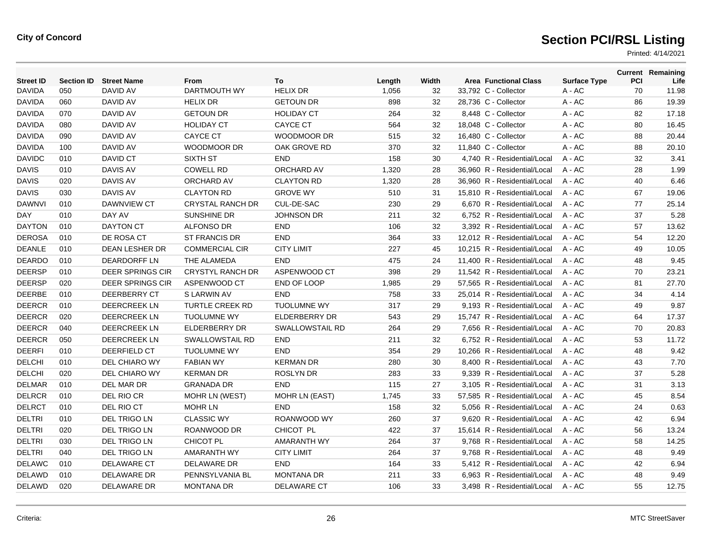| <b>Street ID</b> | <b>Section ID</b> | <b>Street Name</b>      | From                    | To                     | Length | Width | <b>Area Functional Class</b> | <b>Surface Type</b> | PCI | <b>Current Remaining</b><br>Life |
|------------------|-------------------|-------------------------|-------------------------|------------------------|--------|-------|------------------------------|---------------------|-----|----------------------------------|
| <b>DAVIDA</b>    | 050               | DAVID AV                | DARTMOUTH WY            | <b>HELIX DR</b>        | 1,056  | 32    | 33,792 C - Collector         | A - AC              | 70  | 11.98                            |
| <b>DAVIDA</b>    | 060               | DAVID AV                | <b>HELIX DR</b>         | <b>GETOUN DR</b>       | 898    | 32    | 28,736 C - Collector         | A - AC              | 86  | 19.39                            |
| <b>DAVIDA</b>    | 070               | DAVID AV                | <b>GETOUN DR</b>        | <b>HOLIDAY CT</b>      | 264    | 32    | 8,448 C - Collector          | A - AC              | 82  | 17.18                            |
| <b>DAVIDA</b>    | 080               | DAVID AV                | <b>HOLIDAY CT</b>       | <b>CAYCE CT</b>        | 564    | 32    | 18.048 C - Collector         | A - AC              | 80  | 16.45                            |
| <b>DAVIDA</b>    | 090               | DAVID AV                | <b>CAYCE CT</b>         | <b>WOODMOOR DR</b>     | 515    | 32    | 16,480 C - Collector         | A - AC              | 88  | 20.44                            |
| <b>DAVIDA</b>    | 100               | DAVID AV                | WOODMOOR DR             | OAK GROVE RD           | 370    | 32    | 11,840 C - Collector         | A - AC              | 88  | 20.10                            |
| <b>DAVIDC</b>    | 010               | DAVID CT                | <b>SIXTH ST</b>         | <b>END</b>             | 158    | 30    | 4.740 R - Residential/Local  | A - AC              | 32  | 3.41                             |
| <b>DAVIS</b>     | 010               | <b>DAVIS AV</b>         | <b>COWELL RD</b>        | ORCHARD AV             | 1,320  | 28    | 36.960 R - Residential/Local | $A - AC$            | 28  | 1.99                             |
| <b>DAVIS</b>     | 020               | <b>DAVIS AV</b>         | ORCHARD AV              | <b>CLAYTON RD</b>      | 1,320  | 28    | 36,960 R - Residential/Local | $A - AC$            | 40  | 6.46                             |
| <b>DAVIS</b>     | 030               | DAVIS AV                | <b>CLAYTON RD</b>       | <b>GROVE WY</b>        | 510    | 31    | 15,810 R - Residential/Local | A - AC              | 67  | 19.06                            |
| <b>DAWNVI</b>    | 010               | <b>DAWNVIEW CT</b>      | <b>CRYSTAL RANCH DR</b> | CUL-DE-SAC             | 230    | 29    | 6.670 R - Residential/Local  | $A - AC$            | 77  | 25.14                            |
| <b>DAY</b>       | 010               | DAY AV                  | <b>SUNSHINE DR</b>      | <b>JOHNSON DR</b>      | 211    | 32    | 6.752 R - Residential/Local  | $A - AC$            | 37  | 5.28                             |
| <b>DAYTON</b>    | 010               | <b>DAYTON CT</b>        | <b>ALFONSO DR</b>       | <b>END</b>             | 106    | 32    | 3,392 R - Residential/Local  | $A - AC$            | 57  | 13.62                            |
| <b>DEROSA</b>    | 010               | DE ROSA CT              | <b>ST FRANCIS DR</b>    | <b>END</b>             | 364    | 33    | 12,012 R - Residential/Local | A - AC              | 54  | 12.20                            |
| <b>DEANLE</b>    | 010               | DEAN LESHER DR          | <b>COMMERCIAL CIR</b>   | <b>CITY LIMIT</b>      | 227    | 45    | 10,215 R - Residential/Local | A - AC              | 49  | 10.05                            |
| <b>DEARDO</b>    | 010               | <b>DEARDORFF LN</b>     | THE ALAMEDA             | <b>END</b>             | 475    | 24    | 11,400 R - Residential/Local | $A - AC$            | 48  | 9.45                             |
| <b>DEERSP</b>    | 010               | <b>DEER SPRINGS CIR</b> | <b>CRYSTYL RANCH DR</b> | ASPENWOOD CT           | 398    | 29    | 11,542 R - Residential/Local | $A - AC$            | 70  | 23.21                            |
| <b>DEERSP</b>    | 020               | <b>DEER SPRINGS CIR</b> | ASPENWOOD CT            | END OF LOOP            | 1,985  | 29    | 57,565 R - Residential/Local | A - AC              | 81  | 27.70                            |
| <b>DEERBE</b>    | 010               | DEERBERRY CT            | S LARWIN AV             | <b>END</b>             | 758    | 33    | 25,014 R - Residential/Local | A - AC              | 34  | 4.14                             |
| <b>DEERCR</b>    | 010               | <b>DEERCREEK LN</b>     | <b>TURTLE CREEK RD</b>  | <b>TUOLUMNE WY</b>     | 317    | 29    | 9.193 R - Residential/Local  | $A - AC$            | 49  | 9.87                             |
| <b>DEERCR</b>    | 020               | <b>DEERCREEK LN</b>     | <b>TUOLUMNE WY</b>      | <b>ELDERBERRY DR</b>   | 543    | 29    | 15,747 R - Residential/Local | $A - AC$            | 64  | 17.37                            |
| <b>DEERCR</b>    | 040               | <b>DEERCREEK LN</b>     | <b>ELDERBERRY DR</b>    | <b>SWALLOWSTAIL RD</b> | 264    | 29    | 7,656 R - Residential/Local  | A - AC              | 70  | 20.83                            |
| <b>DEERCR</b>    | 050               | <b>DEERCREEK LN</b>     | <b>SWALLOWSTAIL RD</b>  | <b>END</b>             | 211    | 32    | 6,752 R - Residential/Local  | $A - AC$            | 53  | 11.72                            |
| <b>DEERFI</b>    | 010               | DEERFIELD CT            | <b>TUOLUMNE WY</b>      | <b>END</b>             | 354    | 29    | 10.266 R - Residential/Local | $A - AC$            | 48  | 9.42                             |
| <b>DELCHI</b>    | 010               | DEL CHIARO WY           | <b>FABIAN WY</b>        | <b>KERMAN DR</b>       | 280    | 30    | 8,400 R - Residential/Local  | $A - AC$            | 43  | 7.70                             |
| <b>DELCHI</b>    | 020               | DEL CHIARO WY           | <b>KERMAN DR</b>        | <b>ROSLYN DR</b>       | 283    | 33    | 9.339 R - Residential/Local  | $A - AC$            | 37  | 5.28                             |
| <b>DELMAR</b>    | 010               | DEL MAR DR              | <b>GRANADA DR</b>       | <b>END</b>             | 115    | 27    | 3.105 R - Residential/Local  | $A - AC$            | 31  | 3.13                             |
| <b>DELRCR</b>    | 010               | <b>DEL RIO CR</b>       | <b>MOHR LN (WEST)</b>   | <b>MOHR LN (EAST)</b>  | 1,745  | 33    | 57.585 R - Residential/Local | $A - AC$            | 45  | 8.54                             |
| <b>DELRCT</b>    | 010               | DEL RIO CT              | <b>MOHR LN</b>          | <b>END</b>             | 158    | 32    | 5,056 R - Residential/Local  | A - AC              | 24  | 0.63                             |
| <b>DELTRI</b>    | 010               | DEL TRIGO LN            | <b>CLASSIC WY</b>       | ROANWOOD WY            | 260    | 37    | 9,620 R - Residential/Local  | A - AC              | 42  | 6.94                             |
| <b>DELTRI</b>    | 020               | DEL TRIGO LN            | ROANWOOD DR             | CHICOT PL              | 422    | 37    | 15,614 R - Residential/Local | A - AC              | 56  | 13.24                            |
| <b>DELTRI</b>    | 030               | <b>DEL TRIGO LN</b>     | <b>CHICOT PL</b>        | <b>AMARANTH WY</b>     | 264    | 37    | 9.768 R - Residential/Local  | $A - AC$            | 58  | 14.25                            |
| <b>DELTRI</b>    | 040               | DEL TRIGO LN            | <b>AMARANTH WY</b>      | <b>CITY LIMIT</b>      | 264    | 37    | 9,768 R - Residential/Local  | A - AC              | 48  | 9.49                             |
| <b>DELAWC</b>    | 010               | <b>DELAWARE CT</b>      | DELAWARE DR             | <b>END</b>             | 164    | 33    | 5,412 R - Residential/Local  | $A - AC$            | 42  | 6.94                             |
| <b>DELAWD</b>    | 010               | DELAWARE DR             | PENNSYLVANIA BL         | <b>MONTANA DR</b>      | 211    | 33    | 6,963 R - Residential/Local  | A - AC              | 48  | 9.49                             |
| <b>DELAWD</b>    | 020               | DELAWARE DR             | <b>MONTANA DR</b>       | <b>DELAWARE CT</b>     | 106    | 33    | 3,498 R - Residential/Local  | $A - AC$            | 55  | 12.75                            |
|                  |                   |                         |                         |                        |        |       |                              |                     |     |                                  |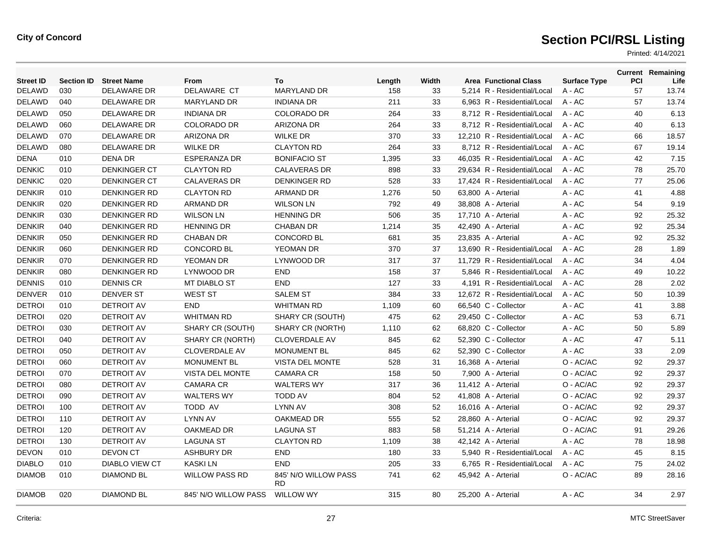| <b>Street ID</b> | <b>Section ID</b> | <b>Street Name</b>    | From                   | To                                | Length | Width | <b>Area Functional Class</b> | <b>Surface Type</b> | <b>PCI</b> | <b>Current Remaining</b><br>Life |
|------------------|-------------------|-----------------------|------------------------|-----------------------------------|--------|-------|------------------------------|---------------------|------------|----------------------------------|
| <b>DELAWD</b>    | 030               | DELAWARE DR           | DELAWARE CT            | <b>MARYLAND DR</b>                | 158    | 33    | 5,214 R - Residential/Local  | A - AC              | 57         | 13.74                            |
| <b>DELAWD</b>    | 040               | DELAWARE DR           | MARYLAND DR            | <b>INDIANA DR</b>                 | 211    | 33    | 6,963 R - Residential/Local  | A - AC              | 57         | 13.74                            |
| <b>DELAWD</b>    | 050               | DELAWARE DR           | <b>INDIANA DR</b>      | <b>COLORADO DR</b>                | 264    | 33    | 8,712 R - Residential/Local  | $A - AC$            | 40         | 6.13                             |
| <b>DELAWD</b>    | 060               | DELAWARE DR           | <b>COLORADO DR</b>     | <b>ARIZONA DR</b>                 | 264    | 33    | 8,712 R - Residential/Local  | $A - AC$            | 40         | 6.13                             |
| <b>DELAWD</b>    | 070               | DELAWARE DR           | <b>ARIZONA DR</b>      | <b>WILKE DR</b>                   | 370    | 33    | 12,210 R - Residential/Local | $A - AC$            | 66         | 18.57                            |
| <b>DELAWD</b>    | 080               | <b>DELAWARE DR</b>    | <b>WILKE DR</b>        | <b>CLAYTON RD</b>                 | 264    | 33    | 8,712 R - Residential/Local  | $A - AC$            | 67         | 19.14                            |
| <b>DENA</b>      | 010               | <b>DENA DR</b>        | <b>ESPERANZA DR</b>    | <b>BONIFACIO ST</b>               | 1,395  | 33    | 46,035 R - Residential/Local | $A - AC$            | 42         | 7.15                             |
| <b>DENKIC</b>    | 010               | <b>DENKINGER CT</b>   | <b>CLAYTON RD</b>      | <b>CALAVERAS DR</b>               | 898    | 33    | 29,634 R - Residential/Local | $A - AC$            | 78         | 25.70                            |
| <b>DENKIC</b>    | 020               | <b>DENKINGER CT</b>   | <b>CALAVERAS DR</b>    | <b>DENKINGER RD</b>               | 528    | 33    | 17,424 R - Residential/Local | $A - AC$            | 77         | 25.06                            |
| <b>DENKIR</b>    | 010               | <b>DENKINGER RD</b>   | <b>CLAYTON RD</b>      | <b>ARMAND DR</b>                  | 1,276  | 50    | 63,800 A - Arterial          | A - AC              | 41         | 4.88                             |
| <b>DENKIR</b>    | 020               | <b>DENKINGER RD</b>   | <b>ARMAND DR</b>       | <b>WILSON LN</b>                  | 792    | 49    | 38,808 A - Arterial          | A - AC              | 54         | 9.19                             |
| <b>DENKIR</b>    | 030               | <b>DENKINGER RD</b>   | <b>WILSON LN</b>       | <b>HENNING DR</b>                 | 506    | 35    | 17,710 A - Arterial          | A - AC              | 92         | 25.32                            |
| <b>DENKIR</b>    | 040               | <b>DENKINGER RD</b>   | <b>HENNING DR</b>      | <b>CHABAN DR</b>                  | 1,214  | 35    | 42,490 A - Arterial          | A - AC              | 92         | 25.34                            |
| <b>DENKIR</b>    | 050               | <b>DENKINGER RD</b>   | <b>CHABAN DR</b>       | <b>CONCORD BL</b>                 | 681    | 35    | 23,835 A - Arterial          | $A - AC$            | 92         | 25.32                            |
| <b>DENKIR</b>    | 060               | <b>DENKINGER RD</b>   | <b>CONCORD BL</b>      | YEOMAN DR                         | 370    | 37    | 13,690 R - Residential/Local | $A - AC$            | 28         | 1.89                             |
| <b>DENKIR</b>    | 070               | <b>DENKINGER RD</b>   | YEOMAN DR              | LYNWOOD DR                        | 317    | 37    | 11,729 R - Residential/Local | $A - AC$            | 34         | 4.04                             |
| <b>DENKIR</b>    | 080               | <b>DENKINGER RD</b>   | LYNWOOD DR             | <b>END</b>                        | 158    | 37    | 5,846 R - Residential/Local  | A - AC              | 49         | 10.22                            |
| <b>DENNIS</b>    | 010               | <b>DENNIS CR</b>      | <b>MT DIABLO ST</b>    | <b>END</b>                        | 127    | 33    | 4,191 R - Residential/Local  | $A - AC$            | 28         | 2.02                             |
| <b>DENVER</b>    | 010               | <b>DENVER ST</b>      | <b>WEST ST</b>         | <b>SALEM ST</b>                   | 384    | 33    | 12,672 R - Residential/Local | $A - AC$            | 50         | 10.39                            |
| <b>DETROI</b>    | 010               | <b>DETROIT AV</b>     | <b>END</b>             | <b>WHITMAN RD</b>                 | 1,109  | 60    | 66,540 C - Collector         | A - AC              | 41         | 3.88                             |
| <b>DETROI</b>    | 020               | <b>DETROIT AV</b>     | <b>WHITMAN RD</b>      | <b>SHARY CR (SOUTH)</b>           | 475    | 62    | 29,450 C - Collector         | A - AC              | 53         | 6.71                             |
| <b>DETROI</b>    | 030               | <b>DETROIT AV</b>     | SHARY CR (SOUTH)       | SHARY CR (NORTH)                  | 1,110  | 62    | 68,820 C - Collector         | A - AC              | 50         | 5.89                             |
| <b>DETROI</b>    | 040               | <b>DETROIT AV</b>     | SHARY CR (NORTH)       | <b>CLOVERDALE AV</b>              | 845    | 62    | 52,390 C - Collector         | A - AC              | 47         | 5.11                             |
| <b>DETROI</b>    | 050               | <b>DETROIT AV</b>     | <b>CLOVERDALE AV</b>   | <b>MONUMENT BL</b>                | 845    | 62    | 52,390 C - Collector         | A - AC              | 33         | 2.09                             |
| <b>DETROI</b>    | 060               | <b>DETROIT AV</b>     | <b>MONUMENT BL</b>     | VISTA DEL MONTE                   | 528    | 31    | 16,368 A - Arterial          | O - AC/AC           | 92         | 29.37                            |
| <b>DETROI</b>    | 070               | <b>DETROIT AV</b>     | <b>VISTA DEL MONTE</b> | <b>CAMARA CR</b>                  | 158    | 50    | 7,900 A - Arterial           | O - AC/AC           | 92         | 29.37                            |
| <b>DETROI</b>    | 080               | <b>DETROIT AV</b>     | <b>CAMARA CR</b>       | <b>WALTERS WY</b>                 | 317    | 36    | 11,412 A - Arterial          | O - AC/AC           | 92         | 29.37                            |
| <b>DETROI</b>    | 090               | <b>DETROIT AV</b>     | <b>WALTERS WY</b>      | <b>TODD AV</b>                    | 804    | 52    | 41,808 A - Arterial          | O - AC/AC           | 92         | 29.37                            |
| <b>DETROI</b>    | 100               | <b>DETROIT AV</b>     | <b>TODD AV</b>         | <b>LYNN AV</b>                    | 308    | 52    | 16,016 A - Arterial          | O - AC/AC           | 92         | 29.37                            |
| <b>DETROI</b>    | 110               | <b>DETROIT AV</b>     | <b>LYNN AV</b>         | OAKMEAD DR                        | 555    | 52    | 28,860 A - Arterial          | O - AC/AC           | 92         | 29.37                            |
| <b>DETROI</b>    | 120               | <b>DETROIT AV</b>     | OAKMEAD DR             | <b>LAGUNA ST</b>                  | 883    | 58    | 51,214 A - Arterial          | O - AC/AC           | 91         | 29.26                            |
| <b>DETROI</b>    | 130               | <b>DETROIT AV</b>     | <b>LAGUNA ST</b>       | <b>CLAYTON RD</b>                 | 1,109  | 38    | 42,142 A - Arterial          | $A - AC$            | 78         | 18.98                            |
| <b>DEVON</b>     | 010               | <b>DEVON CT</b>       | <b>ASHBURY DR</b>      | <b>END</b>                        | 180    | 33    | 5.940 R - Residential/Local  | $A - AC$            | 45         | 8.15                             |
| <b>DIABLO</b>    | 010               | <b>DIABLO VIEW CT</b> | <b>KASKILN</b>         | <b>END</b>                        | 205    | 33    | 6,765 R - Residential/Local  | $A - AC$            | 75         | 24.02                            |
| <b>DIAMOB</b>    | 010               | <b>DIAMOND BL</b>     | <b>WILLOW PASS RD</b>  | 845' N/O WILLOW PASS<br><b>RD</b> | 741    | 62    | 45,942 A - Arterial          | O - AC/AC           | 89         | 28.16                            |
| <b>DIAMOB</b>    | 020               | <b>DIAMOND BL</b>     | 845' N/O WILLOW PASS   | <b>WILLOW WY</b>                  | 315    | 80    | 25,200 A - Arterial          | $A - AC$            | 34         | 2.97                             |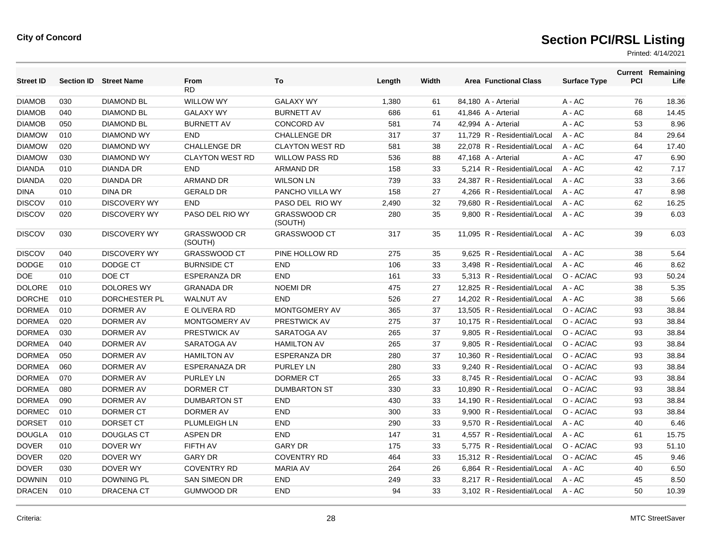| <b>Street ID</b> |     | <b>Section ID Street Name</b> | <b>From</b>                    | To                             | Length | Width | <b>Area Functional Class</b> | <b>Surface Type</b> | <b>PCI</b> | <b>Current Remaining</b><br>Life |
|------------------|-----|-------------------------------|--------------------------------|--------------------------------|--------|-------|------------------------------|---------------------|------------|----------------------------------|
|                  |     |                               | RD                             |                                |        |       |                              |                     |            |                                  |
| <b>DIAMOB</b>    | 030 | <b>DIAMOND BL</b>             | <b>WILLOW WY</b>               | <b>GALAXY WY</b>               | 1,380  | 61    | 84,180 A - Arterial          | $A - AC$            | 76         | 18.36                            |
| <b>DIAMOB</b>    | 040 | <b>DIAMOND BL</b>             | <b>GALAXY WY</b>               | <b>BURNETT AV</b>              | 686    | 61    | 41,846 A - Arterial          | $A - AC$            | 68         | 14.45                            |
| <b>DIAMOB</b>    | 050 | <b>DIAMOND BL</b>             | <b>BURNETT AV</b>              | <b>CONCORD AV</b>              | 581    | 74    | 42,994 A - Arterial          | $A - AC$            | 53         | 8.96                             |
| <b>DIAMOW</b>    | 010 | <b>DIAMOND WY</b>             | <b>END</b>                     | <b>CHALLENGE DR</b>            | 317    | 37    | 11.729 R - Residential/Local | $A - AC$            | 84         | 29.64                            |
| <b>DIAMOW</b>    | 020 | <b>DIAMOND WY</b>             | <b>CHALLENGE DR</b>            | <b>CLAYTON WEST RD</b>         | 581    | 38    | 22,078 R - Residential/Local | $A - AC$            | 64         | 17.40                            |
| <b>DIAMOW</b>    | 030 | <b>DIAMOND WY</b>             | <b>CLAYTON WEST RD</b>         | <b>WILLOW PASS RD</b>          | 536    | 88    | 47,168 A - Arterial          | A - AC              | 47         | 6.90                             |
| <b>DIANDA</b>    | 010 | <b>DIANDA DR</b>              | <b>END</b>                     | <b>ARMAND DR</b>               | 158    | 33    | 5,214 R - Residential/Local  | A - AC              | 42         | 7.17                             |
| <b>DIANDA</b>    | 020 | <b>DIANDA DR</b>              | <b>ARMAND DR</b>               | <b>WILSON LN</b>               | 739    | 33    | 24.387 R - Residential/Local | $A - AC$            | 33         | 3.66                             |
| <b>DINA</b>      | 010 | <b>DINA DR</b>                | <b>GERALD DR</b>               | PANCHO VILLA WY                | 158    | 27    | 4,266 R - Residential/Local  | A - AC              | 47         | 8.98                             |
| <b>DISCOV</b>    | 010 | <b>DISCOVERY WY</b>           | <b>END</b>                     | PASO DEL RIO WY                | 2,490  | 32    | 79.680 R - Residential/Local | $A - AC$            | 62         | 16.25                            |
| <b>DISCOV</b>    | 020 | <b>DISCOVERY WY</b>           | PASO DEL RIO WY                | <b>GRASSWOOD CR</b><br>(SOUTH) | 280    | 35    | 9,800 R - Residential/Local  | A - AC              | 39         | 6.03                             |
| <b>DISCOV</b>    | 030 | <b>DISCOVERY WY</b>           | <b>GRASSWOOD CR</b><br>(SOUTH) | <b>GRASSWOOD CT</b>            | 317    | 35    | 11,095 R - Residential/Local | A - AC              | 39         | 6.03                             |
| <b>DISCOV</b>    | 040 | <b>DISCOVERY WY</b>           | <b>GRASSWOOD CT</b>            | PINE HOLLOW RD                 | 275    | 35    | 9,625 R - Residential/Local  | A - AC              | 38         | 5.64                             |
| <b>DODGE</b>     | 010 | DODGE CT                      | <b>BURNSIDE CT</b>             | <b>END</b>                     | 106    | 33    | 3.498 R - Residential/Local  | $A - AC$            | 46         | 8.62                             |
| <b>DOE</b>       | 010 | DOE CT                        | <b>ESPERANZA DR</b>            | <b>END</b>                     | 161    | 33    | 5,313 R - Residential/Local  | O - AC/AC           | 93         | 50.24                            |
| <b>DOLORE</b>    | 010 | <b>DOLORES WY</b>             | <b>GRANADA DR</b>              | <b>NOEMI DR</b>                | 475    | 27    | 12.825 R - Residential/Local | $A - AC$            | 38         | 5.35                             |
| <b>DORCHE</b>    | 010 | DORCHESTER PL                 | <b>WALNUT AV</b>               | <b>END</b>                     | 526    | 27    | 14,202 R - Residential/Local | $A - AC$            | 38         | 5.66                             |
| <b>DORMEA</b>    | 010 | DORMER AV                     | E OLIVERA RD                   | MONTGOMERY AV                  | 365    | 37    | 13,505 R - Residential/Local | O - AC/AC           | 93         | 38.84                            |
| <b>DORMEA</b>    | 020 | DORMER AV                     | <b>MONTGOMERY AV</b>           | <b>PRESTWICK AV</b>            | 275    | 37    | 10,175 R - Residential/Local | O - AC/AC           | 93         | 38.84                            |
| <b>DORMEA</b>    | 030 | DORMER AV                     | PRESTWICK AV                   | SARATOGA AV                    | 265    | 37    | 9,805 R - Residential/Local  | O - AC/AC           | 93         | 38.84                            |
| <b>DORMEA</b>    | 040 | DORMER AV                     | SARATOGA AV                    | <b>HAMILTON AV</b>             | 265    | 37    | 9.805 R - Residential/Local  | O - AC/AC           | 93         | 38.84                            |
| <b>DORMEA</b>    | 050 | <b>DORMER AV</b>              | <b>HAMILTON AV</b>             | <b>ESPERANZA DR</b>            | 280    | 37    | 10,360 R - Residential/Local | O - AC/AC           | 93         | 38.84                            |
| <b>DORMEA</b>    | 060 | DORMER AV                     | <b>ESPERANAZA DR</b>           | <b>PURLEY LN</b>               | 280    | 33    | 9.240 R - Residential/Local  | O - AC/AC           | 93         | 38.84                            |
| <b>DORMEA</b>    | 070 | DORMER AV                     | <b>PURLEY LN</b>               | DORMER CT                      | 265    | 33    | 8,745 R - Residential/Local  | O - AC/AC           | 93         | 38.84                            |
| <b>DORMEA</b>    | 080 | DORMER AV                     | DORMER CT                      | <b>DUMBARTON ST</b>            | 330    | 33    | 10.890 R - Residential/Local | O - AC/AC           | 93         | 38.84                            |
| <b>DORMEA</b>    | 090 | DORMER AV                     | <b>DUMBARTON ST</b>            | <b>END</b>                     | 430    | 33    | 14,190 R - Residential/Local | O - AC/AC           | 93         | 38.84                            |
| <b>DORMEC</b>    | 010 | <b>DORMER CT</b>              | DORMER AV                      | <b>END</b>                     | 300    | 33    | 9.900 R - Residential/Local  | O - AC/AC           | 93         | 38.84                            |
| <b>DORSET</b>    | 010 | DORSET CT                     | <b>PLUMLEIGH LN</b>            | <b>END</b>                     | 290    | 33    | 9,570 R - Residential/Local  | $A - AC$            | 40         | 6.46                             |
| <b>DOUGLA</b>    | 010 | <b>DOUGLAS CT</b>             | <b>ASPEN DR</b>                | <b>END</b>                     | 147    | 31    | 4,557 R - Residential/Local  | $A - AC$            | 61         | 15.75                            |
| <b>DOVER</b>     | 010 | DOVER WY                      | FIFTH AV                       | <b>GARY DR</b>                 | 175    | 33    | 5.775 R - Residential/Local  | O - AC/AC           | 93         | 51.10                            |
| <b>DOVER</b>     | 020 | DOVER WY                      | <b>GARY DR</b>                 | <b>COVENTRY RD</b>             | 464    | 33    | 15,312 R - Residential/Local | O - AC/AC           | 45         | 9.46                             |
| <b>DOVER</b>     | 030 | DOVER WY                      | <b>COVENTRY RD</b>             | <b>MARIA AV</b>                | 264    | 26    | 6,864 R - Residential/Local  | $A - AC$            | 40         | 6.50                             |
| <b>DOWNIN</b>    | 010 | DOWNING PL                    | <b>SAN SIMEON DR</b>           | <b>END</b>                     | 249    | 33    | 8,217 R - Residential/Local  | $A - AC$            | 45         | 8.50                             |
| <b>DRACEN</b>    | 010 | <b>DRACENA CT</b>             | <b>GUMWOOD DR</b>              | <b>END</b>                     | 94     | 33    | 3,102 R - Residential/Local  | A - AC              | 50         | 10.39                            |
|                  |     |                               |                                |                                |        |       |                              |                     |            |                                  |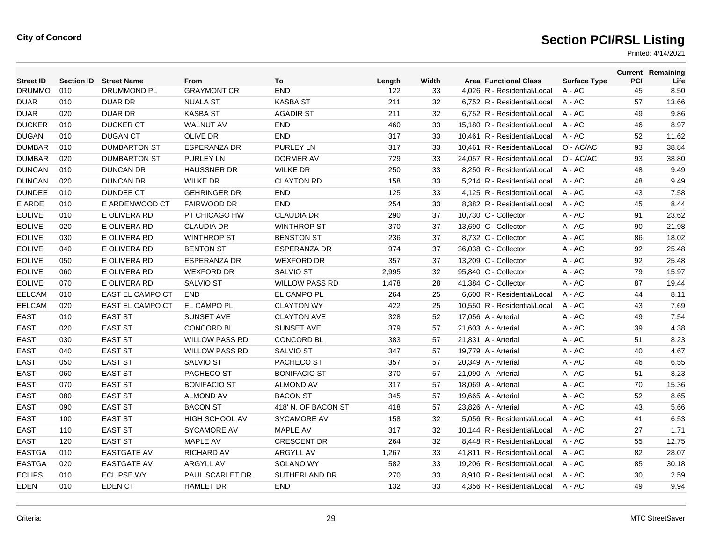| <b>Street ID</b> | <b>Section ID</b> | <b>Street Name</b>      | From                  | To                    | Length | Width | <b>Area Functional Class</b> | <b>Surface Type</b> | PCI | <b>Current Remaining</b><br>Life |
|------------------|-------------------|-------------------------|-----------------------|-----------------------|--------|-------|------------------------------|---------------------|-----|----------------------------------|
| <b>DRUMMO</b>    | 010               | DRUMMOND PL             | <b>GRAYMONT CR</b>    | <b>END</b>            | 122    | 33    | 4,026 R - Residential/Local  | A - AC              | 45  | 8.50                             |
| <b>DUAR</b>      | 010               | <b>DUAR DR</b>          | <b>NUALA ST</b>       | <b>KASBA ST</b>       | 211    | 32    | 6,752 R - Residential/Local  | $A - AC$            | 57  | 13.66                            |
| <b>DUAR</b>      | 020               | <b>DUAR DR</b>          | <b>KASBA ST</b>       | <b>AGADIR ST</b>      | 211    | 32    | 6,752 R - Residential/Local  | $A - AC$            | 49  | 9.86                             |
| <b>DUCKER</b>    | 010               | <b>DUCKER CT</b>        | <b>WALNUT AV</b>      | <b>END</b>            | 460    | 33    | 15.180 R - Residential/Local | $A - AC$            | 46  | 8.97                             |
| <b>DUGAN</b>     | 010               | <b>DUGAN CT</b>         | <b>OLIVE DR</b>       | <b>END</b>            | 317    | 33    | 10,461 R - Residential/Local | $A - AC$            | 52  | 11.62                            |
| <b>DUMBAR</b>    | 010               | <b>DUMBARTON ST</b>     | <b>ESPERANZA DR</b>   | PURLEY LN             | 317    | 33    | 10,461 R - Residential/Local | O - AC/AC           | 93  | 38.84                            |
| <b>DUMBAR</b>    | 020               | <b>DUMBARTON ST</b>     | <b>PURLEY LN</b>      | DORMER AV             | 729    | 33    | 24,057 R - Residential/Local | O - AC/AC           | 93  | 38.80                            |
| <b>DUNCAN</b>    | 010               | <b>DUNCAN DR</b>        | <b>HAUSSNER DR</b>    | <b>WILKE DR</b>       | 250    | 33    | 8.250 R - Residential/Local  | $A - AC$            | 48  | 9.49                             |
| <b>DUNCAN</b>    | 020               | <b>DUNCAN DR</b>        | <b>WILKE DR</b>       | <b>CLAYTON RD</b>     | 158    | 33    | 5,214 R - Residential/Local  | $A - AC$            | 48  | 9.49                             |
| <b>DUNDEE</b>    | 010               | <b>DUNDEE CT</b>        | <b>GEHRINGER DR</b>   | <b>END</b>            | 125    | 33    | 4,125 R - Residential/Local  | A - AC              | 43  | 7.58                             |
| E ARDE           | 010               | E ARDENWOOD CT          | <b>FAIRWOOD DR</b>    | <b>END</b>            | 254    | 33    | 8,382 R - Residential/Local  | $A - AC$            | 45  | 8.44                             |
| <b>EOLIVE</b>    | 010               | E OLIVERA RD            | PT CHICAGO HW         | <b>CLAUDIA DR</b>     | 290    | 37    | 10,730 C - Collector         | A - AC              | 91  | 23.62                            |
| <b>EOLIVE</b>    | 020               | E OLIVERA RD            | <b>CLAUDIA DR</b>     | <b>WINTHROP ST</b>    | 370    | 37    | 13,690 C - Collector         | $A - AC$            | 90  | 21.98                            |
| <b>EOLIVE</b>    | 030               | E OLIVERA RD            | <b>WINTHROP ST</b>    | <b>BENSTON ST</b>     | 236    | 37    | 8,732 C - Collector          | A - AC              | 86  | 18.02                            |
| <b>EOLIVE</b>    | 040               | E OLIVERA RD            | <b>BENTON ST</b>      | ESPERANZA DR          | 974    | 37    | 36,038 C - Collector         | A - AC              | 92  | 25.48                            |
| <b>EOLIVE</b>    | 050               | E OLIVERA RD            | <b>ESPERANZA DR</b>   | <b>WEXFORD DR</b>     | 357    | 37    | 13,209 C - Collector         | A - AC              | 92  | 25.48                            |
| <b>EOLIVE</b>    | 060               | E OLIVERA RD            | <b>WEXFORD DR</b>     | <b>SALVIO ST</b>      | 2,995  | 32    | 95,840 C - Collector         | $A - AC$            | 79  | 15.97                            |
| <b>EOLIVE</b>    | 070               | E OLIVERA RD            | SALVIO ST             | <b>WILLOW PASS RD</b> | 1,478  | 28    | 41,384 C - Collector         | A - AC              | 87  | 19.44                            |
| <b>EELCAM</b>    | 010               | <b>EAST EL CAMPO CT</b> | <b>END</b>            | EL CAMPO PL           | 264    | 25    | 6.600 R - Residential/Local  | A - AC              | 44  | 8.11                             |
| <b>EELCAM</b>    | 020               | <b>EAST EL CAMPO CT</b> | EL CAMPO PL           | <b>CLAYTON WY</b>     | 422    | 25    | 10.550 R - Residential/Local | $A - AC$            | 43  | 7.69                             |
| <b>EAST</b>      | 010               | <b>EAST ST</b>          | SUNSET AVE            | <b>CLAYTON AVE</b>    | 328    | 52    | 17,056 A - Arterial          | $A - AC$            | 49  | 7.54                             |
| <b>EAST</b>      | 020               | <b>EAST ST</b>          | <b>CONCORD BL</b>     | <b>SUNSET AVE</b>     | 379    | 57    | 21,603 A - Arterial          | A - AC              | 39  | 4.38                             |
| <b>EAST</b>      | 030               | <b>EAST ST</b>          | <b>WILLOW PASS RD</b> | <b>CONCORD BL</b>     | 383    | 57    | 21,831 A - Arterial          | A - AC              | 51  | 8.23                             |
| <b>EAST</b>      | 040               | <b>EAST ST</b>          | <b>WILLOW PASS RD</b> | <b>SALVIO ST</b>      | 347    | 57    | 19,779 A - Arterial          | $A - AC$            | 40  | 4.67                             |
| <b>EAST</b>      | 050               | <b>EAST ST</b>          | <b>SALVIO ST</b>      | PACHECO ST            | 357    | 57    | 20,349 A - Arterial          | $A - AC$            | 46  | 6.55                             |
| <b>EAST</b>      | 060               | <b>EAST ST</b>          | PACHECO ST            | <b>BONIFACIO ST</b>   | 370    | 57    | 21,090 A - Arterial          | A - AC              | 51  | 8.23                             |
| <b>EAST</b>      | 070               | <b>EAST ST</b>          | <b>BONIFACIO ST</b>   | <b>ALMOND AV</b>      | 317    | 57    | 18,069 A - Arterial          | A - AC              | 70  | 15.36                            |
| <b>EAST</b>      | 080               | <b>EAST ST</b>          | <b>ALMOND AV</b>      | <b>BACON ST</b>       | 345    | 57    | 19,665 A - Arterial          | A - AC              | 52  | 8.65                             |
| <b>EAST</b>      | 090               | <b>EAST ST</b>          | <b>BACON ST</b>       | 418' N. OF BACON ST   | 418    | 57    | 23,826 A - Arterial          | $A - AC$            | 43  | 5.66                             |
| <b>EAST</b>      | 100               | <b>EAST ST</b>          | <b>HIGH SCHOOL AV</b> | <b>SYCAMORE AV</b>    | 158    | 32    | 5,056 R - Residential/Local  | $A - AC$            | 41  | 6.53                             |
| <b>EAST</b>      | 110               | <b>EAST ST</b>          | <b>SYCAMORE AV</b>    | <b>MAPLE AV</b>       | 317    | 32    | 10,144 R - Residential/Local | $A - AC$            | 27  | 1.71                             |
| <b>EAST</b>      | 120               | <b>EAST ST</b>          | <b>MAPLE AV</b>       | <b>CRESCENT DR</b>    | 264    | 32    | 8,448 R - Residential/Local  | $A - AC$            | 55  | 12.75                            |
| <b>EASTGA</b>    | 010               | <b>EASTGATE AV</b>      | <b>RICHARD AV</b>     | ARGYLL AV             | 1,267  | 33    | 41,811 R - Residential/Local | $A - AC$            | 82  | 28.07                            |
| <b>EASTGA</b>    | 020               | <b>EASTGATE AV</b>      | ARGYLL AV             | <b>SOLANO WY</b>      | 582    | 33    | 19,206 R - Residential/Local | $A - AC$            | 85  | 30.18                            |
| <b>ECLIPS</b>    | 010               | <b>ECLIPSE WY</b>       | PAUL SCARLET DR       | SUTHERLAND DR         | 270    | 33    | 8.910 R - Residential/Local  | $A - AC$            | 30  | 2.59                             |
| EDEN             | 010               | EDEN CT                 | <b>HAMLET DR</b>      | <b>END</b>            | 132    | 33    | 4.356 R - Residential/Local  | $A - AC$            | 49  | 9.94                             |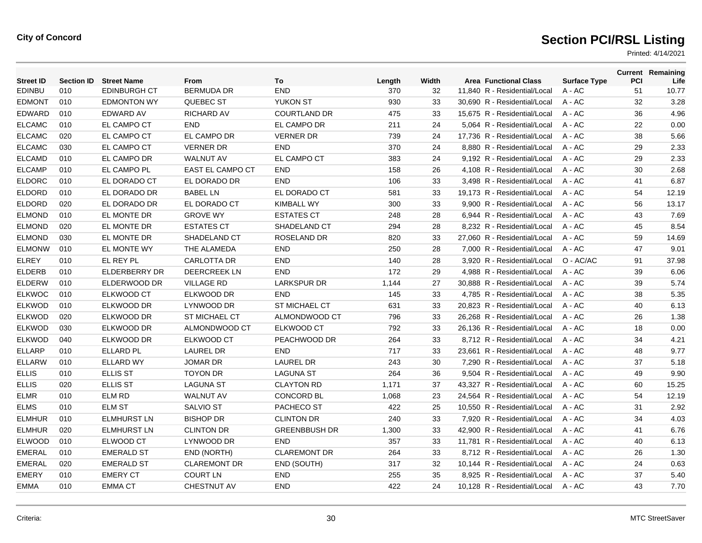| <b>Street ID</b> | <b>Section ID</b> | <b>Street Name</b>   | From                    | To                   | Length | Width | <b>Area Functional Class</b> | <b>Surface Type</b> | PCI | <b>Current Remaining</b><br>Life |
|------------------|-------------------|----------------------|-------------------------|----------------------|--------|-------|------------------------------|---------------------|-----|----------------------------------|
| <b>EDINBU</b>    | 010               | <b>EDINBURGH CT</b>  | <b>BERMUDA DR</b>       | END                  | 370    | 32    | 11,840 R - Residential/Local | A - AC              | 51  | 10.77                            |
| <b>EDMONT</b>    | 010               | <b>EDMONTON WY</b>   | QUEBEC ST               | <b>YUKON ST</b>      | 930    | 33    | 30,690 R - Residential/Local | $A - AC$            | 32  | 3.28                             |
| <b>EDWARD</b>    | 010               | <b>EDWARD AV</b>     | <b>RICHARD AV</b>       | <b>COURTLAND DR</b>  | 475    | 33    | 15.675 R - Residential/Local | $A - AC$            | 36  | 4.96                             |
| <b>ELCAMC</b>    | 010               | EL CAMPO CT          | <b>END</b>              | EL CAMPO DR          | 211    | 24    | 5,064 R - Residential/Local  | A - AC              | 22  | 0.00                             |
| <b>ELCAMC</b>    | 020               | EL CAMPO CT          | EL CAMPO DR             | <b>VERNER DR</b>     | 739    | 24    | 17,736 R - Residential/Local | $A - AC$            | 38  | 5.66                             |
| <b>ELCAMC</b>    | 030               | <b>EL CAMPO CT</b>   | <b>VERNER DR</b>        | <b>END</b>           | 370    | 24    | 8.880 R - Residential/Local  | $A - AC$            | 29  | 2.33                             |
| <b>ELCAMD</b>    | 010               | EL CAMPO DR          | <b>WALNUT AV</b>        | EL CAMPO CT          | 383    | 24    | 9,192 R - Residential/Local  | A - AC              | 29  | 2.33                             |
| <b>ELCAMP</b>    | 010               | EL CAMPO PL          | <b>EAST EL CAMPO CT</b> | <b>END</b>           | 158    | 26    | 4,108 R - Residential/Local  | $A - AC$            | 30  | 2.68                             |
| <b>ELDORC</b>    | 010               | EL DORADO CT         | EL DORADO DR            | <b>END</b>           | 106    | 33    | 3.498 R - Residential/Local  | $A - AC$            | 41  | 6.87                             |
| <b>ELDORD</b>    | 010               | EL DORADO DR         | <b>BABEL LN</b>         | EL DORADO CT         | 581    | 33    | 19,173 R - Residential/Local | A - AC              | 54  | 12.19                            |
| <b>ELDORD</b>    | 020               | EL DORADO DR         | EL DORADO CT            | <b>KIMBALL WY</b>    | 300    | 33    | 9,900 R - Residential/Local  | A - AC              | 56  | 13.17                            |
| <b>ELMOND</b>    | 010               | EL MONTE DR          | <b>GROVE WY</b>         | <b>ESTATES CT</b>    | 248    | 28    | 6.944 R - Residential/Local  | $A - AC$            | 43  | 7.69                             |
| <b>ELMOND</b>    | 020               | EL MONTE DR          | <b>ESTATES CT</b>       | SHADELAND CT         | 294    | 28    | 8,232 R - Residential/Local  | $A - AC$            | 45  | 8.54                             |
| <b>ELMOND</b>    | 030               | EL MONTE DR          | SHADELAND CT            | ROSELAND DR          | 820    | 33    | 27,060 R - Residential/Local | A - AC              | 59  | 14.69                            |
| <b>ELMONW</b>    | 010               | EL MONTE WY          | THE ALAMEDA             | <b>END</b>           | 250    | 28    | 7.000 R - Residential/Local  | $A - AC$            | 47  | 9.01                             |
| <b>ELREY</b>     | 010               | EL REY PL            | <b>CARLOTTA DR</b>      | END                  | 140    | 28    | 3,920 R - Residential/Local  | O - AC/AC           | 91  | 37.98                            |
| <b>ELDERB</b>    | 010               | <b>ELDERBERRY DR</b> | <b>DEERCREEK LN</b>     | <b>END</b>           | 172    | 29    | 4.988 R - Residential/Local  | $A - AC$            | 39  | 6.06                             |
| <b>ELDERW</b>    | 010               | ELDERWOOD DR         | <b>VILLAGE RD</b>       | <b>LARKSPUR DR</b>   | 1,144  | 27    | 30.888 R - Residential/Local | $A - AC$            | 39  | 5.74                             |
| <b>ELKWOC</b>    | 010               | ELKWOOD CT           | ELKWOOD DR              | <b>END</b>           | 145    | 33    | 4,785 R - Residential/Local  | $A - AC$            | 38  | 5.35                             |
| <b>ELKWOD</b>    | 010               | ELKWOOD DR           | LYNWOOD DR              | <b>ST MICHAEL CT</b> | 631    | 33    | 20.823 R - Residential/Local | $A - AC$            | 40  | 6.13                             |
| <b>ELKWOD</b>    | 020               | ELKWOOD DR           | <b>ST MICHAEL CT</b>    | ALMONDWOOD CT        | 796    | 33    | 26.268 R - Residential/Local | $A - AC$            | 26  | 1.38                             |
| <b>ELKWOD</b>    | 030               | ELKWOOD DR           | ALMONDWOOD CT           | ELKWOOD CT           | 792    | 33    | 26,136 R - Residential/Local | A - AC              | 18  | 0.00                             |
| <b>ELKWOD</b>    | 040               | ELKWOOD DR           | <b>ELKWOOD CT</b>       | PEACHWOOD DR         | 264    | 33    | 8,712 R - Residential/Local  | $A - AC$            | 34  | 4.21                             |
| <b>ELLARP</b>    | 010               | <b>ELLARD PL</b>     | <b>LAUREL DR</b>        | <b>END</b>           | 717    | 33    | 23.661 R - Residential/Local | $A - AC$            | 48  | 9.77                             |
| <b>ELLARW</b>    | 010               | <b>ELLARD WY</b>     | <b>JOMAR DR</b>         | <b>LAUREL DR</b>     | 243    | 30    | 7,290 R - Residential/Local  | $A - AC$            | 37  | 5.18                             |
| <b>ELLIS</b>     | 010               | <b>ELLIS ST</b>      | <b>TOYON DR</b>         | <b>LAGUNA ST</b>     | 264    | 36    | 9,504 R - Residential/Local  | $A - AC$            | 49  | 9.90                             |
| <b>ELLIS</b>     | 020               | <b>ELLIS ST</b>      | <b>LAGUNA ST</b>        | <b>CLAYTON RD</b>    | 1,171  | 37    | 43,327 R - Residential/Local | A - AC              | 60  | 15.25                            |
| <b>ELMR</b>      | 010               | <b>ELM RD</b>        | <b>WALNUT AV</b>        | <b>CONCORD BL</b>    | 1,068  | 23    | 24,564 R - Residential/Local | A - AC              | 54  | 12.19                            |
| <b>ELMS</b>      | 010               | <b>ELM ST</b>        | <b>SALVIO ST</b>        | PACHECO ST           | 422    | 25    | 10,550 R - Residential/Local | A - AC              | 31  | 2.92                             |
| <b>ELMHUR</b>    | 010               | <b>ELMHURST LN</b>   | <b>BISHOP DR</b>        | <b>CLINTON DR</b>    | 240    | 33    | 7.920 R - Residential/Local  | $A - AC$            | 34  | 4.03                             |
| <b>ELMHUR</b>    | 020               | <b>ELMHURST LN</b>   | <b>CLINTON DR</b>       | <b>GREENBBUSH DR</b> | 1,300  | 33    | 42,900 R - Residential/Local | $A - AC$            | 41  | 6.76                             |
| <b>ELWOOD</b>    | 010               | ELWOOD CT            | LYNWOOD DR              | <b>END</b>           | 357    | 33    | 11,781 R - Residential/Local | $A - AC$            | 40  | 6.13                             |
| <b>EMERAL</b>    | 010               | <b>EMERALD ST</b>    | END (NORTH)             | <b>CLAREMONT DR</b>  | 264    | 33    | 8.712 R - Residential/Local  | $A - AC$            | 26  | 1.30                             |
| <b>EMERAL</b>    | 020               | <b>EMERALD ST</b>    | <b>CLAREMONT DR</b>     | END (SOUTH)          | 317    | 32    | 10.144 R - Residential/Local | $A - AC$            | 24  | 0.63                             |
| <b>EMERY</b>     | 010               | <b>EMERY CT</b>      | <b>COURT LN</b>         | <b>END</b>           | 255    | 35    | 8,925 R - Residential/Local  | A - AC              | 37  | 5.40                             |
| <b>EMMA</b>      | 010               | <b>EMMA CT</b>       | <b>CHESTNUT AV</b>      | <b>END</b>           | 422    | 24    | 10,128 R - Residential/Local | $A - AC$            | 43  | 7.70                             |
|                  |                   |                      |                         |                      |        |       |                              |                     |     |                                  |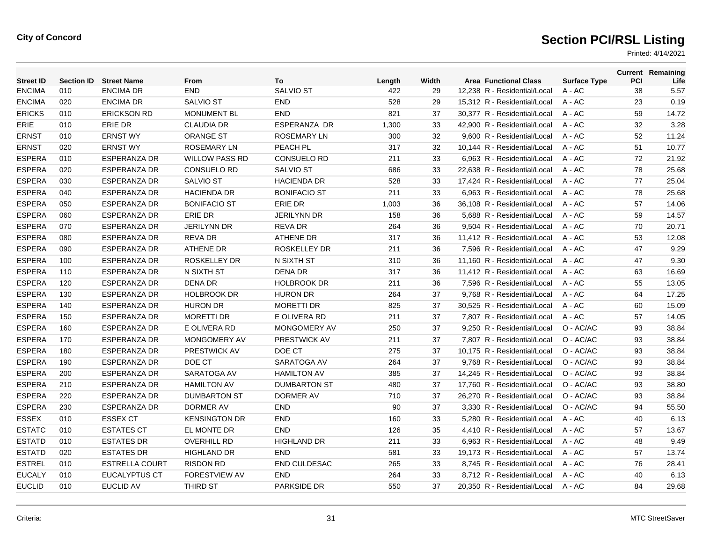| <b>Street ID</b> | <b>Section ID</b> | <b>Street Name</b>    | From                  | To                  | Length | Width | <b>Area Functional Class</b> | <b>Surface Type</b> | <b>PCI</b> | <b>Current Remaining</b><br>Life |
|------------------|-------------------|-----------------------|-----------------------|---------------------|--------|-------|------------------------------|---------------------|------------|----------------------------------|
| <b>ENCIMA</b>    | 010               | <b>ENCIMA DR</b>      | <b>END</b>            | <b>SALVIO ST</b>    | 422    | 29    | 12.238 R - Residential/Local | $A - AC$            | 38         | 5.57                             |
| <b>ENCIMA</b>    | 020               | <b>ENCIMA DR</b>      | <b>SALVIO ST</b>      | <b>END</b>          | 528    | 29    | 15,312 R - Residential/Local | A - AC              | 23         | 0.19                             |
| <b>ERICKS</b>    | 010               | <b>ERICKSON RD</b>    | <b>MONUMENT BL</b>    | <b>END</b>          | 821    | 37    | 30,377 R - Residential/Local | $A - AC$            | 59         | 14.72                            |
| <b>ERIE</b>      | 010               | <b>ERIE DR</b>        | <b>CLAUDIA DR</b>     | <b>ESPERANZA DR</b> | 1,300  | 33    | 42.900 R - Residential/Local | $A - AC$            | 32         | 3.28                             |
| <b>ERNST</b>     | 010               | <b>ERNST WY</b>       | <b>ORANGE ST</b>      | <b>ROSEMARY LN</b>  | 300    | 32    | 9.600 R - Residential/Local  | $A - AC$            | 52         | 11.24                            |
| <b>ERNST</b>     | 020               | <b>ERNST WY</b>       | <b>ROSEMARY LN</b>    | PEACH PL            | 317    | 32    | 10,144 R - Residential/Local | A - AC              | 51         | 10.77                            |
| <b>ESPERA</b>    | 010               | <b>ESPERANZA DR</b>   | <b>WILLOW PASS RD</b> | <b>CONSUELO RD</b>  | 211    | 33    | 6,963 R - Residential/Local  | A - AC              | 72         | 21.92                            |
| <b>ESPERA</b>    | 020               | <b>ESPERANZA DR</b>   | CONSUELO RD           | <b>SALVIO ST</b>    | 686    | 33    | 22,638 R - Residential/Local | A - AC              | 78         | 25.68                            |
| <b>ESPERA</b>    | 030               | <b>ESPERANZA DR</b>   | <b>SALVIO ST</b>      | <b>HACIENDA DR</b>  | 528    | 33    | 17,424 R - Residential/Local | $A - AC$            | 77         | 25.04                            |
| <b>ESPERA</b>    | 040               | <b>ESPERANZA DR</b>   | <b>HACIENDA DR</b>    | <b>BONIFACIO ST</b> | 211    | 33    | 6.963 R - Residential/Local  | $A - AC$            | 78         | 25.68                            |
| <b>ESPERA</b>    | 050               | <b>ESPERANZA DR</b>   | <b>BONIFACIO ST</b>   | ERIE DR             | 1,003  | 36    | 36,108 R - Residential/Local | A - AC              | 57         | 14.06                            |
| <b>ESPERA</b>    | 060               | <b>ESPERANZA DR</b>   | <b>ERIE DR</b>        | <b>JERILYNN DR</b>  | 158    | 36    | 5,688 R - Residential/Local  | A - AC              | 59         | 14.57                            |
| <b>ESPERA</b>    | 070               | <b>ESPERANZA DR</b>   | <b>JERILYNN DR</b>    | <b>REVA DR</b>      | 264    | 36    | 9,504 R - Residential/Local  | $A - AC$            | 70         | 20.71                            |
| <b>ESPERA</b>    | 080               | <b>ESPERANZA DR</b>   | <b>REVA DR</b>        | <b>ATHENE DR</b>    | 317    | 36    | 11,412 R - Residential/Local | $A - AC$            | 53         | 12.08                            |
| <b>ESPERA</b>    | 090               | ESPERANZA DR          | <b>ATHENE DR</b>      | <b>ROSKELLEY DR</b> | 211    | 36    | 7,596 R - Residential/Local  | A - AC              | 47         | 9.29                             |
| <b>ESPERA</b>    | 100               | <b>ESPERANZA DR</b>   | <b>ROSKELLEY DR</b>   | N SIXTH ST          | 310    | 36    | 11,160 R - Residential/Local | A - AC              | 47         | 9.30                             |
| <b>ESPERA</b>    | 110               | <b>ESPERANZA DR</b>   | N SIXTH ST            | <b>DENA DR</b>      | 317    | 36    | 11,412 R - Residential/Local | $A - AC$            | 63         | 16.69                            |
| <b>ESPERA</b>    | 120               | <b>ESPERANZA DR</b>   | <b>DENA DR</b>        | <b>HOLBROOK DR</b>  | 211    | 36    | 7.596 R - Residential/Local  | $A - AC$            | 55         | 13.05                            |
| <b>ESPERA</b>    | 130               | <b>ESPERANZA DR</b>   | <b>HOLBROOK DR</b>    | <b>HURON DR</b>     | 264    | 37    | 9,768 R - Residential/Local  | A - AC              | 64         | 17.25                            |
| <b>ESPERA</b>    | 140               | <b>ESPERANZA DR</b>   | <b>HURON DR</b>       | <b>MORETTI DR</b>   | 825    | 37    | 30,525 R - Residential/Local | A - AC              | 60         | 15.09                            |
| <b>ESPERA</b>    | 150               | <b>ESPERANZA DR</b>   | <b>MORETTI DR</b>     | E OLIVERA RD        | 211    | 37    | 7,807 R - Residential/Local  | $A - AC$            | 57         | 14.05                            |
| <b>ESPERA</b>    | 160               | <b>ESPERANZA DR</b>   | E OLIVERA RD          | <b>MONGOMERY AV</b> | 250    | 37    | 9.250 R - Residential/Local  | O - AC/AC           | 93         | 38.84                            |
| <b>ESPERA</b>    | 170               | <b>ESPERANZA DR</b>   | <b>MONGOMERY AV</b>   | PRESTWICK AV        | 211    | 37    | 7.807 R - Residential/Local  | O - AC/AC           | 93         | 38.84                            |
| <b>ESPERA</b>    | 180               | <b>ESPERANZA DR</b>   | PRESTWICK AV          | DOE CT              | 275    | 37    | 10,175 R - Residential/Local | O - AC/AC           | 93         | 38.84                            |
| <b>ESPERA</b>    | 190               | <b>ESPERANZA DR</b>   | DOE CT                | SARATOGA AV         | 264    | 37    | 9,768 R - Residential/Local  | O - AC/AC           | 93         | 38.84                            |
| <b>ESPERA</b>    | 200               | <b>ESPERANZA DR</b>   | SARATOGA AV           | <b>HAMILTON AV</b>  | 385    | 37    | 14.245 R - Residential/Local | O - AC/AC           | 93         | 38.84                            |
| <b>ESPERA</b>    | 210               | <b>ESPERANZA DR</b>   | <b>HAMILTON AV</b>    | <b>DUMBARTON ST</b> | 480    | 37    | 17.760 R - Residential/Local | O - AC/AC           | 93         | 38.80                            |
| <b>ESPERA</b>    | 220               | <b>ESPERANZA DR</b>   | <b>DUMBARTON ST</b>   | <b>DORMER AV</b>    | 710    | 37    | 26,270 R - Residential/Local | O - AC/AC           | 93         | 38.84                            |
| <b>ESPERA</b>    | 230               | <b>ESPERANZA DR</b>   | DORMER AV             | <b>END</b>          | 90     | 37    | 3,330 R - Residential/Local  | O - AC/AC           | 94         | 55.50                            |
| <b>ESSEX</b>     | 010               | <b>ESSEX CT</b>       | <b>KENSINGTON DR</b>  | <b>END</b>          | 160    | 33    | 5,280 R - Residential/Local  | A - AC              | 40         | 6.13                             |
| <b>ESTATC</b>    | 010               | <b>ESTATES CT</b>     | EL MONTE DR           | <b>END</b>          | 126    | 35    | 4,410 R - Residential/Local  | A - AC              | 57         | 13.67                            |
| <b>ESTATD</b>    | 010               | <b>ESTATES DR</b>     | <b>OVERHILL RD</b>    | <b>HIGHLAND DR</b>  | 211    | 33    | 6,963 R - Residential/Local  | A - AC              | 48         | 9.49                             |
| <b>ESTATD</b>    | 020               | <b>ESTATES DR</b>     | <b>HIGHLAND DR</b>    | <b>END</b>          | 581    | 33    | 19,173 R - Residential/Local | A - AC              | 57         | 13.74                            |
| <b>ESTREL</b>    | 010               | <b>ESTRELLA COURT</b> | <b>RISDON RD</b>      | <b>END CULDESAC</b> | 265    | 33    | 8,745 R - Residential/Local  | A - AC              | 76         | 28.41                            |
| <b>EUCALY</b>    | 010               | EUCALYPTUS CT         | <b>FORESTVIEW AV</b>  | <b>END</b>          | 264    | 33    | 8.712 R - Residential/Local  | A - AC              | 40         | 6.13                             |
| <b>EUCLID</b>    | 010               | <b>EUCLID AV</b>      | THIRD ST              | <b>PARKSIDE DR</b>  | 550    | 37    | 20.350 R - Residential/Local | $A - AC$            | 84         | 29.68                            |
|                  |                   |                       |                       |                     |        |       |                              |                     |            |                                  |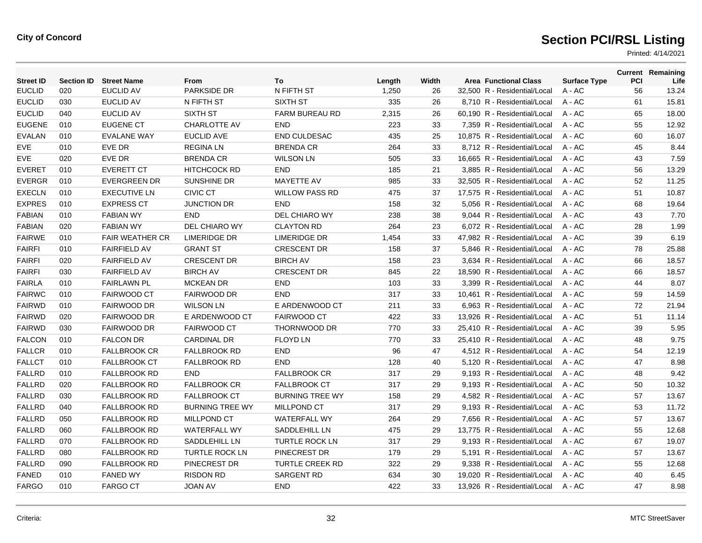| <b>Street ID</b> | <b>Section ID</b> | <b>Street Name</b>     | From                   | To                     | Length | Width | <b>Area Functional Class</b> | <b>Surface Type</b> | PCI | <b>Current Remaining</b><br>Life |
|------------------|-------------------|------------------------|------------------------|------------------------|--------|-------|------------------------------|---------------------|-----|----------------------------------|
| <b>EUCLID</b>    | 020               | <b>EUCLID AV</b>       | PARKSIDE DR            | N FIFTH ST             | 1,250  | 26    | 32,500 R - Residential/Local | A - AC              | 56  | 13.24                            |
| <b>EUCLID</b>    | 030               | <b>EUCLID AV</b>       | N FIFTH ST             | <b>SIXTH ST</b>        | 335    | 26    | 8,710 R - Residential/Local  | $A - AC$            | 61  | 15.81                            |
| <b>EUCLID</b>    | 040               | <b>EUCLID AV</b>       | SIXTH ST               | <b>FARM BUREAU RD</b>  | 2,315  | 26    | 60.190 R - Residential/Local | $A - AC$            | 65  | 18.00                            |
| <b>EUGENE</b>    | 010               | <b>EUGENE CT</b>       | <b>CHARLOTTE AV</b>    | <b>END</b>             | 223    | 33    | 7.359 R - Residential/Local  | $A - AC$            | 55  | 12.92                            |
| <b>EVALAN</b>    | 010               | <b>EVALANE WAY</b>     | <b>EUCLID AVE</b>      | END CULDESAC           | 435    | 25    | 10,875 R - Residential/Local | $A - AC$            | 60  | 16.07                            |
| <b>EVE</b>       | 010               | EVE DR                 | <b>REGINALN</b>        | <b>BRENDA CR</b>       | 264    | 33    | 8,712 R - Residential/Local  | $A - AC$            | 45  | 8.44                             |
| <b>EVE</b>       | 020               | <b>EVE DR</b>          | <b>BRENDA CR</b>       | <b>WILSON LN</b>       | 505    | 33    | 16.665 R - Residential/Local | $A - AC$            | 43  | 7.59                             |
| <b>EVERET</b>    | 010               | <b>EVERETT CT</b>      | <b>HITCHCOCK RD</b>    | <b>END</b>             | 185    | 21    | 3,885 R - Residential/Local  | $A - AC$            | 56  | 13.29                            |
| <b>EVERGR</b>    | 010               | <b>EVERGREEN DR</b>    | <b>SUNSHINE DR</b>     | MAYETTE AV             | 985    | 33    | 32,505 R - Residential/Local | A - AC              | 52  | 11.25                            |
| <b>EXECLN</b>    | 010               | <b>EXECUTIVE LN</b>    | <b>CIVIC CT</b>        | <b>WILLOW PASS RD</b>  | 475    | 37    | 17,575 R - Residential/Local | $A - AC$            | 51  | 10.87                            |
| <b>EXPRES</b>    | 010               | <b>EXPRESS CT</b>      | <b>JUNCTION DR</b>     | <b>END</b>             | 158    | 32    | 5,056 R - Residential/Local  | $A - AC$            | 68  | 19.64                            |
| <b>FABIAN</b>    | 010               | <b>FABIAN WY</b>       | <b>END</b>             | DEL CHIARO WY          | 238    | 38    | 9,044 R - Residential/Local  | A - AC              | 43  | 7.70                             |
| <b>FABIAN</b>    | 020               | <b>FABIAN WY</b>       | DEL CHIARO WY          | <b>CLAYTON RD</b>      | 264    | 23    | 6,072 R - Residential/Local  | A - AC              | 28  | 1.99                             |
| <b>FAIRWE</b>    | 010               | <b>FAIR WEATHER CR</b> | <b>LIMERIDGE DR</b>    | <b>LIMERIDGE DR</b>    | 1,454  | 33    | 47,982 R - Residential/Local | $A - AC$            | 39  | 6.19                             |
| <b>FAIRFI</b>    | 010               | <b>FAIRFIELD AV</b>    | <b>GRANT ST</b>        | <b>CRESCENT DR</b>     | 158    | 37    | 5.846 R - Residential/Local  | $A - AC$            | 78  | 25.88                            |
| <b>FAIRFI</b>    | 020               | <b>FAIRFIELD AV</b>    | <b>CRESCENT DR</b>     | <b>BIRCH AV</b>        | 158    | 23    | 3,634 R - Residential/Local  | A - AC              | 66  | 18.57                            |
| <b>FAIRFI</b>    | 030               | <b>FAIRFIELD AV</b>    | <b>BIRCH AV</b>        | <b>CRESCENT DR</b>     | 845    | 22    | 18,590 R - Residential/Local | $A - AC$            | 66  | 18.57                            |
| <b>FAIRLA</b>    | 010               | <b>FAIRLAWN PL</b>     | <b>MCKEAN DR</b>       | <b>END</b>             | 103    | 33    | 3.399 R - Residential/Local  | $A - AC$            | 44  | 8.07                             |
| <b>FAIRWC</b>    | 010               | <b>FAIRWOOD CT</b>     | <b>FAIRWOOD DR</b>     | <b>END</b>             | 317    | 33    | 10,461 R - Residential/Local | $A - AC$            | 59  | 14.59                            |
| <b>FAIRWD</b>    | 010               | <b>FAIRWOOD DR</b>     | <b>WILSON LN</b>       | E ARDENWOOD CT         | 211    | 33    | 6,963 R - Residential/Local  | $A - AC$            | 72  | 21.94                            |
| <b>FAIRWD</b>    | 020               | <b>FAIRWOOD DR</b>     | E ARDENWOOD CT         | <b>FAIRWOOD CT</b>     | 422    | 33    | 13.926 R - Residential/Local | $A - AC$            | 51  | 11.14                            |
| <b>FAIRWD</b>    | 030               | <b>FAIRWOOD DR</b>     | <b>FAIRWOOD CT</b>     | THORNWOOD DR           | 770    | 33    | 25.410 R - Residential/Local | $A - AC$            | 39  | 5.95                             |
| <b>FALCON</b>    | 010               | <b>FALCON DR</b>       | CARDINAL DR            | <b>FLOYD LN</b>        | 770    | 33    | 25,410 R - Residential/Local | A - AC              | 48  | 9.75                             |
| <b>FALLCR</b>    | 010               | <b>FALLBROOK CR</b>    | <b>FALLBROOK RD</b>    | <b>END</b>             | 96     | 47    | 4,512 R - Residential/Local  | A - AC              | 54  | 12.19                            |
| <b>FALLCT</b>    | 010               | <b>FALLBROOK CT</b>    | <b>FALLBROOK RD</b>    | <b>END</b>             | 128    | 40    | 5,120 R - Residential/Local  | $A - AC$            | 47  | 8.98                             |
| <b>FALLRD</b>    | 010               | <b>FALLBROOK RD</b>    | <b>END</b>             | <b>FALLBROOK CR</b>    | 317    | 29    | 9.193 R - Residential/Local  | $A - AC$            | 48  | 9.42                             |
| <b>FALLRD</b>    | 020               | <b>FALLBROOK RD</b>    | <b>FALLBROOK CR</b>    | <b>FALLBROOK CT</b>    | 317    | 29    | 9,193 R - Residential/Local  | A - AC              | 50  | 10.32                            |
| <b>FALLRD</b>    | 030               | <b>FALLBROOK RD</b>    | <b>FALLBROOK CT</b>    | <b>BURNING TREE WY</b> | 158    | 29    | 4,582 R - Residential/Local  | A - AC              | 57  | 13.67                            |
| <b>FALLRD</b>    | 040               | <b>FALLBROOK RD</b>    | <b>BURNING TREE WY</b> | <b>MILLPOND CT</b>     | 317    | 29    | 9,193 R - Residential/Local  | $A - AC$            | 53  | 11.72                            |
| <b>FALLRD</b>    | 050               | <b>FALLBROOK RD</b>    | MILLPOND CT            | <b>WATERFALL WY</b>    | 264    | 29    | 7,656 R - Residential/Local  | $A - AC$            | 57  | 13.67                            |
| <b>FALLRD</b>    | 060               | <b>FALLBROOK RD</b>    | <b>WATERFALL WY</b>    | SADDLEHILL LN          | 475    | 29    | 13,775 R - Residential/Local | A - AC              | 55  | 12.68                            |
| <b>FALLRD</b>    | 070               | <b>FALLBROOK RD</b>    | SADDLEHILL LN          | <b>TURTLE ROCK LN</b>  | 317    | 29    | 9,193 R - Residential/Local  | $A - AC$            | 67  | 19.07                            |
| <b>FALLRD</b>    | 080               | <b>FALLBROOK RD</b>    | <b>TURTLE ROCK LN</b>  | PINECREST DR           | 179    | 29    | 5.191 R - Residential/Local  | $A - AC$            | 57  | 13.67                            |
| <b>FALLRD</b>    | 090               | <b>FALLBROOK RD</b>    | PINECREST DR           | <b>TURTLE CREEK RD</b> | 322    | 29    | 9,338 R - Residential/Local  | $A - AC$            | 55  | 12.68                            |
| <b>FANED</b>     | 010               | <b>FANED WY</b>        | <b>RISDON RD</b>       | SARGENT RD             | 634    | 30    | 19.020 R - Residential/Local | $A - AC$            | 40  | 6.45                             |
| <b>FARGO</b>     | 010               | <b>FARGO CT</b>        | <b>JOAN AV</b>         | <b>END</b>             | 422    | 33    | 13.926 R - Residential/Local | A - AC              | 47  | 8.98                             |
|                  |                   |                        |                        |                        |        |       |                              |                     |     |                                  |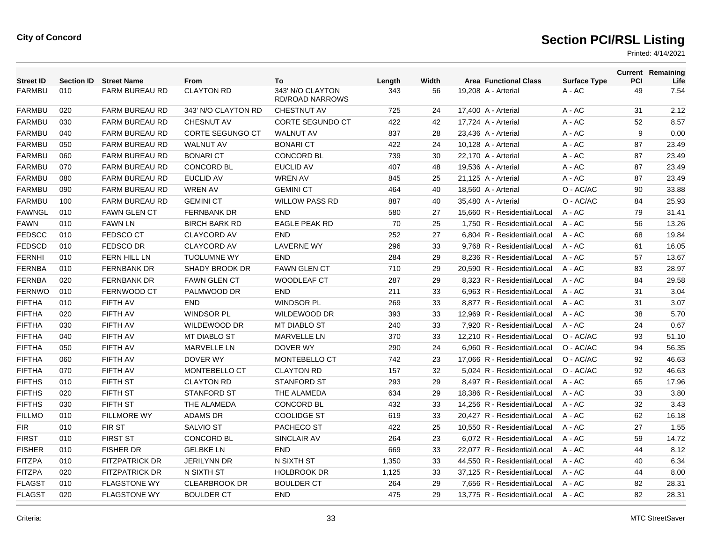| <b>Street ID</b> | <b>Section ID</b> | <b>Street Name</b>    | <b>From</b>             | To                                         | Length | Width | <b>Area Functional Class</b> | <b>Surface Type</b> | <b>PCI</b> | <b>Current Remaining</b><br>Life |
|------------------|-------------------|-----------------------|-------------------------|--------------------------------------------|--------|-------|------------------------------|---------------------|------------|----------------------------------|
| <b>FARMBU</b>    | 010               | <b>FARM BUREAU RD</b> | <b>CLAYTON RD</b>       | 343' N/O CLAYTON<br><b>RD/ROAD NARROWS</b> | 343    | 56    | 19,208 A - Arterial          | A - AC              | 49         | 7.54                             |
| <b>FARMBU</b>    | 020               | <b>FARM BUREAU RD</b> | 343' N/O CLAYTON RD     | <b>CHESTNUT AV</b>                         | 725    | 24    | 17,400 A - Arterial          | $A - AC$            | 31         | 2.12                             |
| <b>FARMBU</b>    | 030               | FARM BUREAU RD        | <b>CHESNUT AV</b>       | <b>CORTE SEGUNDO CT</b>                    | 422    | 42    | 17,724 A - Arterial          | $A - AC$            | 52         | 8.57                             |
| <b>FARMBU</b>    | 040               | FARM BUREAU RD        | <b>CORTE SEGUNGO CT</b> | <b>WALNUT AV</b>                           | 837    | 28    | 23,436 A - Arterial          | $A - AC$            | 9          | 0.00                             |
| <b>FARMBU</b>    | 050               | <b>FARM BUREAU RD</b> | <b>WALNUT AV</b>        | <b>BONARI CT</b>                           | 422    | 24    | 10,128 A - Arterial          | $A - AC$            | 87         | 23.49                            |
| <b>FARMBU</b>    | 060               | <b>FARM BUREAU RD</b> | <b>BONARI CT</b>        | <b>CONCORD BL</b>                          | 739    | 30    | 22,170 A - Arterial          | $A - AC$            | 87         | 23.49                            |
| <b>FARMBU</b>    | 070               | FARM BUREAU RD        | <b>CONCORD BL</b>       | <b>EUCLID AV</b>                           | 407    | 48    | 19,536 A - Arterial          | $A - AC$            | 87         | 23.49                            |
| <b>FARMBU</b>    | 080               | <b>FARM BUREAU RD</b> | <b>EUCLID AV</b>        | <b>WREN AV</b>                             | 845    | 25    | 21,125 A - Arterial          | $A - AC$            | 87         | 23.49                            |
| <b>FARMBU</b>    | 090               | <b>FARM BUREAU RD</b> | <b>WREN AV</b>          | <b>GEMINI CT</b>                           | 464    | 40    | 18,560 A - Arterial          | O - AC/AC           | 90         | 33.88                            |
| <b>FARMBU</b>    | 100               | <b>FARM BUREAU RD</b> | <b>GEMINI CT</b>        | <b>WILLOW PASS RD</b>                      | 887    | 40    | 35,480 A - Arterial          | O - AC/AC           | 84         | 25.93                            |
| <b>FAWNGL</b>    | 010               | <b>FAWN GLEN CT</b>   | <b>FERNBANK DR</b>      | <b>END</b>                                 | 580    | 27    | 15,660 R - Residential/Local | $A - AC$            | 79         | 31.41                            |
| <b>FAWN</b>      | 010               | <b>FAWN LN</b>        | <b>BIRCH BARK RD</b>    | <b>EAGLE PEAK RD</b>                       | 70     | 25    | 1.750 R - Residential/Local  | $A - AC$            | 56         | 13.26                            |
| <b>FEDSCC</b>    | 010               | <b>FEDSCO CT</b>      | <b>CLAYCORD AV</b>      | <b>END</b>                                 | 252    | 27    | 6,804 R - Residential/Local  | $A - AC$            | 68         | 19.84                            |
| <b>FEDSCD</b>    | 010               | <b>FEDSCO DR</b>      | <b>CLAYCORD AV</b>      | <b>LAVERNE WY</b>                          | 296    | 33    | 9,768 R - Residential/Local  | $A - AC$            | 61         | 16.05                            |
| <b>FERNHI</b>    | 010               | <b>FERN HILL LN</b>   | <b>TUOLUMNE WY</b>      | <b>END</b>                                 | 284    | 29    | 8.236 R - Residential/Local  | $A - AC$            | 57         | 13.67                            |
| <b>FERNBA</b>    | 010               | <b>FERNBANK DR</b>    | <b>SHADY BROOK DR</b>   | <b>FAWN GLEN CT</b>                        | 710    | 29    | 20.590 R - Residential/Local | $A - AC$            | 83         | 28.97                            |
| <b>FERNBA</b>    | 020               | <b>FERNBANK DR</b>    | <b>FAWN GLEN CT</b>     | <b>WOODLEAF CT</b>                         | 287    | 29    | 8.323 R - Residential/Local  | $A - AC$            | 84         | 29.58                            |
| <b>FERNWO</b>    | 010               | FERNWOOD CT           | PALMWOOD DR             | <b>END</b>                                 | 211    | 33    | 6,963 R - Residential/Local  | $A - AC$            | 31         | 3.04                             |
| <b>FIFTHA</b>    | 010               | FIFTH AV              | <b>END</b>              | <b>WINDSOR PL</b>                          | 269    | 33    | 8,877 R - Residential/Local  | $A - AC$            | 31         | 3.07                             |
| <b>FIFTHA</b>    | 020               | FIFTH AV              | <b>WINDSOR PL</b>       | WILDEWOOD DR                               | 393    | 33    | 12.969 R - Residential/Local | $A - AC$            | 38         | 5.70                             |
| <b>FIFTHA</b>    | 030               | FIFTH AV              | <b>WILDEWOOD DR</b>     | <b>MT DIABLO ST</b>                        | 240    | 33    | 7.920 R - Residential/Local  | $A - AC$            | 24         | 0.67                             |
| <b>FIFTHA</b>    | 040               | FIFTH AV              | <b>MT DIABLO ST</b>     | <b>MARVELLE LN</b>                         | 370    | 33    | 12.210 R - Residential/Local | O - AC/AC           | 93         | 51.10                            |
| <b>FIFTHA</b>    | 050               | FIFTH AV              | MARVELLE LN             | DOVER WY                                   | 290    | 24    | 6,960 R - Residential/Local  | O - AC/AC           | 94         | 56.35                            |
| <b>FIFTHA</b>    | 060               | FIFTH AV              | DOVER WY                | MONTEBELLO CT                              | 742    | 23    | 17,066 R - Residential/Local | O - AC/AC           | 92         | 46.63                            |
| <b>FIFTHA</b>    | 070               | FIFTH AV              | <b>MONTEBELLO CT</b>    | <b>CLAYTON RD</b>                          | 157    | 32    | 5.024 R - Residential/Local  | O - AC/AC           | 92         | 46.63                            |
| <b>FIFTHS</b>    | 010               | <b>FIFTH ST</b>       | <b>CLAYTON RD</b>       | <b>STANFORD ST</b>                         | 293    | 29    | 8.497 R - Residential/Local  | $A - AC$            | 65         | 17.96                            |
| <b>FIFTHS</b>    | 020               | <b>FIFTH ST</b>       | <b>STANFORD ST</b>      | THE ALAMEDA                                | 634    | 29    | 18,386 R - Residential/Local | $A - AC$            | 33         | 3.80                             |
| <b>FIFTHS</b>    | 030               | <b>FIFTH ST</b>       | THE ALAMEDA             | <b>CONCORD BL</b>                          | 432    | 33    | 14,256 R - Residential/Local | $A - AC$            | 32         | 3.43                             |
| <b>FILLMO</b>    | 010               | <b>FILLMORE WY</b>    | <b>ADAMS DR</b>         | <b>COOLIDGE ST</b>                         | 619    | 33    | 20,427 R - Residential/Local | $A - AC$            | 62         | 16.18                            |
| <b>FIR</b>       | 010               | FIR ST                | <b>SALVIO ST</b>        | PACHECO ST                                 | 422    | 25    | 10,550 R - Residential/Local | $A - AC$            | 27         | 1.55                             |
| <b>FIRST</b>     | 010               | <b>FIRST ST</b>       | <b>CONCORD BL</b>       | SINCLAIR AV                                | 264    | 23    | 6.072 R - Residential/Local  | $A - AC$            | 59         | 14.72                            |
| <b>FISHER</b>    | 010               | <b>FISHER DR</b>      | <b>GELBKE LN</b>        | <b>END</b>                                 | 669    | 33    | 22,077 R - Residential/Local | $A - AC$            | 44         | 8.12                             |
| <b>FITZPA</b>    | 010               | <b>FITZPATRICK DR</b> | <b>JERILYNN DR</b>      | N SIXTH ST                                 | 1,350  | 33    | 44,550 R - Residential/Local | $A - AC$            | 40         | 6.34                             |
| <b>FITZPA</b>    | 020               | <b>FITZPATRICK DR</b> | N SIXTH ST              | <b>HOLBROOK DR</b>                         | 1,125  | 33    | 37,125 R - Residential/Local | $A - AC$            | 44         | 8.00                             |
| <b>FLAGST</b>    | 010               | <b>FLAGSTONE WY</b>   | <b>CLEARBROOK DR</b>    | <b>BOULDER CT</b>                          | 264    | 29    | 7,656 R - Residential/Local  | $A - AC$            | 82         | 28.31                            |
| <b>FLAGST</b>    | 020               | <b>FLAGSTONE WY</b>   | <b>BOULDER CT</b>       | <b>END</b>                                 | 475    | 29    | 13.775 R - Residential/Local | $A - AC$            | 82         | 28.31                            |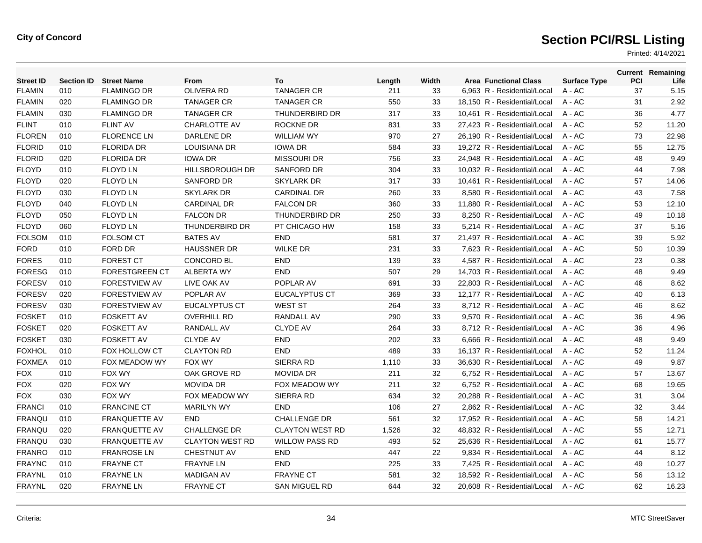| <b>Street ID</b> | <b>Section ID</b> | <b>Street Name</b>    | From                   | To                     | Length | Width | <b>Area Functional Class</b> | <b>Surface Type</b> | PCI | <b>Current Remaining</b><br>Life |
|------------------|-------------------|-----------------------|------------------------|------------------------|--------|-------|------------------------------|---------------------|-----|----------------------------------|
| <b>FLAMIN</b>    | 010               | <b>FLAMINGO DR</b>    | <b>OLIVERA RD</b>      | <b>TANAGER CR</b>      | 211    | 33    | 6,963 R - Residential/Local  | A - AC              | 37  | 5.15                             |
| <b>FLAMIN</b>    | 020               | <b>FLAMINGO DR</b>    | <b>TANAGER CR</b>      | <b>TANAGER CR</b>      | 550    | 33    | 18,150 R - Residential/Local | A - AC              | 31  | 2.92                             |
| <b>FLAMIN</b>    | 030               | <b>FLAMINGO DR</b>    | <b>TANAGER CR</b>      | <b>THUNDERBIRD DR</b>  | 317    | 33    | 10,461 R - Residential/Local | $A - AC$            | 36  | 4.77                             |
| <b>FLINT</b>     | 010               | <b>FLINT AV</b>       | <b>CHARLOTTE AV</b>    | <b>ROCKNE DR</b>       | 831    | 33    | 27,423 R - Residential/Local | $A - AC$            | 52  | 11.20                            |
| <b>FLOREN</b>    | 010               | <b>FLORENCE LN</b>    | DARLENE DR             | <b>WILLIAM WY</b>      | 970    | 27    | 26,190 R - Residential/Local | A - AC              | 73  | 22.98                            |
| <b>FLORID</b>    | 010               | <b>FLORIDA DR</b>     | LOUISIANA DR           | <b>IOWA DR</b>         | 584    | 33    | 19,272 R - Residential/Local | $A - AC$            | 55  | 12.75                            |
| <b>FLORID</b>    | 020               | <b>FLORIDA DR</b>     | <b>IOWA DR</b>         | <b>MISSOURI DR</b>     | 756    | 33    | 24.948 R - Residential/Local | $A - AC$            | 48  | 9.49                             |
| <b>FLOYD</b>     | 010               | <b>FLOYD LN</b>       | <b>HILLSBOROUGH DR</b> | <b>SANFORD DR</b>      | 304    | 33    | 10,032 R - Residential/Local | $A - AC$            | 44  | 7.98                             |
| <b>FLOYD</b>     | 020               | <b>FLOYD LN</b>       | <b>SANFORD DR</b>      | <b>SKYLARK DR</b>      | 317    | 33    | 10,461 R - Residential/Local | $A - AC$            | 57  | 14.06                            |
| <b>FLOYD</b>     | 030               | <b>FLOYD LN</b>       | <b>SKYLARK DR</b>      | <b>CARDINAL DR</b>     | 260    | 33    | 8.580 R - Residential/Local  | $A - AC$            | 43  | 7.58                             |
| <b>FLOYD</b>     | 040               | <b>FLOYD LN</b>       | <b>CARDINAL DR</b>     | <b>FALCON DR</b>       | 360    | 33    | 11.880 R - Residential/Local | $A - AC$            | 53  | 12.10                            |
| <b>FLOYD</b>     | 050               | <b>FLOYD LN</b>       | <b>FALCON DR</b>       | <b>THUNDERBIRD DR</b>  | 250    | 33    | 8,250 R - Residential/Local  | A - AC              | 49  | 10.18                            |
| <b>FLOYD</b>     | 060               | <b>FLOYD LN</b>       | <b>THUNDERBIRD DR</b>  | PT CHICAGO HW          | 158    | 33    | 5,214 R - Residential/Local  | A - AC              | 37  | 5.16                             |
| <b>FOLSOM</b>    | 010               | <b>FOLSOM CT</b>      | <b>BATES AV</b>        | <b>END</b>             | 581    | 37    | 21,497 R - Residential/Local | $A - AC$            | 39  | 5.92                             |
| <b>FORD</b>      | 010               | FORD DR               | <b>HAUSSNER DR</b>     | <b>WILKE DR</b>        | 231    | 33    | 7,623 R - Residential/Local  | $A - AC$            | 50  | 10.39                            |
| <b>FORES</b>     | 010               | <b>FOREST CT</b>      | <b>CONCORD BL</b>      | END                    | 139    | 33    | 4,587 R - Residential/Local  | A - AC              | 23  | 0.38                             |
| <b>FORESG</b>    | 010               | <b>FORESTGREEN CT</b> | ALBERTA WY             | <b>END</b>             | 507    | 29    | 14,703 R - Residential/Local | A - AC              | 48  | 9.49                             |
| <b>FORESV</b>    | 010               | <b>FORESTVIEW AV</b>  | LIVE OAK AV            | POPLAR AV              | 691    | 33    | 22.803 R - Residential/Local | $A - AC$            | 46  | 8.62                             |
| <b>FORESV</b>    | 020               | FORESTVIEW AV         | POPLAR AV              | <b>EUCALYPTUS CT</b>   | 369    | 33    | 12,177 R - Residential/Local | $A - AC$            | 40  | 6.13                             |
| <b>FORESV</b>    | 030               | <b>FORESTVIEW AV</b>  | EUCALYPTUS CT          | <b>WEST ST</b>         | 264    | 33    | 8,712 R - Residential/Local  | A - AC              | 46  | 8.62                             |
| <b>FOSKET</b>    | 010               | <b>FOSKETT AV</b>     | <b>OVERHILL RD</b>     | <b>RANDALL AV</b>      | 290    | 33    | 9.570 R - Residential/Local  | $A - AC$            | 36  | 4.96                             |
| <b>FOSKET</b>    | 020               | <b>FOSKETT AV</b>     | <b>RANDALL AV</b>      | <b>CLYDE AV</b>        | 264    | 33    | 8.712 R - Residential/Local  | $A - AC$            | 36  | 4.96                             |
| <b>FOSKET</b>    | 030               | <b>FOSKETT AV</b>     | <b>CLYDE AV</b>        | <b>END</b>             | 202    | 33    | 6,666 R - Residential/Local  | A - AC              | 48  | 9.49                             |
| <b>FOXHOL</b>    | 010               | FOX HOLLOW CT         | <b>CLAYTON RD</b>      | <b>END</b>             | 489    | 33    | 16.137 R - Residential/Local | $A - AC$            | 52  | 11.24                            |
| <b>FOXMEA</b>    | 010               | FOX MEADOW WY         | FOX WY                 | SIERRA RD              | 1,110  | 33    | 36.630 R - Residential/Local | $A - AC$            | 49  | 9.87                             |
| <b>FOX</b>       | 010               | FOX WY                | OAK GROVE RD           | <b>MOVIDA DR</b>       | 211    | 32    | 6,752 R - Residential/Local  | $A - AC$            | 57  | 13.67                            |
| <b>FOX</b>       | 020               | <b>FOX WY</b>         | <b>MOVIDA DR</b>       | FOX MEADOW WY          | 211    | 32    | 6,752 R - Residential/Local  | A - AC              | 68  | 19.65                            |
| <b>FOX</b>       | 030               | <b>FOX WY</b>         | <b>FOX MEADOW WY</b>   | SIERRA RD              | 634    | 32    | 20.288 R - Residential/Local | $A - AC$            | 31  | 3.04                             |
| <b>FRANCI</b>    | 010               | <b>FRANCINE CT</b>    | <b>MARILYN WY</b>      | <b>END</b>             | 106    | 27    | 2.862 R - Residential/Local  | $A - AC$            | 32  | 3.44                             |
| <b>FRANQU</b>    | 010               | <b>FRANQUETTE AV</b>  | <b>END</b>             | <b>CHALLENGE DR</b>    | 561    | 32    | 17,952 R - Residential/Local | A - AC              | 58  | 14.21                            |
| <b>FRANQU</b>    | 020               | <b>FRANQUETTE AV</b>  | <b>CHALLENGE DR</b>    | <b>CLAYTON WEST RD</b> | 1,526  | 32    | 48,832 R - Residential/Local | $A - AC$            | 55  | 12.71                            |
| <b>FRANQU</b>    | 030               | <b>FRANQUETTE AV</b>  | <b>CLAYTON WEST RD</b> | <b>WILLOW PASS RD</b>  | 493    | 52    | 25,636 R - Residential/Local | A - AC              | 61  | 15.77                            |
| <b>FRANRO</b>    | 010               | <b>FRANROSE LN</b>    | <b>CHESTNUT AV</b>     | <b>END</b>             | 447    | 22    | 9,834 R - Residential/Local  | $A - AC$            | 44  | 8.12                             |
| <b>FRAYNC</b>    | 010               | <b>FRAYNE CT</b>      | <b>FRAYNE LN</b>       | <b>END</b>             | 225    | 33    | 7,425 R - Residential/Local  | A - AC              | 49  | 10.27                            |
| <b>FRAYNL</b>    | 010               | <b>FRAYNE LN</b>      | <b>MADIGAN AV</b>      | <b>FRAYNE CT</b>       | 581    | 32    | 18.592 R - Residential/Local | A - AC              | 56  | 13.12                            |
| <b>FRAYNL</b>    | 020               | <b>FRAYNE LN</b>      | <b>FRAYNE CT</b>       | <b>SAN MIGUEL RD</b>   | 644    | 32    | 20.608 R - Residential/Local | $A - AC$            | 62  | 16.23                            |
|                  |                   |                       |                        |                        |        |       |                              |                     |     |                                  |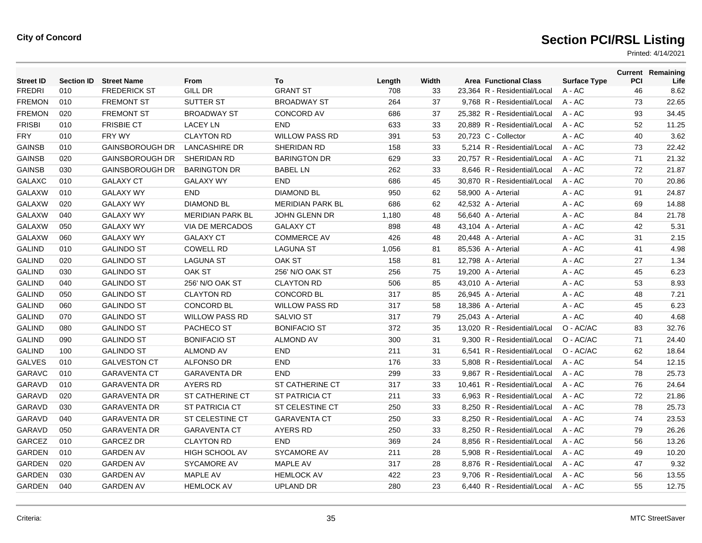| <b>Street ID</b> | <b>Section ID</b> | <b>Street Name</b>     | From                    | To                      | Length | Width | <b>Area Functional Class</b> | <b>Surface Type</b> | PCI | <b>Current Remaining</b><br>Life |
|------------------|-------------------|------------------------|-------------------------|-------------------------|--------|-------|------------------------------|---------------------|-----|----------------------------------|
| <b>FREDRI</b>    | 010               | <b>FREDERICK ST</b>    | <b>GILL DR</b>          | <b>GRANT ST</b>         | 708    | 33    | 23,364 R - Residential/Local | $A - AC$            | 46  | 8.62                             |
| <b>FREMON</b>    | 010               | <b>FREMONT ST</b>      | SUTTER ST               | <b>BROADWAY ST</b>      | 264    | 37    | 9,768 R - Residential/Local  | $A - AC$            | 73  | 22.65                            |
| <b>FREMON</b>    | 020               | <b>FREMONT ST</b>      | <b>BROADWAY ST</b>      | <b>CONCORD AV</b>       | 686    | 37    | 25,382 R - Residential/Local | $A - AC$            | 93  | 34.45                            |
| <b>FRISBI</b>    | 010               | <b>FRISBIE CT</b>      | <b>LACEY LN</b>         | <b>END</b>              | 633    | 33    | 20.889 R - Residential/Local | $A - AC$            | 52  | 11.25                            |
| <b>FRY</b>       | 010               | FRY WY                 | <b>CLAYTON RD</b>       | <b>WILLOW PASS RD</b>   | 391    | 53    | 20,723 C - Collector         | A - AC              | 40  | 3.62                             |
| <b>GAINSB</b>    | 010               | <b>GAINSBOROUGH DR</b> | <b>LANCASHIRE DR</b>    | SHERIDAN RD             | 158    | 33    | 5,214 R - Residential/Local  | $A - AC$            | 73  | 22.42                            |
| <b>GAINSB</b>    | 020               | <b>GAINSBOROUGH DR</b> | SHERIDAN RD             | <b>BARINGTON DR</b>     | 629    | 33    | 20,757 R - Residential/Local | $A - AC$            | 71  | 21.32                            |
| <b>GAINSB</b>    | 030               | <b>GAINSBOROUGH DR</b> | <b>BARINGTON DR</b>     | <b>BABEL LN</b>         | 262    | 33    | 8.646 R - Residential/Local  | $A - AC$            | 72  | 21.87                            |
| <b>GALAXC</b>    | 010               | <b>GALAXY CT</b>       | <b>GALAXY WY</b>        | <b>END</b>              | 686    | 45    | 30,870 R - Residential/Local | $A - AC$            | 70  | 20.86                            |
| <b>GALAXW</b>    | 010               | <b>GALAXY WY</b>       | <b>END</b>              | <b>DIAMOND BL</b>       | 950    | 62    | 58,900 A - Arterial          | A - AC              | 91  | 24.87                            |
| <b>GALAXW</b>    | 020               | <b>GALAXY WY</b>       | <b>DIAMOND BL</b>       | <b>MERIDIAN PARK BL</b> | 686    | 62    | 42,532 A - Arterial          | A - AC              | 69  | 14.88                            |
| <b>GALAXW</b>    | 040               | <b>GALAXY WY</b>       | <b>MERIDIAN PARK BL</b> | <b>JOHN GLENN DR</b>    | 1,180  | 48    | 56,640 A - Arterial          | $A - AC$            | 84  | 21.78                            |
| <b>GALAXW</b>    | 050               | <b>GALAXY WY</b>       | VIA DE MERCADOS         | <b>GALAXY CT</b>        | 898    | 48    | 43,104 A - Arterial          | $A - AC$            | 42  | 5.31                             |
| <b>GALAXW</b>    | 060               | <b>GALAXY WY</b>       | <b>GALAXY CT</b>        | <b>COMMERCE AV</b>      | 426    | 48    | 20,448 A - Arterial          | A - AC              | 31  | 2.15                             |
| <b>GALIND</b>    | 010               | <b>GALINDO ST</b>      | <b>COWELL RD</b>        | <b>LAGUNA ST</b>        | 1,056  | 81    | 85,536 A - Arterial          | $A - AC$            | 41  | 4.98                             |
| <b>GALIND</b>    | 020               | <b>GALINDO ST</b>      | <b>LAGUNA ST</b>        | OAK ST                  | 158    | 81    | 12,798 A - Arterial          | $A - AC$            | 27  | 1.34                             |
| <b>GALIND</b>    | 030               | <b>GALINDO ST</b>      | OAK ST                  | 256' N/O OAK ST         | 256    | 75    | 19,200 A - Arterial          | A - AC              | 45  | 6.23                             |
| <b>GALIND</b>    | 040               | <b>GALINDO ST</b>      | 256' N/O OAK ST         | <b>CLAYTON RD</b>       | 506    | 85    | 43,010 A - Arterial          | A - AC              | 53  | 8.93                             |
| <b>GALIND</b>    | 050               | <b>GALINDO ST</b>      | <b>CLAYTON RD</b>       | <b>CONCORD BL</b>       | 317    | 85    | 26,945 A - Arterial          | A - AC              | 48  | 7.21                             |
| <b>GALIND</b>    | 060               | <b>GALINDO ST</b>      | <b>CONCORD BL</b>       | <b>WILLOW PASS RD</b>   | 317    | 58    | 18,386 A - Arterial          | $A - AC$            | 45  | 6.23                             |
| <b>GALIND</b>    | 070               | <b>GALINDO ST</b>      | <b>WILLOW PASS RD</b>   | <b>SALVIO ST</b>        | 317    | 79    | 25,043 A - Arterial          | A - AC              | 40  | 4.68                             |
| <b>GALIND</b>    | 080               | <b>GALINDO ST</b>      | PACHECO ST              | <b>BONIFACIO ST</b>     | 372    | 35    | 13,020 R - Residential/Local | O - AC/AC           | 83  | 32.76                            |
| <b>GALIND</b>    | 090               | <b>GALINDO ST</b>      | <b>BONIFACIO ST</b>     | <b>ALMOND AV</b>        | 300    | 31    | 9.300 R - Residential/Local  | O - AC/AC           | 71  | 24.40                            |
| <b>GALIND</b>    | 100               | <b>GALINDO ST</b>      | <b>ALMOND AV</b>        | <b>END</b>              | 211    | 31    | 6.541 R - Residential/Local  | O - AC/AC           | 62  | 18.64                            |
| <b>GALVES</b>    | 010               | <b>GALVESTON CT</b>    | <b>ALFONSO DR</b>       | <b>END</b>              | 176    | 33    | 5,808 R - Residential/Local  | $A - AC$            | 54  | 12.15                            |
| <b>GARAVC</b>    | 010               | <b>GARAVENTA CT</b>    | <b>GARAVENTA DR</b>     | <b>END</b>              | 299    | 33    | 9,867 R - Residential/Local  | A - AC              | 78  | 25.73                            |
| GARAVD           | 010               | <b>GARAVENTA DR</b>    | <b>AYERS RD</b>         | ST CATHERINE CT         | 317    | 33    | 10,461 R - Residential/Local | A - AC              | 76  | 24.64                            |
| GARAVD           | 020               | <b>GARAVENTA DR</b>    | <b>ST CATHERINE CT</b>  | <b>ST PATRICIA CT</b>   | 211    | 33    | 6.963 R - Residential/Local  | $A - AC$            | 72  | 21.86                            |
| GARAVD           | 030               | <b>GARAVENTA DR</b>    | <b>ST PATRICIA CT</b>   | ST CELESTINE CT         | 250    | 33    | 8,250 R - Residential/Local  | $A - AC$            | 78  | 25.73                            |
| <b>GARAVD</b>    | 040               | <b>GARAVENTA DR</b>    | ST CELESTINE CT         | <b>GARAVENTA CT</b>     | 250    | 33    | 8,250 R - Residential/Local  | A - AC              | 74  | 23.53                            |
| GARAVD           | 050               | <b>GARAVENTA DR</b>    | <b>GARAVENTA CT</b>     | <b>AYERS RD</b>         | 250    | 33    | 8,250 R - Residential/Local  | A - AC              | 79  | 26.26                            |
| GARCEZ           | 010               | <b>GARCEZ DR</b>       | <b>CLAYTON RD</b>       | <b>END</b>              | 369    | 24    | 8,856 R - Residential/Local  | A - AC              | 56  | 13.26                            |
| <b>GARDEN</b>    | 010               | <b>GARDEN AV</b>       | HIGH SCHOOL AV          | SYCAMORE AV             | 211    | 28    | 5,908 R - Residential/Local  | $A - AC$            | 49  | 10.20                            |
| GARDEN           | 020               | <b>GARDEN AV</b>       | SYCAMORE AV             | <b>MAPLE AV</b>         | 317    | 28    | 8,876 R - Residential/Local  | A - AC              | 47  | 9.32                             |
| GARDEN           | 030               | <b>GARDEN AV</b>       | <b>MAPLE AV</b>         | <b>HEMLOCK AV</b>       | 422    | 23    | 9.706 R - Residential/Local  | A - AC              | 56  | 13.55                            |
| <b>GARDEN</b>    | 040               | <b>GARDEN AV</b>       | <b>HEMLOCK AV</b>       | <b>UPLAND DR</b>        | 280    | 23    | 6.440 R - Residential/Local  | A - AC              | 55  | 12.75                            |
|                  |                   |                        |                         |                         |        |       |                              |                     |     |                                  |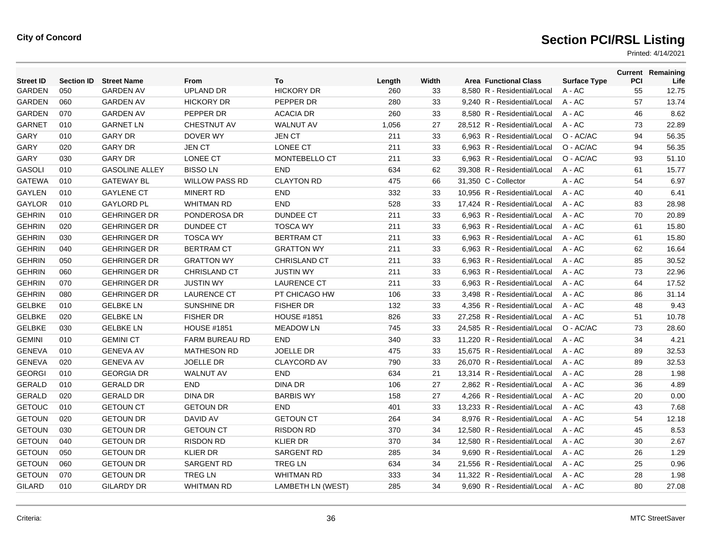| <b>Street ID</b> | <b>Section ID</b> | <b>Street Name</b>    | From                  | To                 | Length | Width | <b>Area Functional Class</b> | <b>Surface Type</b> | <b>PCI</b> | <b>Current Remaining</b><br>Life |
|------------------|-------------------|-----------------------|-----------------------|--------------------|--------|-------|------------------------------|---------------------|------------|----------------------------------|
| <b>GARDEN</b>    | 050               | <b>GARDEN AV</b>      | <b>UPLAND DR</b>      | <b>HICKORY DR</b>  | 260    | 33    | 8,580 R - Residential/Local  | A - AC              | 55         | 12.75                            |
| <b>GARDEN</b>    | 060               | <b>GARDEN AV</b>      | <b>HICKORY DR</b>     | PEPPER DR          | 280    | 33    | 9,240 R - Residential/Local  | A - AC              | 57         | 13.74                            |
| <b>GARDEN</b>    | 070               | <b>GARDEN AV</b>      | PEPPER DR             | <b>ACACIA DR</b>   | 260    | 33    | 8,580 R - Residential/Local  | A - AC              | 46         | 8.62                             |
| <b>GARNET</b>    | 010               | <b>GARNET LN</b>      | <b>CHESTNUT AV</b>    | <b>WALNUT AV</b>   | 1,056  | 27    | 28,512 R - Residential/Local | $A - AC$            | 73         | 22.89                            |
| <b>GARY</b>      | 010               | <b>GARY DR</b>        | <b>DOVER WY</b>       | <b>JEN CT</b>      | 211    | 33    | 6.963 R - Residential/Local  | O - AC/AC           | 94         | 56.35                            |
| GARY             | 020               | <b>GARY DR</b>        | <b>JEN CT</b>         | LONEE CT           | 211    | 33    | 6,963 R - Residential/Local  | O - AC/AC           | 94         | 56.35                            |
| GARY             | 030               | <b>GARY DR</b>        | LONEE CT              | MONTEBELLO CT      | 211    | 33    | 6,963 R - Residential/Local  | O - AC/AC           | 93         | 51.10                            |
| <b>GASOLI</b>    | 010               | <b>GASOLINE ALLEY</b> | <b>BISSOLN</b>        | <b>END</b>         | 634    | 62    | 39.308 R - Residential/Local | $A - AC$            | 61         | 15.77                            |
| <b>GATEWA</b>    | 010               | <b>GATEWAY BL</b>     | <b>WILLOW PASS RD</b> | <b>CLAYTON RD</b>  | 475    | 66    | 31.350 C - Collector         | $A - AC$            | 54         | 6.97                             |
| <b>GAYLEN</b>    | 010               | <b>GAYLENE CT</b>     | <b>MINERT RD</b>      | <b>END</b>         | 332    | 33    | 10,956 R - Residential/Local | $A - AC$            | 40         | 6.41                             |
| <b>GAYLOR</b>    | 010               | <b>GAYLORD PL</b>     | <b>WHITMAN RD</b>     | <b>END</b>         | 528    | 33    | 17,424 R - Residential/Local | A - AC              | 83         | 28.98                            |
| <b>GEHRIN</b>    | 010               | <b>GEHRINGER DR</b>   | PONDEROSA DR          | <b>DUNDEE CT</b>   | 211    | 33    | 6,963 R - Residential/Local  | A - AC              | 70         | 20.89                            |
| <b>GEHRIN</b>    | 020               | <b>GEHRINGER DR</b>   | <b>DUNDEE CT</b>      | <b>TOSCA WY</b>    | 211    | 33    | 6,963 R - Residential/Local  | $A - AC$            | 61         | 15.80                            |
| <b>GEHRIN</b>    | 030               | <b>GEHRINGER DR</b>   | <b>TOSCA WY</b>       | <b>BERTRAM CT</b>  | 211    | 33    | 6.963 R - Residential/Local  | $A - AC$            | 61         | 15.80                            |
| <b>GEHRIN</b>    | 040               | <b>GEHRINGER DR</b>   | <b>BERTRAM CT</b>     | <b>GRATTON WY</b>  | 211    | 33    | 6,963 R - Residential/Local  | A - AC              | 62         | 16.64                            |
| <b>GEHRIN</b>    | 050               | <b>GEHRINGER DR</b>   | <b>GRATTON WY</b>     | CHRISLAND CT       | 211    | 33    | 6,963 R - Residential/Local  | A - AC              | 85         | 30.52                            |
| <b>GEHRIN</b>    | 060               | <b>GEHRINGER DR</b>   | <b>CHRISLAND CT</b>   | <b>JUSTIN WY</b>   | 211    | 33    | 6,963 R - Residential/Local  | A - AC              | 73         | 22.96                            |
| <b>GEHRIN</b>    | 070               | <b>GEHRINGER DR</b>   | <b>JUSTIN WY</b>      | <b>LAURENCE CT</b> | 211    | 33    | 6.963 R - Residential/Local  | $A - AC$            | 64         | 17.52                            |
| <b>GEHRIN</b>    | 080               | <b>GEHRINGER DR</b>   | <b>LAURENCE CT</b>    | PT CHICAGO HW      | 106    | 33    | 3,498 R - Residential/Local  | A - AC              | 86         | 31.14                            |
| <b>GELBKE</b>    | 010               | <b>GELBKE LN</b>      | SUNSHINE DR           | <b>FISHER DR</b>   | 132    | 33    | 4,356 R - Residential/Local  | A - AC              | 48         | 9.43                             |
| <b>GELBKE</b>    | 020               | <b>GELBKE LN</b>      | <b>FISHER DR</b>      | <b>HOUSE #1851</b> | 826    | 33    | 27,258 R - Residential/Local | $A - AC$            | 51         | 10.78                            |
| <b>GELBKE</b>    | 030               | <b>GELBKE LN</b>      | <b>HOUSE #1851</b>    | <b>MEADOW LN</b>   | 745    | 33    | 24.585 R - Residential/Local | O - AC/AC           | 73         | 28.60                            |
| <b>GEMINI</b>    | 010               | <b>GEMINI CT</b>      | <b>FARM BUREAU RD</b> | <b>END</b>         | 340    | 33    | 11.220 R - Residential/Local | $A - AC$            | 34         | 4.21                             |
| <b>GENEVA</b>    | 010               | <b>GENEVA AV</b>      | <b>MATHESON RD</b>    | <b>JOELLE DR</b>   | 475    | 33    | 15,675 R - Residential/Local | A - AC              | 89         | 32.53                            |
| <b>GENEVA</b>    | 020               | <b>GENEVA AV</b>      | <b>JOELLE DR</b>      | <b>CLAYCORD AV</b> | 790    | 33    | 26,070 R - Residential/Local | A - AC              | 89         | 32.53                            |
| <b>GEORGI</b>    | 010               | <b>GEORGIA DR</b>     | <b>WALNUT AV</b>      | <b>END</b>         | 634    | 21    | 13.314 R - Residential/Local | $A - AC$            | 28         | 1.98                             |
| <b>GERALD</b>    | 010               | <b>GERALD DR</b>      | <b>END</b>            | <b>DINA DR</b>     | 106    | 27    | 2.862 R - Residential/Local  | $A - AC$            | 36         | 4.89                             |
| <b>GERALD</b>    | 020               | <b>GERALD DR</b>      | <b>DINA DR</b>        | <b>BARBIS WY</b>   | 158    | 27    | 4,266 R - Residential/Local  | A - AC              | 20         | 0.00                             |
| <b>GETOUC</b>    | 010               | <b>GETOUN CT</b>      | <b>GETOUN DR</b>      | <b>END</b>         | 401    | 33    | 13,233 R - Residential/Local | A - AC              | 43         | 7.68                             |
| <b>GETOUN</b>    | 020               | <b>GETOUN DR</b>      | DAVID AV              | <b>GETOUN CT</b>   | 264    | 34    | 8,976 R - Residential/Local  | A - AC              | 54         | 12.18                            |
| <b>GETOUN</b>    | 030               | <b>GETOUN DR</b>      | <b>GETOUN CT</b>      | <b>RISDON RD</b>   | 370    | 34    | 12.580 R - Residential/Local | A - AC              | 45         | 8.53                             |
| <b>GETOUN</b>    | 040               | <b>GETOUN DR</b>      | <b>RISDON RD</b>      | <b>KLIER DR</b>    | 370    | 34    | 12.580 R - Residential/Local | $A - AC$            | 30         | 2.67                             |
| <b>GETOUN</b>    | 050               | <b>GETOUN DR</b>      | <b>KLIER DR</b>       | SARGENT RD         | 285    | 34    | 9,690 R - Residential/Local  | A - AC              | 26         | 1.29                             |
| <b>GETOUN</b>    | 060               | <b>GETOUN DR</b>      | SARGENT RD            | <b>TREG LN</b>     | 634    | 34    | 21,556 R - Residential/Local | A - AC              | 25         | 0.96                             |
| <b>GETOUN</b>    | 070               | <b>GETOUN DR</b>      | <b>TREG LN</b>        | <b>WHITMAN RD</b>  | 333    | 34    | 11.322 R - Residential/Local | A - AC              | 28         | 1.98                             |
| <b>GILARD</b>    | 010               | <b>GILARDY DR</b>     | <b>WHITMAN RD</b>     | LAMBETH LN (WEST)  | 285    | 34    | 9.690 R - Residential/Local  | $A - AC$            | 80         | 27.08                            |
|                  |                   |                       |                       |                    |        |       |                              |                     |            |                                  |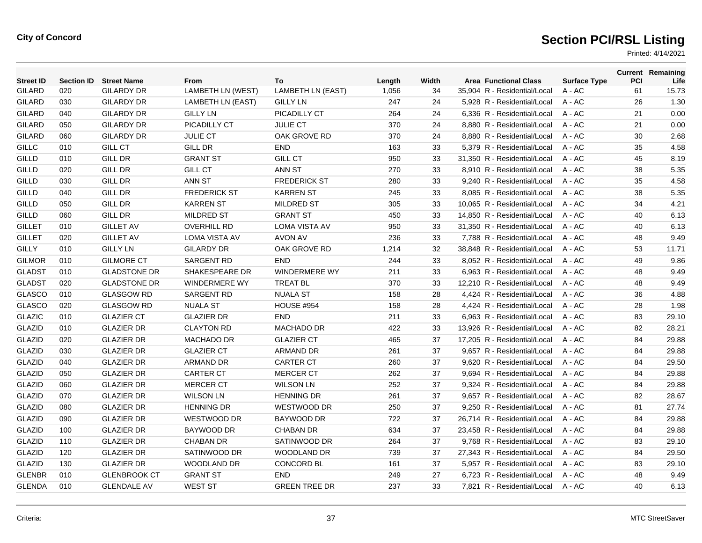| <b>Street ID</b> | <b>Section ID</b> | <b>Street Name</b>  | From                     | To                       | Length | Width | <b>Area Functional Class</b> | <b>Surface Type</b> | <b>PCI</b> | <b>Current Remaining</b><br>Life |
|------------------|-------------------|---------------------|--------------------------|--------------------------|--------|-------|------------------------------|---------------------|------------|----------------------------------|
| <b>GILARD</b>    | 020               | <b>GILARDY DR</b>   | <b>LAMBETH LN (WEST)</b> | <b>LAMBETH LN (EAST)</b> | 1,056  | 34    | 35,904 R - Residential/Local | A - AC              | 61         | 15.73                            |
| <b>GILARD</b>    | 030               | <b>GILARDY DR</b>   | LAMBETH LN (EAST)        | <b>GILLY LN</b>          | 247    | 24    | 5,928 R - Residential/Local  | A - AC              | 26         | 1.30                             |
| <b>GILARD</b>    | 040               | <b>GILARDY DR</b>   | <b>GILLY LN</b>          | PICADILLY CT             | 264    | 24    | 6,336 R - Residential/Local  | $A - AC$            | 21         | 0.00                             |
| <b>GILARD</b>    | 050               | <b>GILARDY DR</b>   | PICADILLY CT             | <b>JULIE CT</b>          | 370    | 24    | 8.880 R - Residential/Local  | $A - AC$            | 21         | 0.00                             |
| <b>GILARD</b>    | 060               | <b>GILARDY DR</b>   | <b>JULIE CT</b>          | OAK GROVE RD             | 370    | 24    | 8,880 R - Residential/Local  | $A - AC$            | 30         | 2.68                             |
| $\mathsf{GILLC}$ | 010               | <b>GILL CT</b>      | <b>GILL DR</b>           | <b>END</b>               | 163    | 33    | 5,379 R - Residential/Local  | A - AC              | 35         | 4.58                             |
| <b>GILLD</b>     | 010               | <b>GILL DR</b>      | <b>GRANT ST</b>          | <b>GILL CT</b>           | 950    | 33    | 31,350 R - Residential/Local | $A - AC$            | 45         | 8.19                             |
| <b>GILLD</b>     | 020               | <b>GILL DR</b>      | <b>GILL CT</b>           | ANN ST                   | 270    | 33    | 8.910 R - Residential/Local  | $A - AC$            | 38         | 5.35                             |
| <b>GILLD</b>     | 030               | <b>GILL DR</b>      | ANN ST                   | <b>FREDERICK ST</b>      | 280    | 33    | 9,240 R - Residential/Local  | $A - AC$            | 35         | 4.58                             |
| <b>GILLD</b>     | 040               | <b>GILL DR</b>      | <b>FREDERICK ST</b>      | <b>KARREN ST</b>         | 245    | 33    | 8,085 R - Residential/Local  | A - AC              | 38         | 5.35                             |
| GILLD            | 050               | <b>GILL DR</b>      | <b>KARREN ST</b>         | <b>MILDRED ST</b>        | 305    | 33    | 10,065 R - Residential/Local | A - AC              | 34         | 4.21                             |
| <b>GILLD</b>     | 060               | <b>GILL DR</b>      | <b>MILDRED ST</b>        | <b>GRANT ST</b>          | 450    | 33    | 14,850 R - Residential/Local | $A - AC$            | 40         | 6.13                             |
| <b>GILLET</b>    | 010               | <b>GILLET AV</b>    | <b>OVERHILL RD</b>       | <b>LOMA VISTA AV</b>     | 950    | 33    | 31,350 R - Residential/Local | $A - AC$            | 40         | 6.13                             |
| <b>GILLET</b>    | 020               | <b>GILLET AV</b>    | <b>LOMA VISTA AV</b>     | <b>AVON AV</b>           | 236    | 33    | 7,788 R - Residential/Local  | A - AC              | 48         | 9.49                             |
| <b>GILLY</b>     | 010               | <b>GILLY LN</b>     | <b>GILARDY DR</b>        | OAK GROVE RD             | 1,214  | 32    | 38,848 R - Residential/Local | A - AC              | 53         | 11.71                            |
| <b>GILMOR</b>    | 010               | <b>GILMORE CT</b>   | <b>SARGENT RD</b>        | <b>END</b>               | 244    | 33    | 8,052 R - Residential/Local  | $A - AC$            | 49         | 9.86                             |
| <b>GLADST</b>    | 010               | <b>GLADSTONE DR</b> | SHAKESPEARE DR           | <b>WINDERMERE WY</b>     | 211    | 33    | 6,963 R - Residential/Local  | $A - AC$            | 48         | 9.49                             |
| <b>GLADST</b>    | 020               | <b>GLADSTONE DR</b> | <b>WINDERMERE WY</b>     | <b>TREAT BL</b>          | 370    | 33    | 12,210 R - Residential/Local | A - AC              | 48         | 9.49                             |
| GLASCO           | 010               | <b>GLASGOW RD</b>   | <b>SARGENT RD</b>        | <b>NUALA ST</b>          | 158    | 28    | 4,424 R - Residential/Local  | A - AC              | 36         | 4.88                             |
| <b>GLASCO</b>    | 020               | <b>GLASGOW RD</b>   | <b>NUALA ST</b>          | <b>HOUSE #954</b>        | 158    | 28    | 4,424 R - Residential/Local  | $A - AC$            | 28         | 1.98                             |
| <b>GLAZIC</b>    | 010               | <b>GLAZIER CT</b>   | <b>GLAZIER DR</b>        | <b>END</b>               | 211    | 33    | 6,963 R - Residential/Local  | A - AC              | 83         | 29.10                            |
| <b>GLAZID</b>    | 010               | <b>GLAZIER DR</b>   | <b>CLAYTON RD</b>        | <b>MACHADO DR</b>        | 422    | 33    | 13,926 R - Residential/Local | A - AC              | 82         | 28.21                            |
| <b>GLAZID</b>    | 020               | <b>GLAZIER DR</b>   | <b>MACHADO DR</b>        | <b>GLAZIER CT</b>        | 465    | 37    | 17.205 R - Residential/Local | $A - AC$            | 84         | 29.88                            |
| <b>GLAZID</b>    | 030               | <b>GLAZIER DR</b>   | <b>GLAZIER CT</b>        | ARMAND DR                | 261    | 37    | 9.657 R - Residential/Local  | $A - AC$            | 84         | 29.88                            |
| <b>GLAZID</b>    | 040               | <b>GLAZIER DR</b>   | <b>ARMAND DR</b>         | <b>CARTER CT</b>         | 260    | 37    | 9,620 R - Residential/Local  | A - AC              | 84         | 29.50                            |
| <b>GLAZID</b>    | 050               | <b>GLAZIER DR</b>   | <b>CARTER CT</b>         | <b>MERCER CT</b>         | 262    | 37    | 9,694 R - Residential/Local  | A - AC              | 84         | 29.88                            |
| GLAZID           | 060               | <b>GLAZIER DR</b>   | <b>MERCER CT</b>         | <b>WILSON LN</b>         | 252    | 37    | 9,324 R - Residential/Local  | A - AC              | 84         | 29.88                            |
| GLAZID           | 070               | <b>GLAZIER DR</b>   | <b>WILSON LN</b>         | <b>HENNING DR</b>        | 261    | 37    | 9.657 R - Residential/Local  | $A - AC$            | 82         | 28.67                            |
| <b>GLAZID</b>    | 080               | <b>GLAZIER DR</b>   | <b>HENNING DR</b>        | WESTWOOD DR              | 250    | 37    | 9,250 R - Residential/Local  | $A - AC$            | 81         | 27.74                            |
| <b>GLAZID</b>    | 090               | <b>GLAZIER DR</b>   | WESTWOOD DR              | BAYWOOD DR               | 722    | 37    | 26,714 R - Residential/Local | A - AC              | 84         | 29.88                            |
| GLAZID           | 100               | <b>GLAZIER DR</b>   | BAYWOOD DR               | <b>CHABAN DR</b>         | 634    | 37    | 23,458 R - Residential/Local | A - AC              | 84         | 29.88                            |
| GLAZID           | 110               | <b>GLAZIER DR</b>   | <b>CHABAN DR</b>         | SATINWOOD DR             | 264    | 37    | 9,768 R - Residential/Local  | A - AC              | 83         | 29.10                            |
| GLAZID           | 120               | <b>GLAZIER DR</b>   | SATINWOOD DR             | <b>WOODLAND DR</b>       | 739    | 37    | 27,343 R - Residential/Local | $A - AC$            | 84         | 29.50                            |
| <b>GLAZID</b>    | 130               | <b>GLAZIER DR</b>   | WOODLAND DR              | <b>CONCORD BL</b>        | 161    | 37    | 5,957 R - Residential/Local  | A - AC              | 83         | 29.10                            |
| <b>GLENBR</b>    | 010               | <b>GLENBROOK CT</b> | <b>GRANT ST</b>          | <b>END</b>               | 249    | 27    | 6.723 R - Residential/Local  | A - AC              | 48         | 9.49                             |
| <b>GLENDA</b>    | 010               | <b>GLENDALE AV</b>  | <b>WEST ST</b>           | <b>GREEN TREE DR</b>     | 237    | 33    | 7.821 R - Residential/Local  | A - AC              | 40         | 6.13                             |
|                  |                   |                     |                          |                          |        |       |                              |                     |            |                                  |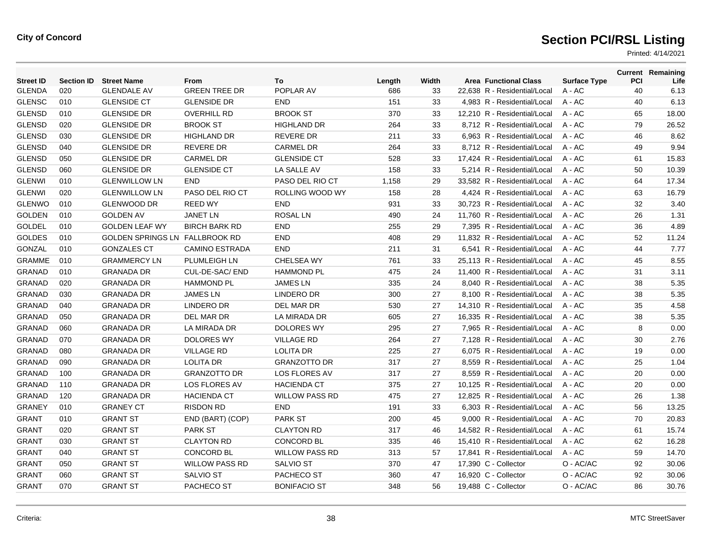| <b>Street ID</b> | <b>Section ID</b> | <b>Street Name</b>       | From                  | To                    | Length | Width | <b>Area Functional Class</b> | <b>Surface Type</b> | PCI | <b>Current Remaining</b><br>Life |
|------------------|-------------------|--------------------------|-----------------------|-----------------------|--------|-------|------------------------------|---------------------|-----|----------------------------------|
| <b>GLENDA</b>    | 020               | <b>GLENDALE AV</b>       | <b>GREEN TREE DR</b>  | POPLAR AV             | 686    | 33    | 22,638 R - Residential/Local | A - AC              | 40  | 6.13                             |
| <b>GLENSC</b>    | 010               | <b>GLENSIDE CT</b>       | <b>GLENSIDE DR</b>    | <b>END</b>            | 151    | 33    | 4,983 R - Residential/Local  | $A - AC$            | 40  | 6.13                             |
| <b>GLENSD</b>    | 010               | <b>GLENSIDE DR</b>       | <b>OVERHILL RD</b>    | <b>BROOK ST</b>       | 370    | 33    | 12.210 R - Residential/Local | $A - AC$            | 65  | 18.00                            |
| <b>GLENSD</b>    | 020               | <b>GLENSIDE DR</b>       | <b>BROOK ST</b>       | <b>HIGHLAND DR</b>    | 264    | 33    | 8,712 R - Residential/Local  | $A - AC$            | 79  | 26.52                            |
| <b>GLENSD</b>    | 030               | <b>GLENSIDE DR</b>       | <b>HIGHLAND DR</b>    | <b>REVERE DR</b>      | 211    | 33    | 6,963 R - Residential/Local  | A - AC              | 46  | 8.62                             |
| <b>GLENSD</b>    | 040               | <b>GLENSIDE DR</b>       | <b>REVERE DR</b>      | <b>CARMEL DR</b>      | 264    | 33    | 8.712 R - Residential/Local  | $A - AC$            | 49  | 9.94                             |
| <b>GLENSD</b>    | 050               | <b>GLENSIDE DR</b>       | <b>CARMEL DR</b>      | <b>GLENSIDE CT</b>    | 528    | 33    | 17.424 R - Residential/Local | $A - AC$            | 61  | 15.83                            |
| <b>GLENSD</b>    | 060               | <b>GLENSIDE DR</b>       | <b>GLENSIDE CT</b>    | LA SALLE AV           | 158    | 33    | 5,214 R - Residential/Local  | $A - AC$            | 50  | 10.39                            |
| <b>GLENWI</b>    | 010               | <b>GLENWILLOW LN</b>     | <b>END</b>            | PASO DEL RIO CT       | 1,158  | 29    | 33,582 R - Residential/Local | $A - AC$            | 64  | 17.34                            |
| <b>GLENWI</b>    | 020               | <b>GLENWILLOW LN</b>     | PASO DEL RIO CT       | ROLLING WOOD WY       | 158    | 28    | 4.424 R - Residential/Local  | $A - AC$            | 63  | 16.79                            |
| <b>GLENWO</b>    | 010               | <b>GLENWOOD DR</b>       | <b>REED WY</b>        | <b>END</b>            | 931    | 33    | 30.723 R - Residential/Local | $A - AC$            | 32  | 3.40                             |
| <b>GOLDEN</b>    | 010               | <b>GOLDEN AV</b>         | <b>JANET LN</b>       | <b>ROSAL LN</b>       | 490    | 24    | 11,760 R - Residential/Local | A - AC              | 26  | 1.31                             |
| GOLDEL           | 010               | <b>GOLDEN LEAF WY</b>    | <b>BIRCH BARK RD</b>  | <b>END</b>            | 255    | 29    | 7,395 R - Residential/Local  | A - AC              | 36  | 4.89                             |
| <b>GOLDES</b>    | 010               | <b>GOLDEN SPRINGS LN</b> | <b>FALLBROOK RD</b>   | <b>END</b>            | 408    | 29    | 11,832 R - Residential/Local | $A - AC$            | 52  | 11.24                            |
| <b>GONZAL</b>    | 010               | <b>GONZALES CT</b>       | <b>CAMINO ESTRADA</b> | <b>END</b>            | 211    | 31    | 6,541 R - Residential/Local  | $A - AC$            | 44  | 7.77                             |
| <b>GRAMME</b>    | 010               | <b>GRAMMERCY LN</b>      | PLUMLEIGH LN          | CHELSEA WY            | 761    | 33    | 25,113 R - Residential/Local | A - AC              | 45  | 8.55                             |
| <b>GRANAD</b>    | 010               | <b>GRANADA DR</b>        | CUL-DE-SAC/ END       | <b>HAMMOND PL</b>     | 475    | 24    | 11,400 R - Residential/Local | $A - AC$            | 31  | 3.11                             |
| <b>GRANAD</b>    | 020               | <b>GRANADA DR</b>        | <b>HAMMOND PL</b>     | <b>JAMES LN</b>       | 335    | 24    | 8.040 R - Residential/Local  | $A - AC$            | 38  | 5.35                             |
| <b>GRANAD</b>    | 030               | <b>GRANADA DR</b>        | <b>JAMES LN</b>       | <b>LINDERO DR</b>     | 300    | 27    | 8,100 R - Residential/Local  | A - AC              | 38  | 5.35                             |
| <b>GRANAD</b>    | 040               | <b>GRANADA DR</b>        | LINDERO DR            | DEL MAR DR            | 530    | 27    | 14,310 R - Residential/Local | $A - AC$            | 35  | 4.58                             |
| <b>GRANAD</b>    | 050               | <b>GRANADA DR</b>        | DEL MAR DR            | LA MIRADA DR          | 605    | 27    | 16.335 R - Residential/Local | $A - AC$            | 38  | 5.35                             |
| <b>GRANAD</b>    | 060               | <b>GRANADA DR</b>        | LA MIRADA DR          | <b>DOLORES WY</b>     | 295    | 27    | 7.965 R - Residential/Local  | $A - AC$            | 8   | 0.00                             |
| <b>GRANAD</b>    | 070               | <b>GRANADA DR</b>        | <b>DOLORES WY</b>     | <b>VILLAGE RD</b>     | 264    | 27    | 7,128 R - Residential/Local  | A - AC              | 30  | 2.76                             |
| <b>GRANAD</b>    | 080               | <b>GRANADA DR</b>        | <b>VILLAGE RD</b>     | <b>LOLITA DR</b>      | 225    | 27    | 6.075 R - Residential/Local  | $A - AC$            | 19  | 0.00                             |
| <b>GRANAD</b>    | 090               | <b>GRANADA DR</b>        | <b>LOLITA DR</b>      | <b>GRANZOTTO DR</b>   | 317    | 27    | 8.559 R - Residential/Local  | $A - AC$            | 25  | 1.04                             |
| <b>GRANAD</b>    | 100               | <b>GRANADA DR</b>        | <b>GRANZOTTO DR</b>   | LOS FLORES AV         | 317    | 27    | 8,559 R - Residential/Local  | A - AC              | 20  | 0.00                             |
| <b>GRANAD</b>    | 110               | <b>GRANADA DR</b>        | <b>LOS FLORES AV</b>  | <b>HACIENDA CT</b>    | 375    | 27    | 10,125 R - Residential/Local | A - AC              | 20  | 0.00                             |
| <b>GRANAD</b>    | 120               | <b>GRANADA DR</b>        | <b>HACIENDA CT</b>    | <b>WILLOW PASS RD</b> | 475    | 27    | 12,825 R - Residential/Local | A - AC              | 26  | 1.38                             |
| <b>GRANEY</b>    | 010               | <b>GRANEY CT</b>         | <b>RISDON RD</b>      | <b>END</b>            | 191    | 33    | 6.303 R - Residential/Local  | $A - AC$            | 56  | 13.25                            |
| <b>GRANT</b>     | 010               | <b>GRANT ST</b>          | END (BART) (COP)      | <b>PARK ST</b>        | 200    | 45    | 9,000 R - Residential/Local  | A - AC              | 70  | 20.83                            |
| <b>GRANT</b>     | 020               | <b>GRANT ST</b>          | <b>PARK ST</b>        | <b>CLAYTON RD</b>     | 317    | 46    | 14,582 R - Residential/Local | A - AC              | 61  | 15.74                            |
| <b>GRANT</b>     | 030               | <b>GRANT ST</b>          | <b>CLAYTON RD</b>     | <b>CONCORD BL</b>     | 335    | 46    | 15,410 R - Residential/Local | A - AC              | 62  | 16.28                            |
| <b>GRANT</b>     | 040               | <b>GRANT ST</b>          | <b>CONCORD BL</b>     | <b>WILLOW PASS RD</b> | 313    | 57    | 17,841 R - Residential/Local | A - AC              | 59  | 14.70                            |
| <b>GRANT</b>     | 050               | <b>GRANT ST</b>          | <b>WILLOW PASS RD</b> | <b>SALVIO ST</b>      | 370    | 47    | 17,390 C - Collector         | O - AC/AC           | 92  | 30.06                            |
| <b>GRANT</b>     | 060               | <b>GRANT ST</b>          | <b>SALVIO ST</b>      | PACHECO ST            | 360    | 47    | 16,920 C - Collector         | O - AC/AC           | 92  | 30.06                            |
| <b>GRANT</b>     | 070               | <b>GRANT ST</b>          | PACHECO ST            | <b>BONIFACIO ST</b>   | 348    | 56    | 19,488 C - Collector         | O - AC/AC           | 86  | 30.76                            |
|                  |                   |                          |                       |                       |        |       |                              |                     |     |                                  |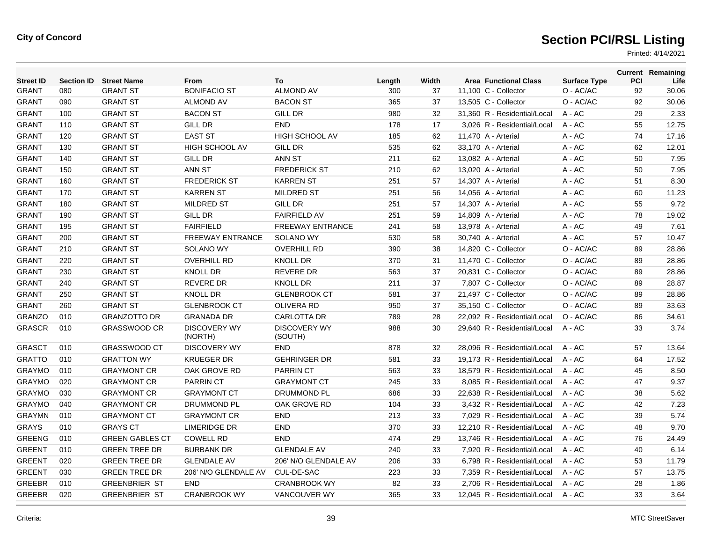| <b>Street ID</b> | <b>Section ID</b> | <b>Street Name</b>     | From                           | To                             | Length | Width | <b>Area Functional Class</b> | <b>Surface Type</b> | PCI | <b>Current Remaining</b><br>Life |
|------------------|-------------------|------------------------|--------------------------------|--------------------------------|--------|-------|------------------------------|---------------------|-----|----------------------------------|
| <b>GRANT</b>     | 080               | <b>GRANT ST</b>        | <b>BONIFACIO ST</b>            | <b>ALMOND AV</b>               | 300    | 37    | 11,100 C - Collector         | O - AC/AC           | 92  | 30.06                            |
| <b>GRANT</b>     | 090               | <b>GRANT ST</b>        | <b>ALMOND AV</b>               | <b>BACON ST</b>                | 365    | 37    | 13,505 C - Collector         | O - AC/AC           | 92  | 30.06                            |
| GRANT            | 100               | <b>GRANT ST</b>        | <b>BACON ST</b>                | <b>GILL DR</b>                 | 980    | 32    | 31.360 R - Residential/Local | $A - AC$            | 29  | 2.33                             |
| GRANT            | 110               | <b>GRANT ST</b>        | <b>GILL DR</b>                 | <b>END</b>                     | 178    | 17    | 3,026 R - Residential/Local  | $A - AC$            | 55  | 12.75                            |
| GRANT            | 120               | <b>GRANT ST</b>        | <b>EAST ST</b>                 | HIGH SCHOOL AV                 | 185    | 62    | 11,470 A - Arterial          | A - AC              | 74  | 17.16                            |
| <b>GRANT</b>     | 130               | <b>GRANT ST</b>        | <b>HIGH SCHOOL AV</b>          | <b>GILL DR</b>                 | 535    | 62    | 33,170 A - Arterial          | $A - AC$            | 62  | 12.01                            |
| <b>GRANT</b>     | 140               | <b>GRANT ST</b>        | <b>GILL DR</b>                 | ANN ST                         | 211    | 62    | 13,082 A - Arterial          | $A - AC$            | 50  | 7.95                             |
| <b>GRANT</b>     | 150               | <b>GRANT ST</b>        | ANN ST                         | <b>FREDERICK ST</b>            | 210    | 62    | 13.020 A - Arterial          | $A - AC$            | 50  | 7.95                             |
| <b>GRANT</b>     | 160               | <b>GRANT ST</b>        | <b>FREDERICK ST</b>            | <b>KARREN ST</b>               | 251    | 57    | 14,307 A - Arterial          | A - AC              | 51  | 8.30                             |
| <b>GRANT</b>     | 170               | <b>GRANT ST</b>        | <b>KARREN ST</b>               | <b>MILDRED ST</b>              | 251    | 56    | 14,056 A - Arterial          | $A - AC$            | 60  | 11.23                            |
| <b>GRANT</b>     | 180               | <b>GRANT ST</b>        | <b>MILDRED ST</b>              | <b>GILL DR</b>                 | 251    | 57    | 14,307 A - Arterial          | $A - AC$            | 55  | 9.72                             |
| <b>GRANT</b>     | 190               | <b>GRANT ST</b>        | <b>GILL DR</b>                 | <b>FAIRFIELD AV</b>            | 251    | 59    | 14,809 A - Arterial          | $A - AC$            | 78  | 19.02                            |
| <b>GRANT</b>     | 195               | <b>GRANT ST</b>        | <b>FAIRFIELD</b>               | <b>FREEWAY ENTRANCE</b>        | 241    | 58    | 13,978 A - Arterial          | $A - AC$            | 49  | 7.61                             |
| <b>GRANT</b>     | 200               | <b>GRANT ST</b>        | <b>FREEWAY ENTRANCE</b>        | <b>SOLANO WY</b>               | 530    | 58    | 30,740 A - Arterial          | A - AC              | 57  | 10.47                            |
| <b>GRANT</b>     | 210               | <b>GRANT ST</b>        | <b>SOLANO WY</b>               | <b>OVERHILL RD</b>             | 390    | 38    | 14,820 C - Collector         | O - AC/AC           | 89  | 28.86                            |
| <b>GRANT</b>     | 220               | <b>GRANT ST</b>        | <b>OVERHILL RD</b>             | <b>KNOLL DR</b>                | 370    | 31    | 11,470 C - Collector         | O - AC/AC           | 89  | 28.86                            |
| <b>GRANT</b>     | 230               | <b>GRANT ST</b>        | <b>KNOLL DR</b>                | <b>REVERE DR</b>               | 563    | 37    | 20.831 C - Collector         | O - AC/AC           | 89  | 28.86                            |
| GRANT            | 240               | <b>GRANT ST</b>        | <b>REVERE DR</b>               | <b>KNOLL DR</b>                | 211    | 37    | 7,807 C - Collector          | O - AC/AC           | 89  | 28.87                            |
| GRANT            | 250               | <b>GRANT ST</b>        | <b>KNOLL DR</b>                | <b>GLENBROOK CT</b>            | 581    | 37    | 21,497 C - Collector         | O - AC/AC           | 89  | 28.86                            |
| <b>GRANT</b>     | 260               | <b>GRANT ST</b>        | <b>GLENBROOK CT</b>            | <b>OLIVERA RD</b>              | 950    | 37    | 35,150 C - Collector         | O - AC/AC           | 89  | 33.63                            |
| GRANZO           | 010               | <b>GRANZOTTO DR</b>    | <b>GRANADA DR</b>              | <b>CARLOTTA DR</b>             | 789    | 28    | 22,092 R - Residential/Local | O - AC/AC           | 86  | 34.61                            |
| <b>GRASCR</b>    | 010               | <b>GRASSWOOD CR</b>    | <b>DISCOVERY WY</b><br>(NORTH) | <b>DISCOVERY WY</b><br>(SOUTH) | 988    | 30    | 29.640 R - Residential/Local | $A - AC$            | 33  | 3.74                             |
| <b>GRASCT</b>    | 010               | <b>GRASSWOOD CT</b>    | <b>DISCOVERY WY</b>            | <b>END</b>                     | 878    | 32    | 28.096 R - Residential/Local | $A - AC$            | 57  | 13.64                            |
| <b>GRATTO</b>    | 010               | <b>GRATTON WY</b>      | <b>KRUEGER DR</b>              | <b>GEHRINGER DR</b>            | 581    | 33    | 19,173 R - Residential/Local | A - AC              | 64  | 17.52                            |
| <b>GRAYMO</b>    | 010               | <b>GRAYMONT CR</b>     | OAK GROVE RD                   | <b>PARRIN CT</b>               | 563    | 33    | 18,579 R - Residential/Local | $A - AC$            | 45  | 8.50                             |
| <b>GRAYMO</b>    | 020               | <b>GRAYMONT CR</b>     | <b>PARRIN CT</b>               | <b>GRAYMONT CT</b>             | 245    | 33    | 8,085 R - Residential/Local  | A - AC              | 47  | 9.37                             |
| <b>GRAYMO</b>    | 030               | <b>GRAYMONT CR</b>     | <b>GRAYMONT CT</b>             | <b>DRUMMOND PL</b>             | 686    | 33    | 22.638 R - Residential/Local | $A - AC$            | 38  | 5.62                             |
| GRAYMO           | 040               | <b>GRAYMONT CR</b>     | DRUMMOND PL                    | OAK GROVE RD                   | 104    | 33    | 3,432 R - Residential/Local  | $A - AC$            | 42  | 7.23                             |
| <b>GRAYMN</b>    | 010               | <b>GRAYMONT CT</b>     | <b>GRAYMONT CR</b>             | <b>END</b>                     | 213    | 33    | 7,029 R - Residential/Local  | $A - AC$            | 39  | 5.74                             |
| <b>GRAYS</b>     | 010               | <b>GRAYS CT</b>        | <b>LIMERIDGE DR</b>            | <b>END</b>                     | 370    | 33    | 12,210 R - Residential/Local | $A - AC$            | 48  | 9.70                             |
| <b>GREENG</b>    | 010               | <b>GREEN GABLES CT</b> | <b>COWELL RD</b>               | <b>END</b>                     | 474    | 29    | 13,746 R - Residential/Local | $A - AC$            | 76  | 24.49                            |
| <b>GREENT</b>    | 010               | <b>GREEN TREE DR</b>   | <b>BURBANK DR</b>              | <b>GLENDALE AV</b>             | 240    | 33    | 7.920 R - Residential/Local  | $A - AC$            | 40  | 6.14                             |
| <b>GREENT</b>    | 020               | <b>GREEN TREE DR</b>   | <b>GLENDALE AV</b>             | 206' N/O GLENDALE AV           | 206    | 33    | 6.798 R - Residential/Local  | $A - AC$            | 53  | 11.79                            |
| <b>GREENT</b>    | 030               | <b>GREEN TREE DR</b>   | 206' N/O GLENDALE AV           | CUL-DE-SAC                     | 223    | 33    | 7,359 R - Residential/Local  | A - AC              | 57  | 13.75                            |
| <b>GREEBR</b>    | 010               | <b>GREENBRIER ST</b>   | <b>END</b>                     | <b>CRANBROOK WY</b>            | 82     | 33    | 2,706 R - Residential/Local  | A - AC              | 28  | 1.86                             |
| <b>GREEBR</b>    | 020               | <b>GREENBRIER ST</b>   | <b>CRANBROOK WY</b>            | <b>VANCOUVER WY</b>            | 365    | 33    | 12.045 R - Residential/Local | $A - AC$            | 33  | 3.64                             |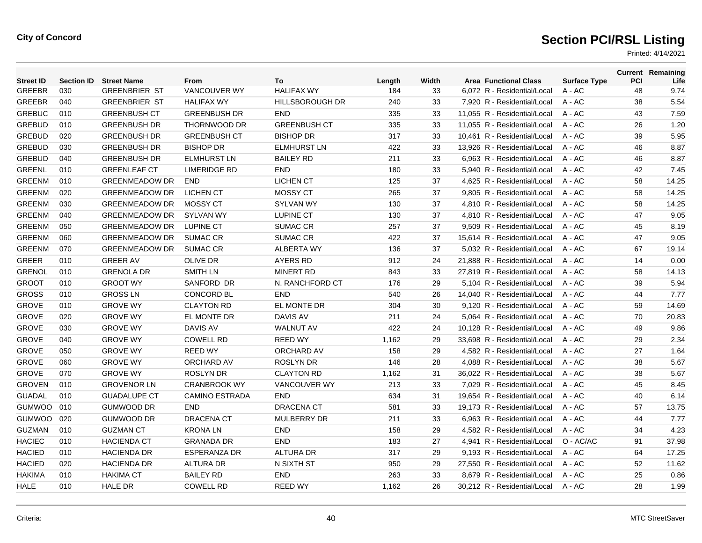| <b>Street ID</b> | <b>Section ID</b> | <b>Street Name</b>    | From                  | To                     | Length | Width | <b>Area Functional Class</b> | <b>Surface Type</b> | <b>PCI</b> | <b>Current Remaining</b><br>Life |
|------------------|-------------------|-----------------------|-----------------------|------------------------|--------|-------|------------------------------|---------------------|------------|----------------------------------|
| <b>GREEBR</b>    | 030               | <b>GREENBRIER ST</b>  | VANCOUVER WY          | <b>HALIFAX WY</b>      | 184    | 33    | 6,072 R - Residential/Local  | A - AC              | 48         | 9.74                             |
| GREEBR           | 040               | <b>GREENBRIER ST</b>  | <b>HALIFAX WY</b>     | <b>HILLSBOROUGH DR</b> | 240    | 33    | 7,920 R - Residential/Local  | A - AC              | 38         | 5.54                             |
| <b>GREBUC</b>    | 010               | <b>GREENBUSH CT</b>   | <b>GREENBUSH DR</b>   | <b>END</b>             | 335    | 33    | 11,055 R - Residential/Local | A - AC              | 43         | 7.59                             |
| <b>GREBUD</b>    | 010               | <b>GREENBUSH DR</b>   | <b>THORNWOOD DR</b>   | <b>GREENBUSH CT</b>    | 335    | 33    | 11.055 R - Residential/Local | $A - AC$            | 26         | 1.20                             |
| <b>GREBUD</b>    | 020               | <b>GREENBUSH DR</b>   | <b>GREENBUSH CT</b>   | <b>BISHOP DR</b>       | 317    | 33    | 10.461 R - Residential/Local | $A - AC$            | 39         | 5.95                             |
| <b>GREBUD</b>    | 030               | <b>GREENBUSH DR</b>   | <b>BISHOP DR</b>      | <b>ELMHURST LN</b>     | 422    | 33    | 13,926 R - Residential/Local | $A - AC$            | 46         | 8.87                             |
| <b>GREBUD</b>    | 040               | <b>GREENBUSH DR</b>   | <b>ELMHURST LN</b>    | <b>BAILEY RD</b>       | 211    | 33    | 6,963 R - Residential/Local  | $A - AC$            | 46         | 8.87                             |
| <b>GREENL</b>    | 010               | <b>GREENLEAF CT</b>   | <b>LIMERIDGE RD</b>   | <b>END</b>             | 180    | 33    | 5.940 R - Residential/Local  | $A - AC$            | 42         | 7.45                             |
| <b>GREENM</b>    | 010               | <b>GREENMEADOW DR</b> | <b>END</b>            | <b>LICHEN CT</b>       | 125    | 37    | 4.625 R - Residential/Local  | $A - AC$            | 58         | 14.25                            |
| <b>GREENM</b>    | 020               | <b>GREENMEADOW DR</b> | <b>LICHEN CT</b>      | <b>MOSSY CT</b>        | 265    | 37    | 9,805 R - Residential/Local  | A - AC              | 58         | 14.25                            |
| <b>GREENM</b>    | 030               | <b>GREENMEADOW DR</b> | <b>MOSSY CT</b>       | <b>SYLVAN WY</b>       | 130    | 37    | 4,810 R - Residential/Local  | A - AC              | 58         | 14.25                            |
| <b>GREENM</b>    | 040               | <b>GREENMEADOW DR</b> | <b>SYLVAN WY</b>      | <b>LUPINE CT</b>       | 130    | 37    | 4,810 R - Residential/Local  | A - AC              | 47         | 9.05                             |
| <b>GREENM</b>    | 050               | <b>GREENMEADOW DR</b> | <b>LUPINE CT</b>      | <b>SUMAC CR</b>        | 257    | 37    | 9,509 R - Residential/Local  | $A - AC$            | 45         | 8.19                             |
| <b>GREENM</b>    | 060               | <b>GREENMEADOW DR</b> | <b>SUMAC CR</b>       | <b>SUMAC CR</b>        | 422    | 37    | 15.614 R - Residential/Local | $A - AC$            | 47         | 9.05                             |
| <b>GREENM</b>    | 070               | <b>GREENMEADOW DR</b> | <b>SUMAC CR</b>       | <b>ALBERTA WY</b>      | 136    | 37    | 5,032 R - Residential/Local  | A - AC              | 67         | 19.14                            |
| <b>GREER</b>     | 010               | <b>GREER AV</b>       | <b>OLIVE DR</b>       | <b>AYERS RD</b>        | 912    | 24    | 21,888 R - Residential/Local | A - AC              | 14         | 0.00                             |
| <b>GRENOL</b>    | 010               | <b>GRENOLA DR</b>     | <b>SMITH LN</b>       | <b>MINERT RD</b>       | 843    | 33    | 27,819 R - Residential/Local | A - AC              | 58         | 14.13                            |
| <b>GROOT</b>     | 010               | <b>GROOT WY</b>       | SANFORD DR            | N. RANCHFORD CT        | 176    | 29    | 5.104 R - Residential/Local  | $A - AC$            | 39         | 5.94                             |
| <b>GROSS</b>     | 010               | <b>GROSS LN</b>       | <b>CONCORD BL</b>     | <b>END</b>             | 540    | 26    | 14,040 R - Residential/Local | A - AC              | 44         | 7.77                             |
| <b>GROVE</b>     | 010               | <b>GROVE WY</b>       | <b>CLAYTON RD</b>     | EL MONTE DR            | 304    | 30    | 9,120 R - Residential/Local  | A - AC              | 59         | 14.69                            |
| <b>GROVE</b>     | 020               | <b>GROVE WY</b>       | EL MONTE DR           | <b>DAVIS AV</b>        | 211    | 24    | 5,064 R - Residential/Local  | $A - AC$            | 70         | 20.83                            |
| <b>GROVE</b>     | 030               | <b>GROVE WY</b>       | <b>DAVIS AV</b>       | <b>WALNUT AV</b>       | 422    | 24    | 10.128 R - Residential/Local | $A - AC$            | 49         | 9.86                             |
| <b>GROVE</b>     | 040               | <b>GROVE WY</b>       | <b>COWELL RD</b>      | <b>REED WY</b>         | 1,162  | 29    | 33.698 R - Residential/Local | $A - AC$            | 29         | 2.34                             |
| <b>GROVE</b>     | 050               | <b>GROVE WY</b>       | <b>REED WY</b>        | <b>ORCHARD AV</b>      | 158    | 29    | 4,582 R - Residential/Local  | A - AC              | 27         | 1.64                             |
| <b>GROVE</b>     | 060               | <b>GROVE WY</b>       | ORCHARD AV            | <b>ROSLYN DR</b>       | 146    | 28    | 4,088 R - Residential/Local  | $A - AC$            | 38         | 5.67                             |
| <b>GROVE</b>     | 070               | <b>GROVE WY</b>       | <b>ROSLYN DR</b>      | <b>CLAYTON RD</b>      | 1,162  | 31    | 36.022 R - Residential/Local | $A - AC$            | 38         | 5.67                             |
| <b>GROVEN</b>    | 010               | <b>GROVENOR LN</b>    | <b>CRANBROOK WY</b>   | <b>VANCOUVER WY</b>    | 213    | 33    | 7.029 R - Residential/Local  | $A - AC$            | 45         | 8.45                             |
| <b>GUADAL</b>    | 010               | <b>GUADALUPE CT</b>   | <b>CAMINO ESTRADA</b> | <b>END</b>             | 634    | 31    | 19,654 R - Residential/Local | A - AC              | 40         | 6.14                             |
| <b>GUMWOO</b>    | 010               | <b>GUMWOOD DR</b>     | <b>END</b>            | <b>DRACENA CT</b>      | 581    | 33    | 19,173 R - Residential/Local | A - AC              | 57         | 13.75                            |
| <b>GUMWOO</b>    | 020               | <b>GUMWOOD DR</b>     | <b>DRACENA CT</b>     | <b>MULBERRY DR</b>     | 211    | 33    | 6,963 R - Residential/Local  | A - AC              | 44         | 7.77                             |
| <b>GUZMAN</b>    | 010               | <b>GUZMAN CT</b>      | <b>KRONALN</b>        | <b>END</b>             | 158    | 29    | 4.582 R - Residential/Local  | $A - AC$            | 34         | 4.23                             |
| <b>HACIEC</b>    | 010               | <b>HACIENDA CT</b>    | <b>GRANADA DR</b>     | <b>END</b>             | 183    | 27    | 4.941 R - Residential/Local  | O - AC/AC           | 91         | 37.98                            |
| <b>HACIED</b>    | 010               | <b>HACIENDA DR</b>    | <b>ESPERANZA DR</b>   | <b>ALTURA DR</b>       | 317    | 29    | 9,193 R - Residential/Local  | $A - AC$            | 64         | 17.25                            |
| <b>HACIED</b>    | 020               | <b>HACIENDA DR</b>    | <b>ALTURA DR</b>      | N SIXTH ST             | 950    | 29    | 27,550 R - Residential/Local | $A - AC$            | 52         | 11.62                            |
| <b>HAKIMA</b>    | 010               | <b>HAKIMA CT</b>      | <b>BAILEY RD</b>      | <b>END</b>             | 263    | 33    | 8.679 R - Residential/Local  | A - AC              | 25         | 0.86                             |
| <b>HALE</b>      | 010               | <b>HALE DR</b>        | <b>COWELL RD</b>      | <b>REED WY</b>         | 1,162  | 26    | 30.212 R - Residential/Local | $A - AC$            | 28         | 1.99                             |
|                  |                   |                       |                       |                        |        |       |                              |                     |            |                                  |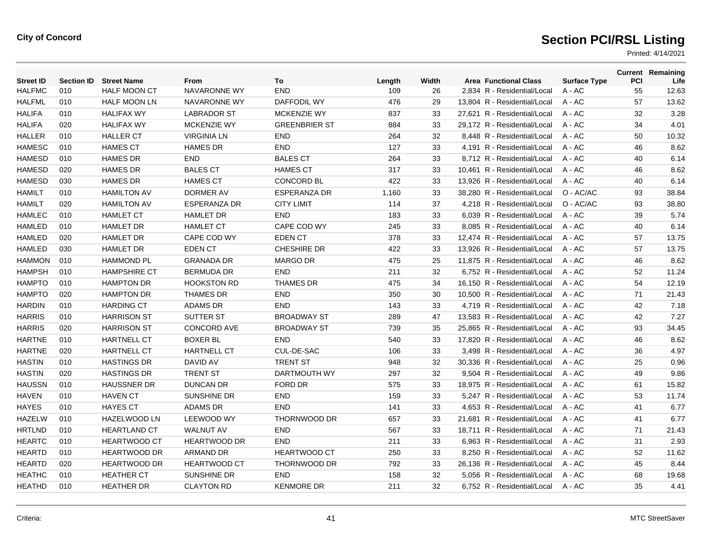| <b>Street ID</b> | <b>Section ID</b> | <b>Street Name</b>  | <b>From</b>         | To                   | Length | Width | <b>Area Functional Class</b> | <b>Surface Type</b> | <b>PCI</b> | <b>Current Remaining</b><br>Life |
|------------------|-------------------|---------------------|---------------------|----------------------|--------|-------|------------------------------|---------------------|------------|----------------------------------|
| <b>HALFMC</b>    | 010               | <b>HALF MOON CT</b> | <b>NAVARONNE WY</b> | <b>END</b>           | 109    | 26    | 2,834 R - Residential/Local  | A - AC              | 55         | 12.63                            |
| <b>HALFML</b>    | 010               | <b>HALF MOON LN</b> | NAVARONNE WY        | DAFFODIL WY          | 476    | 29    | 13,804 R - Residential/Local | A - AC              | 57         | 13.62                            |
| <b>HALIFA</b>    | 010               | <b>HALIFAX WY</b>   | <b>LABRADOR ST</b>  | <b>MCKENZIE WY</b>   | 837    | 33    | 27,621 R - Residential/Local | A - AC              | 32         | 3.28                             |
| <b>HALIFA</b>    | 020               | <b>HALIFAX WY</b>   | <b>MCKENZIE WY</b>  | <b>GREENBRIER ST</b> | 884    | 33    | 29.172 R - Residential/Local | $A - AC$            | 34         | 4.01                             |
| <b>HALLER</b>    | 010               | <b>HALLER CT</b>    | <b>VIRGINIA LN</b>  | <b>END</b>           | 264    | 32    | 8.448 R - Residential/Local  | $A - AC$            | 50         | 10.32                            |
| <b>HAMESC</b>    | 010               | <b>HAMES CT</b>     | <b>HAMES DR</b>     | END                  | 127    | 33    | 4,191 R - Residential/Local  | $A - AC$            | 46         | 8.62                             |
| <b>HAMESD</b>    | 010               | <b>HAMES DR</b>     | <b>END</b>          | <b>BALES CT</b>      | 264    | 33    | 8,712 R - Residential/Local  | $A - AC$            | 40         | 6.14                             |
| <b>HAMESD</b>    | 020               | <b>HAMES DR</b>     | <b>BALES CT</b>     | <b>HAMES CT</b>      | 317    | 33    | 10.461 R - Residential/Local | $A - AC$            | 46         | 8.62                             |
| <b>HAMESD</b>    | 030               | <b>HAMES DR</b>     | <b>HAMES CT</b>     | <b>CONCORD BL</b>    | 422    | 33    | 13.926 R - Residential/Local | $A - AC$            | 40         | 6.14                             |
| <b>HAMILT</b>    | 010               | <b>HAMILTON AV</b>  | DORMER AV           | <b>ESPERANZA DR</b>  | 1,160  | 33    | 38,280 R - Residential/Local | O - AC/AC           | 93         | 38.84                            |
| <b>HAMILT</b>    | 020               | <b>HAMILTON AV</b>  | <b>ESPERANZA DR</b> | <b>CITY LIMIT</b>    | 114    | 37    | 4,218 R - Residential/Local  | O - AC/AC           | 93         | 38.80                            |
| <b>HAMLEC</b>    | 010               | <b>HAMLET CT</b>    | <b>HAMLET DR</b>    | <b>END</b>           | 183    | 33    | 6,039 R - Residential/Local  | A - AC              | 39         | 5.74                             |
| <b>HAMLED</b>    | 010               | <b>HAMLET DR</b>    | <b>HAMLET CT</b>    | CAPE COD WY          | 245    | 33    | 8,085 R - Residential/Local  | $A - AC$            | 40         | 6.14                             |
| <b>HAMLED</b>    | 020               | <b>HAMLET DR</b>    | CAPE COD WY         | <b>EDEN CT</b>       | 378    | 33    | 12.474 R - Residential/Local | $A - AC$            | 57         | 13.75                            |
| <b>HAMLED</b>    | 030               | <b>HAMLET DR</b>    | <b>EDEN CT</b>      | <b>CHESHIRE DR</b>   | 422    | 33    | 13,926 R - Residential/Local | A - AC              | 57         | 13.75                            |
| <b>HAMMON</b>    | 010               | <b>HAMMOND PL</b>   | <b>GRANADA DR</b>   | <b>MARGO DR</b>      | 475    | 25    | 11,875 R - Residential/Local | A - AC              | 46         | 8.62                             |
| <b>HAMPSH</b>    | 010               | <b>HAMPSHIRE CT</b> | <b>BERMUDA DR</b>   | <b>END</b>           | 211    | 32    | 6,752 R - Residential/Local  | A - AC              | 52         | 11.24                            |
| <b>HAMPTO</b>    | 010               | <b>HAMPTON DR</b>   | <b>HOOKSTON RD</b>  | <b>THAMES DR</b>     | 475    | 34    | 16,150 R - Residential/Local | A - AC              | 54         | 12.19                            |
| <b>HAMPTO</b>    | 020               | <b>HAMPTON DR</b>   | <b>THAMES DR</b>    | <b>END</b>           | 350    | 30    | 10,500 R - Residential/Local | A - AC              | 71         | 21.43                            |
| <b>HARDIN</b>    | 010               | <b>HARDING CT</b>   | <b>ADAMS DR</b>     | <b>END</b>           | 143    | 33    | 4,719 R - Residential/Local  | A - AC              | 42         | 7.18                             |
| <b>HARRIS</b>    | 010               | <b>HARRISON ST</b>  | <b>SUTTER ST</b>    | <b>BROADWAY ST</b>   | 289    | 47    | 13,583 R - Residential/Local | A - AC              | 42         | 7.27                             |
| <b>HARRIS</b>    | 020               | <b>HARRISON ST</b>  | <b>CONCORD AVE</b>  | <b>BROADWAY ST</b>   | 739    | 35    | 25.865 R - Residential/Local | $A - AC$            | 93         | 34.45                            |
| <b>HARTNE</b>    | 010               | <b>HARTNELL CT</b>  | <b>BOXER BL</b>     | <b>END</b>           | 540    | 33    | 17.820 R - Residential/Local | $A - AC$            | 46         | 8.62                             |
| <b>HARTNE</b>    | 020               | <b>HARTNELL CT</b>  | <b>HARTNELL CT</b>  | CUL-DE-SAC           | 106    | 33    | 3,498 R - Residential/Local  | A - AC              | 36         | 4.97                             |
| <b>HASTIN</b>    | 010               | <b>HASTINGS DR</b>  | DAVID AV            | <b>TRENT ST</b>      | 948    | 32    | 30.336 R - Residential/Local | A - AC              | 25         | 0.96                             |
| <b>HASTIN</b>    | 020               | <b>HASTINGS DR</b>  | <b>TRENT ST</b>     | DARTMOUTH WY         | 297    | 32    | 9.504 R - Residential/Local  | $A - AC$            | 49         | 9.86                             |
| <b>HAUSSN</b>    | 010               | <b>HAUSSNER DR</b>  | <b>DUNCAN DR</b>    | <b>FORD DR</b>       | 575    | 33    | 18.975 R - Residential/Local | $A - AC$            | 61         | 15.82                            |
| <b>HAVEN</b>     | 010               | <b>HAVEN CT</b>     | SUNSHINE DR         | <b>END</b>           | 159    | 33    | 5,247 R - Residential/Local  | $A - AC$            | 53         | 11.74                            |
| <b>HAYES</b>     | 010               | <b>HAYES CT</b>     | <b>ADAMS DR</b>     | <b>END</b>           | 141    | 33    | 4,653 R - Residential/Local  | A - AC              | 41         | 6.77                             |
| <b>HAZELW</b>    | 010               | HAZELWOOD LN        | <b>LEEWOOD WY</b>   | <b>THORNWOOD DR</b>  | 657    | 33    | 21,681 R - Residential/Local | A - AC              | 41         | 6.77                             |
| <b>HRTLND</b>    | 010               | <b>HEARTLAND CT</b> | <b>WALNUT AV</b>    | <b>END</b>           | 567    | 33    | 18.711 R - Residential/Local | $A - AC$            | 71         | 21.43                            |
| <b>HEARTC</b>    | 010               | <b>HEARTWOOD CT</b> | <b>HEARTWOOD DR</b> | <b>END</b>           | 211    | 33    | 6.963 R - Residential/Local  | $A - AC$            | 31         | 2.93                             |
| <b>HEARTD</b>    | 010               | <b>HEARTWOOD DR</b> | <b>ARMAND DR</b>    | <b>HEARTWOOD CT</b>  | 250    | 33    | 8,250 R - Residential/Local  | A - AC              | 52         | 11.62                            |
| <b>HEARTD</b>    | 020               | <b>HEARTWOOD DR</b> | <b>HEARTWOOD CT</b> | THORNWOOD DR         | 792    | 33    | 26,136 R - Residential/Local | A - AC              | 45         | 8.44                             |
| <b>HEATHC</b>    | 010               | <b>HEATHER CT</b>   | SUNSHINE DR         | <b>END</b>           | 158    | 32    | 5.056 R - Residential/Local  | A - AC              | 68         | 19.68                            |
| <b>HEATHD</b>    | 010               | <b>HEATHER DR</b>   | <b>CLAYTON RD</b>   | <b>KENMORE DR</b>    | 211    | 32    | 6,752 R - Residential/Local  | $A - AC$            | 35         | 4.41                             |
|                  |                   |                     |                     |                      |        |       |                              |                     |            |                                  |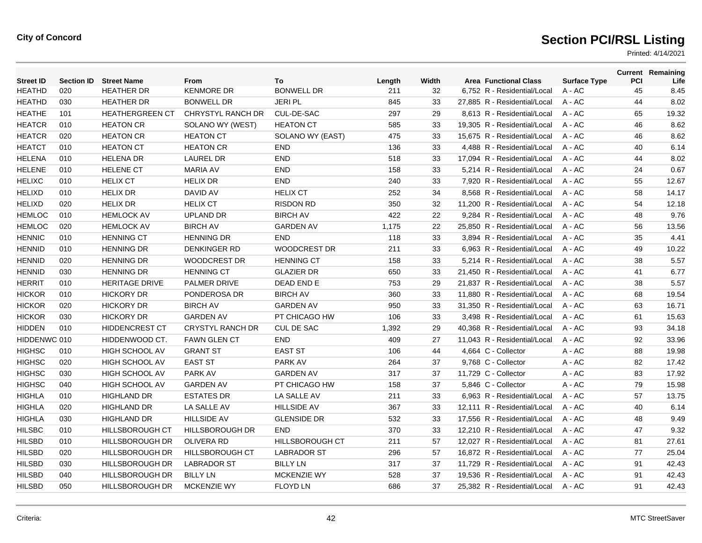| <b>Street ID</b> | <b>Section ID</b> | <b>Street Name</b>     | From                    | To                     | Length | Width | <b>Area Functional Class</b> | <b>Surface Type</b> | PCI | <b>Current Remaining</b><br>Life |
|------------------|-------------------|------------------------|-------------------------|------------------------|--------|-------|------------------------------|---------------------|-----|----------------------------------|
| <b>HEATHD</b>    | 020               | <b>HEATHER DR</b>      | <b>KENMORE DR</b>       | <b>BONWELL DR</b>      | 211    | 32    | 6,752 R - Residential/Local  | A - AC              | 45  | 8.45                             |
| <b>HEATHD</b>    | 030               | <b>HEATHER DR</b>      | <b>BONWELL DR</b>       | <b>JERI PL</b>         | 845    | 33    | 27,885 R - Residential/Local | A - AC              | 44  | 8.02                             |
| <b>HEATHE</b>    | 101               | <b>HEATHERGREEN CT</b> | CHRYSTYL RANCH DR       | CUL-DE-SAC             | 297    | 29    | 8.613 R - Residential/Local  | $A - AC$            | 65  | 19.32                            |
| <b>HEATCR</b>    | 010               | <b>HEATON CR</b>       | SOLANO WY (WEST)        | <b>HEATON CT</b>       | 585    | 33    | 19,305 R - Residential/Local | A - AC              | 46  | 8.62                             |
| <b>HEATCR</b>    | 020               | <b>HEATON CR</b>       | <b>HEATON CT</b>        | SOLANO WY (EAST)       | 475    | 33    | 15,675 R - Residential/Local | $A - AC$            | 46  | 8.62                             |
| <b>HEATCT</b>    | 010               | <b>HEATON CT</b>       | <b>HEATON CR</b>        | <b>END</b>             | 136    | 33    | 4.488 R - Residential/Local  | $A - AC$            | 40  | 6.14                             |
| <b>HELENA</b>    | 010               | <b>HELENA DR</b>       | <b>LAUREL DR</b>        | END                    | 518    | 33    | 17,094 R - Residential/Local | A - AC              | 44  | 8.02                             |
| <b>HELENE</b>    | 010               | <b>HELENE CT</b>       | <b>MARIA AV</b>         | <b>END</b>             | 158    | 33    | 5,214 R - Residential/Local  | A - AC              | 24  | 0.67                             |
| <b>HELIXC</b>    | 010               | <b>HELIX CT</b>        | <b>HELIX DR</b>         | <b>END</b>             | 240    | 33    | 7.920 R - Residential/Local  | $A - AC$            | 55  | 12.67                            |
| <b>HELIXD</b>    | 010               | <b>HELIX DR</b>        | DAVID AV                | <b>HELIX CT</b>        | 252    | 34    | 8,568 R - Residential/Local  | A - AC              | 58  | 14.17                            |
| <b>HELIXD</b>    | 020               | <b>HELIX DR</b>        | <b>HELIX CT</b>         | <b>RISDON RD</b>       | 350    | 32    | 11,200 R - Residential/Local | A - AC              | 54  | 12.18                            |
| <b>HEMLOC</b>    | 010               | <b>HEMLOCK AV</b>      | <b>UPLAND DR</b>        | <b>BIRCH AV</b>        | 422    | 22    | 9.284 R - Residential/Local  | $A - AC$            | 48  | 9.76                             |
| <b>HEMLOC</b>    | 020               | <b>HEMLOCK AV</b>      | <b>BIRCH AV</b>         | <b>GARDEN AV</b>       | 1,175  | 22    | 25,850 R - Residential/Local | $A - AC$            | 56  | 13.56                            |
| <b>HENNIC</b>    | 010               | <b>HENNING CT</b>      | <b>HENNING DR</b>       | <b>END</b>             | 118    | 33    | 3,894 R - Residential/Local  | A - AC              | 35  | 4.41                             |
| <b>HENNID</b>    | 010               | <b>HENNING DR</b>      | <b>DENKINGER RD</b>     | <b>WOODCREST DR</b>    | 211    | 33    | 6.963 R - Residential/Local  | $A - AC$            | 49  | 10.22                            |
| <b>HENNID</b>    | 020               | <b>HENNING DR</b>      | <b>WOODCREST DR</b>     | <b>HENNING CT</b>      | 158    | 33    | 5,214 R - Residential/Local  | $A - AC$            | 38  | 5.57                             |
| <b>HENNID</b>    | 030               | <b>HENNING DR</b>      | <b>HENNING CT</b>       | <b>GLAZIER DR</b>      | 650    | 33    | 21,450 R - Residential/Local | A - AC              | 41  | 6.77                             |
| <b>HERRIT</b>    | 010               | <b>HERITAGE DRIVE</b>  | <b>PALMER DRIVE</b>     | DEAD END E             | 753    | 29    | 21.837 R - Residential/Local | $A - AC$            | 38  | 5.57                             |
| <b>HICKOR</b>    | 010               | <b>HICKORY DR</b>      | PONDEROSA DR            | <b>BIRCH AV</b>        | 360    | 33    | 11,880 R - Residential/Local | $A - AC$            | 68  | 19.54                            |
| <b>HICKOR</b>    | 020               | <b>HICKORY DR</b>      | <b>BIRCH AV</b>         | <b>GARDEN AV</b>       | 950    | 33    | 31,350 R - Residential/Local | $A - AC$            | 63  | 16.71                            |
| <b>HICKOR</b>    | 030               | <b>HICKORY DR</b>      | <b>GARDEN AV</b>        | PT CHICAGO HW          | 106    | 33    | 3.498 R - Residential/Local  | $A - AC$            | 61  | 15.63                            |
| <b>HIDDEN</b>    | 010               | <b>HIDDENCREST CT</b>  | <b>CRYSTYL RANCH DR</b> | <b>CUL DE SAC</b>      | 1,392  | 29    | 40,368 R - Residential/Local | $A - AC$            | 93  | 34.18                            |
| HIDDENWC 010     |                   | HIDDENWOOD CT.         | <b>FAWN GLEN CT</b>     | <b>END</b>             | 409    | 27    | 11,043 R - Residential/Local | $A - AC$            | 92  | 33.96                            |
| <b>HIGHSC</b>    | 010               | HIGH SCHOOL AV         | <b>GRANT ST</b>         | <b>EAST ST</b>         | 106    | 44    | 4,664 C - Collector          | A - AC              | 88  | 19.98                            |
| <b>HIGHSC</b>    | 020               | <b>HIGH SCHOOL AV</b>  | <b>EAST ST</b>          | PARK AV                | 264    | 37    | 9,768 C - Collector          | A - AC              | 82  | 17.42                            |
| <b>HIGHSC</b>    | 030               | <b>HIGH SCHOOL AV</b>  | PARK AV                 | <b>GARDEN AV</b>       | 317    | 37    | 11,729 C - Collector         | A - AC              | 83  | 17.92                            |
| <b>HIGHSC</b>    | 040               | <b>HIGH SCHOOL AV</b>  | <b>GARDEN AV</b>        | PT CHICAGO HW          | 158    | 37    | 5,846 C - Collector          | A - AC              | 79  | 15.98                            |
| <b>HIGHLA</b>    | 010               | <b>HIGHLAND DR</b>     | <b>ESTATES DR</b>       | LA SALLE AV            | 211    | 33    | 6,963 R - Residential/Local  | A - AC              | 57  | 13.75                            |
| <b>HIGHLA</b>    | 020               | <b>HIGHLAND DR</b>     | LA SALLE AV             | <b>HILLSIDE AV</b>     | 367    | 33    | 12,111 R - Residential/Local | A - AC              | 40  | 6.14                             |
| <b>HIGHLA</b>    | 030               | <b>HIGHLAND DR</b>     | <b>HILLSIDE AV</b>      | <b>GLENSIDE DR</b>     | 532    | 33    | 17,556 R - Residential/Local | $A - AC$            | 48  | 9.49                             |
| <b>HILSBC</b>    | 010               | <b>HILLSBOROUGH CT</b> | <b>HILLSBOROUGH DR</b>  | <b>END</b>             | 370    | 33    | 12,210 R - Residential/Local | $A - AC$            | 47  | 9.32                             |
| <b>HILSBD</b>    | 010               | <b>HILLSBOROUGH DR</b> | <b>OLIVERA RD</b>       | <b>HILLSBOROUGH CT</b> | 211    | 57    | 12,027 R - Residential/Local | $A - AC$            | 81  | 27.61                            |
| <b>HILSBD</b>    | 020               | <b>HILLSBOROUGH DR</b> | <b>HILLSBOROUGH CT</b>  | <b>LABRADOR ST</b>     | 296    | 57    | 16,872 R - Residential/Local | $A - AC$            | 77  | 25.04                            |
| <b>HILSBD</b>    | 030               | HILLSBOROUGH DR        | <b>LABRADOR ST</b>      | <b>BILLY LN</b>        | 317    | 37    | 11.729 R - Residential/Local | $A - AC$            | 91  | 42.43                            |
| <b>HILSBD</b>    | 040               | <b>HILLSBOROUGH DR</b> | <b>BILLY LN</b>         | <b>MCKENZIE WY</b>     | 528    | 37    | 19,536 R - Residential/Local | A - AC              | 91  | 42.43                            |
| <b>HILSBD</b>    | 050               | <b>HILLSBOROUGH DR</b> | <b>MCKENZIE WY</b>      | <b>FLOYD LN</b>        | 686    | 37    | 25,382 R - Residential/Local | $A - AC$            | 91  | 42.43                            |
|                  |                   |                        |                         |                        |        |       |                              |                     |     |                                  |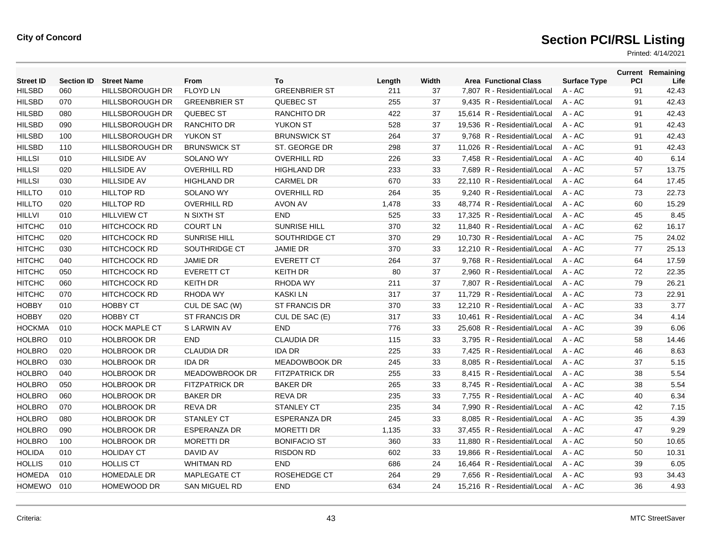| <b>Street ID</b> | <b>Section ID</b> | <b>Street Name</b>     | From                  | To                    | Length | Width | <b>Area Functional Class</b> | <b>Surface Type</b> | PCI | <b>Current Remaining</b><br>Life |
|------------------|-------------------|------------------------|-----------------------|-----------------------|--------|-------|------------------------------|---------------------|-----|----------------------------------|
| <b>HILSBD</b>    | 060               | HILLSBOROUGH DR        | <b>FLOYD LN</b>       | <b>GREENBRIER ST</b>  | 211    | 37    | 7,807 R - Residential/Local  | A - AC              | 91  | 42.43                            |
| <b>HILSBD</b>    | 070               | HILLSBOROUGH DR        | <b>GREENBRIER ST</b>  | <b>QUEBEC ST</b>      | 255    | 37    | 9,435 R - Residential/Local  | A - AC              | 91  | 42.43                            |
| <b>HILSBD</b>    | 080               | HILLSBOROUGH DR        | QUEBEC ST             | <b>RANCHITO DR</b>    | 422    | 37    | 15,614 R - Residential/Local | $A - AC$            | 91  | 42.43                            |
| <b>HILSBD</b>    | 090               | <b>HILLSBOROUGH DR</b> | <b>RANCHITO DR</b>    | <b>YUKON ST</b>       | 528    | 37    | 19,536 R - Residential/Local | $A - AC$            | 91  | 42.43                            |
| <b>HILSBD</b>    | 100               | <b>HILLSBOROUGH DR</b> | <b>YUKON ST</b>       | <b>BRUNSWICK ST</b>   | 264    | 37    | 9,768 R - Residential/Local  | A - AC              | 91  | 42.43                            |
| <b>HILSBD</b>    | 110               | HILLSBOROUGH DR        | <b>BRUNSWICK ST</b>   | ST. GEORGE DR         | 298    | 37    | 11,026 R - Residential/Local | $A - AC$            | 91  | 42.43                            |
| <b>HILLSI</b>    | 010               | <b>HILLSIDE AV</b>     | <b>SOLANO WY</b>      | <b>OVERHILL RD</b>    | 226    | 33    | 7.458 R - Residential/Local  | $A - AC$            | 40  | 6.14                             |
| <b>HILLSI</b>    | 020               | <b>HILLSIDE AV</b>     | <b>OVERHILL RD</b>    | <b>HIGHLAND DR</b>    | 233    | 33    | 7,689 R - Residential/Local  | $A - AC$            | 57  | 13.75                            |
| <b>HILLSI</b>    | 030               | <b>HILLSIDE AV</b>     | <b>HIGHLAND DR</b>    | <b>CARMEL DR</b>      | 670    | 33    | 22,110 R - Residential/Local | A - AC              | 64  | 17.45                            |
| <b>HILLTO</b>    | 010               | <b>HILLTOP RD</b>      | <b>SOLANO WY</b>      | <b>OVERHILL RD</b>    | 264    | 35    | 9.240 R - Residential/Local  | $A - AC$            | 73  | 22.73                            |
| <b>HILLTO</b>    | 020               | <b>HILLTOP RD</b>      | <b>OVERHILL RD</b>    | <b>AVON AV</b>        | 1,478  | 33    | 48.774 R - Residential/Local | $A - AC$            | 60  | 15.29                            |
| <b>HILLVI</b>    | 010               | <b>HILLVIEW CT</b>     | N SIXTH ST            | END                   | 525    | 33    | 17,325 R - Residential/Local | A - AC              | 45  | 8.45                             |
| <b>HITCHC</b>    | 010               | <b>HITCHCOCK RD</b>    | <b>COURT LN</b>       | SUNRISE HILL          | 370    | 32    | 11,840 R - Residential/Local | A - AC              | 62  | 16.17                            |
| <b>HITCHC</b>    | 020               | <b>HITCHCOCK RD</b>    | <b>SUNRISE HILL</b>   | SOUTHRIDGE CT         | 370    | 29    | 10,730 R - Residential/Local | A - AC              | 75  | 24.02                            |
| <b>HITCHC</b>    | 030               | HITCHCOCK RD           | SOUTHRIDGE CT         | <b>JAMIE DR</b>       | 370    | 33    | 12,210 R - Residential/Local | $A - AC$            | 77  | 25.13                            |
| <b>HITCHC</b>    | 040               | <b>HITCHCOCK RD</b>    | <b>JAMIE DR</b>       | <b>EVERETT CT</b>     | 264    | 37    | 9,768 R - Residential/Local  | A - AC              | 64  | 17.59                            |
| <b>HITCHC</b>    | 050               | HITCHCOCK RD           | <b>EVERETT CT</b>     | <b>KEITH DR</b>       | 80     | 37    | 2,960 R - Residential/Local  | A - AC              | 72  | 22.35                            |
| <b>HITCHC</b>    | 060               | HITCHCOCK RD           | <b>KEITH DR</b>       | <b>RHODA WY</b>       | 211    | 37    | 7.807 R - Residential/Local  | $A - AC$            | 79  | 26.21                            |
| <b>HITCHC</b>    | 070               | <b>HITCHCOCK RD</b>    | <b>RHODA WY</b>       | <b>KASKILN</b>        | 317    | 37    | 11,729 R - Residential/Local | $A - AC$            | 73  | 22.91                            |
| <b>HOBBY</b>     | 010               | <b>HOBBY CT</b>        | CUL DE SAC (W)        | <b>ST FRANCIS DR</b>  | 370    | 33    | 12,210 R - Residential/Local | A - AC              | 33  | 3.77                             |
| <b>HOBBY</b>     | 020               | <b>HOBBY CT</b>        | <b>ST FRANCIS DR</b>  | CUL DE SAC (E)        | 317    | 33    | 10,461 R - Residential/Local | $A - AC$            | 34  | 4.14                             |
| <b>HOCKMA</b>    | 010               | <b>HOCK MAPLE CT</b>   | S LARWIN AV           | <b>END</b>            | 776    | 33    | 25.608 R - Residential/Local | $A - AC$            | 39  | 6.06                             |
| <b>HOLBRO</b>    | 010               | <b>HOLBROOK DR</b>     | <b>END</b>            | <b>CLAUDIA DR</b>     | 115    | 33    | 3,795 R - Residential/Local  | A - AC              | 58  | 14.46                            |
| <b>HOLBRO</b>    | 020               | <b>HOLBROOK DR</b>     | <b>CLAUDIA DR</b>     | <b>IDA DR</b>         | 225    | 33    | 7.425 R - Residential/Local  | $A - AC$            | 46  | 8.63                             |
| <b>HOLBRO</b>    | 030               | <b>HOLBROOK DR</b>     | <b>IDA DR</b>         | <b>MEADOWBOOK DR</b>  | 245    | 33    | 8.085 R - Residential/Local  | $A - AC$            | 37  | 5.15                             |
| <b>HOLBRO</b>    | 040               | <b>HOLBROOK DR</b>     | <b>MEADOWBROOK DR</b> | <b>FITZPATRICK DR</b> | 255    | 33    | 8,415 R - Residential/Local  | A - AC              | 38  | 5.54                             |
| <b>HOLBRO</b>    | 050               | <b>HOLBROOK DR</b>     | <b>FITZPATRICK DR</b> | <b>BAKER DR</b>       | 265    | 33    | 8,745 R - Residential/Local  | A - AC              | 38  | 5.54                             |
| <b>HOLBRO</b>    | 060               | <b>HOLBROOK DR</b>     | <b>BAKER DR</b>       | <b>REVA DR</b>        | 235    | 33    | 7,755 R - Residential/Local  | $A - AC$            | 40  | 6.34                             |
| <b>HOLBRO</b>    | 070               | <b>HOLBROOK DR</b>     | <b>REVA DR</b>        | <b>STANLEY CT</b>     | 235    | 34    | 7.990 R - Residential/Local  | $A - AC$            | 42  | 7.15                             |
| <b>HOLBRO</b>    | 080               | <b>HOLBROOK DR</b>     | <b>STANLEY CT</b>     | <b>ESPERANZA DR</b>   | 245    | 33    | 8,085 R - Residential/Local  | A - AC              | 35  | 4.39                             |
| <b>HOLBRO</b>    | 090               | <b>HOLBROOK DR</b>     | <b>ESPERANZA DR</b>   | <b>MORETTI DR</b>     | 1,135  | 33    | 37,455 R - Residential/Local | $A - AC$            | 47  | 9.29                             |
| <b>HOLBRO</b>    | 100               | <b>HOLBROOK DR</b>     | <b>MORETTI DR</b>     | <b>BONIFACIO ST</b>   | 360    | 33    | 11,880 R - Residential/Local | A - AC              | 50  | 10.65                            |
| <b>HOLIDA</b>    | 010               | <b>HOLIDAY CT</b>      | <b>DAVID AV</b>       | <b>RISDON RD</b>      | 602    | 33    | 19,866 R - Residential/Local | $A - AC$            | 50  | 10.31                            |
| <b>HOLLIS</b>    | 010               | <b>HOLLIS CT</b>       | <b>WHITMAN RD</b>     | <b>END</b>            | 686    | 24    | 16,464 R - Residential/Local | A - AC              | 39  | 6.05                             |
| <b>HOMEDA</b>    | 010               | HOMEDALE DR            | <b>MAPLEGATE CT</b>   | ROSEHEDGE CT          | 264    | 29    | 7,656 R - Residential/Local  | A - AC              | 93  | 34.43                            |
| <b>HOMEWO</b>    | 010               | <b>HOMEWOOD DR</b>     | <b>SAN MIGUEL RD</b>  | <b>END</b>            | 634    | 24    | 15.216 R - Residential/Local | A - AC              | 36  | 4.93                             |
|                  |                   |                        |                       |                       |        |       |                              |                     |     |                                  |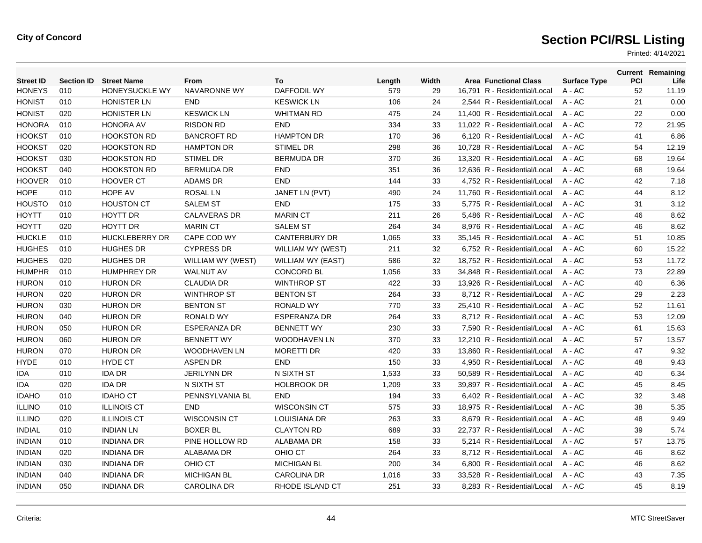| <b>Street ID</b> | <b>Section ID</b> | <b>Street Name</b>    | <b>From</b>         | To                   | Length | Width | <b>Area Functional Class</b> | <b>Surface Type</b> | <b>PCI</b> | <b>Current Remaining</b><br>Life |
|------------------|-------------------|-----------------------|---------------------|----------------------|--------|-------|------------------------------|---------------------|------------|----------------------------------|
| <b>HONEYS</b>    | 010               | HONEYSUCKLE WY        | <b>NAVARONNE WY</b> | <b>DAFFODIL WY</b>   | 579    | 29    | 16,791 R - Residential/Local | A - AC              | 52         | 11.19                            |
| <b>HONIST</b>    | 010               | <b>HONISTER LN</b>    | <b>END</b>          | <b>KESWICK LN</b>    | 106    | 24    | 2,544 R - Residential/Local  | A - AC              | 21         | 0.00                             |
| <b>HONIST</b>    | 020               | <b>HONISTER LN</b>    | <b>KESWICK LN</b>   | <b>WHITMAN RD</b>    | 475    | 24    | 11,400 R - Residential/Local | A - AC              | 22         | 0.00                             |
| <b>HONORA</b>    | 010               | <b>HONORA AV</b>      | <b>RISDON RD</b>    | <b>END</b>           | 334    | 33    | 11,022 R - Residential/Local | $A - AC$            | 72         | 21.95                            |
| <b>HOOKST</b>    | 010               | <b>HOOKSTON RD</b>    | <b>BANCROFT RD</b>  | <b>HAMPTON DR</b>    | 170    | 36    | 6.120 R - Residential/Local  | $A - AC$            | 41         | 6.86                             |
| <b>HOOKST</b>    | 020               | <b>HOOKSTON RD</b>    | <b>HAMPTON DR</b>   | <b>STIMEL DR</b>     | 298    | 36    | 10,728 R - Residential/Local | $A - AC$            | 54         | 12.19                            |
| <b>HOOKST</b>    | 030               | <b>HOOKSTON RD</b>    | <b>STIMEL DR</b>    | <b>BERMUDA DR</b>    | 370    | 36    | 13,320 R - Residential/Local | A - AC              | 68         | 19.64                            |
| <b>HOOKST</b>    | 040               | <b>HOOKSTON RD</b>    | <b>BERMUDA DR</b>   | <b>END</b>           | 351    | 36    | 12,636 R - Residential/Local | $A - AC$            | 68         | 19.64                            |
| <b>HOOVER</b>    | 010               | <b>HOOVER CT</b>      | <b>ADAMS DR</b>     | <b>END</b>           | 144    | 33    | 4.752 R - Residential/Local  | $A - AC$            | 42         | 7.18                             |
| <b>HOPE</b>      | 010               | HOPE AV               | <b>ROSAL LN</b>     | JANET LN (PVT)       | 490    | 24    | 11,760 R - Residential/Local | $A - AC$            | 44         | 8.12                             |
| <b>HOUSTO</b>    | 010               | <b>HOUSTON CT</b>     | <b>SALEM ST</b>     | END                  | 175    | 33    | 5,775 R - Residential/Local  | A - AC              | 31         | 3.12                             |
| <b>HOYTT</b>     | 010               | HOYTT DR              | <b>CALAVERAS DR</b> | <b>MARIN CT</b>      | 211    | 26    | 5,486 R - Residential/Local  | A - AC              | 46         | 8.62                             |
| <b>HOYTT</b>     | 020               | <b>HOYTT DR</b>       | <b>MARIN CT</b>     | <b>SALEM ST</b>      | 264    | 34    | 8,976 R - Residential/Local  | A - AC              | 46         | 8.62                             |
| <b>HUCKLE</b>    | 010               | <b>HUCKLEBERRY DR</b> | CAPE COD WY         | <b>CANTERBURY DR</b> | 1,065  | 33    | 35.145 R - Residential/Local | $A - AC$            | 51         | 10.85                            |
| <b>HUGHES</b>    | 010               | <b>HUGHES DR</b>      | <b>CYPRESS DR</b>   | WILLIAM WY (WEST)    | 211    | 32    | 6,752 R - Residential/Local  | A - AC              | 60         | 15.22                            |
| <b>HUGHES</b>    | 020               | <b>HUGHES DR</b>      | WILLIAM WY (WEST)   | WILLIAM WY (EAST)    | 586    | 32    | 18,752 R - Residential/Local | A - AC              | 53         | 11.72                            |
| <b>HUMPHR</b>    | 010               | <b>HUMPHREY DR</b>    | <b>WALNUT AV</b>    | <b>CONCORD BL</b>    | 1,056  | 33    | 34,848 R - Residential/Local | A - AC              | 73         | 22.89                            |
| <b>HURON</b>     | 010               | <b>HURON DR</b>       | <b>CLAUDIA DR</b>   | <b>WINTHROP ST</b>   | 422    | 33    | 13,926 R - Residential/Local | A - AC              | 40         | 6.36                             |
| <b>HURON</b>     | 020               | <b>HURON DR</b>       | <b>WINTHROP ST</b>  | <b>BENTON ST</b>     | 264    | 33    | 8,712 R - Residential/Local  | $A - AC$            | 29         | 2.23                             |
| <b>HURON</b>     | 030               | <b>HURON DR</b>       | <b>BENTON ST</b>    | <b>RONALD WY</b>     | 770    | 33    | 25,410 R - Residential/Local | A - AC              | 52         | 11.61                            |
| <b>HURON</b>     | 040               | <b>HURON DR</b>       | <b>RONALD WY</b>    | <b>ESPERANZA DR</b>  | 264    | 33    | 8,712 R - Residential/Local  | A - AC              | 53         | 12.09                            |
| <b>HURON</b>     | 050               | <b>HURON DR</b>       | <b>ESPERANZA DR</b> | <b>BENNETT WY</b>    | 230    | 33    | 7.590 R - Residential/Local  | $A - AC$            | 61         | 15.63                            |
| <b>HURON</b>     | 060               | <b>HURON DR</b>       | <b>BENNETT WY</b>   | <b>WOODHAVEN LN</b>  | 370    | 33    | 12.210 R - Residential/Local | $A - AC$            | 57         | 13.57                            |
| <b>HURON</b>     | 070               | <b>HURON DR</b>       | WOODHAVEN LN        | <b>MORETTI DR</b>    | 420    | 33    | 13,860 R - Residential/Local | A - AC              | 47         | 9.32                             |
| <b>HYDE</b>      | 010               | <b>HYDE CT</b>        | <b>ASPEN DR</b>     | <b>END</b>           | 150    | 33    | 4,950 R - Residential/Local  | A - AC              | 48         | 9.43                             |
| <b>IDA</b>       | 010               | <b>IDA DR</b>         | <b>JERILYNN DR</b>  | N SIXTH ST           | 1,533  | 33    | 50.589 R - Residential/Local | $A - AC$            | 40         | 6.34                             |
| <b>IDA</b>       | 020               | <b>IDA DR</b>         | N SIXTH ST          | <b>HOLBROOK DR</b>   | 1,209  | 33    | 39.897 R - Residential/Local | $A - AC$            | 45         | 8.45                             |
| <b>IDAHO</b>     | 010               | <b>IDAHO CT</b>       | PENNSYLVANIA BL     | <b>END</b>           | 194    | 33    | 6,402 R - Residential/Local  | $A - AC$            | 32         | 3.48                             |
| <b>ILLINO</b>    | 010               | <b>ILLINOIS CT</b>    | <b>END</b>          | <b>WISCONSIN CT</b>  | 575    | 33    | 18,975 R - Residential/Local | A - AC              | 38         | 5.35                             |
| <b>ILLINO</b>    | 020               | <b>ILLINOIS CT</b>    | <b>WISCONSIN CT</b> | <b>LOUISIANA DR</b>  | 263    | 33    | 8,679 R - Residential/Local  | $A - AC$            | 48         | 9.49                             |
| <b>INDIAL</b>    | 010               | <b>INDIAN LN</b>      | <b>BOXER BL</b>     | <b>CLAYTON RD</b>    | 689    | 33    | 22.737 R - Residential/Local | $A - AC$            | 39         | 5.74                             |
| <b>INDIAN</b>    | 010               | <b>INDIANA DR</b>     | PINE HOLLOW RD      | ALABAMA DR           | 158    | 33    | 5.214 R - Residential/Local  | $A - AC$            | 57         | 13.75                            |
| <b>INDIAN</b>    | 020               | <b>INDIANA DR</b>     | <b>ALABAMA DR</b>   | OHIO CT              | 264    | 33    | 8,712 R - Residential/Local  | A - AC              | 46         | 8.62                             |
| <b>INDIAN</b>    | 030               | <b>INDIANA DR</b>     | OHIO CT             | <b>MICHIGAN BL</b>   | 200    | 34    | 6,800 R - Residential/Local  | A - AC              | 46         | 8.62                             |
| <b>INDIAN</b>    | 040               | <b>INDIANA DR</b>     | <b>MICHIGAN BL</b>  | <b>CAROLINA DR</b>   | 1,016  | 33    | 33,528 R - Residential/Local | A - AC              | 43         | 7.35                             |
| <b>INDIAN</b>    | 050               | <b>INDIANA DR</b>     | <b>CAROLINA DR</b>  | RHODE ISLAND CT      | 251    | 33    | 8,283 R - Residential/Local  | $A - AC$            | 45         | 8.19                             |
|                  |                   |                       |                     |                      |        |       |                              |                     |            |                                  |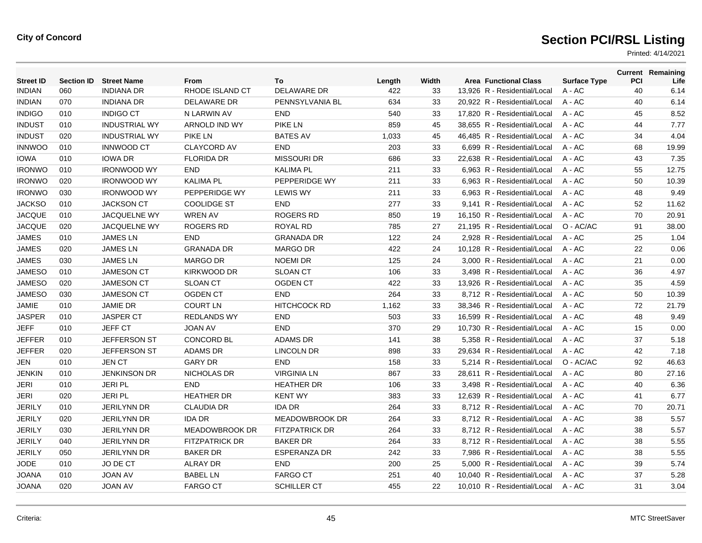| <b>Street ID</b> | <b>Section ID</b> | <b>Street Name</b>   | From                  | To                    | Length | Width | <b>Area Functional Class</b> | <b>Surface Type</b> | PCI | <b>Current Remaining</b><br>Life |
|------------------|-------------------|----------------------|-----------------------|-----------------------|--------|-------|------------------------------|---------------------|-----|----------------------------------|
| <b>INDIAN</b>    | 060               | <b>INDIANA DR</b>    | RHODE ISLAND CT       | <b>DELAWARE DR</b>    | 422    | 33    | 13,926 R - Residential/Local | A - AC              | 40  | 6.14                             |
| <b>INDIAN</b>    | 070               | <b>INDIANA DR</b>    | DELAWARE DR           | PENNSYLVANIA BL       | 634    | 33    | 20,922 R - Residential/Local | A - AC              | 40  | 6.14                             |
| <b>INDIGO</b>    | 010               | <b>INDIGO CT</b>     | N LARWIN AV           | <b>END</b>            | 540    | 33    | 17,820 R - Residential/Local | $A - AC$            | 45  | 8.52                             |
| <b>INDUST</b>    | 010               | <b>INDUSTRIAL WY</b> | ARNOLD IND WY         | <b>PIKE LN</b>        | 859    | 45    | 38.655 R - Residential/Local | $A - AC$            | 44  | 7.77                             |
| <b>INDUST</b>    | 020               | <b>INDUSTRIAL WY</b> | <b>PIKE LN</b>        | <b>BATES AV</b>       | 1,033  | 45    | 46,485 R - Residential/Local | $A - AC$            | 34  | 4.04                             |
| <b>INNWOO</b>    | 010               | <b>INNWOOD CT</b>    | <b>CLAYCORD AV</b>    | <b>END</b>            | 203    | 33    | 6,699 R - Residential/Local  | $A - AC$            | 68  | 19.99                            |
| <b>IOWA</b>      | 010               | <b>IOWA DR</b>       | <b>FLORIDA DR</b>     | <b>MISSOURI DR</b>    | 686    | 33    | 22.638 R - Residential/Local | $A - AC$            | 43  | 7.35                             |
| <b>IRONWO</b>    | 010               | <b>IRONWOOD WY</b>   | <b>END</b>            | <b>KALIMA PL</b>      | 211    | 33    | 6.963 R - Residential/Local  | $A - AC$            | 55  | 12.75                            |
| <b>IRONWO</b>    | 020               | <b>IRONWOOD WY</b>   | <b>KALIMA PL</b>      | PEPPERIDGE WY         | 211    | 33    | 6,963 R - Residential/Local  | $A - AC$            | 50  | 10.39                            |
| <b>IRONWO</b>    | 030               | <b>IRONWOOD WY</b>   | PEPPERIDGE WY         | <b>LEWIS WY</b>       | 211    | 33    | 6.963 R - Residential/Local  | $A - AC$            | 48  | 9.49                             |
| <b>JACKSO</b>    | 010               | <b>JACKSON CT</b>    | <b>COOLIDGE ST</b>    | <b>END</b>            | 277    | 33    | 9.141 R - Residential/Local  | $A - AC$            | 52  | 11.62                            |
| <b>JACQUE</b>    | 010               | <b>JACQUELNE WY</b>  | <b>WREN AV</b>        | <b>ROGERS RD</b>      | 850    | 19    | 16.150 R - Residential/Local | $A - AC$            | 70  | 20.91                            |
| <b>JACQUE</b>    | 020               | <b>JACQUELNE WY</b>  | <b>ROGERS RD</b>      | <b>ROYAL RD</b>       | 785    | 27    | 21,195 R - Residential/Local | O - AC/AC           | 91  | 38.00                            |
| <b>JAMES</b>     | 010               | <b>JAMES LN</b>      | <b>END</b>            | <b>GRANADA DR</b>     | 122    | 24    | 2,928 R - Residential/Local  | A - AC              | 25  | 1.04                             |
| <b>JAMES</b>     | 020               | <b>JAMES LN</b>      | <b>GRANADA DR</b>     | <b>MARGO DR</b>       | 422    | 24    | 10,128 R - Residential/Local | $A - AC$            | 22  | 0.06                             |
| <b>JAMES</b>     | 030               | <b>JAMES LN</b>      | <b>MARGO DR</b>       | <b>NOEMI DR</b>       | 125    | 24    | 3.000 R - Residential/Local  | $A - AC$            | 21  | 0.00                             |
| <b>JAMESO</b>    | 010               | <b>JAMESON CT</b>    | <b>KIRKWOOD DR</b>    | <b>SLOAN CT</b>       | 106    | 33    | 3,498 R - Residential/Local  | $A - AC$            | 36  | 4.97                             |
| <b>JAMESO</b>    | 020               | <b>JAMESON CT</b>    | <b>SLOAN CT</b>       | <b>OGDEN CT</b>       | 422    | 33    | 13,926 R - Residential/Local | A - AC              | 35  | 4.59                             |
| <b>JAMESO</b>    | 030               | <b>JAMESON CT</b>    | <b>OGDEN CT</b>       | <b>END</b>            | 264    | 33    | 8,712 R - Residential/Local  | $A - AC$            | 50  | 10.39                            |
| <b>JAMIE</b>     | 010               | <b>JAMIE DR</b>      | <b>COURT LN</b>       | <b>HITCHCOCK RD</b>   | 1,162  | 33    | 38.346 R - Residential/Local | $A - AC$            | 72  | 21.79                            |
| <b>JASPER</b>    | 010               | <b>JASPER CT</b>     | <b>REDLANDS WY</b>    | <b>END</b>            | 503    | 33    | 16,599 R - Residential/Local | $A - AC$            | 48  | 9.49                             |
| <b>JEFF</b>      | 010               | <b>JEFF CT</b>       | <b>JOAN AV</b>        | <b>END</b>            | 370    | 29    | 10,730 R - Residential/Local | $A - AC$            | 15  | 0.00                             |
| <b>JEFFER</b>    | 010               | <b>JEFFERSON ST</b>  | <b>CONCORD BL</b>     | <b>ADAMS DR</b>       | 141    | 38    | 5.358 R - Residential/Local  | $A - AC$            | 37  | 5.18                             |
| <b>JEFFER</b>    | 020               | JEFFERSON ST         | <b>ADAMS DR</b>       | <b>LINCOLN DR</b>     | 898    | 33    | 29.634 R - Residential/Local | $A - AC$            | 42  | 7.18                             |
| <b>JEN</b>       | 010               | <b>JEN CT</b>        | <b>GARY DR</b>        | <b>END</b>            | 158    | 33    | 5,214 R - Residential/Local  | O - AC/AC           | 92  | 46.63                            |
| <b>JENKIN</b>    | 010               | <b>JENKINSON DR</b>  | <b>NICHOLAS DR</b>    | <b>VIRGINIA LN</b>    | 867    | 33    | 28,611 R - Residential/Local | $A - AC$            | 80  | 27.16                            |
| <b>JERI</b>      | 010               | <b>JERIPL</b>        | <b>END</b>            | <b>HEATHER DR</b>     | 106    | 33    | 3.498 R - Residential/Local  | $A - AC$            | 40  | 6.36                             |
| <b>JERI</b>      | 020               | <b>JERIPL</b>        | <b>HEATHER DR</b>     | <b>KENT WY</b>        | 383    | 33    | 12.639 R - Residential/Local | $A - AC$            | 41  | 6.77                             |
| <b>JERILY</b>    | 010               | <b>JERILYNN DR</b>   | <b>CLAUDIA DR</b>     | <b>IDA DR</b>         | 264    | 33    | 8,712 R - Residential/Local  | A - AC              | 70  | 20.71                            |
| <b>JERILY</b>    | 020               | <b>JERILYNN DR</b>   | <b>IDA DR</b>         | <b>MEADOWBROOK DR</b> | 264    | 33    | 8,712 R - Residential/Local  | $A - AC$            | 38  | 5.57                             |
| <b>JERILY</b>    | 030               | <b>JERILYNN DR</b>   | <b>MEADOWBROOK DR</b> | <b>FITZPATRICK DR</b> | 264    | 33    | 8.712 R - Residential/Local  | $A - AC$            | 38  | 5.57                             |
| <b>JERILY</b>    | 040               | <b>JERILYNN DR</b>   | <b>FITZPATRICK DR</b> | <b>BAKER DR</b>       | 264    | 33    | 8.712 R - Residential/Local  | $A - AC$            | 38  | 5.55                             |
| <b>JERILY</b>    | 050               | <b>JERILYNN DR</b>   | <b>BAKER DR</b>       | <b>ESPERANZA DR</b>   | 242    | 33    | 7,986 R - Residential/Local  | A - AC              | 38  | 5.55                             |
| <b>JODE</b>      | 010               | JO DE CT             | <b>ALRAY DR</b>       | <b>END</b>            | 200    | 25    | 5,000 R - Residential/Local  | A - AC              | 39  | 5.74                             |
| <b>JOANA</b>     | 010               | <b>JOAN AV</b>       | <b>BABEL LN</b>       | <b>FARGO CT</b>       | 251    | 40    | 10.040 R - Residential/Local | A - AC              | 37  | 5.28                             |
| <b>JOANA</b>     | 020               | <b>JOAN AV</b>       | <b>FARGO CT</b>       | <b>SCHILLER CT</b>    | 455    | 22    | 10.010 R - Residential/Local | $A - AC$            | 31  | 3.04                             |
|                  |                   |                      |                       |                       |        |       |                              |                     |     |                                  |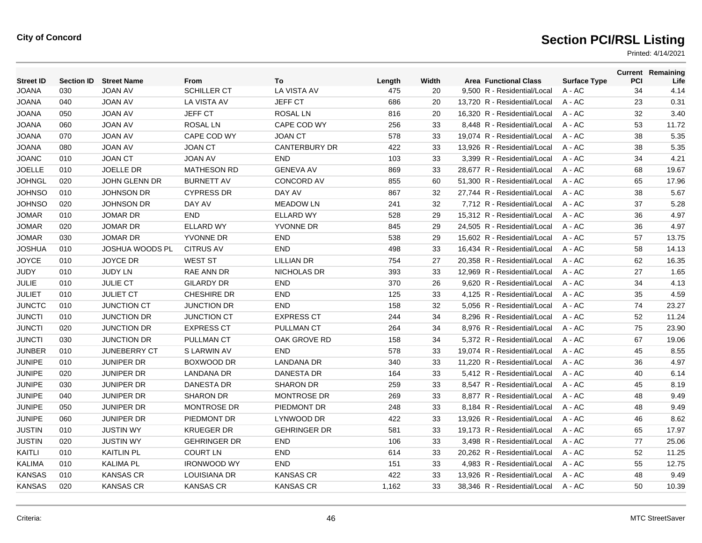| <b>Street ID</b> | <b>Section ID</b> | <b>Street Name</b>     | From                | To                   | Length | Width | <b>Area Functional Class</b> | <b>Surface Type</b> | <b>PCI</b> | <b>Current Remaining</b><br>Life |
|------------------|-------------------|------------------------|---------------------|----------------------|--------|-------|------------------------------|---------------------|------------|----------------------------------|
| <b>JOANA</b>     | 030               | <b>JOAN AV</b>         | <b>SCHILLER CT</b>  | LA VISTA AV          | 475    | 20    | 9,500 R - Residential/Local  | A - AC              | 34         | 4.14                             |
| <b>JOANA</b>     | 040               | <b>JOAN AV</b>         | LA VISTA AV         | <b>JEFF CT</b>       | 686    | 20    | 13,720 R - Residential/Local | A - AC              | 23         | 0.31                             |
| <b>JOANA</b>     | 050               | <b>JOAN AV</b>         | <b>JEFF CT</b>      | <b>ROSAL LN</b>      | 816    | 20    | 16,320 R - Residential/Local | A - AC              | 32         | 3.40                             |
| <b>JOANA</b>     | 060               | <b>JOAN AV</b>         | <b>ROSAL LN</b>     | CAPE COD WY          | 256    | 33    | 8.448 R - Residential/Local  | $A - AC$            | 53         | 11.72                            |
| <b>JOANA</b>     | 070               | <b>JOAN AV</b>         | CAPE COD WY         | <b>JOAN CT</b>       | 578    | 33    | 19.074 R - Residential/Local | $A - AC$            | 38         | 5.35                             |
| <b>JOANA</b>     | 080               | <b>JOAN AV</b>         | <b>JOAN CT</b>      | <b>CANTERBURY DR</b> | 422    | 33    | 13,926 R - Residential/Local | $A - AC$            | 38         | 5.35                             |
| <b>JOANC</b>     | 010               | <b>JOAN CT</b>         | <b>JOAN AV</b>      | <b>END</b>           | 103    | 33    | 3,399 R - Residential/Local  | A - AC              | 34         | 4.21                             |
| <b>JOELLE</b>    | 010               | <b>JOELLE DR</b>       | <b>MATHESON RD</b>  | <b>GENEVA AV</b>     | 869    | 33    | 28,677 R - Residential/Local | $A - AC$            | 68         | 19.67                            |
| <b>JOHNGL</b>    | 020               | <b>JOHN GLENN DR</b>   | <b>BURNETT AV</b>   | <b>CONCORD AV</b>    | 855    | 60    | 51.300 R - Residential/Local | $A - AC$            | 65         | 17.96                            |
| <b>JOHNSO</b>    | 010               | <b>JOHNSON DR</b>      | <b>CYPRESS DR</b>   | DAY AV               | 867    | 32    | 27,744 R - Residential/Local | A - AC              | 38         | 5.67                             |
| <b>JOHNSO</b>    | 020               | <b>JOHNSON DR</b>      | DAY AV              | <b>MEADOW LN</b>     | 241    | 32    | 7,712 R - Residential/Local  | A - AC              | 37         | 5.28                             |
| <b>JOMAR</b>     | 010               | <b>JOMAR DR</b>        | <b>END</b>          | <b>ELLARD WY</b>     | 528    | 29    | 15,312 R - Residential/Local | A - AC              | 36         | 4.97                             |
| <b>JOMAR</b>     | 020               | <b>JOMAR DR</b>        | <b>ELLARD WY</b>    | YVONNE DR            | 845    | 29    | 24,505 R - Residential/Local | A - AC              | 36         | 4.97                             |
| <b>JOMAR</b>     | 030               | <b>JOMAR DR</b>        | <b>YVONNE DR</b>    | END                  | 538    | 29    | 15.602 R - Residential/Local | $A - AC$            | 57         | 13.75                            |
| <b>JOSHUA</b>    | 010               | <b>JOSHUA WOODS PL</b> | <b>CITRUS AV</b>    | END                  | 498    | 33    | 16,434 R - Residential/Local | A - AC              | 58         | 14.13                            |
| <b>JOYCE</b>     | 010               | <b>JOYCE DR</b>        | <b>WEST ST</b>      | <b>LILLIAN DR</b>    | 754    | 27    | 20,358 R - Residential/Local | A - AC              | 62         | 16.35                            |
| <b>JUDY</b>      | 010               | <b>JUDY LN</b>         | RAE ANN DR          | NICHOLAS DR          | 393    | 33    | 12,969 R - Residential/Local | A - AC              | 27         | 1.65                             |
| <b>JULIE</b>     | 010               | <b>JULIE CT</b>        | <b>GILARDY DR</b>   | <b>END</b>           | 370    | 26    | 9.620 R - Residential/Local  | $A - AC$            | 34         | 4.13                             |
| <b>JULIET</b>    | 010               | <b>JULIET CT</b>       | <b>CHESHIRE DR</b>  | <b>END</b>           | 125    | 33    | 4,125 R - Residential/Local  | A - AC              | 35         | 4.59                             |
| <b>JUNCTC</b>    | 010               | <b>JUNCTION CT</b>     | <b>JUNCTION DR</b>  | <b>END</b>           | 158    | 32    | 5,056 R - Residential/Local  | A - AC              | 74         | 23.27                            |
| <b>JUNCTI</b>    | 010               | <b>JUNCTION DR</b>     | <b>JUNCTION CT</b>  | <b>EXPRESS CT</b>    | 244    | 34    | 8.296 R - Residential/Local  | $A - AC$            | 52         | 11.24                            |
| <b>JUNCTI</b>    | 020               | <b>JUNCTION DR</b>     | <b>EXPRESS CT</b>   | <b>PULLMAN CT</b>    | 264    | 34    | 8.976 R - Residential/Local  | $A - AC$            | 75         | 23.90                            |
| <b>JUNCTI</b>    | 030               | <b>JUNCTION DR</b>     | <b>PULLMAN CT</b>   | OAK GROVE RD         | 158    | 34    | 5.372 R - Residential/Local  | $A - AC$            | 67         | 19.06                            |
| <b>JUNBER</b>    | 010               | <b>JUNEBERRY CT</b>    | S LARWIN AV         | <b>END</b>           | 578    | 33    | 19,074 R - Residential/Local | A - AC              | 45         | 8.55                             |
| <b>JUNIPE</b>    | 010               | <b>JUNIPER DR</b>      | BOXWOOD DR          | <b>LANDANA DR</b>    | 340    | 33    | 11.220 R - Residential/Local | A - AC              | 36         | 4.97                             |
| <b>JUNIPE</b>    | 020               | <b>JUNIPER DR</b>      | <b>LANDANA DR</b>   | <b>DANESTA DR</b>    | 164    | 33    | 5.412 R - Residential/Local  | $A - AC$            | 40         | 6.14                             |
| <b>JUNIPE</b>    | 030               | <b>JUNIPER DR</b>      | <b>DANESTA DR</b>   | <b>SHARON DR</b>     | 259    | 33    | 8.547 R - Residential/Local  | $A - AC$            | 45         | 8.19                             |
| <b>JUNIPE</b>    | 040               | <b>JUNIPER DR</b>      | <b>SHARON DR</b>    | <b>MONTROSE DR</b>   | 269    | 33    | 8,877 R - Residential/Local  | $A - AC$            | 48         | 9.49                             |
| <b>JUNIPE</b>    | 050               | <b>JUNIPER DR</b>      | <b>MONTROSE DR</b>  | PIEDMONT DR          | 248    | 33    | 8,184 R - Residential/Local  | A - AC              | 48         | 9.49                             |
| <b>JUNIPE</b>    | 060               | <b>JUNIPER DR</b>      | PIEDMONT DR         | LYNWOOD DR           | 422    | 33    | 13,926 R - Residential/Local | A - AC              | 46         | 8.62                             |
| <b>JUSTIN</b>    | 010               | <b>JUSTIN WY</b>       | <b>KRUEGER DR</b>   | <b>GEHRINGER DR</b>  | 581    | 33    | 19.173 R - Residential/Local | $A - AC$            | 65         | 17.97                            |
| <b>JUSTIN</b>    | 020               | <b>JUSTIN WY</b>       | <b>GEHRINGER DR</b> | <b>END</b>           | 106    | 33    | 3.498 R - Residential/Local  | $A - AC$            | 77         | 25.06                            |
| KAITLI           | 010               | <b>KAITLIN PL</b>      | <b>COURT LN</b>     | <b>END</b>           | 614    | 33    | 20,262 R - Residential/Local | A - AC              | 52         | 11.25                            |
| <b>KALIMA</b>    | 010               | <b>KALIMA PL</b>       | <b>IRONWOOD WY</b>  | <b>END</b>           | 151    | 33    | 4,983 R - Residential/Local  | A - AC              | 55         | 12.75                            |
| <b>KANSAS</b>    | 010               | <b>KANSAS CR</b>       | LOUISIANA DR        | <b>KANSAS CR</b>     | 422    | 33    | 13.926 R - Residential/Local | A - AC              | 48         | 9.49                             |
| <b>KANSAS</b>    | 020               | <b>KANSAS CR</b>       | <b>KANSAS CR</b>    | <b>KANSAS CR</b>     | 1,162  | 33    | 38,346 R - Residential/Local | $A - AC$            | 50         | 10.39                            |
|                  |                   |                        |                     |                      |        |       |                              |                     |            |                                  |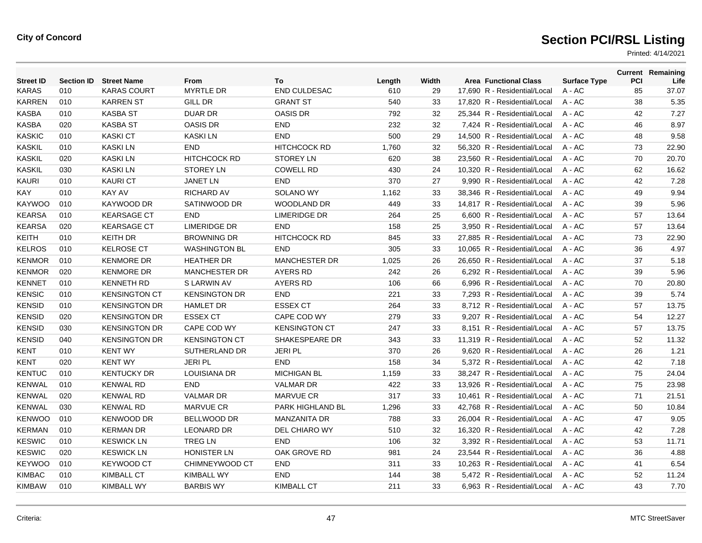| <b>Street ID</b> | <b>Section ID</b> | <b>Street Name</b>   | From                 | To                    | Length | Width | <b>Area Functional Class</b> | <b>Surface Type</b> | <b>PCI</b> | <b>Current Remaining</b><br>Life |
|------------------|-------------------|----------------------|----------------------|-----------------------|--------|-------|------------------------------|---------------------|------------|----------------------------------|
| KARAS            | 010               | <b>KARAS COURT</b>   | <b>MYRTLE DR</b>     | <b>END CULDESAC</b>   | 610    | 29    | 17.690 R - Residential/Local | $A - AC$            | 85         | 37.07                            |
| KARREN           | 010               | <b>KARREN ST</b>     | <b>GILL DR</b>       | <b>GRANT ST</b>       | 540    | 33    | 17,820 R - Residential/Local | A - AC              | 38         | 5.35                             |
| <b>KASBA</b>     | 010               | <b>KASBA ST</b>      | <b>DUAR DR</b>       | <b>OASIS DR</b>       | 792    | 32    | 25,344 R - Residential/Local | $A - AC$            | 42         | 7.27                             |
| <b>KASBA</b>     | 020               | <b>KASBA ST</b>      | <b>OASIS DR</b>      | <b>END</b>            | 232    | 32    | 7.424 R - Residential/Local  | $A - AC$            | 46         | 8.97                             |
| <b>KASKIC</b>    | 010               | <b>KASKI CT</b>      | <b>KASKILN</b>       | <b>END</b>            | 500    | 29    | 14.500 R - Residential/Local | $A - AC$            | 48         | 9.58                             |
| <b>KASKIL</b>    | 010               | <b>KASKILN</b>       | <b>END</b>           | <b>HITCHCOCK RD</b>   | 1,760  | 32    | 56,320 R - Residential/Local | A - AC              | 73         | 22.90                            |
| <b>KASKIL</b>    | 020               | <b>KASKILN</b>       | <b>HITCHCOCK RD</b>  | <b>STOREY LN</b>      | 620    | 38    | 23,560 R - Residential/Local | A - AC              | 70         | 20.70                            |
| <b>KASKIL</b>    | 030               | <b>KASKILN</b>       | <b>STOREY LN</b>     | <b>COWELL RD</b>      | 430    | 24    | 10,320 R - Residential/Local | A - AC              | 62         | 16.62                            |
| <b>KAURI</b>     | 010               | <b>KAURICT</b>       | <b>JANET LN</b>      | <b>END</b>            | 370    | 27    | 9,990 R - Residential/Local  | $A - AC$            | 42         | 7.28                             |
| KAY              | 010               | <b>KAY AV</b>        | <b>RICHARD AV</b>    | <b>SOLANO WY</b>      | 1,162  | 33    | 38.346 R - Residential/Local | $A - AC$            | 49         | 9.94                             |
| <b>KAYWOO</b>    | 010               | KAYWOOD DR           | SATINWOOD DR         | WOODLAND DR           | 449    | 33    | 14,817 R - Residential/Local | A - AC              | 39         | 5.96                             |
| <b>KEARSA</b>    | 010               | <b>KEARSAGE CT</b>   | <b>END</b>           | <b>LIMERIDGE DR</b>   | 264    | 25    | 6,600 R - Residential/Local  | A - AC              | 57         | 13.64                            |
| <b>KEARSA</b>    | 020               | <b>KEARSAGE CT</b>   | <b>LIMERIDGE DR</b>  | <b>END</b>            | 158    | 25    | 3,950 R - Residential/Local  | $A - AC$            | 57         | 13.64                            |
| <b>KEITH</b>     | 010               | <b>KEITH DR</b>      | <b>BROWNING DR</b>   | HITCHCOCK RD          | 845    | 33    | 27.885 R - Residential/Local | $A - AC$            | 73         | 22.90                            |
| <b>KELROS</b>    | 010               | <b>KELROSE CT</b>    | <b>WASHINGTON BL</b> | <b>END</b>            | 305    | 33    | 10,065 R - Residential/Local | A - AC              | 36         | 4.97                             |
| <b>KENMOR</b>    | 010               | <b>KENMORE DR</b>    | <b>HEATHER DR</b>    | <b>MANCHESTER DR</b>  | 1,025  | 26    | 26,650 R - Residential/Local | A - AC              | 37         | 5.18                             |
| <b>KENMOR</b>    | 020               | <b>KENMORE DR</b>    | <b>MANCHESTER DR</b> | <b>AYERS RD</b>       | 242    | 26    | 6,292 R - Residential/Local  | $A - AC$            | 39         | 5.96                             |
| <b>KENNET</b>    | 010               | <b>KENNETH RD</b>    | S LARWIN AV          | <b>AYERS RD</b>       | 106    | 66    | 6.996 R - Residential/Local  | $A - AC$            | 70         | 20.80                            |
| <b>KENSIC</b>    | 010               | <b>KENSINGTON CT</b> | <b>KENSINGTON DR</b> | <b>END</b>            | 221    | 33    | 7,293 R - Residential/Local  | $A - AC$            | 39         | 5.74                             |
| <b>KENSID</b>    | 010               | <b>KENSINGTON DR</b> | <b>HAMLET DR</b>     | <b>ESSEX CT</b>       | 264    | 33    | 8,712 R - Residential/Local  | $A - AC$            | 57         | 13.75                            |
| <b>KENSID</b>    | 020               | <b>KENSINGTON DR</b> | <b>ESSEX CT</b>      | CAPE COD WY           | 279    | 33    | 9,207 R - Residential/Local  | $A - AC$            | 54         | 12.27                            |
| <b>KENSID</b>    | 030               | <b>KENSINGTON DR</b> | CAPE COD WY          | <b>KENSINGTON CT</b>  | 247    | 33    | 8.151 R - Residential/Local  | $A - AC$            | 57         | 13.75                            |
| <b>KENSID</b>    | 040               | <b>KENSINGTON DR</b> | <b>KENSINGTON CT</b> | <b>SHAKESPEARE DR</b> | 343    | 33    | 11.319 R - Residential/Local | $A - AC$            | 52         | 11.32                            |
| KENT             | 010               | <b>KENT WY</b>       | SUTHERLAND DR        | <b>JERIPL</b>         | 370    | 26    | 9,620 R - Residential/Local  | A - AC              | 26         | 1.21                             |
| <b>KENT</b>      | 020               | <b>KENT WY</b>       | <b>JERIPL</b>        | <b>END</b>            | 158    | 34    | 5,372 R - Residential/Local  | A - AC              | 42         | 7.18                             |
| <b>KENTUC</b>    | 010               | <b>KENTUCKY DR</b>   | LOUISIANA DR         | <b>MICHIGAN BL</b>    | 1,159  | 33    | 38,247 R - Residential/Local | A - AC              | 75         | 24.04                            |
| <b>KENWAL</b>    | 010               | <b>KENWAL RD</b>     | <b>END</b>           | <b>VALMAR DR</b>      | 422    | 33    | 13.926 R - Residential/Local | $A - AC$            | 75         | 23.98                            |
| <b>KENWAL</b>    | 020               | <b>KENWAL RD</b>     | <b>VALMAR DR</b>     | <b>MARVUE CR</b>      | 317    | 33    | 10,461 R - Residential/Local | $A - AC$            | 71         | 21.51                            |
| <b>KENWAL</b>    | 030               | <b>KENWAL RD</b>     | <b>MARVUE CR</b>     | PARK HIGHLAND BL      | 1,296  | 33    | 42,768 R - Residential/Local | A - AC              | 50         | 10.84                            |
| <b>KENWOO</b>    | 010               | <b>KENWOOD DR</b>    | BELLWOOD DR          | <b>MANZANITA DR</b>   | 788    | 33    | 26,004 R - Residential/Local | A - AC              | 47         | 9.05                             |
| <b>KERMAN</b>    | 010               | <b>KERMAN DR</b>     | <b>LEONARD DR</b>    | DEL CHIARO WY         | 510    | 32    | 16,320 R - Residential/Local | $A - AC$            | 42         | 7.28                             |
| <b>KESWIC</b>    | 010               | <b>KESWICK LN</b>    | <b>TREG LN</b>       | <b>END</b>            | 106    | 32    | 3,392 R - Residential/Local  | $A - AC$            | 53         | 11.71                            |
| <b>KESWIC</b>    | 020               | <b>KESWICK LN</b>    | HONISTER LN          | OAK GROVE RD          | 981    | 24    | 23,544 R - Residential/Local | A - AC              | 36         | 4.88                             |
| <b>KEYWOO</b>    | 010               | <b>KEYWOOD CT</b>    | CHIMNEYWOOD CT       | <b>END</b>            | 311    | 33    | 10,263 R - Residential/Local | A - AC              | 41         | 6.54                             |
| <b>KIMBAC</b>    | 010               | <b>KIMBALL CT</b>    | <b>KIMBALL WY</b>    | <b>END</b>            | 144    | 38    | 5,472 R - Residential/Local  | $A - AC$            | 52         | 11.24                            |
| <b>KIMBAW</b>    | 010               | <b>KIMBALL WY</b>    | <b>BARBIS WY</b>     | <b>KIMBALL CT</b>     | 211    | 33    | 6.963 R - Residential/Local  | $A - AC$            | 43         | 7.70                             |
|                  |                   |                      |                      |                       |        |       |                              |                     |            |                                  |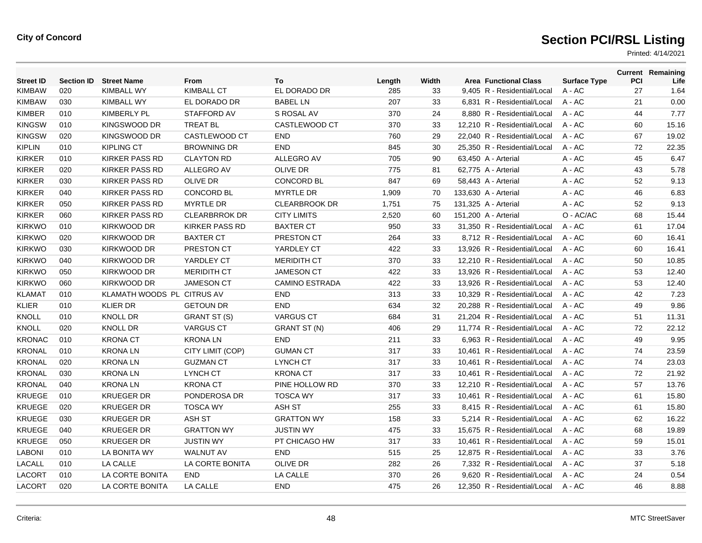| <b>Street ID</b> | <b>Section ID</b> | <b>Street Name</b>         | From                  | To                    | Length | Width | <b>Area Functional Class</b> | <b>Surface Type</b> | PCI | <b>Current Remaining</b><br>Life |
|------------------|-------------------|----------------------------|-----------------------|-----------------------|--------|-------|------------------------------|---------------------|-----|----------------------------------|
| <b>KIMBAW</b>    | 020               | <b>KIMBALL WY</b>          | <b>KIMBALL CT</b>     | EL DORADO DR          | 285    | 33    | 9,405 R - Residential/Local  | A - AC              | 27  | 1.64                             |
| <b>KIMBAW</b>    | 030               | <b>KIMBALL WY</b>          | EL DORADO DR          | <b>BABEL LN</b>       | 207    | 33    | 6,831 R - Residential/Local  | $A - AC$            | 21  | 0.00                             |
| <b>KIMBER</b>    | 010               | <b>KIMBERLY PL</b>         | <b>STAFFORD AV</b>    | S ROSAL AV            | 370    | 24    | 8.880 R - Residential/Local  | $A - AC$            | 44  | 7.77                             |
| <b>KINGSW</b>    | 010               | KINGSWOOD DR               | <b>TREAT BL</b>       | CASTLEWOOD CT         | 370    | 33    | 12,210 R - Residential/Local | $A - AC$            | 60  | 15.16                            |
| <b>KINGSW</b>    | 020               | KINGSWOOD DR               | CASTLEWOOD CT         | <b>END</b>            | 760    | 29    | 22,040 R - Residential/Local | $A - AC$            | 67  | 19.02                            |
| <b>KIPLIN</b>    | 010               | <b>KIPLING CT</b>          | <b>BROWNING DR</b>    | <b>END</b>            | 845    | 30    | 25,350 R - Residential/Local | $A - AC$            | 72  | 22.35                            |
| <b>KIRKER</b>    | 010               | <b>KIRKER PASS RD</b>      | <b>CLAYTON RD</b>     | <b>ALLEGRO AV</b>     | 705    | 90    | 63.450 A - Arterial          | $A - AC$            | 45  | 6.47                             |
| <b>KIRKER</b>    | 020               | <b>KIRKER PASS RD</b>      | ALLEGRO AV            | <b>OLIVE DR</b>       | 775    | 81    | 62,775 A - Arterial          | A - AC              | 43  | 5.78                             |
| <b>KIRKER</b>    | 030               | <b>KIRKER PASS RD</b>      | <b>OLIVE DR</b>       | <b>CONCORD BL</b>     | 847    | 69    | 58,443 A - Arterial          | A - AC              | 52  | 9.13                             |
| <b>KIRKER</b>    | 040               | <b>KIRKER PASS RD</b>      | <b>CONCORD BL</b>     | <b>MYRTLE DR</b>      | 1,909  | 70    | 133,630 A - Arterial         | A - AC              | 46  | 6.83                             |
| <b>KIRKER</b>    | 050               | <b>KIRKER PASS RD</b>      | <b>MYRTLE DR</b>      | <b>CLEARBROOK DR</b>  | 1,751  | 75    | 131,325 A - Arterial         | A - AC              | 52  | 9.13                             |
| <b>KIRKER</b>    | 060               | <b>KIRKER PASS RD</b>      | <b>CLEARBRROK DR</b>  | <b>CITY LIMITS</b>    | 2,520  | 60    | 151,200 A - Arterial         | O - AC/AC           | 68  | 15.44                            |
| <b>KIRKWO</b>    | 010               | KIRKWOOD DR                | <b>KIRKER PASS RD</b> | <b>BAXTER CT</b>      | 950    | 33    | 31,350 R - Residential/Local | $A - AC$            | 61  | 17.04                            |
| <b>KIRKWO</b>    | 020               | KIRKWOOD DR                | <b>BAXTER CT</b>      | PRESTON CT            | 264    | 33    | 8,712 R - Residential/Local  | $A - AC$            | 60  | 16.41                            |
| <b>KIRKWO</b>    | 030               | KIRKWOOD DR                | PRESTON CT            | YARDLEY CT            | 422    | 33    | 13,926 R - Residential/Local | A - AC              | 60  | 16.41                            |
| <b>KIRKWO</b>    | 040               | KIRKWOOD DR                | YARDLEY CT            | <b>MERIDITH CT</b>    | 370    | 33    | 12,210 R - Residential/Local | $A - AC$            | 50  | 10.85                            |
| <b>KIRKWO</b>    | 050               | KIRKWOOD DR                | <b>MERIDITH CT</b>    | <b>JAMESON CT</b>     | 422    | 33    | 13.926 R - Residential/Local | $A - AC$            | 53  | 12.40                            |
| <b>KIRKWO</b>    | 060               | KIRKWOOD DR                | <b>JAMESON CT</b>     | <b>CAMINO ESTRADA</b> | 422    | 33    | 13,926 R - Residential/Local | A - AC              | 53  | 12.40                            |
| <b>KLAMAT</b>    | 010               | KLAMATH WOODS PL CITRUS AV |                       | <b>END</b>            | 313    | 33    | 10,329 R - Residential/Local | $A - AC$            | 42  | 7.23                             |
| <b>KLIER</b>     | 010               | <b>KLIER DR</b>            | <b>GETOUN DR</b>      | <b>END</b>            | 634    | 32    | 20.288 R - Residential/Local | $A - AC$            | 49  | 9.86                             |
| <b>KNOLL</b>     | 010               | <b>KNOLL DR</b>            | GRANT ST (S)          | <b>VARGUS CT</b>      | 684    | 31    | 21,204 R - Residential/Local | A - AC              | 51  | 11.31                            |
| <b>KNOLL</b>     | 020               | <b>KNOLL DR</b>            | <b>VARGUS CT</b>      | <b>GRANT ST (N)</b>   | 406    | 29    | 11,774 R - Residential/Local | A - AC              | 72  | 22.12                            |
| <b>KRONAC</b>    | 010               | <b>KRONA CT</b>            | <b>KRONALN</b>        | <b>END</b>            | 211    | 33    | 6,963 R - Residential/Local  | $A - AC$            | 49  | 9.95                             |
| <b>KRONAL</b>    | 010               | <b>KRONALN</b>             | CITY LIMIT (COP)      | <b>GUMAN CT</b>       | 317    | 33    | 10,461 R - Residential/Local | $A - AC$            | 74  | 23.59                            |
| <b>KRONAL</b>    | 020               | <b>KRONALN</b>             | <b>GUZMAN CT</b>      | <b>LYNCH CT</b>       | 317    | 33    | 10,461 R - Residential/Local | A - AC              | 74  | 23.03                            |
| <b>KRONAL</b>    | 030               | <b>KRONALN</b>             | LYNCH CT              | <b>KRONA CT</b>       | 317    | 33    | 10,461 R - Residential/Local | $A - AC$            | 72  | 21.92                            |
| <b>KRONAL</b>    | 040               | <b>KRONALN</b>             | <b>KRONA CT</b>       | PINE HOLLOW RD        | 370    | 33    | 12,210 R - Residential/Local | $A - AC$            | 57  | 13.76                            |
| <b>KRUEGE</b>    | 010               | <b>KRUEGER DR</b>          | PONDEROSA DR          | <b>TOSCA WY</b>       | 317    | 33    | 10,461 R - Residential/Local | A - AC              | 61  | 15.80                            |
| <b>KRUEGE</b>    | 020               | <b>KRUEGER DR</b>          | <b>TOSCA WY</b>       | ASH ST                | 255    | 33    | 8,415 R - Residential/Local  | $A - AC$            | 61  | 15.80                            |
| <b>KRUEGE</b>    | 030               | <b>KRUEGER DR</b>          | <b>ASH ST</b>         | <b>GRATTON WY</b>     | 158    | 33    | 5.214 R - Residential/Local  | $A - AC$            | 62  | 16.22                            |
| <b>KRUEGE</b>    | 040               | <b>KRUEGER DR</b>          | <b>GRATTON WY</b>     | <b>JUSTIN WY</b>      | 475    | 33    | 15,675 R - Residential/Local | $A - AC$            | 68  | 19.89                            |
| <b>KRUEGE</b>    | 050               | <b>KRUEGER DR</b>          | <b>JUSTIN WY</b>      | PT CHICAGO HW         | 317    | 33    | 10,461 R - Residential/Local | $A - AC$            | 59  | 15.01                            |
| <b>LABONI</b>    | 010               | LA BONITA WY               | <b>WALNUT AV</b>      | <b>END</b>            | 515    | 25    | 12.875 R - Residential/Local | $A - AC$            | 33  | 3.76                             |
| LACALL           | 010               | LA CALLE                   | LA CORTE BONITA       | <b>OLIVE DR</b>       | 282    | 26    | 7,332 R - Residential/Local  | $A - AC$            | 37  | 5.18                             |
| <b>LACORT</b>    | 010               | LA CORTE BONITA            | <b>END</b>            | LA CALLE              | 370    | 26    | 9,620 R - Residential/Local  | A - AC              | 24  | 0.54                             |
| <b>LACORT</b>    | 020               | LA CORTE BONITA            | LA CALLE              | <b>END</b>            | 475    | 26    | 12,350 R - Residential/Local | $A - AC$            | 46  | 8.88                             |
|                  |                   |                            |                       |                       |        |       |                              |                     |     |                                  |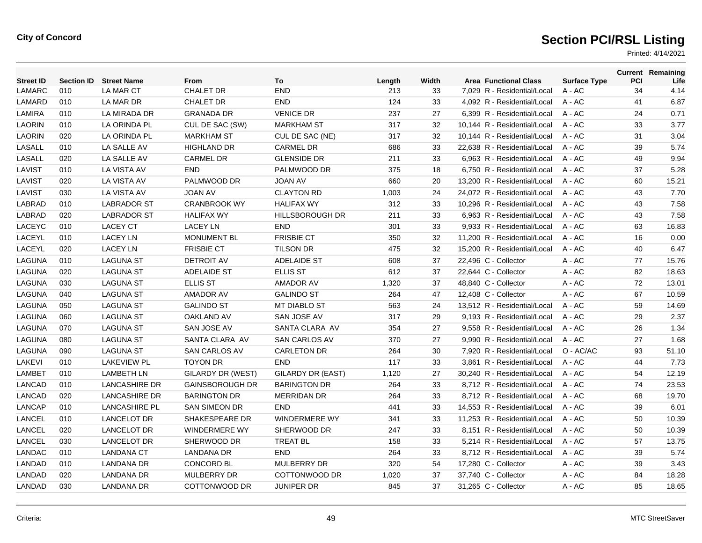| <b>Street ID</b> | <b>Section ID</b> | <b>Street Name</b>   | From                   | To                   | Length | Width | <b>Area Functional Class</b> | <b>Surface Type</b> | PCI | <b>Current Remaining</b><br>Life |
|------------------|-------------------|----------------------|------------------------|----------------------|--------|-------|------------------------------|---------------------|-----|----------------------------------|
| LAMARC           | 010               | LA MAR CT            | <b>CHALET DR</b>       | END                  | 213    | 33    | 7,029 R - Residential/Local  | A - AC              | 34  | 4.14                             |
| LAMARD           | 010               | LA MAR DR            | <b>CHALET DR</b>       | <b>END</b>           | 124    | 33    | 4,092 R - Residential/Local  | A - AC              | 41  | 6.87                             |
| <b>LAMIRA</b>    | 010               | LA MIRADA DR         | <b>GRANADA DR</b>      | <b>VENICE DR</b>     | 237    | 27    | 6,399 R - Residential/Local  | $A - AC$            | 24  | 0.71                             |
| <b>LAORIN</b>    | 010               | LA ORINDA PL         | CUL DE SAC (SW)        | <b>MARKHAM ST</b>    | 317    | 32    | 10.144 R - Residential/Local | $A - AC$            | 33  | 3.77                             |
| <b>LAORIN</b>    | 020               | LA ORINDA PL         | <b>MARKHAM ST</b>      | CUL DE SAC (NE)      | 317    | 32    | 10,144 R - Residential/Local | $A - AC$            | 31  | 3.04                             |
| LASALL           | 010               | LA SALLE AV          | <b>HIGHLAND DR</b>     | <b>CARMEL DR</b>     | 686    | 33    | 22,638 R - Residential/Local | A - AC              | 39  | 5.74                             |
| LASALL           | 020               | LA SALLE AV          | <b>CARMEL DR</b>       | <b>GLENSIDE DR</b>   | 211    | 33    | 6.963 R - Residential/Local  | $A - AC$            | 49  | 9.94                             |
| LAVIST           | 010               | LA VISTA AV          | <b>END</b>             | PALMWOOD DR          | 375    | 18    | 6.750 R - Residential/Local  | $A - AC$            | 37  | 5.28                             |
| LAVIST           | 020               | <b>LA VISTA AV</b>   | PALMWOOD DR            | <b>JOAN AV</b>       | 660    | 20    | 13,200 R - Residential/Local | $A - AC$            | 60  | 15.21                            |
| LAVIST           | 030               | LA VISTA AV          | <b>JOAN AV</b>         | <b>CLAYTON RD</b>    | 1,003  | 24    | 24,072 R - Residential/Local | A - AC              | 43  | 7.70                             |
| LABRAD           | 010               | <b>LABRADOR ST</b>   | <b>CRANBROOK WY</b>    | <b>HALIFAX WY</b>    | 312    | 33    | 10,296 R - Residential/Local | $A - AC$            | 43  | 7.58                             |
| LABRAD           | 020               | <b>LABRADOR ST</b>   | <b>HALIFAX WY</b>      | HILLSBOROUGH DR      | 211    | 33    | 6.963 R - Residential/Local  | $A - AC$            | 43  | 7.58                             |
| <b>LACEYC</b>    | 010               | <b>LACEY CT</b>      | <b>LACEY LN</b>        | END                  | 301    | 33    | 9,933 R - Residential/Local  | $A - AC$            | 63  | 16.83                            |
| LACEYL           | 010               | <b>LACEY LN</b>      | <b>MONUMENT BL</b>     | <b>FRISBIE CT</b>    | 350    | 32    | 11,200 R - Residential/Local | A - AC              | 16  | 0.00                             |
| LACEYL           | 020               | <b>LACEY LN</b>      | <b>FRISBIE CT</b>      | <b>TILSON DR</b>     | 475    | 32    | 15,200 R - Residential/Local | A - AC              | 40  | 6.47                             |
| LAGUNA           | 010               | <b>LAGUNA ST</b>     | <b>DETROIT AV</b>      | ADELAIDE ST          | 608    | 37    | 22,496 C - Collector         | A - AC              | 77  | 15.76                            |
| LAGUNA           | 020               | <b>LAGUNA ST</b>     | ADELAIDE ST            | <b>ELLIS ST</b>      | 612    | 37    | 22,644 C - Collector         | A - AC              | 82  | 18.63                            |
| LAGUNA           | 030               | <b>LAGUNA ST</b>     | <b>ELLIS ST</b>        | <b>AMADOR AV</b>     | 1,320  | 37    | 48,840 C - Collector         | A - AC              | 72  | 13.01                            |
| LAGUNA           | 040               | <b>LAGUNA ST</b>     | <b>AMADOR AV</b>       | <b>GALINDO ST</b>    | 264    | 47    | 12,408 C - Collector         | A - AC              | 67  | 10.59                            |
| LAGUNA           | 050               | <b>LAGUNA ST</b>     | <b>GALINDO ST</b>      | <b>MT DIABLO ST</b>  | 563    | 24    | 13.512 R - Residential/Local | $A - AC$            | 59  | 14.69                            |
| LAGUNA           | 060               | <b>LAGUNA ST</b>     | <b>OAKLAND AV</b>      | SAN JOSE AV          | 317    | 29    | 9,193 R - Residential/Local  | $A - AC$            | 29  | 2.37                             |
| LAGUNA           | 070               | <b>LAGUNA ST</b>     | SAN JOSE AV            | SANTA CLARA AV       | 354    | 27    | 9,558 R - Residential/Local  | A - AC              | 26  | 1.34                             |
| LAGUNA           | 080               | <b>LAGUNA ST</b>     | SANTA CLARA AV         | <b>SAN CARLOS AV</b> | 370    | 27    | 9.990 R - Residential/Local  | $A - AC$            | 27  | 1.68                             |
| <b>LAGUNA</b>    | 090               | <b>LAGUNA ST</b>     | <b>SAN CARLOS AV</b>   | <b>CARLETON DR</b>   | 264    | 30    | 7.920 R - Residential/Local  | O - AC/AC           | 93  | 51.10                            |
| <b>LAKEVI</b>    | 010               | <b>LAKEVIEW PL</b>   | <b>TOYON DR</b>        | <b>END</b>           | 117    | 33    | 3,861 R - Residential/Local  | $A - AC$            | 44  | 7.73                             |
| <b>LAMBET</b>    | 010               | <b>LAMBETH LN</b>    | GILARDY DR (WEST)      | GILARDY DR (EAST)    | 1,120  | 27    | 30.240 R - Residential/Local | $A - AC$            | 54  | 12.19                            |
| <b>LANCAD</b>    | 010               | <b>LANCASHIRE DR</b> | <b>GAINSBOROUGH DR</b> | <b>BARINGTON DR</b>  | 264    | 33    | 8.712 R - Residential/Local  | $A - AC$            | 74  | 23.53                            |
| <b>LANCAD</b>    | 020               | <b>LANCASHIRE DR</b> | <b>BARINGTON DR</b>    | <b>MERRIDAN DR</b>   | 264    | 33    | 8.712 R - Residential/Local  | $A - AC$            | 68  | 19.70                            |
| <b>LANCAP</b>    | 010               | LANCASHIRE PL        | <b>SAN SIMEON DR</b>   | <b>END</b>           | 441    | 33    | 14,553 R - Residential/Local | A - AC              | 39  | 6.01                             |
| LANCEL           | 010               | <b>LANCELOT DR</b>   | SHAKESPEARE DR         | <b>WINDERMERE WY</b> | 341    | 33    | 11,253 R - Residential/Local | A - AC              | 50  | 10.39                            |
| LANCEL           | 020               | <b>LANCELOT DR</b>   | <b>WINDERMERE WY</b>   | SHERWOOD DR          | 247    | 33    | 8,151 R - Residential/Local  | $A - AC$            | 50  | 10.39                            |
| LANCEL           | 030               | <b>LANCELOT DR</b>   | SHERWOOD DR            | TREAT BL             | 158    | 33    | 5.214 R - Residential/Local  | $A - AC$            | 57  | 13.75                            |
| <b>LANDAC</b>    | 010               | <b>LANDANA CT</b>    | LANDANA DR             | <b>END</b>           | 264    | 33    | 8,712 R - Residential/Local  | $A - AC$            | 39  | 5.74                             |
| <b>LANDAD</b>    | 010               | <b>LANDANA DR</b>    | CONCORD BL             | MULBERRY DR          | 320    | 54    | 17,280 C - Collector         | A - AC              | 39  | 3.43                             |
| <b>LANDAD</b>    | 020               | <b>LANDANA DR</b>    | <b>MULBERRY DR</b>     | COTTONWOOD DR        | 1,020  | 37    | 37,740 C - Collector         | A - AC              | 84  | 18.28                            |
| <b>LANDAD</b>    | 030               | <b>LANDANA DR</b>    | COTTONWOOD DR          | <b>JUNIPER DR</b>    | 845    | 37    | 31,265 C - Collector         | A - AC              | 85  | 18.65                            |
|                  |                   |                      |                        |                      |        |       |                              |                     |     |                                  |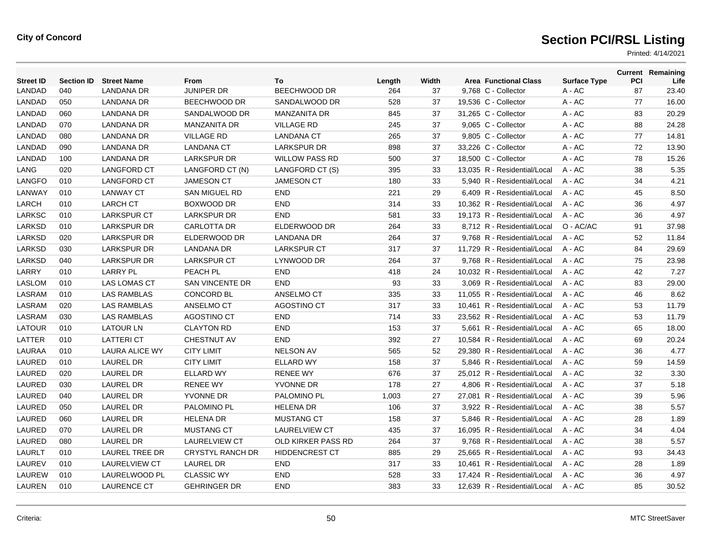| <b>Street ID</b> |     | <b>Section ID Street Name</b> | <b>From</b>             | To                    | Length | Width | <b>Area Functional Class</b> | <b>Surface Type</b> | <b>PCI</b> | <b>Current Remaining</b><br>Life |
|------------------|-----|-------------------------------|-------------------------|-----------------------|--------|-------|------------------------------|---------------------|------------|----------------------------------|
| LANDAD           | 040 | <b>LANDANA DR</b>             | <b>JUNIPER DR</b>       | <b>BEECHWOOD DR</b>   | 264    | 37    | 9.768 C - Collector          | $A - AC$            | 87         | 23.40                            |
| LANDAD           | 050 | LANDANA DR                    | BEECHWOOD DR            | SANDALWOOD DR         | 528    | 37    | 19,536 C - Collector         | A - AC              | 77         | 16.00                            |
| LANDAD           | 060 | <b>LANDANA DR</b>             | SANDALWOOD DR           | <b>MANZANITA DR</b>   | 845    | 37    | 31,265 C - Collector         | A - AC              | 83         | 20.29                            |
| LANDAD           | 070 | <b>LANDANA DR</b>             | <b>MANZANITA DR</b>     | <b>VILLAGE RD</b>     | 245    | 37    | 9,065 C - Collector          | A - AC              | 88         | 24.28                            |
| <b>LANDAD</b>    | 080 | <b>LANDANA DR</b>             | <b>VILLAGE RD</b>       | <b>LANDANA CT</b>     | 265    | 37    | 9.805 C - Collector          | A - AC              | 77         | 14.81                            |
| <b>LANDAD</b>    | 090 | LANDANA DR                    | <b>LANDANA CT</b>       | <b>LARKSPUR DR</b>    | 898    | 37    | 33,226 C - Collector         | $A - AC$            | 72         | 13.90                            |
| LANDAD           | 100 | LANDANA DR                    | <b>LARKSPUR DR</b>      | <b>WILLOW PASS RD</b> | 500    | 37    | 18,500 C - Collector         | A - AC              | 78         | 15.26                            |
| LANG             | 020 | LANGFORD CT                   | LANGFORD CT (N)         | LANGFORD CT (S)       | 395    | 33    | 13,035 R - Residential/Local | $A - AC$            | 38         | 5.35                             |
| LANGFO           | 010 | LANGFORD CT                   | <b>JAMESON CT</b>       | <b>JAMESON CT</b>     | 180    | 33    | 5,940 R - Residential/Local  | $A - AC$            | 34         | 4.21                             |
| LANWAY           | 010 | <b>LANWAY CT</b>              | <b>SAN MIGUEL RD</b>    | <b>END</b>            | 221    | 29    | 6.409 R - Residential/Local  | $A - AC$            | 45         | 8.50                             |
| LARCH            | 010 | <b>LARCH CT</b>               | BOXWOOD DR              | <b>END</b>            | 314    | 33    | 10,362 R - Residential/Local | A - AC              | 36         | 4.97                             |
| <b>LARKSC</b>    | 010 | <b>LARKSPUR CT</b>            | <b>LARKSPUR DR</b>      | <b>END</b>            | 581    | 33    | 19,173 R - Residential/Local | $A - AC$            | 36         | 4.97                             |
| LARKSD           | 010 | <b>LARKSPUR DR</b>            | <b>CARLOTTA DR</b>      | ELDERWOOD DR          | 264    | 33    | 8,712 R - Residential/Local  | O - AC/AC           | 91         | 37.98                            |
| LARKSD           | 020 | <b>LARKSPUR DR</b>            | ELDERWOOD DR            | <b>LANDANA DR</b>     | 264    | 37    | 9,768 R - Residential/Local  | $A - AC$            | 52         | 11.84                            |
| <b>LARKSD</b>    | 030 | <b>LARKSPUR DR</b>            | <b>LANDANA DR</b>       | <b>LARKSPUR CT</b>    | 317    | 37    | 11,729 R - Residential/Local | A - AC              | 84         | 29.69                            |
| LARKSD           | 040 | <b>LARKSPUR DR</b>            | <b>LARKSPUR CT</b>      | LYNWOOD DR            | 264    | 37    | 9,768 R - Residential/Local  | A - AC              | 75         | 23.98                            |
| LARRY            | 010 | <b>LARRY PL</b>               | <b>PEACH PL</b>         | <b>END</b>            | 418    | 24    | 10.032 R - Residential/Local | $A - AC$            | 42         | 7.27                             |
| <b>LASLOM</b>    | 010 | <b>LAS LOMAS CT</b>           | <b>SAN VINCENTE DR</b>  | <b>END</b>            | 93     | 33    | 3.069 R - Residential/Local  | $A - AC$            | 83         | 29.00                            |
| LASRAM           | 010 | <b>LAS RAMBLAS</b>            | <b>CONCORD BL</b>       | ANSELMO CT            | 335    | 33    | 11,055 R - Residential/Local | $A - AC$            | 46         | 8.62                             |
| LASRAM           | 020 | <b>LAS RAMBLAS</b>            | ANSELMO CT              | AGOSTINO CT           | 317    | 33    | 10,461 R - Residential/Local | A - AC              | 53         | 11.79                            |
| LASRAM           | 030 | <b>LAS RAMBLAS</b>            | AGOSTINO CT             | <b>END</b>            | 714    | 33    | 23,562 R - Residential/Local | $A - AC$            | 53         | 11.79                            |
| <b>LATOUR</b>    | 010 | <b>LATOUR LN</b>              | <b>CLAYTON RD</b>       | <b>END</b>            | 153    | 37    | 5.661 R - Residential/Local  | $A - AC$            | 65         | 18.00                            |
| LATTER           | 010 | <b>LATTERI CT</b>             | <b>CHESTNUT AV</b>      | <b>END</b>            | 392    | 27    | 10.584 R - Residential/Local | $A - AC$            | 69         | 20.24                            |
| <b>LAURAA</b>    | 010 | LAURA ALICE WY                | <b>CITY LIMIT</b>       | <b>NELSON AV</b>      | 565    | 52    | 29,380 R - Residential/Local | A - AC              | 36         | 4.77                             |
| LAURED           | 010 | LAUREL DR                     | <b>CITY LIMIT</b>       | <b>ELLARD WY</b>      | 158    | 37    | 5,846 R - Residential/Local  | A - AC              | 59         | 14.59                            |
| LAURED           | 020 | LAUREL DR                     | <b>ELLARD WY</b>        | <b>RENEE WY</b>       | 676    | 37    | 25,012 R - Residential/Local | A - AC              | 32         | 3.30                             |
| LAURED           | 030 | LAUREL DR                     | <b>RENEE WY</b>         | YVONNE DR             | 178    | 27    | 4.806 R - Residential/Local  | A - AC              | 37         | 5.18                             |
| LAURED           | 040 | LAUREL DR                     | YVONNE DR               | PALOMINO PL           | 1,003  | 27    | 27,081 R - Residential/Local | $A - AC$            | 39         | 5.96                             |
| LAURED           | 050 | LAUREL DR                     | PALOMINO PL             | <b>HELENA DR</b>      | 106    | 37    | 3,922 R - Residential/Local  | A - AC              | 38         | 5.57                             |
| LAURED           | 060 | LAUREL DR                     | <b>HELENA DR</b>        | <b>MUSTANG CT</b>     | 158    | 37    | 5,846 R - Residential/Local  | A - AC              | 28         | 1.89                             |
| LAURED           | 070 | LAUREL DR                     | <b>MUSTANG CT</b>       | <b>LAURELVIEW CT</b>  | 435    | 37    | 16,095 R - Residential/Local | A - AC              | 34         | 4.04                             |
| LAURED           | 080 | <b>LAUREL DR</b>              | <b>LAURELVIEW CT</b>    | OLD KIRKER PASS RD    | 264    | 37    | 9,768 R - Residential/Local  | A - AC              | 38         | 5.57                             |
| <b>LAURLT</b>    | 010 | <b>LAUREL TREE DR</b>         | <b>CRYSTYL RANCH DR</b> | HIDDENCREST CT        | 885    | 29    | 25,665 R - Residential/Local | A - AC              | 93         | 34.43                            |
| LAUREV           | 010 | <b>LAURELVIEW CT</b>          | <b>LAUREL DR</b>        | <b>END</b>            | 317    | 33    | 10,461 R - Residential/Local | A - AC              | 28         | 1.89                             |
| LAUREW           | 010 | LAURELWOOD PL                 | <b>CLASSIC WY</b>       | <b>END</b>            | 528    | 33    | 17,424 R - Residential/Local | $A - AC$            | 36         | 4.97                             |
| LAUREN           | 010 | <b>LAURENCE CT</b>            | <b>GEHRINGER DR</b>     | <b>END</b>            | 383    | 33    | 12.639 R - Residential/Local | A - AC              | 85         | 30.52                            |
|                  |     |                               |                         |                       |        |       |                              |                     |            |                                  |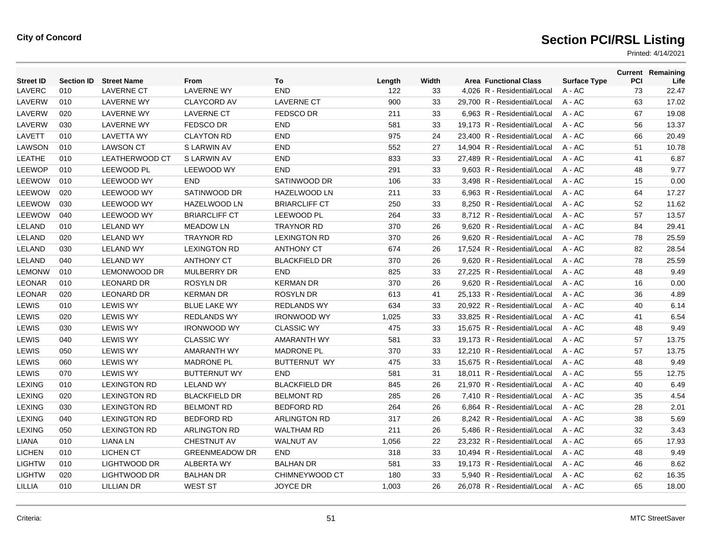| <b>Street ID</b> | <b>Section ID</b> | <b>Street Name</b>  | From                  | To                   | Length | Width | <b>Area Functional Class</b> | <b>Surface Type</b> | <b>PCI</b> | <b>Current Remaining</b><br>Life |
|------------------|-------------------|---------------------|-----------------------|----------------------|--------|-------|------------------------------|---------------------|------------|----------------------------------|
| LAVERC           | 010               | <b>LAVERNE CT</b>   | <b>LAVERNE WY</b>     | <b>END</b>           | 122    | 33    | 4.026 R - Residential/Local  | $A - AC$            | 73         | 22.47                            |
| LAVERW           | 010               | LAVERNE WY          | <b>CLAYCORD AV</b>    | <b>LAVERNE CT</b>    | 900    | 33    | 29,700 R - Residential/Local | A - AC              | 63         | 17.02                            |
| LAVERW           | 020               | <b>LAVERNE WY</b>   | <b>LAVERNE CT</b>     | <b>FEDSCO DR</b>     | 211    | 33    | 6,963 R - Residential/Local  | A - AC              | 67         | 19.08                            |
| LAVERW           | 030               | <b>LAVERNE WY</b>   | <b>FEDSCO DR</b>      | <b>END</b>           | 581    | 33    | 19.173 R - Residential/Local | $A - AC$            | 56         | 13.37                            |
| LAVETT           | 010               | <b>LAVETTA WY</b>   | <b>CLAYTON RD</b>     | <b>END</b>           | 975    | 24    | 23.400 R - Residential/Local | $A - AC$            | 66         | 20.49                            |
| <b>LAWSON</b>    | 010               | <b>LAWSON CT</b>    | S LARWIN AV           | <b>END</b>           | 552    | 27    | 14,904 R - Residential/Local | A - AC              | 51         | 10.78                            |
| <b>LEATHE</b>    | 010               | LEATHERWOOD CT      | S LARWIN AV           | <b>END</b>           | 833    | 33    | 27,489 R - Residential/Local | A - AC              | 41         | 6.87                             |
| <b>LEEWOP</b>    | 010               | LEEWOOD PL          | <b>LEEWOOD WY</b>     | <b>END</b>           | 291    | 33    | 9,603 R - Residential/Local  | A - AC              | 48         | 9.77                             |
| LEEWOW           | 010               | LEEWOOD WY          | <b>END</b>            | SATINWOOD DR         | 106    | 33    | 3,498 R - Residential/Local  | $A - AC$            | 15         | 0.00                             |
| LEEWOW           | 020               | <b>LEEWOOD WY</b>   | SATINWOOD DR          | <b>HAZELWOOD LN</b>  | 211    | 33    | 6.963 R - Residential/Local  | $A - AC$            | 64         | 17.27                            |
| LEEWOW           | 030               | LEEWOOD WY          | HAZELWOOD LN          | <b>BRIARCLIFF CT</b> | 250    | 33    | 8,250 R - Residential/Local  | A - AC              | 52         | 11.62                            |
| LEEWOW           | 040               | LEEWOOD WY          | <b>BRIARCLIFF CT</b>  | LEEWOOD PL           | 264    | 33    | 8,712 R - Residential/Local  | A - AC              | 57         | 13.57                            |
| LELAND           | 010               | <b>LELAND WY</b>    | <b>MEADOW LN</b>      | <b>TRAYNOR RD</b>    | 370    | 26    | 9,620 R - Residential/Local  | $A - AC$            | 84         | 29.41                            |
| LELAND           | 020               | <b>LELAND WY</b>    | <b>TRAYNOR RD</b>     | <b>LEXINGTON RD</b>  | 370    | 26    | 9,620 R - Residential/Local  | $A - AC$            | 78         | 25.59                            |
| LELAND           | 030               | <b>LELAND WY</b>    | <b>LEXINGTON RD</b>   | <b>ANTHONY CT</b>    | 674    | 26    | 17,524 R - Residential/Local | A - AC              | 82         | 28.54                            |
| LELAND           | 040               | <b>LELAND WY</b>    | <b>ANTHONY CT</b>     | <b>BLACKFIELD DR</b> | 370    | 26    | 9,620 R - Residential/Local  | A - AC              | 78         | 25.59                            |
| <b>LEMONW</b>    | 010               | <b>LEMONWOOD DR</b> | <b>MULBERRY DR</b>    | <b>END</b>           | 825    | 33    | 27,225 R - Residential/Local | $A - AC$            | 48         | 9.49                             |
| <b>LEONAR</b>    | 010               | <b>LEONARD DR</b>   | <b>ROSYLN DR</b>      | <b>KERMAN DR</b>     | 370    | 26    | 9.620 R - Residential/Local  | $A - AC$            | 16         | 0.00                             |
| <b>LEONAR</b>    | 020               | <b>LEONARD DR</b>   | <b>KERMAN DR</b>      | <b>ROSYLN DR</b>     | 613    | 41    | 25,133 R - Residential/Local | $A - AC$            | 36         | 4.89                             |
| <b>LEWIS</b>     | 010               | <b>LEWIS WY</b>     | <b>BLUE LAKE WY</b>   | <b>REDLANDS WY</b>   | 634    | 33    | 20,922 R - Residential/Local | A - AC              | 40         | 6.14                             |
| LEWIS            | 020               | <b>LEWIS WY</b>     | <b>REDLANDS WY</b>    | <b>IRONWOOD WY</b>   | 1,025  | 33    | 33,825 R - Residential/Local | A - AC              | 41         | 6.54                             |
| <b>LEWIS</b>     | 030               | <b>LEWIS WY</b>     | <b>IRONWOOD WY</b>    | <b>CLASSIC WY</b>    | 475    | 33    | 15.675 R - Residential/Local | $A - AC$            | 48         | 9.49                             |
| LEWIS            | 040               | <b>LEWIS WY</b>     | <b>CLASSIC WY</b>     | <b>AMARANTH WY</b>   | 581    | 33    | 19.173 R - Residential/Local | $A - AC$            | 57         | 13.75                            |
| <b>LEWIS</b>     | 050               | <b>LEWIS WY</b>     | AMARANTH WY           | <b>MADRONE PL</b>    | 370    | 33    | 12,210 R - Residential/Local | A - AC              | 57         | 13.75                            |
| <b>LEWIS</b>     | 060               | <b>LEWIS WY</b>     | <b>MADRONE PL</b>     | <b>BUTTERNUT WY</b>  | 475    | 33    | 15,675 R - Residential/Local | A - AC              | 48         | 9.49                             |
| <b>LEWIS</b>     | 070               | <b>LEWIS WY</b>     | <b>BUTTERNUT WY</b>   | <b>END</b>           | 581    | 31    | 18,011 R - Residential/Local | A - AC              | 55         | 12.75                            |
| <b>LEXING</b>    | 010               | <b>LEXINGTON RD</b> | <b>LELAND WY</b>      | <b>BLACKFIELD DR</b> | 845    | 26    | 21.970 R - Residential/Local | $A - AC$            | 40         | 6.49                             |
| <b>LEXING</b>    | 020               | <b>LEXINGTON RD</b> | <b>BLACKFIELD DR</b>  | <b>BELMONT RD</b>    | 285    | 26    | 7,410 R - Residential/Local  | $A - AC$            | 35         | 4.54                             |
| <b>LEXING</b>    | 030               | <b>LEXINGTON RD</b> | <b>BELMONT RD</b>     | <b>BEDFORD RD</b>    | 264    | 26    | 6,864 R - Residential/Local  | A - AC              | 28         | 2.01                             |
| <b>LEXING</b>    | 040               | <b>LEXINGTON RD</b> | <b>BEDFORD RD</b>     | <b>ARLINGTON RD</b>  | 317    | 26    | 8,242 R - Residential/Local  | A - AC              | 38         | 5.69                             |
| <b>LEXING</b>    | 050               | <b>LEXINGTON RD</b> | <b>ARLINGTON RD</b>   | <b>WALTHAM RD</b>    | 211    | 26    | 5,486 R - Residential/Local  | A - AC              | 32         | 3.43                             |
| LIANA            | 010               | <b>LIANA LN</b>     | <b>CHESTNUT AV</b>    | <b>WALNUT AV</b>     | 1,056  | 22    | 23,232 R - Residential/Local | A - AC              | 65         | 17.93                            |
| <b>LICHEN</b>    | 010               | <b>LICHEN CT</b>    | <b>GREENMEADOW DR</b> | <b>END</b>           | 318    | 33    | 10,494 R - Residential/Local | A - AC              | 48         | 9.49                             |
| <b>LIGHTW</b>    | 010               | LIGHTWOOD DR        | <b>ALBERTA WY</b>     | <b>BALHAN DR</b>     | 581    | 33    | 19,173 R - Residential/Local | A - AC              | 46         | 8.62                             |
| <b>LIGHTW</b>    | 020               | <b>LIGHTWOOD DR</b> | <b>BALHAN DR</b>      | CHIMNEYWOOD CT       | 180    | 33    | 5.940 R - Residential/Local  | A - AC              | 62         | 16.35                            |
| LILLIA           | 010               | <b>LILLIAN DR</b>   | <b>WEST ST</b>        | <b>JOYCE DR</b>      | 1,003  | 26    | 26.078 R - Residential/Local | $A - AC$            | 65         | 18.00                            |
|                  |                   |                     |                       |                      |        |       |                              |                     |            |                                  |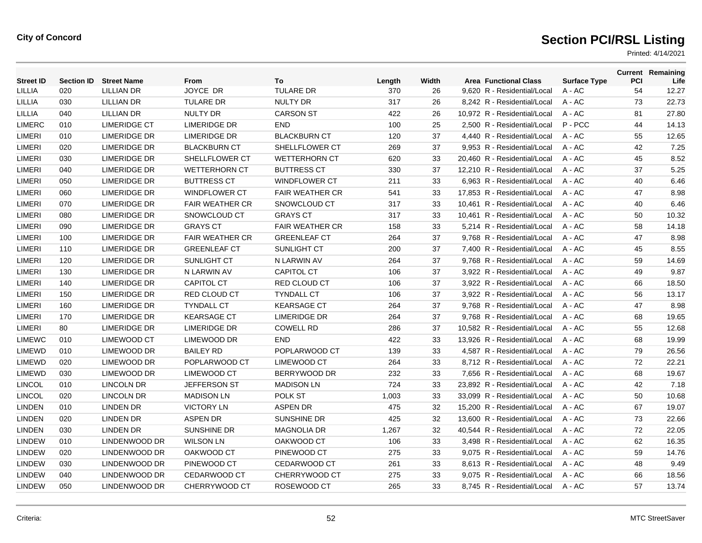| <b>Street ID</b> | <b>Section ID</b> | <b>Street Name</b>  | From                   | To                     | Length | Width | <b>Area Functional Class</b> | <b>Surface Type</b> | PCI | <b>Current Remaining</b><br>Life |
|------------------|-------------------|---------------------|------------------------|------------------------|--------|-------|------------------------------|---------------------|-----|----------------------------------|
| LILLIA           | 020               | LILLIAN DR          | JOYCE DR               | <b>TULARE DR</b>       | 370    | 26    | 9,620 R - Residential/Local  | A - AC              | 54  | 12.27                            |
| <b>LILLIA</b>    | 030               | <b>LILLIAN DR</b>   | <b>TULARE DR</b>       | <b>NULTY DR</b>        | 317    | 26    | 8,242 R - Residential/Local  | A - AC              | 73  | 22.73                            |
| <b>LILLIA</b>    | 040               | <b>LILLIAN DR</b>   | <b>NULTY DR</b>        | <b>CARSON ST</b>       | 422    | 26    | 10,972 R - Residential/Local | $A - AC$            | 81  | 27.80                            |
| <b>LIMERC</b>    | 010               | <b>LIMERIDGE CT</b> | <b>LIMERIDGE DR</b>    | <b>END</b>             | 100    | 25    | 2,500 R - Residential/Local  | P-PCC               | 44  | 14.13                            |
| <b>LIMERI</b>    | 010               | <b>LIMERIDGE DR</b> | <b>LIMERIDGE DR</b>    | <b>BLACKBURN CT</b>    | 120    | 37    | 4,440 R - Residential/Local  | $A - AC$            | 55  | 12.65                            |
| <b>LIMERI</b>    | 020               | <b>LIMERIDGE DR</b> | <b>BLACKBURN CT</b>    | SHELLFLOWER CT         | 269    | 37    | 9.953 R - Residential/Local  | $A - AC$            | 42  | 7.25                             |
| <b>LIMERI</b>    | 030               | LIMERIDGE DR        | SHELLFLOWER CT         | <b>WETTERHORN CT</b>   | 620    | 33    | 20.460 R - Residential/Local | $A - AC$            | 45  | 8.52                             |
| <b>LIMERI</b>    | 040               | <b>LIMERIDGE DR</b> | <b>WETTERHORN CT</b>   | <b>BUTTRESS CT</b>     | 330    | 37    | 12,210 R - Residential/Local | $A - AC$            | 37  | 5.25                             |
| <b>LIMERI</b>    | 050               | <b>LIMERIDGE DR</b> | <b>BUTTRESS CT</b>     | <b>WINDFLOWER CT</b>   | 211    | 33    | 6,963 R - Residential/Local  | $A - AC$            | 40  | 6.46                             |
| <b>LIMERI</b>    | 060               | LIMERIDGE DR        | <b>WINDFLOWER CT</b>   | <b>FAIR WEATHER CR</b> | 541    | 33    | 17.853 R - Residential/Local | $A - AC$            | 47  | 8.98                             |
| <b>LIMERI</b>    | 070               | <b>LIMERIDGE DR</b> | <b>FAIR WEATHER CR</b> | SNOWCLOUD CT           | 317    | 33    | 10.461 R - Residential/Local | $A - AC$            | 40  | 6.46                             |
| <b>LIMERI</b>    | 080               | <b>LIMERIDGE DR</b> | SNOWCLOUD CT           | <b>GRAYS CT</b>        | 317    | 33    | 10,461 R - Residential/Local | A - AC              | 50  | 10.32                            |
| <b>LIMERI</b>    | 090               | <b>LIMERIDGE DR</b> | <b>GRAYS CT</b>        | <b>FAIR WEATHER CR</b> | 158    | 33    | 5,214 R - Residential/Local  | A - AC              | 58  | 14.18                            |
| <b>LIMERI</b>    | 100               | <b>LIMERIDGE DR</b> | <b>FAIR WEATHER CR</b> | <b>GREENLEAF CT</b>    | 264    | 37    | 9,768 R - Residential/Local  | $A - AC$            | 47  | 8.98                             |
| <b>LIMERI</b>    | 110               | <b>LIMERIDGE DR</b> | <b>GREENLEAF CT</b>    | SUNLIGHT CT            | 200    | 37    | 7,400 R - Residential/Local  | $A - AC$            | 45  | 8.55                             |
| <b>LIMERI</b>    | 120               | <b>LIMERIDGE DR</b> | SUNLIGHT CT            | N LARWIN AV            | 264    | 37    | 9,768 R - Residential/Local  | A - AC              | 59  | 14.69                            |
| <b>LIMERI</b>    | 130               | <b>LIMERIDGE DR</b> | N LARWIN AV            | <b>CAPITOL CT</b>      | 106    | 37    | 3,922 R - Residential/Local  | A - AC              | 49  | 9.87                             |
| <b>LIMERI</b>    | 140               | <b>LIMERIDGE DR</b> | <b>CAPITOL CT</b>      | <b>RED CLOUD CT</b>    | 106    | 37    | 3,922 R - Residential/Local  | $A - AC$            | 66  | 18.50                            |
| <b>LIMERI</b>    | 150               | <b>LIMERIDGE DR</b> | <b>RED CLOUD CT</b>    | <b>TYNDALL CT</b>      | 106    | 37    | 3,922 R - Residential/Local  | $A - AC$            | 56  | 13.17                            |
| <b>LIMERI</b>    | 160               | <b>LIMERIDGE DR</b> | <b>TYNDALL CT</b>      | <b>KEARSAGE CT</b>     | 264    | 37    | 9,768 R - Residential/Local  | A - AC              | 47  | 8.98                             |
| <b>LIMERI</b>    | 170               | LIMERIDGE DR        | <b>KEARSAGE CT</b>     | <b>LIMERIDGE DR</b>    | 264    | 37    | 9.768 R - Residential/Local  | $A - AC$            | 68  | 19.65                            |
| <b>LIMERI</b>    | 80                | LIMERIDGE DR        | <b>LIMERIDGE DR</b>    | <b>COWELL RD</b>       | 286    | 37    | 10.582 R - Residential/Local | $A - AC$            | 55  | 12.68                            |
| <b>LIMEWC</b>    | 010               | <b>LIMEWOOD CT</b>  | LIMEWOOD DR            | <b>END</b>             | 422    | 33    | 13,926 R - Residential/Local | A - AC              | 68  | 19.99                            |
| <b>LIMEWD</b>    | 010               | LIMEWOOD DR         | <b>BAILEY RD</b>       | POPLARWOOD CT          | 139    | 33    | 4,587 R - Residential/Local  | $A - AC$            | 79  | 26.56                            |
| <b>LIMEWD</b>    | 020               | LIMEWOOD DR         | POPLARWOOD CT          | LIMEWOOD CT            | 264    | 33    | 8.712 R - Residential/Local  | $A - AC$            | 72  | 22.21                            |
| <b>LIMEWD</b>    | 030               | LIMEWOOD DR         | <b>LIMEWOOD CT</b>     | BERRYWOOD DR           | 232    | 33    | 7,656 R - Residential/Local  | A - AC              | 68  | 19.67                            |
| <b>LINCOL</b>    | 010               | LINCOLN DR          | <b>JEFFERSON ST</b>    | <b>MADISON LN</b>      | 724    | 33    | 23,892 R - Residential/Local | A - AC              | 42  | 7.18                             |
| <b>LINCOL</b>    | 020               | LINCOLN DR          | <b>MADISON LN</b>      | POLK ST                | 1,003  | 33    | 33,099 R - Residential/Local | A - AC              | 50  | 10.68                            |
| <b>LINDEN</b>    | 010               | <b>LINDEN DR</b>    | <b>VICTORY LN</b>      | <b>ASPEN DR</b>        | 475    | 32    | 15.200 R - Residential/Local | $A - AC$            | 67  | 19.07                            |
| <b>LINDEN</b>    | 020               | <b>LINDEN DR</b>    | <b>ASPEN DR</b>        | SUNSHINE DR            | 425    | 32    | 13,600 R - Residential/Local | A - AC              | 73  | 22.66                            |
| <b>LINDEN</b>    | 030               | <b>LINDEN DR</b>    | <b>SUNSHINE DR</b>     | <b>MAGNOLIA DR</b>     | 1,267  | 32    | 40,544 R - Residential/Local | A - AC              | 72  | 22.05                            |
| <b>LINDEW</b>    | 010               | LINDENWOOD DR       | <b>WILSON LN</b>       | OAKWOOD CT             | 106    | 33    | 3,498 R - Residential/Local  | A - AC              | 62  | 16.35                            |
| <b>LINDEW</b>    | 020               | LINDENWOOD DR       | OAKWOOD CT             | PINEWOOD CT            | 275    | 33    | 9,075 R - Residential/Local  | $A - AC$            | 59  | 14.76                            |
| <b>LINDEW</b>    | 030               | LINDENWOOD DR       | PINEWOOD CT            | <b>CEDARWOOD CT</b>    | 261    | 33    | 8,613 R - Residential/Local  | A - AC              | 48  | 9.49                             |
| <b>LINDEW</b>    | 040               | LINDENWOOD DR       | CEDARWOOD CT           | CHERRYWOOD CT          | 275    | 33    | 9.075 R - Residential/Local  | A - AC              | 66  | 18.56                            |
| <b>LINDEW</b>    | 050               | LINDENWOOD DR       | CHERRYWOOD CT          | ROSEWOOD CT            | 265    | 33    | 8.745 R - Residential/Local  | A - AC              | 57  | 13.74                            |
|                  |                   |                     |                        |                        |        |       |                              |                     |     |                                  |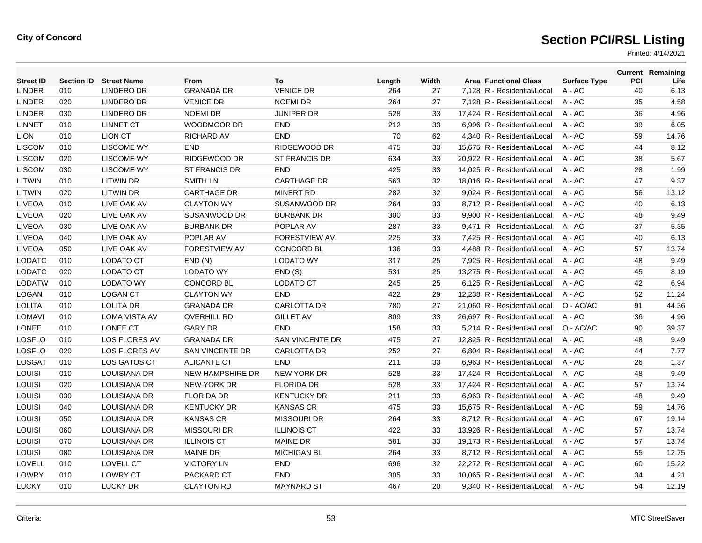| <b>Street ID</b> | <b>Section ID</b> | <b>Street Name</b>   | From                    | To                     | Length | Width | <b>Area Functional Class</b> | <b>Surface Type</b> | <b>PCI</b> | <b>Current Remaining</b><br>Life |
|------------------|-------------------|----------------------|-------------------------|------------------------|--------|-------|------------------------------|---------------------|------------|----------------------------------|
| <b>LINDER</b>    | 010               | <b>LINDERO DR</b>    | <b>GRANADA DR</b>       | <b>VENICE DR</b>       | 264    | 27    | 7,128 R - Residential/Local  | A - AC              | 40         | 6.13                             |
| <b>LINDER</b>    | 020               | <b>LINDERO DR</b>    | <b>VENICE DR</b>        | <b>NOEMI DR</b>        | 264    | 27    | 7,128 R - Residential/Local  | A - AC              | 35         | 4.58                             |
| <b>LINDER</b>    | 030               | <b>LINDERO DR</b>    | <b>NOEMI DR</b>         | <b>JUNIPER DR</b>      | 528    | 33    | 17,424 R - Residential/Local | A - AC              | 36         | 4.96                             |
| <b>LINNET</b>    | 010               | <b>LINNET CT</b>     | <b>WOODMOOR DR</b>      | <b>END</b>             | 212    | 33    | 6,996 R - Residential/Local  | $A - AC$            | 39         | 6.05                             |
| <b>LION</b>      | 010               | <b>LION CT</b>       | <b>RICHARD AV</b>       | <b>END</b>             | 70     | 62    | 4.340 R - Residential/Local  | $A - AC$            | 59         | 14.76                            |
| <b>LISCOM</b>    | 010               | <b>LISCOME WY</b>    | <b>END</b>              | RIDGEWOOD DR           | 475    | 33    | 15,675 R - Residential/Local | $A - AC$            | 44         | 8.12                             |
| <b>LISCOM</b>    | 020               | <b>LISCOME WY</b>    | RIDGEWOOD DR            | <b>ST FRANCIS DR</b>   | 634    | 33    | 20,922 R - Residential/Local | A - AC              | 38         | 5.67                             |
| <b>LISCOM</b>    | 030               | <b>LISCOME WY</b>    | ST FRANCIS DR           | <b>END</b>             | 425    | 33    | 14,025 R - Residential/Local | $A - AC$            | 28         | 1.99                             |
| <b>LITWIN</b>    | 010               | <b>LITWIN DR</b>     | <b>SMITH LN</b>         | <b>CARTHAGE DR</b>     | 563    | 32    | 18.016 R - Residential/Local | $A - AC$            | 47         | 9.37                             |
| LITWIN           | 020               | <b>LITWIN DR</b>     | <b>CARTHAGE DR</b>      | <b>MINERT RD</b>       | 282    | 32    | 9,024 R - Residential/Local  | A - AC              | 56         | 13.12                            |
| <b>LIVEOA</b>    | 010               | LIVE OAK AV          | <b>CLAYTON WY</b>       | SUSANWOOD DR           | 264    | 33    | 8,712 R - Residential/Local  | A - AC              | 40         | 6.13                             |
| <b>LIVEOA</b>    | 020               | LIVE OAK AV          | SUSANWOOD DR            | <b>BURBANK DR</b>      | 300    | 33    | 9,900 R - Residential/Local  | A - AC              | 48         | 9.49                             |
| <b>LIVEOA</b>    | 030               | LIVE OAK AV          | <b>BURBANK DR</b>       | POPLAR AV              | 287    | 33    | 9,471 R - Residential/Local  | A - AC              | 37         | 5.35                             |
| LIVEOA           | 040               | LIVE OAK AV          | POPLAR AV               | <b>FORESTVIEW AV</b>   | 225    | 33    | 7.425 R - Residential/Local  | $A - AC$            | 40         | 6.13                             |
| <b>LIVEOA</b>    | 050               | LIVE OAK AV          | <b>FORESTVIEW AV</b>    | <b>CONCORD BL</b>      | 136    | 33    | 4,488 R - Residential/Local  | A - AC              | 57         | 13.74                            |
| <b>LODATC</b>    | 010               | LODATO CT            | END(N)                  | <b>LODATO WY</b>       | 317    | 25    | 7,925 R - Residential/Local  | A - AC              | 48         | 9.49                             |
| <b>LODATC</b>    | 020               | LODATO CT            | <b>LODATO WY</b>        | END(S)                 | 531    | 25    | 13,275 R - Residential/Local | A - AC              | 45         | 8.19                             |
| <b>LODATW</b>    | 010               | <b>LODATO WY</b>     | <b>CONCORD BL</b>       | LODATO CT              | 245    | 25    | 6.125 R - Residential/Local  | $A - AC$            | 42         | 6.94                             |
| LOGAN            | 010               | <b>LOGAN CT</b>      | <b>CLAYTON WY</b>       | <b>END</b>             | 422    | 29    | 12,238 R - Residential/Local | $A - AC$            | 52         | 11.24                            |
| <b>LOLITA</b>    | 010               | <b>LOLITA DR</b>     | <b>GRANADA DR</b>       | <b>CARLOTTA DR</b>     | 780    | 27    | 21,060 R - Residential/Local | O - AC/AC           | 91         | 44.36                            |
| <b>LOMAVI</b>    | 010               | <b>LOMA VISTA AV</b> | <b>OVERHILL RD</b>      | <b>GILLET AV</b>       | 809    | 33    | 26,697 R - Residential/Local | $A - AC$            | 36         | 4.96                             |
| <b>LONEE</b>     | 010               | LONEE CT             | <b>GARY DR</b>          | <b>END</b>             | 158    | 33    | 5.214 R - Residential/Local  | O - AC/AC           | 90         | 39.37                            |
| <b>LOSFLO</b>    | 010               | <b>LOS FLORES AV</b> | <b>GRANADA DR</b>       | <b>SAN VINCENTE DR</b> | 475    | 27    | 12.825 R - Residential/Local | $A - AC$            | 48         | 9.49                             |
| <b>LOSFLO</b>    | 020               | LOS FLORES AV        | SAN VINCENTE DR         | <b>CARLOTTA DR</b>     | 252    | 27    | 6,804 R - Residential/Local  | A - AC              | 44         | 7.77                             |
| <b>LOSGAT</b>    | 010               | LOS GATOS CT         | <b>ALICANTE CT</b>      | <b>END</b>             | 211    | 33    | 6,963 R - Residential/Local  | A - AC              | 26         | 1.37                             |
| <b>LOUISI</b>    | 010               | LOUISIANA DR         | <b>NEW HAMPSHIRE DR</b> | <b>NEW YORK DR</b>     | 528    | 33    | 17.424 R - Residential/Local | $A - AC$            | 48         | 9.49                             |
| <b>LOUISI</b>    | 020               | LOUISIANA DR         | NEW YORK DR             | <b>FLORIDA DR</b>      | 528    | 33    | 17.424 R - Residential/Local | $A - AC$            | 57         | 13.74                            |
| <b>LOUISI</b>    | 030               | LOUISIANA DR         | <b>FLORIDA DR</b>       | <b>KENTUCKY DR</b>     | 211    | 33    | 6,963 R - Residential/Local  | $A - AC$            | 48         | 9.49                             |
| <b>LOUISI</b>    | 040               | LOUISIANA DR         | <b>KENTUCKY DR</b>      | <b>KANSAS CR</b>       | 475    | 33    | 15,675 R - Residential/Local | A - AC              | 59         | 14.76                            |
| <b>LOUISI</b>    | 050               | LOUISIANA DR         | <b>KANSAS CR</b>        | <b>MISSOURI DR</b>     | 264    | 33    | 8,712 R - Residential/Local  | $A - AC$            | 67         | 19.14                            |
| LOUISI           | 060               | <b>LOUISIANA DR</b>  | <b>MISSOURI DR</b>      | <b>ILLINOIS CT</b>     | 422    | 33    | 13.926 R - Residential/Local | $A - AC$            | 57         | 13.74                            |
| LOUISI           | 070               | <b>LOUISIANA DR</b>  | <b>ILLINOIS CT</b>      | <b>MAINE DR</b>        | 581    | 33    | 19.173 R - Residential/Local | $A - AC$            | 57         | 13.74                            |
| <b>LOUISI</b>    | 080               | LOUISIANA DR         | <b>MAINE DR</b>         | <b>MICHIGAN BL</b>     | 264    | 33    | 8,712 R - Residential/Local  | A - AC              | 55         | 12.75                            |
| LOVELL           | 010               | LOVELL CT            | <b>VICTORY LN</b>       | <b>END</b>             | 696    | 32    | 22,272 R - Residential/Local | A - AC              | 60         | 15.22                            |
| LOWRY            | 010               | <b>LOWRY CT</b>      | PACKARD CT              | <b>END</b>             | 305    | 33    | 10,065 R - Residential/Local | A - AC              | 34         | 4.21                             |
| <b>LUCKY</b>     | 010               | <b>LUCKY DR</b>      | <b>CLAYTON RD</b>       | <b>MAYNARD ST</b>      | 467    | 20    | 9,340 R - Residential/Local  | $A - AC$            | 54         | 12.19                            |
|                  |                   |                      |                         |                        |        |       |                              |                     |            |                                  |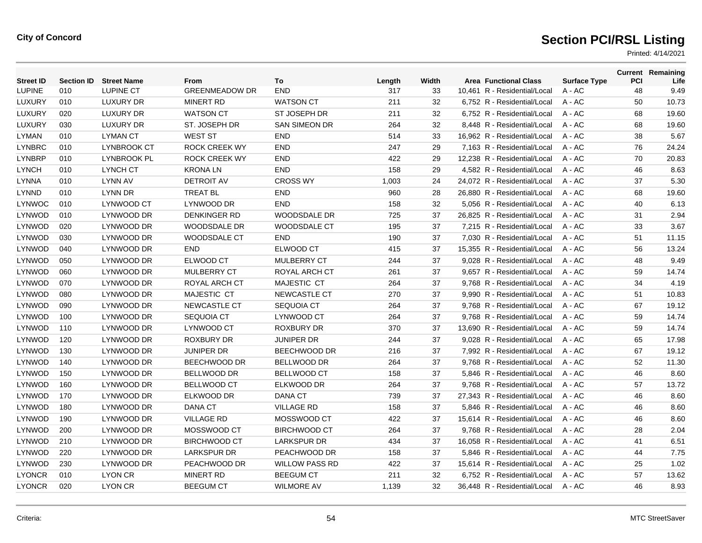| <b>Street ID</b> | <b>Section ID</b> | <b>Street Name</b> | From                  | To                    | Length | Width | <b>Area Functional Class</b> | <b>Surface Type</b> | PCI | <b>Current Remaining</b><br>Life |
|------------------|-------------------|--------------------|-----------------------|-----------------------|--------|-------|------------------------------|---------------------|-----|----------------------------------|
| <b>LUPINE</b>    | 010               | <b>LUPINE CT</b>   | <b>GREENMEADOW DR</b> | <b>END</b>            | 317    | 33    | 10,461 R - Residential/Local | A - AC              | 48  | 9.49                             |
| LUXURY           | 010               | <b>LUXURY DR</b>   | <b>MINERT RD</b>      | <b>WATSON CT</b>      | 211    | 32    | 6,752 R - Residential/Local  | $A - AC$            | 50  | 10.73                            |
| LUXURY           | 020               | <b>LUXURY DR</b>   | <b>WATSON CT</b>      | ST JOSEPH DR          | 211    | 32    | 6.752 R - Residential/Local  | $A - AC$            | 68  | 19.60                            |
| LUXURY           | 030               | <b>LUXURY DR</b>   | ST. JOSEPH DR         | <b>SAN SIMEON DR</b>  | 264    | 32    | 8.448 R - Residential/Local  | $A - AC$            | 68  | 19.60                            |
| <b>LYMAN</b>     | 010               | <b>LYMAN CT</b>    | <b>WEST ST</b>        | <b>END</b>            | 514    | 33    | 16,962 R - Residential/Local | $A - AC$            | 38  | 5.67                             |
| <b>LYNBRC</b>    | 010               | LYNBROOK CT        | <b>ROCK CREEK WY</b>  | <b>END</b>            | 247    | 29    | 7,163 R - Residential/Local  | $A - AC$            | 76  | 24.24                            |
| <b>LYNBRP</b>    | 010               | <b>LYNBROOK PL</b> | <b>ROCK CREEK WY</b>  | <b>END</b>            | 422    | 29    | 12.238 R - Residential/Local | $A - AC$            | 70  | 20.83                            |
| <b>LYNCH</b>     | 010               | LYNCH CT           | <b>KRONALN</b>        | <b>END</b>            | 158    | 29    | 4,582 R - Residential/Local  | $A - AC$            | 46  | 8.63                             |
| <b>LYNNA</b>     | 010               | <b>LYNN AV</b>     | <b>DETROIT AV</b>     | <b>CROSS WY</b>       | 1,003  | 24    | 24,072 R - Residential/Local | A - AC              | 37  | 5.30                             |
| <b>LYNND</b>     | 010               | LYNN DR            | <b>TREAT BL</b>       | <b>END</b>            | 960    | 28    | 26,880 R - Residential/Local | $A - AC$            | 68  | 19.60                            |
| <b>LYNWOC</b>    | 010               | LYNWOOD CT         | LYNWOOD DR            | <b>END</b>            | 158    | 32    | 5.056 R - Residential/Local  | $A - AC$            | 40  | 6.13                             |
| LYNWOD           | 010               | LYNWOOD DR         | <b>DENKINGER RD</b>   | <b>WOODSDALE DR</b>   | 725    | 37    | 26,825 R - Residential/Local | A - AC              | 31  | 2.94                             |
| <b>LYNWOD</b>    | 020               | LYNWOOD DR         | WOODSDALE DR          | <b>WOODSDALE CT</b>   | 195    | 37    | 7,215 R - Residential/Local  | $A - AC$            | 33  | 3.67                             |
| LYNWOD           | 030               | LYNWOOD DR         | <b>WOODSDALE CT</b>   | <b>END</b>            | 190    | 37    | 7.030 R - Residential/Local  | $A - AC$            | 51  | 11.15                            |
| LYNWOD           | 040               | LYNWOOD DR         | <b>END</b>            | ELWOOD CT             | 415    | 37    | 15.355 R - Residential/Local | $A - AC$            | 56  | 13.24                            |
| <b>LYNWOD</b>    | 050               | LYNWOOD DR         | ELWOOD CT             | <b>MULBERRY CT</b>    | 244    | 37    | 9,028 R - Residential/Local  | A - AC              | 48  | 9.49                             |
| <b>LYNWOD</b>    | 060               | LYNWOOD DR         | <b>MULBERRY CT</b>    | ROYAL ARCH CT         | 261    | 37    | 9,657 R - Residential/Local  | $A - AC$            | 59  | 14.74                            |
| <b>LYNWOD</b>    | 070               | LYNWOOD DR         | ROYAL ARCH CT         | MAJESTIC CT           | 264    | 37    | 9.768 R - Residential/Local  | $A - AC$            | 34  | 4.19                             |
| <b>LYNWOD</b>    | 080               | LYNWOOD DR         | MAJESTIC CT           | NEWCASTLE CT          | 270    | 37    | 9,990 R - Residential/Local  | $A - AC$            | 51  | 10.83                            |
| <b>LYNWOD</b>    | 090               | LYNWOOD DR         | NEWCASTLE CT          | <b>SEQUOIA CT</b>     | 264    | 37    | 9,768 R - Residential/Local  | $A - AC$            | 67  | 19.12                            |
| LYNWOD           | 100               | LYNWOOD DR         | <b>SEQUOIA CT</b>     | LYNWOOD CT            | 264    | 37    | 9.768 R - Residential/Local  | $A - AC$            | 59  | 14.74                            |
| LYNWOD           | 110               | LYNWOOD DR         | LYNWOOD CT            | <b>ROXBURY DR</b>     | 370    | 37    | 13.690 R - Residential/Local | $A - AC$            | 59  | 14.74                            |
| LYNWOD           | 120               | LYNWOOD DR         | ROXBURY DR            | <b>JUNIPER DR</b>     | 244    | 37    | 9,028 R - Residential/Local  | A - AC              | 65  | 17.98                            |
| <b>LYNWOD</b>    | 130               | LYNWOOD DR         | <b>JUNIPER DR</b>     | BEECHWOOD DR          | 216    | 37    | 7,992 R - Residential/Local  | A - AC              | 67  | 19.12                            |
| <b>LYNWOD</b>    | 140               | LYNWOOD DR         | BEECHWOOD DR          | <b>BELLWOOD DR</b>    | 264    | 37    | 9,768 R - Residential/Local  | A - AC              | 52  | 11.30                            |
| LYNWOD           | 150               | LYNWOOD DR         | <b>BELLWOOD DR</b>    | <b>BELLWOOD CT</b>    | 158    | 37    | 5.846 R - Residential/Local  | $A - AC$            | 46  | 8.60                             |
| LYNWOD           | 160               | LYNWOOD DR         | <b>BELLWOOD CT</b>    | ELKWOOD DR            | 264    | 37    | 9,768 R - Residential/Local  | A - AC              | 57  | 13.72                            |
| <b>LYNWOD</b>    | 170               | LYNWOOD DR         | ELKWOOD DR            | <b>DANA CT</b>        | 739    | 37    | 27,343 R - Residential/Local | $A - AC$            | 46  | 8.60                             |
| LYNWOD           | 180               | LYNWOOD DR         | <b>DANA CT</b>        | <b>VILLAGE RD</b>     | 158    | 37    | 5,846 R - Residential/Local  | $A - AC$            | 46  | 8.60                             |
| LYNWOD           | 190               | LYNWOOD DR         | <b>VILLAGE RD</b>     | MOSSWOOD CT           | 422    | 37    | 15,614 R - Residential/Local | $A - AC$            | 46  | 8.60                             |
| <b>LYNWOD</b>    | 200               | LYNWOOD DR         | MOSSWOOD CT           | <b>BIRCHWOOD CT</b>   | 264    | 37    | 9,768 R - Residential/Local  | A - AC              | 28  | 2.04                             |
| <b>LYNWOD</b>    | 210               | LYNWOOD DR         | <b>BIRCHWOOD CT</b>   | <b>LARKSPUR DR</b>    | 434    | 37    | 16,058 R - Residential/Local | $A - AC$            | 41  | 6.51                             |
| LYNWOD           | 220               | LYNWOOD DR         | <b>LARKSPUR DR</b>    | PEACHWOOD DR          | 158    | 37    | 5.846 R - Residential/Local  | $A - AC$            | 44  | 7.75                             |
| LYNWOD           | 230               | LYNWOOD DR         | PEACHWOOD DR          | <b>WILLOW PASS RD</b> | 422    | 37    | 15,614 R - Residential/Local | A - AC              | 25  | 1.02                             |
| <b>LYONCR</b>    | 010               | LYON CR            | <b>MINERT RD</b>      | <b>BEEGUM CT</b>      | 211    | 32    | 6.752 R - Residential/Local  | $A - AC$            | 57  | 13.62                            |
| <b>LYONCR</b>    | 020               | <b>LYON CR</b>     | <b>BEEGUM CT</b>      | <b>WILMORE AV</b>     | 1,139  | 32    | 36.448 R - Residential/Local | $A - AC$            | 46  | 8.93                             |
|                  |                   |                    |                       |                       |        |       |                              |                     |     |                                  |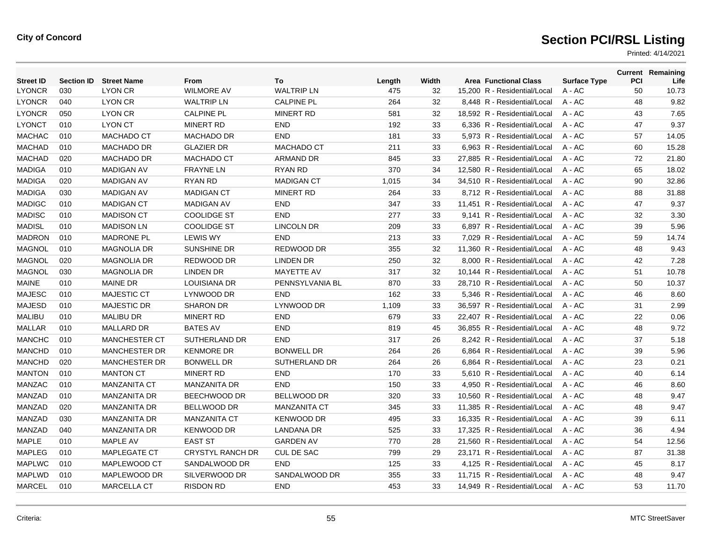| <b>Street ID</b> | <b>Section ID</b> | <b>Street Name</b>   | From                 | To                  | Length | Width | <b>Area Functional Class</b> | <b>Surface Type</b> | <b>PCI</b> | <b>Current Remaining</b><br>Life |
|------------------|-------------------|----------------------|----------------------|---------------------|--------|-------|------------------------------|---------------------|------------|----------------------------------|
| <b>LYONCR</b>    | 030               | <b>LYON CR</b>       | <b>WILMORE AV</b>    | <b>WALTRIP LN</b>   | 475    | 32    | 15.200 R - Residential/Local | $A - AC$            | 50         | 10.73                            |
| <b>LYONCR</b>    | 040               | <b>LYON CR</b>       | <b>WALTRIP LN</b>    | <b>CALPINE PL</b>   | 264    | 32    | 8,448 R - Residential/Local  | A - AC              | 48         | 9.82                             |
| <b>LYONCR</b>    | 050               | <b>LYON CR</b>       | <b>CALPINE PL</b>    | <b>MINERT RD</b>    | 581    | 32    | 18,592 R - Residential/Local | A - AC              | 43         | 7.65                             |
| <b>LYONCT</b>    | 010               | <b>LYON CT</b>       | <b>MINERT RD</b>     | <b>END</b>          | 192    | 33    | 6.336 R - Residential/Local  | $A - AC$            | 47         | 9.37                             |
| <b>MACHAC</b>    | 010               | <b>MACHADO CT</b>    | <b>MACHADO DR</b>    | <b>END</b>          | 181    | 33    | 5.973 R - Residential/Local  | $A - AC$            | 57         | 14.05                            |
| <b>MACHAD</b>    | 010               | <b>MACHADO DR</b>    | <b>GLAZIER DR</b>    | MACHADO CT          | 211    | 33    | 6,963 R - Residential/Local  | A - AC              | 60         | 15.28                            |
| <b>MACHAD</b>    | 020               | <b>MACHADO DR</b>    | MACHADO CT           | <b>ARMAND DR</b>    | 845    | 33    | 27,885 R - Residential/Local | A - AC              | 72         | 21.80                            |
| <b>MADIGA</b>    | 010               | <b>MADIGAN AV</b>    | <b>FRAYNE LN</b>     | RYAN RD             | 370    | 34    | 12,580 R - Residential/Local | A - AC              | 65         | 18.02                            |
| <b>MADIGA</b>    | 020               | <b>MADIGAN AV</b>    | <b>RYAN RD</b>       | <b>MADIGAN CT</b>   | 1,015  | 34    | 34,510 R - Residential/Local | $A - AC$            | 90         | 32.86                            |
| <b>MADIGA</b>    | 030               | <b>MADIGAN AV</b>    | <b>MADIGAN CT</b>    | MINERT RD           | 264    | 33    | 8.712 R - Residential/Local  | $A - AC$            | 88         | 31.88                            |
| <b>MADIGC</b>    | 010               | <b>MADIGAN CT</b>    | <b>MADIGAN AV</b>    | <b>END</b>          | 347    | 33    | 11,451 R - Residential/Local | A - AC              | 47         | 9.37                             |
| <b>MADISC</b>    | 010               | <b>MADISON CT</b>    | <b>COOLIDGE ST</b>   | <b>END</b>          | 277    | 33    | 9,141 R - Residential/Local  | A - AC              | 32         | 3.30                             |
| <b>MADISL</b>    | 010               | <b>MADISON LN</b>    | <b>COOLIDGE ST</b>   | <b>LINCOLN DR</b>   | 209    | 33    | 6,897 R - Residential/Local  | $A - AC$            | 39         | 5.96                             |
| <b>MADRON</b>    | 010               | <b>MADRONE PL</b>    | <b>LEWIS WY</b>      | <b>END</b>          | 213    | 33    | 7,029 R - Residential/Local  | $A - AC$            | 59         | 14.74                            |
| <b>MAGNOL</b>    | 010               | <b>MAGNOLIA DR</b>   | SUNSHINE DR          | REDWOOD DR          | 355    | 32    | 11,360 R - Residential/Local | A - AC              | 48         | 9.43                             |
| <b>MAGNOL</b>    | 020               | <b>MAGNOLIA DR</b>   | REDWOOD DR           | <b>LINDEN DR</b>    | 250    | 32    | 8,000 R - Residential/Local  | A - AC              | 42         | 7.28                             |
| <b>MAGNOL</b>    | 030               | <b>MAGNOLIA DR</b>   | <b>LINDEN DR</b>     | <b>MAYETTE AV</b>   | 317    | 32    | 10,144 R - Residential/Local | $A - AC$            | 51         | 10.78                            |
| <b>MAINE</b>     | 010               | <b>MAINE DR</b>      | <b>LOUISIANA DR</b>  | PENNSYLVANIA BL     | 870    | 33    | 28.710 R - Residential/Local | $A - AC$            | 50         | 10.37                            |
| <b>MAJESC</b>    | 010               | <b>MAJESTIC CT</b>   | LYNWOOD DR           | <b>END</b>          | 162    | 33    | 5,346 R - Residential/Local  | $A - AC$            | 46         | 8.60                             |
| <b>MAJESD</b>    | 010               | <b>MAJESTIC DR</b>   | <b>SHARON DR</b>     | LYNWOOD DR          | 1,109  | 33    | 36,597 R - Residential/Local | A - AC              | 31         | 2.99                             |
| <b>MALIBU</b>    | 010               | <b>MALIBU DR</b>     | <b>MINERT RD</b>     | <b>END</b>          | 679    | 33    | 22,407 R - Residential/Local | A - AC              | 22         | 0.06                             |
| <b>MALLAR</b>    | 010               | <b>MALLARD DR</b>    | <b>BATES AV</b>      | <b>END</b>          | 819    | 45    | 36.855 R - Residential/Local | $A - AC$            | 48         | 9.72                             |
| <b>MANCHC</b>    | 010               | <b>MANCHESTER CT</b> | <b>SUTHERLAND DR</b> | <b>END</b>          | 317    | 26    | 8.242 R - Residential/Local  | $A - AC$            | 37         | 5.18                             |
| <b>MANCHD</b>    | 010               | <b>MANCHESTER DR</b> | <b>KENMORE DR</b>    | <b>BONWELL DR</b>   | 264    | 26    | 6,864 R - Residential/Local  | A - AC              | 39         | 5.96                             |
| <b>MANCHD</b>    | 020               | <b>MANCHESTER DR</b> | <b>BONWELL DR</b>    | SUTHERLAND DR       | 264    | 26    | 6,864 R - Residential/Local  | A - AC              | 23         | 0.21                             |
| <b>MANTON</b>    | 010               | <b>MANTON CT</b>     | <b>MINERT RD</b>     | <b>END</b>          | 170    | 33    | 5,610 R - Residential/Local  | A - AC              | 40         | 6.14                             |
| <b>MANZAC</b>    | 010               | <b>MANZANITA CT</b>  | <b>MANZANITA DR</b>  | <b>END</b>          | 150    | 33    | 4,950 R - Residential/Local  | $A - AC$            | 46         | 8.60                             |
| MANZAD           | 010               | <b>MANZANITA DR</b>  | BEECHWOOD DR         | BELLWOOD DR         | 320    | 33    | 10,560 R - Residential/Local | $A - AC$            | 48         | 9.47                             |
| MANZAD           | 020               | <b>MANZANITA DR</b>  | <b>BELLWOOD DR</b>   | <b>MANZANITA CT</b> | 345    | 33    | 11,385 R - Residential/Local | A - AC              | 48         | 9.47                             |
| <b>MANZAD</b>    | 030               | <b>MANZANITA DR</b>  | <b>MANZANITA CT</b>  | <b>KENWOOD DR</b>   | 495    | 33    | 16,335 R - Residential/Local | A - AC              | 39         | 6.11                             |
| MANZAD           | 040               | <b>MANZANITA DR</b>  | <b>KENWOOD DR</b>    | <b>LANDANA DR</b>   | 525    | 33    | 17,325 R - Residential/Local | A - AC              | 36         | 4.94                             |
| <b>MAPLE</b>     | 010               | <b>MAPLE AV</b>      | <b>EAST ST</b>       | <b>GARDEN AV</b>    | 770    | 28    | 21,560 R - Residential/Local | A - AC              | 54         | 12.56                            |
| <b>MAPLEG</b>    | 010               | <b>MAPLEGATE CT</b>  | CRYSTYL RANCH DR     | CUL DE SAC          | 799    | 29    | 23,171 R - Residential/Local | A - AC              | 87         | 31.38                            |
| <b>MAPLWC</b>    | 010               | MAPLEWOOD CT         | SANDALWOOD DR        | <b>END</b>          | 125    | 33    | 4,125 R - Residential/Local  | A - AC              | 45         | 8.17                             |
| <b>MAPLWD</b>    | 010               | MAPLEWOOD DR         | SILVERWOOD DR        | SANDALWOOD DR       | 355    | 33    | 11.715 R - Residential/Local | A - AC              | 48         | 9.47                             |
| <b>MARCEL</b>    | 010               | <b>MARCELLA CT</b>   | <b>RISDON RD</b>     | <b>END</b>          | 453    | 33    | 14.949 R - Residential/Local | $A - AC$            | 53         | 11.70                            |
|                  |                   |                      |                      |                     |        |       |                              |                     |            |                                  |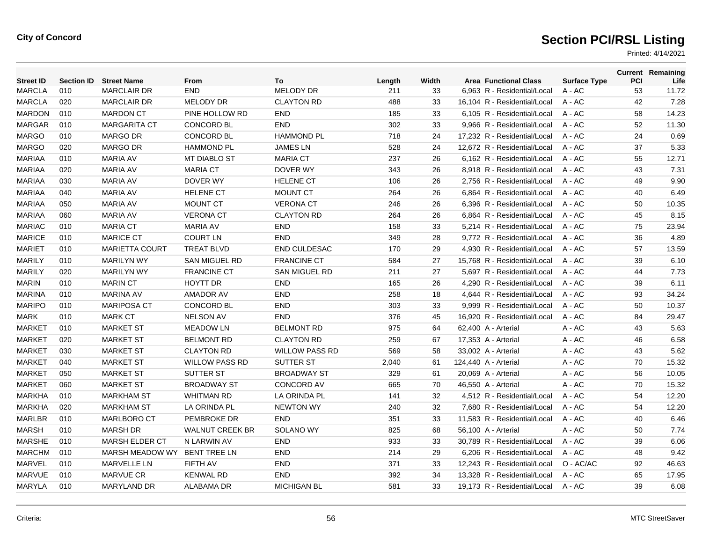| <b>Street ID</b> | <b>Section ID</b> | <b>Street Name</b>    | From                   | To                    | Length | Width |                      | <b>Area Functional Class</b> | <b>Surface Type</b> | <b>PCI</b> | <b>Current Remaining</b><br>Life |
|------------------|-------------------|-----------------------|------------------------|-----------------------|--------|-------|----------------------|------------------------------|---------------------|------------|----------------------------------|
| <b>MARCLA</b>    | 010               | <b>MARCLAIR DR</b>    | <b>END</b>             | MELODY DR             | 211    | 33    |                      | 6,963 R - Residential/Local  | A - AC              | 53         | 11.72                            |
| <b>MARCLA</b>    | 020               | <b>MARCLAIR DR</b>    | MELODY DR              | <b>CLAYTON RD</b>     | 488    | 33    |                      | 16,104 R - Residential/Local | A - AC              | 42         | 7.28                             |
| <b>MARDON</b>    | 010               | <b>MARDON CT</b>      | PINE HOLLOW RD         | <b>END</b>            | 185    | 33    |                      | 6,105 R - Residential/Local  | A - AC              | 58         | 14.23                            |
| <b>MARGAR</b>    | 010               | <b>MARGARITA CT</b>   | <b>CONCORD BL</b>      | <b>END</b>            | 302    | 33    |                      | 9.966 R - Residential/Local  | $A - AC$            | 52         | 11.30                            |
| <b>MARGO</b>     | 010               | <b>MARGO DR</b>       | <b>CONCORD BL</b>      | <b>HAMMOND PL</b>     | 718    | 24    |                      | 17.232 R - Residential/Local | $A - AC$            | 24         | 0.69                             |
| <b>MARGO</b>     | 020               | <b>MARGO DR</b>       | <b>HAMMOND PL</b>      | <b>JAMES LN</b>       | 528    | 24    |                      | 12,672 R - Residential/Local | $A - AC$            | 37         | 5.33                             |
| <b>MARIAA</b>    | 010               | <b>MARIA AV</b>       | MT DIABLO ST           | <b>MARIA CT</b>       | 237    | 26    |                      | 6,162 R - Residential/Local  | $A - AC$            | 55         | 12.71                            |
| <b>MARIAA</b>    | 020               | <b>MARIA AV</b>       | <b>MARIA CT</b>        | DOVER WY              | 343    | 26    |                      | 8.918 R - Residential/Local  | $A - AC$            | 43         | 7.31                             |
| <b>MARIAA</b>    | 030               | <b>MARIA AV</b>       | DOVER WY               | <b>HELENE CT</b>      | 106    | 26    |                      | 2.756 R - Residential/Local  | $A - AC$            | 49         | 9.90                             |
| <b>MARIAA</b>    | 040               | <b>MARIA AV</b>       | <b>HELENE CT</b>       | <b>MOUNT CT</b>       | 264    | 26    |                      | 6,864 R - Residential/Local  | A - AC              | 40         | 6.49                             |
| <b>MARIAA</b>    | 050               | <b>MARIA AV</b>       | <b>MOUNT CT</b>        | <b>VERONA CT</b>      | 246    | 26    |                      | 6,396 R - Residential/Local  | A - AC              | 50         | 10.35                            |
| <b>MARIAA</b>    | 060               | <b>MARIA AV</b>       | <b>VERONA CT</b>       | <b>CLAYTON RD</b>     | 264    | 26    |                      | 6,864 R - Residential/Local  | A - AC              | 45         | 8.15                             |
| <b>MARIAC</b>    | 010               | <b>MARIA CT</b>       | <b>MARIA AV</b>        | <b>END</b>            | 158    | 33    |                      | 5,214 R - Residential/Local  | $A - AC$            | 75         | 23.94                            |
| <b>MARICE</b>    | 010               | <b>MARICE CT</b>      | <b>COURT LN</b>        | <b>END</b>            | 349    | 28    |                      | 9.772 R - Residential/Local  | $A - AC$            | 36         | 4.89                             |
| <b>MARIET</b>    | 010               | <b>MARIETTA COURT</b> | <b>TREAT BLVD</b>      | <b>END CULDESAC</b>   | 170    | 29    |                      | 4,930 R - Residential/Local  | A - AC              | 57         | 13.59                            |
| <b>MARILY</b>    | 010               | <b>MARILYN WY</b>     | <b>SAN MIGUEL RD</b>   | <b>FRANCINE CT</b>    | 584    | 27    |                      | 15,768 R - Residential/Local | A - AC              | 39         | 6.10                             |
| <b>MARILY</b>    | 020               | <b>MARILYN WY</b>     | <b>FRANCINE CT</b>     | <b>SAN MIGUEL RD</b>  | 211    | 27    |                      | 5,697 R - Residential/Local  | A - AC              | 44         | 7.73                             |
| <b>MARIN</b>     | 010               | <b>MARIN CT</b>       | <b>HOYTT DR</b>        | <b>END</b>            | 165    | 26    |                      | 4.290 R - Residential/Local  | A - AC              | 39         | 6.11                             |
| <b>MARINA</b>    | 010               | <b>MARINA AV</b>      | <b>AMADOR AV</b>       | <b>END</b>            | 258    | 18    |                      | 4,644 R - Residential/Local  | $A - AC$            | 93         | 34.24                            |
| <b>MARIPO</b>    | 010               | <b>MARIPOSA CT</b>    | <b>CONCORD BL</b>      | <b>END</b>            | 303    | 33    |                      | 9,999 R - Residential/Local  | A - AC              | 50         | 10.37                            |
| <b>MARK</b>      | 010               | <b>MARK CT</b>        | <b>NELSON AV</b>       | <b>END</b>            | 376    | 45    |                      | 16,920 R - Residential/Local | A - AC              | 84         | 29.47                            |
| <b>MARKET</b>    | 010               | <b>MARKET ST</b>      | <b>MEADOW LN</b>       | <b>BELMONT RD</b>     | 975    | 64    | 62,400 A - Arterial  |                              | $A - AC$            | 43         | 5.63                             |
| <b>MARKET</b>    | 020               | <b>MARKET ST</b>      | <b>BELMONT RD</b>      | <b>CLAYTON RD</b>     | 259    | 67    | 17,353 A - Arterial  |                              | $A - AC$            | 46         | 6.58                             |
| <b>MARKET</b>    | 030               | <b>MARKET ST</b>      | <b>CLAYTON RD</b>      | <b>WILLOW PASS RD</b> | 569    | 58    | 33,002 A - Arterial  |                              | A - AC              | 43         | 5.62                             |
| <b>MARKET</b>    | 040               | <b>MARKET ST</b>      | <b>WILLOW PASS RD</b>  | SUTTER ST             | 2,040  | 61    | 124,440 A - Arterial |                              | A - AC              | 70         | 15.32                            |
| <b>MARKET</b>    | 050               | <b>MARKET ST</b>      | <b>SUTTER ST</b>       | <b>BROADWAY ST</b>    | 329    | 61    | 20,069 A - Arterial  |                              | $A - AC$            | 56         | 10.05                            |
| <b>MARKET</b>    | 060               | <b>MARKET ST</b>      | <b>BROADWAY ST</b>     | <b>CONCORD AV</b>     | 665    | 70    |                      | 46.550 A - Arterial          | $A - AC$            | 70         | 15.32                            |
| <b>MARKHA</b>    | 010               | <b>MARKHAM ST</b>     | <b>WHITMAN RD</b>      | LA ORINDA PL          | 141    | 32    |                      | 4,512 R - Residential/Local  | $A - AC$            | 54         | 12.20                            |
| <b>MARKHA</b>    | 020               | <b>MARKHAM ST</b>     | LA ORINDA PL           | <b>NEWTON WY</b>      | 240    | 32    |                      | 7,680 R - Residential/Local  | A - AC              | 54         | 12.20                            |
| <b>MARLBR</b>    | 010               | MARLBORO CT           | PEMBROKE DR            | <b>END</b>            | 351    | 33    |                      | 11,583 R - Residential/Local | $A - AC$            | 40         | 6.46                             |
| <b>MARSH</b>     | 010               | <b>MARSH DR</b>       | <b>WALNUT CREEK BR</b> | SOLANO WY             | 825    | 68    |                      | 56,100 A - Arterial          | A - AC              | 50         | 7.74                             |
| <b>MARSHE</b>    | 010               | <b>MARSH ELDER CT</b> | N LARWIN AV            | <b>END</b>            | 933    | 33    |                      | 30.789 R - Residential/Local | $A - AC$            | 39         | 6.06                             |
| <b>MARCHM</b>    | 010               | MARSH MEADOW WY       | <b>BENT TREE LN</b>    | <b>END</b>            | 214    | 29    |                      | 6,206 R - Residential/Local  | $A - AC$            | 48         | 9.42                             |
| <b>MARVEL</b>    | 010               | <b>MARVELLE LN</b>    | FIFTH AV               | <b>END</b>            | 371    | 33    |                      | 12,243 R - Residential/Local | O - AC/AC           | 92         | 46.63                            |
| <b>MARVUE</b>    | 010               | <b>MARVUE CR</b>      | <b>KENWAL RD</b>       | <b>END</b>            | 392    | 34    |                      | 13.328 R - Residential/Local | $A - AC$            | 65         | 17.95                            |
| <b>MARYLA</b>    | 010               | <b>MARYLAND DR</b>    | <b>ALABAMA DR</b>      | <b>MICHIGAN BL</b>    | 581    | 33    |                      | 19,173 R - Residential/Local | $A - AC$            | 39         | 6.08                             |
|                  |                   |                       |                        |                       |        |       |                      |                              |                     |            |                                  |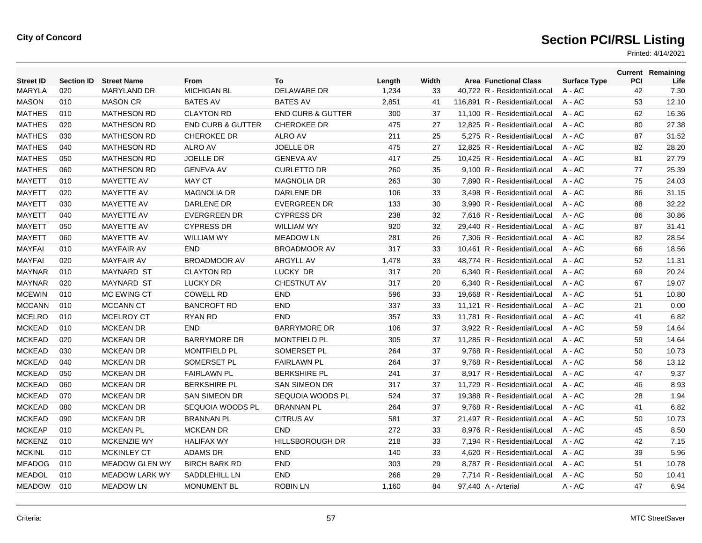| <b>Street ID</b> | <b>Section ID</b> | <b>Street Name</b>    | <b>From</b>                  | To                           | Length | Width | <b>Area Functional Class</b>  | <b>Surface Type</b> | PCI | <b>Current Remaining</b><br>Life |
|------------------|-------------------|-----------------------|------------------------------|------------------------------|--------|-------|-------------------------------|---------------------|-----|----------------------------------|
| <b>MARYLA</b>    | 020               | <b>MARYLAND DR</b>    | <b>MICHIGAN BL</b>           | <b>DELAWARE DR</b>           | 1,234  | 33    | 40,722 R - Residential/Local  | A - AC              | 42  | 7.30                             |
| <b>MASON</b>     | 010               | <b>MASON CR</b>       | <b>BATES AV</b>              | <b>BATES AV</b>              | 2,851  | 41    | 116,891 R - Residential/Local | $A - AC$            | 53  | 12.10                            |
| <b>MATHES</b>    | 010               | <b>MATHESON RD</b>    | <b>CLAYTON RD</b>            | <b>END CURB &amp; GUTTER</b> | 300    | 37    | 11.100 R - Residential/Local  | $A - AC$            | 62  | 16.36                            |
| <b>MATHES</b>    | 020               | <b>MATHESON RD</b>    | <b>END CURB &amp; GUTTER</b> | <b>CHEROKEE DR</b>           | 475    | 27    | 12.825 R - Residential/Local  | $A - AC$            | 80  | 27.38                            |
| <b>MATHES</b>    | 030               | <b>MATHESON RD</b>    | <b>CHEROKEE DR</b>           | <b>ALRO AV</b>               | 211    | 25    | 5,275 R - Residential/Local   | A - AC              | 87  | 31.52                            |
| <b>MATHES</b>    | 040               | <b>MATHESON RD</b>    | <b>ALRO AV</b>               | <b>JOELLE DR</b>             | 475    | 27    | 12,825 R - Residential/Local  | $A - AC$            | 82  | 28.20                            |
| <b>MATHES</b>    | 050               | <b>MATHESON RD</b>    | <b>JOELLE DR</b>             | <b>GENEVA AV</b>             | 417    | 25    | 10.425 R - Residential/Local  | $A - AC$            | 81  | 27.79                            |
| <b>MATHES</b>    | 060               | <b>MATHESON RD</b>    | <b>GENEVA AV</b>             | <b>CURLETTO DR</b>           | 260    | 35    | 9,100 R - Residential/Local   | A - AC              | 77  | 25.39                            |
| <b>MAYETT</b>    | 010               | MAYETTE AV            | <b>MAY CT</b>                | <b>MAGNOLIA DR</b>           | 263    | 30    | 7,890 R - Residential/Local   | A - AC              | 75  | 24.03                            |
| <b>MAYETT</b>    | 020               | MAYETTE AV            | <b>MAGNOLIA DR</b>           | DARLENE DR                   | 106    | 33    | 3,498 R - Residential/Local   | A - AC              | 86  | 31.15                            |
| <b>MAYETT</b>    | 030               | MAYETTE AV            | DARLENE DR                   | <b>EVERGREEN DR</b>          | 133    | 30    | 3,990 R - Residential/Local   | $A - AC$            | 88  | 32.22                            |
| <b>MAYETT</b>    | 040               | <b>MAYETTE AV</b>     | <b>EVERGREEN DR</b>          | <b>CYPRESS DR</b>            | 238    | 32    | 7,616 R - Residential/Local   | A - AC              | 86  | 30.86                            |
| <b>MAYETT</b>    | 050               | MAYETTE AV            | <b>CYPRESS DR</b>            | <b>WILLIAM WY</b>            | 920    | 32    | 29,440 R - Residential/Local  | A - AC              | 87  | 31.41                            |
| <b>MAYETT</b>    | 060               | <b>MAYETTE AV</b>     | <b>WILLIAM WY</b>            | <b>MEADOW LN</b>             | 281    | 26    | 7,306 R - Residential/Local   | $A - AC$            | 82  | 28.54                            |
| <b>MAYFAI</b>    | 010               | <b>MAYFAIR AV</b>     | <b>END</b>                   | <b>BROADMOOR AV</b>          | 317    | 33    | 10.461 R - Residential/Local  | $A - AC$            | 66  | 18.56                            |
| <b>MAYFAI</b>    | 020               | <b>MAYFAIR AV</b>     | <b>BROADMOOR AV</b>          | <b>ARGYLL AV</b>             | 1,478  | 33    | 48,774 R - Residential/Local  | A - AC              | 52  | 11.31                            |
| <b>MAYNAR</b>    | 010               | <b>MAYNARD ST</b>     | <b>CLAYTON RD</b>            | LUCKY DR                     | 317    | 20    | 6,340 R - Residential/Local   | A - AC              | 69  | 20.24                            |
| <b>MAYNAR</b>    | 020               | <b>MAYNARD ST</b>     | <b>LUCKY DR</b>              | <b>CHESTNUT AV</b>           | 317    | 20    | 6.340 R - Residential/Local   | $A - AC$            | 67  | 19.07                            |
| <b>MCEWIN</b>    | 010               | MC EWING CT           | <b>COWELL RD</b>             | <b>END</b>                   | 596    | 33    | 19,668 R - Residential/Local  | A - AC              | 51  | 10.80                            |
| <b>MCCANN</b>    | 010               | <b>MCCANN CT</b>      | <b>BANCROFT RD</b>           | <b>END</b>                   | 337    | 33    | 11,121 R - Residential/Local  | A - AC              | 21  | 0.00                             |
| <b>MCELRO</b>    | 010               | <b>MCELROY CT</b>     | <b>RYAN RD</b>               | <b>END</b>                   | 357    | 33    | 11.781 R - Residential/Local  | $A - AC$            | 41  | 6.82                             |
| <b>MCKEAD</b>    | 010               | <b>MCKEAN DR</b>      | <b>END</b>                   | <b>BARRYMORE DR</b>          | 106    | 37    | 3.922 R - Residential/Local   | $A - AC$            | 59  | 14.64                            |
| <b>MCKEAD</b>    | 020               | <b>MCKEAN DR</b>      | <b>BARRYMORE DR</b>          | <b>MONTFIELD PL</b>          | 305    | 37    | 11,285 R - Residential/Local  | A - AC              | 59  | 14.64                            |
| <b>MCKEAD</b>    | 030               | <b>MCKEAN DR</b>      | MONTFIELD PL                 | SOMERSET PL                  | 264    | 37    | 9,768 R - Residential/Local   | A - AC              | 50  | 10.73                            |
| <b>MCKEAD</b>    | 040               | <b>MCKEAN DR</b>      | SOMERSET PL                  | <b>FAIRLAWN PL</b>           | 264    | 37    | 9,768 R - Residential/Local   | A - AC              | 56  | 13.12                            |
| <b>MCKEAD</b>    | 050               | <b>MCKEAN DR</b>      | <b>FAIRLAWN PL</b>           | <b>BERKSHIRE PL</b>          | 241    | 37    | 8.917 R - Residential/Local   | $A - AC$            | 47  | 9.37                             |
| <b>MCKEAD</b>    | 060               | <b>MCKEAN DR</b>      | <b>BERKSHIRE PL</b>          | <b>SAN SIMEON DR</b>         | 317    | 37    | 11,729 R - Residential/Local  | A - AC              | 46  | 8.93                             |
| <b>MCKEAD</b>    | 070               | <b>MCKEAN DR</b>      | <b>SAN SIMEON DR</b>         | SEQUOIA WOODS PL             | 524    | 37    | 19,388 R - Residential/Local  | A - AC              | 28  | 1.94                             |
| <b>MCKEAD</b>    | 080               | <b>MCKEAN DR</b>      | SEQUOIA WOODS PL             | <b>BRANNAN PL</b>            | 264    | 37    | 9,768 R - Residential/Local   | A - AC              | 41  | 6.82                             |
| <b>MCKEAD</b>    | 090               | <b>MCKEAN DR</b>      | <b>BRANNAN PL</b>            | <b>CITRUS AV</b>             | 581    | 37    | 21,497 R - Residential/Local  | A - AC              | 50  | 10.73                            |
| <b>MCKEAP</b>    | 010               | <b>MCKEAN PL</b>      | <b>MCKEAN DR</b>             | <b>END</b>                   | 272    | 33    | 8,976 R - Residential/Local   | A - AC              | 45  | 8.50                             |
| <b>MCKENZ</b>    | 010               | <b>MCKENZIE WY</b>    | <b>HALIFAX WY</b>            | <b>HILLSBOROUGH DR</b>       | 218    | 33    | 7,194 R - Residential/Local   | $A - AC$            | 42  | 7.15                             |
| <b>MCKINL</b>    | 010               | <b>MCKINLEY CT</b>    | <b>ADAMS DR</b>              | <b>END</b>                   | 140    | 33    | 4.620 R - Residential/Local   | $A - AC$            | 39  | 5.96                             |
| <b>MEADOG</b>    | 010               | <b>MEADOW GLEN WY</b> | <b>BIRCH BARK RD</b>         | <b>END</b>                   | 303    | 29    | 8,787 R - Residential/Local   | $A - AC$            | 51  | 10.78                            |
| <b>MEADOL</b>    | 010               | <b>MEADOW LARK WY</b> | SADDLEHILL LN                | <b>END</b>                   | 266    | 29    | 7,714 R - Residential/Local   | $A - AC$            | 50  | 10.41                            |
| <b>MEADOW</b>    | 010               | <b>MEADOW LN</b>      | <b>MONUMENT BL</b>           | <b>ROBIN LN</b>              | 1.160  | 84    | 97,440 A - Arterial           | A - AC              | 47  | 6.94                             |
|                  |                   |                       |                              |                              |        |       |                               |                     |     |                                  |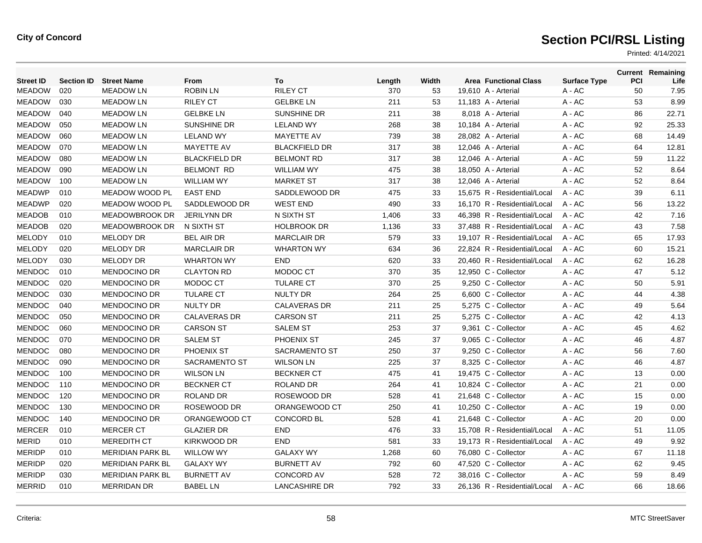| <b>Street ID</b> | <b>Section ID</b> | <b>Street Name</b>      | From                 | To                   | Length | Width | <b>Area Functional Class</b> | <b>Surface Type</b> | <b>PCI</b> | <b>Current Remaining</b><br>Life |
|------------------|-------------------|-------------------------|----------------------|----------------------|--------|-------|------------------------------|---------------------|------------|----------------------------------|
| <b>MEADOW</b>    | 020               | <b>MEADOW LN</b>        | <b>ROBIN LN</b>      | <b>RILEY CT</b>      | 370    | 53    | 19,610 A - Arterial          | A - AC              | 50         | 7.95                             |
| <b>MEADOW</b>    | 030               | <b>MEADOW LN</b>        | <b>RILEY CT</b>      | <b>GELBKE LN</b>     | 211    | 53    | 11,183 A - Arterial          | A - AC              | 53         | 8.99                             |
| <b>MEADOW</b>    | 040               | <b>MEADOW LN</b>        | <b>GELBKE LN</b>     | <b>SUNSHINE DR</b>   | 211    | 38    | 8,018 A - Arterial           | A - AC              | 86         | 22.71                            |
| <b>MEADOW</b>    | 050               | <b>MEADOW LN</b>        | SUNSHINE DR          | <b>LELAND WY</b>     | 268    | 38    | 10,184 A - Arterial          | $A - AC$            | 92         | 25.33                            |
| <b>MEADOW</b>    | 060               | <b>MEADOW LN</b>        | <b>LELAND WY</b>     | MAYETTE AV           | 739    | 38    | 28,082 A - Arterial          | $A - AC$            | 68         | 14.49                            |
| <b>MEADOW</b>    | 070               | <b>MEADOW LN</b>        | MAYETTE AV           | <b>BLACKFIELD DR</b> | 317    | 38    | 12,046 A - Arterial          | A - AC              | 64         | 12.81                            |
| <b>MEADOW</b>    | 080               | <b>MEADOW LN</b>        | <b>BLACKFIELD DR</b> | <b>BELMONT RD</b>    | 317    | 38    | 12.046 A - Arterial          | A - AC              | 59         | 11.22                            |
| <b>MEADOW</b>    | 090               | <b>MEADOW LN</b>        | <b>BELMONT RD</b>    | <b>WILLIAM WY</b>    | 475    | 38    | 18,050 A - Arterial          | $A - AC$            | 52         | 8.64                             |
| <b>MEADOW</b>    | 100               | <b>MEADOW LN</b>        | <b>WILLIAM WY</b>    | <b>MARKET ST</b>     | 317    | 38    | 12,046 A - Arterial          | A - AC              | 52         | 8.64                             |
| <b>MEADWP</b>    | 010               | <b>MEADOW WOOD PL</b>   | <b>EAST END</b>      | SADDLEWOOD DR        | 475    | 33    | 15.675 R - Residential/Local | $A - AC$            | 39         | 6.11                             |
| <b>MEADWP</b>    | 020               | <b>MEADOW WOOD PL</b>   | SADDLEWOOD DR        | <b>WEST END</b>      | 490    | 33    | 16.170 R - Residential/Local | $A - AC$            | 56         | 13.22                            |
| <b>MEADOB</b>    | 010               | MEADOWBROOK DR          | <b>JERILYNN DR</b>   | N SIXTH ST           | 1,406  | 33    | 46,398 R - Residential/Local | $A - AC$            | 42         | 7.16                             |
| <b>MEADOB</b>    | 020               | MEADOWBROOK DR          | N SIXTH ST           | <b>HOLBROOK DR</b>   | 1,136  | 33    | 37,488 R - Residential/Local | $A - AC$            | 43         | 7.58                             |
| MELODY           | 010               | <b>MELODY DR</b>        | <b>BEL AIR DR</b>    | <b>MARCLAIR DR</b>   | 579    | 33    | 19,107 R - Residential/Local | $A - AC$            | 65         | 17.93                            |
| <b>MELODY</b>    | 020               | <b>MELODY DR</b>        | <b>MARCLAIR DR</b>   | <b>WHARTON WY</b>    | 634    | 36    | 22,824 R - Residential/Local | $A - AC$            | 60         | 15.21                            |
| <b>MELODY</b>    | 030               | MELODY DR               | <b>WHARTON WY</b>    | <b>END</b>           | 620    | 33    | 20,460 R - Residential/Local | $A - AC$            | 62         | 16.28                            |
| <b>MENDOC</b>    | 010               | <b>MENDOCINO DR</b>     | <b>CLAYTON RD</b>    | MODOC CT             | 370    | 35    | 12,950 C - Collector         | A - AC              | 47         | 5.12                             |
| <b>MENDOC</b>    | 020               | MENDOCINO DR            | MODOC CT             | <b>TULARE CT</b>     | 370    | 25    | 9,250 C - Collector          | A - AC              | 50         | 5.91                             |
| <b>MENDOC</b>    | 030               | <b>MENDOCINO DR</b>     | <b>TULARE CT</b>     | <b>NULTY DR</b>      | 264    | 25    | 6,600 C - Collector          | $A - AC$            | 44         | 4.38                             |
| <b>MENDOC</b>    | 040               | <b>MENDOCINO DR</b>     | <b>NULTY DR</b>      | <b>CALAVERAS DR</b>  | 211    | 25    | 5,275 C - Collector          | A - AC              | 49         | 5.64                             |
| <b>MENDOC</b>    | 050               | <b>MENDOCINO DR</b>     | <b>CALAVERAS DR</b>  | <b>CARSON ST</b>     | 211    | 25    | 5,275 C - Collector          | A - AC              | 42         | 4.13                             |
| <b>MENDOC</b>    | 060               | <b>MENDOCINO DR</b>     | <b>CARSON ST</b>     | <b>SALEM ST</b>      | 253    | 37    | 9.361 C - Collector          | $A - AC$            | 45         | 4.62                             |
| <b>MENDOC</b>    | 070               | <b>MENDOCINO DR</b>     | <b>SALEM ST</b>      | PHOENIX ST           | 245    | 37    | 9,065 C - Collector          | A - AC              | 46         | 4.87                             |
| <b>MENDOC</b>    | 080               | <b>MENDOCINO DR</b>     | PHOENIX ST           | <b>SACRAMENTO ST</b> | 250    | 37    | 9,250 C - Collector          | A - AC              | 56         | 7.60                             |
| <b>MENDOC</b>    | 090               | <b>MENDOCINO DR</b>     | <b>SACRAMENTO ST</b> | <b>WILSON LN</b>     | 225    | 37    | 8.325 C - Collector          | A - AC              | 46         | 4.87                             |
| <b>MENDOC</b>    | 100               | <b>MENDOCINO DR</b>     | <b>WILSON LN</b>     | <b>BECKNER CT</b>    | 475    | 41    | 19,475 C - Collector         | $A - AC$            | 13         | 0.00                             |
| <b>MENDOC</b>    | 110               | <b>MENDOCINO DR</b>     | <b>BECKNER CT</b>    | <b>ROLAND DR</b>     | 264    | 41    | 10,824 C - Collector         | A - AC              | 21         | 0.00                             |
| <b>MENDOC</b>    | 120               | <b>MENDOCINO DR</b>     | <b>ROLAND DR</b>     | ROSEWOOD DR          | 528    | 41    | 21,648 C - Collector         | A - AC              | 15         | 0.00                             |
| <b>MENDOC</b>    | 130               | <b>MENDOCINO DR</b>     | ROSEWOOD DR          | ORANGEWOOD CT        | 250    | 41    | 10.250 C - Collector         | A - AC              | 19         | 0.00                             |
| <b>MENDOC</b>    | 140               | <b>MENDOCINO DR</b>     | ORANGEWOOD CT        | <b>CONCORD BL</b>    | 528    | 41    | 21,648 C - Collector         | $A - AC$            | 20         | 0.00                             |
| <b>MERCER</b>    | 010               | <b>MERCER CT</b>        | <b>GLAZIER DR</b>    | <b>END</b>           | 476    | 33    | 15,708 R - Residential/Local | $A - AC$            | 51         | 11.05                            |
| <b>MERID</b>     | 010               | <b>MEREDITH CT</b>      | <b>KIRKWOOD DR</b>   | <b>END</b>           | 581    | 33    | 19,173 R - Residential/Local | $A - AC$            | 49         | 9.92                             |
| <b>MERIDP</b>    | 010               | <b>MERIDIAN PARK BL</b> | <b>WILLOW WY</b>     | <b>GALAXY WY</b>     | 1,268  | 60    | 76.080 C - Collector         | A - AC              | 67         | 11.18                            |
| <b>MERIDP</b>    | 020               | <b>MERIDIAN PARK BL</b> | <b>GALAXY WY</b>     | <b>BURNETT AV</b>    | 792    | 60    | 47,520 C - Collector         | $A - AC$            | 62         | 9.45                             |
| <b>MERIDP</b>    | 030               | <b>MERIDIAN PARK BL</b> | <b>BURNETT AV</b>    | <b>CONCORD AV</b>    | 528    | 72    | 38.016 C - Collector         | A - AC              | 59         | 8.49                             |
| <b>MERRID</b>    | 010               | <b>MERRIDAN DR</b>      | <b>BABEL LN</b>      | <b>LANCASHIRE DR</b> | 792    | 33    | 26.136 R - Residential/Local | $A - AC$            | 66         | 18.66                            |
|                  |                   |                         |                      |                      |        |       |                              |                     |            |                                  |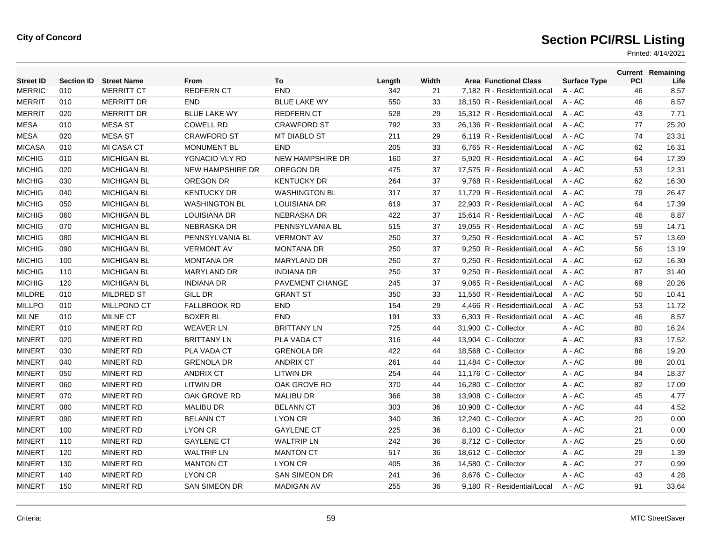| <b>Street ID</b> | <b>Section ID</b> | <b>Street Name</b> | From                    | To                      | Length | Width | <b>Area Functional Class</b> | <b>Surface Type</b> | PCI | <b>Current Remaining</b><br>Life |
|------------------|-------------------|--------------------|-------------------------|-------------------------|--------|-------|------------------------------|---------------------|-----|----------------------------------|
| <b>MERRIC</b>    | 010               | <b>MERRITT CT</b>  | REDFERN CT              | <b>END</b>              | 342    | 21    | 7,182 R - Residential/Local  | $A - AC$            | 46  | 8.57                             |
| <b>MERRIT</b>    | 010               | <b>MERRITT DR</b>  | <b>END</b>              | <b>BLUE LAKE WY</b>     | 550    | 33    | 18,150 R - Residential/Local | $A - AC$            | 46  | 8.57                             |
| <b>MERRIT</b>    | 020               | <b>MERRITT DR</b>  | <b>BLUE LAKE WY</b>     | <b>REDFERN CT</b>       | 528    | 29    | 15,312 R - Residential/Local | $A - AC$            | 43  | 7.71                             |
| <b>MESA</b>      | 010               | <b>MESA ST</b>     | <b>COWELL RD</b>        | <b>CRAWFORD ST</b>      | 792    | 33    | 26,136 R - Residential/Local | $A - AC$            | 77  | 25.20                            |
| <b>MESA</b>      | 020               | <b>MESA ST</b>     | <b>CRAWFORD ST</b>      | <b>MT DIABLO ST</b>     | 211    | 29    | 6,119 R - Residential/Local  | $A - AC$            | 74  | 23.31                            |
| <b>MICASA</b>    | 010               | <b>MI CASA CT</b>  | <b>MONUMENT BL</b>      | <b>END</b>              | 205    | 33    | 6,765 R - Residential/Local  | $A - AC$            | 62  | 16.31                            |
| <b>MICHIG</b>    | 010               | <b>MICHIGAN BL</b> | YGNACIO VLY RD          | <b>NEW HAMPSHIRE DR</b> | 160    | 37    | 5.920 R - Residential/Local  | $A - AC$            | 64  | 17.39                            |
| <b>MICHIG</b>    | 020               | <b>MICHIGAN BL</b> | <b>NEW HAMPSHIRE DR</b> | OREGON DR               | 475    | 37    | 17,575 R - Residential/Local | $A - AC$            | 53  | 12.31                            |
| <b>MICHIG</b>    | 030               | <b>MICHIGAN BL</b> | OREGON DR               | <b>KENTUCKY DR</b>      | 264    | 37    | 9,768 R - Residential/Local  | $A - AC$            | 62  | 16.30                            |
| <b>MICHIG</b>    | 040               | <b>MICHIGAN BL</b> | <b>KENTUCKY DR</b>      | <b>WASHINGTON BL</b>    | 317    | 37    | 11.729 R - Residential/Local | $A - AC$            | 79  | 26.47                            |
| <b>MICHIG</b>    | 050               | <b>MICHIGAN BL</b> | <b>WASHINGTON BL</b>    | <b>LOUISIANA DR</b>     | 619    | 37    | 22.903 R - Residential/Local | $A - AC$            | 64  | 17.39                            |
| <b>MICHIG</b>    | 060               | <b>MICHIGAN BL</b> | <b>LOUISIANA DR</b>     | <b>NEBRASKA DR</b>      | 422    | 37    | 15,614 R - Residential/Local | A - AC              | 46  | 8.87                             |
| <b>MICHIG</b>    | 070               | <b>MICHIGAN BL</b> | <b>NEBRASKA DR</b>      | PENNSYLVANIA BL         | 515    | 37    | 19,055 R - Residential/Local | $A - AC$            | 59  | 14.71                            |
| <b>MICHIG</b>    | 080               | <b>MICHIGAN BL</b> | PENNSYLVANIA BL         | <b>VERMONT AV</b>       | 250    | 37    | 9,250 R - Residential/Local  | $A - AC$            | 57  | 13.69                            |
| <b>MICHIG</b>    | 090               | MICHIGAN BL        | <b>VERMONT AV</b>       | <b>MONTANA DR</b>       | 250    | 37    | 9,250 R - Residential/Local  | $A - AC$            | 56  | 13.19                            |
| <b>MICHIG</b>    | 100               | <b>MICHIGAN BL</b> | <b>MONTANA DR</b>       | <b>MARYLAND DR</b>      | 250    | 37    | 9,250 R - Residential/Local  | $A - AC$            | 62  | 16.30                            |
| <b>MICHIG</b>    | 110               | <b>MICHIGAN BL</b> | <b>MARYLAND DR</b>      | <b>INDIANA DR</b>       | 250    | 37    | 9.250 R - Residential/Local  | $A - AC$            | 87  | 31.40                            |
| <b>MICHIG</b>    | 120               | <b>MICHIGAN BL</b> | <b>INDIANA DR</b>       | PAVEMENT CHANGE         | 245    | 37    | 9.065 R - Residential/Local  | $A - AC$            | 69  | 20.26                            |
| <b>MILDRE</b>    | 010               | <b>MILDRED ST</b>  | <b>GILL DR</b>          | <b>GRANT ST</b>         | 350    | 33    | 11,550 R - Residential/Local | A - AC              | 50  | 10.41                            |
| <b>MILLPO</b>    | 010               | <b>MILLPOND CT</b> | <b>FALLBROOK RD</b>     | <b>END</b>              | 154    | 29    | 4,466 R - Residential/Local  | $A - AC$            | 53  | 11.72                            |
| <b>MILNE</b>     | 010               | <b>MILNE CT</b>    | <b>BOXER BL</b>         | <b>END</b>              | 191    | 33    | 6,303 R - Residential/Local  | $A - AC$            | 46  | 8.57                             |
| <b>MINERT</b>    | 010               | <b>MINERT RD</b>   | <b>WEAVER LN</b>        | <b>BRITTANY LN</b>      | 725    | 44    | 31,900 C - Collector         | $A - AC$            | 80  | 16.24                            |
| <b>MINERT</b>    | 020               | <b>MINERT RD</b>   | BRITTANY LN             | PLA VADA CT             | 316    | 44    | 13,904 C - Collector         | $A - AC$            | 83  | 17.52                            |
| <b>MINERT</b>    | 030               | <b>MINERT RD</b>   | PLA VADA CT             | <b>GRENOLA DR</b>       | 422    | 44    | 18,568 C - Collector         | $A - AC$            | 86  | 19.20                            |
| <b>MINERT</b>    | 040               | <b>MINERT RD</b>   | <b>GRENOLA DR</b>       | <b>ANDRIX CT</b>        | 261    | 44    | 11,484 C - Collector         | $A - AC$            | 88  | 20.01                            |
| <b>MINERT</b>    | 050               | <b>MINERT RD</b>   | <b>ANDRIX CT</b>        | LITWIN DR               | 254    | 44    | 11,176 C - Collector         | $A - AC$            | 84  | 18.37                            |
| <b>MINERT</b>    | 060               | <b>MINERT RD</b>   | LITWIN DR               | OAK GROVE RD            | 370    | 44    | 16,280 C - Collector         | $A - AC$            | 82  | 17.09                            |
| <b>MINERT</b>    | 070               | <b>MINERT RD</b>   | OAK GROVE RD            | <b>MALIBU DR</b>        | 366    | 38    | 13,908 C - Collector         | $A - AC$            | 45  | 4.77                             |
| <b>MINERT</b>    | 080               | <b>MINERT RD</b>   | <b>MALIBU DR</b>        | <b>BELANN CT</b>        | 303    | 36    | 10,908 C - Collector         | $A - AC$            | 44  | 4.52                             |
| <b>MINERT</b>    | 090               | <b>MINERT RD</b>   | <b>BELANN CT</b>        | <b>LYON CR</b>          | 340    | 36    | 12,240 C - Collector         | A - AC              | 20  | 0.00                             |
| <b>MINERT</b>    | 100               | <b>MINERT RD</b>   | <b>LYON CR</b>          | <b>GAYLENE CT</b>       | 225    | 36    | 8,100 C - Collector          | $A - AC$            | 21  | 0.00                             |
| <b>MINERT</b>    | 110               | <b>MINERT RD</b>   | <b>GAYLENE CT</b>       | <b>WALTRIP LN</b>       | 242    | 36    | 8,712 C - Collector          | $A - AC$            | 25  | 0.60                             |
| <b>MINERT</b>    | 120               | MINERT RD          | <b>WALTRIP LN</b>       | <b>MANTON CT</b>        | 517    | 36    | 18,612 C - Collector         | $A - AC$            | 29  | 1.39                             |
| <b>MINERT</b>    | 130               | <b>MINERT RD</b>   | <b>MANTON CT</b>        | <b>LYON CR</b>          | 405    | 36    | 14,580 C - Collector         | A - AC              | 27  | 0.99                             |
| <b>MINERT</b>    | 140               | <b>MINERT RD</b>   | <b>LYON CR</b>          | <b>SAN SIMEON DR</b>    | 241    | 36    | 8,676 C - Collector          | $A - AC$            | 43  | 4.28                             |
| <b>MINERT</b>    | 150               | MINERT RD          | <b>SAN SIMEON DR</b>    | <b>MADIGAN AV</b>       | 255    | 36    | 9.180 R - Residential/Local  | $A - AC$            | 91  | 33.64                            |
|                  |                   |                    |                         |                         |        |       |                              |                     |     |                                  |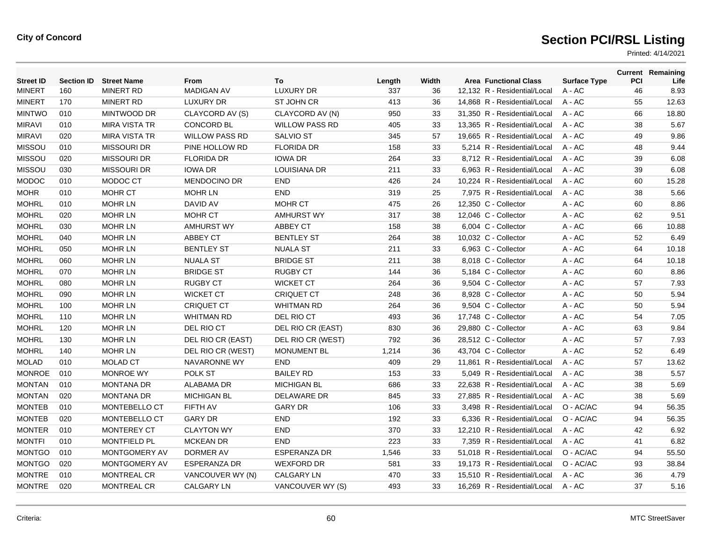| <b>Street ID</b> | <b>Section ID</b> | <b>Street Name</b>   | From                  | To                    | Length | Width | <b>Area Functional Class</b> | <b>Surface Type</b> | <b>PCI</b> | <b>Current Remaining</b><br>Life |
|------------------|-------------------|----------------------|-----------------------|-----------------------|--------|-------|------------------------------|---------------------|------------|----------------------------------|
| <b>MINERT</b>    | 160               | <b>MINERT RD</b>     | <b>MADIGAN AV</b>     | <b>LUXURY DR</b>      | 337    | 36    | 12,132 R - Residential/Local | $A - AC$            | 46         | 8.93                             |
| <b>MINERT</b>    | 170               | <b>MINERT RD</b>     | LUXURY DR             | <b>ST JOHN CR</b>     | 413    | 36    | 14,868 R - Residential/Local | A - AC              | 55         | 12.63                            |
| <b>MINTWO</b>    | 010               | MINTWOOD DR          | CLAYCORD AV (S)       | CLAYCORD AV (N)       | 950    | 33    | 31,350 R - Residential/Local | A - AC              | 66         | 18.80                            |
| <b>MIRAVI</b>    | 010               | <b>MIRA VISTA TR</b> | <b>CONCORD BL</b>     | <b>WILLOW PASS RD</b> | 405    | 33    | 13,365 R - Residential/Local | A - AC              | 38         | 5.67                             |
| <b>MIRAVI</b>    | 020               | <b>MIRA VISTA TR</b> | <b>WILLOW PASS RD</b> | <b>SALVIO ST</b>      | 345    | 57    | 19,665 R - Residential/Local | $A - AC$            | 49         | 9.86                             |
| <b>MISSOU</b>    | 010               | <b>MISSOURI DR</b>   | PINE HOLLOW RD        | <b>FLORIDA DR</b>     | 158    | 33    | 5.214 R - Residential/Local  | $A - AC$            | 48         | 9.44                             |
| <b>MISSOU</b>    | 020               | <b>MISSOURI DR</b>   | <b>FLORIDA DR</b>     | <b>IOWA DR</b>        | 264    | 33    | 8,712 R - Residential/Local  | A - AC              | 39         | 6.08                             |
| <b>MISSOU</b>    | 030               | <b>MISSOURI DR</b>   | <b>IOWA DR</b>        | <b>LOUISIANA DR</b>   | 211    | 33    | 6,963 R - Residential/Local  | A - AC              | 39         | 6.08                             |
| <b>MODOC</b>     | 010               | MODOC CT             | <b>MENDOCINO DR</b>   | <b>END</b>            | 426    | 24    | 10,224 R - Residential/Local | A - AC              | 60         | 15.28                            |
| <b>MOHR</b>      | 010               | <b>MOHR CT</b>       | <b>MOHR LN</b>        | <b>END</b>            | 319    | 25    | 7,975 R - Residential/Local  | A - AC              | 38         | 5.66                             |
| <b>MOHRL</b>     | 010               | <b>MOHR LN</b>       | DAVID AV              | <b>MOHR CT</b>        | 475    | 26    | 12,350 C - Collector         | A - AC              | 60         | 8.86                             |
| <b>MOHRL</b>     | 020               | <b>MOHR LN</b>       | <b>MOHR CT</b>        | <b>AMHURST WY</b>     | 317    | 38    | 12,046 C - Collector         | A - AC              | 62         | 9.51                             |
| <b>MOHRL</b>     | 030               | <b>MOHR LN</b>       | <b>AMHURST WY</b>     | <b>ABBEY CT</b>       | 158    | 38    | 6,004 C - Collector          | A - AC              | 66         | 10.88                            |
| <b>MOHRL</b>     | 040               | <b>MOHR LN</b>       | <b>ABBEY CT</b>       | <b>BENTLEY ST</b>     | 264    | 38    | 10,032 C - Collector         | A - AC              | 52         | 6.49                             |
| <b>MOHRL</b>     | 050               | <b>MOHR LN</b>       | <b>BENTLEY ST</b>     | <b>NUALA ST</b>       | 211    | 33    | 6,963 C - Collector          | A - AC              | 64         | 10.18                            |
| <b>MOHRL</b>     | 060               | <b>MOHR LN</b>       | <b>NUALA ST</b>       | <b>BRIDGE ST</b>      | 211    | 38    | 8,018 C - Collector          | A - AC              | 64         | 10.18                            |
| <b>MOHRL</b>     | 070               | <b>MOHR LN</b>       | <b>BRIDGE ST</b>      | <b>RUGBY CT</b>       | 144    | 36    | 5,184 C - Collector          | A - AC              | 60         | 8.86                             |
| <b>MOHRL</b>     | 080               | <b>MOHR LN</b>       | <b>RUGBY CT</b>       | <b>WICKET CT</b>      | 264    | 36    | 9,504 C - Collector          | A - AC              | 57         | 7.93                             |
| <b>MOHRL</b>     | 090               | <b>MOHR LN</b>       | <b>WICKET CT</b>      | <b>CRIQUET CT</b>     | 248    | 36    | 8,928 C - Collector          | A - AC              | 50         | 5.94                             |
| <b>MOHRL</b>     | 100               | <b>MOHR LN</b>       | <b>CRIQUET CT</b>     | <b>WHITMAN RD</b>     | 264    | 36    | 9,504 C - Collector          | A - AC              | 50         | 5.94                             |
| <b>MOHRL</b>     | 110               | <b>MOHR LN</b>       | <b>WHITMAN RD</b>     | DEL RIO CT            | 493    | 36    | 17,748 C - Collector         | A - AC              | 54         | 7.05                             |
| <b>MOHRL</b>     | 120               | <b>MOHR LN</b>       | DEL RIO CT            | DEL RIO CR (EAST)     | 830    | 36    | 29,880 C - Collector         | A - AC              | 63         | 9.84                             |
| <b>MOHRL</b>     | 130               | <b>MOHR LN</b>       | DEL RIO CR (EAST)     | DEL RIO CR (WEST)     | 792    | 36    | 28,512 C - Collector         | A - AC              | 57         | 7.93                             |
| <b>MOHRL</b>     | 140               | <b>MOHR LN</b>       | DEL RIO CR (WEST)     | MONUMENT BL           | 1,214  | 36    | 43,704 C - Collector         | A - AC              | 52         | 6.49                             |
| <b>MOLAD</b>     | 010               | <b>MOLAD CT</b>      | <b>NAVARONNE WY</b>   | <b>END</b>            | 409    | 29    | 11.861 R - Residential/Local | $A - AC$            | 57         | 13.62                            |
| <b>MONROE</b>    | 010               | <b>MONROE WY</b>     | POLK ST               | <b>BAILEY RD</b>      | 153    | 33    | 5.049 R - Residential/Local  | $A - AC$            | 38         | 5.57                             |
| <b>MONTAN</b>    | 010               | <b>MONTANA DR</b>    | ALABAMA DR            | <b>MICHIGAN BL</b>    | 686    | 33    | 22,638 R - Residential/Local | A - AC              | 38         | 5.69                             |
| <b>MONTAN</b>    | 020               | <b>MONTANA DR</b>    | <b>MICHIGAN BL</b>    | DELAWARE DR           | 845    | 33    | 27,885 R - Residential/Local | A - AC              | 38         | 5.69                             |
| <b>MONTEB</b>    | 010               | MONTEBELLO CT        | FIFTH AV              | <b>GARY DR</b>        | 106    | 33    | 3,498 R - Residential/Local  | O - AC/AC           | 94         | 56.35                            |
| <b>MONTEB</b>    | 020               | MONTEBELLO CT        | <b>GARY DR</b>        | <b>END</b>            | 192    | 33    | 6,336 R - Residential/Local  | O - AC/AC           | 94         | 56.35                            |
| <b>MONTER</b>    | 010               | <b>MONTEREY CT</b>   | <b>CLAYTON WY</b>     | <b>END</b>            | 370    | 33    | 12.210 R - Residential/Local | $A - AC$            | 42         | 6.92                             |
| <b>MONTFI</b>    | 010               | <b>MONTFIELD PL</b>  | <b>MCKEAN DR</b>      | <b>END</b>            | 223    | 33    | 7,359 R - Residential/Local  | A - AC              | 41         | 6.82                             |
| <b>MONTGO</b>    | 010               | MONTGOMERY AV        | DORMER AV             | <b>ESPERANZA DR</b>   | 1,546  | 33    | 51,018 R - Residential/Local | O - AC/AC           | 94         | 55.50                            |
| <b>MONTGO</b>    | 020               | MONTGOMERY AV        | <b>ESPERANZA DR</b>   | <b>WEXFORD DR</b>     | 581    | 33    | 19,173 R - Residential/Local | O - AC/AC           | 93         | 38.84                            |
| <b>MONTRE</b>    | 010               | MONTREAL CR          | VANCOUVER WY (N)      | CALGARY LN            | 470    | 33    | 15.510 R - Residential/Local | $A - AC$            | 36         | 4.79                             |
| <b>MONTRE</b>    | 020               | MONTREAL CR          | CALGARY LN            | VANCOUVER WY (S)      | 493    | 33    | 16.269 R - Residential/Local | $A - AC$            | 37         | 5.16                             |
|                  |                   |                      |                       |                       |        |       |                              |                     |            |                                  |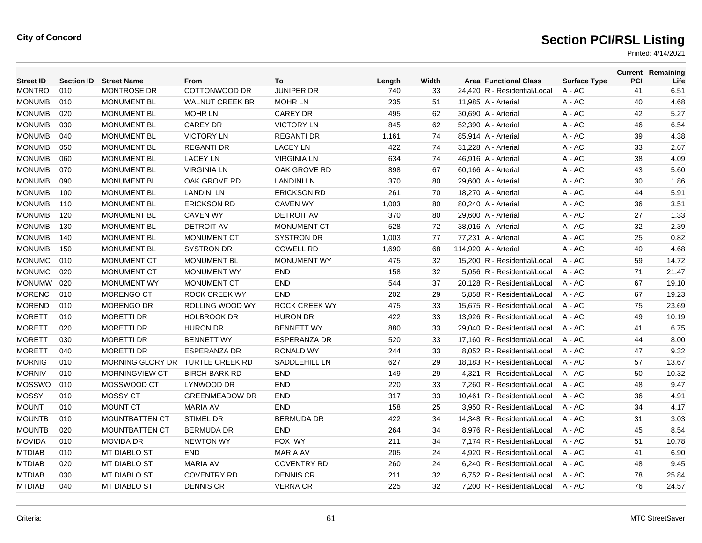| <b>MONTRO</b><br>010<br>COTTONWOOD DR<br><b>JUNIPER DR</b><br>740<br><b>MONTROSE DR</b><br>33<br>24,420 R - Residential/Local<br>$A - AC$<br>41<br><b>MONUMB</b><br>010<br><b>WALNUT CREEK BR</b><br>235<br>A - AC<br>40<br><b>MONUMENT BL</b><br><b>MOHR LN</b><br>51<br>11,985 A - Arterial<br><b>MONUMB</b><br>020<br><b>MONUMENT BL</b><br><b>MOHR LN</b><br><b>CAREY DR</b><br>495<br>62<br>30,690 A - Arterial<br>A - AC<br>42<br><b>MONUMB</b><br>A - AC<br>46<br>030<br><b>MONUMENT BL</b><br><b>CAREY DR</b><br><b>VICTORY LN</b><br>845<br>62<br>52,390 A - Arterial<br><b>MONUMB</b><br>040<br><b>VICTORY LN</b><br><b>REGANTI DR</b><br>A - AC<br>39<br><b>MONUMENT BL</b><br>1,161<br>74<br>85.914 A - Arterial<br><b>MONUMB</b><br>050<br><b>MONUMENT BL</b><br><b>REGANTI DR</b><br><b>LACEY LN</b><br>422<br>$A - AC$<br>33<br>74<br>31,228 A - Arterial<br><b>MONUMB</b><br>$A - AC$<br>060<br><b>MONUMENT BL</b><br><b>LACEY LN</b><br><b>VIRGINIA LN</b><br>634<br>38<br>74<br>46,916 A - Arterial<br><b>MONUMB</b><br>$A - AC$<br>070<br><b>MONUMENT BL</b><br><b>VIRGINIA LN</b><br>OAK GROVE RD<br>898<br>67<br>43<br>60,166 A - Arterial<br><b>MONUMB</b><br>$A - AC$<br>090<br><b>MONUMENT BL</b><br>OAK GROVE RD<br><b>LANDINI LN</b><br>370<br>80<br>29,600 A - Arterial<br>30<br><b>MONUMB</b><br>100<br>$A - AC$<br>44<br><b>MONUMENT BL</b><br><b>LANDINI LN</b><br><b>ERICKSON RD</b><br>261<br>70<br>18,270 A - Arterial<br><b>MONUMB</b><br>110<br><b>MONUMENT BL</b><br><b>ERICKSON RD</b><br><b>CAVEN WY</b><br>A - AC<br>36<br>1,003<br>80<br>80,240 A - Arterial<br><b>MONUMB</b><br>120<br><b>MONUMENT BL</b><br><b>CAVEN WY</b><br><b>DETROIT AV</b><br>A - AC<br>27<br>370<br>80<br>29,600 A - Arterial<br><b>MONUMB</b><br><b>DETROIT AV</b><br>130<br><b>MONUMENT BL</b><br><b>MONUMENT CT</b><br>528<br>72<br>38,016 A - Arterial<br>A - AC<br>32<br><b>MONUMB</b><br><b>SYSTRON DR</b><br>140<br><b>MONUMENT BL</b><br><b>MONUMENT CT</b><br>1,003<br>77<br>77,231 A - Arterial<br>$A - AC$<br>25<br><b>MONUMB</b><br><b>MONUMENT BL</b><br><b>SYSTRON DR</b><br><b>COWELL RD</b><br>A - AC<br>40<br>150<br>1,690<br>68<br>114,920 A - Arterial<br><b>MONUMC</b><br>010<br>MONUMENT CT<br><b>MONUMENT WY</b><br>32<br>59<br><b>MONUMENT BL</b><br>475<br>15,200 R - Residential/Local<br>A - AC<br><b>MONUMC</b><br>71<br>020<br>MONUMENT CT<br><b>MONUMENT WY</b><br><b>END</b><br>32<br>5,056 R - Residential/Local<br>158<br>A - AC<br><b>MONUMW</b><br>020<br><b>END</b><br>544<br>37<br><b>MONUMENT WY</b><br><b>MONUMENT CT</b><br>20,128 R - Residential/Local<br>67<br>A - AC<br><b>MORENC</b><br>010<br><b>ROCK CREEK WY</b><br><b>END</b><br>29<br>5,858 R - Residential/Local<br>67<br><b>MORENGO CT</b><br>202<br>A - AC<br><b>MOREND</b><br>010<br><b>MORENGO DR</b><br>ROLLING WOOD WY<br><b>ROCK CREEK WY</b><br>475<br>33<br>15,675 R - Residential/Local<br>75<br>A - AC<br><b>MORETT</b><br>010<br><b>MORETTI DR</b><br><b>HOLBROOK DR</b><br><b>HURON DR</b><br>422<br>33<br>13,926 R - Residential/Local<br>49<br>A - AC<br><b>MORETT</b><br>020<br><b>MORETTI DR</b><br><b>HURON DR</b><br><b>BENNETT WY</b><br>880<br>33<br>29.040 R - Residential/Local<br>$A - AC$<br>41<br><b>MORETT</b><br>030<br><b>MORETTI DR</b><br><b>BENNETT WY</b><br><b>ESPERANZA DR</b><br>520<br>33<br>17.160 R - Residential/Local<br>$A - AC$<br>44<br><b>MORETT</b><br>040<br><b>MORETTI DR</b><br><b>ESPERANZA DR</b><br><b>RONALD WY</b><br>244<br>33<br>47<br>8,052 R - Residential/Local<br>A - AC<br><b>MORNIG</b><br>010<br>MORNING GLORY DR TURTLE CREEK RD<br>SADDLEHILL LN<br>627<br>29<br>18,183 R - Residential/Local<br>A - AC<br>57<br><b>MORNIV</b><br>010<br><b>MORNINGVIEW CT</b><br><b>BIRCH BARK RD</b><br><b>END</b><br>149<br>29<br>4.321 R - Residential/Local<br>$A - AC$<br>50<br><b>MOSSWO</b><br><b>END</b><br>010<br>MOSSWOOD CT<br>LYNWOOD DR<br>220<br>33<br>7.260 R - Residential/Local<br>$A - AC$<br>48<br><b>MOSSY</b><br>MOSSY CT<br><b>END</b><br>010<br><b>GREENMEADOW DR</b><br>317<br>33<br>10,461 R - Residential/Local<br>$A - AC$<br>36<br><b>MOUNT</b><br><b>MOUNT CT</b><br><b>MARIA AV</b><br><b>END</b><br>34<br>010<br>158<br>25<br>3,950 R - Residential/Local<br>A - AC<br><b>MOUNTB</b><br>010<br><b>STIMEL DR</b><br><b>BERMUDA DR</b><br>422<br>34<br>14,348 R - Residential/Local<br><b>MOUNTBATTEN CT</b><br>A - AC<br>31<br><b>MOUNTB</b><br>020<br><b>MOUNTBATTEN CT</b><br><b>BERMUDA DR</b><br><b>END</b><br>264<br>34<br>8,976 R - Residential/Local<br>45<br>A - AC<br><b>MOVIDA</b><br><b>MOVIDA DR</b><br>010<br><b>NEWTON WY</b><br>FOX WY<br>211<br>34<br>7.174 R - Residential/Local<br>51<br>$A - AC$<br><b>MTDIAB</b><br>MT DIABLO ST<br><b>END</b><br>010<br><b>MARIA AV</b><br>205<br>24<br>4,920 R - Residential/Local<br>A - AC<br>41<br><b>MTDIAB</b><br>020<br>MT DIABLO ST<br><b>MARIA AV</b><br><b>COVENTRY RD</b><br>6,240 R - Residential/Local<br>260<br>24<br>A - AC<br>48<br><b>DENNIS CR</b><br><b>MTDIAB</b><br>030<br><b>MT DIABLO ST</b><br><b>COVENTRY RD</b><br>211<br>32<br>6,752 R - Residential/Local<br>78<br>A - AC<br><b>MTDIAB</b><br>040<br>225<br>32<br>76<br><b>MT DIABLO ST</b><br><b>DENNIS CR</b><br><b>VERNA CR</b><br>7.200 R - Residential/Local<br>A - AC | <b>Street ID</b> | <b>Section ID</b> | <b>Street Name</b> | From | To | Length | Width | <b>Area Functional Class</b> | <b>Surface Type</b> | <b>PCI</b> | <b>Current Remaining</b><br>Life |
|-----------------------------------------------------------------------------------------------------------------------------------------------------------------------------------------------------------------------------------------------------------------------------------------------------------------------------------------------------------------------------------------------------------------------------------------------------------------------------------------------------------------------------------------------------------------------------------------------------------------------------------------------------------------------------------------------------------------------------------------------------------------------------------------------------------------------------------------------------------------------------------------------------------------------------------------------------------------------------------------------------------------------------------------------------------------------------------------------------------------------------------------------------------------------------------------------------------------------------------------------------------------------------------------------------------------------------------------------------------------------------------------------------------------------------------------------------------------------------------------------------------------------------------------------------------------------------------------------------------------------------------------------------------------------------------------------------------------------------------------------------------------------------------------------------------------------------------------------------------------------------------------------------------------------------------------------------------------------------------------------------------------------------------------------------------------------------------------------------------------------------------------------------------------------------------------------------------------------------------------------------------------------------------------------------------------------------------------------------------------------------------------------------------------------------------------------------------------------------------------------------------------------------------------------------------------------------------------------------------------------------------------------------------------------------------------------------------------------------------------------------------------------------------------------------------------------------------------------------------------------------------------------------------------------------------------------------------------------------------------------------------------------------------------------------------------------------------------------------------------------------------------------------------------------------------------------------------------------------------------------------------------------------------------------------------------------------------------------------------------------------------------------------------------------------------------------------------------------------------------------------------------------------------------------------------------------------------------------------------------------------------------------------------------------------------------------------------------------------------------------------------------------------------------------------------------------------------------------------------------------------------------------------------------------------------------------------------------------------------------------------------------------------------------------------------------------------------------------------------------------------------------------------------------------------------------------------------------------------------------------------------------------------------------------------------------------------------------------------------------------------------------------------------------------------------------------------------------------------------------------------------------------------------------------------------------------------------------------------------------------------------------------------------------------------------------------------------------------------------------------------------------------------------------------------------------------------------------------------------------------------------------------------------------------------------------------------------------------------------------------------------------------------------------------------------------------------------------------------------------------------------------------------------------------------------------------------------------------------------------------------------------------------------------------------------------|------------------|-------------------|--------------------|------|----|--------|-------|------------------------------|---------------------|------------|----------------------------------|
|                                                                                                                                                                                                                                                                                                                                                                                                                                                                                                                                                                                                                                                                                                                                                                                                                                                                                                                                                                                                                                                                                                                                                                                                                                                                                                                                                                                                                                                                                                                                                                                                                                                                                                                                                                                                                                                                                                                                                                                                                                                                                                                                                                                                                                                                                                                                                                                                                                                                                                                                                                                                                                                                                                                                                                                                                                                                                                                                                                                                                                                                                                                                                                                                                                                                                                                                                                                                                                                                                                                                                                                                                                                                                                                                                                                                                                                                                                                                                                                                                                                                                                                                                                                                                                                                                                                                                                                                                                                                                                                                                                                                                                                                                                                                                                                                                                                                                                                                                                                                                                                                                                                                                                                                                                                                                                                 |                  |                   |                    |      |    |        |       |                              |                     |            | 6.51                             |
|                                                                                                                                                                                                                                                                                                                                                                                                                                                                                                                                                                                                                                                                                                                                                                                                                                                                                                                                                                                                                                                                                                                                                                                                                                                                                                                                                                                                                                                                                                                                                                                                                                                                                                                                                                                                                                                                                                                                                                                                                                                                                                                                                                                                                                                                                                                                                                                                                                                                                                                                                                                                                                                                                                                                                                                                                                                                                                                                                                                                                                                                                                                                                                                                                                                                                                                                                                                                                                                                                                                                                                                                                                                                                                                                                                                                                                                                                                                                                                                                                                                                                                                                                                                                                                                                                                                                                                                                                                                                                                                                                                                                                                                                                                                                                                                                                                                                                                                                                                                                                                                                                                                                                                                                                                                                                                                 |                  |                   |                    |      |    |        |       |                              |                     |            | 4.68                             |
|                                                                                                                                                                                                                                                                                                                                                                                                                                                                                                                                                                                                                                                                                                                                                                                                                                                                                                                                                                                                                                                                                                                                                                                                                                                                                                                                                                                                                                                                                                                                                                                                                                                                                                                                                                                                                                                                                                                                                                                                                                                                                                                                                                                                                                                                                                                                                                                                                                                                                                                                                                                                                                                                                                                                                                                                                                                                                                                                                                                                                                                                                                                                                                                                                                                                                                                                                                                                                                                                                                                                                                                                                                                                                                                                                                                                                                                                                                                                                                                                                                                                                                                                                                                                                                                                                                                                                                                                                                                                                                                                                                                                                                                                                                                                                                                                                                                                                                                                                                                                                                                                                                                                                                                                                                                                                                                 |                  |                   |                    |      |    |        |       |                              |                     |            | 5.27                             |
|                                                                                                                                                                                                                                                                                                                                                                                                                                                                                                                                                                                                                                                                                                                                                                                                                                                                                                                                                                                                                                                                                                                                                                                                                                                                                                                                                                                                                                                                                                                                                                                                                                                                                                                                                                                                                                                                                                                                                                                                                                                                                                                                                                                                                                                                                                                                                                                                                                                                                                                                                                                                                                                                                                                                                                                                                                                                                                                                                                                                                                                                                                                                                                                                                                                                                                                                                                                                                                                                                                                                                                                                                                                                                                                                                                                                                                                                                                                                                                                                                                                                                                                                                                                                                                                                                                                                                                                                                                                                                                                                                                                                                                                                                                                                                                                                                                                                                                                                                                                                                                                                                                                                                                                                                                                                                                                 |                  |                   |                    |      |    |        |       |                              |                     |            | 6.54                             |
|                                                                                                                                                                                                                                                                                                                                                                                                                                                                                                                                                                                                                                                                                                                                                                                                                                                                                                                                                                                                                                                                                                                                                                                                                                                                                                                                                                                                                                                                                                                                                                                                                                                                                                                                                                                                                                                                                                                                                                                                                                                                                                                                                                                                                                                                                                                                                                                                                                                                                                                                                                                                                                                                                                                                                                                                                                                                                                                                                                                                                                                                                                                                                                                                                                                                                                                                                                                                                                                                                                                                                                                                                                                                                                                                                                                                                                                                                                                                                                                                                                                                                                                                                                                                                                                                                                                                                                                                                                                                                                                                                                                                                                                                                                                                                                                                                                                                                                                                                                                                                                                                                                                                                                                                                                                                                                                 |                  |                   |                    |      |    |        |       |                              |                     |            | 4.38                             |
|                                                                                                                                                                                                                                                                                                                                                                                                                                                                                                                                                                                                                                                                                                                                                                                                                                                                                                                                                                                                                                                                                                                                                                                                                                                                                                                                                                                                                                                                                                                                                                                                                                                                                                                                                                                                                                                                                                                                                                                                                                                                                                                                                                                                                                                                                                                                                                                                                                                                                                                                                                                                                                                                                                                                                                                                                                                                                                                                                                                                                                                                                                                                                                                                                                                                                                                                                                                                                                                                                                                                                                                                                                                                                                                                                                                                                                                                                                                                                                                                                                                                                                                                                                                                                                                                                                                                                                                                                                                                                                                                                                                                                                                                                                                                                                                                                                                                                                                                                                                                                                                                                                                                                                                                                                                                                                                 |                  |                   |                    |      |    |        |       |                              |                     |            | 2.67                             |
|                                                                                                                                                                                                                                                                                                                                                                                                                                                                                                                                                                                                                                                                                                                                                                                                                                                                                                                                                                                                                                                                                                                                                                                                                                                                                                                                                                                                                                                                                                                                                                                                                                                                                                                                                                                                                                                                                                                                                                                                                                                                                                                                                                                                                                                                                                                                                                                                                                                                                                                                                                                                                                                                                                                                                                                                                                                                                                                                                                                                                                                                                                                                                                                                                                                                                                                                                                                                                                                                                                                                                                                                                                                                                                                                                                                                                                                                                                                                                                                                                                                                                                                                                                                                                                                                                                                                                                                                                                                                                                                                                                                                                                                                                                                                                                                                                                                                                                                                                                                                                                                                                                                                                                                                                                                                                                                 |                  |                   |                    |      |    |        |       |                              |                     |            | 4.09                             |
|                                                                                                                                                                                                                                                                                                                                                                                                                                                                                                                                                                                                                                                                                                                                                                                                                                                                                                                                                                                                                                                                                                                                                                                                                                                                                                                                                                                                                                                                                                                                                                                                                                                                                                                                                                                                                                                                                                                                                                                                                                                                                                                                                                                                                                                                                                                                                                                                                                                                                                                                                                                                                                                                                                                                                                                                                                                                                                                                                                                                                                                                                                                                                                                                                                                                                                                                                                                                                                                                                                                                                                                                                                                                                                                                                                                                                                                                                                                                                                                                                                                                                                                                                                                                                                                                                                                                                                                                                                                                                                                                                                                                                                                                                                                                                                                                                                                                                                                                                                                                                                                                                                                                                                                                                                                                                                                 |                  |                   |                    |      |    |        |       |                              |                     |            | 5.60                             |
|                                                                                                                                                                                                                                                                                                                                                                                                                                                                                                                                                                                                                                                                                                                                                                                                                                                                                                                                                                                                                                                                                                                                                                                                                                                                                                                                                                                                                                                                                                                                                                                                                                                                                                                                                                                                                                                                                                                                                                                                                                                                                                                                                                                                                                                                                                                                                                                                                                                                                                                                                                                                                                                                                                                                                                                                                                                                                                                                                                                                                                                                                                                                                                                                                                                                                                                                                                                                                                                                                                                                                                                                                                                                                                                                                                                                                                                                                                                                                                                                                                                                                                                                                                                                                                                                                                                                                                                                                                                                                                                                                                                                                                                                                                                                                                                                                                                                                                                                                                                                                                                                                                                                                                                                                                                                                                                 |                  |                   |                    |      |    |        |       |                              |                     |            | 1.86                             |
|                                                                                                                                                                                                                                                                                                                                                                                                                                                                                                                                                                                                                                                                                                                                                                                                                                                                                                                                                                                                                                                                                                                                                                                                                                                                                                                                                                                                                                                                                                                                                                                                                                                                                                                                                                                                                                                                                                                                                                                                                                                                                                                                                                                                                                                                                                                                                                                                                                                                                                                                                                                                                                                                                                                                                                                                                                                                                                                                                                                                                                                                                                                                                                                                                                                                                                                                                                                                                                                                                                                                                                                                                                                                                                                                                                                                                                                                                                                                                                                                                                                                                                                                                                                                                                                                                                                                                                                                                                                                                                                                                                                                                                                                                                                                                                                                                                                                                                                                                                                                                                                                                                                                                                                                                                                                                                                 |                  |                   |                    |      |    |        |       |                              |                     |            | 5.91                             |
|                                                                                                                                                                                                                                                                                                                                                                                                                                                                                                                                                                                                                                                                                                                                                                                                                                                                                                                                                                                                                                                                                                                                                                                                                                                                                                                                                                                                                                                                                                                                                                                                                                                                                                                                                                                                                                                                                                                                                                                                                                                                                                                                                                                                                                                                                                                                                                                                                                                                                                                                                                                                                                                                                                                                                                                                                                                                                                                                                                                                                                                                                                                                                                                                                                                                                                                                                                                                                                                                                                                                                                                                                                                                                                                                                                                                                                                                                                                                                                                                                                                                                                                                                                                                                                                                                                                                                                                                                                                                                                                                                                                                                                                                                                                                                                                                                                                                                                                                                                                                                                                                                                                                                                                                                                                                                                                 |                  |                   |                    |      |    |        |       |                              |                     |            | 3.51                             |
|                                                                                                                                                                                                                                                                                                                                                                                                                                                                                                                                                                                                                                                                                                                                                                                                                                                                                                                                                                                                                                                                                                                                                                                                                                                                                                                                                                                                                                                                                                                                                                                                                                                                                                                                                                                                                                                                                                                                                                                                                                                                                                                                                                                                                                                                                                                                                                                                                                                                                                                                                                                                                                                                                                                                                                                                                                                                                                                                                                                                                                                                                                                                                                                                                                                                                                                                                                                                                                                                                                                                                                                                                                                                                                                                                                                                                                                                                                                                                                                                                                                                                                                                                                                                                                                                                                                                                                                                                                                                                                                                                                                                                                                                                                                                                                                                                                                                                                                                                                                                                                                                                                                                                                                                                                                                                                                 |                  |                   |                    |      |    |        |       |                              |                     |            | 1.33                             |
|                                                                                                                                                                                                                                                                                                                                                                                                                                                                                                                                                                                                                                                                                                                                                                                                                                                                                                                                                                                                                                                                                                                                                                                                                                                                                                                                                                                                                                                                                                                                                                                                                                                                                                                                                                                                                                                                                                                                                                                                                                                                                                                                                                                                                                                                                                                                                                                                                                                                                                                                                                                                                                                                                                                                                                                                                                                                                                                                                                                                                                                                                                                                                                                                                                                                                                                                                                                                                                                                                                                                                                                                                                                                                                                                                                                                                                                                                                                                                                                                                                                                                                                                                                                                                                                                                                                                                                                                                                                                                                                                                                                                                                                                                                                                                                                                                                                                                                                                                                                                                                                                                                                                                                                                                                                                                                                 |                  |                   |                    |      |    |        |       |                              |                     |            | 2.39                             |
|                                                                                                                                                                                                                                                                                                                                                                                                                                                                                                                                                                                                                                                                                                                                                                                                                                                                                                                                                                                                                                                                                                                                                                                                                                                                                                                                                                                                                                                                                                                                                                                                                                                                                                                                                                                                                                                                                                                                                                                                                                                                                                                                                                                                                                                                                                                                                                                                                                                                                                                                                                                                                                                                                                                                                                                                                                                                                                                                                                                                                                                                                                                                                                                                                                                                                                                                                                                                                                                                                                                                                                                                                                                                                                                                                                                                                                                                                                                                                                                                                                                                                                                                                                                                                                                                                                                                                                                                                                                                                                                                                                                                                                                                                                                                                                                                                                                                                                                                                                                                                                                                                                                                                                                                                                                                                                                 |                  |                   |                    |      |    |        |       |                              |                     |            | 0.82                             |
|                                                                                                                                                                                                                                                                                                                                                                                                                                                                                                                                                                                                                                                                                                                                                                                                                                                                                                                                                                                                                                                                                                                                                                                                                                                                                                                                                                                                                                                                                                                                                                                                                                                                                                                                                                                                                                                                                                                                                                                                                                                                                                                                                                                                                                                                                                                                                                                                                                                                                                                                                                                                                                                                                                                                                                                                                                                                                                                                                                                                                                                                                                                                                                                                                                                                                                                                                                                                                                                                                                                                                                                                                                                                                                                                                                                                                                                                                                                                                                                                                                                                                                                                                                                                                                                                                                                                                                                                                                                                                                                                                                                                                                                                                                                                                                                                                                                                                                                                                                                                                                                                                                                                                                                                                                                                                                                 |                  |                   |                    |      |    |        |       |                              |                     |            | 4.68                             |
|                                                                                                                                                                                                                                                                                                                                                                                                                                                                                                                                                                                                                                                                                                                                                                                                                                                                                                                                                                                                                                                                                                                                                                                                                                                                                                                                                                                                                                                                                                                                                                                                                                                                                                                                                                                                                                                                                                                                                                                                                                                                                                                                                                                                                                                                                                                                                                                                                                                                                                                                                                                                                                                                                                                                                                                                                                                                                                                                                                                                                                                                                                                                                                                                                                                                                                                                                                                                                                                                                                                                                                                                                                                                                                                                                                                                                                                                                                                                                                                                                                                                                                                                                                                                                                                                                                                                                                                                                                                                                                                                                                                                                                                                                                                                                                                                                                                                                                                                                                                                                                                                                                                                                                                                                                                                                                                 |                  |                   |                    |      |    |        |       |                              |                     |            | 14.72                            |
|                                                                                                                                                                                                                                                                                                                                                                                                                                                                                                                                                                                                                                                                                                                                                                                                                                                                                                                                                                                                                                                                                                                                                                                                                                                                                                                                                                                                                                                                                                                                                                                                                                                                                                                                                                                                                                                                                                                                                                                                                                                                                                                                                                                                                                                                                                                                                                                                                                                                                                                                                                                                                                                                                                                                                                                                                                                                                                                                                                                                                                                                                                                                                                                                                                                                                                                                                                                                                                                                                                                                                                                                                                                                                                                                                                                                                                                                                                                                                                                                                                                                                                                                                                                                                                                                                                                                                                                                                                                                                                                                                                                                                                                                                                                                                                                                                                                                                                                                                                                                                                                                                                                                                                                                                                                                                                                 |                  |                   |                    |      |    |        |       |                              |                     |            | 21.47                            |
|                                                                                                                                                                                                                                                                                                                                                                                                                                                                                                                                                                                                                                                                                                                                                                                                                                                                                                                                                                                                                                                                                                                                                                                                                                                                                                                                                                                                                                                                                                                                                                                                                                                                                                                                                                                                                                                                                                                                                                                                                                                                                                                                                                                                                                                                                                                                                                                                                                                                                                                                                                                                                                                                                                                                                                                                                                                                                                                                                                                                                                                                                                                                                                                                                                                                                                                                                                                                                                                                                                                                                                                                                                                                                                                                                                                                                                                                                                                                                                                                                                                                                                                                                                                                                                                                                                                                                                                                                                                                                                                                                                                                                                                                                                                                                                                                                                                                                                                                                                                                                                                                                                                                                                                                                                                                                                                 |                  |                   |                    |      |    |        |       |                              |                     |            | 19.10                            |
|                                                                                                                                                                                                                                                                                                                                                                                                                                                                                                                                                                                                                                                                                                                                                                                                                                                                                                                                                                                                                                                                                                                                                                                                                                                                                                                                                                                                                                                                                                                                                                                                                                                                                                                                                                                                                                                                                                                                                                                                                                                                                                                                                                                                                                                                                                                                                                                                                                                                                                                                                                                                                                                                                                                                                                                                                                                                                                                                                                                                                                                                                                                                                                                                                                                                                                                                                                                                                                                                                                                                                                                                                                                                                                                                                                                                                                                                                                                                                                                                                                                                                                                                                                                                                                                                                                                                                                                                                                                                                                                                                                                                                                                                                                                                                                                                                                                                                                                                                                                                                                                                                                                                                                                                                                                                                                                 |                  |                   |                    |      |    |        |       |                              |                     |            | 19.23                            |
|                                                                                                                                                                                                                                                                                                                                                                                                                                                                                                                                                                                                                                                                                                                                                                                                                                                                                                                                                                                                                                                                                                                                                                                                                                                                                                                                                                                                                                                                                                                                                                                                                                                                                                                                                                                                                                                                                                                                                                                                                                                                                                                                                                                                                                                                                                                                                                                                                                                                                                                                                                                                                                                                                                                                                                                                                                                                                                                                                                                                                                                                                                                                                                                                                                                                                                                                                                                                                                                                                                                                                                                                                                                                                                                                                                                                                                                                                                                                                                                                                                                                                                                                                                                                                                                                                                                                                                                                                                                                                                                                                                                                                                                                                                                                                                                                                                                                                                                                                                                                                                                                                                                                                                                                                                                                                                                 |                  |                   |                    |      |    |        |       |                              |                     |            | 23.69                            |
|                                                                                                                                                                                                                                                                                                                                                                                                                                                                                                                                                                                                                                                                                                                                                                                                                                                                                                                                                                                                                                                                                                                                                                                                                                                                                                                                                                                                                                                                                                                                                                                                                                                                                                                                                                                                                                                                                                                                                                                                                                                                                                                                                                                                                                                                                                                                                                                                                                                                                                                                                                                                                                                                                                                                                                                                                                                                                                                                                                                                                                                                                                                                                                                                                                                                                                                                                                                                                                                                                                                                                                                                                                                                                                                                                                                                                                                                                                                                                                                                                                                                                                                                                                                                                                                                                                                                                                                                                                                                                                                                                                                                                                                                                                                                                                                                                                                                                                                                                                                                                                                                                                                                                                                                                                                                                                                 |                  |                   |                    |      |    |        |       |                              |                     |            | 10.19                            |
|                                                                                                                                                                                                                                                                                                                                                                                                                                                                                                                                                                                                                                                                                                                                                                                                                                                                                                                                                                                                                                                                                                                                                                                                                                                                                                                                                                                                                                                                                                                                                                                                                                                                                                                                                                                                                                                                                                                                                                                                                                                                                                                                                                                                                                                                                                                                                                                                                                                                                                                                                                                                                                                                                                                                                                                                                                                                                                                                                                                                                                                                                                                                                                                                                                                                                                                                                                                                                                                                                                                                                                                                                                                                                                                                                                                                                                                                                                                                                                                                                                                                                                                                                                                                                                                                                                                                                                                                                                                                                                                                                                                                                                                                                                                                                                                                                                                                                                                                                                                                                                                                                                                                                                                                                                                                                                                 |                  |                   |                    |      |    |        |       |                              |                     |            | 6.75                             |
|                                                                                                                                                                                                                                                                                                                                                                                                                                                                                                                                                                                                                                                                                                                                                                                                                                                                                                                                                                                                                                                                                                                                                                                                                                                                                                                                                                                                                                                                                                                                                                                                                                                                                                                                                                                                                                                                                                                                                                                                                                                                                                                                                                                                                                                                                                                                                                                                                                                                                                                                                                                                                                                                                                                                                                                                                                                                                                                                                                                                                                                                                                                                                                                                                                                                                                                                                                                                                                                                                                                                                                                                                                                                                                                                                                                                                                                                                                                                                                                                                                                                                                                                                                                                                                                                                                                                                                                                                                                                                                                                                                                                                                                                                                                                                                                                                                                                                                                                                                                                                                                                                                                                                                                                                                                                                                                 |                  |                   |                    |      |    |        |       |                              |                     |            | 8.00                             |
|                                                                                                                                                                                                                                                                                                                                                                                                                                                                                                                                                                                                                                                                                                                                                                                                                                                                                                                                                                                                                                                                                                                                                                                                                                                                                                                                                                                                                                                                                                                                                                                                                                                                                                                                                                                                                                                                                                                                                                                                                                                                                                                                                                                                                                                                                                                                                                                                                                                                                                                                                                                                                                                                                                                                                                                                                                                                                                                                                                                                                                                                                                                                                                                                                                                                                                                                                                                                                                                                                                                                                                                                                                                                                                                                                                                                                                                                                                                                                                                                                                                                                                                                                                                                                                                                                                                                                                                                                                                                                                                                                                                                                                                                                                                                                                                                                                                                                                                                                                                                                                                                                                                                                                                                                                                                                                                 |                  |                   |                    |      |    |        |       |                              |                     |            | 9.32                             |
|                                                                                                                                                                                                                                                                                                                                                                                                                                                                                                                                                                                                                                                                                                                                                                                                                                                                                                                                                                                                                                                                                                                                                                                                                                                                                                                                                                                                                                                                                                                                                                                                                                                                                                                                                                                                                                                                                                                                                                                                                                                                                                                                                                                                                                                                                                                                                                                                                                                                                                                                                                                                                                                                                                                                                                                                                                                                                                                                                                                                                                                                                                                                                                                                                                                                                                                                                                                                                                                                                                                                                                                                                                                                                                                                                                                                                                                                                                                                                                                                                                                                                                                                                                                                                                                                                                                                                                                                                                                                                                                                                                                                                                                                                                                                                                                                                                                                                                                                                                                                                                                                                                                                                                                                                                                                                                                 |                  |                   |                    |      |    |        |       |                              |                     |            | 13.67                            |
|                                                                                                                                                                                                                                                                                                                                                                                                                                                                                                                                                                                                                                                                                                                                                                                                                                                                                                                                                                                                                                                                                                                                                                                                                                                                                                                                                                                                                                                                                                                                                                                                                                                                                                                                                                                                                                                                                                                                                                                                                                                                                                                                                                                                                                                                                                                                                                                                                                                                                                                                                                                                                                                                                                                                                                                                                                                                                                                                                                                                                                                                                                                                                                                                                                                                                                                                                                                                                                                                                                                                                                                                                                                                                                                                                                                                                                                                                                                                                                                                                                                                                                                                                                                                                                                                                                                                                                                                                                                                                                                                                                                                                                                                                                                                                                                                                                                                                                                                                                                                                                                                                                                                                                                                                                                                                                                 |                  |                   |                    |      |    |        |       |                              |                     |            | 10.32                            |
|                                                                                                                                                                                                                                                                                                                                                                                                                                                                                                                                                                                                                                                                                                                                                                                                                                                                                                                                                                                                                                                                                                                                                                                                                                                                                                                                                                                                                                                                                                                                                                                                                                                                                                                                                                                                                                                                                                                                                                                                                                                                                                                                                                                                                                                                                                                                                                                                                                                                                                                                                                                                                                                                                                                                                                                                                                                                                                                                                                                                                                                                                                                                                                                                                                                                                                                                                                                                                                                                                                                                                                                                                                                                                                                                                                                                                                                                                                                                                                                                                                                                                                                                                                                                                                                                                                                                                                                                                                                                                                                                                                                                                                                                                                                                                                                                                                                                                                                                                                                                                                                                                                                                                                                                                                                                                                                 |                  |                   |                    |      |    |        |       |                              |                     |            | 9.47                             |
|                                                                                                                                                                                                                                                                                                                                                                                                                                                                                                                                                                                                                                                                                                                                                                                                                                                                                                                                                                                                                                                                                                                                                                                                                                                                                                                                                                                                                                                                                                                                                                                                                                                                                                                                                                                                                                                                                                                                                                                                                                                                                                                                                                                                                                                                                                                                                                                                                                                                                                                                                                                                                                                                                                                                                                                                                                                                                                                                                                                                                                                                                                                                                                                                                                                                                                                                                                                                                                                                                                                                                                                                                                                                                                                                                                                                                                                                                                                                                                                                                                                                                                                                                                                                                                                                                                                                                                                                                                                                                                                                                                                                                                                                                                                                                                                                                                                                                                                                                                                                                                                                                                                                                                                                                                                                                                                 |                  |                   |                    |      |    |        |       |                              |                     |            | 4.91                             |
|                                                                                                                                                                                                                                                                                                                                                                                                                                                                                                                                                                                                                                                                                                                                                                                                                                                                                                                                                                                                                                                                                                                                                                                                                                                                                                                                                                                                                                                                                                                                                                                                                                                                                                                                                                                                                                                                                                                                                                                                                                                                                                                                                                                                                                                                                                                                                                                                                                                                                                                                                                                                                                                                                                                                                                                                                                                                                                                                                                                                                                                                                                                                                                                                                                                                                                                                                                                                                                                                                                                                                                                                                                                                                                                                                                                                                                                                                                                                                                                                                                                                                                                                                                                                                                                                                                                                                                                                                                                                                                                                                                                                                                                                                                                                                                                                                                                                                                                                                                                                                                                                                                                                                                                                                                                                                                                 |                  |                   |                    |      |    |        |       |                              |                     |            | 4.17                             |
|                                                                                                                                                                                                                                                                                                                                                                                                                                                                                                                                                                                                                                                                                                                                                                                                                                                                                                                                                                                                                                                                                                                                                                                                                                                                                                                                                                                                                                                                                                                                                                                                                                                                                                                                                                                                                                                                                                                                                                                                                                                                                                                                                                                                                                                                                                                                                                                                                                                                                                                                                                                                                                                                                                                                                                                                                                                                                                                                                                                                                                                                                                                                                                                                                                                                                                                                                                                                                                                                                                                                                                                                                                                                                                                                                                                                                                                                                                                                                                                                                                                                                                                                                                                                                                                                                                                                                                                                                                                                                                                                                                                                                                                                                                                                                                                                                                                                                                                                                                                                                                                                                                                                                                                                                                                                                                                 |                  |                   |                    |      |    |        |       |                              |                     |            | 3.03                             |
|                                                                                                                                                                                                                                                                                                                                                                                                                                                                                                                                                                                                                                                                                                                                                                                                                                                                                                                                                                                                                                                                                                                                                                                                                                                                                                                                                                                                                                                                                                                                                                                                                                                                                                                                                                                                                                                                                                                                                                                                                                                                                                                                                                                                                                                                                                                                                                                                                                                                                                                                                                                                                                                                                                                                                                                                                                                                                                                                                                                                                                                                                                                                                                                                                                                                                                                                                                                                                                                                                                                                                                                                                                                                                                                                                                                                                                                                                                                                                                                                                                                                                                                                                                                                                                                                                                                                                                                                                                                                                                                                                                                                                                                                                                                                                                                                                                                                                                                                                                                                                                                                                                                                                                                                                                                                                                                 |                  |                   |                    |      |    |        |       |                              |                     |            | 8.54                             |
|                                                                                                                                                                                                                                                                                                                                                                                                                                                                                                                                                                                                                                                                                                                                                                                                                                                                                                                                                                                                                                                                                                                                                                                                                                                                                                                                                                                                                                                                                                                                                                                                                                                                                                                                                                                                                                                                                                                                                                                                                                                                                                                                                                                                                                                                                                                                                                                                                                                                                                                                                                                                                                                                                                                                                                                                                                                                                                                                                                                                                                                                                                                                                                                                                                                                                                                                                                                                                                                                                                                                                                                                                                                                                                                                                                                                                                                                                                                                                                                                                                                                                                                                                                                                                                                                                                                                                                                                                                                                                                                                                                                                                                                                                                                                                                                                                                                                                                                                                                                                                                                                                                                                                                                                                                                                                                                 |                  |                   |                    |      |    |        |       |                              |                     |            | 10.78                            |
|                                                                                                                                                                                                                                                                                                                                                                                                                                                                                                                                                                                                                                                                                                                                                                                                                                                                                                                                                                                                                                                                                                                                                                                                                                                                                                                                                                                                                                                                                                                                                                                                                                                                                                                                                                                                                                                                                                                                                                                                                                                                                                                                                                                                                                                                                                                                                                                                                                                                                                                                                                                                                                                                                                                                                                                                                                                                                                                                                                                                                                                                                                                                                                                                                                                                                                                                                                                                                                                                                                                                                                                                                                                                                                                                                                                                                                                                                                                                                                                                                                                                                                                                                                                                                                                                                                                                                                                                                                                                                                                                                                                                                                                                                                                                                                                                                                                                                                                                                                                                                                                                                                                                                                                                                                                                                                                 |                  |                   |                    |      |    |        |       |                              |                     |            | 6.90                             |
|                                                                                                                                                                                                                                                                                                                                                                                                                                                                                                                                                                                                                                                                                                                                                                                                                                                                                                                                                                                                                                                                                                                                                                                                                                                                                                                                                                                                                                                                                                                                                                                                                                                                                                                                                                                                                                                                                                                                                                                                                                                                                                                                                                                                                                                                                                                                                                                                                                                                                                                                                                                                                                                                                                                                                                                                                                                                                                                                                                                                                                                                                                                                                                                                                                                                                                                                                                                                                                                                                                                                                                                                                                                                                                                                                                                                                                                                                                                                                                                                                                                                                                                                                                                                                                                                                                                                                                                                                                                                                                                                                                                                                                                                                                                                                                                                                                                                                                                                                                                                                                                                                                                                                                                                                                                                                                                 |                  |                   |                    |      |    |        |       |                              |                     |            | 9.45                             |
|                                                                                                                                                                                                                                                                                                                                                                                                                                                                                                                                                                                                                                                                                                                                                                                                                                                                                                                                                                                                                                                                                                                                                                                                                                                                                                                                                                                                                                                                                                                                                                                                                                                                                                                                                                                                                                                                                                                                                                                                                                                                                                                                                                                                                                                                                                                                                                                                                                                                                                                                                                                                                                                                                                                                                                                                                                                                                                                                                                                                                                                                                                                                                                                                                                                                                                                                                                                                                                                                                                                                                                                                                                                                                                                                                                                                                                                                                                                                                                                                                                                                                                                                                                                                                                                                                                                                                                                                                                                                                                                                                                                                                                                                                                                                                                                                                                                                                                                                                                                                                                                                                                                                                                                                                                                                                                                 |                  |                   |                    |      |    |        |       |                              |                     |            | 25.84                            |
|                                                                                                                                                                                                                                                                                                                                                                                                                                                                                                                                                                                                                                                                                                                                                                                                                                                                                                                                                                                                                                                                                                                                                                                                                                                                                                                                                                                                                                                                                                                                                                                                                                                                                                                                                                                                                                                                                                                                                                                                                                                                                                                                                                                                                                                                                                                                                                                                                                                                                                                                                                                                                                                                                                                                                                                                                                                                                                                                                                                                                                                                                                                                                                                                                                                                                                                                                                                                                                                                                                                                                                                                                                                                                                                                                                                                                                                                                                                                                                                                                                                                                                                                                                                                                                                                                                                                                                                                                                                                                                                                                                                                                                                                                                                                                                                                                                                                                                                                                                                                                                                                                                                                                                                                                                                                                                                 |                  |                   |                    |      |    |        |       |                              |                     |            | 24.57                            |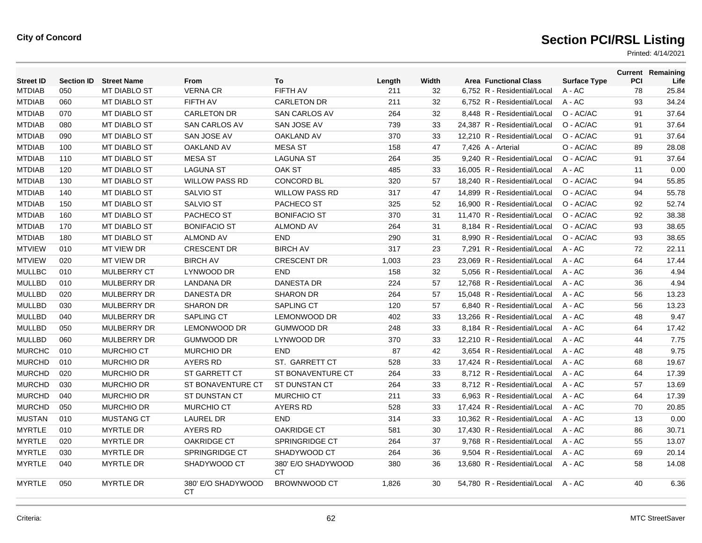| <b>Street ID</b> | <b>Section ID</b> | <b>Street Name</b>  | <b>From</b>              | To                        | Length | Width | <b>Area Functional Class</b> | <b>Surface Type</b> | PCI | <b>Current Remaining</b><br>Life |
|------------------|-------------------|---------------------|--------------------------|---------------------------|--------|-------|------------------------------|---------------------|-----|----------------------------------|
| <b>MTDIAB</b>    | 050               | <b>MT DIABLO ST</b> | <b>VERNA CR</b>          | <b>FIFTH AV</b>           | 211    | 32    | 6,752 R - Residential/Local  | $A - AC$            | 78  | 25.84                            |
| <b>MTDIAB</b>    | 060               | <b>MT DIABLO ST</b> | FIFTH AV                 | <b>CARLETON DR</b>        | 211    | 32    | 6,752 R - Residential/Local  | A - AC              | 93  | 34.24                            |
| <b>MTDIAB</b>    | 070               | <b>MT DIABLO ST</b> | <b>CARLETON DR</b>       | SAN CARLOS AV             | 264    | 32    | 8,448 R - Residential/Local  | O - AC/AC           | 91  | 37.64                            |
| <b>MTDIAB</b>    | 080               | <b>MT DIABLO ST</b> | SAN CARLOS AV            | SAN JOSE AV               | 739    | 33    | 24,387 R - Residential/Local | O - AC/AC           | 91  | 37.64                            |
| <b>MTDIAB</b>    | 090               | <b>MT DIABLO ST</b> | SAN JOSE AV              | <b>OAKLAND AV</b>         | 370    | 33    | 12,210 R - Residential/Local | O - AC/AC           | 91  | 37.64                            |
| <b>MTDIAB</b>    | 100               | <b>MT DIABLO ST</b> | <b>OAKLAND AV</b>        | <b>MESA ST</b>            | 158    | 47    | 7,426 A - Arterial           | O - AC/AC           | 89  | 28.08                            |
| <b>MTDIAB</b>    | 110               | <b>MT DIABLO ST</b> | <b>MESA ST</b>           | <b>LAGUNA ST</b>          | 264    | 35    | 9.240 R - Residential/Local  | O - AC/AC           | 91  | 37.64                            |
| <b>MTDIAB</b>    | 120               | MT DIABLO ST        | <b>LAGUNA ST</b>         | OAK ST                    | 485    | 33    | 16,005 R - Residential/Local | A - AC              | 11  | 0.00                             |
| <b>MTDIAB</b>    | 130               | <b>MT DIABLO ST</b> | <b>WILLOW PASS RD</b>    | <b>CONCORD BL</b>         | 320    | 57    | 18,240 R - Residential/Local | O - AC/AC           | 94  | 55.85                            |
| <b>MTDIAB</b>    | 140               | <b>MT DIABLO ST</b> | <b>SALVIO ST</b>         | <b>WILLOW PASS RD</b>     | 317    | 47    | 14,899 R - Residential/Local | O - AC/AC           | 94  | 55.78                            |
| <b>MTDIAB</b>    | 150               | <b>MT DIABLO ST</b> | <b>SALVIO ST</b>         | <b>PACHECO ST</b>         | 325    | 52    | 16,900 R - Residential/Local | O - AC/AC           | 92  | 52.74                            |
| <b>MTDIAB</b>    | 160               | <b>MT DIABLO ST</b> | PACHECO ST               | <b>BONIFACIO ST</b>       | 370    | 31    | 11,470 R - Residential/Local | O - AC/AC           | 92  | 38.38                            |
| <b>MTDIAB</b>    | 170               | <b>MT DIABLO ST</b> | <b>BONIFACIO ST</b>      | <b>ALMOND AV</b>          | 264    | 31    | 8,184 R - Residential/Local  | O - AC/AC           | 93  | 38.65                            |
| <b>MTDIAB</b>    | 180               | <b>MT DIABLO ST</b> | <b>ALMOND AV</b>         | <b>END</b>                | 290    | 31    | 8,990 R - Residential/Local  | O - AC/AC           | 93  | 38.65                            |
| <b>MTVIEW</b>    | 010               | <b>MT VIEW DR</b>   | <b>CRESCENT DR</b>       | <b>BIRCH AV</b>           | 317    | 23    | 7,291 R - Residential/Local  | $A - AC$            | 72  | 22.11                            |
| <b>MTVIEW</b>    | 020               | <b>MT VIEW DR</b>   | <b>BIRCH AV</b>          | <b>CRESCENT DR</b>        | 1,003  | 23    | 23.069 R - Residential/Local | $A - AC$            | 64  | 17.44                            |
| <b>MULLBC</b>    | 010               | <b>MULBERRY CT</b>  | LYNWOOD DR               | <b>END</b>                | 158    | 32    | 5,056 R - Residential/Local  | $A - AC$            | 36  | 4.94                             |
| <b>MULLBD</b>    | 010               | <b>MULBERRY DR</b>  | <b>LANDANA DR</b>        | <b>DANESTA DR</b>         | 224    | 57    | 12.768 R - Residential/Local | $A - AC$            | 36  | 4.94                             |
| <b>MULLBD</b>    | 020               | <b>MULBERRY DR</b>  | <b>DANESTA DR</b>        | <b>SHARON DR</b>          | 264    | 57    | 15,048 R - Residential/Local | A - AC              | 56  | 13.23                            |
| <b>MULLBD</b>    | 030               | MULBERRY DR         | <b>SHARON DR</b>         | <b>SAPLING CT</b>         | 120    | 57    | 6,840 R - Residential/Local  | $A - AC$            | 56  | 13.23                            |
| <b>MULLBD</b>    | 040               | <b>MULBERRY DR</b>  | SAPLING CT               | LEMONWOOD DR              | 402    | 33    | 13,266 R - Residential/Local | A - AC              | 48  | 9.47                             |
| <b>MULLBD</b>    | 050               | MULBERRY DR         | <b>LEMONWOOD DR</b>      | <b>GUMWOOD DR</b>         | 248    | 33    | 8,184 R - Residential/Local  | $A - AC$            | 64  | 17.42                            |
| <b>MULLBD</b>    | 060               | <b>MULBERRY DR</b>  | <b>GUMWOOD DR</b>        | LYNWOOD DR                | 370    | 33    | 12,210 R - Residential/Local | A - AC              | 44  | 7.75                             |
| <b>MURCHC</b>    | 010               | <b>MURCHIO CT</b>   | <b>MURCHIO DR</b>        | <b>END</b>                | 87     | 42    | 3.654 R - Residential/Local  | $A - AC$            | 48  | 9.75                             |
| <b>MURCHD</b>    | 010               | <b>MURCHIO DR</b>   | <b>AYERS RD</b>          | ST. GARRETT CT            | 528    | 33    | 17,424 R - Residential/Local | $A - AC$            | 68  | 19.67                            |
| <b>MURCHD</b>    | 020               | <b>MURCHIO DR</b>   | <b>ST GARRETT CT</b>     | ST BONAVENTURE CT         | 264    | 33    | 8.712 R - Residential/Local  | $A - AC$            | 64  | 17.39                            |
| <b>MURCHD</b>    | 030               | <b>MURCHIO DR</b>   | ST BONAVENTURE CT        | ST DUNSTAN CT             | 264    | 33    | 8,712 R - Residential/Local  | $A - AC$            | 57  | 13.69                            |
| <b>MURCHD</b>    | 040               | <b>MURCHIO DR</b>   | ST DUNSTAN CT            | <b>MURCHIO CT</b>         | 211    | 33    | 6.963 R - Residential/Local  | $A - AC$            | 64  | 17.39                            |
| <b>MURCHD</b>    | 050               | <b>MURCHIO DR</b>   | <b>MURCHIO CT</b>        | <b>AYERS RD</b>           | 528    | 33    | 17,424 R - Residential/Local | A - AC              | 70  | 20.85                            |
| <b>MUSTAN</b>    | 010               | <b>MUSTANG CT</b>   | <b>LAUREL DR</b>         | <b>END</b>                | 314    | 33    | 10.362 R - Residential/Local | $A - AC$            | 13  | 0.00                             |
| <b>MYRTLE</b>    | 010               | <b>MYRTLE DR</b>    | <b>AYERS RD</b>          | <b>OAKRIDGE CT</b>        | 581    | 30    | 17,430 R - Residential/Local | $A - AC$            | 86  | 30.71                            |
| <b>MYRTLE</b>    | 020               | <b>MYRTLE DR</b>    | <b>OAKRIDGE CT</b>       | <b>SPRINGRIDGE CT</b>     | 264    | 37    | 9.768 R - Residential/Local  | $A - AC$            | 55  | 13.07                            |
| <b>MYRTLE</b>    | 030               | <b>MYRTLE DR</b>    | <b>SPRINGRIDGE CT</b>    | SHADYWOOD CT              | 264    | 36    | 9.504 R - Residential/Local  | $A - AC$            | 69  | 20.14                            |
| <b>MYRTLE</b>    | 040               | <b>MYRTLE DR</b>    | SHADYWOOD CT             | 380' E/O SHADYWOOD<br>CT. | 380    | 36    | 13.680 R - Residential/Local | $A - AC$            | 58  | 14.08                            |
| <b>MYRTLE</b>    | 050               | <b>MYRTLE DR</b>    | 380' E/O SHADYWOOD<br>СT | <b>BROWNWOOD CT</b>       | 1,826  | 30    | 54,780 R - Residential/Local | A - AC              | 40  | 6.36                             |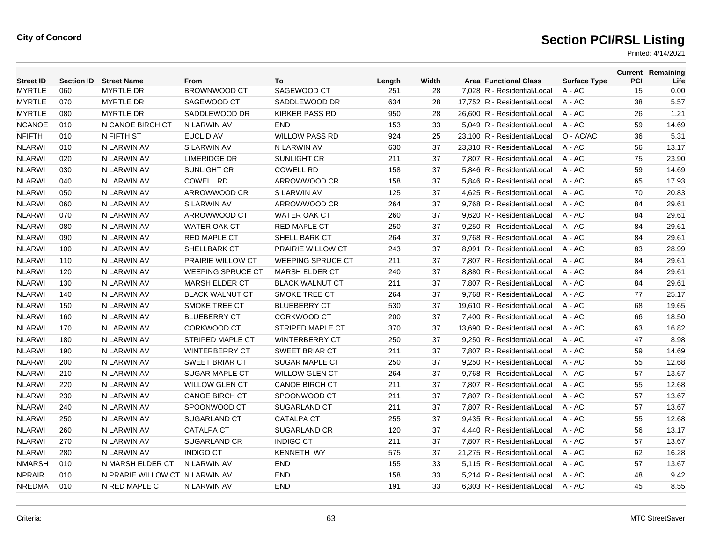| <b>Street ID</b> | <b>Section ID</b> | <b>Street Name</b>             | From                     | To                       | Length | Width | <b>Area Functional Class</b> | <b>Surface Type</b> | PCI | <b>Current Remaining</b><br>Life |
|------------------|-------------------|--------------------------------|--------------------------|--------------------------|--------|-------|------------------------------|---------------------|-----|----------------------------------|
| <b>MYRTLE</b>    | 060               | <b>MYRTLE DR</b>               | <b>BROWNWOOD CT</b>      | SAGEWOOD CT              | 251    | 28    | 7,028 R - Residential/Local  | A - AC              | 15  | 0.00                             |
| <b>MYRTLE</b>    | 070               | <b>MYRTLE DR</b>               | SAGEWOOD CT              | SADDLEWOOD DR            | 634    | 28    | 17,752 R - Residential/Local | $A - AC$            | 38  | 5.57                             |
| <b>MYRTLE</b>    | 080               | <b>MYRTLE DR</b>               | SADDLEWOOD DR            | <b>KIRKER PASS RD</b>    | 950    | 28    | 26.600 R - Residential/Local | $A - AC$            | 26  | 1.21                             |
| <b>NCANOE</b>    | 010               | N CANOE BIRCH CT               | N LARWIN AV              | <b>END</b>               | 153    | 33    | 5,049 R - Residential/Local  | $A - AC$            | 59  | 14.69                            |
| <b>NFIFTH</b>    | 010               | N FIFTH ST                     | <b>EUCLID AV</b>         | <b>WILLOW PASS RD</b>    | 924    | 25    | 23,100 R - Residential/Local | O - AC/AC           | 36  | 5.31                             |
| <b>NLARWI</b>    | 010               | N LARWIN AV                    | S LARWIN AV              | N LARWIN AV              | 630    | 37    | 23.310 R - Residential/Local | $A - AC$            | 56  | 13.17                            |
| <b>NLARWI</b>    | 020               | N LARWIN AV                    | <b>LIMERIDGE DR</b>      | SUNLIGHT CR              | 211    | 37    | 7,807 R - Residential/Local  | $A - AC$            | 75  | 23.90                            |
| <b>NLARWI</b>    | 030               | N LARWIN AV                    | <b>SUNLIGHT CR</b>       | <b>COWELL RD</b>         | 158    | 37    | 5.846 R - Residential/Local  | $A - AC$            | 59  | 14.69                            |
| <b>NLARWI</b>    | 040               | N LARWIN AV                    | <b>COWELL RD</b>         | ARROWWOOD CR             | 158    | 37    | 5.846 R - Residential/Local  | $A - AC$            | 65  | 17.93                            |
| <b>NLARWI</b>    | 050               | N LARWIN AV                    | ARROWWOOD CR             | S LARWIN AV              | 125    | 37    | 4,625 R - Residential/Local  | A - AC              | 70  | 20.83                            |
| <b>NLARWI</b>    | 060               | N LARWIN AV                    | S LARWIN AV              | ARROWWOOD CR             | 264    | 37    | 9,768 R - Residential/Local  | A - AC              | 84  | 29.61                            |
| <b>NLARWI</b>    | 070               | N LARWIN AV                    | ARROWWOOD CT             | <b>WATER OAK CT</b>      | 260    | 37    | 9.620 R - Residential/Local  | $A - AC$            | 84  | 29.61                            |
| <b>NLARWI</b>    | 080               | N LARWIN AV                    | <b>WATER OAK CT</b>      | <b>RED MAPLE CT</b>      | 250    | 37    | 9,250 R - Residential/Local  | $A - AC$            | 84  | 29.61                            |
| <b>NLARWI</b>    | 090               | N LARWIN AV                    | <b>RED MAPLE CT</b>      | SHELL BARK CT            | 264    | 37    | 9,768 R - Residential/Local  | A - AC              | 84  | 29.61                            |
| <b>NLARWI</b>    | 100               | N LARWIN AV                    | SHELLBARK CT             | PRAIRIE WILLOW CT        | 243    | 37    | 8,991 R - Residential/Local  | $A - AC$            | 83  | 28.99                            |
| <b>NLARWI</b>    | 110               | N LARWIN AV                    | PRAIRIE WILLOW CT        | <b>WEEPING SPRUCE CT</b> | 211    | 37    | 7,807 R - Residential/Local  | A - AC              | 84  | 29.61                            |
| <b>NLARWI</b>    | 120               | N LARWIN AV                    | <b>WEEPING SPRUCE CT</b> | <b>MARSH ELDER CT</b>    | 240    | 37    | 8,880 R - Residential/Local  | $A - AC$            | 84  | 29.61                            |
| <b>NLARWI</b>    | 130               | N LARWIN AV                    | <b>MARSH ELDER CT</b>    | <b>BLACK WALNUT CT</b>   | 211    | 37    | 7,807 R - Residential/Local  | $A - AC$            | 84  | 29.61                            |
| <b>NLARWI</b>    | 140               | N LARWIN AV                    | <b>BLACK WALNUT CT</b>   | <b>SMOKE TREE CT</b>     | 264    | 37    | 9,768 R - Residential/Local  | A - AC              | 77  | 25.17                            |
| <b>NLARWI</b>    | 150               | N LARWIN AV                    | <b>SMOKE TREE CT</b>     | <b>BLUEBERRY CT</b>      | 530    | 37    | 19,610 R - Residential/Local | $A - AC$            | 68  | 19.65                            |
| <b>NLARWI</b>    | 160               | N LARWIN AV                    | <b>BLUEBERRY CT</b>      | <b>CORKWOOD CT</b>       | 200    | 37    | 7.400 R - Residential/Local  | $A - AC$            | 66  | 18.50                            |
| <b>NLARWI</b>    | 170               | N LARWIN AV                    | <b>CORKWOOD CT</b>       | <b>STRIPED MAPLE CT</b>  | 370    | 37    | 13,690 R - Residential/Local | $A - AC$            | 63  | 16.82                            |
| <b>NLARWI</b>    | 180               | N LARWIN AV                    | STRIPED MAPLE CT         | <b>WINTERBERRY CT</b>    | 250    | 37    | 9,250 R - Residential/Local  | A - AC              | 47  | 8.98                             |
| <b>NLARWI</b>    | 190               | N LARWIN AV                    | <b>WINTERBERRY CT</b>    | SWEET BRIAR CT           | 211    | 37    | 7,807 R - Residential/Local  | $A - AC$            | 59  | 14.69                            |
| <b>NLARWI</b>    | 200               | N LARWIN AV                    | <b>SWEET BRIAR CT</b>    | <b>SUGAR MAPLE CT</b>    | 250    | 37    | 9,250 R - Residential/Local  | A - AC              | 55  | 12.68                            |
| <b>NLARWI</b>    | 210               | N LARWIN AV                    | <b>SUGAR MAPLE CT</b>    | <b>WILLOW GLEN CT</b>    | 264    | 37    | 9,768 R - Residential/Local  | A - AC              | 57  | 13.67                            |
| <b>NLARWI</b>    | 220               | N LARWIN AV                    | <b>WILLOW GLEN CT</b>    | <b>CANOE BIRCH CT</b>    | 211    | 37    | 7,807 R - Residential/Local  | A - AC              | 55  | 12.68                            |
| <b>NLARWI</b>    | 230               | N LARWIN AV                    | <b>CANOE BIRCH CT</b>    | SPOONWOOD CT             | 211    | 37    | 7,807 R - Residential/Local  | A - AC              | 57  | 13.67                            |
| <b>NLARWI</b>    | 240               | N LARWIN AV                    | SPOONWOOD CT             | <b>SUGARLAND CT</b>      | 211    | 37    | 7,807 R - Residential/Local  | $A - AC$            | 57  | 13.67                            |
| <b>NLARWI</b>    | 250               | N LARWIN AV                    | SUGARLAND CT             | <b>CATALPA CT</b>        | 255    | 37    | 9,435 R - Residential/Local  | $A - AC$            | 55  | 12.68                            |
| <b>NLARWI</b>    | 260               | N LARWIN AV                    | <b>CATALPA CT</b>        | <b>SUGARLAND CR</b>      | 120    | 37    | 4,440 R - Residential/Local  | $A - AC$            | 56  | 13.17                            |
| <b>NLARWI</b>    | 270               | N LARWIN AV                    | <b>SUGARLAND CR</b>      | <b>INDIGO CT</b>         | 211    | 37    | 7,807 R - Residential/Local  | $A - AC$            | 57  | 13.67                            |
| <b>NLARWI</b>    | 280               | N LARWIN AV                    | <b>INDIGO CT</b>         | <b>KENNETH WY</b>        | 575    | 37    | 21.275 R - Residential/Local | $A - AC$            | 62  | 16.28                            |
| <b>NMARSH</b>    | 010               | N MARSH ELDER CT               | N LARWIN AV              | <b>END</b>               | 155    | 33    | 5.115 R - Residential/Local  | $A - AC$            | 57  | 13.67                            |
| <b>NPRAIR</b>    | 010               | N PRARIE WILLOW CT N LARWIN AV |                          | <b>END</b>               | 158    | 33    | 5,214 R - Residential/Local  | A - AC              | 48  | 9.42                             |
| <b>NREDMA</b>    | 010               | N RED MAPLE CT                 | N LARWIN AV              | <b>END</b>               | 191    | 33    | 6,303 R - Residential/Local  | $A - AC$            | 45  | 8.55                             |
|                  |                   |                                |                          |                          |        |       |                              |                     |     |                                  |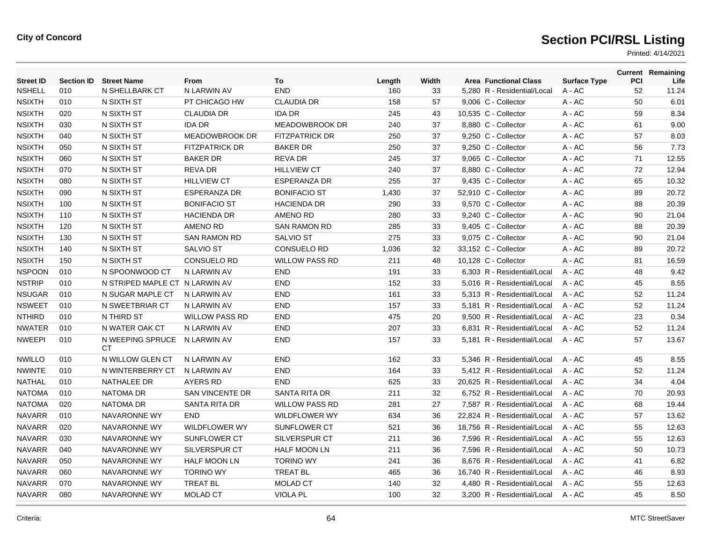| <b>Street ID</b> | <b>Section ID</b> | <b>Street Name</b>             | <b>From</b>            | To                    | Length | Width | <b>Area Functional Class</b> | <b>Surface Type</b> | <b>PCI</b> | <b>Current Remaining</b><br>Life |
|------------------|-------------------|--------------------------------|------------------------|-----------------------|--------|-------|------------------------------|---------------------|------------|----------------------------------|
| <b>NSHELL</b>    | 010               | N SHELLBARK CT                 | N LARWIN AV            | <b>END</b>            | 160    | 33    | 5,280 R - Residential/Local  | $A - AC$            | 52         | 11.24                            |
| <b>NSIXTH</b>    | 010               | N SIXTH ST                     | PT CHICAGO HW          | <b>CLAUDIA DR</b>     | 158    | 57    | 9,006 C - Collector          | $A - AC$            | 50         | 6.01                             |
| <b>NSIXTH</b>    | 020               | N SIXTH ST                     | <b>CLAUDIA DR</b>      | <b>IDA DR</b>         | 245    | 43    | 10.535 C - Collector         | $A - AC$            | 59         | 8.34                             |
| <b>NSIXTH</b>    | 030               | N SIXTH ST                     | <b>IDA DR</b>          | <b>MEADOWBROOK DR</b> | 240    | 37    | 8,880 C - Collector          | $A - AC$            | 61         | 9.00                             |
| NSIXTH           | 040               | N SIXTH ST                     | MEADOWBROOK DR         | <b>FITZPATRICK DR</b> | 250    | 37    | 9,250 C - Collector          | $A - AC$            | 57         | 8.03                             |
| <b>NSIXTH</b>    | 050               | N SIXTH ST                     | <b>FITZPATRICK DR</b>  | <b>BAKER DR</b>       | 250    | 37    | 9,250 C - Collector          | $A - AC$            | 56         | 7.73                             |
| <b>NSIXTH</b>    | 060               | N SIXTH ST                     | <b>BAKER DR</b>        | <b>REVA DR</b>        | 245    | 37    | 9,065 C - Collector          | $A - AC$            | 71         | 12.55                            |
| <b>NSIXTH</b>    | 070               | N SIXTH ST                     | <b>REVA DR</b>         | <b>HILLVIEW CT</b>    | 240    | 37    | 8,880 C - Collector          | $A - AC$            | 72         | 12.94                            |
| <b>NSIXTH</b>    | 080               | N SIXTH ST                     | <b>HILLVIEW CT</b>     | <b>ESPERANZA DR</b>   | 255    | 37    | 9,435 C - Collector          | $A - AC$            | 65         | 10.32                            |
| <b>NSIXTH</b>    | 090               | N SIXTH ST                     | <b>ESPERANZA DR</b>    | <b>BONIFACIO ST</b>   | 1,430  | 37    | 52,910 C - Collector         | A - AC              | 89         | 20.72                            |
| <b>NSIXTH</b>    | 100               | N SIXTH ST                     | <b>BONIFACIO ST</b>    | <b>HACIENDA DR</b>    | 290    | 33    | 9,570 C - Collector          | A - AC              | 88         | 20.39                            |
| <b>NSIXTH</b>    | 110               | N SIXTH ST                     | <b>HACIENDA DR</b>     | AMENO RD              | 280    | 33    | 9,240 C - Collector          | $A - AC$            | 90         | 21.04                            |
| <b>NSIXTH</b>    | 120               | N SIXTH ST                     | <b>AMENO RD</b>        | <b>SAN RAMON RD</b>   | 285    | 33    | 9,405 C - Collector          | A - AC              | 88         | 20.39                            |
| <b>NSIXTH</b>    | 130               | N SIXTH ST                     | <b>SAN RAMON RD</b>    | <b>SALVIO ST</b>      | 275    | 33    | 9,075 C - Collector          | $A - AC$            | 90         | 21.04                            |
| <b>NSIXTH</b>    | 140               | N SIXTH ST                     | <b>SALVIO ST</b>       | <b>CONSUELO RD</b>    | 1,036  | 32    | 33,152 C - Collector         | A - AC              | 89         | 20.72                            |
| <b>NSIXTH</b>    | 150               | N SIXTH ST                     | <b>CONSUELO RD</b>     | <b>WILLOW PASS RD</b> | 211    | 48    | 10,128 C - Collector         | A - AC              | 81         | 16.59                            |
| <b>NSPOON</b>    | 010               | N SPOONWOOD CT                 | N LARWIN AV            | <b>END</b>            | 191    | 33    | 6.303 R - Residential/Local  | $A - AC$            | 48         | 9.42                             |
| <b>NSTRIP</b>    | 010               | N STRIPED MAPLE CT N LARWIN AV |                        | <b>END</b>            | 152    | 33    | 5.016 R - Residential/Local  | $A - AC$            | 45         | 8.55                             |
| <b>NSUGAR</b>    | 010               | N SUGAR MAPLE CT               | N LARWIN AV            | <b>END</b>            | 161    | 33    | 5,313 R - Residential/Local  | $A - AC$            | 52         | 11.24                            |
| <b>NSWEET</b>    | 010               | N SWEETBRIAR CT                | N LARWIN AV            | <b>END</b>            | 157    | 33    | 5,181 R - Residential/Local  | $A - AC$            | 52         | 11.24                            |
| <b>NTHIRD</b>    | 010               | N THIRD ST                     | <b>WILLOW PASS RD</b>  | <b>END</b>            | 475    | 20    | 9,500 R - Residential/Local  | $A - AC$            | 23         | 0.34                             |
| <b>NWATER</b>    | 010               | N WATER OAK CT                 | N LARWIN AV            | <b>END</b>            | 207    | 33    | 6.831 R - Residential/Local  | $A - AC$            | 52         | 11.24                            |
| <b>NWEEPI</b>    | 010               | N WEEPING SPRUCE<br>СT         | N LARWIN AV            | <b>END</b>            | 157    | 33    | 5,181 R - Residential/Local  | $A - AC$            | 57         | 13.67                            |
| NWILLO           | 010               | N WILLOW GLEN CT               | N LARWIN AV            | <b>END</b>            | 162    | 33    | 5,346 R - Residential/Local  | A - AC              | 45         | 8.55                             |
| <b>NWINTE</b>    | 010               | N WINTERBERRY CT               | N LARWIN AV            | <b>END</b>            | 164    | 33    | 5,412 R - Residential/Local  | $A - AC$            | 52         | 11.24                            |
| NATHAL           | 010               | NATHALEE DR                    | <b>AYERS RD</b>        | <b>END</b>            | 625    | 33    | 20,625 R - Residential/Local | $A - AC$            | 34         | 4.04                             |
| <b>NATOMA</b>    | 010               | <b>NATOMA DR</b>               | <b>SAN VINCENTE DR</b> | SANTA RITA DR         | 211    | 32    | 6.752 R - Residential/Local  | $A - AC$            | 70         | 20.93                            |
| <b>NATOMA</b>    | 020               | <b>NATOMA DR</b>               | SANTA RITA DR          | <b>WILLOW PASS RD</b> | 281    | 27    | 7,587 R - Residential/Local  | $A - AC$            | 68         | 19.44                            |
| <b>NAVARR</b>    | 010               | NAVARONNE WY                   | END                    | <b>WILDFLOWER WY</b>  | 634    | 36    | 22,824 R - Residential/Local | A - AC              | 57         | 13.62                            |
| <b>NAVARR</b>    | 020               | NAVARONNE WY                   | <b>WILDFLOWER WY</b>   | <b>SUNFLOWER CT</b>   | 521    | 36    | 18,756 R - Residential/Local | $A - AC$            | 55         | 12.63                            |
| <b>NAVARR</b>    | 030               | NAVARONNE WY                   | <b>SUNFLOWER CT</b>    | SILVERSPUR CT         | 211    | 36    | 7,596 R - Residential/Local  | $A - AC$            | 55         | 12.63                            |
| <b>NAVARR</b>    | 040               | NAVARONNE WY                   | <b>SILVERSPUR CT</b>   | <b>HALF MOON LN</b>   | 211    | 36    | 7.596 R - Residential/Local  | $A - AC$            | 50         | 10.73                            |
| <b>NAVARR</b>    | 050               | NAVARONNE WY                   | <b>HALF MOON LN</b>    | <b>TORINO WY</b>      | 241    | 36    | 8.676 R - Residential/Local  | $A - AC$            | 41         | 6.82                             |
| <b>NAVARR</b>    | 060               | NAVARONNE WY                   | <b>TORINO WY</b>       | <b>TREAT BL</b>       | 465    | 36    | 16,740 R - Residential/Local | $A - AC$            | 46         | 8.93                             |
| <b>NAVARR</b>    | 070               | NAVARONNE WY                   | <b>TREAT BL</b>        | <b>MOLAD CT</b>       | 140    | 32    | 4,480 R - Residential/Local  | $A - AC$            | 55         | 12.63                            |
| <b>NAVARR</b>    | 080               | <b>NAVARONNE WY</b>            | <b>MOLAD CT</b>        | VIOLA PL              | 100    | 32    | 3.200 R - Residential/Local  | $A - AC$            | 45         | 8.50                             |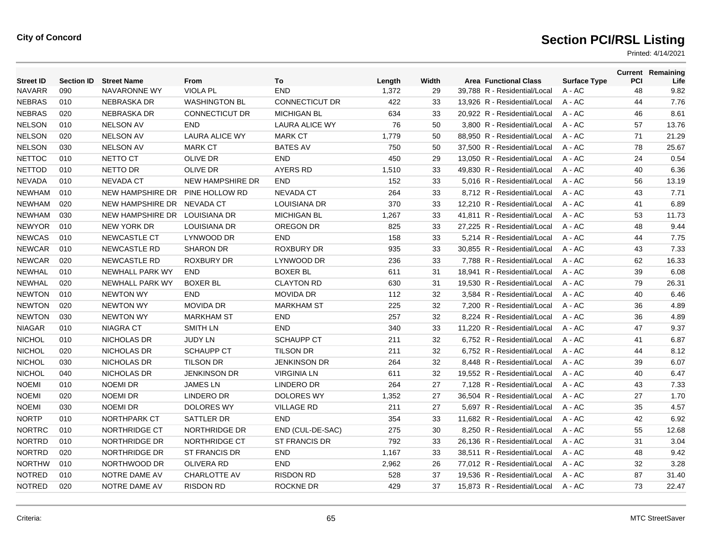| <b>Street ID</b> | <b>Section ID</b> | <b>Street Name</b>      | From                    | To                    | Length | Width | <b>Area Functional Class</b> | <b>Surface Type</b> | PCI | <b>Current Remaining</b><br>Life |
|------------------|-------------------|-------------------------|-------------------------|-----------------------|--------|-------|------------------------------|---------------------|-----|----------------------------------|
| <b>NAVARR</b>    | 090               | NAVARONNE WY            | <b>VIOLA PL</b>         | <b>END</b>            | 1,372  | 29    | 39,788 R - Residential/Local | A - AC              | 48  | 9.82                             |
| <b>NEBRAS</b>    | 010               | <b>NEBRASKA DR</b>      | <b>WASHINGTON BL</b>    | <b>CONNECTICUT DR</b> | 422    | 33    | 13,926 R - Residential/Local | A - AC              | 44  | 7.76                             |
| <b>NEBRAS</b>    | 020               | <b>NEBRASKA DR</b>      | <b>CONNECTICUT DR</b>   | <b>MICHIGAN BL</b>    | 634    | 33    | 20,922 R - Residential/Local | $A - AC$            | 46  | 8.61                             |
| <b>NELSON</b>    | 010               | <b>NELSON AV</b>        | <b>END</b>              | <b>LAURA ALICE WY</b> | 76     | 50    | 3,800 R - Residential/Local  | $A - AC$            | 57  | 13.76                            |
| <b>NELSON</b>    | 020               | <b>NELSON AV</b>        | <b>LAURA ALICE WY</b>   | <b>MARK CT</b>        | 1,779  | 50    | 88,950 R - Residential/Local | A - AC              | 71  | 21.29                            |
| <b>NELSON</b>    | 030               | <b>NELSON AV</b>        | <b>MARK CT</b>          | <b>BATES AV</b>       | 750    | 50    | 37.500 R - Residential/Local | $A - AC$            | 78  | 25.67                            |
| <b>NETTOC</b>    | 010               | NETTO CT                | <b>OLIVE DR</b>         | <b>END</b>            | 450    | 29    | 13.050 R - Residential/Local | $A - AC$            | 24  | 0.54                             |
| <b>NETTOD</b>    | 010               | NETTO DR                | <b>OLIVE DR</b>         | <b>AYERS RD</b>       | 1,510  | 33    | 49,830 R - Residential/Local | $A - AC$            | 40  | 6.36                             |
| <b>NEVADA</b>    | 010               | <b>NEVADA CT</b>        | <b>NEW HAMPSHIRE DR</b> | <b>END</b>            | 152    | 33    | 5,016 R - Residential/Local  | $A - AC$            | 56  | 13.19                            |
| <b>NEWHAM</b>    | 010               | <b>NEW HAMPSHIRE DR</b> | PINE HOLLOW RD          | <b>NEVADA CT</b>      | 264    | 33    | 8,712 R - Residential/Local  | $A - AC$            | 43  | 7.71                             |
| <b>NEWHAM</b>    | 020               | <b>NEW HAMPSHIRE DR</b> | <b>NEVADA CT</b>        | <b>LOUISIANA DR</b>   | 370    | 33    | 12.210 R - Residential/Local | $A - AC$            | 41  | 6.89                             |
| <b>NEWHAM</b>    | 030               | NEW HAMPSHIRE DR        | <b>LOUISIANA DR</b>     | <b>MICHIGAN BL</b>    | 1,267  | 33    | 41,811 R - Residential/Local | A - AC              | 53  | 11.73                            |
| <b>NEWYOR</b>    | 010               | <b>NEW YORK DR</b>      | <b>LOUISIANA DR</b>     | OREGON DR             | 825    | 33    | 27,225 R - Residential/Local | A - AC              | 48  | 9.44                             |
| <b>NEWCAS</b>    | 010               | <b>NEWCASTLE CT</b>     | LYNWOOD DR              | <b>END</b>            | 158    | 33    | 5,214 R - Residential/Local  | $A - AC$            | 44  | 7.75                             |
| <b>NEWCAR</b>    | 010               | NEWCASTLE RD            | <b>SHARON DR</b>        | <b>ROXBURY DR</b>     | 935    | 33    | 30,855 R - Residential/Local | $A - AC$            | 43  | 7.33                             |
| <b>NEWCAR</b>    | 020               | <b>NEWCASTLE RD</b>     | <b>ROXBURY DR</b>       | LYNWOOD DR            | 236    | 33    | 7,788 R - Residential/Local  | A - AC              | 62  | 16.33                            |
| <b>NEWHAL</b>    | 010               | <b>NEWHALL PARK WY</b>  | <b>END</b>              | <b>BOXER BL</b>       | 611    | 31    | 18,941 R - Residential/Local | $A - AC$            | 39  | 6.08                             |
| <b>NEWHAL</b>    | 020               | <b>NEWHALL PARK WY</b>  | <b>BOXER BL</b>         | <b>CLAYTON RD</b>     | 630    | 31    | 19.530 R - Residential/Local | $A - AC$            | 79  | 26.31                            |
| <b>NEWTON</b>    | 010               | <b>NEWTON WY</b>        | <b>END</b>              | <b>MOVIDA DR</b>      | 112    | 32    | 3,584 R - Residential/Local  | A - AC              | 40  | 6.46                             |
| <b>NEWTON</b>    | 020               | <b>NEWTON WY</b>        | <b>MOVIDA DR</b>        | <b>MARKHAM ST</b>     | 225    | 32    | 7,200 R - Residential/Local  | A - AC              | 36  | 4.89                             |
| <b>NEWTON</b>    | 030               | <b>NEWTON WY</b>        | <b>MARKHAM ST</b>       | <b>END</b>            | 257    | 32    | 8.224 R - Residential/Local  | $A - AC$            | 36  | 4.89                             |
| <b>NIAGAR</b>    | 010               | <b>NIAGRA CT</b>        | <b>SMITH LN</b>         | <b>END</b>            | 340    | 33    | 11.220 R - Residential/Local | $A - AC$            | 47  | 9.37                             |
| <b>NICHOL</b>    | 010               | NICHOLAS DR             | <b>JUDY LN</b>          | <b>SCHAUPP CT</b>     | 211    | 32    | 6,752 R - Residential/Local  | $A - AC$            | 41  | 6.87                             |
| <b>NICHOL</b>    | 020               | <b>NICHOLAS DR</b>      | <b>SCHAUPP CT</b>       | <b>TILSON DR</b>      | 211    | 32    | 6.752 R - Residential/Local  | $A - AC$            | 44  | 8.12                             |
| <b>NICHOL</b>    | 030               | <b>NICHOLAS DR</b>      | <b>TILSON DR</b>        | <b>JENKINSON DR</b>   | 264    | 32    | 8.448 R - Residential/Local  | $A - AC$            | 39  | 6.07                             |
| <b>NICHOL</b>    | 040               | NICHOLAS DR             | <b>JENKINSON DR</b>     | <b>VIRGINIA LN</b>    | 611    | 32    | 19,552 R - Residential/Local | $A - AC$            | 40  | 6.47                             |
| <b>NOEMI</b>     | 010               | <b>NOEMI DR</b>         | <b>JAMES LN</b>         | LINDERO DR            | 264    | 27    | 7,128 R - Residential/Local  | A - AC              | 43  | 7.33                             |
| <b>NOEMI</b>     | 020               | <b>NOEMI DR</b>         | LINDERO DR              | <b>DOLORES WY</b>     | 1,352  | 27    | 36,504 R - Residential/Local | $A - AC$            | 27  | 1.70                             |
| <b>NOEMI</b>     | 030               | <b>NOEMI DR</b>         | <b>DOLORES WY</b>       | <b>VILLAGE RD</b>     | 211    | 27    | 5.697 R - Residential/Local  | $A - AC$            | 35  | 4.57                             |
| <b>NORTP</b>     | 010               | NORTHPARK CT            | SATTLER DR              | <b>END</b>            | 354    | 33    | 11,682 R - Residential/Local | A - AC              | 42  | 6.92                             |
| <b>NORTRC</b>    | 010               | NORTHRIDGE CT           | NORTHRIDGE DR           | END (CUL-DE-SAC)      | 275    | 30    | 8,250 R - Residential/Local  | $A - AC$            | 55  | 12.68                            |
| <b>NORTRD</b>    | 010               | NORTHRIDGE DR           | NORTHRIDGE CT           | ST FRANCIS DR         | 792    | 33    | 26,136 R - Residential/Local | A - AC              | 31  | 3.04                             |
| <b>NORTRD</b>    | 020               | <b>NORTHRIDGE DR</b>    | <b>ST FRANCIS DR</b>    | <b>END</b>            | 1,167  | 33    | 38.511 R - Residential/Local | $A - AC$            | 48  | 9.42                             |
| <b>NORTHW</b>    | 010               | NORTHWOOD DR            | <b>OLIVERA RD</b>       | <b>END</b>            | 2,962  | 26    | 77,012 R - Residential/Local | A - AC              | 32  | 3.28                             |
| <b>NOTRED</b>    | 010               | NOTRE DAME AV           | <b>CHARLOTTE AV</b>     | <b>RISDON RD</b>      | 528    | 37    | 19.536 R - Residential/Local | A - AC              | 87  | 31.40                            |
| <b>NOTRED</b>    | 020               | NOTRE DAME AV           | <b>RISDON RD</b>        | <b>ROCKNE DR</b>      | 429    | 37    | 15.873 R - Residential/Local | $A - AC$            | 73  | 22.47                            |
|                  |                   |                         |                         |                       |        |       |                              |                     |     |                                  |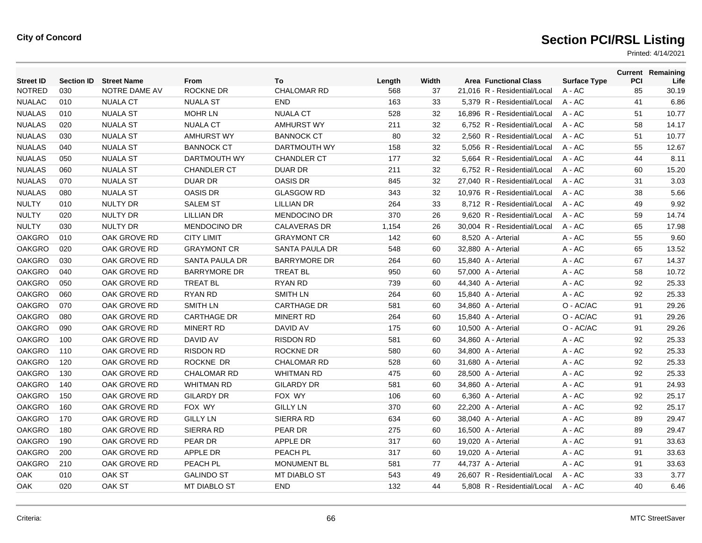| <b>Street ID</b> | <b>Section ID</b> | <b>Street Name</b> | From                  | To                    | Length | Width | <b>Area Functional Class</b> | <b>Surface Type</b> | PCI | <b>Current Remaining</b><br>Life |
|------------------|-------------------|--------------------|-----------------------|-----------------------|--------|-------|------------------------------|---------------------|-----|----------------------------------|
| <b>NOTRED</b>    | 030               | NOTRE DAME AV      | ROCKNE DR             | <b>CHALOMAR RD</b>    | 568    | 37    | 21,016 R - Residential/Local | A - AC              | 85  | 30.19                            |
| <b>NUALAC</b>    | 010               | <b>NUALA CT</b>    | <b>NUALA ST</b>       | <b>END</b>            | 163    | 33    | 5,379 R - Residential/Local  | $A - AC$            | 41  | 6.86                             |
| <b>NUALAS</b>    | 010               | <b>NUALA ST</b>    | <b>MOHR LN</b>        | <b>NUALA CT</b>       | 528    | 32    | 16.896 R - Residential/Local | $A - AC$            | 51  | 10.77                            |
| <b>NUALAS</b>    | 020               | <b>NUALA ST</b>    | <b>NUALA CT</b>       | <b>AMHURST WY</b>     | 211    | 32    | 6,752 R - Residential/Local  | A - AC              | 58  | 14.17                            |
| <b>NUALAS</b>    | 030               | <b>NUALA ST</b>    | <b>AMHURST WY</b>     | <b>BANNOCK CT</b>     | 80     | 32    | 2.560 R - Residential/Local  | $A - AC$            | 51  | 10.77                            |
| <b>NUALAS</b>    | 040               | <b>NUALA ST</b>    | <b>BANNOCK CT</b>     | DARTMOUTH WY          | 158    | 32    | 5.056 R - Residential/Local  | $A - AC$            | 55  | 12.67                            |
| <b>NUALAS</b>    | 050               | <b>NUALA ST</b>    | DARTMOUTH WY          | <b>CHANDLER CT</b>    | 177    | 32    | 5,664 R - Residential/Local  | A - AC              | 44  | 8.11                             |
| <b>NUALAS</b>    | 060               | <b>NUALA ST</b>    | <b>CHANDLER CT</b>    | <b>DUAR DR</b>        | 211    | 32    | 6,752 R - Residential/Local  | $A - AC$            | 60  | 15.20                            |
| <b>NUALAS</b>    | 070               | <b>NUALA ST</b>    | <b>DUAR DR</b>        | <b>OASIS DR</b>       | 845    | 32    | 27.040 R - Residential/Local | $A - AC$            | 31  | 3.03                             |
| <b>NUALAS</b>    | 080               | <b>NUALA ST</b>    | <b>OASIS DR</b>       | <b>GLASGOW RD</b>     | 343    | 32    | 10,976 R - Residential/Local | A - AC              | 38  | 5.66                             |
| <b>NULTY</b>     | 010               | <b>NULTY DR</b>    | <b>SALEM ST</b>       | <b>LILLIAN DR</b>     | 264    | 33    | 8,712 R - Residential/Local  | A - AC              | 49  | 9.92                             |
| <b>NULTY</b>     | 020               | <b>NULTY DR</b>    | <b>LILLIAN DR</b>     | <b>MENDOCINO DR</b>   | 370    | 26    | 9.620 R - Residential/Local  | $A - AC$            | 59  | 14.74                            |
| <b>NULTY</b>     | 030               | <b>NULTY DR</b>    | <b>MENDOCINO DR</b>   | <b>CALAVERAS DR</b>   | 1,154  | 26    | 30,004 R - Residential/Local | $A - AC$            | 65  | 17.98                            |
| <b>OAKGRO</b>    | 010               | OAK GROVE RD       | <b>CITY LIMIT</b>     | <b>GRAYMONT CR</b>    | 142    | 60    | 8,520 A - Arterial           | A - AC              | 55  | 9.60                             |
| <b>OAKGRO</b>    | 020               | OAK GROVE RD       | <b>GRAYMONT CR</b>    | <b>SANTA PAULA DR</b> | 548    | 60    | 32,880 A - Arterial          | A - AC              | 65  | 13.52                            |
| <b>OAKGRO</b>    | 030               | OAK GROVE RD       | <b>SANTA PAULA DR</b> | <b>BARRYMORE DR</b>   | 264    | 60    | 15,840 A - Arterial          | A - AC              | 67  | 14.37                            |
| <b>OAKGRO</b>    | 040               | OAK GROVE RD       | <b>BARRYMORE DR</b>   | <b>TREAT BL</b>       | 950    | 60    | 57,000 A - Arterial          | A - AC              | 58  | 10.72                            |
| <b>OAKGRO</b>    | 050               | OAK GROVE RD       | <b>TREAT BL</b>       | <b>RYAN RD</b>        | 739    | 60    | 44,340 A - Arterial          | $A - AC$            | 92  | 25.33                            |
| <b>OAKGRO</b>    | 060               | OAK GROVE RD       | RYAN RD               | <b>SMITH LN</b>       | 264    | 60    | 15,840 A - Arterial          | $A - AC$            | 92  | 25.33                            |
| <b>OAKGRO</b>    | 070               | OAK GROVE RD       | <b>SMITH LN</b>       | <b>CARTHAGE DR</b>    | 581    | 60    | 34,860 A - Arterial          | O - AC/AC           | 91  | 29.26                            |
| <b>OAKGRO</b>    | 080               | OAK GROVE RD       | <b>CARTHAGE DR</b>    | <b>MINERT RD</b>      | 264    | 60    | 15,840 A - Arterial          | O - AC/AC           | 91  | 29.26                            |
| <b>OAKGRO</b>    | 090               | OAK GROVE RD       | <b>MINERT RD</b>      | DAVID AV              | 175    | 60    | 10,500 A - Arterial          | O - AC/AC           | 91  | 29.26                            |
| <b>OAKGRO</b>    | 100               | OAK GROVE RD       | DAVID AV              | <b>RISDON RD</b>      | 581    | 60    | 34,860 A - Arterial          | A - AC              | 92  | 25.33                            |
| <b>OAKGRO</b>    | 110               | OAK GROVE RD       | <b>RISDON RD</b>      | ROCKNE DR             | 580    | 60    | 34,800 A - Arterial          | A - AC              | 92  | 25.33                            |
| <b>OAKGRO</b>    | 120               | OAK GROVE RD       | <b>ROCKNE DR</b>      | <b>CHALOMAR RD</b>    | 528    | 60    | 31,680 A - Arterial          | A - AC              | 92  | 25.33                            |
| <b>OAKGRO</b>    | 130               | OAK GROVE RD       | <b>CHALOMAR RD</b>    | <b>WHITMAN RD</b>     | 475    | 60    | 28,500 A - Arterial          | A - AC              | 92  | 25.33                            |
| <b>OAKGRO</b>    | 140               | OAK GROVE RD       | <b>WHITMAN RD</b>     | <b>GILARDY DR</b>     | 581    | 60    | 34,860 A - Arterial          | A - AC              | 91  | 24.93                            |
| <b>OAKGRO</b>    | 150               | OAK GROVE RD       | <b>GILARDY DR</b>     | FOX WY                | 106    | 60    | 6,360 A - Arterial           | A - AC              | 92  | 25.17                            |
| <b>OAKGRO</b>    | 160               | OAK GROVE RD       | FOX WY                | <b>GILLY LN</b>       | 370    | 60    | 22,200 A - Arterial          | A - AC              | 92  | 25.17                            |
| <b>OAKGRO</b>    | 170               | OAK GROVE RD       | <b>GILLY LN</b>       | <b>SIERRA RD</b>      | 634    | 60    | 38,040 A - Arterial          | A - AC              | 89  | 29.47                            |
| <b>OAKGRO</b>    | 180               | OAK GROVE RD       | <b>SIERRA RD</b>      | PEAR DR               | 275    | 60    | 16,500 A - Arterial          | $A - AC$            | 89  | 29.47                            |
| <b>OAKGRO</b>    | 190               | OAK GROVE RD       | PEAR DR               | <b>APPLE DR</b>       | 317    | 60    | 19,020 A - Arterial          | A - AC              | 91  | 33.63                            |
| <b>OAKGRO</b>    | 200               | OAK GROVE RD       | <b>APPLE DR</b>       | PEACH PL              | 317    | 60    | 19,020 A - Arterial          | $A - AC$            | 91  | 33.63                            |
| <b>OAKGRO</b>    | 210               | OAK GROVE RD       | PEACH PL              | <b>MONUMENT BL</b>    | 581    | 77    | 44,737 A - Arterial          | $A - AC$            | 91  | 33.63                            |
| OAK              | 010               | OAK ST             | <b>GALINDO ST</b>     | MT DIABLO ST          | 543    | 49    | 26,607 R - Residential/Local | $A - AC$            | 33  | 3.77                             |
| <b>OAK</b>       | 020               | OAK ST             | <b>MT DIABLO ST</b>   | <b>END</b>            | 132    | 44    | 5,808 R - Residential/Local  | $A - AC$            | 40  | 6.46                             |
|                  |                   |                    |                       |                       |        |       |                              |                     |     |                                  |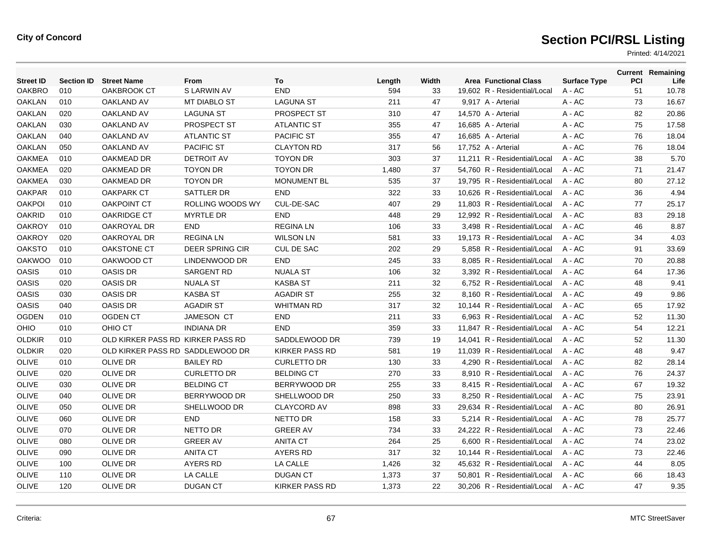| <b>Street ID</b> | <b>Section ID</b> | <b>Street Name</b>                | From                    | To                    | Length | Width | <b>Area Functional Class</b> | <b>Surface Type</b> | PCI | <b>Current Remaining</b><br>Life |
|------------------|-------------------|-----------------------------------|-------------------------|-----------------------|--------|-------|------------------------------|---------------------|-----|----------------------------------|
| <b>OAKBRO</b>    | 010               | <b>OAKBROOK CT</b>                | S LARWIN AV             | <b>END</b>            | 594    | 33    | 19,602 R - Residential/Local | A - AC              | 51  | 10.78                            |
| <b>OAKLAN</b>    | 010               | <b>OAKLAND AV</b>                 | <b>MT DIABLO ST</b>     | <b>LAGUNA ST</b>      | 211    | 47    | 9,917 A - Arterial           | A - AC              | 73  | 16.67                            |
| <b>OAKLAN</b>    | 020               | <b>OAKLAND AV</b>                 | <b>LAGUNA ST</b>        | PROSPECT ST           | 310    | 47    | 14,570 A - Arterial          | A - AC              | 82  | 20.86                            |
| <b>OAKLAN</b>    | 030               | <b>OAKLAND AV</b>                 | PROSPECT ST             | <b>ATLANTIC ST</b>    | 355    | 47    | 16,685 A - Arterial          | A - AC              | 75  | 17.58                            |
| <b>OAKLAN</b>    | 040               | <b>OAKLAND AV</b>                 | <b>ATLANTIC ST</b>      | <b>PACIFIC ST</b>     | 355    | 47    | 16,685 A - Arterial          | A - AC              | 76  | 18.04                            |
| <b>OAKLAN</b>    | 050               | <b>OAKLAND AV</b>                 | <b>PACIFIC ST</b>       | <b>CLAYTON RD</b>     | 317    | 56    | 17,752 A - Arterial          | A - AC              | 76  | 18.04                            |
| <b>OAKMEA</b>    | 010               | OAKMEAD DR                        | <b>DETROIT AV</b>       | <b>TOYON DR</b>       | 303    | 37    | 11.211 R - Residential/Local | $A - AC$            | 38  | 5.70                             |
| <b>OAKMEA</b>    | 020               | OAKMEAD DR                        | <b>TOYON DR</b>         | <b>TOYON DR</b>       | 1,480  | 37    | 54,760 R - Residential/Local | $A - AC$            | 71  | 21.47                            |
| <b>OAKMEA</b>    | 030               | OAKMEAD DR                        | <b>TOYON DR</b>         | <b>MONUMENT BL</b>    | 535    | 37    | 19,795 R - Residential/Local | A - AC              | 80  | 27.12                            |
| <b>OAKPAR</b>    | 010               | <b>OAKPARK CT</b>                 | SATTLER DR              | <b>END</b>            | 322    | 33    | 10.626 R - Residential/Local | $A - AC$            | 36  | 4.94                             |
| <b>OAKPOL</b>    | 010               | <b>OAKPOINT CT</b>                | <b>ROLLING WOODS WY</b> | CUL-DE-SAC            | 407    | 29    | 11.803 R - Residential/Local | $A - AC$            | 77  | 25.17                            |
| <b>OAKRID</b>    | 010               | <b>OAKRIDGE CT</b>                | <b>MYRTLE DR</b>        | END                   | 448    | 29    | 12,992 R - Residential/Local | A - AC              | 83  | 29.18                            |
| <b>OAKROY</b>    | 010               | OAKROYAL DR                       | <b>END</b>              | <b>REGINALN</b>       | 106    | 33    | 3,498 R - Residential/Local  | A - AC              | 46  | 8.87                             |
| <b>OAKROY</b>    | 020               | OAKROYAL DR                       | <b>REGINALN</b>         | <b>WILSON LN</b>      | 581    | 33    | 19,173 R - Residential/Local | $A - AC$            | 34  | 4.03                             |
| <b>OAKSTO</b>    | 010               | <b>OAKSTONE CT</b>                | <b>DEER SPRING CIR</b>  | <b>CUL DE SAC</b>     | 202    | 29    | 5,858 R - Residential/Local  | $A - AC$            | 91  | 33.69                            |
| <b>OAKWOO</b>    | 010               | OAKWOOD CT                        | LINDENWOOD DR           | END                   | 245    | 33    | 8,085 R - Residential/Local  | A - AC              | 70  | 20.88                            |
| <b>OASIS</b>     | 010               | <b>OASIS DR</b>                   | <b>SARGENT RD</b>       | <b>NUALA ST</b>       | 106    | 32    | 3,392 R - Residential/Local  | $A - AC$            | 64  | 17.36                            |
| <b>OASIS</b>     | 020               | <b>OASIS DR</b>                   | <b>NUALA ST</b>         | <b>KASBA ST</b>       | 211    | 32    | 6.752 R - Residential/Local  | $A - AC$            | 48  | 9.41                             |
| <b>OASIS</b>     | 030               | <b>OASIS DR</b>                   | <b>KASBA ST</b>         | <b>AGADIR ST</b>      | 255    | 32    | 8,160 R - Residential/Local  | $A - AC$            | 49  | 9.86                             |
| <b>OASIS</b>     | 040               | <b>OASIS DR</b>                   | <b>AGADIR ST</b>        | <b>WHITMAN RD</b>     | 317    | 32    | 10,144 R - Residential/Local | A - AC              | 65  | 17.92                            |
| <b>OGDEN</b>     | 010               | <b>OGDEN CT</b>                   | <b>JAMESON CT</b>       | <b>END</b>            | 211    | 33    | 6.963 R - Residential/Local  | $A - AC$            | 52  | 11.30                            |
| <b>OHIO</b>      | 010               | OHIO CT                           | <b>INDIANA DR</b>       | <b>END</b>            | 359    | 33    | 11.847 R - Residential/Local | $A - AC$            | 54  | 12.21                            |
| <b>OLDKIR</b>    | 010               | OLD KIRKER PASS RD KIRKER PASS RD |                         | SADDLEWOOD DR         | 739    | 19    | 14,041 R - Residential/Local | A - AC              | 52  | 11.30                            |
| <b>OLDKIR</b>    | 020               | OLD KIRKER PASS RD SADDLEWOOD DR  |                         | <b>KIRKER PASS RD</b> | 581    | 19    | 11.039 R - Residential/Local | $A - AC$            | 48  | 9.47                             |
| <b>OLIVE</b>     | 010               | <b>OLIVE DR</b>                   | <b>BAILEY RD</b>        | <b>CURLETTO DR</b>    | 130    | 33    | 4.290 R - Residential/Local  | $A - AC$            | 82  | 28.14                            |
| <b>OLIVE</b>     | 020               | <b>OLIVE DR</b>                   | <b>CURLETTO DR</b>      | <b>BELDING CT</b>     | 270    | 33    | 8,910 R - Residential/Local  | $A - AC$            | 76  | 24.37                            |
| <b>OLIVE</b>     | 030               | <b>OLIVE DR</b>                   | <b>BELDING CT</b>       | BERRYWOOD DR          | 255    | 33    | 8,415 R - Residential/Local  | A - AC              | 67  | 19.32                            |
| <b>OLIVE</b>     | 040               | <b>OLIVE DR</b>                   | BERRYWOOD DR            | SHELLWOOD DR          | 250    | 33    | 8.250 R - Residential/Local  | $A - AC$            | 75  | 23.91                            |
| <b>OLIVE</b>     | 050               | <b>OLIVE DR</b>                   | SHELLWOOD DR            | <b>CLAYCORD AV</b>    | 898    | 33    | 29.634 R - Residential/Local | $A - AC$            | 80  | 26.91                            |
| <b>OLIVE</b>     | 060               | <b>OLIVE DR</b>                   | <b>END</b>              | NETTO DR              | 158    | 33    | 5,214 R - Residential/Local  | A - AC              | 78  | 25.77                            |
| <b>OLIVE</b>     | 070               | <b>OLIVE DR</b>                   | NETTO DR                | <b>GREER AV</b>       | 734    | 33    | 24,222 R - Residential/Local | A - AC              | 73  | 22.46                            |
| <b>OLIVE</b>     | 080               | <b>OLIVE DR</b>                   | <b>GREER AV</b>         | <b>ANITA CT</b>       | 264    | 25    | 6,600 R - Residential/Local  | A - AC              | 74  | 23.02                            |
| OLIVE            | 090               | <b>OLIVE DR</b>                   | <b>ANITA CT</b>         | <b>AYERS RD</b>       | 317    | 32    | 10,144 R - Residential/Local | $A - AC$            | 73  | 22.46                            |
| OLIVE            | 100               | <b>OLIVE DR</b>                   | AYERS RD                | LA CALLE              | 1,426  | 32    | 45,632 R - Residential/Local | A - AC              | 44  | 8.05                             |
| <b>OLIVE</b>     | 110               | <b>OLIVE DR</b>                   | LA CALLE                | <b>DUGAN CT</b>       | 1,373  | 37    | 50.801 R - Residential/Local | A - AC              | 66  | 18.43                            |
| <b>OLIVE</b>     | 120               | <b>OLIVE DR</b>                   | <b>DUGAN CT</b>         | <b>KIRKER PASS RD</b> | 1,373  | 22    | 30.206 R - Residential/Local | A - AC              | 47  | 9.35                             |
|                  |                   |                                   |                         |                       |        |       |                              |                     |     |                                  |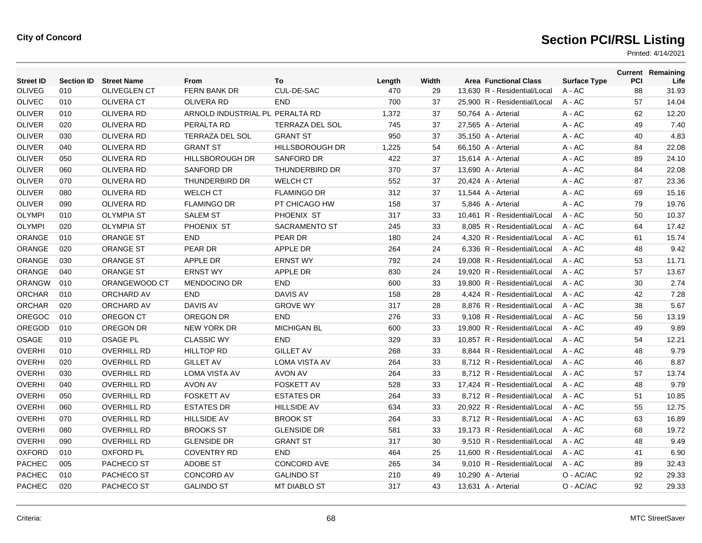| <b>Street ID</b> | <b>Section ID</b> | <b>Street Name</b>  | From                            | To                     | Length | Width | <b>Area Functional Class</b> | <b>Surface Type</b> | PCI | <b>Current Remaining</b><br>Life |
|------------------|-------------------|---------------------|---------------------------------|------------------------|--------|-------|------------------------------|---------------------|-----|----------------------------------|
| <b>OLIVEG</b>    | 010               | <b>OLIVEGLEN CT</b> | FERN BANK DR                    | CUL-DE-SAC             | 470    | 29    | 13,630 R - Residential/Local | A - AC              | 88  | 31.93                            |
| <b>OLIVEC</b>    | 010               | <b>OLIVERA CT</b>   | <b>OLIVERA RD</b>               | <b>END</b>             | 700    | 37    | 25,900 R - Residential/Local | A - AC              | 57  | 14.04                            |
| <b>OLIVER</b>    | 010               | <b>OLIVERA RD</b>   | ARNOLD INDUSTRIAL PL PERALTA RD |                        | 1,372  | 37    | 50,764 A - Arterial          | A - AC              | 62  | 12.20                            |
| <b>OLIVER</b>    | 020               | <b>OLIVERA RD</b>   | PERALTA RD                      | <b>TERRAZA DEL SOL</b> | 745    | 37    | 27,565 A - Arterial          | A - AC              | 49  | 7.40                             |
| <b>OLIVER</b>    | 030               | OLIVERA RD          | <b>TERRAZA DEL SOL</b>          | <b>GRANT ST</b>        | 950    | 37    | 35,150 A - Arterial          | A - AC              | 40  | 4.83                             |
| <b>OLIVER</b>    | 040               | <b>OLIVERA RD</b>   | <b>GRANT ST</b>                 | <b>HILLSBOROUGH DR</b> | 1,225  | 54    | 66,150 A - Arterial          | A - AC              | 84  | 22.08                            |
| <b>OLIVER</b>    | 050               | <b>OLIVERA RD</b>   | <b>HILLSBOROUGH DR</b>          | <b>SANFORD DR</b>      | 422    | 37    | 15,614 A - Arterial          | A - AC              | 89  | 24.10                            |
| <b>OLIVER</b>    | 060               | <b>OLIVERA RD</b>   | <b>SANFORD DR</b>               | THUNDERBIRD DR         | 370    | 37    | 13,690 A - Arterial          | $A - AC$            | 84  | 22.08                            |
| <b>OLIVER</b>    | 070               | OLIVERA RD          | THUNDERBIRD DR                  | <b>WELCH CT</b>        | 552    | 37    | 20,424 A - Arterial          | A - AC              | 87  | 23.36                            |
| <b>OLIVER</b>    | 080               | <b>OLIVERA RD</b>   | <b>WELCH CT</b>                 | <b>FLAMINGO DR</b>     | 312    | 37    | 11,544 A - Arterial          | $A - AC$            | 69  | 15.16                            |
| <b>OLIVER</b>    | 090               | <b>OLIVERA RD</b>   | <b>FLAMINGO DR</b>              | PT CHICAGO HW          | 158    | 37    | 5.846 A - Arterial           | $A - AC$            | 79  | 19.76                            |
| <b>OLYMPI</b>    | 010               | <b>OLYMPIA ST</b>   | <b>SALEM ST</b>                 | PHOENIX ST             | 317    | 33    | 10,461 R - Residential/Local | A - AC              | 50  | 10.37                            |
| <b>OLYMPI</b>    | 020               | <b>OLYMPIA ST</b>   | PHOENIX ST                      | <b>SACRAMENTO ST</b>   | 245    | 33    | 8,085 R - Residential/Local  | A - AC              | 64  | 17.42                            |
| ORANGE           | 010               | <b>ORANGE ST</b>    | <b>END</b>                      | PEAR DR                | 180    | 24    | 4.320 R - Residential/Local  | $A - AC$            | 61  | 15.74                            |
| ORANGE           | 020               | <b>ORANGE ST</b>    | PEAR DR                         | <b>APPLE DR</b>        | 264    | 24    | 6,336 R - Residential/Local  | $A - AC$            | 48  | 9.42                             |
| ORANGE           | 030               | <b>ORANGE ST</b>    | <b>APPLE DR</b>                 | <b>ERNST WY</b>        | 792    | 24    | 19,008 R - Residential/Local | A - AC              | 53  | 11.71                            |
| ORANGE           | 040               | <b>ORANGE ST</b>    | <b>ERNST WY</b>                 | <b>APPLE DR</b>        | 830    | 24    | 19,920 R - Residential/Local | $A - AC$            | 57  | 13.67                            |
| <b>ORANGW</b>    | 010               | ORANGEWOOD CT       | <b>MENDOCINO DR</b>             | <b>END</b>             | 600    | 33    | 19.800 R - Residential/Local | $A - AC$            | 30  | 2.74                             |
| <b>ORCHAR</b>    | 010               | ORCHARD AV          | <b>END</b>                      | <b>DAVIS AV</b>        | 158    | 28    | 4,424 R - Residential/Local  | $A - AC$            | 42  | 7.28                             |
| <b>ORCHAR</b>    | 020               | <b>ORCHARD AV</b>   | DAVIS AV                        | <b>GROVE WY</b>        | 317    | 28    | 8,876 R - Residential/Local  | A - AC              | 38  | 5.67                             |
| <b>OREGOC</b>    | 010               | OREGON CT           | OREGON DR                       | <b>END</b>             | 276    | 33    | 9.108 R - Residential/Local  | $A - AC$            | 56  | 13.19                            |
| OREGOD           | 010               | OREGON DR           | <b>NEW YORK DR</b>              | <b>MICHIGAN BL</b>     | 600    | 33    | 19.800 R - Residential/Local | $A - AC$            | 49  | 9.89                             |
| OSAGE            | 010               | <b>OSAGE PL</b>     | <b>CLASSIC WY</b>               | <b>END</b>             | 329    | 33    | 10,857 R - Residential/Local | $A - AC$            | 54  | 12.21                            |
| <b>OVERHI</b>    | 010               | <b>OVERHILL RD</b>  | <b>HILLTOP RD</b>               | <b>GILLET AV</b>       | 268    | 33    | 8.844 R - Residential/Local  | $A - AC$            | 48  | 9.79                             |
| <b>OVERHI</b>    | 020               | <b>OVERHILL RD</b>  | <b>GILLET AV</b>                | <b>LOMA VISTA AV</b>   | 264    | 33    | 8.712 R - Residential/Local  | $A - AC$            | 46  | 8.87                             |
| <b>OVERHI</b>    | 030               | <b>OVERHILL RD</b>  | <b>LOMA VISTA AV</b>            | <b>AVON AV</b>         | 264    | 33    | 8,712 R - Residential/Local  | $A - AC$            | 57  | 13.74                            |
| <b>OVERHI</b>    | 040               | <b>OVERHILL RD</b>  | <b>AVON AV</b>                  | <b>FOSKETT AV</b>      | 528    | 33    | 17,424 R - Residential/Local | A - AC              | 48  | 9.79                             |
| <b>OVERHI</b>    | 050               | <b>OVERHILL RD</b>  | <b>FOSKETT AV</b>               | <b>ESTATES DR</b>      | 264    | 33    | 8.712 R - Residential/Local  | $A - AC$            | 51  | 10.85                            |
| <b>OVERHI</b>    | 060               | <b>OVERHILL RD</b>  | <b>ESTATES DR</b>               | <b>HILLSIDE AV</b>     | 634    | 33    | 20.922 R - Residential/Local | $A - AC$            | 55  | 12.75                            |
| <b>OVERHI</b>    | 070               | <b>OVERHILL RD</b>  | <b>HILLSIDE AV</b>              | <b>BROOK ST</b>        | 264    | 33    | 8,712 R - Residential/Local  | A - AC              | 63  | 16.89                            |
| <b>OVERHI</b>    | 080               | <b>OVERHILL RD</b>  | <b>BROOKS ST</b>                | <b>GLENSIDE DR</b>     | 581    | 33    | 19,173 R - Residential/Local | A - AC              | 68  | 19.72                            |
| <b>OVERHI</b>    | 090               | <b>OVERHILL RD</b>  | <b>GLENSIDE DR</b>              | <b>GRANT ST</b>        | 317    | 30    | 9,510 R - Residential/Local  | $A - AC$            | 48  | 9.49                             |
| <b>OXFORD</b>    | 010               | <b>OXFORD PL</b>    | <b>COVENTRY RD</b>              | <b>END</b>             | 464    | 25    | 11.600 R - Residential/Local | $A - AC$            | 41  | 6.90                             |
| <b>PACHEC</b>    | 005               | PACHECO ST          | <b>ADOBE ST</b>                 | <b>CONCORD AVE</b>     | 265    | 34    | 9,010 R - Residential/Local  | $A - AC$            | 89  | 32.43                            |
| <b>PACHEC</b>    | 010               | PACHECO ST          | <b>CONCORD AV</b>               | <b>GALINDO ST</b>      | 210    | 49    | 10,290 A - Arterial          | O - AC/AC           | 92  | 29.33                            |
| <b>PACHEC</b>    | 020               | PACHECO ST          | <b>GALINDO ST</b>               | <b>MT DIABLO ST</b>    | 317    | 43    | 13,631 A - Arterial          | O - AC/AC           | 92  | 29.33                            |
|                  |                   |                     |                                 |                        |        |       |                              |                     |     |                                  |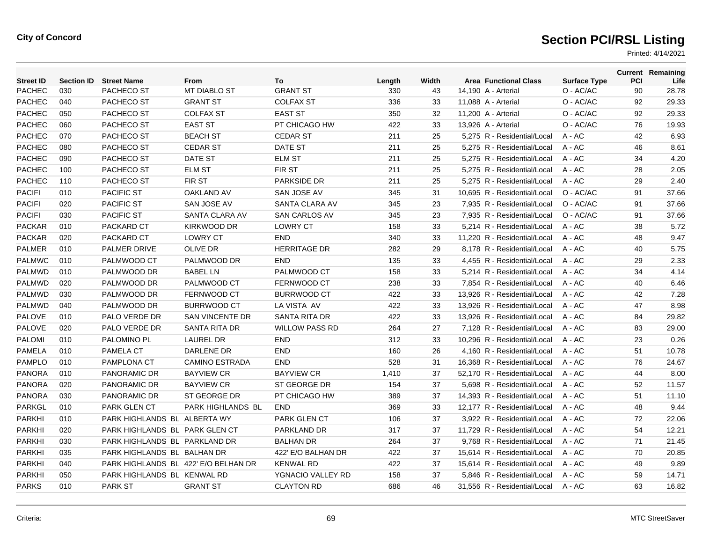| <b>Street ID</b> | <b>Section ID</b> | <b>Street Name</b>                   | From                   | To                    | Length | Width | <b>Area Functional Class</b> | <b>Surface Type</b> | PCI | <b>Current Remaining</b><br>Life |
|------------------|-------------------|--------------------------------------|------------------------|-----------------------|--------|-------|------------------------------|---------------------|-----|----------------------------------|
| <b>PACHEC</b>    | 030               | PACHECO ST                           | <b>MT DIABLO ST</b>    | <b>GRANT ST</b>       | 330    | 43    | 14,190 A - Arterial          | O - AC/AC           | 90  | 28.78                            |
| <b>PACHEC</b>    | 040               | PACHECO ST                           | <b>GRANT ST</b>        | <b>COLFAX ST</b>      | 336    | 33    | 11,088 A - Arterial          | O - AC/AC           | 92  | 29.33                            |
| <b>PACHEC</b>    | 050               | PACHECO ST                           | <b>COLFAX ST</b>       | <b>EAST ST</b>        | 350    | 32    | 11,200 A - Arterial          | O - AC/AC           | 92  | 29.33                            |
| <b>PACHEC</b>    | 060               | PACHECO ST                           | <b>EAST ST</b>         | PT CHICAGO HW         | 422    | 33    | 13,926 A - Arterial          | O - AC/AC           | 76  | 19.93                            |
| <b>PACHEC</b>    | 070               | PACHECO ST                           | <b>BEACH ST</b>        | <b>CEDAR ST</b>       | 211    | 25    | 5,275 R - Residential/Local  | $A - AC$            | 42  | 6.93                             |
| <b>PACHEC</b>    | 080               | PACHECO ST                           | <b>CEDAR ST</b>        | DATE ST               | 211    | 25    | 5,275 R - Residential/Local  | $A - AC$            | 46  | 8.61                             |
| <b>PACHEC</b>    | 090               | PACHECO ST                           | DATE ST                | <b>ELM ST</b>         | 211    | 25    | 5,275 R - Residential/Local  | $A - AC$            | 34  | 4.20                             |
| <b>PACHEC</b>    | 100               | PACHECO ST                           | <b>ELM ST</b>          | <b>FIRST</b>          | 211    | 25    | 5.275 R - Residential/Local  | $A - AC$            | 28  | 2.05                             |
| <b>PACHEC</b>    | 110               | PACHECO ST                           | FIR ST                 | PARKSIDE DR           | 211    | 25    | 5,275 R - Residential/Local  | $A - AC$            | 29  | 2.40                             |
| <b>PACIFI</b>    | 010               | <b>PACIFIC ST</b>                    | <b>OAKLAND AV</b>      | <b>SAN JOSE AV</b>    | 345    | 31    | 10,695 R - Residential/Local | O - AC/AC           | 91  | 37.66                            |
| <b>PACIFI</b>    | 020               | <b>PACIFIC ST</b>                    | SAN JOSE AV            | SANTA CLARA AV        | 345    | 23    | 7.935 R - Residential/Local  | O - AC/AC           | 91  | 37.66                            |
| <b>PACIFI</b>    | 030               | <b>PACIFIC ST</b>                    | SANTA CLARA AV         | <b>SAN CARLOS AV</b>  | 345    | 23    | 7.935 R - Residential/Local  | O - AC/AC           | 91  | 37.66                            |
| <b>PACKAR</b>    | 010               | PACKARD CT                           | <b>KIRKWOOD DR</b>     | <b>LOWRY CT</b>       | 158    | 33    | 5,214 R - Residential/Local  | A - AC              | 38  | 5.72                             |
| <b>PACKAR</b>    | 020               | PACKARD CT                           | <b>LOWRY CT</b>        | <b>END</b>            | 340    | 33    | 11,220 R - Residential/Local | A - AC              | 48  | 9.47                             |
| <b>PALMER</b>    | 010               | <b>PALMER DRIVE</b>                  | OLIVE DR               | <b>HERRITAGE DR</b>   | 282    | 29    | 8,178 R - Residential/Local  | $A - AC$            | 40  | 5.75                             |
| <b>PALMWC</b>    | 010               | PALMWOOD CT                          | PALMWOOD DR            | <b>END</b>            | 135    | 33    | 4,455 R - Residential/Local  | $A - AC$            | 29  | 2.33                             |
| <b>PALMWD</b>    | 010               | PALMWOOD DR                          | <b>BABEL LN</b>        | PALMWOOD CT           | 158    | 33    | 5,214 R - Residential/Local  | A - AC              | 34  | 4.14                             |
| <b>PALMWD</b>    | 020               | PALMWOOD DR                          | PALMWOOD CT            | <b>FERNWOOD CT</b>    | 238    | 33    | 7,854 R - Residential/Local  | A - AC              | 40  | 6.46                             |
| <b>PALMWD</b>    | 030               | PALMWOOD DR                          | <b>FERNWOOD CT</b>     | <b>BURRWOOD CT</b>    | 422    | 33    | 13,926 R - Residential/Local | $A - AC$            | 42  | 7.28                             |
| <b>PALMWD</b>    | 040               | PALMWOOD DR                          | <b>BURRWOOD CT</b>     | LA VISTA AV           | 422    | 33    | 13,926 R - Residential/Local | $A - AC$            | 47  | 8.98                             |
| <b>PALOVE</b>    | 010               | PALO VERDE DR                        | <b>SAN VINCENTE DR</b> | SANTA RITA DR         | 422    | 33    | 13,926 R - Residential/Local | A - AC              | 84  | 29.82                            |
| PALOVE           | 020               | PALO VERDE DR                        | <b>SANTA RITA DR</b>   | <b>WILLOW PASS RD</b> | 264    | 27    | 7,128 R - Residential/Local  | A - AC              | 83  | 29.00                            |
| <b>PALOMI</b>    | 010               | PALOMINO PL                          | <b>LAUREL DR</b>       | <b>END</b>            | 312    | 33    | 10.296 R - Residential/Local | $A - AC$            | 23  | 0.26                             |
| <b>PAMELA</b>    | 010               | <b>PAMELA CT</b>                     | DARLENE DR             | <b>END</b>            | 160    | 26    | 4.160 R - Residential/Local  | $A - AC$            | 51  | 10.78                            |
| <b>PAMPLO</b>    | 010               | PAMPLONA CT                          | <b>CAMINO ESTRADA</b>  | <b>END</b>            | 528    | 31    | 16,368 R - Residential/Local | A - AC              | 76  | 24.67                            |
| <b>PANORA</b>    | 010               | <b>PANORAMIC DR</b>                  | <b>BAYVIEW CR</b>      | <b>BAYVIEW CR</b>     | 1,410  | 37    | 52,170 R - Residential/Local | $A - AC$            | 44  | 8.00                             |
| <b>PANORA</b>    | 020               | <b>PANORAMIC DR</b>                  | <b>BAYVIEW CR</b>      | ST GEORGE DR          | 154    | 37    | 5.698 R - Residential/Local  | $A - AC$            | 52  | 11.57                            |
| <b>PANORA</b>    | 030               | <b>PANORAMIC DR</b>                  | ST GEORGE DR           | PT CHICAGO HW         | 389    | 37    | 14.393 R - Residential/Local | $A - AC$            | 51  | 11.10                            |
| <b>PARKGL</b>    | 010               | <b>PARK GLEN CT</b>                  | PARK HIGHLANDS BL      | <b>END</b>            | 369    | 33    | 12,177 R - Residential/Local | A - AC              | 48  | 9.44                             |
| <b>PARKHI</b>    | 010               | PARK HIGHLANDS BL ALBERTA WY         |                        | PARK GLEN CT          | 106    | 37    | 3,922 R - Residential/Local  | A - AC              | 72  | 22.06                            |
| <b>PARKHI</b>    | 020               | PARK HIGHLANDS BL PARK GLEN CT       |                        | PARKLAND DR           | 317    | 37    | 11,729 R - Residential/Local | A - AC              | 54  | 12.21                            |
| <b>PARKHI</b>    | 030               | PARK HIGHLANDS BL PARKLAND DR        |                        | <b>BALHAN DR</b>      | 264    | 37    | 9.768 R - Residential/Local  | $A - AC$            | 71  | 21.45                            |
| <b>PARKHI</b>    | 035               | PARK HIGHLANDS BL BALHAN DR          |                        | 422' E/O BALHAN DR    | 422    | 37    | 15,614 R - Residential/Local | A - AC              | 70  | 20.85                            |
| <b>PARKHI</b>    | 040               | PARK HIGHLANDS BL 422' E/O BELHAN DR |                        | <b>KENWAL RD</b>      | 422    | 37    | 15,614 R - Residential/Local | A - AC              | 49  | 9.89                             |
| <b>PARKHI</b>    | 050               | PARK HIGHLANDS BL KENWAL RD          |                        | YGNACIO VALLEY RD     | 158    | 37    | 5,846 R - Residential/Local  | A - AC              | 59  | 14.71                            |
| <b>PARKS</b>     | 010               | PARK ST                              | <b>GRANT ST</b>        | <b>CLAYTON RD</b>     | 686    | 46    | 31,556 R - Residential/Local | A - AC              | 63  | 16.82                            |
|                  |                   |                                      |                        |                       |        |       |                              |                     |     |                                  |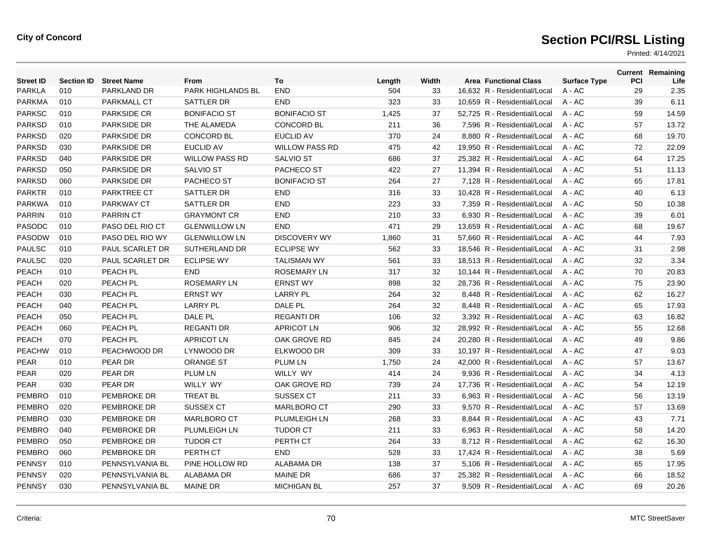| <b>Street ID</b> | <b>Section ID</b> | <b>Street Name</b> | From                  | To                    | Length | Width | <b>Area Functional Class</b> | <b>Surface Type</b> | <b>PCI</b> | <b>Current Remaining</b><br>Life |
|------------------|-------------------|--------------------|-----------------------|-----------------------|--------|-------|------------------------------|---------------------|------------|----------------------------------|
| <b>PARKLA</b>    | 010               | PARKLAND DR        | PARK HIGHLANDS BL     | <b>END</b>            | 504    | 33    | 16,632 R - Residential/Local | $A - AC$            | 29         | 2.35                             |
| <b>PARKMA</b>    | 010               | <b>PARKMALL CT</b> | SATTLER DR            | <b>END</b>            | 323    | 33    | 10,659 R - Residential/Local | $A - AC$            | 39         | 6.11                             |
| <b>PARKSC</b>    | 010               | <b>PARKSIDE CR</b> | <b>BONIFACIO ST</b>   | <b>BONIFACIO ST</b>   | 1,425  | 37    | 52,725 R - Residential/Local | $A - AC$            | 59         | 14.59                            |
| <b>PARKSD</b>    | 010               | <b>PARKSIDE DR</b> | THE ALAMEDA           | <b>CONCORD BL</b>     | 211    | 36    | 7.596 R - Residential/Local  | $A - AC$            | 57         | 13.72                            |
| <b>PARKSD</b>    | 020               | PARKSIDE DR        | <b>CONCORD BL</b>     | <b>EUCLID AV</b>      | 370    | 24    | 8,880 R - Residential/Local  | $A - AC$            | 68         | 19.70                            |
| <b>PARKSD</b>    | 030               | <b>PARKSIDE DR</b> | <b>EUCLID AV</b>      | <b>WILLOW PASS RD</b> | 475    | 42    | 19,950 R - Residential/Local | $A - AC$            | 72         | 22.09                            |
| <b>PARKSD</b>    | 040               | <b>PARKSIDE DR</b> | <b>WILLOW PASS RD</b> | <b>SALVIO ST</b>      | 686    | 37    | 25,382 R - Residential/Local | $A - AC$            | 64         | 17.25                            |
| <b>PARKSD</b>    | 050               | <b>PARKSIDE DR</b> | <b>SALVIO ST</b>      | PACHECO ST            | 422    | 27    | 11.394 R - Residential/Local | $A - AC$            | 51         | 11.13                            |
| <b>PARKSD</b>    | 060               | <b>PARKSIDE DR</b> | PACHECO ST            | <b>BONIFACIO ST</b>   | 264    | 27    | 7,128 R - Residential/Local  | $A - AC$            | 65         | 17.81                            |
| <b>PARKTR</b>    | 010               | <b>PARKTREE CT</b> | SATTLER DR            | <b>END</b>            | 316    | 33    | 10,428 R - Residential/Local | A - AC              | 40         | 6.13                             |
| <b>PARKWA</b>    | 010               | <b>PARKWAY CT</b>  | SATTLER DR            | <b>END</b>            | 223    | 33    | 7,359 R - Residential/Local  | $A - AC$            | 50         | 10.38                            |
| <b>PARRIN</b>    | 010               | <b>PARRIN CT</b>   | <b>GRAYMONT CR</b>    | <b>END</b>            | 210    | 33    | 6,930 R - Residential/Local  | $A - AC$            | 39         | 6.01                             |
| PASODC           | 010               | PASO DEL RIO CT    | <b>GLENWILLOW LN</b>  | END                   | 471    | 29    | 13,659 R - Residential/Local | $A - AC$            | 68         | 19.67                            |
| PASODW           | 010               | PASO DEL RIO WY    | <b>GLENWILLOW LN</b>  | <b>DISCOVERY WY</b>   | 1,860  | 31    | 57,660 R - Residential/Local | $A - AC$            | 44         | 7.93                             |
| <b>PAULSC</b>    | 010               | PAUL SCARLET DR    | SUTHERLAND DR         | <b>ECLIPSE WY</b>     | 562    | 33    | 18,546 R - Residential/Local | $A - AC$            | 31         | 2.98                             |
| <b>PAULSC</b>    | 020               | PAUL SCARLET DR    | <b>ECLIPSE WY</b>     | <b>TALISMAN WY</b>    | 561    | 33    | 18,513 R - Residential/Local | $A - AC$            | 32         | 3.34                             |
| <b>PEACH</b>     | 010               | PEACH PL           | <b>END</b>            | <b>ROSEMARY LN</b>    | 317    | 32    | 10,144 R - Residential/Local | $A - AC$            | 70         | 20.83                            |
| PEACH            | 020               | PEACH PL           | <b>ROSEMARY LN</b>    | <b>ERNST WY</b>       | 898    | 32    | 28,736 R - Residential/Local | A - AC              | 75         | 23.90                            |
| <b>PEACH</b>     | 030               | PEACH PL           | <b>ERNST WY</b>       | <b>LARRY PL</b>       | 264    | 32    | 8,448 R - Residential/Local  | $A - AC$            | 62         | 16.27                            |
| <b>PEACH</b>     | 040               | PEACH PL           | <b>LARRY PL</b>       | DALE PL               | 264    | 32    | 8.448 R - Residential/Local  | $A - AC$            | 65         | 17.93                            |
| <b>PEACH</b>     | 050               | PEACH PL           | DALE PL               | <b>REGANTI DR</b>     | 106    | 32    | 3,392 R - Residential/Local  | $A - AC$            | 63         | 16.82                            |
| PEACH            | 060               | PEACH PL           | <b>REGANTI DR</b>     | <b>APRICOT LN</b>     | 906    | 32    | 28,992 R - Residential/Local | $A - AC$            | 55         | 12.68                            |
| <b>PEACH</b>     | 070               | PEACH PL           | <b>APRICOT LN</b>     | OAK GROVE RD          | 845    | 24    | 20.280 R - Residential/Local | $A - AC$            | 49         | 9.86                             |
| <b>PEACHW</b>    | 010               | PEACHWOOD DR       | LYNWOOD DR            | ELKWOOD DR            | 309    | 33    | 10.197 R - Residential/Local | $A - AC$            | 47         | 9.03                             |
| <b>PEAR</b>      | 010               | PEAR DR            | <b>ORANGE ST</b>      | <b>PLUM LN</b>        | 1,750  | 24    | 42,000 R - Residential/Local | $A - AC$            | 57         | 13.67                            |
| <b>PEAR</b>      | 020               | PEAR DR            | <b>PLUM LN</b>        | WILLY WY              | 414    | 24    | 9,936 R - Residential/Local  | A - AC              | 34         | 4.13                             |
| PEAR             | 030               | PEAR DR            | WILLY WY              | OAK GROVE RD          | 739    | 24    | 17,736 R - Residential/Local | A - AC              | 54         | 12.19                            |
| <b>PEMBRO</b>    | 010               | <b>PEMBROKE DR</b> | <b>TREAT BL</b>       | SUSSEX CT             | 211    | 33    | 6.963 R - Residential/Local  | $A - AC$            | 56         | 13.19                            |
| <b>PEMBRO</b>    | 020               | PEMBROKE DR        | <b>SUSSEX CT</b>      | <b>MARLBORO CT</b>    | 290    | 33    | 9,570 R - Residential/Local  | $A - AC$            | 57         | 13.69                            |
| <b>PEMBRO</b>    | 030               | PEMBROKE DR        | <b>MARLBORO CT</b>    | PLUMLEIGH LN          | 268    | 33    | 8,844 R - Residential/Local  | A - AC              | 43         | 7.71                             |
| <b>PEMBRO</b>    | 040               | PEMBROKE DR        | <b>PLUMLEIGH LN</b>   | <b>TUDOR CT</b>       | 211    | 33    | 6,963 R - Residential/Local  | A - AC              | 58         | 14.20                            |
| <b>PEMBRO</b>    | 050               | PEMBROKE DR        | <b>TUDOR CT</b>       | PERTH CT              | 264    | 33    | 8,712 R - Residential/Local  | $A - AC$            | 62         | 16.30                            |
| <b>PEMBRO</b>    | 060               | PEMBROKE DR        | PERTH CT              | <b>END</b>            | 528    | 33    | 17,424 R - Residential/Local | $A - AC$            | 38         | 5.69                             |
| <b>PENNSY</b>    | 010               | PENNSYLVANIA BL    | PINE HOLLOW RD        | ALABAMA DR            | 138    | 37    | 5,106 R - Residential/Local  | A - AC              | 65         | 17.95                            |
| <b>PENNSY</b>    | 020               | PENNSYLVANIA BL    | <b>ALABAMA DR</b>     | <b>MAINE DR</b>       | 686    | 37    | 25,382 R - Residential/Local | A - AC              | 66         | 18.52                            |
| <b>PENNSY</b>    | 030               | PENNSYLVANIA BL    | <b>MAINE DR</b>       | <b>MICHIGAN BL</b>    | 257    | 37    | 9.509 R - Residential/Local  | $A - AC$            | 69         | 20.26                            |
|                  |                   |                    |                       |                       |        |       |                              |                     |            |                                  |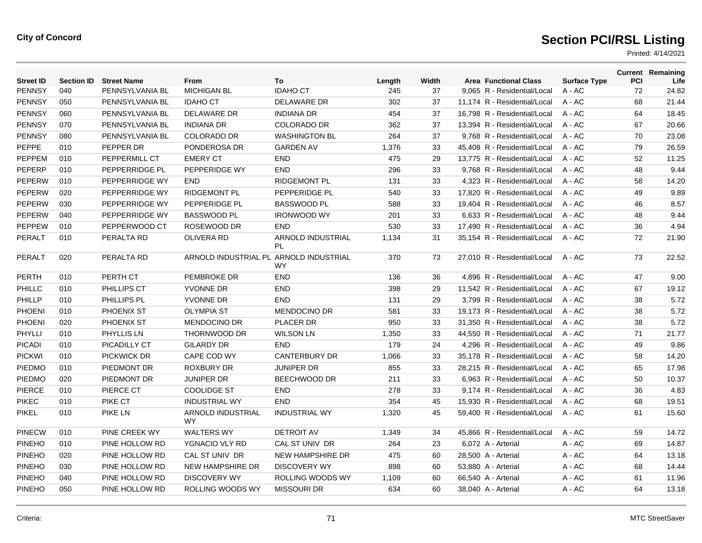| <b>Street ID</b> |     | <b>Section ID Street Name</b> | <b>From</b>                            | To                                    | Length | Width | <b>Area Functional Class</b> | <b>Surface Type</b> | PCI | <b>Current Remaining</b><br>Life |
|------------------|-----|-------------------------------|----------------------------------------|---------------------------------------|--------|-------|------------------------------|---------------------|-----|----------------------------------|
| <b>PENNSY</b>    | 040 | PENNSYLVANIA BL               | <b>MICHIGAN BL</b>                     | <b>IDAHO CT</b>                       | 245    | 37    | 9,065 R - Residential/Local  | $A - AC$            | 72  | 24.82                            |
| <b>PENNSY</b>    | 050 | PENNSYLVANIA BL               | <b>IDAHO CT</b>                        | <b>DELAWARE DR</b>                    | 302    | 37    | 11.174 R - Residential/Local | $A - AC$            | 68  | 21.44                            |
| <b>PENNSY</b>    | 060 | PENNSYLVANIA BL               | DELAWARE DR                            | <b>INDIANA DR</b>                     | 454    | 37    | 16,798 R - Residential/Local | $A - AC$            | 64  | 18.45                            |
| <b>PENNSY</b>    | 070 | PENNSYLVANIA BL               | <b>INDIANA DR</b>                      | <b>COLORADO DR</b>                    | 362    | 37    | 13.394 R - Residential/Local | $A - AC$            | 67  | 20.66                            |
| <b>PENNSY</b>    | 080 | PENNSYLVANIA BL               | <b>COLORADO DR</b>                     | <b>WASHINGTON BL</b>                  | 264    | 37    | 9,768 R - Residential/Local  | $A - AC$            | 70  | 23.08                            |
| PEPPE            | 010 | PEPPER DR                     | PONDEROSA DR                           | <b>GARDEN AV</b>                      | 1,376  | 33    | 45.408 R - Residential/Local | $A - AC$            | 79  | 26.59                            |
| PEPPEM           | 010 | PEPPERMILL CT                 | <b>EMERY CT</b>                        | <b>END</b>                            | 475    | 29    | 13,775 R - Residential/Local | $A - AC$            | 52  | 11.25                            |
| PEPERP           | 010 | PEPPERRIDGE PL                | PEPPERIDGE WY                          | <b>END</b>                            | 296    | 33    | 9.768 R - Residential/Local  | $A - AC$            | 48  | 9.44                             |
| PEPERW           | 010 | PEPPERRIDGE WY                | <b>END</b>                             | <b>RIDGEMONT PL</b>                   | 131    | 33    | 4,323 R - Residential/Local  | $A - AC$            | 58  | 14.20                            |
| <b>PEPERW</b>    | 020 | PEPPERRIDGE WY                | <b>RIDGEMONT PL</b>                    | PEPPERIDGE PL                         | 540    | 33    | 17.820 R - Residential/Local | $A - AC$            | 49  | 9.89                             |
| PEPERW           | 030 | PEPPERRIDGE WY                | PEPPERIDGE PL                          | <b>BASSWOOD PL</b>                    | 588    | 33    | 19,404 R - Residential/Local | $A - AC$            | 46  | 8.57                             |
| PEPERW           | 040 | PEPPERRIDGE WY                | <b>BASSWOOD PL</b>                     | <b>IRONWOOD WY</b>                    | 201    | 33    | 6,633 R - Residential/Local  | $A - AC$            | 48  | 9.44                             |
| <b>PEPPEW</b>    | 010 | PEPPERWOOD CT                 | ROSEWOOD DR                            | <b>END</b>                            | 530    | 33    | 17,490 R - Residential/Local | $A - AC$            | 36  | 4.94                             |
| PERALT           | 010 | PERALTA RD                    | <b>OLIVERA RD</b>                      | <b>ARNOLD INDUSTRIAL</b><br><b>PL</b> | 1,134  | 31    | 35,154 R - Residential/Local | $A - AC$            | 72  | 21.90                            |
| PERALT           | 020 | PERALTA RD                    | ARNOLD INDUSTRIAL PL ARNOLD INDUSTRIAL | <b>WY</b>                             | 370    | 73    | 27.010 R - Residential/Local | $A - AC$            | 73  | 22.52                            |
| <b>PERTH</b>     | 010 | PERTH CT                      | PEMBROKE DR                            | <b>END</b>                            | 136    | 36    | 4,896 R - Residential/Local  | $A - AC$            | 47  | 9.00                             |
| PHILLC           | 010 | PHILLIPS CT                   | YVONNE DR                              | <b>END</b>                            | 398    | 29    | 11.542 R - Residential/Local | $A - AC$            | 67  | 19.12                            |
| PHILLP           | 010 | PHILLIPS PL                   | <b>YVONNE DR</b>                       | <b>END</b>                            | 131    | 29    | 3,799 R - Residential/Local  | $A - AC$            | 38  | 5.72                             |
| <b>PHOENI</b>    | 010 | PHOENIX ST                    | <b>OLYMPIA ST</b>                      | <b>MENDOCINO DR</b>                   | 581    | 33    | 19,173 R - Residential/Local | $A - AC$            | 38  | 5.72                             |
| PHOENI           | 020 | PHOENIX ST                    | <b>MENDOCINO DR</b>                    | PLACER DR                             | 950    | 33    | 31,350 R - Residential/Local | $A - AC$            | 38  | 5.72                             |
| PHYLLI           | 010 | PHYLLIS LN                    | THORNWOOD DR                           | <b>WILSON LN</b>                      | 1,350  | 33    | 44,550 R - Residential/Local | $A - AC$            | 71  | 21.77                            |
| <b>PICADI</b>    | 010 | PICADILLY CT                  | <b>GILARDY DR</b>                      | <b>END</b>                            | 179    | 24    | 4,296 R - Residential/Local  | $A - AC$            | 49  | 9.86                             |
| <b>PICKWI</b>    | 010 | <b>PICKWICK DR</b>            | CAPE COD WY                            | <b>CANTERBURY DR</b>                  | 1,066  | 33    | 35,178 R - Residential/Local | $A - AC$            | 58  | 14.20                            |
| PIEDMO           | 010 | PIEDMONT DR                   | <b>ROXBURY DR</b>                      | <b>JUNIPER DR</b>                     | 855    | 33    | 28,215 R - Residential/Local | $A - AC$            | 65  | 17.98                            |
| <b>PIEDMO</b>    | 020 | PIEDMONT DR                   | <b>JUNIPER DR</b>                      | BEECHWOOD DR                          | 211    | 33    | 6,963 R - Residential/Local  | $A - AC$            | 50  | 10.37                            |
| <b>PIERCE</b>    | 010 | PIERCE CT                     | <b>COOLIDGE ST</b>                     | <b>END</b>                            | 278    | 33    | 9.174 R - Residential/Local  | $A - AC$            | 36  | 4.83                             |
| <b>PIKEC</b>     | 010 | PIKE CT                       | <b>INDUSTRIAL WY</b>                   | <b>END</b>                            | 354    | 45    | 15,930 R - Residential/Local | $A - AC$            | 68  | 19.51                            |
| <b>PIKEL</b>     | 010 | <b>PIKE LN</b>                | ARNOLD INDUSTRIAL<br>WY.               | <b>INDUSTRIAL WY</b>                  | 1,320  | 45    | 59,400 R - Residential/Local | $A - AC$            | 61  | 15.60                            |
| <b>PINECW</b>    | 010 | PINE CREEK WY                 | <b>WALTERS WY</b>                      | <b>DETROIT AV</b>                     | 1,349  | 34    | 45,866 R - Residential/Local | $A - AC$            | 59  | 14.72                            |
| <b>PINEHO</b>    | 010 | PINE HOLLOW RD                | YGNACIO VLY RD                         | CAL ST UNIV DR                        | 264    | 23    | 6,072 A - Arterial           | $A - AC$            | 69  | 14.87                            |
| <b>PINEHO</b>    | 020 | PINE HOLLOW RD                | CAL ST UNIV DR                         | <b>NEW HAMPSHIRE DR</b>               | 475    | 60    | 28,500 A - Arterial          | $A - AC$            | 64  | 13.18                            |
| <b>PINEHO</b>    | 030 | PINE HOLLOW RD                | <b>NEW HAMPSHIRE DR</b>                | <b>DISCOVERY WY</b>                   | 898    | 60    | 53,880 A - Arterial          | $A - AC$            | 68  | 14.44                            |
| <b>PINEHO</b>    | 040 | PINE HOLLOW RD                | <b>DISCOVERY WY</b>                    | ROLLING WOODS WY                      | 1,109  | 60    | 66,540 A - Arterial          | $A - AC$            | 61  | 11.96                            |
| <b>PINEHO</b>    | 050 | PINE HOLLOW RD                | ROLLING WOODS WY                       | <b>MISSOURI DR</b>                    | 634    | 60    | 38,040 A - Arterial          | A - AC              | 64  | 13.18                            |
|                  |     |                               |                                        |                                       |        |       |                              |                     |     |                                  |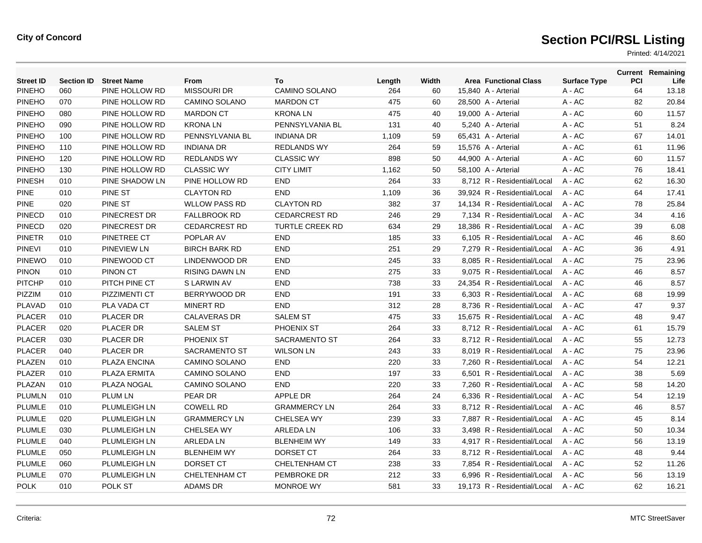| <b>Street ID</b> | <b>Section ID</b> | <b>Street Name</b>  | From                  | To                     | Length | Width | <b>Area Functional Class</b> | <b>Surface Type</b> | PCI | <b>Current Remaining</b><br>Life |
|------------------|-------------------|---------------------|-----------------------|------------------------|--------|-------|------------------------------|---------------------|-----|----------------------------------|
| <b>PINEHO</b>    | 060               | PINE HOLLOW RD      | <b>MISSOURI DR</b>    | CAMINO SOLANO          | 264    | 60    | 15,840 A - Arterial          | $A - AC$            | 64  | 13.18                            |
| <b>PINEHO</b>    | 070               | PINE HOLLOW RD      | <b>CAMINO SOLANO</b>  | <b>MARDON CT</b>       | 475    | 60    | 28,500 A - Arterial          | A - AC              | 82  | 20.84                            |
| <b>PINEHO</b>    | 080               | PINE HOLLOW RD      | <b>MARDON CT</b>      | <b>KRONALN</b>         | 475    | 40    | 19,000 A - Arterial          | A - AC              | 60  | 11.57                            |
| <b>PINEHO</b>    | 090               | PINE HOLLOW RD      | <b>KRONALN</b>        | PENNSYLVANIA BL        | 131    | 40    | 5,240 A - Arterial           | A - AC              | 51  | 8.24                             |
| <b>PINEHO</b>    | 100               | PINE HOLLOW RD      | PENNSYLVANIA BL       | <b>INDIANA DR</b>      | 1,109  | 59    | 65,431 A - Arterial          | A - AC              | 67  | 14.01                            |
| <b>PINEHO</b>    | 110               | PINE HOLLOW RD      | <b>INDIANA DR</b>     | <b>REDLANDS WY</b>     | 264    | 59    | 15,576 A - Arterial          | A - AC              | 61  | 11.96                            |
| <b>PINEHO</b>    | 120               | PINE HOLLOW RD      | <b>REDLANDS WY</b>    | <b>CLASSIC WY</b>      | 898    | 50    | 44,900 A - Arterial          | A - AC              | 60  | 11.57                            |
| <b>PINEHO</b>    | 130               | PINE HOLLOW RD      | <b>CLASSIC WY</b>     | <b>CITY LIMIT</b>      | 1,162  | 50    | 58,100 A - Arterial          | $A - AC$            | 76  | 18.41                            |
| <b>PINESH</b>    | 010               | PINE SHADOW LN      | PINE HOLLOW RD        | <b>END</b>             | 264    | 33    | 8,712 R - Residential/Local  | $A - AC$            | 62  | 16.30                            |
| <b>PINE</b>      | 010               | <b>PINE ST</b>      | <b>CLAYTON RD</b>     | <b>END</b>             | 1,109  | 36    | 39.924 R - Residential/Local | $A - AC$            | 64  | 17.41                            |
| <b>PINE</b>      | 020               | <b>PINE ST</b>      | <b>WLLOW PASS RD</b>  | <b>CLAYTON RD</b>      | 382    | 37    | 14.134 R - Residential/Local | $A - AC$            | 78  | 25.84                            |
| <b>PINECD</b>    | 010               | PINECREST DR        | <b>FALLBROOK RD</b>   | <b>CEDARCREST RD</b>   | 246    | 29    | 7,134 R - Residential/Local  | A - AC              | 34  | 4.16                             |
| <b>PINECD</b>    | 020               | PINECREST DR        | <b>CEDARCREST RD</b>  | <b>TURTLE CREEK RD</b> | 634    | 29    | 18,386 R - Residential/Local | $A - AC$            | 39  | 6.08                             |
| <b>PINETR</b>    | 010               | PINETREE CT         | POPLAR AV             | <b>END</b>             | 185    | 33    | 6,105 R - Residential/Local  | $A - AC$            | 46  | 8.60                             |
| <b>PINEVI</b>    | 010               | <b>PINEVIEW LN</b>  | <b>BIRCH BARK RD</b>  | <b>END</b>             | 251    | 29    | 7,279 R - Residential/Local  | $A - AC$            | 36  | 4.91                             |
| <b>PINEWO</b>    | 010               | PINEWOOD CT         | LINDENWOOD DR         | <b>END</b>             | 245    | 33    | 8,085 R - Residential/Local  | A - AC              | 75  | 23.96                            |
| <b>PINON</b>     | 010               | <b>PINON CT</b>     | <b>RISING DAWN LN</b> | <b>END</b>             | 275    | 33    | 9,075 R - Residential/Local  | $A - AC$            | 46  | 8.57                             |
| <b>PITCHP</b>    | 010               | PITCH PINE CT       | S LARWIN AV           | <b>END</b>             | 738    | 33    | 24,354 R - Residential/Local | $A - AC$            | 46  | 8.57                             |
| <b>PIZZIM</b>    | 010               | PIZZIMENTI CT       | BERRYWOOD DR          | <b>END</b>             | 191    | 33    | 6,303 R - Residential/Local  | $A - AC$            | 68  | 19.99                            |
| <b>PLAVAD</b>    | 010               | PLA VADA CT         | <b>MINERT RD</b>      | <b>END</b>             | 312    | 28    | 8,736 R - Residential/Local  | $A - AC$            | 47  | 9.37                             |
| <b>PLACER</b>    | 010               | <b>PLACER DR</b>    | <b>CALAVERAS DR</b>   | <b>SALEM ST</b>        | 475    | 33    | 15.675 R - Residential/Local | $A - AC$            | 48  | 9.47                             |
| <b>PLACER</b>    | 020               | <b>PLACER DR</b>    | <b>SALEM ST</b>       | PHOENIX ST             | 264    | 33    | 8.712 R - Residential/Local  | $A - AC$            | 61  | 15.79                            |
| <b>PLACER</b>    | 030               | PLACER DR           | PHOENIX ST            | <b>SACRAMENTO ST</b>   | 264    | 33    | 8,712 R - Residential/Local  | A - AC              | 55  | 12.73                            |
| <b>PLACER</b>    | 040               | <b>PLACER DR</b>    | <b>SACRAMENTO ST</b>  | <b>WILSON LN</b>       | 243    | 33    | 8.019 R - Residential/Local  | $A - AC$            | 75  | 23.96                            |
| PLAZEN           | 010               | <b>PLAZA ENCINA</b> | <b>CAMINO SOLANO</b>  | <b>END</b>             | 220    | 33    | 7.260 R - Residential/Local  | $A - AC$            | 54  | 12.21                            |
| <b>PLAZER</b>    | 010               | PLAZA ERMITA        | <b>CAMINO SOLANO</b>  | <b>END</b>             | 197    | 33    | 6,501 R - Residential/Local  | $A - AC$            | 38  | 5.69                             |
| PLAZAN           | 010               | PLAZA NOGAL         | <b>CAMINO SOLANO</b>  | <b>END</b>             | 220    | 33    | 7,260 R - Residential/Local  | A - AC              | 58  | 14.20                            |
| <b>PLUMLN</b>    | 010               | <b>PLUM LN</b>      | PEAR DR               | <b>APPLE DR</b>        | 264    | 24    | 6,336 R - Residential/Local  | A - AC              | 54  | 12.19                            |
| PLUMLE           | 010               | PLUMLEIGH LN        | <b>COWELL RD</b>      | <b>GRAMMERCY LN</b>    | 264    | 33    | 8.712 R - Residential/Local  | $A - AC$            | 46  | 8.57                             |
| <b>PLUMLE</b>    | 020               | PLUMLEIGH LN        | <b>GRAMMERCY LN</b>   | CHELSEA WY             | 239    | 33    | 7,887 R - Residential/Local  | A - AC              | 45  | 8.14                             |
| <b>PLUMLE</b>    | 030               | PLUMLEIGH LN        | <b>CHELSEA WY</b>     | <b>ARLEDA LN</b>       | 106    | 33    | 3,498 R - Residential/Local  | A - AC              | 50  | 10.34                            |
| PLUMLE           | 040               | PLUMLEIGH LN        | <b>ARLEDA LN</b>      | <b>BLENHEIM WY</b>     | 149    | 33    | 4,917 R - Residential/Local  | $A - AC$            | 56  | 13.19                            |
| PLUMLE           | 050               | PLUMLEIGH LN        | <b>BLENHEIM WY</b>    | DORSET CT              | 264    | 33    | 8.712 R - Residential/Local  | $A - AC$            | 48  | 9.44                             |
| <b>PLUMLE</b>    | 060               | PLUMLEIGH LN        | DORSET CT             | <b>CHELTENHAM CT</b>   | 238    | 33    | 7,854 R - Residential/Local  | A - AC              | 52  | 11.26                            |
| <b>PLUMLE</b>    | 070               | PLUMLEIGH LN        | <b>CHELTENHAM CT</b>  | PEMBROKE DR            | 212    | 33    | 6,996 R - Residential/Local  | A - AC              | 56  | 13.19                            |
| <b>POLK</b>      | 010               | POLK ST             | <b>ADAMS DR</b>       | <b>MONROE WY</b>       | 581    | 33    | 19.173 R - Residential/Local | $A - AC$            | 62  | 16.21                            |
|                  |                   |                     |                       |                        |        |       |                              |                     |     |                                  |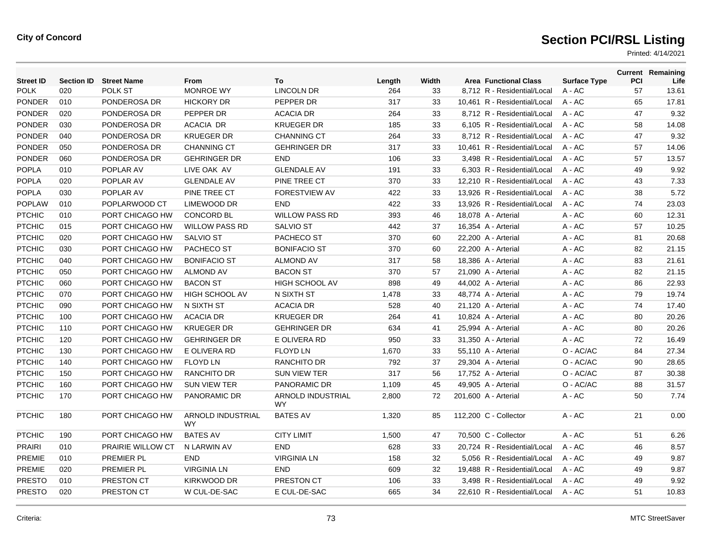| <b>Street ID</b> | <b>Section ID</b> | <b>Street Name</b> | From                           | To                       | Length | Width | <b>Area Functional Class</b> | <b>Surface Type</b> | PCI | <b>Current Remaining</b><br>Life |
|------------------|-------------------|--------------------|--------------------------------|--------------------------|--------|-------|------------------------------|---------------------|-----|----------------------------------|
| <b>POLK</b>      | 020               | POLK ST            | <b>MONROE WY</b>               | <b>LINCOLN DR</b>        | 264    | 33    | 8,712 R - Residential/Local  | $A - AC$            | 57  | 13.61                            |
| <b>PONDER</b>    | 010               | PONDEROSA DR       | <b>HICKORY DR</b>              | PEPPER DR                | 317    | 33    | 10.461 R - Residential/Local | $A - AC$            | 65  | 17.81                            |
| <b>PONDER</b>    | 020               | PONDEROSA DR       | PEPPER DR                      | <b>ACACIA DR</b>         | 264    | 33    | 8,712 R - Residential/Local  | A - AC              | 47  | 9.32                             |
| <b>PONDER</b>    | 030               | PONDEROSA DR       | ACACIA DR                      | <b>KRUEGER DR</b>        | 185    | 33    | 6,105 R - Residential/Local  | A - AC              | 58  | 14.08                            |
| <b>PONDER</b>    | 040               | PONDEROSA DR       | <b>KRUEGER DR</b>              | <b>CHANNING CT</b>       | 264    | 33    | 8,712 R - Residential/Local  | A - AC              | 47  | 9.32                             |
| <b>PONDER</b>    | 050               | PONDEROSA DR       | <b>CHANNING CT</b>             | <b>GEHRINGER DR</b>      | 317    | 33    | 10,461 R - Residential/Local | A - AC              | 57  | 14.06                            |
| <b>PONDER</b>    | 060               | PONDEROSA DR       | <b>GEHRINGER DR</b>            | <b>END</b>               | 106    | 33    | 3,498 R - Residential/Local  | $A - AC$            | 57  | 13.57                            |
| <b>POPLA</b>     | 010               | POPLAR AV          | LIVE OAK AV                    | <b>GLENDALE AV</b>       | 191    | 33    | 6.303 R - Residential/Local  | $A - AC$            | 49  | 9.92                             |
| <b>POPLA</b>     | 020               | POPLAR AV          | <b>GLENDALE AV</b>             | PINE TREE CT             | 370    | 33    | 12,210 R - Residential/Local | $A - AC$            | 43  | 7.33                             |
| <b>POPLA</b>     | 030               | POPLAR AV          | PINE TREE CT                   | FORESTVIEW AV            | 422    | 33    | 13,926 R - Residential/Local | $A - AC$            | 38  | 5.72                             |
| <b>POPLAW</b>    | 010               | POPLARWOOD CT      | LIMEWOOD DR                    | <b>END</b>               | 422    | 33    | 13,926 R - Residential/Local | $A - AC$            | 74  | 23.03                            |
| <b>PTCHIC</b>    | 010               | PORT CHICAGO HW    | <b>CONCORD BL</b>              | <b>WILLOW PASS RD</b>    | 393    | 46    | 18,078 A - Arterial          | A - AC              | 60  | 12.31                            |
| <b>PTCHIC</b>    | 015               | PORT CHICAGO HW    | <b>WILLOW PASS RD</b>          | <b>SALVIO ST</b>         | 442    | 37    | 16,354 A - Arterial          | $A - AC$            | 57  | 10.25                            |
| <b>PTCHIC</b>    | 020               | PORT CHICAGO HW    | <b>SALVIO ST</b>               | PACHECO ST               | 370    | 60    | 22,200 A - Arterial          | $A - AC$            | 81  | 20.68                            |
| <b>PTCHIC</b>    | 030               | PORT CHICAGO HW    | PACHECO ST                     | <b>BONIFACIO ST</b>      | 370    | 60    | 22,200 A - Arterial          | A - AC              | 82  | 21.15                            |
| <b>PTCHIC</b>    | 040               | PORT CHICAGO HW    | <b>BONIFACIO ST</b>            | <b>ALMOND AV</b>         | 317    | 58    | 18,386 A - Arterial          | A - AC              | 83  | 21.61                            |
| <b>PTCHIC</b>    | 050               | PORT CHICAGO HW    | <b>ALMOND AV</b>               | <b>BACON ST</b>          | 370    | 57    | 21,090 A - Arterial          | A - AC              | 82  | 21.15                            |
| <b>PTCHIC</b>    | 060               | PORT CHICAGO HW    | <b>BACON ST</b>                | HIGH SCHOOL AV           | 898    | 49    | 44,002 A - Arterial          | A - AC              | 86  | 22.93                            |
| <b>PTCHIC</b>    | 070               | PORT CHICAGO HW    | <b>HIGH SCHOOL AV</b>          | N SIXTH ST               | 1,478  | 33    | 48,774 A - Arterial          | A - AC              | 79  | 19.74                            |
| <b>PTCHIC</b>    | 090               | PORT CHICAGO HW    | N SIXTH ST                     | <b>ACACIA DR</b>         | 528    | 40    | 21,120 A - Arterial          | A - AC              | 74  | 17.40                            |
| <b>PTCHIC</b>    | 100               | PORT CHICAGO HW    | <b>ACACIA DR</b>               | <b>KRUEGER DR</b>        | 264    | 41    | 10,824 A - Arterial          | A - AC              | 80  | 20.26                            |
| <b>PTCHIC</b>    | 110               | PORT CHICAGO HW    | <b>KRUEGER DR</b>              | <b>GEHRINGER DR</b>      | 634    | 41    | 25,994 A - Arterial          | A - AC              | 80  | 20.26                            |
| <b>PTCHIC</b>    | 120               | PORT CHICAGO HW    | <b>GEHRINGER DR</b>            | E OLIVERA RD             | 950    | 33    | 31,350 A - Arterial          | A - AC              | 72  | 16.49                            |
| <b>PTCHIC</b>    | 130               | PORT CHICAGO HW    | E OLIVERA RD                   | <b>FLOYD LN</b>          | 1,670  | 33    | 55.110 A - Arterial          | O - AC/AC           | 84  | 27.34                            |
| <b>PTCHIC</b>    | 140               | PORT CHICAGO HW    | <b>FLOYD LN</b>                | <b>RANCHITO DR</b>       | 792    | 37    | 29,304 A - Arterial          | O - AC/AC           | 90  | 28.65                            |
| <b>PTCHIC</b>    | 150               | PORT CHICAGO HW    | <b>RANCHITO DR</b>             | <b>SUN VIEW TER</b>      | 317    | 56    | 17,752 A - Arterial          | O - AC/AC           | 87  | 30.38                            |
| <b>PTCHIC</b>    | 160               | PORT CHICAGO HW    | <b>SUN VIEW TER</b>            | <b>PANORAMIC DR</b>      | 1,109  | 45    | 49,905 A - Arterial          | O - AC/AC           | 88  | 31.57                            |
| <b>PTCHIC</b>    | 170               | PORT CHICAGO HW    | PANORAMIC DR                   | ARNOLD INDUSTRIAL<br>WY. | 2,800  | 72    | 201,600 A - Arterial         | A - AC              | 50  | 7.74                             |
| <b>PTCHIC</b>    | 180               | PORT CHICAGO HW    | ARNOLD INDUSTRIAL<br><b>WY</b> | <b>BATES AV</b>          | 1,320  | 85    | 112,200 C - Collector        | $A - AC$            | 21  | 0.00                             |
| <b>PTCHIC</b>    | 190               | PORT CHICAGO HW    | <b>BATES AV</b>                | <b>CITY LIMIT</b>        | 1,500  | 47    | 70,500 C - Collector         | $A - AC$            | 51  | 6.26                             |
| <b>PRAIRI</b>    | 010               | PRAIRIE WILLOW CT  | N LARWIN AV                    | <b>END</b>               | 628    | 33    | 20,724 R - Residential/Local | $A - AC$            | 46  | 8.57                             |
| <b>PREMIE</b>    | 010               | PREMIER PL         | <b>END</b>                     | <b>VIRGINIA LN</b>       | 158    | 32    | 5,056 R - Residential/Local  | A - AC              | 49  | 9.87                             |
| <b>PREMIE</b>    | 020               | PREMIER PL         | <b>VIRGINIA LN</b>             | <b>END</b>               | 609    | 32    | 19,488 R - Residential/Local | A - AC              | 49  | 9.87                             |
| <b>PRESTO</b>    | 010               | PRESTON CT         | KIRKWOOD DR                    | PRESTON CT               | 106    | 33    | 3.498 R - Residential/Local  | $A - AC$            | 49  | 9.92                             |
| <b>PRESTO</b>    | 020               | PRESTON CT         | W CUL-DE-SAC                   | E CUL-DE-SAC             | 665    | 34    | 22.610 R - Residential/Local | $A - AC$            | 51  | 10.83                            |
|                  |                   |                    |                                |                          |        |       |                              |                     |     |                                  |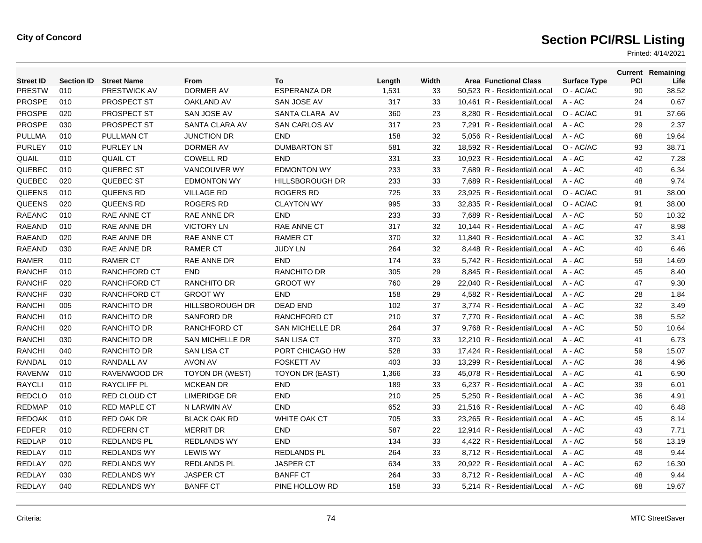| <b>Street ID</b> | <b>Section ID</b> | <b>Street Name</b>  | From                   | To                     | Length | Width | <b>Area Functional Class</b> | <b>Surface Type</b> | PCI | <b>Current Remaining</b><br>Life |
|------------------|-------------------|---------------------|------------------------|------------------------|--------|-------|------------------------------|---------------------|-----|----------------------------------|
| PRESTW           | 010               | PRESTWICK AV        | <b>DORMER AV</b>       | <b>ESPERANZA DR</b>    | 1,531  | 33    | 50,523 R - Residential/Local | O - AC/AC           | 90  | 38.52                            |
| <b>PROSPE</b>    | 010               | PROSPECT ST         | <b>OAKLAND AV</b>      | SAN JOSE AV            | 317    | 33    | 10,461 R - Residential/Local | $A - AC$            | 24  | 0.67                             |
| <b>PROSPE</b>    | 020               | <b>PROSPECT ST</b>  | SAN JOSE AV            | <b>SANTA CLARA AV</b>  | 360    | 23    | 8,280 R - Residential/Local  | O - AC/AC           | 91  | 37.66                            |
| <b>PROSPE</b>    | 030               | PROSPECT ST         | SANTA CLARA AV         | <b>SAN CARLOS AV</b>   | 317    | 23    | 7.291 R - Residential/Local  | $A - AC$            | 29  | 2.37                             |
| <b>PULLMA</b>    | 010               | <b>PULLMAN CT</b>   | <b>JUNCTION DR</b>     | <b>END</b>             | 158    | 32    | 5,056 R - Residential/Local  | $A - AC$            | 68  | 19.64                            |
| <b>PURLEY</b>    | 010               | <b>PURLEY LN</b>    | DORMER AV              | <b>DUMBARTON ST</b>    | 581    | 32    | 18,592 R - Residential/Local | O - AC/AC           | 93  | 38.71                            |
| <b>QUAIL</b>     | 010               | <b>QUAIL CT</b>     | <b>COWELL RD</b>       | <b>END</b>             | 331    | 33    | 10.923 R - Residential/Local | $A - AC$            | 42  | 7.28                             |
| QUEBEC           | 010               | QUEBEC ST           | <b>VANCOUVER WY</b>    | <b>EDMONTON WY</b>     | 233    | 33    | 7.689 R - Residential/Local  | $A - AC$            | 40  | 6.34                             |
| QUEBEC           | 020               | QUEBEC ST           | <b>EDMONTON WY</b>     | <b>HILLSBOROUGH DR</b> | 233    | 33    | 7,689 R - Residential/Local  | $A - AC$            | 48  | 9.74                             |
| QUEENS           | 010               | <b>QUEENS RD</b>    | <b>VILLAGE RD</b>      | <b>ROGERS RD</b>       | 725    | 33    | 23,925 R - Residential/Local | O - AC/AC           | 91  | 38.00                            |
| QUEENS           | 020               | <b>QUEENS RD</b>    | <b>ROGERS RD</b>       | <b>CLAYTON WY</b>      | 995    | 33    | 32.835 R - Residential/Local | O - AC/AC           | 91  | 38.00                            |
| <b>RAEANC</b>    | 010               | <b>RAE ANNE CT</b>  | RAE ANNE DR            | <b>END</b>             | 233    | 33    | 7.689 R - Residential/Local  | $A - AC$            | 50  | 10.32                            |
| <b>RAEAND</b>    | 010               | RAE ANNE DR         | <b>VICTORY LN</b>      | RAE ANNE CT            | 317    | 32    | 10,144 R - Residential/Local | A - AC              | 47  | 8.98                             |
| <b>RAEAND</b>    | 020               | RAE ANNE DR         | <b>RAE ANNE CT</b>     | <b>RAMER CT</b>        | 370    | 32    | 11,840 R - Residential/Local | $A - AC$            | 32  | 3.41                             |
| <b>RAEAND</b>    | 030               | RAE ANNE DR         | <b>RAMER CT</b>        | <b>JUDY LN</b>         | 264    | 32    | 8,448 R - Residential/Local  | $A - AC$            | 40  | 6.46                             |
| <b>RAMER</b>     | 010               | <b>RAMER CT</b>     | <b>RAE ANNE DR</b>     | <b>END</b>             | 174    | 33    | 5.742 R - Residential/Local  | $A - AC$            | 59  | 14.69                            |
| <b>RANCHF</b>    | 010               | <b>RANCHFORD CT</b> | <b>END</b>             | <b>RANCHITO DR</b>     | 305    | 29    | 8,845 R - Residential/Local  | A - AC              | 45  | 8.40                             |
| <b>RANCHF</b>    | 020               | <b>RANCHFORD CT</b> | <b>RANCHITO DR</b>     | <b>GROOT WY</b>        | 760    | 29    | 22,040 R - Residential/Local | A - AC              | 47  | 9.30                             |
| <b>RANCHF</b>    | 030               | RANCHFORD CT        | <b>GROOT WY</b>        | <b>END</b>             | 158    | 29    | 4,582 R - Residential/Local  | $A - AC$            | 28  | 1.84                             |
| <b>RANCHI</b>    | 005               | <b>RANCHITO DR</b>  | <b>HILLSBOROUGH DR</b> | <b>DEAD END</b>        | 102    | 37    | 3.774 R - Residential/Local  | $A - AC$            | 32  | 3.49                             |
| <b>RANCHI</b>    | 010               | RANCHITO DR         | <b>SANFORD DR</b>      | RANCHFORD CT           | 210    | 37    | 7,770 R - Residential/Local  | A - AC              | 38  | 5.52                             |
| <b>RANCHI</b>    | 020               | <b>RANCHITO DR</b>  | RANCHFORD CT           | <b>SAN MICHELLE DR</b> | 264    | 37    | 9,768 R - Residential/Local  | $A - AC$            | 50  | 10.64                            |
| <b>RANCHI</b>    | 030               | <b>RANCHITO DR</b>  | <b>SAN MICHELLE DR</b> | <b>SAN LISA CT</b>     | 370    | 33    | 12.210 R - Residential/Local | $A - AC$            | 41  | 6.73                             |
| <b>RANCHI</b>    | 040               | <b>RANCHITO DR</b>  | <b>SAN LISA CT</b>     | PORT CHICAGO HW        | 528    | 33    | 17.424 R - Residential/Local | $A - AC$            | 59  | 15.07                            |
| <b>RANDAL</b>    | 010               | <b>RANDALL AV</b>   | <b>AVON AV</b>         | <b>FOSKETT AV</b>      | 403    | 33    | 13,299 R - Residential/Local | A - AC              | 36  | 4.96                             |
| <b>RAVENW</b>    | 010               | RAVENWOOD DR        | TOYON DR (WEST)        | TOYON DR (EAST)        | 1,366  | 33    | 45,078 R - Residential/Local | $A - AC$            | 41  | 6.90                             |
| <b>RAYCLI</b>    | 010               | <b>RAYCLIFF PL</b>  | <b>MCKEAN DR</b>       | <b>END</b>             | 189    | 33    | 6.237 R - Residential/Local  | $A - AC$            | 39  | 6.01                             |
| <b>REDCLO</b>    | 010               | <b>RED CLOUD CT</b> | <b>LIMERIDGE DR</b>    | <b>END</b>             | 210    | 25    | 5.250 R - Residential/Local  | $A - AC$            | 36  | 4.91                             |
| <b>REDMAP</b>    | 010               | <b>RED MAPLE CT</b> | N LARWIN AV            | <b>END</b>             | 652    | 33    | 21,516 R - Residential/Local | A - AC              | 40  | 6.48                             |
| <b>REDOAK</b>    | 010               | <b>RED OAK DR</b>   | <b>BLACK OAK RD</b>    | <b>WHITE OAK CT</b>    | 705    | 33    | 23,265 R - Residential/Local | A - AC              | 45  | 8.14                             |
| <b>FEDFER</b>    | 010               | <b>REDFERN CT</b>   | <b>MERRIT DR</b>       | <b>END</b>             | 587    | 22    | 12,914 R - Residential/Local | A - AC              | 43  | 7.71                             |
| <b>REDLAP</b>    | 010               | <b>REDLANDS PL</b>  | <b>REDLANDS WY</b>     | <b>END</b>             | 134    | 33    | 4.422 R - Residential/Local  | $A - AC$            | 56  | 13.19                            |
| <b>REDLAY</b>    | 010               | <b>REDLANDS WY</b>  | <b>LEWIS WY</b>        | <b>REDLANDS PL</b>     | 264    | 33    | 8,712 R - Residential/Local  | A - AC              | 48  | 9.44                             |
| REDLAY           | 020               | <b>REDLANDS WY</b>  | <b>REDLANDS PL</b>     | <b>JASPER CT</b>       | 634    | 33    | 20,922 R - Residential/Local | A - AC              | 62  | 16.30                            |
| REDLAY           | 030               | <b>REDLANDS WY</b>  | <b>JASPER CT</b>       | <b>BANFF CT</b>        | 264    | 33    | 8.712 R - Residential/Local  | A - AC              | 48  | 9.44                             |
| REDLAY           | 040               | <b>REDLANDS WY</b>  | <b>BANFF CT</b>        | PINE HOLLOW RD         | 158    | 33    | 5,214 R - Residential/Local  | A - AC              | 68  | 19.67                            |
|                  |                   |                     |                        |                        |        |       |                              |                     |     |                                  |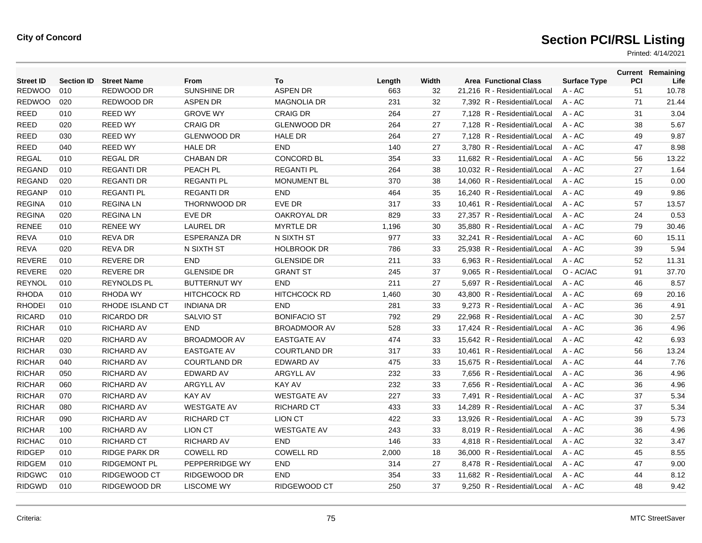| <b>Street ID</b> | <b>Section ID</b> | <b>Street Name</b>  | <b>From</b>         | To                  | Length | Width | <b>Area Functional Class</b> | <b>Surface Type</b> | <b>PCI</b> | <b>Current Remaining</b><br>Life |
|------------------|-------------------|---------------------|---------------------|---------------------|--------|-------|------------------------------|---------------------|------------|----------------------------------|
| <b>REDWOO</b>    | 010               | REDWOOD DR          | SUNSHINE DR         | <b>ASPEN DR</b>     | 663    | 32    | 21,216 R - Residential/Local | A - AC              | 51         | 10.78                            |
| <b>REDWOO</b>    | 020               | REDWOOD DR          | <b>ASPEN DR</b>     | <b>MAGNOLIA DR</b>  | 231    | 32    | 7,392 R - Residential/Local  | A - AC              | 71         | 21.44                            |
| <b>REED</b>      | 010               | <b>REED WY</b>      | <b>GROVE WY</b>     | <b>CRAIG DR</b>     | 264    | 27    | 7,128 R - Residential/Local  | A - AC              | 31         | 3.04                             |
| <b>REED</b>      | 020               | <b>REED WY</b>      | <b>CRAIG DR</b>     | <b>GLENWOOD DR</b>  | 264    | 27    | 7.128 R - Residential/Local  | $A - AC$            | 38         | 5.67                             |
| <b>REED</b>      | 030               | <b>REED WY</b>      | <b>GLENWOOD DR</b>  | <b>HALE DR</b>      | 264    | 27    | 7.128 R - Residential/Local  | $A - AC$            | 49         | 9.87                             |
| <b>REED</b>      | 040               | <b>REED WY</b>      | <b>HALE DR</b>      | <b>END</b>          | 140    | 27    | 3,780 R - Residential/Local  | $A - AC$            | 47         | 8.98                             |
| <b>REGAL</b>     | 010               | <b>REGAL DR</b>     | <b>CHABAN DR</b>    | <b>CONCORD BL</b>   | 354    | 33    | 11,682 R - Residential/Local | A - AC              | 56         | 13.22                            |
| <b>REGAND</b>    | 010               | <b>REGANTI DR</b>   | PEACH PL            | <b>REGANTI PL</b>   | 264    | 38    | 10,032 R - Residential/Local | $A - AC$            | 27         | 1.64                             |
| <b>REGAND</b>    | 020               | <b>REGANTI DR</b>   | <b>REGANTI PL</b>   | <b>MONUMENT BL</b>  | 370    | 38    | 14.060 R - Residential/Local | $A - AC$            | 15         | 0.00                             |
| <b>REGANP</b>    | 010               | <b>REGANTI PL</b>   | <b>REGANTI DR</b>   | <b>END</b>          | 464    | 35    | 16,240 R - Residential/Local | A - AC              | 49         | 9.86                             |
| <b>REGINA</b>    | 010               | <b>REGINALN</b>     | THORNWOOD DR        | EVE DR              | 317    | 33    | 10,461 R - Residential/Local | A - AC              | 57         | 13.57                            |
| <b>REGINA</b>    | 020               | <b>REGINALN</b>     | EVE DR              | OAKROYAL DR         | 829    | 33    | 27,357 R - Residential/Local | A - AC              | 24         | 0.53                             |
| <b>RENEE</b>     | 010               | <b>RENEE WY</b>     | <b>LAUREL DR</b>    | <b>MYRTLE DR</b>    | 1,196  | 30    | 35.880 R - Residential/Local | $A - AC$            | 79         | 30.46                            |
| <b>REVA</b>      | 010               | <b>REVA DR</b>      | <b>ESPERANZA DR</b> | N SIXTH ST          | 977    | 33    | 32.241 R - Residential/Local | $A - AC$            | 60         | 15.11                            |
| <b>REVA</b>      | 020               | <b>REVA DR</b>      | N SIXTH ST          | <b>HOLBROOK DR</b>  | 786    | 33    | 25,938 R - Residential/Local | A - AC              | 39         | 5.94                             |
| REVERE           | 010               | <b>REVERE DR</b>    | <b>END</b>          | <b>GLENSIDE DR</b>  | 211    | 33    | 6,963 R - Residential/Local  | A - AC              | 52         | 11.31                            |
| <b>REVERE</b>    | 020               | <b>REVERE DR</b>    | <b>GLENSIDE DR</b>  | <b>GRANT ST</b>     | 245    | 37    | 9,065 R - Residential/Local  | O - AC/AC           | 91         | 37.70                            |
| <b>REYNOL</b>    | 010               | <b>REYNOLDS PL</b>  | <b>BUTTERNUT WY</b> | <b>END</b>          | 211    | 27    | 5.697 R - Residential/Local  | $A - AC$            | 46         | 8.57                             |
| <b>RHODA</b>     | 010               | <b>RHODA WY</b>     | <b>HITCHCOCK RD</b> | <b>HITCHCOCK RD</b> | 1,460  | 30    | 43,800 R - Residential/Local | $A - AC$            | 69         | 20.16                            |
| <b>RHODEI</b>    | 010               | RHODE ISLAND CT     | <b>INDIANA DR</b>   | <b>END</b>          | 281    | 33    | 9,273 R - Residential/Local  | A - AC              | 36         | 4.91                             |
| <b>RICARD</b>    | 010               | RICARDO DR          | <b>SALVIO ST</b>    | <b>BONIFACIO ST</b> | 792    | 29    | 22.968 R - Residential/Local | A - AC              | 30         | 2.57                             |
| <b>RICHAR</b>    | 010               | <b>RICHARD AV</b>   | <b>END</b>          | <b>BROADMOOR AV</b> | 528    | 33    | 17.424 R - Residential/Local | $A - AC$            | 36         | 4.96                             |
| <b>RICHAR</b>    | 020               | <b>RICHARD AV</b>   | <b>BROADMOOR AV</b> | <b>EASTGATE AV</b>  | 474    | 33    | 15.642 R - Residential/Local | $A - AC$            | 42         | 6.93                             |
| <b>RICHAR</b>    | 030               | <b>RICHARD AV</b>   | <b>EASTGATE AV</b>  | <b>COURTLAND DR</b> | 317    | 33    | 10,461 R - Residential/Local | A - AC              | 56         | 13.24                            |
| <b>RICHAR</b>    | 040               | <b>RICHARD AV</b>   | <b>COURTLAND DR</b> | <b>EDWARD AV</b>    | 475    | 33    | 15.675 R - Residential/Local | A - AC              | 44         | 7.76                             |
| <b>RICHAR</b>    | 050               | <b>RICHARD AV</b>   | <b>EDWARD AV</b>    | <b>ARGYLL AV</b>    | 232    | 33    | 7.656 R - Residential/Local  | $A - AC$            | 36         | 4.96                             |
| <b>RICHAR</b>    | 060               | <b>RICHARD AV</b>   | <b>ARGYLL AV</b>    | <b>KAY AV</b>       | 232    | 33    | 7.656 R - Residential/Local  | $A - AC$            | 36         | 4.96                             |
| <b>RICHAR</b>    | 070               | <b>RICHARD AV</b>   | <b>KAY AV</b>       | <b>WESTGATE AV</b>  | 227    | 33    | 7,491 R - Residential/Local  | $A - AC$            | 37         | 5.34                             |
| <b>RICHAR</b>    | 080               | <b>RICHARD AV</b>   | <b>WESTGATE AV</b>  | <b>RICHARD CT</b>   | 433    | 33    | 14,289 R - Residential/Local | A - AC              | 37         | 5.34                             |
| <b>RICHAR</b>    | 090               | <b>RICHARD AV</b>   | <b>RICHARD CT</b>   | <b>LION CT</b>      | 422    | 33    | 13,926 R - Residential/Local | A - AC              | 39         | 5.73                             |
| <b>RICHAR</b>    | 100               | <b>RICHARD AV</b>   | <b>LION CT</b>      | <b>WESTGATE AV</b>  | 243    | 33    | 8.019 R - Residential/Local  | $A - AC$            | 36         | 4.96                             |
| <b>RICHAC</b>    | 010               | <b>RICHARD CT</b>   | <b>RICHARD AV</b>   | <b>END</b>          | 146    | 33    | 4.818 R - Residential/Local  | $A - AC$            | 32         | 3.47                             |
| <b>RIDGEP</b>    | 010               | RIDGE PARK DR       | <b>COWELL RD</b>    | <b>COWELL RD</b>    | 2,000  | 18    | 36,000 R - Residential/Local | A - AC              | 45         | 8.55                             |
| <b>RIDGEM</b>    | 010               | <b>RIDGEMONT PL</b> | PEPPERRIDGE WY      | <b>END</b>          | 314    | 27    | 8,478 R - Residential/Local  | A - AC              | 47         | 9.00                             |
| <b>RIDGWC</b>    | 010               | RIDGEWOOD CT        | RIDGEWOOD DR        | <b>END</b>          | 354    | 33    | 11,682 R - Residential/Local | A - AC              | 44         | 8.12                             |
| <b>RIDGWD</b>    | 010               | RIDGEWOOD DR        | <b>LISCOME WY</b>   | RIDGEWOOD CT        | 250    | 37    | 9,250 R - Residential/Local  | $A - AC$            | 48         | 9.42                             |
|                  |                   |                     |                     |                     |        |       |                              |                     |            |                                  |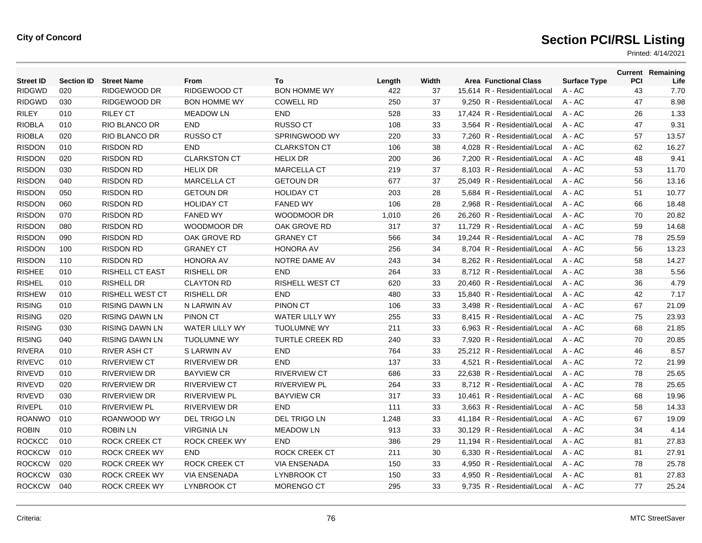| <b>Street ID</b> | <b>Section ID</b> | <b>Street Name</b>     | From                  | To                     | Length | Width | <b>Area Functional Class</b> | <b>Surface Type</b> | PCI | <b>Current Remaining</b><br>Life |
|------------------|-------------------|------------------------|-----------------------|------------------------|--------|-------|------------------------------|---------------------|-----|----------------------------------|
| <b>RIDGWD</b>    | 020               | RIDGEWOOD DR           | RIDGEWOOD CT          | <b>BON HOMME WY</b>    | 422    | 37    | 15,614 R - Residential/Local | $A - AC$            | 43  | 7.70                             |
| <b>RIDGWD</b>    | 030               | <b>RIDGEWOOD DR</b>    | <b>BON HOMME WY</b>   | <b>COWELL RD</b>       | 250    | 37    | 9,250 R - Residential/Local  | $A - AC$            | 47  | 8.98                             |
| <b>RILEY</b>     | 010               | <b>RILEY CT</b>        | <b>MEADOW LN</b>      | <b>END</b>             | 528    | 33    | 17,424 R - Residential/Local | $A - AC$            | 26  | 1.33                             |
| <b>RIOBLA</b>    | 010               | <b>RIO BLANCO DR</b>   | <b>END</b>            | <b>RUSSO CT</b>        | 108    | 33    | 3.564 R - Residential/Local  | $A - AC$            | 47  | 9.31                             |
| <b>RIOBLA</b>    | 020               | <b>RIO BLANCO DR</b>   | <b>RUSSO CT</b>       | SPRINGWOOD WY          | 220    | 33    | 7,260 R - Residential/Local  | $A - AC$            | 57  | 13.57                            |
| <b>RISDON</b>    | 010               | <b>RISDON RD</b>       | <b>END</b>            | <b>CLARKSTON CT</b>    | 106    | 38    | 4,028 R - Residential/Local  | $A - AC$            | 62  | 16.27                            |
| <b>RISDON</b>    | 020               | <b>RISDON RD</b>       | <b>CLARKSTON CT</b>   | <b>HELIX DR</b>        | 200    | 36    | 7.200 R - Residential/Local  | $A - AC$            | 48  | 9.41                             |
| <b>RISDON</b>    | 030               | <b>RISDON RD</b>       | <b>HELIX DR</b>       | <b>MARCELLA CT</b>     | 219    | 37    | 8.103 R - Residential/Local  | $A - AC$            | 53  | 11.70                            |
| <b>RISDON</b>    | 040               | <b>RISDON RD</b>       | <b>MARCELLA CT</b>    | <b>GETOUN DR</b>       | 677    | 37    | 25,049 R - Residential/Local | $A - AC$            | 56  | 13.16                            |
| <b>RISDON</b>    | 050               | <b>RISDON RD</b>       | <b>GETOUN DR</b>      | <b>HOLIDAY CT</b>      | 203    | 28    | 5,684 R - Residential/Local  | A - AC              | 51  | 10.77                            |
| <b>RISDON</b>    | 060               | <b>RISDON RD</b>       | <b>HOLIDAY CT</b>     | <b>FANED WY</b>        | 106    | 28    | 2,968 R - Residential/Local  | $A - AC$            | 66  | 18.48                            |
| <b>RISDON</b>    | 070               | <b>RISDON RD</b>       | <b>FANED WY</b>       | <b>WOODMOOR DR</b>     | 1,010  | 26    | 26.260 R - Residential/Local | $A - AC$            | 70  | 20.82                            |
| <b>RISDON</b>    | 080               | <b>RISDON RD</b>       | WOODMOOR DR           | OAK GROVE RD           | 317    | 37    | 11,729 R - Residential/Local | A - AC              | 59  | 14.68                            |
| <b>RISDON</b>    | 090               | <b>RISDON RD</b>       | OAK GROVE RD          | <b>GRANEY CT</b>       | 566    | 34    | 19,244 R - Residential/Local | A - AC              | 78  | 25.59                            |
| <b>RISDON</b>    | 100               | <b>RISDON RD</b>       | <b>GRANEY CT</b>      | <b>HONORA AV</b>       | 256    | 34    | 8,704 R - Residential/Local  | $A - AC$            | 56  | 13.23                            |
| <b>RISDON</b>    | 110               | <b>RISDON RD</b>       | <b>HONORA AV</b>      | NOTRE DAME AV          | 243    | 34    | 8,262 R - Residential/Local  | $A - AC$            | 58  | 14.27                            |
| <b>RISHEE</b>    | 010               | <b>RISHELL CT EAST</b> | <b>RISHELL DR</b>     | <b>END</b>             | 264    | 33    | 8,712 R - Residential/Local  | A - AC              | 38  | 5.56                             |
| <b>RISHEL</b>    | 010               | <b>RISHELL DR</b>      | <b>CLAYTON RD</b>     | <b>RISHELL WEST CT</b> | 620    | 33    | 20,460 R - Residential/Local | A - AC              | 36  | 4.79                             |
| <b>RISHEW</b>    | 010               | <b>RISHELL WEST CT</b> | <b>RISHELL DR</b>     | <b>END</b>             | 480    | 33    | 15,840 R - Residential/Local | $A - AC$            | 42  | 7.17                             |
| <b>RISING</b>    | 010               | <b>RISING DAWN LN</b>  | N LARWIN AV           | <b>PINON CT</b>        | 106    | 33    | 3.498 R - Residential/Local  | $A - AC$            | 67  | 21.09                            |
| <b>RISING</b>    | 020               | <b>RISING DAWN LN</b>  | <b>PINON CT</b>       | WATER LILLY WY         | 255    | 33    | 8,415 R - Residential/Local  | $A - AC$            | 75  | 23.93                            |
| <b>RISING</b>    | 030               | <b>RISING DAWN LN</b>  | <b>WATER LILLY WY</b> | <b>TUOLUMNE WY</b>     | 211    | 33    | 6,963 R - Residential/Local  | $A - AC$            | 68  | 21.85                            |
| <b>RISING</b>    | 040               | <b>RISING DAWN LN</b>  | <b>TUOLUMNE WY</b>    | <b>TURTLE CREEK RD</b> | 240    | 33    | 7.920 R - Residential/Local  | $A - AC$            | 70  | 20.85                            |
| <b>RIVERA</b>    | 010               | <b>RIVER ASH CT</b>    | S LARWIN AV           | <b>END</b>             | 764    | 33    | 25.212 R - Residential/Local | $A - AC$            | 46  | 8.57                             |
| <b>RIVEVC</b>    | 010               | <b>RIVERVIEW CT</b>    | <b>RIVERVIEW DR</b>   | <b>END</b>             | 137    | 33    | 4,521 R - Residential/Local  | $A - AC$            | 72  | 21.99                            |
| <b>RIVEVD</b>    | 010               | RIVERVIEW DR           | <b>BAYVIEW CR</b>     | <b>RIVERVIEW CT</b>    | 686    | 33    | 22,638 R - Residential/Local | A - AC              | 78  | 25.65                            |
| <b>RIVEVD</b>    | 020               | <b>RIVERVIEW DR</b>    | <b>RIVERVIEW CT</b>   | <b>RIVERVIEW PL</b>    | 264    | 33    | 8,712 R - Residential/Local  | A - AC              | 78  | 25.65                            |
| <b>RIVEVD</b>    | 030               | <b>RIVERVIEW DR</b>    | <b>RIVERVIEW PL</b>   | <b>BAYVIEW CR</b>      | 317    | 33    | 10,461 R - Residential/Local | $A - AC$            | 68  | 19.96                            |
| <b>RIVEPL</b>    | 010               | <b>RIVERVIEW PL</b>    | <b>RIVERVIEW DR</b>   | <b>END</b>             | 111    | 33    | 3,663 R - Residential/Local  | $A - AC$            | 58  | 14.33                            |
| <b>ROANWO</b>    | 010               | ROANWOOD WY            | <b>DEL TRIGO LN</b>   | <b>DEL TRIGO LN</b>    | 1,248  | 33    | 41,184 R - Residential/Local | A - AC              | 67  | 19.09                            |
| <b>ROBIN</b>     | 010               | <b>ROBIN LN</b>        | <b>VIRGINIA LN</b>    | <b>MEADOW LN</b>       | 913    | 33    | 30,129 R - Residential/Local | A - AC              | 34  | 4.14                             |
| <b>ROCKCC</b>    | 010               | ROCK CREEK CT          | <b>ROCK CREEK WY</b>  | <b>END</b>             | 386    | 29    | 11,194 R - Residential/Local | $A - AC$            | 81  | 27.83                            |
| <b>ROCKCW</b>    | 010               | <b>ROCK CREEK WY</b>   | <b>END</b>            | <b>ROCK CREEK CT</b>   | 211    | 30    | 6,330 R - Residential/Local  | $A - AC$            | 81  | 27.91                            |
| <b>ROCKCW</b>    | 020               | <b>ROCK CREEK WY</b>   | <b>ROCK CREEK CT</b>  | <b>VIA ENSENADA</b>    | 150    | 33    | 4,950 R - Residential/Local  | A - AC              | 78  | 25.78                            |
| <b>ROCKCW</b>    | 030               | <b>ROCK CREEK WY</b>   | <b>VIA ENSENADA</b>   | <b>LYNBROOK CT</b>     | 150    | 33    | 4,950 R - Residential/Local  | $A - AC$            | 81  | 27.83                            |
| <b>ROCKCW</b>    | 040               | <b>ROCK CREEK WY</b>   | <b>LYNBROOK CT</b>    | <b>MORENGO CT</b>      | 295    | 33    | 9.735 R - Residential/Local  | $A - AC$            | 77  | 25.24                            |
|                  |                   |                        |                       |                        |        |       |                              |                     |     |                                  |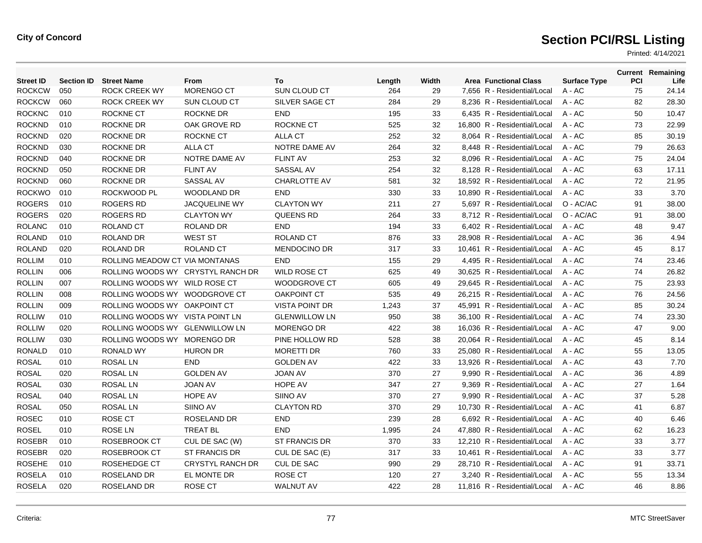| <b>Street ID</b> | <b>Section ID</b> | <b>Street Name</b>                | From                    | To                    | Length | Width | <b>Area Functional Class</b> | <b>Surface Type</b> | <b>PCI</b> | <b>Current Remaining</b><br>Life |
|------------------|-------------------|-----------------------------------|-------------------------|-----------------------|--------|-------|------------------------------|---------------------|------------|----------------------------------|
| <b>ROCKCW</b>    | 050               | <b>ROCK CREEK WY</b>              | MORENGO CT              | SUN CLOUD CT          | 264    | 29    | 7,656 R - Residential/Local  | A - AC              | 75         | 24.14                            |
| <b>ROCKCW</b>    | 060               | <b>ROCK CREEK WY</b>              | SUN CLOUD CT            | SILVER SAGE CT        | 284    | 29    | 8,236 R - Residential/Local  | A - AC              | 82         | 28.30                            |
| <b>ROCKNC</b>    | 010               | ROCKNE CT                         | ROCKNE DR               | <b>END</b>            | 195    | 33    | 6,435 R - Residential/Local  | A - AC              | 50         | 10.47                            |
| <b>ROCKND</b>    | 010               | <b>ROCKNE DR</b>                  | OAK GROVE RD            | <b>ROCKNE CT</b>      | 525    | 32    | 16.800 R - Residential/Local | $A - AC$            | 73         | 22.99                            |
| <b>ROCKND</b>    | 020               | <b>ROCKNE DR</b>                  | ROCKNE CT               | <b>ALLA CT</b>        | 252    | 32    | 8.064 R - Residential/Local  | $A - AC$            | 85         | 30.19                            |
| <b>ROCKND</b>    | 030               | <b>ROCKNE DR</b>                  | <b>ALLA CT</b>          | NOTRE DAME AV         | 264    | 32    | 8,448 R - Residential/Local  | $A - AC$            | 79         | 26.63                            |
| <b>ROCKND</b>    | 040               | <b>ROCKNE DR</b>                  | NOTRE DAME AV           | <b>FLINT AV</b>       | 253    | 32    | 8,096 R - Residential/Local  | A - AC              | 75         | 24.04                            |
| <b>ROCKND</b>    | 050               | <b>ROCKNE DR</b>                  | <b>FLINT AV</b>         | SASSAL AV             | 254    | 32    | 8,128 R - Residential/Local  | $A - AC$            | 63         | 17.11                            |
| <b>ROCKND</b>    | 060               | <b>ROCKNE DR</b>                  | SASSAL AV               | <b>CHARLOTTE AV</b>   | 581    | 32    | 18.592 R - Residential/Local | $A - AC$            | 72         | 21.95                            |
| <b>ROCKWO</b>    | 010               | ROCKWOOD PL                       | WOODLAND DR             | <b>END</b>            | 330    | 33    | 10,890 R - Residential/Local | A - AC              | 33         | 3.70                             |
| <b>ROGERS</b>    | 010               | <b>ROGERS RD</b>                  | <b>JACQUELINE WY</b>    | <b>CLAYTON WY</b>     | 211    | 27    | 5,697 R - Residential/Local  | O - AC/AC           | 91         | 38.00                            |
| <b>ROGERS</b>    | 020               | <b>ROGERS RD</b>                  | <b>CLAYTON WY</b>       | <b>QUEENS RD</b>      | 264    | 33    | 8,712 R - Residential/Local  | O - AC/AC           | 91         | 38.00                            |
| <b>ROLANC</b>    | 010               | <b>ROLAND CT</b>                  | ROLAND DR               | <b>END</b>            | 194    | 33    | 6,402 R - Residential/Local  | $A - AC$            | 48         | 9.47                             |
| <b>ROLAND</b>    | 010               | <b>ROLAND DR</b>                  | <b>WEST ST</b>          | <b>ROLAND CT</b>      | 876    | 33    | 28,908 R - Residential/Local | $A - AC$            | 36         | 4.94                             |
| <b>ROLAND</b>    | 020               | ROLAND DR                         | <b>ROLAND CT</b>        | <b>MENDOCINO DR</b>   | 317    | 33    | 10,461 R - Residential/Local | A - AC              | 45         | 8.17                             |
| <b>ROLLIM</b>    | 010               | ROLLING MEADOW CT VIA MONTANAS    |                         | <b>END</b>            | 155    | 29    | 4,495 R - Residential/Local  | A - AC              | 74         | 23.46                            |
| <b>ROLLIN</b>    | 006               | ROLLING WOODS WY CRYSTYL RANCH DR |                         | <b>WILD ROSE CT</b>   | 625    | 49    | 30,625 R - Residential/Local | A - AC              | 74         | 26.82                            |
| <b>ROLLIN</b>    | 007               | ROLLING WOODS WY WILD ROSE CT     |                         | WOODGROVE CT          | 605    | 49    | 29,645 R - Residential/Local | $A - AC$            | 75         | 23.93                            |
| <b>ROLLIN</b>    | 008               | ROLLING WOODS WY WOODGROVE CT     |                         | <b>OAKPOINT CT</b>    | 535    | 49    | 26,215 R - Residential/Local | A - AC              | 76         | 24.56                            |
| <b>ROLLIN</b>    | 009               | ROLLING WOODS WY OAKPOINT CT      |                         | <b>VISTA POINT DR</b> | 1,243  | 37    | 45,991 R - Residential/Local | A - AC              | 85         | 30.24                            |
| <b>ROLLIW</b>    | 010               | ROLLING WOODS WY VISTA POINT LN   |                         | <b>GLENWILLOW LN</b>  | 950    | 38    | 36,100 R - Residential/Local | A - AC              | 74         | 23.30                            |
| <b>ROLLIW</b>    | 020               | ROLLING WOODS WY GLENWILLOW LN    |                         | <b>MORENGO DR</b>     | 422    | 38    | 16.036 R - Residential/Local | $A - AC$            | 47         | 9.00                             |
| <b>ROLLIW</b>    | 030               | ROLLING WOODS WY MORENGO DR       |                         | PINE HOLLOW RD        | 528    | 38    | 20.064 R - Residential/Local | $A - AC$            | 45         | 8.14                             |
| <b>RONALD</b>    | 010               | RONALD WY                         | <b>HURON DR</b>         | <b>MORETTI DR</b>     | 760    | 33    | 25,080 R - Residential/Local | A - AC              | 55         | 13.05                            |
| <b>ROSAL</b>     | 010               | <b>ROSAL LN</b>                   | <b>END</b>              | <b>GOLDEN AV</b>      | 422    | 33    | 13,926 R - Residential/Local | A - AC              | 43         | 7.70                             |
| <b>ROSAL</b>     | 020               | <b>ROSAL LN</b>                   | <b>GOLDEN AV</b>        | <b>JOAN AV</b>        | 370    | 27    | 9.990 R - Residential/Local  | $A - AC$            | 36         | 4.89                             |
| <b>ROSAL</b>     | 030               | <b>ROSAL LN</b>                   | <b>JOAN AV</b>          | <b>HOPE AV</b>        | 347    | 27    | 9.369 R - Residential/Local  | $A - AC$            | 27         | 1.64                             |
| <b>ROSAL</b>     | 040               | <b>ROSAL LN</b>                   | HOPE AV                 | SIINO AV              | 370    | 27    | 9,990 R - Residential/Local  | $A - AC$            | 37         | 5.28                             |
| <b>ROSAL</b>     | 050               | <b>ROSAL LN</b>                   | SIINO AV                | <b>CLAYTON RD</b>     | 370    | 29    | 10,730 R - Residential/Local | A - AC              | 41         | 6.87                             |
| <b>ROSEC</b>     | 010               | <b>ROSE CT</b>                    | ROSELAND DR             | <b>END</b>            | 239    | 28    | 6,692 R - Residential/Local  | A - AC              | 40         | 6.46                             |
| <b>ROSEL</b>     | 010               | ROSE LN                           | <b>TREAT BL</b>         | <b>END</b>            | 1,995  | 24    | 47,880 R - Residential/Local | A - AC              | 62         | 16.23                            |
| <b>ROSEBR</b>    | 010               | ROSEBROOK CT                      | CUL DE SAC (W)          | <b>ST FRANCIS DR</b>  | 370    | 33    | 12.210 R - Residential/Local | $A - AC$            | 33         | 3.77                             |
| <b>ROSEBR</b>    | 020               | ROSEBROOK CT                      | <b>ST FRANCIS DR</b>    | CUL DE SAC (E)        | 317    | 33    | 10,461 R - Residential/Local | A - AC              | 33         | 3.77                             |
| <b>ROSEHE</b>    | 010               | ROSEHEDGE CT                      | <b>CRYSTYL RANCH DR</b> | <b>CUL DE SAC</b>     | 990    | 29    | 28,710 R - Residential/Local | A - AC              | 91         | 33.71                            |
| <b>ROSELA</b>    | 010               | ROSELAND DR                       | EL MONTE DR             | <b>ROSE CT</b>        | 120    | 27    | 3,240 R - Residential/Local  | A - AC              | 55         | 13.34                            |
| <b>ROSELA</b>    | 020               | ROSELAND DR                       | <b>ROSE CT</b>          | <b>WALNUT AV</b>      | 422    | 28    | 11,816 R - Residential/Local | A - AC              | 46         | 8.86                             |
|                  |                   |                                   |                         |                       |        |       |                              |                     |            |                                  |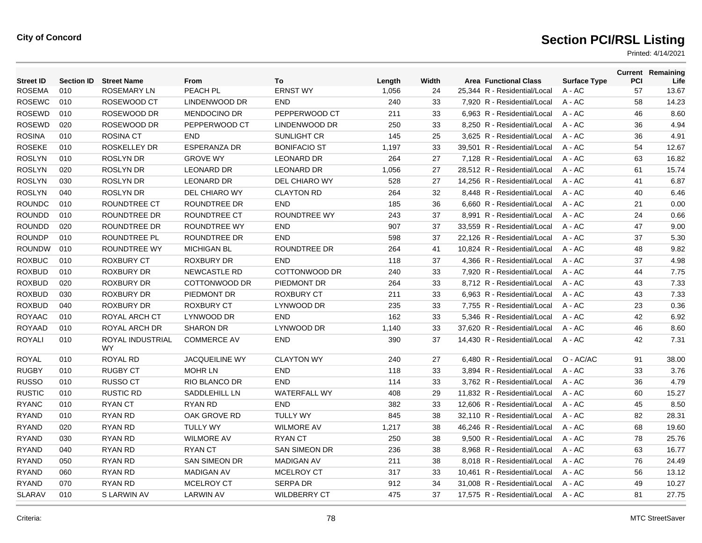| <b>Street ID</b> | <b>Section ID</b> | <b>Street Name</b>            | From                  | To                   | Length | Width | <b>Area Functional Class</b> | <b>Surface Type</b> | PCI | <b>Current Remaining</b><br>Life |
|------------------|-------------------|-------------------------------|-----------------------|----------------------|--------|-------|------------------------------|---------------------|-----|----------------------------------|
| <b>ROSEMA</b>    | 010               | ROSEMARY LN                   | PEACH PL              | <b>ERNST WY</b>      | 1,056  | 24    | 25,344 R - Residential/Local | $A - AC$            | 57  | 13.67                            |
| <b>ROSEWC</b>    | 010               | ROSEWOOD CT                   | LINDENWOOD DR         | <b>END</b>           | 240    | 33    | 7,920 R - Residential/Local  | $A - AC$            | 58  | 14.23                            |
| <b>ROSEWD</b>    | 010               | ROSEWOOD DR                   | <b>MENDOCINO DR</b>   | PEPPERWOOD CT        | 211    | 33    | 6.963 R - Residential/Local  | $A - AC$            | 46  | 8.60                             |
| <b>ROSEWD</b>    | 020               | ROSEWOOD DR                   | PEPPERWOOD CT         | LINDENWOOD DR        | 250    | 33    | 8,250 R - Residential/Local  | A - AC              | 36  | 4.94                             |
| <b>ROSINA</b>    | 010               | <b>ROSINA CT</b>              | <b>END</b>            | SUNLIGHT CR          | 145    | 25    | 3,625 R - Residential/Local  | $A - AC$            | 36  | 4.91                             |
| <b>ROSEKE</b>    | 010               | <b>ROSKELLEY DR</b>           | <b>ESPERANZA DR</b>   | <b>BONIFACIO ST</b>  | 1,197  | 33    | 39,501 R - Residential/Local | $A - AC$            | 54  | 12.67                            |
| <b>ROSLYN</b>    | 010               | <b>ROSLYN DR</b>              | <b>GROVE WY</b>       | <b>LEONARD DR</b>    | 264    | 27    | 7.128 R - Residential/Local  | $A - AC$            | 63  | 16.82                            |
| <b>ROSLYN</b>    | 020               | <b>ROSLYN DR</b>              | <b>LEONARD DR</b>     | <b>LEONARD DR</b>    | 1,056  | 27    | 28,512 R - Residential/Local | A - AC              | 61  | 15.74                            |
| <b>ROSLYN</b>    | 030               | <b>ROSLYN DR</b>              | <b>LEONARD DR</b>     | DEL CHIARO WY        | 528    | 27    | 14,256 R - Residential/Local | $A - AC$            | 41  | 6.87                             |
| <b>ROSLYN</b>    | 040               | <b>ROSLYN DR</b>              | DEL CHIARO WY         | <b>CLAYTON RD</b>    | 264    | 32    | 8,448 R - Residential/Local  | $A - AC$            | 40  | 6.46                             |
| <b>ROUNDC</b>    | 010               | <b>ROUNDTREE CT</b>           | ROUNDTREE DR          | <b>END</b>           | 185    | 36    | 6.660 R - Residential/Local  | $A - AC$            | 21  | 0.00                             |
| <b>ROUNDD</b>    | 010               | ROUNDTREE DR                  | ROUNDTREE CT          | ROUNDTREE WY         | 243    | 37    | 8,991 R - Residential/Local  | $A - AC$            | 24  | 0.66                             |
| <b>ROUNDD</b>    | 020               | <b>ROUNDTREE DR</b>           | ROUNDTREE WY          | <b>END</b>           | 907    | 37    | 33,559 R - Residential/Local | $A - AC$            | 47  | 9.00                             |
| <b>ROUNDP</b>    | 010               | <b>ROUNDTREE PL</b>           | ROUNDTREE DR          | <b>END</b>           | 598    | 37    | 22,126 R - Residential/Local | $A - AC$            | 37  | 5.30                             |
| <b>ROUNDW</b>    | 010               | ROUNDTREE WY                  | <b>MICHIGAN BL</b>    | ROUNDTREE DR         | 264    | 41    | 10.824 R - Residential/Local | $A - AC$            | 48  | 9.82                             |
| <b>ROXBUC</b>    | 010               | <b>ROXBURY CT</b>             | <b>ROXBURY DR</b>     | <b>END</b>           | 118    | 37    | 4,366 R - Residential/Local  | $A - AC$            | 37  | 4.98                             |
| <b>ROXBUD</b>    | 010               | <b>ROXBURY DR</b>             | <b>NEWCASTLE RD</b>   | COTTONWOOD DR        | 240    | 33    | 7,920 R - Residential/Local  | $A - AC$            | 44  | 7.75                             |
| <b>ROXBUD</b>    | 020               | <b>ROXBURY DR</b>             | COTTONWOOD DR         | PIEDMONT DR          | 264    | 33    | 8,712 R - Residential/Local  | $A - AC$            | 43  | 7.33                             |
| <b>ROXBUD</b>    | 030               | <b>ROXBURY DR</b>             | PIEDMONT DR           | <b>ROXBURY CT</b>    | 211    | 33    | 6.963 R - Residential/Local  | $A - AC$            | 43  | 7.33                             |
| <b>ROXBUD</b>    | 040               | <b>ROXBURY DR</b>             | <b>ROXBURY CT</b>     | LYNWOOD DR           | 235    | 33    | 7,755 R - Residential/Local  | $A - AC$            | 23  | 0.36                             |
| <b>ROYAAC</b>    | 010               | ROYAL ARCH CT                 | LYNWOOD DR            | <b>END</b>           | 162    | 33    | 5,346 R - Residential/Local  | $A - AC$            | 42  | 6.92                             |
| <b>ROYAAD</b>    | 010               | ROYAL ARCH DR                 | <b>SHARON DR</b>      | LYNWOOD DR           | 1,140  | 33    | 37,620 R - Residential/Local | $A - AC$            | 46  | 8.60                             |
| <b>ROYALI</b>    | 010               | ROYAL INDUSTRIAL<br><b>WY</b> | <b>COMMERCE AV</b>    | <b>END</b>           | 390    | 37    | 14,430 R - Residential/Local | $A - AC$            | 42  | 7.31                             |
| ROYAL            | 010               | <b>ROYAL RD</b>               | <b>JACQUEILINE WY</b> | <b>CLAYTON WY</b>    | 240    | 27    | 6,480 R - Residential/Local  | O - AC/AC           | 91  | 38.00                            |
| <b>RUGBY</b>     | 010               | <b>RUGBY CT</b>               | <b>MOHR LN</b>        | <b>END</b>           | 118    | 33    | 3,894 R - Residential/Local  | $A - AC$            | 33  | 3.76                             |
| <b>RUSSO</b>     | 010               | <b>RUSSO CT</b>               | RIO BLANCO DR         | <b>END</b>           | 114    | 33    | 3,762 R - Residential/Local  | $A - AC$            | 36  | 4.79                             |
| <b>RUSTIC</b>    | 010               | <b>RUSTIC RD</b>              | SADDLEHILL LN         | <b>WATERFALL WY</b>  | 408    | 29    | 11,832 R - Residential/Local | $A - AC$            | 60  | 15.27                            |
| <b>RYANC</b>     | 010               | <b>RYAN CT</b>                | <b>RYAN RD</b>        | <b>END</b>           | 382    | 33    | 12,606 R - Residential/Local | $A - AC$            | 45  | 8.50                             |
| <b>RYAND</b>     | 010               | RYAN RD                       | OAK GROVE RD          | <b>TULLY WY</b>      | 845    | 38    | 32,110 R - Residential/Local | A - AC              | 82  | 28.31                            |
| <b>RYAND</b>     | 020               | RYAN RD                       | <b>TULLY WY</b>       | <b>WILMORE AV</b>    | 1,217  | 38    | 46,246 R - Residential/Local | A - AC              | 68  | 19.60                            |
| <b>RYAND</b>     | 030               | RYAN RD                       | <b>WILMORE AV</b>     | <b>RYAN CT</b>       | 250    | 38    | 9,500 R - Residential/Local  | $A - AC$            | 78  | 25.76                            |
| <b>RYAND</b>     | 040               | <b>RYAN RD</b>                | <b>RYAN CT</b>        | <b>SAN SIMEON DR</b> | 236    | 38    | 8.968 R - Residential/Local  | $A - AC$            | 63  | 16.77                            |
| <b>RYAND</b>     | 050               | RYAN RD                       | <b>SAN SIMEON DR</b>  | <b>MADIGAN AV</b>    | 211    | 38    | 8.018 R - Residential/Local  | $A - AC$            | 76  | 24.49                            |
| <b>RYAND</b>     | 060               | RYAN RD                       | <b>MADIGAN AV</b>     | <b>MCELROY CT</b>    | 317    | 33    | 10,461 R - Residential/Local | A - AC              | 56  | 13.12                            |
| <b>RYAND</b>     | 070               | RYAN RD                       | <b>MCELROY CT</b>     | <b>SERPA DR</b>      | 912    | 34    | 31,008 R - Residential/Local | $A - AC$            | 49  | 10.27                            |
| <b>SLARAV</b>    | 010               | S LARWIN AV                   | <b>LARWIN AV</b>      | <b>WILDBERRY CT</b>  | 475    | 37    | 17.575 R - Residential/Local | $A - AC$            | 81  | 27.75                            |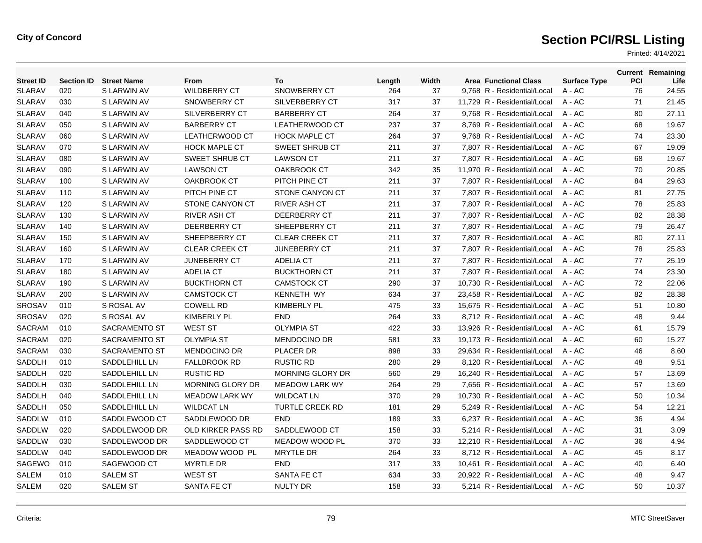| <b>Street ID</b> | <b>Section ID</b> | <b>Street Name</b>   | From                      | To                    | Length | Width | <b>Area Functional Class</b> | <b>Surface Type</b> | PCI | <b>Current Remaining</b><br>Life |
|------------------|-------------------|----------------------|---------------------------|-----------------------|--------|-------|------------------------------|---------------------|-----|----------------------------------|
| <b>SLARAV</b>    | 020               | S LARWIN AV          | <b>WILDBERRY CT</b>       | <b>SNOWBERRY CT</b>   | 264    | 37    | 9,768 R - Residential/Local  | A - AC              | 76  | 24.55                            |
| <b>SLARAV</b>    | 030               | S LARWIN AV          | SNOWBERRY CT              | <b>SILVERBERRY CT</b> | 317    | 37    | 11,729 R - Residential/Local | A - AC              | 71  | 21.45                            |
| <b>SLARAV</b>    | 040               | S LARWIN AV          | SILVERBERRY CT            | <b>BARBERRY CT</b>    | 264    | 37    | 9,768 R - Residential/Local  | $A - AC$            | 80  | 27.11                            |
| <b>SLARAV</b>    | 050               | S LARWIN AV          | <b>BARBERRY CT</b>        | LEATHERWOOD CT        | 237    | 37    | 8.769 R - Residential/Local  | $A - AC$            | 68  | 19.67                            |
| <b>SLARAV</b>    | 060               | S LARWIN AV          | <b>LEATHERWOOD CT</b>     | <b>HOCK MAPLE CT</b>  | 264    | 37    | 9,768 R - Residential/Local  | $A - AC$            | 74  | 23.30                            |
| <b>SLARAV</b>    | 070               | S LARWIN AV          | <b>HOCK MAPLE CT</b>      | <b>SWEET SHRUB CT</b> | 211    | 37    | 7,807 R - Residential/Local  | $A - AC$            | 67  | 19.09                            |
| <b>SLARAV</b>    | 080               | S LARWIN AV          | <b>SWEET SHRUB CT</b>     | <b>LAWSON CT</b>      | 211    | 37    | 7,807 R - Residential/Local  | $A - AC$            | 68  | 19.67                            |
| <b>SLARAV</b>    | 090               | S LARWIN AV          | <b>LAWSON CT</b>          | OAKBROOK CT           | 342    | 35    | 11.970 R - Residential/Local | $A - AC$            | 70  | 20.85                            |
| <b>SLARAV</b>    | 100               | S LARWIN AV          | OAKBROOK CT               | PITCH PINE CT         | 211    | 37    | 7,807 R - Residential/Local  | A - AC              | 84  | 29.63                            |
| <b>SLARAV</b>    | 110               | S LARWIN AV          | PITCH PINE CT             | STONE CANYON CT       | 211    | 37    | 7,807 R - Residential/Local  | A - AC              | 81  | 27.75                            |
| <b>SLARAV</b>    | 120               | S LARWIN AV          | STONE CANYON CT           | <b>RIVER ASH CT</b>   | 211    | 37    | 7,807 R - Residential/Local  | A - AC              | 78  | 25.83                            |
| <b>SLARAV</b>    | 130               | S LARWIN AV          | <b>RIVER ASH CT</b>       | DEERBERRY CT          | 211    | 37    | 7,807 R - Residential/Local  | $A - AC$            | 82  | 28.38                            |
| <b>SLARAV</b>    | 140               | S LARWIN AV          | DEERBERRY CT              | SHEEPBERRY CT         | 211    | 37    | 7,807 R - Residential/Local  | A - AC              | 79  | 26.47                            |
| <b>SLARAV</b>    | 150               | S LARWIN AV          | SHEEPBERRY CT             | <b>CLEAR CREEK CT</b> | 211    | 37    | 7,807 R - Residential/Local  | A - AC              | 80  | 27.11                            |
| <b>SLARAV</b>    | 160               | S LARWIN AV          | <b>CLEAR CREEK CT</b>     | <b>JUNEBERRY CT</b>   | 211    | 37    | 7,807 R - Residential/Local  | $A - AC$            | 78  | 25.83                            |
| <b>SLARAV</b>    | 170               | S LARWIN AV          | <b>JUNEBERRY CT</b>       | <b>ADELIA CT</b>      | 211    | 37    | 7,807 R - Residential/Local  | $A - AC$            | 77  | 25.19                            |
| <b>SLARAV</b>    | 180               | S LARWIN AV          | <b>ADELIA CT</b>          | <b>BUCKTHORN CT</b>   | 211    | 37    | 7,807 R - Residential/Local  | A - AC              | 74  | 23.30                            |
| <b>SLARAV</b>    | 190               | S LARWIN AV          | <b>BUCKTHORN CT</b>       | <b>CAMSTOCK CT</b>    | 290    | 37    | 10,730 R - Residential/Local | A - AC              | 72  | 22.06                            |
| <b>SLARAV</b>    | 200               | S LARWIN AV          | <b>CAMSTOCK CT</b>        | <b>KENNETH WY</b>     | 634    | 37    | 23,458 R - Residential/Local | $A - AC$            | 82  | 28.38                            |
| SROSAV           | 010               | S ROSAL AV           | <b>COWELL RD</b>          | <b>KIMBERLY PL</b>    | 475    | 33    | 15,675 R - Residential/Local | $A - AC$            | 51  | 10.80                            |
| <b>SROSAV</b>    | 020               | S ROSAL AV           | <b>KIMBERLY PL</b>        | <b>END</b>            | 264    | 33    | 8,712 R - Residential/Local  | A - AC              | 48  | 9.44                             |
| SACRAM           | 010               | <b>SACRAMENTO ST</b> | <b>WEST ST</b>            | <b>OLYMPIA ST</b>     | 422    | 33    | 13,926 R - Residential/Local | A - AC              | 61  | 15.79                            |
| SACRAM           | 020               | SACRAMENTO ST        | <b>OLYMPIA ST</b>         | <b>MENDOCINO DR</b>   | 581    | 33    | 19,173 R - Residential/Local | $A - AC$            | 60  | 15.27                            |
| <b>SACRAM</b>    | 030               | <b>SACRAMENTO ST</b> | <b>MENDOCINO DR</b>       | <b>PLACER DR</b>      | 898    | 33    | 29.634 R - Residential/Local | $A - AC$            | 46  | 8.60                             |
| SADDLH           | 010               | SADDLEHILL LN        | <b>FALLBROOK RD</b>       | <b>RUSTIC RD</b>      | 280    | 29    | 8,120 R - Residential/Local  | $A - AC$            | 48  | 9.51                             |
| SADDLH           | 020               | SADDLEHILL LN        | <b>RUSTIC RD</b>          | MORNING GLORY DR      | 560    | 29    | 16,240 R - Residential/Local | $A - AC$            | 57  | 13.69                            |
| SADDLH           | 030               | SADDLEHILL LN        | <b>MORNING GLORY DR</b>   | <b>MEADOW LARK WY</b> | 264    | 29    | 7,656 R - Residential/Local  | $A - AC$            | 57  | 13.69                            |
| <b>SADDLH</b>    | 040               | SADDLEHILL LN        | <b>MEADOW LARK WY</b>     | <b>WILDCAT LN</b>     | 370    | 29    | 10.730 R - Residential/Local | A - AC              | 50  | 10.34                            |
| SADDLH           | 050               | SADDLEHILL LN        | <b>WILDCAT LN</b>         | TURTLE CREEK RD       | 181    | 29    | 5,249 R - Residential/Local  | A - AC              | 54  | 12.21                            |
| SADDLW           | 010               | SADDLEWOOD CT        | SADDLEWOOD DR             | <b>END</b>            | 189    | 33    | 6,237 R - Residential/Local  | A - AC              | 36  | 4.94                             |
| SADDLW           | 020               | SADDLEWOOD DR        | <b>OLD KIRKER PASS RD</b> | SADDLEWOOD CT         | 158    | 33    | 5,214 R - Residential/Local  | A - AC              | 31  | 3.09                             |
| SADDLW           | 030               | SADDLEWOOD DR        | SADDLEWOOD CT             | MEADOW WOOD PL        | 370    | 33    | 12.210 R - Residential/Local | A - AC              | 36  | 4.94                             |
| SADDLW           | 040               | SADDLEWOOD DR        | MEADOW WOOD PL            | <b>MRYTLE DR</b>      | 264    | 33    | 8,712 R - Residential/Local  | A - AC              | 45  | 8.17                             |
| SAGEWO           | 010               | SAGEWOOD CT          | <b>MYRTLE DR</b>          | <b>END</b>            | 317    | 33    | 10,461 R - Residential/Local | A - AC              | 40  | 6.40                             |
| <b>SALEM</b>     | 010               | <b>SALEM ST</b>      | <b>WEST ST</b>            | <b>SANTA FE CT</b>    | 634    | 33    | 20.922 R - Residential/Local | A - AC              | 48  | 9.47                             |
| <b>SALEM</b>     | 020               | <b>SALEM ST</b>      | SANTA FE CT               | <b>NULTY DR</b>       | 158    | 33    | 5.214 R - Residential/Local  | $A - AC$            | 50  | 10.37                            |
|                  |                   |                      |                           |                       |        |       |                              |                     |     |                                  |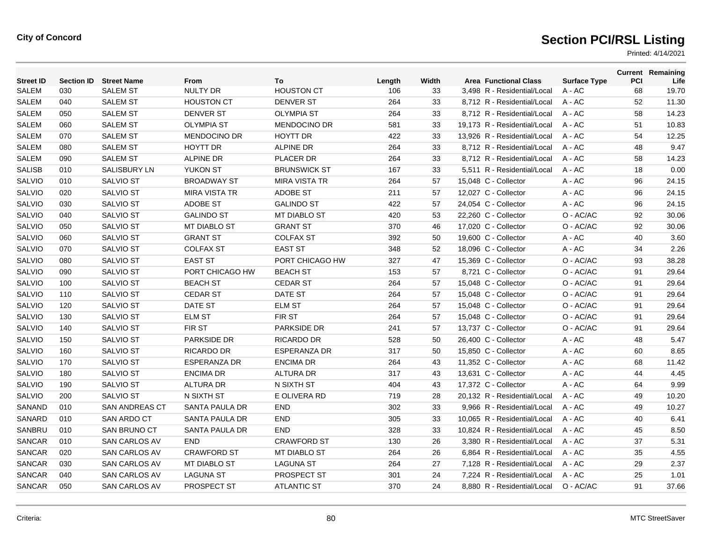| <b>Street ID</b> | <b>Section ID</b> | <b>Street Name</b>    | From                 | To                   | Length | Width | <b>Area Functional Class</b> | <b>Surface Type</b> | PCI | <b>Current Remaining</b><br>Life |
|------------------|-------------------|-----------------------|----------------------|----------------------|--------|-------|------------------------------|---------------------|-----|----------------------------------|
| <b>SALEM</b>     | 030               | <b>SALEM ST</b>       | <b>NULTY DR</b>      | <b>HOUSTON CT</b>    | 106    | 33    | 3,498 R - Residential/Local  | A - AC              | 68  | 19.70                            |
| <b>SALEM</b>     | 040               | <b>SALEM ST</b>       | <b>HOUSTON CT</b>    | <b>DENVER ST</b>     | 264    | 33    | 8,712 R - Residential/Local  | $A - AC$            | 52  | 11.30                            |
| <b>SALEM</b>     | 050               | <b>SALEM ST</b>       | <b>DENVER ST</b>     | <b>OLYMPIA ST</b>    | 264    | 33    | 8,712 R - Residential/Local  | $A - AC$            | 58  | 14.23                            |
| <b>SALEM</b>     | 060               | <b>SALEM ST</b>       | <b>OLYMPIA ST</b>    | <b>MENDOCINO DR</b>  | 581    | 33    | 19.173 R - Residential/Local | $A - AC$            | 51  | 10.83                            |
| <b>SALEM</b>     | 070               | <b>SALEM ST</b>       | <b>MENDOCINO DR</b>  | <b>HOYTT DR</b>      | 422    | 33    | 13,926 R - Residential/Local | A - AC              | 54  | 12.25                            |
| <b>SALEM</b>     | 080               | <b>SALEM ST</b>       | <b>HOYTT DR</b>      | <b>ALPINE DR</b>     | 264    | 33    | 8,712 R - Residential/Local  | $A - AC$            | 48  | 9.47                             |
| <b>SALEM</b>     | 090               | <b>SALEM ST</b>       | <b>ALPINE DR</b>     | <b>PLACER DR</b>     | 264    | 33    | 8.712 R - Residential/Local  | $A - AC$            | 58  | 14.23                            |
| <b>SALISB</b>    | 010               | <b>SALISBURY LN</b>   | <b>YUKON ST</b>      | <b>BRUNSWICK ST</b>  | 167    | 33    | 5,511 R - Residential/Local  | $A - AC$            | 18  | 0.00                             |
| <b>SALVIO</b>    | 010               | <b>SALVIO ST</b>      | <b>BROADWAY ST</b>   | <b>MIRA VISTA TR</b> | 264    | 57    | 15,048 C - Collector         | A - AC              | 96  | 24.15                            |
| SALVIO           | 020               | <b>SALVIO ST</b>      | <b>MIRA VISTA TR</b> | <b>ADOBE ST</b>      | 211    | 57    | 12,027 C - Collector         | A - AC              | 96  | 24.15                            |
| SALVIO           | 030               | <b>SALVIO ST</b>      | <b>ADOBE ST</b>      | <b>GALINDO ST</b>    | 422    | 57    | 24,054 C - Collector         | A - AC              | 96  | 24.15                            |
| SALVIO           | 040               | <b>SALVIO ST</b>      | <b>GALINDO ST</b>    | MT DIABLO ST         | 420    | 53    | 22,260 C - Collector         | O - AC/AC           | 92  | 30.06                            |
| <b>SALVIO</b>    | 050               | <b>SALVIO ST</b>      | <b>MT DIABLO ST</b>  | <b>GRANT ST</b>      | 370    | 46    | 17,020 C - Collector         | O - AC/AC           | 92  | 30.06                            |
| <b>SALVIO</b>    | 060               | SALVIO ST             | <b>GRANT ST</b>      | <b>COLFAX ST</b>     | 392    | 50    | 19,600 C - Collector         | A - AC              | 40  | 3.60                             |
| <b>SALVIO</b>    | 070               | SALVIO ST             | <b>COLFAX ST</b>     | <b>EAST ST</b>       | 348    | 52    | 18,096 C - Collector         | $A - AC$            | 34  | 2.26                             |
| SALVIO           | 080               | <b>SALVIO ST</b>      | <b>EAST ST</b>       | PORT CHICAGO HW      | 327    | 47    | 15,369 C - Collector         | O - AC/AC           | 93  | 38.28                            |
| SALVIO           | 090               | <b>SALVIO ST</b>      | PORT CHICAGO HW      | <b>BEACH ST</b>      | 153    | 57    | 8,721 C - Collector          | O - AC/AC           | 91  | 29.64                            |
| SALVIO           | 100               | <b>SALVIO ST</b>      | <b>BEACH ST</b>      | <b>CEDAR ST</b>      | 264    | 57    | 15,048 C - Collector         | O - AC/AC           | 91  | 29.64                            |
| <b>SALVIO</b>    | 110               | <b>SALVIO ST</b>      | <b>CEDAR ST</b>      | DATE ST              | 264    | 57    | 15,048 C - Collector         | O - AC/AC           | 91  | 29.64                            |
| SALVIO           | 120               | <b>SALVIO ST</b>      | DATE ST              | <b>ELM ST</b>        | 264    | 57    | 15,048 C - Collector         | O - AC/AC           | 91  | 29.64                            |
| <b>SALVIO</b>    | 130               | SALVIO ST             | <b>ELM ST</b>        | <b>FIRST</b>         | 264    | 57    | 15,048 C - Collector         | O - AC/AC           | 91  | 29.64                            |
| <b>SALVIO</b>    | 140               | <b>SALVIO ST</b>      | FIR ST               | <b>PARKSIDE DR</b>   | 241    | 57    | 13.737 C - Collector         | O - AC/AC           | 91  | 29.64                            |
| <b>SALVIO</b>    | 150               | SALVIO ST             | PARKSIDE DR          | RICARDO DR           | 528    | 50    | 26,400 C - Collector         | A - AC              | 48  | 5.47                             |
| SALVIO           | 160               | <b>SALVIO ST</b>      | <b>RICARDO DR</b>    | <b>ESPERANZA DR</b>  | 317    | 50    | 15,850 C - Collector         | A - AC              | 60  | 8.65                             |
| SALVIO           | 170               | <b>SALVIO ST</b>      | <b>ESPERANZA DR</b>  | <b>ENCIMA DR</b>     | 264    | 43    | 11,352 C - Collector         | A - AC              | 68  | 11.42                            |
| <b>SALVIO</b>    | 180               | <b>SALVIO ST</b>      | <b>ENCIMA DR</b>     | <b>ALTURA DR</b>     | 317    | 43    | 13.631 C - Collector         | A - AC              | 44  | 4.45                             |
| <b>SALVIO</b>    | 190               | <b>SALVIO ST</b>      | <b>ALTURA DR</b>     | N SIXTH ST           | 404    | 43    | 17,372 C - Collector         | A - AC              | 64  | 9.99                             |
| SALVIO           | 200               | <b>SALVIO ST</b>      | N SIXTH ST           | E OLIVERA RD         | 719    | 28    | 20,132 R - Residential/Local | $A - AC$            | 49  | 10.20                            |
| SANAND           | 010               | <b>SAN ANDREAS CT</b> | SANTA PAULA DR       | <b>END</b>           | 302    | 33    | 9,966 R - Residential/Local  | A - AC              | 49  | 10.27                            |
| SANARD           | 010               | SAN ARDO CT           | SANTA PAULA DR       | <b>END</b>           | 305    | 33    | 10,065 R - Residential/Local | A - AC              | 40  | 6.41                             |
| SANBRU           | 010               | <b>SAN BRUNO CT</b>   | SANTA PAULA DR       | <b>END</b>           | 328    | 33    | 10,824 R - Residential/Local | A - AC              | 45  | 8.50                             |
| SANCAR           | 010               | <b>SAN CARLOS AV</b>  | <b>END</b>           | <b>CRAWFORD ST</b>   | 130    | 26    | 3,380 R - Residential/Local  | $A - AC$            | 37  | 5.31                             |
| <b>SANCAR</b>    | 020               | <b>SAN CARLOS AV</b>  | <b>CRAWFORD ST</b>   | <b>MT DIABLO ST</b>  | 264    | 26    | 6.864 R - Residential/Local  | $A - AC$            | 35  | 4.55                             |
| <b>SANCAR</b>    | 030               | <b>SAN CARLOS AV</b>  | <b>MT DIABLO ST</b>  | <b>LAGUNA ST</b>     | 264    | 27    | 7,128 R - Residential/Local  | $A - AC$            | 29  | 2.37                             |
| <b>SANCAR</b>    | 040               | <b>SAN CARLOS AV</b>  | <b>LAGUNA ST</b>     | PROSPECT ST          | 301    | 24    | 7.224 R - Residential/Local  | $A - AC$            | 25  | 1.01                             |
| SANCAR           | 050               | <b>SAN CARLOS AV</b>  | PROSPECT ST          | <b>ATLANTIC ST</b>   | 370    | 24    | 8.880 R - Residential/Local  | O - AC/AC           | 91  | 37.66                            |
|                  |                   |                       |                      |                      |        |       |                              |                     |     |                                  |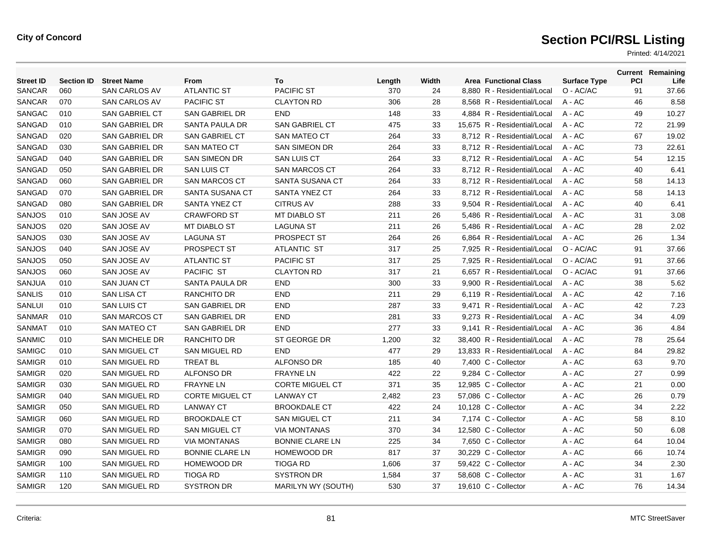| <b>Street ID</b> | <b>Section ID</b> | <b>Street Name</b>    | From                   | To                     | Length | Width | <b>Area Functional Class</b> | <b>Surface Type</b> | <b>PCI</b> | <b>Current Remaining</b><br>Life |
|------------------|-------------------|-----------------------|------------------------|------------------------|--------|-------|------------------------------|---------------------|------------|----------------------------------|
| SANCAR           | 060               | <b>SAN CARLOS AV</b>  | <b>ATLANTIC ST</b>     | <b>PACIFIC ST</b>      | 370    | 24    | 8,880 R - Residential/Local  | O - AC/AC           | 91         | 37.66                            |
| <b>SANCAR</b>    | 070               | <b>SAN CARLOS AV</b>  | <b>PACIFIC ST</b>      | <b>CLAYTON RD</b>      | 306    | 28    | 8,568 R - Residential/Local  | A - AC              | 46         | 8.58                             |
| <b>SANGAC</b>    | 010               | <b>SAN GABRIEL CT</b> | SAN GABRIEL DR         | <b>END</b>             | 148    | 33    | 4,884 R - Residential/Local  | A - AC              | 49         | 10.27                            |
| SANGAD           | 010               | <b>SAN GABRIEL DR</b> | SANTA PAULA DR         | <b>SAN GABRIEL CT</b>  | 475    | 33    | 15,675 R - Residential/Local | $A - AC$            | 72         | 21.99                            |
| SANGAD           | 020               | <b>SAN GABRIEL DR</b> | <b>SAN GABRIEL CT</b>  | <b>SAN MATEO CT</b>    | 264    | 33    | 8.712 R - Residential/Local  | $A - AC$            | 67         | 19.02                            |
| SANGAD           | 030               | <b>SAN GABRIEL DR</b> | <b>SAN MATEO CT</b>    | <b>SAN SIMEON DR</b>   | 264    | 33    | 8,712 R - Residential/Local  | $A - AC$            | 73         | 22.61                            |
| SANGAD           | 040               | SAN GABRIEL DR        | <b>SAN SIMEON DR</b>   | <b>SAN LUIS CT</b>     | 264    | 33    | 8,712 R - Residential/Local  | $A - AC$            | 54         | 12.15                            |
| SANGAD           | 050               | SAN GABRIEL DR        | <b>SAN LUIS CT</b>     | <b>SAN MARCOS CT</b>   | 264    | 33    | 8,712 R - Residential/Local  | $A - AC$            | 40         | 6.41                             |
| SANGAD           | 060               | SAN GABRIEL DR        | <b>SAN MARCOS CT</b>   | SANTA SUSANA CT        | 264    | 33    | 8.712 R - Residential/Local  | $A - AC$            | 58         | 14.13                            |
| SANGAD           | 070               | SAN GABRIEL DR        | SANTA SUSANA CT        | SANTA YNEZ CT          | 264    | 33    | 8,712 R - Residential/Local  | A - AC              | 58         | 14.13                            |
| SANGAD           | 080               | SAN GABRIEL DR        | SANTA YNEZ CT          | <b>CITRUS AV</b>       | 288    | 33    | 9,504 R - Residential/Local  | A - AC              | 40         | 6.41                             |
| SANJOS           | 010               | SAN JOSE AV           | <b>CRAWFORD ST</b>     | MT DIABLO ST           | 211    | 26    | 5,486 R - Residential/Local  | A - AC              | 31         | 3.08                             |
| SANJOS           | 020               | SAN JOSE AV           | <b>MT DIABLO ST</b>    | <b>LAGUNA ST</b>       | 211    | 26    | 5,486 R - Residential/Local  | $A - AC$            | 28         | 2.02                             |
| SANJOS           | 030               | SAN JOSE AV           | <b>LAGUNA ST</b>       | PROSPECT ST            | 264    | 26    | 6.864 R - Residential/Local  | $A - AC$            | 26         | 1.34                             |
| SANJOS           | 040               | SAN JOSE AV           | PROSPECT ST            | ATLANTIC ST            | 317    | 25    | 7,925 R - Residential/Local  | O - AC/AC           | 91         | 37.66                            |
| <b>SANJOS</b>    | 050               | SAN JOSE AV           | <b>ATLANTIC ST</b>     | <b>PACIFIC ST</b>      | 317    | 25    | 7,925 R - Residential/Local  | O - AC/AC           | 91         | 37.66                            |
| <b>SANJOS</b>    | 060               | SAN JOSE AV           | <b>PACIFIC ST</b>      | <b>CLAYTON RD</b>      | 317    | 21    | 6,657 R - Residential/Local  | O - AC/AC           | 91         | 37.66                            |
| <b>SANJUA</b>    | 010               | <b>SAN JUAN CT</b>    | SANTA PAULA DR         | <b>END</b>             | 300    | 33    | 9.900 R - Residential/Local  | $A - AC$            | 38         | 5.62                             |
| <b>SANLIS</b>    | 010               | SAN LISA CT           | <b>RANCHITO DR</b>     | <b>END</b>             | 211    | 29    | 6,119 R - Residential/Local  | A - AC              | 42         | 7.16                             |
| SANLUI           | 010               | <b>SAN LUIS CT</b>    | <b>SAN GABRIEL DR</b>  | <b>END</b>             | 287    | 33    | 9,471 R - Residential/Local  | A - AC              | 42         | 7.23                             |
| SANMAR           | 010               | <b>SAN MARCOS CT</b>  | <b>SAN GABRIEL DR</b>  | <b>END</b>             | 281    | 33    | 9,273 R - Residential/Local  | $A - AC$            | 34         | 4.09                             |
| <b>SANMAT</b>    | 010               | SAN MATEO CT          | <b>SAN GABRIEL DR</b>  | <b>END</b>             | 277    | 33    | 9,141 R - Residential/Local  | $A - AC$            | 36         | 4.84                             |
| <b>SANMIC</b>    | 010               | <b>SAN MICHELE DR</b> | <b>RANCHITO DR</b>     | ST GEORGE DR           | 1,200  | 32    | 38.400 R - Residential/Local | $A - AC$            | 78         | 25.64                            |
| <b>SAMIGC</b>    | 010               | <b>SAN MIGUEL CT</b>  | SAN MIGUEL RD          | <b>END</b>             | 477    | 29    | 13,833 R - Residential/Local | A - AC              | 84         | 29.82                            |
| <b>SAMIGR</b>    | 010               | <b>SAN MIGUEL RD</b>  | <b>TREAT BL</b>        | <b>ALFONSO DR</b>      | 185    | 40    | 7,400 C - Collector          | A - AC              | 63         | 9.70                             |
| <b>SAMIGR</b>    | 020               | <b>SAN MIGUEL RD</b>  | ALFONSO DR             | <b>FRAYNE LN</b>       | 422    | 22    | 9,284 C - Collector          | $A - AC$            | 27         | 0.99                             |
| <b>SAMIGR</b>    | 030               | <b>SAN MIGUEL RD</b>  | <b>FRAYNE LN</b>       | <b>CORTE MIGUEL CT</b> | 371    | 35    | 12.985 C - Collector         | $A - AC$            | 21         | 0.00                             |
| <b>SAMIGR</b>    | 040               | <b>SAN MIGUEL RD</b>  | <b>CORTE MIGUEL CT</b> | <b>LANWAY CT</b>       | 2,482  | 23    | 57,086 C - Collector         | $A - AC$            | 26         | 0.79                             |
| <b>SAMIGR</b>    | 050               | <b>SAN MIGUEL RD</b>  | <b>LANWAY CT</b>       | <b>BROOKDALE CT</b>    | 422    | 24    | 10,128 C - Collector         | A - AC              | 34         | 2.22                             |
| <b>SAMIGR</b>    | 060               | <b>SAN MIGUEL RD</b>  | <b>BROOKDALE CT</b>    | <b>SAN MIGUEL CT</b>   | 211    | 34    | 7,174 C - Collector          | A - AC              | 58         | 8.10                             |
| <b>SAMIGR</b>    | 070               | <b>SAN MIGUEL RD</b>  | <b>SAN MIGUEL CT</b>   | <b>VIA MONTANAS</b>    | 370    | 34    | 12,580 C - Collector         | A - AC              | 50         | 6.08                             |
| <b>SAMIGR</b>    | 080               | SAN MIGUEL RD         | <b>VIA MONTANAS</b>    | <b>BONNIE CLARE LN</b> | 225    | 34    | 7,650 C - Collector          | A - AC              | 64         | 10.04                            |
| <b>SAMIGR</b>    | 090               | <b>SAN MIGUEL RD</b>  | <b>BONNIE CLARE LN</b> | <b>HOMEWOOD DR</b>     | 817    | 37    | 30,229 C - Collector         | A - AC              | 66         | 10.74                            |
| <b>SAMIGR</b>    | 100               | <b>SAN MIGUEL RD</b>  | HOMEWOOD DR            | <b>TIOGA RD</b>        | 1,606  | 37    | 59,422 C - Collector         | A - AC              | 34         | 2.30                             |
| <b>SAMIGR</b>    | 110               | <b>SAN MIGUEL RD</b>  | <b>TIOGA RD</b>        | <b>SYSTRON DR</b>      | 1,584  | 37    | 58,608 C - Collector         | A - AC              | 31         | 1.67                             |
| <b>SAMIGR</b>    | 120               | SAN MIGUEL RD         | <b>SYSTRON DR</b>      | MARILYN WY (SOUTH)     | 530    | 37    | 19,610 C - Collector         | A - AC              | 76         | 14.34                            |
|                  |                   |                       |                        |                        |        |       |                              |                     |            |                                  |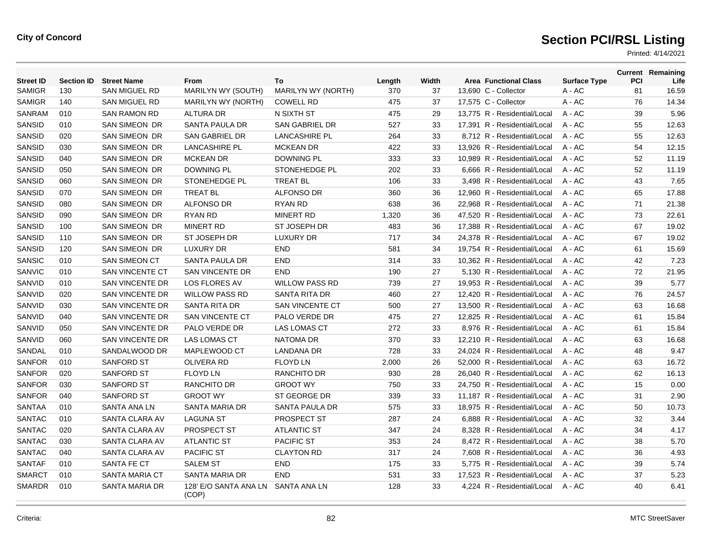| <b>Street ID</b> | <b>Section ID</b> | <b>Street Name</b>     | From                           | To                        | Length | Width | <b>Area Functional Class</b> | <b>Surface Type</b> | PCI | <b>Current Remaining</b><br>Life |
|------------------|-------------------|------------------------|--------------------------------|---------------------------|--------|-------|------------------------------|---------------------|-----|----------------------------------|
| <b>SAMIGR</b>    | 130               | <b>SAN MIGUEL RD</b>   | MARILYN WY (SOUTH)             | <b>MARILYN WY (NORTH)</b> | 370    | 37    | 13.690 C - Collector         | $A - AC$            | 81  | 16.59                            |
| <b>SAMIGR</b>    | 140               | <b>SAN MIGUEL RD</b>   | MARILYN WY (NORTH)             | <b>COWELL RD</b>          | 475    | 37    | 17,575 C - Collector         | A - AC              | 76  | 14.34                            |
| <b>SANRAM</b>    | 010               | <b>SAN RAMON RD</b>    | <b>ALTURA DR</b>               | N SIXTH ST                | 475    | 29    | 13.775 R - Residential/Local | $A - AC$            | 39  | 5.96                             |
| <b>SANSID</b>    | 010               | SAN SIMEON DR          | SANTA PAULA DR                 | SAN GABRIEL DR            | 527    | 33    | 17,391 R - Residential/Local | $A - AC$            | 55  | 12.63                            |
| <b>SANSID</b>    | 020               | <b>SAN SIMEON DR</b>   | SAN GABRIEL DR                 | <b>LANCASHIRE PL</b>      | 264    | 33    | 8,712 R - Residential/Local  | $A - AC$            | 55  | 12.63                            |
| <b>SANSID</b>    | 030               | SAN SIMEON DR          | <b>LANCASHIRE PL</b>           | <b>MCKEAN DR</b>          | 422    | 33    | 13,926 R - Residential/Local | $A - AC$            | 54  | 12.15                            |
| <b>SANSID</b>    | 040               | <b>SAN SIMEON DR</b>   | <b>MCKEAN DR</b>               | <b>DOWNING PL</b>         | 333    | 33    | 10,989 R - Residential/Local | $A - AC$            | 52  | 11.19                            |
| <b>SANSID</b>    | 050               | <b>SAN SIMEON DR</b>   | <b>DOWNING PL</b>              | <b>STONEHEDGE PL</b>      | 202    | 33    | 6.666 R - Residential/Local  | $A - AC$            | 52  | 11.19                            |
| <b>SANSID</b>    | 060               | <b>SAN SIMEON DR</b>   | STONEHEDGE PL                  | <b>TREAT BL</b>           | 106    | 33    | 3,498 R - Residential/Local  | A - AC              | 43  | 7.65                             |
| <b>SANSID</b>    | 070               | <b>SAN SIMEON DR</b>   | <b>TREAT BL</b>                | <b>ALFONSO DR</b>         | 360    | 36    | 12.960 R - Residential/Local | $A - AC$            | 65  | 17.88                            |
| <b>SANSID</b>    | 080               | SAN SIMEON DR          | <b>ALFONSO DR</b>              | RYAN RD                   | 638    | 36    | 22,968 R - Residential/Local | A - AC              | 71  | 21.38                            |
| SANSID           | 090               | SAN SIMEON DR          | RYAN RD                        | <b>MINERT RD</b>          | 1,320  | 36    | 47,520 R - Residential/Local | $A - AC$            | 73  | 22.61                            |
| <b>SANSID</b>    | 100               | SAN SIMEON DR          | <b>MINERT RD</b>               | ST JOSEPH DR              | 483    | 36    | 17,388 R - Residential/Local | A - AC              | 67  | 19.02                            |
| SANSID           | 110               | SAN SIMEON DR          | ST JOSEPH DR                   | <b>LUXURY DR</b>          | 717    | 34    | 24,378 R - Residential/Local | $A - AC$            | 67  | 19.02                            |
| <b>SANSID</b>    | 120               | <b>SAN SIMEON DR</b>   | LUXURY DR                      | <b>END</b>                | 581    | 34    | 19,754 R - Residential/Local | $A - AC$            | 61  | 15.69                            |
| <b>SANSIC</b>    | 010               | <b>SAN SIMEON CT</b>   | <b>SANTA PAULA DR</b>          | <b>END</b>                | 314    | 33    | 10,362 R - Residential/Local | $A - AC$            | 42  | 7.23                             |
| SANVIC           | 010               | <b>SAN VINCENTE CT</b> | <b>SAN VINCENTE DR</b>         | <b>END</b>                | 190    | 27    | 5.130 R - Residential/Local  | $A - AC$            | 72  | 21.95                            |
| SANVID           | 010               | <b>SAN VINCENTE DR</b> | <b>LOS FLORES AV</b>           | <b>WILLOW PASS RD</b>     | 739    | 27    | 19,953 R - Residential/Local | $A - AC$            | 39  | 5.77                             |
| SANVID           | 020               | <b>SAN VINCENTE DR</b> | <b>WILLOW PASS RD</b>          | SANTA RITA DR             | 460    | 27    | 12,420 R - Residential/Local | $A - AC$            | 76  | 24.57                            |
| SANVID           | 030               | SAN VINCENTE DR        | SANTA RITA DR                  | <b>SAN VINCENTE CT</b>    | 500    | 27    | 13,500 R - Residential/Local | A - AC              | 63  | 16.68                            |
| SANVID           | 040               | <b>SAN VINCENTE DR</b> | <b>SAN VINCENTE CT</b>         | PALO VERDE DR             | 475    | 27    | 12,825 R - Residential/Local | $A - AC$            | 61  | 15.84                            |
| SANVID           | 050               | <b>SAN VINCENTE DR</b> | PALO VERDE DR                  | <b>LAS LOMAS CT</b>       | 272    | 33    | 8.976 R - Residential/Local  | $A - AC$            | 61  | 15.84                            |
| SANVID           | 060               | <b>SAN VINCENTE DR</b> | <b>LAS LOMAS CT</b>            | <b>NATOMA DR</b>          | 370    | 33    | 12,210 R - Residential/Local | $A - AC$            | 63  | 16.68                            |
| SANDAL           | 010               | SANDALWOOD DR          | MAPLEWOOD CT                   | <b>LANDANA DR</b>         | 728    | 33    | 24.024 R - Residential/Local | $A - AC$            | 48  | 9.47                             |
| <b>SANFOR</b>    | 010               | <b>SANFORD ST</b>      | <b>OLIVERA RD</b>              | <b>FLOYD LN</b>           | 2,000  | 26    | 52,000 R - Residential/Local | $A - AC$            | 63  | 16.72                            |
| <b>SANFOR</b>    | 020               | <b>SANFORD ST</b>      | <b>FLOYD LN</b>                | <b>RANCHITO DR</b>        | 930    | 28    | 26,040 R - Residential/Local | $A - AC$            | 62  | 16.13                            |
| <b>SANFOR</b>    | 030               | <b>SANFORD ST</b>      | <b>RANCHITO DR</b>             | <b>GROOT WY</b>           | 750    | 33    | 24,750 R - Residential/Local | $A - AC$            | 15  | 0.00                             |
| <b>SANFOR</b>    | 040               | <b>SANFORD ST</b>      | <b>GROOT WY</b>                | ST GEORGE DR              | 339    | 33    | 11,187 R - Residential/Local | $A - AC$            | 31  | 2.90                             |
| <b>SANTAA</b>    | 010               | SANTA ANA LN           | SANTA MARIA DR                 | SANTA PAULA DR            | 575    | 33    | 18.975 R - Residential/Local | $A - AC$            | 50  | 10.73                            |
| <b>SANTAC</b>    | 010               | SANTA CLARA AV         | <b>LAGUNA ST</b>               | PROSPECT ST               | 287    | 24    | 6,888 R - Residential/Local  | $A - AC$            | 32  | 3.44                             |
| <b>SANTAC</b>    | 020               | SANTA CLARA AV         | <b>PROSPECT ST</b>             | <b>ATLANTIC ST</b>        | 347    | 24    | 8.328 R - Residential/Local  | $A - AC$            | 34  | 4.17                             |
| <b>SANTAC</b>    | 030               | SANTA CLARA AV         | <b>ATLANTIC ST</b>             | <b>PACIFIC ST</b>         | 353    | 24    | 8,472 R - Residential/Local  | A - AC              | 38  | 5.70                             |
| SANTAC           | 040               | SANTA CLARA AV         | <b>PACIFIC ST</b>              | <b>CLAYTON RD</b>         | 317    | 24    | 7.608 R - Residential/Local  | $A - AC$            | 36  | 4.93                             |
| <b>SANTAF</b>    | 010               | <b>SANTA FE CT</b>     | <b>SALEM ST</b>                | <b>END</b>                | 175    | 33    | 5,775 R - Residential/Local  | A - AC              | 39  | 5.74                             |
| <b>SMARCT</b>    | 010               | <b>SANTA MARIA CT</b>  | <b>SANTA MARIA DR</b>          | END                       | 531    | 33    | 17,523 R - Residential/Local | $A - AC$            | 37  | 5.23                             |
| <b>SMARDR</b>    | 010               | SANTA MARIA DR         | 128' E/O SANTA ANA LN<br>(COP) | SANTA ANA LN              | 128    | 33    | 4.224 R - Residential/Local  | $A - AC$            | 40  | 6.41                             |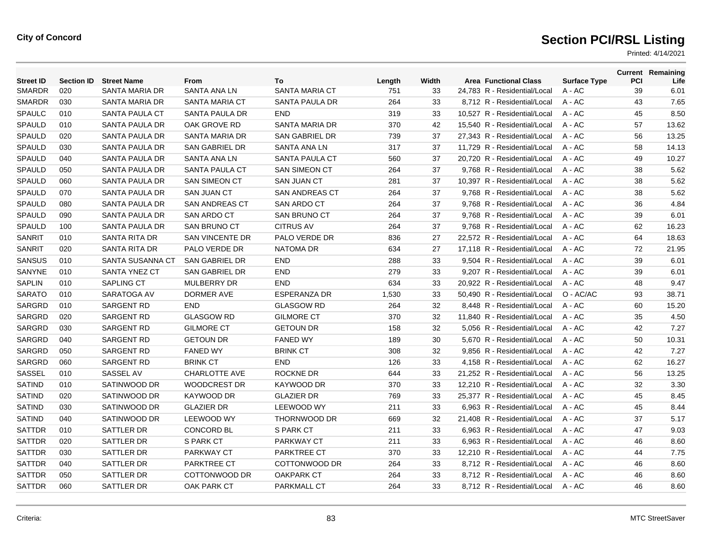| <b>Street ID</b> | <b>Section ID</b> | <b>Street Name</b>    | <b>From</b>            | To                    | Length | Width | <b>Area Functional Class</b> | <b>Surface Type</b> | <b>PCI</b> | <b>Current Remaining</b><br>Life |
|------------------|-------------------|-----------------------|------------------------|-----------------------|--------|-------|------------------------------|---------------------|------------|----------------------------------|
| <b>SMARDR</b>    | 020               | SANTA MARIA DR        | SANTA ANA LN           | <b>SANTA MARIA CT</b> | 751    | 33    | 24,783 R - Residential/Local | A - AC              | 39         | 6.01                             |
| <b>SMARDR</b>    | 030               | SANTA MARIA DR        | SANTA MARIA CT         | SANTA PAULA DR        | 264    | 33    | 8,712 R - Residential/Local  | A - AC              | 43         | 7.65                             |
| <b>SPAULC</b>    | 010               | SANTA PAULA CT        | SANTA PAULA DR         | <b>END</b>            | 319    | 33    | 10,527 R - Residential/Local | A - AC              | 45         | 8.50                             |
| <b>SPAULD</b>    | 010               | SANTA PAULA DR        | OAK GROVE RD           | SANTA MARIA DR        | 370    | 42    | 15.540 R - Residential/Local | $A - AC$            | 57         | 13.62                            |
| <b>SPAULD</b>    | 020               | <b>SANTA PAULA DR</b> | SANTA MARIA DR         | <b>SAN GABRIEL DR</b> | 739    | 37    | 27.343 R - Residential/Local | $A - AC$            | 56         | 13.25                            |
| <b>SPAULD</b>    | 030               | <b>SANTA PAULA DR</b> | SAN GABRIEL DR         | SANTA ANA LN          | 317    | 37    | 11,729 R - Residential/Local | A - AC              | 58         | 14.13                            |
| <b>SPAULD</b>    | 040               | SANTA PAULA DR        | SANTA ANA LN           | <b>SANTA PAULA CT</b> | 560    | 37    | 20,720 R - Residential/Local | $A - AC$            | 49         | 10.27                            |
| <b>SPAULD</b>    | 050               | SANTA PAULA DR        | <b>SANTA PAULA CT</b>  | <b>SAN SIMEON CT</b>  | 264    | 37    | 9.768 R - Residential/Local  | $A - AC$            | 38         | 5.62                             |
| <b>SPAULD</b>    | 060               | SANTA PAULA DR        | <b>SAN SIMEON CT</b>   | <b>SAN JUAN CT</b>    | 281    | 37    | 10.397 R - Residential/Local | $A - AC$            | 38         | 5.62                             |
| <b>SPAULD</b>    | 070               | SANTA PAULA DR        | <b>SAN JUAN CT</b>     | <b>SAN ANDREAS CT</b> | 264    | 37    | 9,768 R - Residential/Local  | A - AC              | 38         | 5.62                             |
| <b>SPAULD</b>    | 080               | SANTA PAULA DR        | <b>SAN ANDREAS CT</b>  | <b>SAN ARDO CT</b>    | 264    | 37    | 9,768 R - Residential/Local  | A - AC              | 36         | 4.84                             |
| <b>SPAULD</b>    | 090               | SANTA PAULA DR        | <b>SAN ARDO CT</b>     | <b>SAN BRUNO CT</b>   | 264    | 37    | 9,768 R - Residential/Local  | A - AC              | 39         | 6.01                             |
| SPAULD           | 100               | SANTA PAULA DR        | <b>SAN BRUNO CT</b>    | <b>CITRUS AV</b>      | 264    | 37    | 9,768 R - Residential/Local  | $A - AC$            | 62         | 16.23                            |
| <b>SANRIT</b>    | 010               | SANTA RITA DR         | <b>SAN VINCENTE DR</b> | PALO VERDE DR         | 836    | 27    | 22.572 R - Residential/Local | $A - AC$            | 64         | 18.63                            |
| SANRIT           | 020               | SANTA RITA DR         | PALO VERDE DR          | <b>NATOMA DR</b>      | 634    | 27    | 17,118 R - Residential/Local | A - AC              | 72         | 21.95                            |
| <b>SANSUS</b>    | 010               | SANTA SUSANNA CT      | SAN GABRIEL DR         | <b>END</b>            | 288    | 33    | 9,504 R - Residential/Local  | A - AC              | 39         | 6.01                             |
| SANYNE           | 010               | SANTA YNEZ CT         | <b>SAN GABRIEL DR</b>  | <b>END</b>            | 279    | 33    | 9,207 R - Residential/Local  | A - AC              | 39         | 6.01                             |
| <b>SAPLIN</b>    | 010               | <b>SAPLING CT</b>     | <b>MULBERRY DR</b>     | <b>END</b>            | 634    | 33    | 20.922 R - Residential/Local | $A - AC$            | 48         | 9.47                             |
| <b>SARATO</b>    | 010               | SARATOGA AV           | <b>DORMER AVE</b>      | <b>ESPERANZA DR</b>   | 1,530  | 33    | 50,490 R - Residential/Local | O - AC/AC           | 93         | 38.71                            |
| <b>SARGRD</b>    | 010               | <b>SARGENT RD</b>     | <b>END</b>             | <b>GLASGOW RD</b>     | 264    | 32    | 8,448 R - Residential/Local  | $A - AC$            | 60         | 15.20                            |
| SARGRD           | 020               | <b>SARGENT RD</b>     | <b>GLASGOW RD</b>      | <b>GILMORE CT</b>     | 370    | 32    | 11,840 R - Residential/Local | $A - AC$            | 35         | 4.50                             |
| <b>SARGRD</b>    | 030               | <b>SARGENT RD</b>     | <b>GILMORE CT</b>      | <b>GETOUN DR</b>      | 158    | 32    | 5.056 R - Residential/Local  | $A - AC$            | 42         | 7.27                             |
| <b>SARGRD</b>    | 040               | <b>SARGENT RD</b>     | <b>GETOUN DR</b>       | <b>FANED WY</b>       | 189    | 30    | 5.670 R - Residential/Local  | $A - AC$            | 50         | 10.31                            |
| SARGRD           | 050               | <b>SARGENT RD</b>     | <b>FANED WY</b>        | <b>BRINK CT</b>       | 308    | 32    | 9,856 R - Residential/Local  | A - AC              | 42         | 7.27                             |
| SARGRD           | 060               | <b>SARGENT RD</b>     | <b>BRINK CT</b>        | <b>END</b>            | 126    | 33    | 4,158 R - Residential/Local  | A - AC              | 62         | 16.27                            |
| <b>SASSEL</b>    | 010               | SASSEL AV             | <b>CHARLOTTE AVE</b>   | <b>ROCKNE DR</b>      | 644    | 33    | 21.252 R - Residential/Local | $A - AC$            | 56         | 13.25                            |
| <b>SATIND</b>    | 010               | SATINWOOD DR          | <b>WOODCREST DR</b>    | KAYWOOD DR            | 370    | 33    | 12.210 R - Residential/Local | $A - AC$            | 32         | 3.30                             |
| <b>SATIND</b>    | 020               | SATINWOOD DR          | KAYWOOD DR             | <b>GLAZIER DR</b>     | 769    | 33    | 25,377 R - Residential/Local | A - AC              | 45         | 8.45                             |
| <b>SATIND</b>    | 030               | SATINWOOD DR          | <b>GLAZIER DR</b>      | <b>LEEWOOD WY</b>     | 211    | 33    | 6,963 R - Residential/Local  | A - AC              | 45         | 8.44                             |
| <b>SATIND</b>    | 040               | SATINWOOD DR          | LEEWOOD WY             | <b>THORNWOOD DR</b>   | 669    | 32    | 21,408 R - Residential/Local | A - AC              | 37         | 5.17                             |
| <b>SATTDR</b>    | 010               | SATTLER DR            | <b>CONCORD BL</b>      | S PARK CT             | 211    | 33    | 6.963 R - Residential/Local  | A - AC              | 47         | 9.03                             |
| <b>SATTDR</b>    | 020               | SATTLER DR            | S PARK CT              | <b>PARKWAY CT</b>     | 211    | 33    | 6.963 R - Residential/Local  | $A - AC$            | 46         | 8.60                             |
| <b>SATTDR</b>    | 030               | SATTLER DR            | <b>PARKWAY CT</b>      | <b>PARKTREE CT</b>    | 370    | 33    | 12,210 R - Residential/Local | A - AC              | 44         | 7.75                             |
| <b>SATTDR</b>    | 040               | SATTLER DR            | <b>PARKTREE CT</b>     | COTTONWOOD DR         | 264    | 33    | 8,712 R - Residential/Local  | A - AC              | 46         | 8.60                             |
| <b>SATTDR</b>    | 050               | SATTLER DR            | COTTONWOOD DR          | <b>OAKPARK CT</b>     | 264    | 33    | 8.712 R - Residential/Local  | A - AC              | 46         | 8.60                             |
| <b>SATTDR</b>    | 060               | SATTLER DR            | OAK PARK CT            | PARKMALL CT           | 264    | 33    | 8.712 R - Residential/Local  | $A - AC$            | 46         | 8.60                             |
|                  |                   |                       |                        |                       |        |       |                              |                     |            |                                  |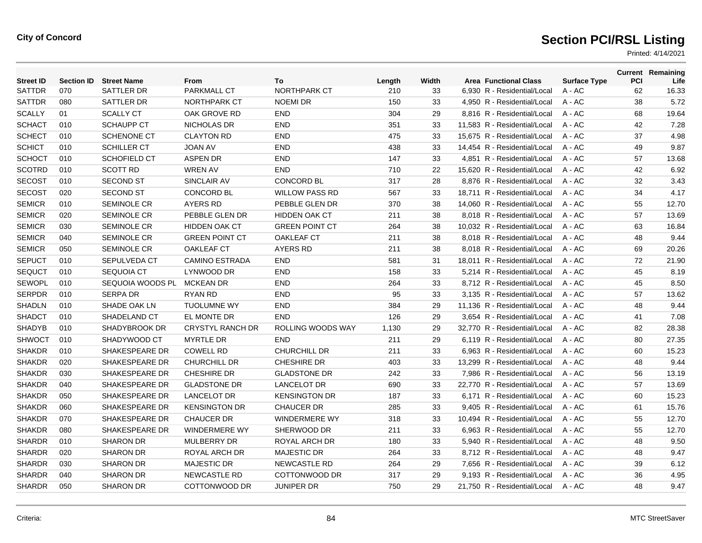| <b>Street ID</b> | <b>Section ID</b> | <b>Street Name</b>    | From                    | To                    | Length | Width | <b>Area Functional Class</b> | <b>Surface Type</b> | <b>PCI</b> | <b>Current Remaining</b><br>Life |
|------------------|-------------------|-----------------------|-------------------------|-----------------------|--------|-------|------------------------------|---------------------|------------|----------------------------------|
| SATTDR           | 070               | SATTLER DR            | <b>PARKMALL CT</b>      | <b>NORTHPARK CT</b>   | 210    | 33    | 6.930 R - Residential/Local  | $A - AC$            | 62         | 16.33                            |
| <b>SATTDR</b>    | 080               | SATTLER DR            | <b>NORTHPARK CT</b>     | <b>NOEMI DR</b>       | 150    | 33    | 4,950 R - Residential/Local  | $A - AC$            | 38         | 5.72                             |
| <b>SCALLY</b>    | 01                | <b>SCALLY CT</b>      | OAK GROVE RD            | <b>END</b>            | 304    | 29    | 8,816 R - Residential/Local  | A - AC              | 68         | 19.64                            |
| <b>SCHACT</b>    | 010               | <b>SCHAUPP CT</b>     | <b>NICHOLAS DR</b>      | <b>END</b>            | 351    | 33    | 11,583 R - Residential/Local | $A - AC$            | 42         | 7.28                             |
| <b>SCHECT</b>    | 010               | <b>SCHENONE CT</b>    | <b>CLAYTON RD</b>       | <b>END</b>            | 475    | 33    | 15.675 R - Residential/Local | $A - AC$            | 37         | 4.98                             |
| <b>SCHICT</b>    | 010               | <b>SCHILLER CT</b>    | <b>JOAN AV</b>          | <b>END</b>            | 438    | 33    | 14.454 R - Residential/Local | $A - AC$            | 49         | 9.87                             |
| <b>SCHOCT</b>    | 010               | SCHOFIELD CT          | <b>ASPEN DR</b>         | <b>END</b>            | 147    | 33    | 4,851 R - Residential/Local  | A - AC              | 57         | 13.68                            |
| <b>SCOTRD</b>    | 010               | <b>SCOTT RD</b>       | <b>WREN AV</b>          | <b>END</b>            | 710    | 22    | 15,620 R - Residential/Local | A - AC              | 42         | 6.92                             |
| <b>SECOST</b>    | 010               | <b>SECOND ST</b>      | SINCLAIR AV             | <b>CONCORD BL</b>     | 317    | 28    | 8,876 R - Residential/Local  | A - AC              | 32         | 3.43                             |
| <b>SECOST</b>    | 020               | <b>SECOND ST</b>      | <b>CONCORD BL</b>       | <b>WILLOW PASS RD</b> | 567    | 33    | 18,711 R - Residential/Local | $A - AC$            | 34         | 4.17                             |
| <b>SEMICR</b>    | 010               | <b>SEMINOLE CR</b>    | <b>AYERS RD</b>         | PEBBLE GLEN DR        | 370    | 38    | 14.060 R - Residential/Local | $A - AC$            | 55         | 12.70                            |
| <b>SEMICR</b>    | 020               | SEMINOLE CR           | PEBBLE GLEN DR          | <b>HIDDEN OAK CT</b>  | 211    | 38    | 8,018 R - Residential/Local  | A - AC              | 57         | 13.69                            |
| <b>SEMICR</b>    | 030               | <b>SEMINOLE CR</b>    | <b>HIDDEN OAK CT</b>    | <b>GREEN POINT CT</b> | 264    | 38    | 10,032 R - Residential/Local | A - AC              | 63         | 16.84                            |
| <b>SEMICR</b>    | 040               | <b>SEMINOLE CR</b>    | <b>GREEN POINT CT</b>   | <b>OAKLEAF CT</b>     | 211    | 38    | 8,018 R - Residential/Local  | A - AC              | 48         | 9.44                             |
| <b>SEMICR</b>    | 050               | <b>SEMINOLE CR</b>    | <b>OAKLEAF CT</b>       | <b>AYERS RD</b>       | 211    | 38    | 8.018 R - Residential/Local  | A - AC              | 69         | 20.26                            |
| <b>SEPUCT</b>    | 010               | SEPULVEDA CT          | <b>CAMINO ESTRADA</b>   | <b>END</b>            | 581    | 31    | 18.011 R - Residential/Local | $A - AC$            | 72         | 21.90                            |
| <b>SEQUCT</b>    | 010               | SEQUOIA CT            | LYNWOOD DR              | <b>END</b>            | 158    | 33    | 5,214 R - Residential/Local  | A - AC              | 45         | 8.19                             |
| <b>SEWOPL</b>    | 010               | SEQUOIA WOODS PL      | <b>MCKEAN DR</b>        | <b>END</b>            | 264    | 33    | 8,712 R - Residential/Local  | A - AC              | 45         | 8.50                             |
| <b>SERPDR</b>    | 010               | <b>SERPA DR</b>       | <b>RYAN RD</b>          | <b>END</b>            | 95     | 33    | 3,135 R - Residential/Local  | A - AC              | 57         | 13.62                            |
| <b>SHADLN</b>    | 010               | SHADE OAK LN          | <b>TUOLUMNE WY</b>      | <b>END</b>            | 384    | 29    | 11,136 R - Residential/Local | $A - AC$            | 48         | 9.44                             |
| <b>SHADCT</b>    | 010               | SHADELAND CT          | EL MONTE DR             | <b>END</b>            | 126    | 29    | 3.654 R - Residential/Local  | $A - AC$            | 41         | 7.08                             |
| <b>SHADYB</b>    | 010               | SHADYBROOK DR         | <b>CRYSTYL RANCH DR</b> | ROLLING WOODS WAY     | 1,130  | 29    | 32,770 R - Residential/Local | A - AC              | 82         | 28.38                            |
| <b>SHWOCT</b>    | 010               | SHADYWOOD CT          | <b>MYRTLE DR</b>        | <b>END</b>            | 211    | 29    | 6,119 R - Residential/Local  | $A - AC$            | 80         | 27.35                            |
| <b>SHAKDR</b>    | 010               | <b>SHAKESPEARE DR</b> | <b>COWELL RD</b>        | <b>CHURCHILL DR</b>   | 211    | 33    | 6,963 R - Residential/Local  | $A - AC$            | 60         | 15.23                            |
| <b>SHAKDR</b>    | 020               | <b>SHAKESPEARE DR</b> | <b>CHURCHILL DR</b>     | <b>CHESHIRE DR</b>    | 403    | 33    | 13.299 R - Residential/Local | $A - AC$            | 48         | 9.44                             |
| <b>SHAKDR</b>    | 030               | <b>SHAKESPEARE DR</b> | <b>CHESHIRE DR</b>      | <b>GLADSTONE DR</b>   | 242    | 33    | 7.986 R - Residential/Local  | $A - AC$            | 56         | 13.19                            |
| <b>SHAKDR</b>    | 040               | SHAKESPEARE DR        | <b>GLADSTONE DR</b>     | <b>LANCELOT DR</b>    | 690    | 33    | 22,770 R - Residential/Local | A - AC              | 57         | 13.69                            |
| <b>SHAKDR</b>    | 050               | SHAKESPEARE DR        | <b>LANCELOT DR</b>      | <b>KENSINGTON DR</b>  | 187    | 33    | 6,171 R - Residential/Local  | A - AC              | 60         | 15.23                            |
| <b>SHAKDR</b>    | 060               | SHAKESPEARE DR        | <b>KENSINGTON DR</b>    | <b>CHAUCER DR</b>     | 285    | 33    | 9,405 R - Residential/Local  | A - AC              | 61         | 15.76                            |
| <b>SHAKDR</b>    | 070               | SHAKESPEARE DR        | <b>CHAUCER DR</b>       | <b>WINDERMERE WY</b>  | 318    | 33    | 10,494 R - Residential/Local | A - AC              | 55         | 12.70                            |
| <b>SHAKDR</b>    | 080               | <b>SHAKESPEARE DR</b> | <b>WINDERMERE WY</b>    | SHERWOOD DR           | 211    | 33    | 6.963 R - Residential/Local  | $A - AC$            | 55         | 12.70                            |
| <b>SHARDR</b>    | 010               | <b>SHARON DR</b>      | <b>MULBERRY DR</b>      | ROYAL ARCH DR         | 180    | 33    | 5,940 R - Residential/Local  | A - AC              | 48         | 9.50                             |
| <b>SHARDR</b>    | 020               | <b>SHARON DR</b>      | ROYAL ARCH DR           | <b>MAJESTIC DR</b>    | 264    | 33    | 8,712 R - Residential/Local  | A - AC              | 48         | 9.47                             |
| <b>SHARDR</b>    | 030               | <b>SHARON DR</b>      | <b>MAJESTIC DR</b>      | <b>NEWCASTLE RD</b>   | 264    | 29    | 7,656 R - Residential/Local  | A - AC              | 39         | 6.12                             |
| <b>SHARDR</b>    | 040               | <b>SHARON DR</b>      | <b>NEWCASTLE RD</b>     | COTTONWOOD DR         | 317    | 29    | 9.193 R - Residential/Local  | A - AC              | 36         | 4.95                             |
| <b>SHARDR</b>    | 050               | <b>SHARON DR</b>      | COTTONWOOD DR           | <b>JUNIPER DR</b>     | 750    | 29    | 21.750 R - Residential/Local | $A - AC$            | 48         | 9.47                             |
|                  |                   |                       |                         |                       |        |       |                              |                     |            |                                  |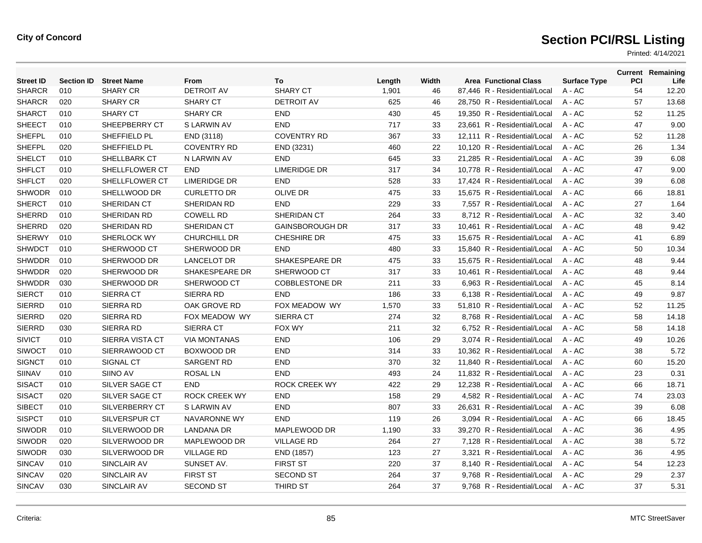| <b>Street ID</b> | <b>Section ID</b> | <b>Street Name</b> | From                 | To                     | Length | Width | <b>Area Functional Class</b> | <b>Surface Type</b> | PCI | <b>Current Remaining</b><br>Life |
|------------------|-------------------|--------------------|----------------------|------------------------|--------|-------|------------------------------|---------------------|-----|----------------------------------|
| <b>SHARCR</b>    | 010               | <b>SHARY CR</b>    | <b>DETROIT AV</b>    | <b>SHARY CT</b>        | 1,901  | 46    | 87,446 R - Residential/Local | $A - AC$            | 54  | 12.20                            |
| <b>SHARCR</b>    | 020               | <b>SHARY CR</b>    | <b>SHARY CT</b>      | <b>DETROIT AV</b>      | 625    | 46    | 28,750 R - Residential/Local | $A - AC$            | 57  | 13.68                            |
| <b>SHARCT</b>    | 010               | <b>SHARY CT</b>    | <b>SHARY CR</b>      | <b>END</b>             | 430    | 45    | 19,350 R - Residential/Local | $A - AC$            | 52  | 11.25                            |
| <b>SHEECT</b>    | 010               | SHEEPBERRY CT      | S LARWIN AV          | <b>END</b>             | 717    | 33    | 23.661 R - Residential/Local | $A - AC$            | 47  | 9.00                             |
| <b>SHEFPL</b>    | 010               | SHEFFIELD PL       | END (3118)           | <b>COVENTRY RD</b>     | 367    | 33    | 12.111 R - Residential/Local | $A - AC$            | 52  | 11.28                            |
| <b>SHEFPL</b>    | 020               | SHEFFIELD PL       | <b>COVENTRY RD</b>   | END (3231)             | 460    | 22    | 10,120 R - Residential/Local | $A - AC$            | 26  | 1.34                             |
| <b>SHELCT</b>    | 010               | SHELLBARK CT       | N LARWIN AV          | <b>END</b>             | 645    | 33    | 21,285 R - Residential/Local | $A - AC$            | 39  | 6.08                             |
| <b>SHFLCT</b>    | 010               | SHELLFLOWER CT     | <b>END</b>           | <b>LIMERIDGE DR</b>    | 317    | 34    | 10.778 R - Residential/Local | $A - AC$            | 47  | 9.00                             |
| <b>SHFLCT</b>    | 020               | SHELLFLOWER CT     | <b>LIMERIDGE DR</b>  | <b>END</b>             | 528    | 33    | 17.424 R - Residential/Local | $A - AC$            | 39  | 6.08                             |
| <b>SHWODR</b>    | 010               | SHELLWOOD DR       | <b>CURLETTO DR</b>   | <b>OLIVE DR</b>        | 475    | 33    | 15,675 R - Residential/Local | $A - AC$            | 66  | 18.81                            |
| <b>SHERCT</b>    | 010               | SHERIDAN CT        | SHERIDAN RD          | <b>END</b>             | 229    | 33    | 7,557 R - Residential/Local  | A - AC              | 27  | 1.64                             |
| <b>SHERRD</b>    | 010               | SHERIDAN RD        | <b>COWELL RD</b>     | SHERIDAN CT            | 264    | 33    | 8,712 R - Residential/Local  | $A - AC$            | 32  | 3.40                             |
| <b>SHERRD</b>    | 020               | SHERIDAN RD        | SHERIDAN CT          | <b>GAINSBOROUGH DR</b> | 317    | 33    | 10,461 R - Residential/Local | $A - AC$            | 48  | 9.42                             |
| <b>SHERWY</b>    | 010               | SHERLOCK WY        | <b>CHURCHILL DR</b>  | <b>CHESHIRE DR</b>     | 475    | 33    | 15.675 R - Residential/Local | $A - AC$            | 41  | 6.89                             |
| <b>SHWDCT</b>    | 010               | SHERWOOD CT        | SHERWOOD DR          | <b>END</b>             | 480    | 33    | 15,840 R - Residential/Local | A - AC              | 50  | 10.34                            |
| <b>SHWDDR</b>    | 010               | SHERWOOD DR        | <b>LANCELOT DR</b>   | SHAKESPEARE DR         | 475    | 33    | 15,675 R - Residential/Local | A - AC              | 48  | 9.44                             |
| <b>SHWDDR</b>    | 020               | SHERWOOD DR        | SHAKESPEARE DR       | SHERWOOD CT            | 317    | 33    | 10,461 R - Residential/Local | $A - AC$            | 48  | 9.44                             |
| <b>SHWDDR</b>    | 030               | SHERWOOD DR        | SHERWOOD CT          | <b>COBBLESTONE DR</b>  | 211    | 33    | 6.963 R - Residential/Local  | $A - AC$            | 45  | 8.14                             |
| <b>SIERCT</b>    | 010               | <b>SIERRA CT</b>   | <b>SIERRA RD</b>     | <b>END</b>             | 186    | 33    | 6,138 R - Residential/Local  | $A - AC$            | 49  | 9.87                             |
| <b>SIERRD</b>    | 010               | <b>SIERRA RD</b>   | OAK GROVE RD         | FOX MEADOW WY          | 1,570  | 33    | 51,810 R - Residential/Local | $A - AC$            | 52  | 11.25                            |
| <b>SIERRD</b>    | 020               | <b>SIERRA RD</b>   | FOX MEADOW WY        | <b>SIERRA CT</b>       | 274    | 32    | 8.768 R - Residential/Local  | $A - AC$            | 58  | 14.18                            |
| <b>SIERRD</b>    | 030               | <b>SIERRA RD</b>   | <b>SIERRA CT</b>     | FOX WY                 | 211    | 32    | 6.752 R - Residential/Local  | $A - AC$            | 58  | 14.18                            |
| <b>SIVICT</b>    | 010               | SIERRA VISTA CT    | <b>VIA MONTANAS</b>  | <b>END</b>             | 106    | 29    | 3.074 R - Residential/Local  | $A - AC$            | 49  | 10.26                            |
| <b>SIWOCT</b>    | 010               | SIERRAWOOD CT      | BOXWOOD DR           | <b>END</b>             | 314    | 33    | 10,362 R - Residential/Local | A - AC              | 38  | 5.72                             |
| <b>SIGNCT</b>    | 010               | SIGNAL CT          | <b>SARGENT RD</b>    | <b>END</b>             | 370    | 32    | 11,840 R - Residential/Local | $A - AC$            | 60  | 15.20                            |
| <b>SIINAV</b>    | 010               | SIINO AV           | <b>ROSAL LN</b>      | <b>END</b>             | 493    | 24    | 11.832 R - Residential/Local | $A - AC$            | 23  | 0.31                             |
| <b>SISACT</b>    | 010               | SILVER SAGE CT     | <b>END</b>           | <b>ROCK CREEK WY</b>   | 422    | 29    | 12.238 R - Residential/Local | $A - AC$            | 66  | 18.71                            |
| <b>SISACT</b>    | 020               | SILVER SAGE CT     | <b>ROCK CREEK WY</b> | <b>END</b>             | 158    | 29    | 4,582 R - Residential/Local  | $A - AC$            | 74  | 23.03                            |
| <b>SIBECT</b>    | 010               | SILVERBERRY CT     | S LARWIN AV          | <b>END</b>             | 807    | 33    | 26,631 R - Residential/Local | A - AC              | 39  | 6.08                             |
| <b>SISPCT</b>    | 010               | SILVERSPUR CT      | NAVARONNE WY         | <b>END</b>             | 119    | 26    | 3,094 R - Residential/Local  | A - AC              | 66  | 18.45                            |
| <b>SIWODR</b>    | 010               | SILVERWOOD DR      | <b>LANDANA DR</b>    | MAPLEWOOD DR           | 1,190  | 33    | 39,270 R - Residential/Local | $A - AC$            | 36  | 4.95                             |
| <b>SIWODR</b>    | 020               | SILVERWOOD DR      | MAPLEWOOD DR         | <b>VILLAGE RD</b>      | 264    | 27    | 7.128 R - Residential/Local  | $A - AC$            | 38  | 5.72                             |
| <b>SIWODR</b>    | 030               | SILVERWOOD DR      | <b>VILLAGE RD</b>    | END (1857)             | 123    | 27    | 3,321 R - Residential/Local  | A - AC              | 36  | 4.95                             |
| <b>SINCAV</b>    | 010               | SINCLAIR AV        | SUNSET AV.           | <b>FIRST ST</b>        | 220    | 37    | 8,140 R - Residential/Local  | A - AC              | 54  | 12.23                            |
| <b>SINCAV</b>    | 020               | SINCLAIR AV        | <b>FIRST ST</b>      | <b>SECOND ST</b>       | 264    | 37    | 9,768 R - Residential/Local  | A - AC              | 29  | 2.37                             |
| <b>SINCAV</b>    | 030               | SINCLAIR AV        | <b>SECOND ST</b>     | THIRD ST               | 264    | 37    | 9.768 R - Residential/Local  | A - AC              | 37  | 5.31                             |
|                  |                   |                    |                      |                        |        |       |                              |                     |     |                                  |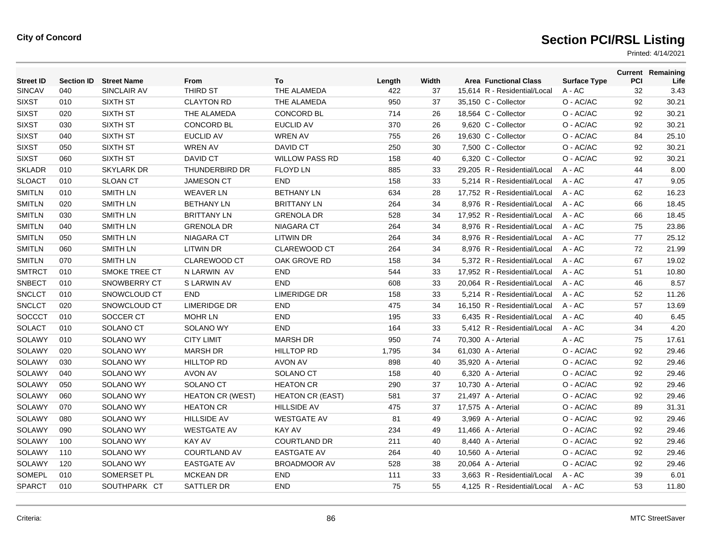| <b>Street ID</b> | <b>Section ID</b> | <b>Street Name</b>   | From                    | To                      | Length | Width | <b>Area Functional Class</b> | <b>Surface Type</b> | PCI | <b>Current Remaining</b><br>Life |
|------------------|-------------------|----------------------|-------------------------|-------------------------|--------|-------|------------------------------|---------------------|-----|----------------------------------|
| <b>SINCAV</b>    | 040               | SINCLAIR AV          | THIRD ST                | THE ALAMEDA             | 422    | 37    | 15,614 R - Residential/Local | $A - AC$            | 32  | 3.43                             |
| <b>SIXST</b>     | 010               | SIXTH ST             | <b>CLAYTON RD</b>       | THE ALAMEDA             | 950    | 37    | 35,150 C - Collector         | O - AC/AC           | 92  | 30.21                            |
| <b>SIXST</b>     | 020               | SIXTH ST             | THE ALAMEDA             | <b>CONCORD BL</b>       | 714    | 26    | 18,564 C - Collector         | O - AC/AC           | 92  | 30.21                            |
| <b>SIXST</b>     | 030               | <b>SIXTH ST</b>      | <b>CONCORD BL</b>       | <b>EUCLID AV</b>        | 370    | 26    | 9,620 C - Collector          | O - AC/AC           | 92  | 30.21                            |
| <b>SIXST</b>     | 040               | <b>SIXTH ST</b>      | <b>EUCLID AV</b>        | <b>WREN AV</b>          | 755    | 26    | 19,630 C - Collector         | O - AC/AC           | 84  | 25.10                            |
| <b>SIXST</b>     | 050               | <b>SIXTH ST</b>      | <b>WREN AV</b>          | DAVID CT                | 250    | 30    | 7,500 C - Collector          | O - AC/AC           | 92  | 30.21                            |
| <b>SIXST</b>     | 060               | <b>SIXTH ST</b>      | DAVID CT                | <b>WILLOW PASS RD</b>   | 158    | 40    | 6,320 C - Collector          | O - AC/AC           | 92  | 30.21                            |
| <b>SKLADR</b>    | 010               | <b>SKYLARK DR</b>    | <b>THUNDERBIRD DR</b>   | <b>FLOYD LN</b>         | 885    | 33    | 29.205 R - Residential/Local | $A - AC$            | 44  | 8.00                             |
| <b>SLOACT</b>    | 010               | <b>SLOAN CT</b>      | <b>JAMESON CT</b>       | <b>END</b>              | 158    | 33    | 5,214 R - Residential/Local  | $A - AC$            | 47  | 9.05                             |
| <b>SMITLN</b>    | 010               | <b>SMITH LN</b>      | <b>WEAVER LN</b>        | <b>BETHANY LN</b>       | 634    | 28    | 17,752 R - Residential/Local | A - AC              | 62  | 16.23                            |
| <b>SMITLN</b>    | 020               | <b>SMITH LN</b>      | <b>BETHANY LN</b>       | <b>BRITTANY LN</b>      | 264    | 34    | 8,976 R - Residential/Local  | $A - AC$            | 66  | 18.45                            |
| <b>SMITLN</b>    | 030               | <b>SMITH LN</b>      | <b>BRITTANY LN</b>      | <b>GRENOLA DR</b>       | 528    | 34    | 17,952 R - Residential/Local | $A - AC$            | 66  | 18.45                            |
| <b>SMITLN</b>    | 040               | SMITH LN             | <b>GRENOLA DR</b>       | NIAGARA CT              | 264    | 34    | 8,976 R - Residential/Local  | $A - AC$            | 75  | 23.86                            |
| <b>SMITLN</b>    | 050               | <b>SMITH LN</b>      | NIAGARA CT              | <b>LITWIN DR</b>        | 264    | 34    | 8,976 R - Residential/Local  | $A - AC$            | 77  | 25.12                            |
| <b>SMITLN</b>    | 060               | <b>SMITH LN</b>      | <b>LITWIN DR</b>        | <b>CLAREWOOD CT</b>     | 264    | 34    | 8,976 R - Residential/Local  | A - AC              | 72  | 21.99                            |
| <b>SMITLN</b>    | 070               | <b>SMITH LN</b>      | <b>CLAREWOOD CT</b>     | OAK GROVE RD            | 158    | 34    | 5,372 R - Residential/Local  | $A - AC$            | 67  | 19.02                            |
| <b>SMTRCT</b>    | 010               | <b>SMOKE TREE CT</b> | N LARWIN AV             | <b>END</b>              | 544    | 33    | 17,952 R - Residential/Local | A - AC              | 51  | 10.80                            |
| <b>SNBECT</b>    | 010               | SNOWBERRY CT         | S LARWIN AV             | <b>END</b>              | 608    | 33    | 20,064 R - Residential/Local | A - AC              | 46  | 8.57                             |
| <b>SNCLCT</b>    | 010               | SNOWCLOUD CT         | <b>END</b>              | <b>LIMERIDGE DR</b>     | 158    | 33    | 5,214 R - Residential/Local  | $A - AC$            | 52  | 11.26                            |
| <b>SNCLCT</b>    | 020               | SNOWCLOUD CT         | <b>LIMERIDGE DR</b>     | <b>END</b>              | 475    | 34    | 16,150 R - Residential/Local | $A - AC$            | 57  | 13.69                            |
| <b>SOCCCT</b>    | 010               | SOCCER CT            | <b>MOHR LN</b>          | <b>END</b>              | 195    | 33    | 6,435 R - Residential/Local  | $A - AC$            | 40  | 6.45                             |
| SOLACT           | 010               | SOLANO CT            | <b>SOLANO WY</b>        | <b>END</b>              | 164    | 33    | 5,412 R - Residential/Local  | $A - AC$            | 34  | 4.20                             |
| SOLAWY           | 010               | <b>SOLANO WY</b>     | <b>CITY LIMIT</b>       | <b>MARSH DR</b>         | 950    | 74    | 70,300 A - Arterial          | $A - AC$            | 75  | 17.61                            |
| <b>SOLAWY</b>    | 020               | <b>SOLANO WY</b>     | <b>MARSH DR</b>         | <b>HILLTOP RD</b>       | 1.795  | 34    | 61,030 A - Arterial          | O - AC/AC           | 92  | 29.46                            |
| SOLAWY           | 030               | <b>SOLANO WY</b>     | <b>HILLTOP RD</b>       | <b>AVON AV</b>          | 898    | 40    | 35,920 A - Arterial          | O - AC/AC           | 92  | 29.46                            |
| SOLAWY           | 040               | SOLANO WY            | AVON AV                 | SOLANO CT               | 158    | 40    | 6,320 A - Arterial           | O - AC/AC           | 92  | 29.46                            |
| SOLAWY           | 050               | SOLANO WY            | SOLANO CT               | <b>HEATON CR</b>        | 290    | 37    | 10,730 A - Arterial          | O - AC/AC           | 92  | 29.46                            |
| SOLAWY           | 060               | <b>SOLANO WY</b>     | <b>HEATON CR (WEST)</b> | <b>HEATON CR (EAST)</b> | 581    | 37    | 21,497 A - Arterial          | O - AC/AC           | 92  | 29.46                            |
| SOLAWY           | 070               | <b>SOLANO WY</b>     | <b>HEATON CR</b>        | <b>HILLSIDE AV</b>      | 475    | 37    | 17,575 A - Arterial          | O - AC/AC           | 89  | 31.31                            |
| SOLAWY           | 080               | SOLANO WY            | <b>HILLSIDE AV</b>      | <b>WESTGATE AV</b>      | 81     | 49    | 3,969 A - Arterial           | O - AC/AC           | 92  | 29.46                            |
| SOLAWY           | 090               | <b>SOLANO WY</b>     | <b>WESTGATE AV</b>      | <b>KAY AV</b>           | 234    | 49    | 11,466 A - Arterial          | O - AC/AC           | 92  | 29.46                            |
| SOLAWY           | 100               | <b>SOLANO WY</b>     | <b>KAY AV</b>           | <b>COURTLAND DR</b>     | 211    | 40    | 8,440 A - Arterial           | O - AC/AC           | 92  | 29.46                            |
| SOLAWY           | 110               | <b>SOLANO WY</b>     | <b>COURTLAND AV</b>     | <b>EASTGATE AV</b>      | 264    | 40    | 10,560 A - Arterial          | O - AC/AC           | 92  | 29.46                            |
| <b>SOLAWY</b>    | 120               | SOLANO WY            | <b>EASTGATE AV</b>      | <b>BROADMOOR AV</b>     | 528    | 38    | 20,064 A - Arterial          | O - AC/AC           | 92  | 29.46                            |
| <b>SOMEPL</b>    | 010               | SOMERSET PL          | <b>MCKEAN DR</b>        | <b>END</b>              | 111    | 33    | 3,663 R - Residential/Local  | $A - AC$            | 39  | 6.01                             |
| <b>SPARCT</b>    | 010               | SOUTHPARK CT         | <b>SATTLER DR</b>       | <b>END</b>              | 75     | 55    | 4.125 R - Residential/Local  | A - AC              | 53  | 11.80                            |
|                  |                   |                      |                         |                         |        |       |                              |                     |     |                                  |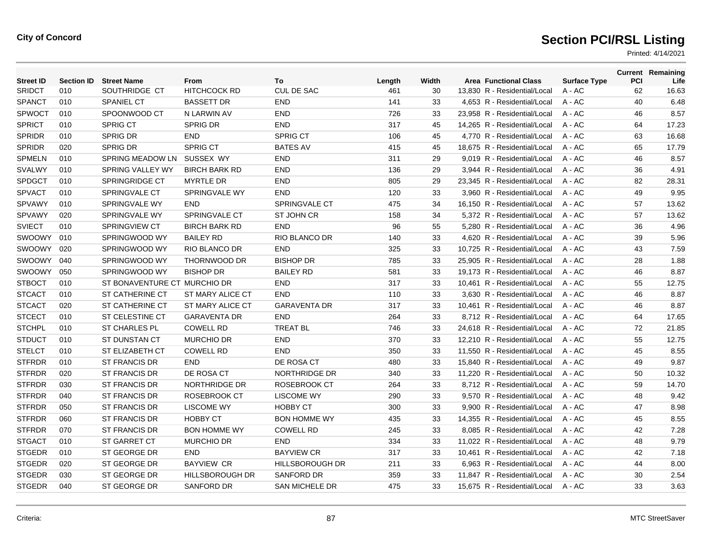| <b>Street ID</b> | <b>Section ID</b> | <b>Street Name</b>           | <b>From</b>            | To                     | Length | Width | <b>Area Functional Class</b> | <b>Surface Type</b> | <b>PCI</b> | <b>Current Remaining</b><br>Life |
|------------------|-------------------|------------------------------|------------------------|------------------------|--------|-------|------------------------------|---------------------|------------|----------------------------------|
| <b>SRIDCT</b>    | 010               | SOUTHRIDGE CT                | <b>HITCHCOCK RD</b>    | <b>CUL DE SAC</b>      | 461    | 30    | 13.830 R - Residential/Local | $A - AC$            | 62         | 16.63                            |
| <b>SPANCT</b>    | 010               | <b>SPANIEL CT</b>            | <b>BASSETT DR</b>      | <b>END</b>             | 141    | 33    | 4,653 R - Residential/Local  | A - AC              | 40         | 6.48                             |
| <b>SPWOCT</b>    | 010               | SPOONWOOD CT                 | N LARWIN AV            | <b>END</b>             | 726    | 33    | 23,958 R - Residential/Local | $A - AC$            | 46         | 8.57                             |
| <b>SPRICT</b>    | 010               | <b>SPRIG CT</b>              | <b>SPRIG DR</b>        | <b>END</b>             | 317    | 45    | 14.265 R - Residential/Local | $A - AC$            | 64         | 17.23                            |
| <b>SPRIDR</b>    | 010               | <b>SPRIG DR</b>              | <b>END</b>             | <b>SPRIG CT</b>        | 106    | 45    | 4.770 R - Residential/Local  | $A - AC$            | 63         | 16.68                            |
| <b>SPRIDR</b>    | 020               | <b>SPRIG DR</b>              | <b>SPRIG CT</b>        | <b>BATES AV</b>        | 415    | 45    | 18,675 R - Residential/Local | A - AC              | 65         | 17.79                            |
| <b>SPMELN</b>    | 010               | SPRING MEADOW LN             | SUSSEX WY              | <b>END</b>             | 311    | 29    | 9,019 R - Residential/Local  | A - AC              | 46         | 8.57                             |
| SVALWY           | 010               | SPRING VALLEY WY             | <b>BIRCH BARK RD</b>   | <b>END</b>             | 136    | 29    | 3,944 R - Residential/Local  | A - AC              | 36         | 4.91                             |
| <b>SPDGCT</b>    | 010               | <b>SPRINGRIDGE CT</b>        | <b>MYRTLE DR</b>       | <b>END</b>             | 805    | 29    | 23,345 R - Residential/Local | $A - AC$            | 82         | 28.31                            |
| <b>SPVACT</b>    | 010               | <b>SPRINGVALE CT</b>         | <b>SPRINGVALE WY</b>   | <b>END</b>             | 120    | 33    | 3.960 R - Residential/Local  | $A - AC$            | 49         | 9.95                             |
| <b>SPVAWY</b>    | 010               | SPRINGVALE WY                | <b>END</b>             | <b>SPRINGVALE CT</b>   | 475    | 34    | 16,150 R - Residential/Local | A - AC              | 57         | 13.62                            |
| SPVAWY           | 020               | SPRINGVALE WY                | SPRINGVALE CT          | <b>ST JOHN CR</b>      | 158    | 34    | 5,372 R - Residential/Local  | A - AC              | 57         | 13.62                            |
| <b>SVIECT</b>    | 010               | <b>SPRINGVIEW CT</b>         | <b>BIRCH BARK RD</b>   | <b>END</b>             | 96     | 55    | 5,280 R - Residential/Local  | $A - AC$            | 36         | 4.96                             |
| SWOOWY           | 010               | SPRINGWOOD WY                | <b>BAILEY RD</b>       | <b>RIO BLANCO DR</b>   | 140    | 33    | 4.620 R - Residential/Local  | $A - AC$            | 39         | 5.96                             |
| SWOOWY           | 020               | SPRINGWOOD WY                | <b>RIO BLANCO DR</b>   | <b>END</b>             | 325    | 33    | 10,725 R - Residential/Local | A - AC              | 43         | 7.59                             |
| SWOOWY           | 040               | SPRINGWOOD WY                | THORNWOOD DR           | <b>BISHOP DR</b>       | 785    | 33    | 25,905 R - Residential/Local | A - AC              | 28         | 1.88                             |
| <b>SWOOWY</b>    | 050               | SPRINGWOOD WY                | <b>BISHOP DR</b>       | <b>BAILEY RD</b>       | 581    | 33    | 19.173 R - Residential/Local | $A - AC$            | 46         | 8.87                             |
| <b>STBOCT</b>    | 010               | ST BONAVENTURE CT MURCHIO DR |                        | <b>END</b>             | 317    | 33    | 10.461 R - Residential/Local | $A - AC$            | 55         | 12.75                            |
| <b>STCACT</b>    | 010               | <b>ST CATHERINE CT</b>       | ST MARY ALICE CT       | <b>END</b>             | 110    | 33    | 3,630 R - Residential/Local  | $A - AC$            | 46         | 8.87                             |
| <b>STCACT</b>    | 020               | ST CATHERINE CT              | ST MARY ALICE CT       | <b>GARAVENTA DR</b>    | 317    | 33    | 10,461 R - Residential/Local | A - AC              | 46         | 8.87                             |
| <b>STCECT</b>    | 010               | ST CELESTINE CT              | <b>GARAVENTA DR</b>    | <b>END</b>             | 264    | 33    | 8,712 R - Residential/Local  | $A - AC$            | 64         | 17.65                            |
| <b>STCHPL</b>    | 010               | <b>ST CHARLES PL</b>         | <b>COWELL RD</b>       | <b>TREAT BL</b>        | 746    | 33    | 24.618 R - Residential/Local | $A - AC$            | 72         | 21.85                            |
| <b>STDUCT</b>    | 010               | <b>ST DUNSTAN CT</b>         | <b>MURCHIO DR</b>      | <b>END</b>             | 370    | 33    | 12.210 R - Residential/Local | $A - AC$            | 55         | 12.75                            |
| <b>STELCT</b>    | 010               | ST ELIZABETH CT              | <b>COWELL RD</b>       | <b>END</b>             | 350    | 33    | 11,550 R - Residential/Local | A - AC              | 45         | 8.55                             |
| <b>STFRDR</b>    | 010               | <b>ST FRANCIS DR</b>         | <b>END</b>             | DE ROSA CT             | 480    | 33    | 15,840 R - Residential/Local | A - AC              | 49         | 9.87                             |
| <b>STFRDR</b>    | 020               | <b>ST FRANCIS DR</b>         | DE ROSA CT             | NORTHRIDGE DR          | 340    | 33    | 11,220 R - Residential/Local | A - AC              | 50         | 10.32                            |
| <b>STFRDR</b>    | 030               | ST FRANCIS DR                | NORTHRIDGE DR          | ROSEBROOK CT           | 264    | 33    | 8.712 R - Residential/Local  | $A - AC$            | 59         | 14.70                            |
| <b>STFRDR</b>    | 040               | ST FRANCIS DR                | ROSEBROOK CT           | <b>LISCOME WY</b>      | 290    | 33    | 9,570 R - Residential/Local  | $A - AC$            | 48         | 9.42                             |
| <b>STFRDR</b>    | 050               | ST FRANCIS DR                | <b>LISCOME WY</b>      | <b>HOBBY CT</b>        | 300    | 33    | 9,900 R - Residential/Local  | A - AC              | 47         | 8.98                             |
| <b>STFRDR</b>    | 060               | ST FRANCIS DR                | <b>HOBBY CT</b>        | <b>BON HOMME WY</b>    | 435    | 33    | 14,355 R - Residential/Local | A - AC              | 45         | 8.55                             |
| <b>STFRDR</b>    | 070               | ST FRANCIS DR                | <b>BON HOMME WY</b>    | <b>COWELL RD</b>       | 245    | 33    | 8,085 R - Residential/Local  | A - AC              | 42         | 7.28                             |
| <b>STGACT</b>    | 010               | <b>ST GARRET CT</b>          | <b>MURCHIO DR</b>      | <b>END</b>             | 334    | 33    | 11,022 R - Residential/Local | $A - AC$            | 48         | 9.79                             |
| <b>STGEDR</b>    | 010               | ST GEORGE DR                 | <b>END</b>             | <b>BAYVIEW CR</b>      | 317    | 33    | 10,461 R - Residential/Local | A - AC              | 42         | 7.18                             |
| <b>STGEDR</b>    | 020               | ST GEORGE DR                 | <b>BAYVIEW CR</b>      | <b>HILLSBOROUGH DR</b> | 211    | 33    | 6,963 R - Residential/Local  | A - AC              | 44         | 8.00                             |
| <b>STGEDR</b>    | 030               | ST GEORGE DR                 | <b>HILLSBOROUGH DR</b> | <b>SANFORD DR</b>      | 359    | 33    | 11.847 R - Residential/Local | A - AC              | 30         | 2.54                             |
| <b>STGEDR</b>    | 040               | ST GEORGE DR                 | <b>SANFORD DR</b>      | <b>SAN MICHELE DR</b>  | 475    | 33    | 15.675 R - Residential/Local | $A - AC$            | 33         | 3.63                             |
|                  |                   |                              |                        |                        |        |       |                              |                     |            |                                  |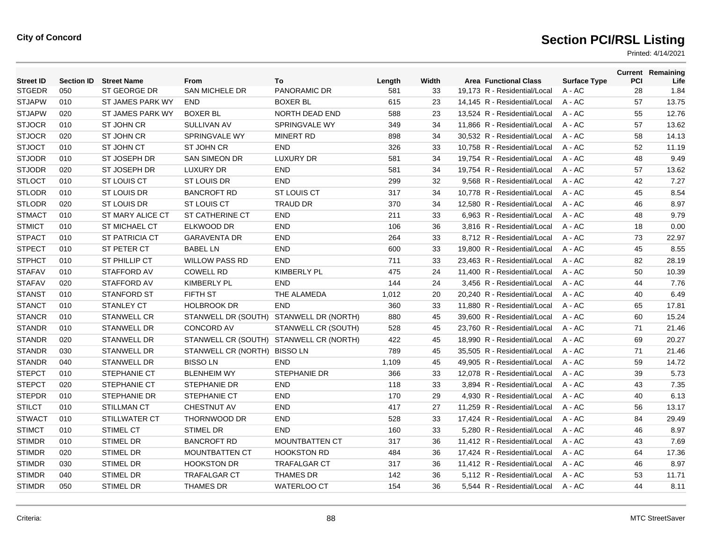| <b>Street ID</b> | <b>Section ID</b> | <b>Street Name</b>      | From                   | To                                      | Length | Width | <b>Area Functional Class</b> | <b>Surface Type</b> | PCI | <b>Current Remaining</b><br>Life |
|------------------|-------------------|-------------------------|------------------------|-----------------------------------------|--------|-------|------------------------------|---------------------|-----|----------------------------------|
| <b>STGEDR</b>    | 050               | ST GEORGE DR            | <b>SAN MICHELE DR</b>  | PANORAMIC DR                            | 581    | 33    | 19,173 R - Residential/Local | A - AC              | 28  | 1.84                             |
| <b>STJAPW</b>    | 010               | ST JAMES PARK WY        | <b>END</b>             | <b>BOXER BL</b>                         | 615    | 23    | 14,145 R - Residential/Local | A - AC              | 57  | 13.75                            |
| <b>STJAPW</b>    | 020               | <b>ST JAMES PARK WY</b> | <b>BOXER BL</b>        | <b>NORTH DEAD END</b>                   | 588    | 23    | 13.524 R - Residential/Local | $A - AC$            | 55  | 12.76                            |
| <b>STJOCR</b>    | 010               | ST JOHN CR              | <b>SULLIVAN AV</b>     | SPRINGVALE WY                           | 349    | 34    | 11,866 R - Residential/Local | $A - AC$            | 57  | 13.62                            |
| <b>STJOCR</b>    | 020               | <b>ST JOHN CR</b>       | SPRINGVALE WY          | <b>MINERT RD</b>                        | 898    | 34    | 30,532 R - Residential/Local | A - AC              | 58  | 14.13                            |
| <b>STJOCT</b>    | 010               | ST JOHN CT              | ST JOHN CR             | <b>END</b>                              | 326    | 33    | 10.758 R - Residential/Local | $A - AC$            | 52  | 11.19                            |
| <b>STJODR</b>    | 010               | ST JOSEPH DR            | <b>SAN SIMEON DR</b>   | <b>LUXURY DR</b>                        | 581    | 34    | 19.754 R - Residential/Local | $A - AC$            | 48  | 9.49                             |
| <b>STJODR</b>    | 020               | ST JOSEPH DR            | <b>LUXURY DR</b>       | <b>END</b>                              | 581    | 34    | 19,754 R - Residential/Local | $A - AC$            | 57  | 13.62                            |
| <b>STLOCT</b>    | 010               | ST LOUIS CT             | ST LOUIS DR            | <b>END</b>                              | 299    | 32    | 9,568 R - Residential/Local  | $A - AC$            | 42  | 7.27                             |
| <b>STLODR</b>    | 010               | <b>ST LOUIS DR</b>      | <b>BANCROFT RD</b>     | <b>ST LOUIS CT</b>                      | 317    | 34    | 10.778 R - Residential/Local | $A - AC$            | 45  | 8.54                             |
| <b>STLODR</b>    | 020               | <b>ST LOUIS DR</b>      | ST LOUIS CT            | <b>TRAUD DR</b>                         | 370    | 34    | 12.580 R - Residential/Local | $A - AC$            | 46  | 8.97                             |
| <b>STMACT</b>    | 010               | <b>ST MARY ALICE CT</b> | <b>ST CATHERINE CT</b> | <b>END</b>                              | 211    | 33    | 6,963 R - Residential/Local  | A - AC              | 48  | 9.79                             |
| <b>STMICT</b>    | 010               | <b>ST MICHAEL CT</b>    | ELKWOOD DR             | <b>END</b>                              | 106    | 36    | 3,816 R - Residential/Local  | A - AC              | 18  | 0.00                             |
| <b>STPACT</b>    | 010               | <b>ST PATRICIA CT</b>   | <b>GARAVENTA DR</b>    | <b>END</b>                              | 264    | 33    | 8,712 R - Residential/Local  | $A - AC$            | 73  | 22.97                            |
| <b>STPECT</b>    | 010               | ST PETER CT             | <b>BABEL LN</b>        | <b>END</b>                              | 600    | 33    | 19,800 R - Residential/Local | $A - AC$            | 45  | 8.55                             |
| <b>STPHCT</b>    | 010               | ST PHILLIP CT           | <b>WILLOW PASS RD</b>  | <b>END</b>                              | 711    | 33    | 23,463 R - Residential/Local | A - AC              | 82  | 28.19                            |
| <b>STAFAV</b>    | 010               | STAFFORD AV             | <b>COWELL RD</b>       | <b>KIMBERLY PL</b>                      | 475    | 24    | 11,400 R - Residential/Local | A - AC              | 50  | 10.39                            |
| <b>STAFAV</b>    | 020               | STAFFORD AV             | <b>KIMBERLY PL</b>     | <b>END</b>                              | 144    | 24    | 3,456 R - Residential/Local  | $A - AC$            | 44  | 7.76                             |
| <b>STANST</b>    | 010               | <b>STANFORD ST</b>      | FIFTH ST               | THE ALAMEDA                             | 1,012  | 20    | 20,240 R - Residential/Local | $A - AC$            | 40  | 6.49                             |
| <b>STANCT</b>    | 010               | <b>STANLEY CT</b>       | <b>HOLBROOK DR</b>     | <b>END</b>                              | 360    | 33    | 11,880 R - Residential/Local | A - AC              | 65  | 17.81                            |
| <b>STANCR</b>    | 010               | <b>STANWELL CR</b>      | STANWELL DR (SOUTH)    | STANWELL DR (NORTH)                     | 880    | 45    | 39.600 R - Residential/Local | $A - AC$            | 60  | 15.24                            |
| <b>STANDR</b>    | 010               | <b>STANWELL DR</b>      | <b>CONCORD AV</b>      | STANWELL CR (SOUTH)                     | 528    | 45    | 23.760 R - Residential/Local | $A - AC$            | 71  | 21.46                            |
| <b>STANDR</b>    | 020               | <b>STANWELL DR</b>      |                        | STANWELL CR (SOUTH) STANWELL CR (NORTH) | 422    | 45    | 18,990 R - Residential/Local | A - AC              | 69  | 20.27                            |
| <b>STANDR</b>    | 030               | <b>STANWELL DR</b>      | STANWELL CR (NORTH)    | <b>BISSO LN</b>                         | 789    | 45    | 35.505 R - Residential/Local | $A - AC$            | 71  | 21.46                            |
| <b>STANDR</b>    | 040               | <b>STANWELL DR</b>      | <b>BISSOLN</b>         | <b>END</b>                              | 1,109  | 45    | 49.905 R - Residential/Local | $A - AC$            | 59  | 14.72                            |
| <b>STEPCT</b>    | 010               | <b>STEPHANIE CT</b>     | <b>BLENHEIM WY</b>     | <b>STEPHANIE DR</b>                     | 366    | 33    | 12,078 R - Residential/Local | A - AC              | 39  | 5.73                             |
| <b>STEPCT</b>    | 020               | <b>STEPHANIE CT</b>     | <b>STEPHANIE DR</b>    | <b>END</b>                              | 118    | 33    | 3,894 R - Residential/Local  | A - AC              | 43  | 7.35                             |
| <b>STEPDR</b>    | 010               | <b>STEPHANIE DR</b>     | <b>STEPHANIE CT</b>    | <b>END</b>                              | 170    | 29    | 4,930 R - Residential/Local  | A - AC              | 40  | 6.13                             |
| <b>STILCT</b>    | 010               | <b>STILLMAN CT</b>      | <b>CHESTNUT AV</b>     | <b>END</b>                              | 417    | 27    | 11.259 R - Residential/Local | $A - AC$            | 56  | 13.17                            |
| <b>STWACT</b>    | 010               | STILLWATER CT           | THORNWOOD DR           | <b>END</b>                              | 528    | 33    | 17,424 R - Residential/Local | $A - AC$            | 84  | 29.49                            |
| <b>STIMCT</b>    | 010               | STIMEL CT               | <b>STIMEL DR</b>       | <b>END</b>                              | 160    | 33    | 5,280 R - Residential/Local  | A - AC              | 46  | 8.97                             |
| <b>STIMDR</b>    | 010               | <b>STIMEL DR</b>        | <b>BANCROFT RD</b>     | <b>MOUNTBATTEN CT</b>                   | 317    | 36    | 11,412 R - Residential/Local | A - AC              | 43  | 7.69                             |
| <b>STIMDR</b>    | 020               | <b>STIMEL DR</b>        | MOUNTBATTEN CT         | <b>HOOKSTON RD</b>                      | 484    | 36    | 17,424 R - Residential/Local | $A - AC$            | 64  | 17.36                            |
| <b>STIMDR</b>    | 030               | STIMEL DR               | <b>HOOKSTON DR</b>     | <b>TRAFALGAR CT</b>                     | 317    | 36    | 11,412 R - Residential/Local | A - AC              | 46  | 8.97                             |
| <b>STIMDR</b>    | 040               | <b>STIMEL DR</b>        | <b>TRAFALGAR CT</b>    | <b>THAMES DR</b>                        | 142    | 36    | 5.112 R - Residential/Local  | A - AC              | 53  | 11.71                            |
| <b>STIMDR</b>    | 050               | <b>STIMEL DR</b>        | <b>THAMES DR</b>       | WATERLOO CT                             | 154    | 36    | 5.544 R - Residential/Local  | A - AC              | 44  | 8.11                             |
|                  |                   |                         |                        |                                         |        |       |                              |                     |     |                                  |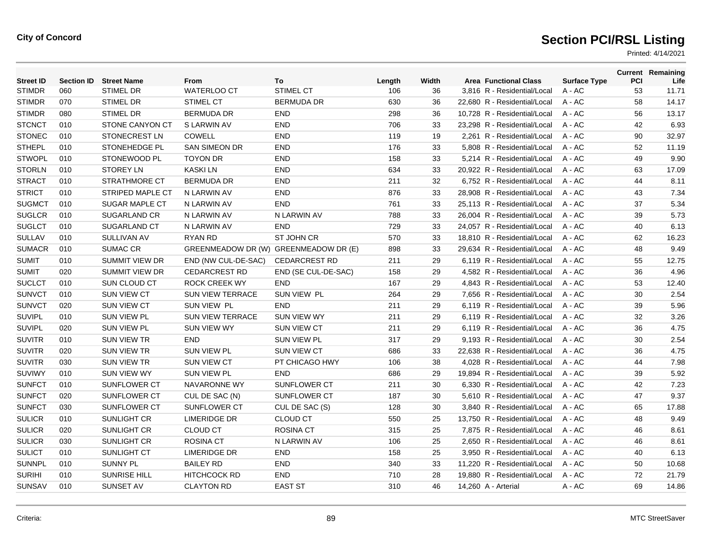| <b>Street ID</b> | <b>Section ID</b> | <b>Street Name</b>      | From                                  | To                   | Length | Width | <b>Area Functional Class</b> | <b>Surface Type</b> | <b>PCI</b> | <b>Current Remaining</b><br>Life |
|------------------|-------------------|-------------------------|---------------------------------------|----------------------|--------|-------|------------------------------|---------------------|------------|----------------------------------|
| <b>STIMDR</b>    | 060               | <b>STIMEL DR</b>        | <b>WATERLOO CT</b>                    | <b>STIMEL CT</b>     | 106    | 36    | 3,816 R - Residential/Local  | A - AC              | 53         | 11.71                            |
| <b>STIMDR</b>    | 070               | <b>STIMEL DR</b>        | <b>STIMEL CT</b>                      | <b>BERMUDA DR</b>    | 630    | 36    | 22,680 R - Residential/Local | A - AC              | 58         | 14.17                            |
| <b>STIMDR</b>    | 080               | <b>STIMEL DR</b>        | <b>BERMUDA DR</b>                     | <b>END</b>           | 298    | 36    | 10,728 R - Residential/Local | $A - AC$            | 56         | 13.17                            |
| <b>STCNCT</b>    | 010               | STONE CANYON CT         | S LARWIN AV                           | <b>END</b>           | 706    | 33    | 23,298 R - Residential/Local | A - AC              | 42         | 6.93                             |
| <b>STONEC</b>    | 010               | STONECREST LN           | <b>COWELL</b>                         | END                  | 119    | 19    | 2,261 R - Residential/Local  | A - AC              | 90         | 32.97                            |
| <b>STHEPL</b>    | 010               | STONEHEDGE PL           | <b>SAN SIMEON DR</b>                  | <b>END</b>           | 176    | 33    | 5,808 R - Residential/Local  | A - AC              | 52         | 11.19                            |
| <b>STWOPL</b>    | 010               | STONEWOOD PL            | <b>TOYON DR</b>                       | <b>END</b>           | 158    | 33    | 5,214 R - Residential/Local  | A - AC              | 49         | 9.90                             |
| <b>STORLN</b>    | 010               | <b>STOREY LN</b>        | <b>KASKILN</b>                        | <b>END</b>           | 634    | 33    | 20,922 R - Residential/Local | A - AC              | 63         | 17.09                            |
| <b>STRACT</b>    | 010               | <b>STRATHMORE CT</b>    | <b>BERMUDA DR</b>                     | <b>END</b>           | 211    | 32    | 6,752 R - Residential/Local  | A - AC              | 44         | 8.11                             |
| <b>STRICT</b>    | 010               | <b>STRIPED MAPLE CT</b> | N LARWIN AV                           | <b>END</b>           | 876    | 33    | 28,908 R - Residential/Local | A - AC              | 43         | 7.34                             |
| <b>SUGMCT</b>    | 010               | <b>SUGAR MAPLE CT</b>   | N LARWIN AV                           | <b>END</b>           | 761    | 33    | 25,113 R - Residential/Local | A - AC              | 37         | 5.34                             |
| <b>SUGLCR</b>    | 010               | <b>SUGARLAND CR</b>     | N LARWIN AV                           | N LARWIN AV          | 788    | 33    | 26,004 R - Residential/Local | A - AC              | 39         | 5.73                             |
| <b>SUGLCT</b>    | 010               | SUGARLAND CT            | N LARWIN AV                           | <b>END</b>           | 729    | 33    | 24.057 R - Residential/Local | $A - AC$            | 40         | 6.13                             |
| <b>SULLAV</b>    | 010               | <b>SULLIVAN AV</b>      | <b>RYAN RD</b>                        | ST JOHN CR           | 570    | 33    | 18,810 R - Residential/Local | A - AC              | 62         | 16.23                            |
| <b>SUMACR</b>    | 010               | <b>SUMAC CR</b>         | GREENMEADOW DR (W) GREENMEADOW DR (E) |                      | 898    | 33    | 29,634 R - Residential/Local | A - AC              | 48         | 9.49                             |
| <b>SUMIT</b>     | 010               | <b>SUMMIT VIEW DR</b>   | END (NW CUL-DE-SAC)                   | <b>CEDARCREST RD</b> | 211    | 29    | 6,119 R - Residential/Local  | $A - AC$            | 55         | 12.75                            |
| <b>SUMIT</b>     | 020               | <b>SUMMIT VIEW DR</b>   | <b>CEDARCREST RD</b>                  | END (SE CUL-DE-SAC)  | 158    | 29    | 4.582 R - Residential/Local  | $A - AC$            | 36         | 4.96                             |
| <b>SUCLCT</b>    | 010               | SUN CLOUD CT            | <b>ROCK CREEK WY</b>                  | <b>END</b>           | 167    | 29    | 4,843 R - Residential/Local  | A - AC              | 53         | 12.40                            |
| <b>SUNVCT</b>    | 010               | <b>SUN VIEW CT</b>      | <b>SUN VIEW TERRACE</b>               | SUN VIEW PL          | 264    | 29    | 7,656 R - Residential/Local  | A - AC              | 30         | 2.54                             |
| <b>SUNVCT</b>    | 020               | <b>SUN VIEW CT</b>      | <b>SUN VIEW PL</b>                    | <b>END</b>           | 211    | 29    | 6,119 R - Residential/Local  | $A - AC$            | 39         | 5.96                             |
| <b>SUVIPL</b>    | 010               | <b>SUN VIEW PL</b>      | <b>SUN VIEW TERRACE</b>               | <b>SUN VIEW WY</b>   | 211    | 29    | 6,119 R - Residential/Local  | $A - AC$            | 32         | 3.26                             |
| <b>SUVIPL</b>    | 020               | <b>SUN VIEW PL</b>      | <b>SUN VIEW WY</b>                    | <b>SUN VIEW CT</b>   | 211    | 29    | 6,119 R - Residential/Local  | A - AC              | 36         | 4.75                             |
| <b>SUVITR</b>    | 010               | <b>SUN VIEW TR</b>      | <b>END</b>                            | <b>SUN VIEW PL</b>   | 317    | 29    | 9,193 R - Residential/Local  | A - AC              | 30         | 2.54                             |
| <b>SUVITR</b>    | 020               | <b>SUN VIEW TR</b>      | <b>SUN VIEW PL</b>                    | <b>SUN VIEW CT</b>   | 686    | 33    | 22,638 R - Residential/Local | A - AC              | 36         | 4.75                             |
| <b>SUVITR</b>    | 030               | <b>SUN VIEW TR</b>      | <b>SUN VIEW CT</b>                    | PT CHICAGO HWY       | 106    | 38    | 4,028 R - Residential/Local  | A - AC              | 44         | 7.98                             |
| <b>SUVIWY</b>    | 010               | <b>SUN VIEW WY</b>      | <b>SUN VIEW PL</b>                    | <b>END</b>           | 686    | 29    | 19,894 R - Residential/Local | A - AC              | 39         | 5.92                             |
| <b>SUNFCT</b>    | 010               | <b>SUNFLOWER CT</b>     | NAVARONNE WY                          | <b>SUNFLOWER CT</b>  | 211    | 30    | 6.330 R - Residential/Local  | $A - AC$            | 42         | 7.23                             |
| <b>SUNFCT</b>    | 020               | <b>SUNFLOWER CT</b>     | CUL DE SAC (N)                        | <b>SUNFLOWER CT</b>  | 187    | 30    | 5,610 R - Residential/Local  | $A - AC$            | 47         | 9.37                             |
| <b>SUNFCT</b>    | 030               | <b>SUNFLOWER CT</b>     | <b>SUNFLOWER CT</b>                   | CUL DE SAC (S)       | 128    | 30    | 3,840 R - Residential/Local  | $A - AC$            | 65         | 17.88                            |
| <b>SULICR</b>    | 010               | SUNLIGHT CR             | LIMERIDGE DR                          | <b>CLOUD CT</b>      | 550    | 25    | 13,750 R - Residential/Local | $A - AC$            | 48         | 9.49                             |
| <b>SULICR</b>    | 020               | SUNLIGHT CR             | <b>CLOUD CT</b>                       | <b>ROSINA CT</b>     | 315    | 25    | 7,875 R - Residential/Local  | $A - AC$            | 46         | 8.61                             |
| <b>SULICR</b>    | 030               | SUNLIGHT CR             | <b>ROSINA CT</b>                      | N LARWIN AV          | 106    | 25    | 2,650 R - Residential/Local  | A - AC              | 46         | 8.61                             |
| <b>SULICT</b>    | 010               | SUNLIGHT CT             | <b>LIMERIDGE DR</b>                   | <b>END</b>           | 158    | 25    | 3,950 R - Residential/Local  | $A - AC$            | 40         | 6.13                             |
| <b>SUNNPL</b>    | 010               | <b>SUNNY PL</b>         | <b>BAILEY RD</b>                      | <b>END</b>           | 340    | 33    | 11,220 R - Residential/Local | A - AC              | 50         | 10.68                            |
| <b>SURIHI</b>    | 010               | SUNRISE HILL            | HITCHCOCK RD                          | <b>END</b>           | 710    | 28    | 19,880 R - Residential/Local | $A - AC$            | 72         | 21.79                            |
| <b>SUNSAV</b>    | 010               | <b>SUNSET AV</b>        | <b>CLAYTON RD</b>                     | <b>EAST ST</b>       | 310    | 46    | 14,260 A - Arterial          | A - AC              | 69         | 14.86                            |
|                  |                   |                         |                                       |                      |        |       |                              |                     |            |                                  |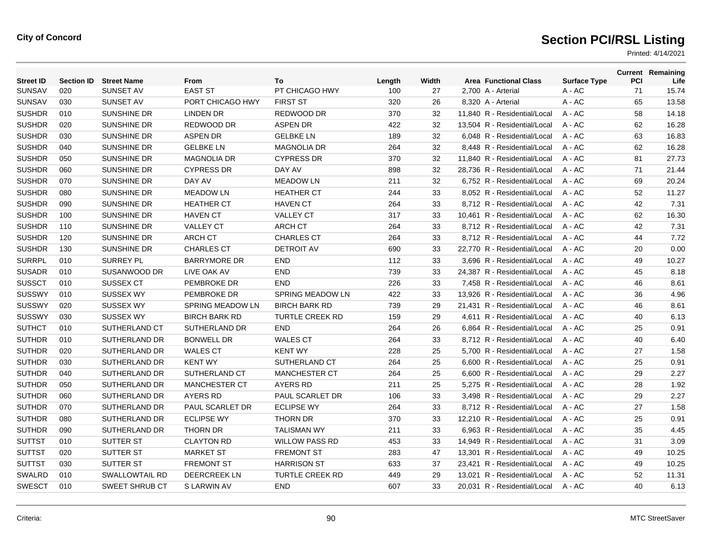| <b>Street ID</b> | <b>Section ID</b> | <b>Street Name</b>    | From                    | To                      | Length | Width | <b>Area Functional Class</b> | <b>Surface Type</b> | PCI | <b>Current Remaining</b><br>Life |
|------------------|-------------------|-----------------------|-------------------------|-------------------------|--------|-------|------------------------------|---------------------|-----|----------------------------------|
| <b>SUNSAV</b>    | 020               | SUNSET AV             | <b>EAST ST</b>          | PT CHICAGO HWY          | 100    | 27    | 2,700 A - Arterial           | $A - AC$            | 71  | 15.74                            |
| <b>SUNSAV</b>    | 030               | <b>SUNSET AV</b>      | PORT CHICAGO HWY        | <b>FIRST ST</b>         | 320    | 26    | 8,320 A - Arterial           | A - AC              | 65  | 13.58                            |
| <b>SUSHDR</b>    | 010               | <b>SUNSHINE DR</b>    | <b>LINDEN DR</b>        | REDWOOD DR              | 370    | 32    | 11.840 R - Residential/Local | $A - AC$            | 58  | 14.18                            |
| <b>SUSHDR</b>    | 020               | <b>SUNSHINE DR</b>    | <b>REDWOOD DR</b>       | <b>ASPEN DR</b>         | 422    | 32    | 13.504 R - Residential/Local | $A - AC$            | 62  | 16.28                            |
| <b>SUSHDR</b>    | 030               | <b>SUNSHINE DR</b>    | <b>ASPEN DR</b>         | <b>GELBKE LN</b>        | 189    | 32    | 6,048 R - Residential/Local  | A - AC              | 63  | 16.83                            |
| <b>SUSHDR</b>    | 040               | <b>SUNSHINE DR</b>    | <b>GELBKE LN</b>        | <b>MAGNOLIA DR</b>      | 264    | 32    | 8,448 R - Residential/Local  | $A - AC$            | 62  | 16.28                            |
| <b>SUSHDR</b>    | 050               | <b>SUNSHINE DR</b>    | <b>MAGNOLIA DR</b>      | <b>CYPRESS DR</b>       | 370    | 32    | 11.840 R - Residential/Local | $A - AC$            | 81  | 27.73                            |
| <b>SUSHDR</b>    | 060               | SUNSHINE DR           | <b>CYPRESS DR</b>       | DAY AV                  | 898    | 32    | 28,736 R - Residential/Local | A - AC              | 71  | 21.44                            |
| <b>SUSHDR</b>    | 070               | <b>SUNSHINE DR</b>    | DAY AV                  | <b>MEADOW LN</b>        | 211    | 32    | 6,752 R - Residential/Local  | A - AC              | 69  | 20.24                            |
| <b>SUSHDR</b>    | 080               | <b>SUNSHINE DR</b>    | <b>MEADOW LN</b>        | <b>HEATHER CT</b>       | 244    | 33    | 8,052 R - Residential/Local  | A - AC              | 52  | 11.27                            |
| <b>SUSHDR</b>    | 090               | SUNSHINE DR           | <b>HEATHER CT</b>       | <b>HAVEN CT</b>         | 264    | 33    | 8,712 R - Residential/Local  | $A - AC$            | 42  | 7.31                             |
| <b>SUSHDR</b>    | 100               | SUNSHINE DR           | <b>HAVEN CT</b>         | <b>VALLEY CT</b>        | 317    | 33    | 10,461 R - Residential/Local | $A - AC$            | 62  | 16.30                            |
| <b>SUSHDR</b>    | 110               | <b>SUNSHINE DR</b>    | <b>VALLEY CT</b>        | <b>ARCH CT</b>          | 264    | 33    | 8,712 R - Residential/Local  | A - AC              | 42  | 7.31                             |
| <b>SUSHDR</b>    | 120               | <b>SUNSHINE DR</b>    | <b>ARCH CT</b>          | <b>CHARLES CT</b>       | 264    | 33    | 8,712 R - Residential/Local  | $A - AC$            | 44  | 7.72                             |
| <b>SUSHDR</b>    | 130               | <b>SUNSHINE DR</b>    | <b>CHARLES CT</b>       | <b>DETROIT AV</b>       | 690    | 33    | 22.770 R - Residential/Local | $A - AC$            | 20  | 0.00                             |
| <b>SURRPL</b>    | 010               | <b>SURREY PL</b>      | <b>BARRYMORE DR</b>     | <b>END</b>              | 112    | 33    | 3,696 R - Residential/Local  | A - AC              | 49  | 10.27                            |
| <b>SUSADR</b>    | 010               | SUSANWOOD DR          | LIVE OAK AV             | <b>END</b>              | 739    | 33    | 24,387 R - Residential/Local | $A - AC$            | 45  | 8.18                             |
| <b>SUSSCT</b>    | 010               | <b>SUSSEX CT</b>      | <b>PEMBROKE DR</b>      | <b>END</b>              | 226    | 33    | 7,458 R - Residential/Local  | $A - AC$            | 46  | 8.61                             |
| <b>SUSSWY</b>    | 010               | <b>SUSSEX WY</b>      | PEMBROKE DR             | <b>SPRING MEADOW LN</b> | 422    | 33    | 13,926 R - Residential/Local | A - AC              | 36  | 4.96                             |
| <b>SUSSWY</b>    | 020               | <b>SUSSEX WY</b>      | <b>SPRING MEADOW LN</b> | <b>BIRCH BARK RD</b>    | 739    | 29    | 21,431 R - Residential/Local | A - AC              | 46  | 8.61                             |
| <b>SUSSWY</b>    | 030               | <b>SUSSEX WY</b>      | <b>BIRCH BARK RD</b>    | <b>TURTLE CREEK RD</b>  | 159    | 29    | 4.611 R - Residential/Local  | $A - AC$            | 40  | 6.13                             |
| <b>SUTHCT</b>    | 010               | <b>SUTHERLAND CT</b>  | <b>SUTHERLAND DR</b>    | <b>END</b>              | 264    | 26    | 6.864 R - Residential/Local  | $A - AC$            | 25  | 0.91                             |
| <b>SUTHDR</b>    | 010               | SUTHERLAND DR         | <b>BONWELL DR</b>       | <b>WALES CT</b>         | 264    | 33    | 8,712 R - Residential/Local  | A - AC              | 40  | 6.40                             |
| <b>SUTHDR</b>    | 020               | SUTHERLAND DR         | <b>WALES CT</b>         | <b>KENT WY</b>          | 228    | 25    | 5,700 R - Residential/Local  | A - AC              | 27  | 1.58                             |
| <b>SUTHDR</b>    | 030               | SUTHERLAND DR         | <b>KENT WY</b>          | SUTHERLAND CT           | 264    | 25    | 6.600 R - Residential/Local  | $A - AC$            | 25  | 0.91                             |
| <b>SUTHDR</b>    | 040               | <b>SUTHERLAND DR</b>  | SUTHERLAND CT           | <b>MANCHESTER CT</b>    | 264    | 25    | 6.600 R - Residential/Local  | $A - AC$            | 29  | 2.27                             |
| <b>SUTHDR</b>    | 050               | SUTHERLAND DR         | <b>MANCHESTER CT</b>    | <b>AYERS RD</b>         | 211    | 25    | 5,275 R - Residential/Local  | A - AC              | 28  | 1.92                             |
| <b>SUTHDR</b>    | 060               | SUTHERLAND DR         | <b>AYERS RD</b>         | PAUL SCARLET DR         | 106    | 33    | 3,498 R - Residential/Local  | $A - AC$            | 29  | 2.27                             |
| <b>SUTHDR</b>    | 070               | SUTHERLAND DR         | <b>PAUL SCARLET DR</b>  | <b>ECLIPSE WY</b>       | 264    | 33    | 8.712 R - Residential/Local  | A - AC              | 27  | 1.58                             |
| <b>SUTHDR</b>    | 080               | SUTHERLAND DR         | <b>ECLIPSE WY</b>       | <b>THORN DR</b>         | 370    | 33    | 12,210 R - Residential/Local | A - AC              | 25  | 0.91                             |
| <b>SUTHDR</b>    | 090               | SUTHERLAND DR         | <b>THORN DR</b>         | <b>TALISMAN WY</b>      | 211    | 33    | 6,963 R - Residential/Local  | A - AC              | 35  | 4.45                             |
| <b>SUTTST</b>    | 010               | SUTTER ST             | <b>CLAYTON RD</b>       | <b>WILLOW PASS RD</b>   | 453    | 33    | 14,949 R - Residential/Local | $A - AC$            | 31  | 3.09                             |
| <b>SUTTST</b>    | 020               | <b>SUTTER ST</b>      | <b>MARKET ST</b>        | <b>FREMONT ST</b>       | 283    | 47    | 13.301 R - Residential/Local | $A - AC$            | 49  | 10.25                            |
| <b>SUTTST</b>    | 030               | <b>SUTTER ST</b>      | <b>FREMONT ST</b>       | <b>HARRISON ST</b>      | 633    | 37    | 23,421 R - Residential/Local | $A - AC$            | 49  | 10.25                            |
| SWALRD           | 010               | <b>SWALLOWTAIL RD</b> | <b>DEERCREEK LN</b>     | <b>TURTLE CREEK RD</b>  | 449    | 29    | 13.021 R - Residential/Local | $A - AC$            | 52  | 11.31                            |
| <b>SWESCT</b>    | 010               | <b>SWEET SHRUB CT</b> | S LARWIN AV             | <b>END</b>              | 607    | 33    | 20.031 R - Residential/Local | $A - AC$            | 40  | 6.13                             |
|                  |                   |                       |                         |                         |        |       |                              |                     |     |                                  |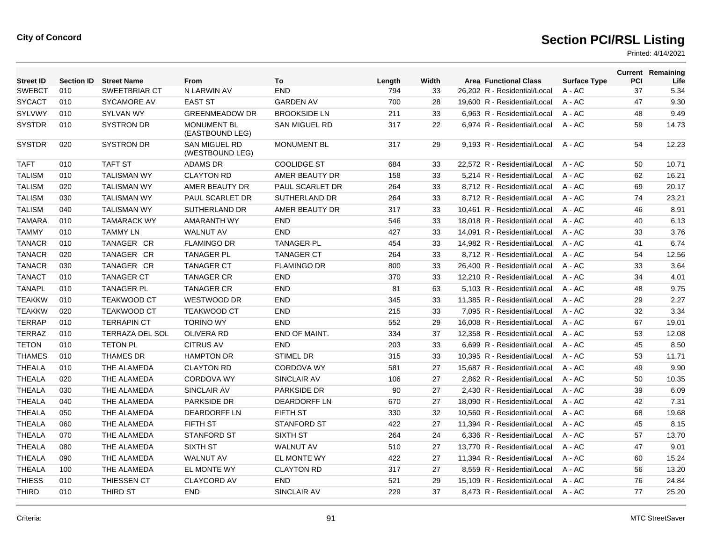| <b>Street ID</b> | <b>Section ID</b> | <b>Street Name</b>     | From                                  | To                     | Length | Width | <b>Area Functional Class</b> | <b>Surface Type</b> | PCI | <b>Current Remaining</b><br>Life |
|------------------|-------------------|------------------------|---------------------------------------|------------------------|--------|-------|------------------------------|---------------------|-----|----------------------------------|
| <b>SWEBCT</b>    | 010               | SWEETBRIAR CT          | N LARWIN AV                           | <b>END</b>             | 794    | 33    | 26,202 R - Residential/Local | $A - AC$            | 37  | 5.34                             |
| <b>SYCACT</b>    | 010               | <b>SYCAMORE AV</b>     | <b>EAST ST</b>                        | <b>GARDEN AV</b>       | 700    | 28    | 19.600 R - Residential/Local | $A - AC$            | 47  | 9.30                             |
| <b>SYLVWY</b>    | 010               | <b>SYLVAN WY</b>       | <b>GREENMEADOW DR</b>                 | <b>BROOKSIDE LN</b>    | 211    | 33    | 6.963 R - Residential/Local  | $A - AC$            | 48  | 9.49                             |
| <b>SYSTDR</b>    | 010               | <b>SYSTRON DR</b>      | <b>MONUMENT BL</b><br>(EASTBOUND LEG) | SAN MIGUEL RD          | 317    | 22    | 6,974 R - Residential/Local  | $A - AC$            | 59  | 14.73                            |
| <b>SYSTDR</b>    | 020               | <b>SYSTRON DR</b>      | SAN MIGUEL RD<br>(WESTBOUND LEG)      | <b>MONUMENT BL</b>     | 317    | 29    | 9,193 R - Residential/Local  | A - AC              | 54  | 12.23                            |
| <b>TAFT</b>      | 010               | <b>TAFT ST</b>         | <b>ADAMS DR</b>                       | <b>COOLIDGE ST</b>     | 684    | 33    | 22.572 R - Residential/Local | $A - AC$            | 50  | 10.71                            |
| <b>TALISM</b>    | 010               | <b>TALISMAN WY</b>     | <b>CLAYTON RD</b>                     | AMER BEAUTY DR         | 158    | 33    | 5.214 R - Residential/Local  | $A - AC$            | 62  | 16.21                            |
| <b>TALISM</b>    | 020               | <b>TALISMAN WY</b>     | AMER BEAUTY DR                        | <b>PAUL SCARLET DR</b> | 264    | 33    | 8.712 R - Residential/Local  | $A - AC$            | 69  | 20.17                            |
| <b>TALISM</b>    | 030               | <b>TALISMAN WY</b>     | PAUL SCARLET DR                       | <b>SUTHERLAND DR</b>   | 264    | 33    | 8,712 R - Residential/Local  | A - AC              | 74  | 23.21                            |
| <b>TALISM</b>    | 040               | <b>TALISMAN WY</b>     | SUTHERLAND DR                         | AMER BEAUTY DR         | 317    | 33    | 10,461 R - Residential/Local | A - AC              | 46  | 8.91                             |
| <b>TAMARA</b>    | 010               | <b>TAMARACK WY</b>     | AMARANTH WY                           | <b>END</b>             | 546    | 33    | 18.018 R - Residential/Local | A - AC              | 40  | 6.13                             |
| <b>TAMMY</b>     | 010               | <b>TAMMY LN</b>        | <b>WALNUT AV</b>                      | <b>END</b>             | 427    | 33    | 14,091 R - Residential/Local | A - AC              | 33  | 3.76                             |
| <b>TANACR</b>    | 010               | TANAGER CR             | <b>FLAMINGO DR</b>                    | <b>TANAGER PL</b>      | 454    | 33    | 14,982 R - Residential/Local | $A - AC$            | 41  | 6.74                             |
| <b>TANACR</b>    | 020               | TANAGER CR             | <b>TANAGER PL</b>                     | <b>TANAGER CT</b>      | 264    | 33    | 8.712 R - Residential/Local  | $A - AC$            | 54  | 12.56                            |
| <b>TANACR</b>    | 030               | TANAGER CR             | <b>TANAGER CT</b>                     | <b>FLAMINGO DR</b>     | 800    | 33    | 26,400 R - Residential/Local | A - AC              | 33  | 3.64                             |
| <b>TANACT</b>    | 010               | <b>TANAGER CT</b>      | <b>TANAGER CR</b>                     | <b>END</b>             | 370    | 33    | 12,210 R - Residential/Local | A - AC              | 34  | 4.01                             |
| <b>TANAPL</b>    | 010               | <b>TANAGER PL</b>      | <b>TANAGER CR</b>                     | <b>END</b>             | 81     | 63    | 5,103 R - Residential/Local  | A - AC              | 48  | 9.75                             |
| <b>TEAKKW</b>    | 010               | <b>TEAKWOOD CT</b>     | WESTWOOD DR                           | <b>END</b>             | 345    | 33    | 11,385 R - Residential/Local | A - AC              | 29  | 2.27                             |
| <b>TEAKKW</b>    | 020               | <b>TEAKWOOD CT</b>     | <b>TEAKWOOD CT</b>                    | <b>END</b>             | 215    | 33    | 7,095 R - Residential/Local  | $A - AC$            | 32  | 3.34                             |
| <b>TERRAP</b>    | 010               | <b>TERRAPIN CT</b>     | <b>TORINO WY</b>                      | <b>END</b>             | 552    | 29    | 16.008 R - Residential/Local | $A - AC$            | 67  | 19.01                            |
| <b>TERRAZ</b>    | 010               | <b>TERRAZA DEL SOL</b> | <b>OLIVERA RD</b>                     | END OF MAINT.          | 334    | 37    | 12,358 R - Residential/Local | A - AC              | 53  | 12.08                            |
| <b>TETON</b>     | 010               | <b>TETON PL</b>        | <b>CITRUS AV</b>                      | <b>END</b>             | 203    | 33    | 6,699 R - Residential/Local  | $A - AC$            | 45  | 8.50                             |
| <b>THAMES</b>    | 010               | <b>THAMES DR</b>       | <b>HAMPTON DR</b>                     | <b>STIMEL DR</b>       | 315    | 33    | 10,395 R - Residential/Local | A - AC              | 53  | 11.71                            |
| <b>THEALA</b>    | 010               | THE ALAMEDA            | <b>CLAYTON RD</b>                     | <b>CORDOVA WY</b>      | 581    | 27    | 15,687 R - Residential/Local | $A - AC$            | 49  | 9.90                             |
| <b>THEALA</b>    | 020               | THE ALAMEDA            | <b>CORDOVA WY</b>                     | SINCLAIR AV            | 106    | 27    | 2,862 R - Residential/Local  | $A - AC$            | 50  | 10.35                            |
| <b>THEALA</b>    | 030               | THE ALAMEDA            | <b>SINCLAIR AV</b>                    | <b>PARKSIDE DR</b>     | 90     | 27    | 2.430 R - Residential/Local  | $A - AC$            | 39  | 6.09                             |
| <b>THEALA</b>    | 040               | THE ALAMEDA            | <b>PARKSIDE DR</b>                    | <b>DEARDORFF LN</b>    | 670    | 27    | 18,090 R - Residential/Local | A - AC              | 42  | 7.31                             |
| <b>THEALA</b>    | 050               | THE ALAMEDA            | <b>DEARDORFF LN</b>                   | <b>FIFTH ST</b>        | 330    | 32    | 10,560 R - Residential/Local | A - AC              | 68  | 19.68                            |
| <b>THEALA</b>    | 060               | THE ALAMEDA            | <b>FIFTH ST</b>                       | <b>STANFORD ST</b>     | 422    | 27    | 11.394 R - Residential/Local | $A - AC$            | 45  | 8.15                             |
| <b>THEALA</b>    | 070               | THE ALAMEDA            | <b>STANFORD ST</b>                    | SIXTH ST               | 264    | 24    | 6,336 R - Residential/Local  | A - AC              | 57  | 13.70                            |
| <b>THEALA</b>    | 080               | THE ALAMEDA            | <b>SIXTH ST</b>                       | <b>WALNUT AV</b>       | 510    | 27    | 13,770 R - Residential/Local | $A - AC$            | 47  | 9.01                             |
| <b>THEALA</b>    | 090               | THE ALAMEDA            | <b>WALNUT AV</b>                      | EL MONTE WY            | 422    | 27    | 11.394 R - Residential/Local | $A - AC$            | 60  | 15.24                            |
| <b>THEALA</b>    | 100               | THE ALAMEDA            | EL MONTE WY                           | <b>CLAYTON RD</b>      | 317    | 27    | 8,559 R - Residential/Local  | A - AC              | 56  | 13.20                            |
| <b>THIESS</b>    | 010               | THIESSEN CT            | <b>CLAYCORD AV</b>                    | <b>END</b>             | 521    | 29    | 15,109 R - Residential/Local | A - AC              | 76  | 24.84                            |
| <b>THIRD</b>     | 010               | <b>THIRD ST</b>        | <b>END</b>                            | SINCLAIR AV            | 229    | 37    | 8.473 R - Residential/Local  | A - AC              | 77  | 25.20                            |
|                  |                   |                        |                                       |                        |        |       |                              |                     |     |                                  |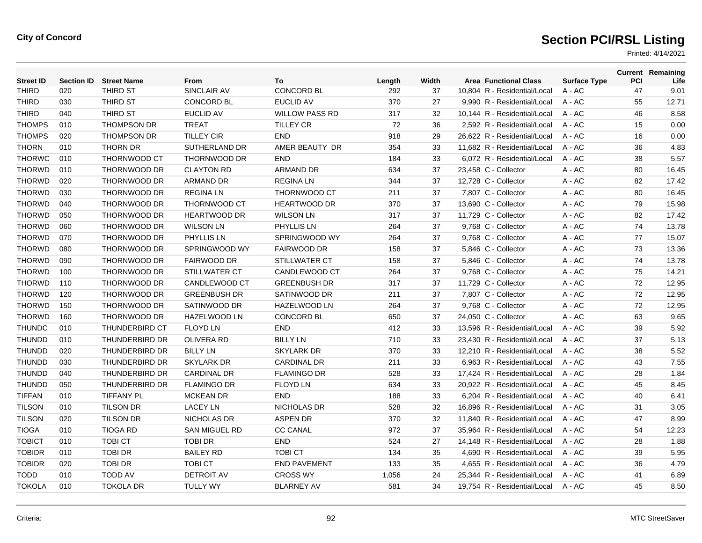| <b>Street ID</b> | <b>Section ID</b> | <b>Street Name</b>    | From                 | To                    | Length | Width | <b>Area Functional Class</b> | <b>Surface Type</b> | <b>PCI</b> | <b>Current Remaining</b><br>Life |
|------------------|-------------------|-----------------------|----------------------|-----------------------|--------|-------|------------------------------|---------------------|------------|----------------------------------|
| <b>THIRD</b>     | 020               | THIRD ST              | SINCLAIR AV          | CONCORD BL            | 292    | 37    | 10,804 R - Residential/Local | A - AC              | 47         | 9.01                             |
| <b>THIRD</b>     | 030               | THIRD ST              | <b>CONCORD BL</b>    | <b>EUCLID AV</b>      | 370    | 27    | 9,990 R - Residential/Local  | A - AC              | 55         | 12.71                            |
| <b>THIRD</b>     | 040               | THIRD ST              | <b>EUCLID AV</b>     | <b>WILLOW PASS RD</b> | 317    | 32    | 10.144 R - Residential/Local | $A - AC$            | 46         | 8.58                             |
| <b>THOMPS</b>    | 010               | <b>THOMPSON DR</b>    | <b>TREAT</b>         | <b>TILLEY CR</b>      | 72     | 36    | 2,592 R - Residential/Local  | $A - AC$            | 15         | 0.00                             |
| <b>THOMPS</b>    | 020               | THOMPSON DR           | <b>TILLEY CIR</b>    | <b>END</b>            | 918    | 29    | 26,622 R - Residential/Local | A - AC              | 16         | 0.00                             |
| <b>THORN</b>     | 010               | <b>THORN DR</b>       | SUTHERLAND DR        | AMER BEAUTY DR        | 354    | 33    | 11.682 R - Residential/Local | A - AC              | 36         | 4.83                             |
| <b>THORWC</b>    | 010               | <b>THORNWOOD CT</b>   | <b>THORNWOOD DR</b>  | <b>END</b>            | 184    | 33    | 6.072 R - Residential/Local  | $A - AC$            | 38         | 5.57                             |
| <b>THORWD</b>    | 010               | THORNWOOD DR          | <b>CLAYTON RD</b>    | <b>ARMAND DR</b>      | 634    | 37    | 23,458 C - Collector         | $A - AC$            | 80         | 16.45                            |
| <b>THORWD</b>    | 020               | <b>THORNWOOD DR</b>   | <b>ARMAND DR</b>     | <b>REGINALN</b>       | 344    | 37    | 12,728 C - Collector         | $A - AC$            | 82         | 17.42                            |
| <b>THORWD</b>    | 030               | <b>THORNWOOD DR</b>   | <b>REGINALN</b>      | <b>THORNWOOD CT</b>   | 211    | 37    | 7,807 C - Collector          | $A - AC$            | 80         | 16.45                            |
| <b>THORWD</b>    | 040               | <b>THORNWOOD DR</b>   | <b>THORNWOOD CT</b>  | <b>HEARTWOOD DR</b>   | 370    | 37    | 13.690 C - Collector         | $A - AC$            | 79         | 15.98                            |
| <b>THORWD</b>    | 050               | THORNWOOD DR          | <b>HEARTWOOD DR</b>  | <b>WILSON LN</b>      | 317    | 37    | 11,729 C - Collector         | A - AC              | 82         | 17.42                            |
| <b>THORWD</b>    | 060               | THORNWOOD DR          | <b>WILSON LN</b>     | PHYLLIS LN            | 264    | 37    | 9,768 C - Collector          | $A - AC$            | 74         | 13.78                            |
| <b>THORWD</b>    | 070               | THORNWOOD DR          | PHYLLIS LN           | SPRINGWOOD WY         | 264    | 37    | 9,768 C - Collector          | $A - AC$            | 77         | 15.07                            |
| <b>THORWD</b>    | 080               | THORNWOOD DR          | SPRINGWOOD WY        | <b>FAIRWOOD DR</b>    | 158    | 37    | 5,846 C - Collector          | A - AC              | 73         | 13.36                            |
| <b>THORWD</b>    | 090               | <b>THORNWOOD DR</b>   | <b>FAIRWOOD DR</b>   | <b>STILLWATER CT</b>  | 158    | 37    | 5,846 C - Collector          | $A - AC$            | 74         | 13.78                            |
| <b>THORWD</b>    | 100               | <b>THORNWOOD DR</b>   | <b>STILLWATER CT</b> | CANDLEWOOD CT         | 264    | 37    | 9,768 C - Collector          | A - AC              | 75         | 14.21                            |
| <b>THORWD</b>    | 110               | THORNWOOD DR          | CANDLEWOOD CT        | <b>GREENBUSH DR</b>   | 317    | 37    | 11,729 C - Collector         | A - AC              | 72         | 12.95                            |
| <b>THORWD</b>    | 120               | THORNWOOD DR          | <b>GREENBUSH DR</b>  | SATINWOOD DR          | 211    | 37    | 7,807 C - Collector          | $A - AC$            | 72         | 12.95                            |
| <b>THORWD</b>    | 150               | THORNWOOD DR          | SATINWOOD DR         | <b>HAZELWOOD LN</b>   | 264    | 37    | 9,768 C - Collector          | A - AC              | 72         | 12.95                            |
| <b>THORWD</b>    | 160               | <b>THORNWOOD DR</b>   | <b>HAZELWOOD LN</b>  | <b>CONCORD BL</b>     | 650    | 37    | 24.050 C - Collector         | $A - AC$            | 63         | 9.65                             |
| <b>THUNDC</b>    | 010               | <b>THUNDERBIRD CT</b> | <b>FLOYD LN</b>      | <b>END</b>            | 412    | 33    | 13.596 R - Residential/Local | $A - AC$            | 39         | 5.92                             |
| <b>THUNDD</b>    | 010               | THUNDERBIRD DR        | <b>OLIVERA RD</b>    | <b>BILLY LN</b>       | 710    | 33    | 23,430 R - Residential/Local | A - AC              | 37         | 5.13                             |
| <b>THUNDD</b>    | 020               | <b>THUNDERBIRD DR</b> | <b>BILLY LN</b>      | <b>SKYLARK DR</b>     | 370    | 33    | 12.210 R - Residential/Local | $A - AC$            | 38         | 5.52                             |
| <b>THUNDD</b>    | 030               | <b>THUNDERBIRD DR</b> | <b>SKYLARK DR</b>    | <b>CARDINAL DR</b>    | 211    | 33    | 6.963 R - Residential/Local  | $A - AC$            | 43         | 7.55                             |
| <b>THUNDD</b>    | 040               | THUNDERBIRD DR        | <b>CARDINAL DR</b>   | <b>FLAMINGO DR</b>    | 528    | 33    | 17,424 R - Residential/Local | A - AC              | 28         | 1.84                             |
| <b>THUNDD</b>    | 050               | THUNDERBIRD DR        | <b>FLAMINGO DR</b>   | <b>FLOYD LN</b>       | 634    | 33    | 20,922 R - Residential/Local | A - AC              | 45         | 8.45                             |
| <b>TIFFAN</b>    | 010               | <b>TIFFANY PL</b>     | <b>MCKEAN DR</b>     | <b>END</b>            | 188    | 33    | 6,204 R - Residential/Local  | A - AC              | 40         | 6.41                             |
| <b>TILSON</b>    | 010               | <b>TILSON DR</b>      | <b>LACEY LN</b>      | <b>NICHOLAS DR</b>    | 528    | 32    | 16.896 R - Residential/Local | $A - AC$            | 31         | 3.05                             |
| <b>TILSON</b>    | 020               | <b>TILSON DR</b>      | NICHOLAS DR          | <b>ASPEN DR</b>       | 370    | 32    | 11,840 R - Residential/Local | A - AC              | 47         | 8.99                             |
| <b>TIOGA</b>     | 010               | <b>TIOGA RD</b>       | <b>SAN MIGUEL RD</b> | <b>CC CANAL</b>       | 972    | 37    | 35,964 R - Residential/Local | A - AC              | 54         | 12.23                            |
| <b>TOBICT</b>    | 010               | TOBI CT               | <b>TOBI DR</b>       | <b>END</b>            | 524    | 27    | 14,148 R - Residential/Local | A - AC              | 28         | 1.88                             |
| <b>TOBIDR</b>    | 010               | <b>TOBI DR</b>        | <b>BAILEY RD</b>     | <b>TOBICT</b>         | 134    | 35    | 4.690 R - Residential/Local  | $A - AC$            | 39         | 5.95                             |
| <b>TOBIDR</b>    | 020               | <b>TOBI DR</b>        | <b>TOBI CT</b>       | <b>END PAVEMENT</b>   | 133    | 35    | 4,655 R - Residential/Local  | A - AC              | 36         | 4.79                             |
| <b>TODD</b>      | 010               | <b>TODD AV</b>        | <b>DETROIT AV</b>    | <b>CROSS WY</b>       | 1,056  | 24    | 25.344 R - Residential/Local | A - AC              | 41         | 6.89                             |
| <b>TOKOLA</b>    | 010               | <b>TOKOLA DR</b>      | <b>TULLY WY</b>      | <b>BLARNEY AV</b>     | 581    | 34    | 19.754 R - Residential/Local | $A - AC$            | 45         | 8.50                             |
|                  |                   |                       |                      |                       |        |       |                              |                     |            |                                  |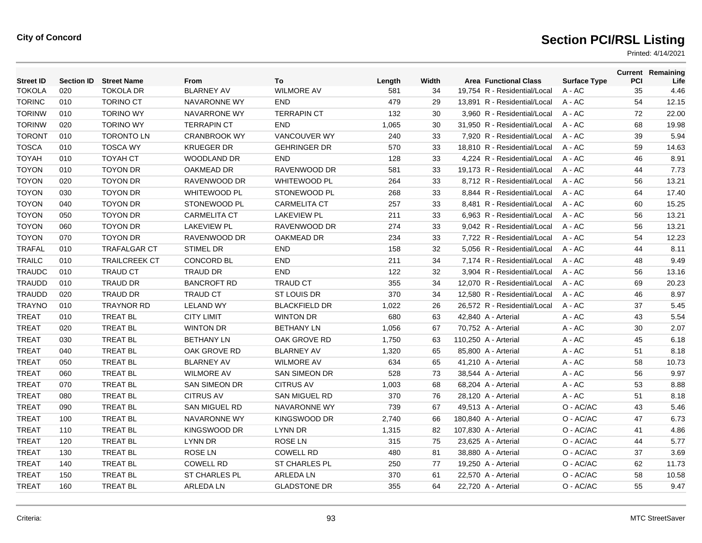| <b>Street ID</b> | <b>Section ID</b> | <b>Street Name</b>   | <b>From</b>          | To                   | Length | Width | <b>Area Functional Class</b> | <b>Surface Type</b> | PCI | <b>Current Remaining</b><br>Life |
|------------------|-------------------|----------------------|----------------------|----------------------|--------|-------|------------------------------|---------------------|-----|----------------------------------|
| <b>TOKOLA</b>    | 020               | <b>TOKOLA DR</b>     | <b>BLARNEY AV</b>    | <b>WILMORE AV</b>    | 581    | 34    | 19,754 R - Residential/Local | A - AC              | 35  | 4.46                             |
| <b>TORINC</b>    | 010               | <b>TORINO CT</b>     | NAVARONNE WY         | <b>END</b>           | 479    | 29    | 13,891 R - Residential/Local | $A - AC$            | 54  | 12.15                            |
| <b>TORINW</b>    | 010               | <b>TORINO WY</b>     | NAVARRONE WY         | <b>TERRAPIN CT</b>   | 132    | 30    | 3.960 R - Residential/Local  | $A - AC$            | 72  | 22.00                            |
| <b>TORINW</b>    | 020               | <b>TORINO WY</b>     | <b>TERRAPIN CT</b>   | <b>END</b>           | 1,065  | 30    | 31.950 R - Residential/Local | $A - AC$            | 68  | 19.98                            |
| <b>TORONT</b>    | 010               | <b>TORONTO LN</b>    | <b>CRANBROOK WY</b>  | <b>VANCOUVER WY</b>  | 240    | 33    | 7,920 R - Residential/Local  | A - AC              | 39  | 5.94                             |
| <b>TOSCA</b>     | 010               | <b>TOSCA WY</b>      | <b>KRUEGER DR</b>    | <b>GEHRINGER DR</b>  | 570    | 33    | 18,810 R - Residential/Local | A - AC              | 59  | 14.63                            |
| <b>TOYAH</b>     | 010               | <b>TOYAH CT</b>      | <b>WOODLAND DR</b>   | <b>END</b>           | 128    | 33    | 4.224 R - Residential/Local  | $A - AC$            | 46  | 8.91                             |
| <b>TOYON</b>     | 010               | <b>TOYON DR</b>      | OAKMEAD DR           | RAVENWOOD DR         | 581    | 33    | 19,173 R - Residential/Local | $A - AC$            | 44  | 7.73                             |
| <b>TOYON</b>     | 020               | <b>TOYON DR</b>      | RAVENWOOD DR         | <b>WHITEWOOD PL</b>  | 264    | 33    | 8,712 R - Residential/Local  | A - AC              | 56  | 13.21                            |
| <b>TOYON</b>     | 030               | <b>TOYON DR</b>      | <b>WHITEWOOD PL</b>  | STONEWOOD PL         | 268    | 33    | 8,844 R - Residential/Local  | A - AC              | 64  | 17.40                            |
| <b>TOYON</b>     | 040               | <b>TOYON DR</b>      | STONEWOOD PL         | <b>CARMELITA CT</b>  | 257    | 33    | 8.481 R - Residential/Local  | $A - AC$            | 60  | 15.25                            |
| <b>TOYON</b>     | 050               | <b>TOYON DR</b>      | <b>CARMELITA CT</b>  | <b>LAKEVIEW PL</b>   | 211    | 33    | 6,963 R - Residential/Local  | $A - AC$            | 56  | 13.21                            |
| <b>TOYON</b>     | 060               | <b>TOYON DR</b>      | <b>LAKEVIEW PL</b>   | RAVENWOOD DR         | 274    | 33    | 9,042 R - Residential/Local  | A - AC              | 56  | 13.21                            |
| <b>TOYON</b>     | 070               | <b>TOYON DR</b>      | RAVENWOOD DR         | <b>OAKMEAD DR</b>    | 234    | 33    | 7,722 R - Residential/Local  | A - AC              | 54  | 12.23                            |
| <b>TRAFAL</b>    | 010               | <b>TRAFALGAR CT</b>  | <b>STIMEL DR</b>     | <b>END</b>           | 158    | 32    | 5.056 R - Residential/Local  | $A - AC$            | 44  | 8.11                             |
| <b>TRAILC</b>    | 010               | <b>TRAILCREEK CT</b> | CONCORD BL           | <b>END</b>           | 211    | 34    | 7,174 R - Residential/Local  | A - AC              | 48  | 9.49                             |
| <b>TRAUDC</b>    | 010               | <b>TRAUD CT</b>      | <b>TRAUD DR</b>      | <b>END</b>           | 122    | 32    | 3.904 R - Residential/Local  | A - AC              | 56  | 13.16                            |
| <b>TRAUDD</b>    | 010               | <b>TRAUD DR</b>      | <b>BANCROFT RD</b>   | <b>TRAUD CT</b>      | 355    | 34    | 12.070 R - Residential/Local | $A - AC$            | 69  | 20.23                            |
| <b>TRAUDD</b>    | 020               | <b>TRAUD DR</b>      | <b>TRAUD CT</b>      | <b>ST LOUIS DR</b>   | 370    | 34    | 12,580 R - Residential/Local | $A - AC$            | 46  | 8.97                             |
| <b>TRAYNO</b>    | 010               | <b>TRAYNOR RD</b>    | <b>LELAND WY</b>     | <b>BLACKFIELD DR</b> | 1,022  | 26    | 26,572 R - Residential/Local | A - AC              | 37  | 5.45                             |
| <b>TREAT</b>     | 010               | <b>TREAT BL</b>      | <b>CITY LIMIT</b>    | <b>WINTON DR</b>     | 680    | 63    | 42,840 A - Arterial          | $A - AC$            | 43  | 5.54                             |
| <b>TREAT</b>     | 020               | <b>TREAT BL</b>      | <b>WINTON DR</b>     | <b>BETHANY LN</b>    | 1.056  | 67    | 70.752 A - Arterial          | $A - AC$            | 30  | 2.07                             |
| <b>TREAT</b>     | 030               | <b>TREAT BL</b>      | <b>BETHANY LN</b>    | OAK GROVE RD         | 1,750  | 63    | 110,250 A - Arterial         | $A - AC$            | 45  | 6.18                             |
| <b>TREAT</b>     | 040               | TREAT BL             | OAK GROVE RD         | <b>BLARNEY AV</b>    | 1,320  | 65    | 85,800 A - Arterial          | A - AC              | 51  | 8.18                             |
| <b>TREAT</b>     | 050               | TREAT BL             | <b>BLARNEY AV</b>    | <b>WILMORE AV</b>    | 634    | 65    | 41,210 A - Arterial          | A - AC              | 58  | 10.73                            |
| <b>TREAT</b>     | 060               | <b>TREAT BL</b>      | <b>WILMORE AV</b>    | <b>SAN SIMEON DR</b> | 528    | 73    | 38,544 A - Arterial          | A - AC              | 56  | 9.97                             |
| <b>TREAT</b>     | 070               | TREAT BL             | <b>SAN SIMEON DR</b> | <b>CITRUS AV</b>     | 1,003  | 68    | 68,204 A - Arterial          | A - AC              | 53  | 8.88                             |
| <b>TREAT</b>     | 080               | TREAT BL             | <b>CITRUS AV</b>     | SAN MIGUEL RD        | 370    | 76    | 28,120 A - Arterial          | A - AC              | 51  | 8.18                             |
| <b>TREAT</b>     | 090               | <b>TREAT BL</b>      | <b>SAN MIGUEL RD</b> | NAVARONNE WY         | 739    | 67    | 49,513 A - Arterial          | O - AC/AC           | 43  | 5.46                             |
| <b>TREAT</b>     | 100               | TREAT BL             | NAVARONNE WY         | KINGSWOOD DR         | 2,740  | 66    | 180,840 A - Arterial         | O - AC/AC           | 47  | 6.73                             |
| <b>TREAT</b>     | 110               | TREAT BL             | KINGSWOOD DR         | LYNN DR              | 1,315  | 82    | 107,830 A - Arterial         | O - AC/AC           | 41  | 4.86                             |
| <b>TREAT</b>     | 120               | TREAT BL             | LYNN DR              | <b>ROSE LN</b>       | 315    | 75    | 23,625 A - Arterial          | O - AC/AC           | 44  | 5.77                             |
| <b>TREAT</b>     | 130               | <b>TREAT BL</b>      | <b>ROSE LN</b>       | <b>COWELL RD</b>     | 480    | 81    | 38,880 A - Arterial          | O - AC/AC           | 37  | 3.69                             |
| <b>TREAT</b>     | 140               | <b>TREAT BL</b>      | <b>COWELL RD</b>     | ST CHARLES PL        | 250    | 77    | 19,250 A - Arterial          | O - AC/AC           | 62  | 11.73                            |
| <b>TREAT</b>     | 150               | TREAT BL             | <b>ST CHARLES PL</b> | <b>ARLEDA LN</b>     | 370    | 61    | 22,570 A - Arterial          | O - AC/AC           | 58  | 10.58                            |
| <b>TREAT</b>     | 160               | <b>TREAT BL</b>      | ARLEDA LN            | <b>GLADSTONE DR</b>  | 355    | 64    | 22,720 A - Arterial          | O - AC/AC           | 55  | 9.47                             |
|                  |                   |                      |                      |                      |        |       |                              |                     |     |                                  |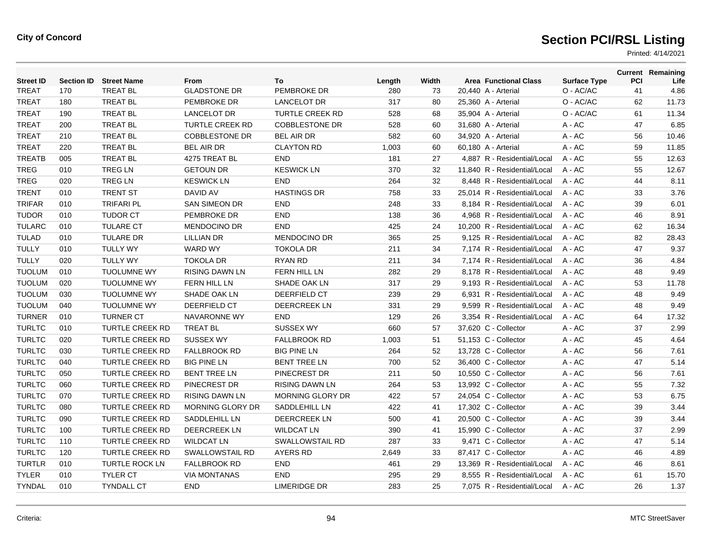| <b>Street ID</b> | <b>Section ID</b> | <b>Street Name</b>     | From                    | To                     | Length | Width | <b>Area Functional Class</b> | <b>Surface Type</b> | PCI | <b>Current Remaining</b><br>Life |
|------------------|-------------------|------------------------|-------------------------|------------------------|--------|-------|------------------------------|---------------------|-----|----------------------------------|
| <b>TREAT</b>     | 170               | <b>TREAT BL</b>        | <b>GLADSTONE DR</b>     | PEMBROKE DR            | 280    | 73    | 20,440 A - Arterial          | O - AC/AC           | 41  | 4.86                             |
| <b>TREAT</b>     | 180               | <b>TREAT BL</b>        | PEMBROKE DR             | <b>LANCELOT DR</b>     | 317    | 80    | 25,360 A - Arterial          | O - AC/AC           | 62  | 11.73                            |
| <b>TREAT</b>     | 190               | <b>TREAT BL</b>        | <b>LANCELOT DR</b>      | <b>TURTLE CREEK RD</b> | 528    | 68    | 35,904 A - Arterial          | O - AC/AC           | 61  | 11.34                            |
| <b>TREAT</b>     | 200               | <b>TREAT BL</b>        | <b>TURTLE CREEK RD</b>  | <b>COBBLESTONE DR</b>  | 528    | 60    | 31,680 A - Arterial          | $A - AC$            | 47  | 6.85                             |
| <b>TREAT</b>     | 210               | <b>TREAT BL</b>        | <b>COBBLESTONE DR</b>   | <b>BEL AIR DR</b>      | 582    | 60    | 34,920 A - Arterial          | A - AC              | 56  | 10.46                            |
| <b>TREAT</b>     | 220               | <b>TREAT BL</b>        | <b>BEL AIR DR</b>       | <b>CLAYTON RD</b>      | 1,003  | 60    | 60,180 A - Arterial          | A - AC              | 59  | 11.85                            |
| <b>TREATB</b>    | 005               | <b>TREAT BL</b>        | 4275 TREAT BL           | <b>END</b>             | 181    | 27    | 4,887 R - Residential/Local  | A - AC              | 55  | 12.63                            |
| <b>TREG</b>      | 010               | <b>TREG LN</b>         | <b>GETOUN DR</b>        | <b>KESWICK LN</b>      | 370    | 32    | 11,840 R - Residential/Local | $A - AC$            | 55  | 12.67                            |
| <b>TREG</b>      | 020               | <b>TREG LN</b>         | <b>KESWICK LN</b>       | <b>END</b>             | 264    | 32    | 8.448 R - Residential/Local  | $A - AC$            | 44  | 8.11                             |
| <b>TRENT</b>     | 010               | <b>TRENT ST</b>        | DAVID AV                | <b>HASTINGS DR</b>     | 758    | 33    | 25,014 R - Residential/Local | $A - AC$            | 33  | 3.76                             |
| <b>TRIFAR</b>    | 010               | <b>TRIFARI PL</b>      | <b>SAN SIMEON DR</b>    | <b>END</b>             | 248    | 33    | 8.184 R - Residential/Local  | $A - AC$            | 39  | 6.01                             |
| <b>TUDOR</b>     | 010               | <b>TUDOR CT</b>        | PEMBROKE DR             | <b>END</b>             | 138    | 36    | 4.968 R - Residential/Local  | $A - AC$            | 46  | 8.91                             |
| <b>TULARC</b>    | 010               | <b>TULARE CT</b>       | <b>MENDOCINO DR</b>     | <b>END</b>             | 425    | 24    | 10,200 R - Residential/Local | $A - AC$            | 62  | 16.34                            |
| <b>TULAD</b>     | 010               | <b>TULARE DR</b>       | <b>LILLIAN DR</b>       | <b>MENDOCINO DR</b>    | 365    | 25    | 9,125 R - Residential/Local  | $A - AC$            | 82  | 28.43                            |
| <b>TULLY</b>     | 010               | <b>TULLY WY</b>        | <b>WARD WY</b>          | <b>TOKOLA DR</b>       | 211    | 34    | 7.174 R - Residential/Local  | $A - AC$            | 47  | 9.37                             |
| <b>TULLY</b>     | 020               | <b>TULLY WY</b>        | <b>TOKOLA DR</b>        | <b>RYAN RD</b>         | 211    | 34    | 7,174 R - Residential/Local  | $A - AC$            | 36  | 4.84                             |
| <b>TUOLUM</b>    | 010               | <b>TUOLUMNE WY</b>     | <b>RISING DAWN LN</b>   | <b>FERN HILL LN</b>    | 282    | 29    | 8,178 R - Residential/Local  | $A - AC$            | 48  | 9.49                             |
| <b>TUOLUM</b>    | 020               | <b>TUOLUMNE WY</b>     | <b>FERN HILL LN</b>     | <b>SHADE OAK LN</b>    | 317    | 29    | 9.193 R - Residential/Local  | $A - AC$            | 53  | 11.78                            |
| <b>TUOLUM</b>    | 030               | <b>TUOLUMNE WY</b>     | SHADE OAK LN            | DEERFIELD CT           | 239    | 29    | 6,931 R - Residential/Local  | $A - AC$            | 48  | 9.49                             |
| <b>TUOLUM</b>    | 040               | <b>TUOLUMNE WY</b>     | <b>DEERFIELD CT</b>     | <b>DEERCREEK LN</b>    | 331    | 29    | 9.599 R - Residential/Local  | $A - AC$            | 48  | 9.49                             |
| <b>TURNER</b>    | 010               | <b>TURNER CT</b>       | <b>NAVARONNE WY</b>     | <b>END</b>             | 129    | 26    | 3.354 R - Residential/Local  | $A - AC$            | 64  | 17.32                            |
| <b>TURLTC</b>    | 010               | <b>TURTLE CREEK RD</b> | <b>TREAT BL</b>         | <b>SUSSEX WY</b>       | 660    | 57    | 37,620 C - Collector         | $A - AC$            | 37  | 2.99                             |
| <b>TURLTC</b>    | 020               | <b>TURTLE CREEK RD</b> | <b>SUSSEX WY</b>        | <b>FALLBROOK RD</b>    | 1,003  | 51    | 51,153 C - Collector         | $A - AC$            | 45  | 4.64                             |
| <b>TURLTC</b>    | 030               | <b>TURTLE CREEK RD</b> | <b>FALLBROOK RD</b>     | <b>BIG PINE LN</b>     | 264    | 52    | 13,728 C - Collector         | $A - AC$            | 56  | 7.61                             |
| <b>TURLTC</b>    | 040               | <b>TURTLE CREEK RD</b> | <b>BIG PINE LN</b>      | <b>BENT TREE LN</b>    | 700    | 52    | 36,400 C - Collector         | $A - AC$            | 47  | 5.14                             |
| <b>TURLTC</b>    | 050               | <b>TURTLE CREEK RD</b> | <b>BENT TREE LN</b>     | PINECREST DR           | 211    | 50    | 10,550 C - Collector         | $A - AC$            | 56  | 7.61                             |
| <b>TURLTC</b>    | 060               | <b>TURTLE CREEK RD</b> | PINECREST DR            | <b>RISING DAWN LN</b>  | 264    | 53    | 13,992 C - Collector         | A - AC              | 55  | 7.32                             |
| <b>TURLTC</b>    | 070               | <b>TURTLE CREEK RD</b> | <b>RISING DAWN LN</b>   | MORNING GLORY DR       | 422    | 57    | 24,054 C - Collector         | A - AC              | 53  | 6.75                             |
| <b>TURLTC</b>    | 080               | <b>TURTLE CREEK RD</b> | <b>MORNING GLORY DR</b> | SADDLEHILL LN          | 422    | 41    | 17,302 C - Collector         | $A - AC$            | 39  | 3.44                             |
| <b>TURLTC</b>    | 090               | <b>TURTLE CREEK RD</b> | SADDLEHILL LN           | DEERCREEK LN           | 500    | 41    | 20,500 C - Collector         | $A - AC$            | 39  | 3.44                             |
| <b>TURLTC</b>    | 100               | <b>TURTLE CREEK RD</b> | DEERCREEK LN            | <b>WILDCAT LN</b>      | 390    | 41    | 15,990 C - Collector         | A - AC              | 37  | 2.99                             |
| <b>TURLTC</b>    | 110               | <b>TURTLE CREEK RD</b> | <b>WILDCAT LN</b>       | <b>SWALLOWSTAIL RD</b> | 287    | 33    | 9,471 C - Collector          | $A - AC$            | 47  | 5.14                             |
| <b>TURLTC</b>    | 120               | <b>TURTLE CREEK RD</b> | <b>SWALLOWSTAIL RD</b>  | <b>AYERS RD</b>        | 2,649  | 33    | 87,417 C - Collector         | A - AC              | 46  | 4.89                             |
| <b>TURTLR</b>    | 010               | <b>TURTLE ROCK LN</b>  | <b>FALLBROOK RD</b>     | <b>END</b>             | 461    | 29    | 13,369 R - Residential/Local | $A - AC$            | 46  | 8.61                             |
| <b>TYLER</b>     | 010               | <b>TYLER CT</b>        | <b>VIA MONTANAS</b>     | <b>END</b>             | 295    | 29    | 8.555 R - Residential/Local  | $A - AC$            | 61  | 15.70                            |
| <b>TYNDAL</b>    | 010               | <b>TYNDALL CT</b>      | <b>END</b>              | <b>LIMERIDGE DR</b>    | 283    | 25    | 7.075 R - Residential/Local  | A - AC              | 26  | 1.37                             |
|                  |                   |                        |                         |                        |        |       |                              |                     |     |                                  |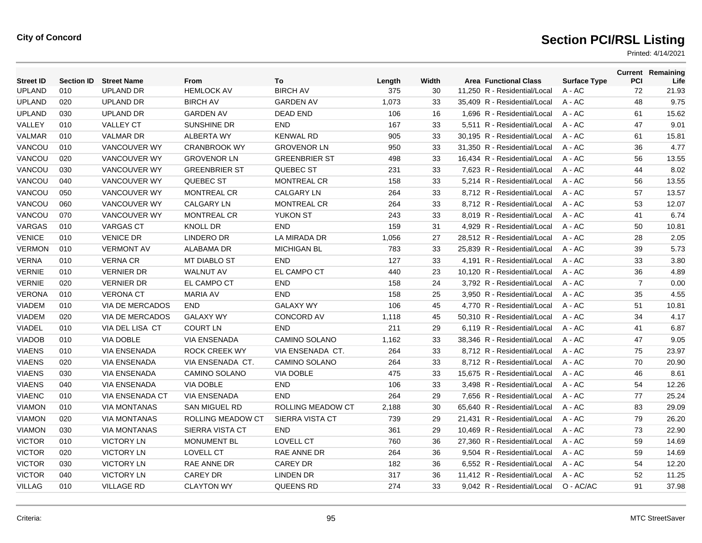| <b>Street ID</b> | <b>Section ID</b> | <b>Street Name</b>     | From                     | To                   | Length | Width | <b>Area Functional Class</b> | <b>Surface Type</b> | <b>PCI</b>     | <b>Current Remaining</b><br>Life |
|------------------|-------------------|------------------------|--------------------------|----------------------|--------|-------|------------------------------|---------------------|----------------|----------------------------------|
| <b>UPLAND</b>    | 010               | <b>UPLAND DR</b>       | <b>HEMLOCK AV</b>        | <b>BIRCH AV</b>      | 375    | 30    | 11,250 R - Residential/Local | A - AC              | 72             | 21.93                            |
| <b>UPLAND</b>    | 020               | <b>UPLAND DR</b>       | <b>BIRCH AV</b>          | <b>GARDEN AV</b>     | 1,073  | 33    | 35,409 R - Residential/Local | A - AC              | 48             | 9.75                             |
| <b>UPLAND</b>    | 030               | <b>UPLAND DR</b>       | <b>GARDEN AV</b>         | <b>DEAD END</b>      | 106    | 16    | 1,696 R - Residential/Local  | $A - AC$            | 61             | 15.62                            |
| VALLEY           | 010               | <b>VALLEY CT</b>       | <b>SUNSHINE DR</b>       | <b>END</b>           | 167    | 33    | 5.511 R - Residential/Local  | $A - AC$            | 47             | 9.01                             |
| <b>VALMAR</b>    | 010               | <b>VALMAR DR</b>       | ALBERTA WY               | <b>KENWAL RD</b>     | 905    | 33    | 30.195 R - Residential/Local | $A - AC$            | 61             | 15.81                            |
| VANCOU           | 010               | VANCOUVER WY           | <b>CRANBROOK WY</b>      | <b>GROVENOR LN</b>   | 950    | 33    | 31,350 R - Residential/Local | $A - AC$            | 36             | 4.77                             |
| VANCOU           | 020               | <b>VANCOUVER WY</b>    | <b>GROVENOR LN</b>       | <b>GREENBRIER ST</b> | 498    | 33    | 16,434 R - Residential/Local | $A - AC$            | 56             | 13.55                            |
| VANCOU           | 030               | <b>VANCOUVER WY</b>    | <b>GREENBRIER ST</b>     | QUEBEC ST            | 231    | 33    | 7.623 R - Residential/Local  | $A - AC$            | 44             | 8.02                             |
| VANCOU           | 040               | <b>VANCOUVER WY</b>    | QUEBEC ST                | <b>MONTREAL CR</b>   | 158    | 33    | 5.214 R - Residential/Local  | $A - AC$            | 56             | 13.55                            |
| VANCOU           | 050               | <b>VANCOUVER WY</b>    | <b>MONTREAL CR</b>       | <b>CALGARY LN</b>    | 264    | 33    | 8,712 R - Residential/Local  | A - AC              | 57             | 13.57                            |
| VANCOU           | 060               | VANCOUVER WY           | <b>CALGARY LN</b>        | <b>MONTREAL CR</b>   | 264    | 33    | 8,712 R - Residential/Local  | A - AC              | 53             | 12.07                            |
| VANCOU           | 070               | VANCOUVER WY           | MONTREAL CR              | <b>YUKON ST</b>      | 243    | 33    | 8,019 R - Residential/Local  | A - AC              | 41             | 6.74                             |
| VARGAS           | 010               | <b>VARGAS CT</b>       | <b>KNOLL DR</b>          | <b>END</b>           | 159    | 31    | 4.929 R - Residential/Local  | $A - AC$            | 50             | 10.81                            |
| <b>VENICE</b>    | 010               | <b>VENICE DR</b>       | <b>LINDERO DR</b>        | LA MIRADA DR         | 1,056  | 27    | 28.512 R - Residential/Local | $A - AC$            | 28             | 2.05                             |
| <b>VERMON</b>    | 010               | <b>VERMONT AV</b>      | ALABAMA DR               | <b>MICHIGAN BL</b>   | 783    | 33    | 25,839 R - Residential/Local | A - AC              | 39             | 5.73                             |
| <b>VERNA</b>     | 010               | <b>VERNA CR</b>        | <b>MT DIABLO ST</b>      | <b>END</b>           | 127    | 33    | 4,191 R - Residential/Local  | A - AC              | 33             | 3.80                             |
| <b>VERNIE</b>    | 010               | <b>VERNIER DR</b>      | <b>WALNUT AV</b>         | EL CAMPO CT          | 440    | 23    | 10,120 R - Residential/Local | A - AC              | 36             | 4.89                             |
| <b>VERNIE</b>    | 020               | <b>VERNIER DR</b>      | EL CAMPO CT              | <b>END</b>           | 158    | 24    | 3.792 R - Residential/Local  | $A - AC$            | $\overline{7}$ | 0.00                             |
| <b>VERONA</b>    | 010               | <b>VERONA CT</b>       | <b>MARIA AV</b>          | <b>END</b>           | 158    | 25    | 3,950 R - Residential/Local  | A - AC              | 35             | 4.55                             |
| <b>VIADEM</b>    | 010               | VIA DE MERCADOS        | <b>END</b>               | <b>GALAXY WY</b>     | 106    | 45    | 4,770 R - Residential/Local  | A - AC              | 51             | 10.81                            |
| <b>VIADEM</b>    | 020               | VIA DE MERCADOS        | <b>GALAXY WY</b>         | <b>CONCORD AV</b>    | 1,118  | 45    | 50.310 R - Residential/Local | $A - AC$            | 34             | 4.17                             |
| <b>VIADEL</b>    | 010               | VIA DEL LISA CT        | <b>COURT LN</b>          | <b>END</b>           | 211    | 29    | 6.119 R - Residential/Local  | $A - AC$            | 41             | 6.87                             |
| <b>VIADOB</b>    | 010               | <b>VIA DOBLE</b>       | <b>VIA ENSENADA</b>      | <b>CAMINO SOLANO</b> | 1,162  | 33    | 38.346 R - Residential/Local | $A - AC$            | 47             | 9.05                             |
| <b>VIAENS</b>    | 010               | <b>VIA ENSENADA</b>    | <b>ROCK CREEK WY</b>     | VIA ENSENADA CT.     | 264    | 33    | 8,712 R - Residential/Local  | A - AC              | 75             | 23.97                            |
| <b>VIAENS</b>    | 020               | <b>VIA ENSENADA</b>    | VIA ENSENADA CT.         | <b>CAMINO SOLANO</b> | 264    | 33    | 8.712 R - Residential/Local  | $A - AC$            | 70             | 20.90                            |
| <b>VIAENS</b>    | 030               | <b>VIA ENSENADA</b>    | <b>CAMINO SOLANO</b>     | <b>VIA DOBLE</b>     | 475    | 33    | 15.675 R - Residential/Local | $A - AC$            | 46             | 8.61                             |
| <b>VIAENS</b>    | 040               | <b>VIA ENSENADA</b>    | <b>VIA DOBLE</b>         | <b>END</b>           | 106    | 33    | 3.498 R - Residential/Local  | $A - AC$            | 54             | 12.26                            |
| <b>VIAENC</b>    | 010               | <b>VIA ENSENADA CT</b> | <b>VIA ENSENADA</b>      | <b>END</b>           | 264    | 29    | 7,656 R - Residential/Local  | A - AC              | 77             | 25.24                            |
| <b>VIAMON</b>    | 010               | <b>VIA MONTANAS</b>    | <b>SAN MIGUEL RD</b>     | ROLLING MEADOW CT    | 2,188  | 30    | 65,640 R - Residential/Local | A - AC              | 83             | 29.09                            |
| <b>VIAMON</b>    | 020               | <b>VIA MONTANAS</b>    | <b>ROLLING MEADOW CT</b> | SIERRA VISTA CT      | 739    | 29    | 21,431 R - Residential/Local | A - AC              | 79             | 26.20                            |
| <b>VIAMON</b>    | 030               | <b>VIA MONTANAS</b>    | SIERRA VISTA CT          | <b>END</b>           | 361    | 29    | 10.469 R - Residential/Local | A - AC              | 73             | 22.90                            |
| <b>VICTOR</b>    | 010               | <b>VICTORY LN</b>      | <b>MONUMENT BL</b>       | <b>LOVELL CT</b>     | 760    | 36    | 27.360 R - Residential/Local | $A - AC$            | 59             | 14.69                            |
| <b>VICTOR</b>    | 020               | <b>VICTORY LN</b>      | <b>LOVELL CT</b>         | RAE ANNE DR          | 264    | 36    | 9,504 R - Residential/Local  | A - AC              | 59             | 14.69                            |
| <b>VICTOR</b>    | 030               | <b>VICTORY LN</b>      | <b>RAE ANNE DR</b>       | <b>CAREY DR</b>      | 182    | 36    | 6,552 R - Residential/Local  | A - AC              | 54             | 12.20                            |
| <b>VICTOR</b>    | 040               | <b>VICTORY LN</b>      | <b>CAREY DR</b>          | LINDEN DR            | 317    | 36    | 11.412 R - Residential/Local | A - AC              | 52             | 11.25                            |
| <b>VILLAG</b>    | 010               | <b>VILLAGE RD</b>      | <b>CLAYTON WY</b>        | QUEENS RD            | 274    | 33    | 9,042 R - Residential/Local  | O - AC/AC           | 91             | 37.98                            |
|                  |                   |                        |                          |                      |        |       |                              |                     |                |                                  |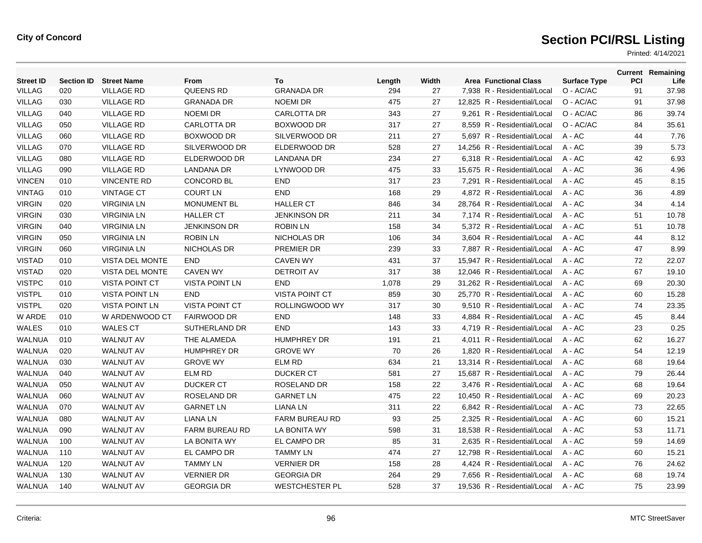| <b>Street ID</b> | <b>Section ID</b> | <b>Street Name</b>    | From                  | To                    | Length | Width | <b>Area Functional Class</b> | <b>Surface Type</b> | <b>PCI</b> | <b>Current Remaining</b><br>Life |
|------------------|-------------------|-----------------------|-----------------------|-----------------------|--------|-------|------------------------------|---------------------|------------|----------------------------------|
| <b>VILLAG</b>    | 020               | <b>VILLAGE RD</b>     | <b>QUEENS RD</b>      | <b>GRANADA DR</b>     | 294    | 27    | 7,938 R - Residential/Local  | O - AC/AC           | 91         | 37.98                            |
| <b>VILLAG</b>    | 030               | <b>VILLAGE RD</b>     | <b>GRANADA DR</b>     | <b>NOEMI DR</b>       | 475    | 27    | 12,825 R - Residential/Local | O - AC/AC           | 91         | 37.98                            |
| <b>VILLAG</b>    | 040               | <b>VILLAGE RD</b>     | <b>NOEMI DR</b>       | <b>CARLOTTA DR</b>    | 343    | 27    | 9.261 R - Residential/Local  | O - AC/AC           | 86         | 39.74                            |
| <b>VILLAG</b>    | 050               | <b>VILLAGE RD</b>     | <b>CARLOTTA DR</b>    | <b>BOXWOOD DR</b>     | 317    | 27    | 8.559 R - Residential/Local  | O - AC/AC           | 84         | 35.61                            |
| <b>VILLAG</b>    | 060               | <b>VILLAGE RD</b>     | BOXWOOD DR            | SILVERWOOD DR         | 211    | 27    | 5.697 R - Residential/Local  | $A - AC$            | 44         | 7.76                             |
| <b>VILLAG</b>    | 070               | <b>VILLAGE RD</b>     | SILVERWOOD DR         | ELDERWOOD DR          | 528    | 27    | 14,256 R - Residential/Local | $A - AC$            | 39         | 5.73                             |
| <b>VILLAG</b>    | 080               | <b>VILLAGE RD</b>     | ELDERWOOD DR          | <b>LANDANA DR</b>     | 234    | 27    | 6,318 R - Residential/Local  | $A - AC$            | 42         | 6.93                             |
| <b>VILLAG</b>    | 090               | <b>VILLAGE RD</b>     | <b>LANDANA DR</b>     | LYNWOOD DR            | 475    | 33    | 15.675 R - Residential/Local | $A - AC$            | 36         | 4.96                             |
| <b>VINCEN</b>    | 010               | <b>VINCENTE RD</b>    | <b>CONCORD BL</b>     | <b>END</b>            | 317    | 23    | 7.291 R - Residential/Local  | $A - AC$            | 45         | 8.15                             |
| <b>VINTAG</b>    | 010               | <b>VINTAGE CT</b>     | <b>COURT LN</b>       | END                   | 168    | 29    | 4,872 R - Residential/Local  | A - AC              | 36         | 4.89                             |
| <b>VIRGIN</b>    | 020               | <b>VIRGINIA LN</b>    | <b>MONUMENT BL</b>    | <b>HALLER CT</b>      | 846    | 34    | 28,764 R - Residential/Local | A - AC              | 34         | 4.14                             |
| <b>VIRGIN</b>    | 030               | <b>VIRGINIA LN</b>    | <b>HALLER CT</b>      | <b>JENKINSON DR</b>   | 211    | 34    | 7,174 R - Residential/Local  | A - AC              | 51         | 10.78                            |
| <b>VIRGIN</b>    | 040               | <b>VIRGINIA LN</b>    | <b>JENKINSON DR</b>   | <b>ROBIN LN</b>       | 158    | 34    | 5.372 R - Residential/Local  | $A - AC$            | 51         | 10.78                            |
| <b>VIRGIN</b>    | 050               | <b>VIRGINIA LN</b>    | <b>ROBIN LN</b>       | <b>NICHOLAS DR</b>    | 106    | 34    | 3.604 R - Residential/Local  | $A - AC$            | 44         | 8.12                             |
| <b>VIRGIN</b>    | 060               | <b>VIRGINIA LN</b>    | NICHOLAS DR           | PREMIER DR            | 239    | 33    | 7,887 R - Residential/Local  | A - AC              | 47         | 8.99                             |
| <b>VISTAD</b>    | 010               | VISTA DEL MONTE       | <b>END</b>            | <b>CAVEN WY</b>       | 431    | 37    | 15,947 R - Residential/Local | A - AC              | 72         | 22.07                            |
| <b>VISTAD</b>    | 020               | VISTA DEL MONTE       | <b>CAVEN WY</b>       | <b>DETROIT AV</b>     | 317    | 38    | 12,046 R - Residential/Local | A - AC              | 67         | 19.10                            |
| <b>VISTPC</b>    | 010               | <b>VISTA POINT CT</b> | <b>VISTA POINT LN</b> | <b>END</b>            | 1,078  | 29    | 31.262 R - Residential/Local | $A - AC$            | 69         | 20.30                            |
| <b>VISTPL</b>    | 010               | <b>VISTA POINT LN</b> | <b>END</b>            | <b>VISTA POINT CT</b> | 859    | 30    | 25,770 R - Residential/Local | A - AC              | 60         | 15.28                            |
| <b>VISTPL</b>    | 020               | <b>VISTA POINT LN</b> | <b>VISTA POINT CT</b> | ROLLINGWOOD WY        | 317    | 30    | 9,510 R - Residential/Local  | A - AC              | 74         | 23.35                            |
| W ARDE           | 010               | W ARDENWOOD CT        | <b>FAIRWOOD DR</b>    | <b>END</b>            | 148    | 33    | 4.884 R - Residential/Local  | A - AC              | 45         | 8.44                             |
| <b>WALES</b>     | 010               | <b>WALES CT</b>       | <b>SUTHERLAND DR</b>  | <b>END</b>            | 143    | 33    | 4.719 R - Residential/Local  | $A - AC$            | 23         | 0.25                             |
| <b>WALNUA</b>    | 010               | <b>WALNUT AV</b>      | THE ALAMEDA           | <b>HUMPHREY DR</b>    | 191    | 21    | 4.011 R - Residential/Local  | $A - AC$            | 62         | 16.27                            |
| <b>WALNUA</b>    | 020               | <b>WALNUT AV</b>      | <b>HUMPHREY DR</b>    | <b>GROVE WY</b>       | 70     | 26    | 1,820 R - Residential/Local  | A - AC              | 54         | 12.19                            |
| <b>WALNUA</b>    | 030               | <b>WALNUT AV</b>      | <b>GROVE WY</b>       | <b>ELM RD</b>         | 634    | 21    | 13,314 R - Residential/Local | A - AC              | 68         | 19.64                            |
| <b>WALNUA</b>    | 040               | <b>WALNUT AV</b>      | <b>ELM RD</b>         | <b>DUCKER CT</b>      | 581    | 27    | 15.687 R - Residential/Local | $A - AC$            | 79         | 26.44                            |
| <b>WALNUA</b>    | 050               | <b>WALNUT AV</b>      | <b>DUCKER CT</b>      | ROSELAND DR           | 158    | 22    | 3.476 R - Residential/Local  | $A - AC$            | 68         | 19.64                            |
| <b>WALNUA</b>    | 060               | <b>WALNUT AV</b>      | ROSELAND DR           | <b>GARNET LN</b>      | 475    | 22    | 10,450 R - Residential/Local | A - AC              | 69         | 20.23                            |
| <b>WALNUA</b>    | 070               | <b>WALNUT AV</b>      | <b>GARNET LN</b>      | <b>LIANA LN</b>       | 311    | 22    | 6,842 R - Residential/Local  | A - AC              | 73         | 22.65                            |
| <b>WALNUA</b>    | 080               | <b>WALNUT AV</b>      | <b>LIANA LN</b>       | <b>FARM BUREAU RD</b> | 93     | 25    | 2.325 R - Residential/Local  | A - AC              | 60         | 15.21                            |
| <b>WALNUA</b>    | 090               | <b>WALNUT AV</b>      | <b>FARM BUREAU RD</b> | LA BONITA WY          | 598    | 31    | 18.538 R - Residential/Local | $A - AC$            | 53         | 11.71                            |
| <b>WALNUA</b>    | 100               | <b>WALNUT AV</b>      | LA BONITA WY          | EL CAMPO DR           | 85     | 31    | 2.635 R - Residential/Local  | $A - AC$            | 59         | 14.69                            |
| <b>WALNUA</b>    | 110               | <b>WALNUT AV</b>      | EL CAMPO DR           | <b>TAMMY LN</b>       | 474    | 27    | 12,798 R - Residential/Local | A - AC              | 60         | 15.21                            |
| <b>WALNUA</b>    | 120               | <b>WALNUT AV</b>      | <b>TAMMY LN</b>       | <b>VERNIER DR</b>     | 158    | 28    | 4,424 R - Residential/Local  | A - AC              | 76         | 24.62                            |
| <b>WALNUA</b>    | 130               | <b>WALNUT AV</b>      | <b>VERNIER DR</b>     | <b>GEORGIA DR</b>     | 264    | 29    | 7.656 R - Residential/Local  | A - AC              | 68         | 19.74                            |
| <b>WALNUA</b>    | 140               | <b>WALNUT AV</b>      | <b>GEORGIA DR</b>     | <b>WESTCHESTER PL</b> | 528    | 37    | 19,536 R - Residential/Local | $A - AC$            | 75         | 23.99                            |
|                  |                   |                       |                       |                       |        |       |                              |                     |            |                                  |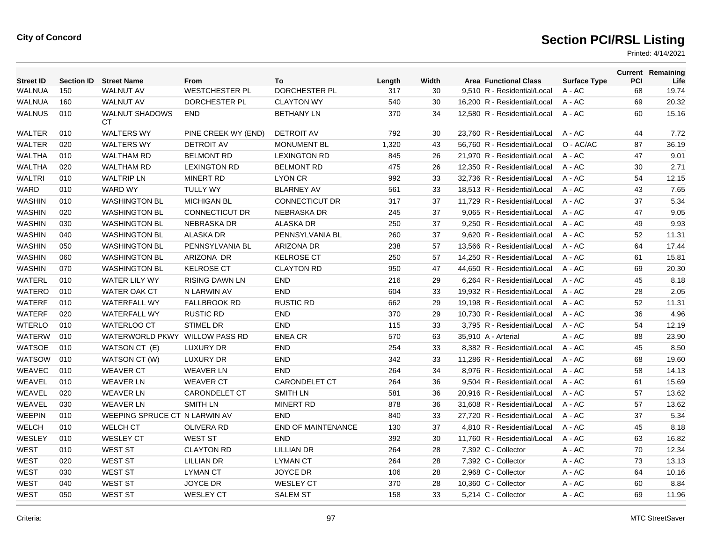| <b>Street ID</b> | <b>Section ID</b> | <b>Street Name</b>            | <b>From</b>           | To                        | Length | Width | <b>Area Functional Class</b> | <b>Surface Type</b> | <b>PCI</b> | <b>Current Remaining</b><br>Life |
|------------------|-------------------|-------------------------------|-----------------------|---------------------------|--------|-------|------------------------------|---------------------|------------|----------------------------------|
| <b>WALNUA</b>    | 150               | <b>WALNUT AV</b>              | <b>WESTCHESTER PL</b> | DORCHESTER PL             | 317    | 30    | 9,510 R - Residential/Local  | $A - AC$            | 68         | 19.74                            |
| <b>WALNUA</b>    | 160               | <b>WALNUT AV</b>              | DORCHESTER PL         | <b>CLAYTON WY</b>         | 540    | 30    | 16,200 R - Residential/Local | $A - AC$            | 69         | 20.32                            |
| <b>WALNUS</b>    | 010               | <b>WALNUT SHADOWS</b><br>CТ   | <b>END</b>            | <b>BETHANY LN</b>         | 370    | 34    | 12,580 R - Residential/Local | A - AC              | 60         | 15.16                            |
| WALTER           | 010               | <b>WALTERS WY</b>             | PINE CREEK WY (END)   | <b>DETROIT AV</b>         | 792    | 30    | 23,760 R - Residential/Local | $A - AC$            | 44         | 7.72                             |
| <b>WALTER</b>    | 020               | <b>WALTERS WY</b>             | <b>DETROIT AV</b>     | <b>MONUMENT BL</b>        | 1,320  | 43    | 56,760 R - Residential/Local | O - AC/AC           | 87         | 36.19                            |
| <b>WALTHA</b>    | 010               | <b>WALTHAM RD</b>             | <b>BELMONT RD</b>     | <b>LEXINGTON RD</b>       | 845    | 26    | 21,970 R - Residential/Local | $A - AC$            | 47         | 9.01                             |
| <b>WALTHA</b>    | 020               | <b>WALTHAM RD</b>             | <b>LEXINGTON RD</b>   | <b>BELMONT RD</b>         | 475    | 26    | 12.350 R - Residential/Local | $A - AC$            | 30         | 2.71                             |
| <b>WALTRI</b>    | 010               | <b>WALTRIP LN</b>             | <b>MINERT RD</b>      | LYON CR                   | 992    | 33    | 32,736 R - Residential/Local | A - AC              | 54         | 12.15                            |
| <b>WARD</b>      | 010               | <b>WARD WY</b>                | <b>TULLY WY</b>       | <b>BLARNEY AV</b>         | 561    | 33    | 18,513 R - Residential/Local | A - AC              | 43         | 7.65                             |
| <b>WASHIN</b>    | 010               | <b>WASHINGTON BL</b>          | <b>MICHIGAN BL</b>    | <b>CONNECTICUT DR</b>     | 317    | 37    | 11,729 R - Residential/Local | $A - AC$            | 37         | 5.34                             |
| <b>WASHIN</b>    | 020               | <b>WASHINGTON BL</b>          | <b>CONNECTICUT DR</b> | <b>NEBRASKA DR</b>        | 245    | 37    | 9.065 R - Residential/Local  | $A - AC$            | 47         | 9.05                             |
| <b>WASHIN</b>    | 030               | <b>WASHINGTON BL</b>          | <b>NEBRASKA DR</b>    | <b>ALASKA DR</b>          | 250    | 37    | 9.250 R - Residential/Local  | $A - AC$            | 49         | 9.93                             |
| <b>WASHIN</b>    | 040               | <b>WASHINGTON BL</b>          | <b>ALASKA DR</b>      | PENNSYLVANIA BL           | 260    | 37    | 9,620 R - Residential/Local  | A - AC              | 52         | 11.31                            |
| <b>WASHIN</b>    | 050               | <b>WASHINGTON BL</b>          | PENNSYLVANIA BL       | <b>ARIZONA DR</b>         | 238    | 57    | 13,566 R - Residential/Local | $A - AC$            | 64         | 17.44                            |
| <b>WASHIN</b>    | 060               | <b>WASHINGTON BL</b>          | ARIZONA DR            | <b>KELROSE CT</b>         | 250    | 57    | 14.250 R - Residential/Local | $A - AC$            | 61         | 15.81                            |
| <b>WASHIN</b>    | 070               | <b>WASHINGTON BL</b>          | <b>KELROSE CT</b>     | <b>CLAYTON RD</b>         | 950    | 47    | 44.650 R - Residential/Local | $A - AC$            | 69         | 20.30                            |
| <b>WATERL</b>    | 010               | WATER LILY WY                 | <b>RISING DAWN LN</b> | <b>END</b>                | 216    | 29    | 6,264 R - Residential/Local  | A - AC              | 45         | 8.18                             |
| <b>WATERO</b>    | 010               | <b>WATER OAK CT</b>           | N LARWIN AV           | <b>END</b>                | 604    | 33    | 19,932 R - Residential/Local | $A - AC$            | 28         | 2.05                             |
| <b>WATERF</b>    | 010               | <b>WATERFALL WY</b>           | <b>FALLBROOK RD</b>   | <b>RUSTIC RD</b>          | 662    | 29    | 19,198 R - Residential/Local | A - AC              | 52         | 11.31                            |
| <b>WATERF</b>    | 020               | <b>WATERFALL WY</b>           | <b>RUSTIC RD</b>      | <b>END</b>                | 370    | 29    | 10.730 R - Residential/Local | $A - AC$            | 36         | 4.96                             |
| <b>WTERLO</b>    | 010               | <b>WATERLOO CT</b>            | <b>STIMEL DR</b>      | <b>END</b>                | 115    | 33    | 3.795 R - Residential/Local  | $A - AC$            | 54         | 12.19                            |
| <b>WATERW</b>    | 010               | <b>WATERWORLD PKWY</b>        | <b>WILLOW PASS RD</b> | <b>ENEA CR</b>            | 570    | 63    | 35,910 A - Arterial          | $A - AC$            | 88         | 23.90                            |
| <b>WATSOE</b>    | 010               | WATSON CT (E)                 | LUXURY DR             | <b>END</b>                | 254    | 33    | 8,382 R - Residential/Local  | $A - AC$            | 45         | 8.50                             |
| <b>WATSOW</b>    | 010               | WATSON CT (W)                 | LUXURY DR             | <b>END</b>                | 342    | 33    | 11,286 R - Residential/Local | A - AC              | 68         | 19.60                            |
| <b>WEAVEC</b>    | 010               | <b>WEAVER CT</b>              | <b>WEAVER LN</b>      | <b>END</b>                | 264    | 34    | 8,976 R - Residential/Local  | A - AC              | 58         | 14.13                            |
| WEAVEL           | 010               | <b>WEAVER LN</b>              | <b>WEAVER CT</b>      | <b>CARONDELET CT</b>      | 264    | 36    | 9,504 R - Residential/Local  | $A - AC$            | 61         | 15.69                            |
| <b>WEAVEL</b>    | 020               | <b>WEAVER LN</b>              | <b>CARONDELET CT</b>  | <b>SMITH LN</b>           | 581    | 36    | 20,916 R - Residential/Local | $A - AC$            | 57         | 13.62                            |
| <b>WEAVEL</b>    | 030               | <b>WEAVER LN</b>              | <b>SMITH LN</b>       | <b>MINERT RD</b>          | 878    | 36    | 31,608 R - Residential/Local | $A - AC$            | 57         | 13.62                            |
| <b>WEEPIN</b>    | 010               | WEEPING SPRUCE CT N LARWIN AV |                       | <b>END</b>                | 840    | 33    | 27,720 R - Residential/Local | A - AC              | 37         | 5.34                             |
| <b>WELCH</b>     | 010               | <b>WELCH CT</b>               | <b>OLIVERA RD</b>     | <b>END OF MAINTENANCE</b> | 130    | 37    | 4,810 R - Residential/Local  | A - AC              | 45         | 8.18                             |
| WESLEY           | 010               | <b>WESLEY CT</b>              | <b>WEST ST</b>        | <b>END</b>                | 392    | 30    | 11,760 R - Residential/Local | $A - AC$            | 63         | 16.82                            |
| <b>WEST</b>      | 010               | <b>WEST ST</b>                | <b>CLAYTON RD</b>     | <b>LILLIAN DR</b>         | 264    | 28    | 7.392 C - Collector          | $A - AC$            | 70         | 12.34                            |
| WEST             | 020               | <b>WEST ST</b>                | <b>LILLIAN DR</b>     | <b>LYMAN CT</b>           | 264    | 28    | 7,392 C - Collector          | $A - AC$            | 73         | 13.13                            |
| WEST             | 030               | WEST ST                       | <b>LYMAN CT</b>       | <b>JOYCE DR</b>           | 106    | 28    | 2,968 C - Collector          | $A - AC$            | 64         | 10.16                            |
| <b>WEST</b>      | 040               | <b>WEST ST</b>                | JOYCE DR              | <b>WESLEY CT</b>          | 370    | 28    | 10,360 C - Collector         | $A - AC$            | 60         | 8.84                             |
| <b>WEST</b>      | 050               | <b>WEST ST</b>                | <b>WESLEY CT</b>      | <b>SALEM ST</b>           | 158    | 33    | 5,214 C - Collector          | A - AC              | 69         | 11.96                            |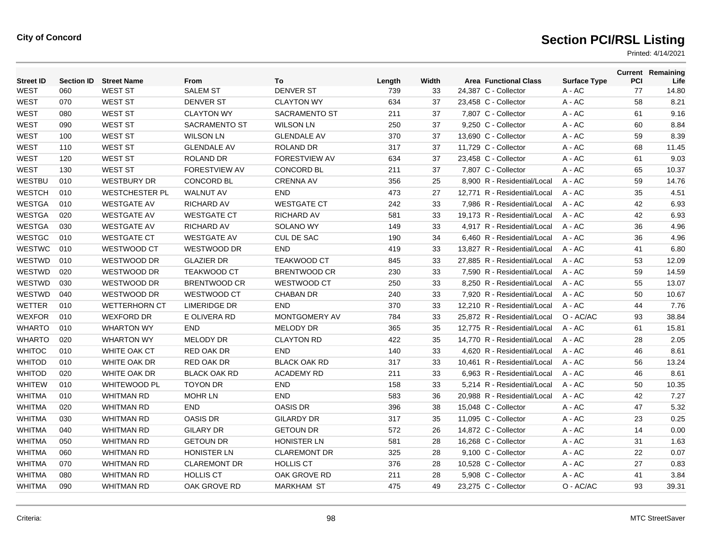| <b>Street ID</b> | <b>Section ID</b> | <b>Street Name</b>    | From                 | To                   | Length | Width | <b>Area Functional Class</b> | <b>Surface Type</b> | PCI | <b>Current Remaining</b><br>Life |
|------------------|-------------------|-----------------------|----------------------|----------------------|--------|-------|------------------------------|---------------------|-----|----------------------------------|
| <b>WEST</b>      | 060               | <b>WEST ST</b>        | <b>SALEM ST</b>      | <b>DENVER ST</b>     | 739    | 33    | 24,387 C - Collector         | A - AC              | 77  | 14.80                            |
| <b>WEST</b>      | 070               | <b>WEST ST</b>        | <b>DENVER ST</b>     | <b>CLAYTON WY</b>    | 634    | 37    | 23,458 C - Collector         | A - AC              | 58  | 8.21                             |
| <b>WEST</b>      | 080               | <b>WEST ST</b>        | <b>CLAYTON WY</b>    | <b>SACRAMENTO ST</b> | 211    | 37    | 7,807 C - Collector          | $A - AC$            | 61  | 9.16                             |
| <b>WEST</b>      | 090               | <b>WEST ST</b>        | SACRAMENTO ST        | <b>WILSON LN</b>     | 250    | 37    | 9,250 C - Collector          | $A - AC$            | 60  | 8.84                             |
| <b>WEST</b>      | 100               | <b>WEST ST</b>        | <b>WILSON LN</b>     | <b>GLENDALE AV</b>   | 370    | 37    | 13,690 C - Collector         | A - AC              | 59  | 8.39                             |
| <b>WEST</b>      | 110               | <b>WEST ST</b>        | <b>GLENDALE AV</b>   | <b>ROLAND DR</b>     | 317    | 37    | 11.729 C - Collector         | A - AC              | 68  | 11.45                            |
| <b>WEST</b>      | 120               | <b>WEST ST</b>        | <b>ROLAND DR</b>     | FORESTVIEW AV        | 634    | 37    | 23,458 C - Collector         | $A - AC$            | 61  | 9.03                             |
| <b>WEST</b>      | 130               | <b>WEST ST</b>        | <b>FORESTVIEW AV</b> | <b>CONCORD BL</b>    | 211    | 37    | 7,807 C - Collector          | A - AC              | 65  | 10.37                            |
| <b>WESTBU</b>    | 010               | <b>WESTBURY DR</b>    | <b>CONCORD BL</b>    | <b>CRENNA AV</b>     | 356    | 25    | 8.900 R - Residential/Local  | A - AC              | 59  | 14.76                            |
| <b>WESTCH</b>    | 010               | <b>WESTCHESTER PL</b> | <b>WALNUT AV</b>     | <b>END</b>           | 473    | 27    | 12,771 R - Residential/Local | $A - AC$            | 35  | 4.51                             |
| <b>WESTGA</b>    | 010               | <b>WESTGATE AV</b>    | <b>RICHARD AV</b>    | <b>WESTGATE CT</b>   | 242    | 33    | 7,986 R - Residential/Local  | A - AC              | 42  | 6.93                             |
| <b>WESTGA</b>    | 020               | <b>WESTGATE AV</b>    | <b>WESTGATE CT</b>   | <b>RICHARD AV</b>    | 581    | 33    | 19.173 R - Residential/Local | $A - AC$            | 42  | 6.93                             |
| <b>WESTGA</b>    | 030               | <b>WESTGATE AV</b>    | <b>RICHARD AV</b>    | <b>SOLANO WY</b>     | 149    | 33    | 4.917 R - Residential/Local  | $A - AC$            | 36  | 4.96                             |
| <b>WESTGC</b>    | 010               | <b>WESTGATE CT</b>    | <b>WESTGATE AV</b>   | CUL DE SAC           | 190    | 34    | 6,460 R - Residential/Local  | A - AC              | 36  | 4.96                             |
| <b>WESTWC</b>    | 010               | WESTWOOD CT           | WESTWOOD DR          | <b>END</b>           | 419    | 33    | 13,827 R - Residential/Local | A - AC              | 41  | 6.80                             |
| WESTWD           | 010               | WESTWOOD DR           | <b>GLAZIER DR</b>    | <b>TEAKWOOD CT</b>   | 845    | 33    | 27,885 R - Residential/Local | $A - AC$            | 53  | 12.09                            |
| WESTWD           | 020               | WESTWOOD DR           | <b>TEAKWOOD CT</b>   | <b>BRENTWOOD CR</b>  | 230    | 33    | 7,590 R - Residential/Local  | A - AC              | 59  | 14.59                            |
| WESTWD           | 030               | WESTWOOD DR           | <b>BRENTWOOD CR</b>  | WESTWOOD CT          | 250    | 33    | 8,250 R - Residential/Local  | A - AC              | 55  | 13.07                            |
| WESTWD           | 040               | WESTWOOD DR           | WESTWOOD CT          | <b>CHABAN DR</b>     | 240    | 33    | 7,920 R - Residential/Local  | $A - AC$            | 50  | 10.67                            |
| <b>WETTER</b>    | 010               | <b>WETTERHORN CT</b>  | <b>LIMERIDGE DR</b>  | <b>END</b>           | 370    | 33    | 12,210 R - Residential/Local | $A - AC$            | 44  | 7.76                             |
| <b>WEXFOR</b>    | 010               | <b>WEXFORD DR</b>     | E OLIVERA RD         | <b>MONTGOMERY AV</b> | 784    | 33    | 25,872 R - Residential/Local | O - AC/AC           | 93  | 38.84                            |
| <b>WHARTO</b>    | 010               | <b>WHARTON WY</b>     | <b>END</b>           | <b>MELODY DR</b>     | 365    | 35    | 12,775 R - Residential/Local | $A - AC$            | 61  | 15.81                            |
| <b>WHARTO</b>    | 020               | <b>WHARTON WY</b>     | <b>MELODY DR</b>     | <b>CLAYTON RD</b>    | 422    | 35    | 14.770 R - Residential/Local | $A - AC$            | 28  | 2.05                             |
| <b>WHITOC</b>    | 010               | WHITE OAK CT          | RED OAK DR           | <b>END</b>           | 140    | 33    | 4,620 R - Residential/Local  | $A - AC$            | 46  | 8.61                             |
| <b>WHITOD</b>    | 010               | WHITE OAK DR          | <b>RED OAK DR</b>    | <b>BLACK OAK RD</b>  | 317    | 33    | 10,461 R - Residential/Local | $A - AC$            | 56  | 13.24                            |
| <b>WHITOD</b>    | 020               | WHITE OAK DR          | <b>BLACK OAK RD</b>  | <b>ACADEMY RD</b>    | 211    | 33    | 6.963 R - Residential/Local  | $A - AC$            | 46  | 8.61                             |
| <b>WHITEW</b>    | 010               | <b>WHITEWOOD PL</b>   | <b>TOYON DR</b>      | <b>END</b>           | 158    | 33    | 5,214 R - Residential/Local  | $A - AC$            | 50  | 10.35                            |
| <b>WHITMA</b>    | 010               | <b>WHITMAN RD</b>     | <b>MOHR LN</b>       | <b>END</b>           | 583    | 36    | 20,988 R - Residential/Local | $A - AC$            | 42  | 7.27                             |
| <b>WHITMA</b>    | 020               | <b>WHITMAN RD</b>     | <b>END</b>           | <b>OASIS DR</b>      | 396    | 38    | 15,048 C - Collector         | A - AC              | 47  | 5.32                             |
| <b>WHITMA</b>    | 030               | <b>WHITMAN RD</b>     | <b>OASIS DR</b>      | <b>GILARDY DR</b>    | 317    | 35    | 11.095 C - Collector         | $A - AC$            | 23  | 0.25                             |
| <b>WHITMA</b>    | 040               | <b>WHITMAN RD</b>     | <b>GILARY DR</b>     | <b>GETOUN DR</b>     | 572    | 26    | 14,872 C - Collector         | A - AC              | 14  | 0.00                             |
| <b>WHITMA</b>    | 050               | <b>WHITMAN RD</b>     | <b>GETOUN DR</b>     | <b>HONISTER LN</b>   | 581    | 28    | 16,268 C - Collector         | A - AC              | 31  | 1.63                             |
| <b>WHITMA</b>    | 060               | <b>WHITMAN RD</b>     | <b>HONISTER LN</b>   | <b>CLAREMONT DR</b>  | 325    | 28    | 9,100 C - Collector          | A - AC              | 22  | 0.07                             |
| <b>WHITMA</b>    | 070               | <b>WHITMAN RD</b>     | <b>CLAREMONT DR</b>  | <b>HOLLIS CT</b>     | 376    | 28    | 10,528 C - Collector         | $A - AC$            | 27  | 0.83                             |
| <b>WHITMA</b>    | 080               | <b>WHITMAN RD</b>     | <b>HOLLIS CT</b>     | OAK GROVE RD         | 211    | 28    | 5,908 C - Collector          | A - AC              | 41  | 3.84                             |
| <b>WHITMA</b>    | 090               | <b>WHITMAN RD</b>     | OAK GROVE RD         | <b>MARKHAM ST</b>    | 475    | 49    | 23,275 C - Collector         | O - AC/AC           | 93  | 39.31                            |
|                  |                   |                       |                      |                      |        |       |                              |                     |     |                                  |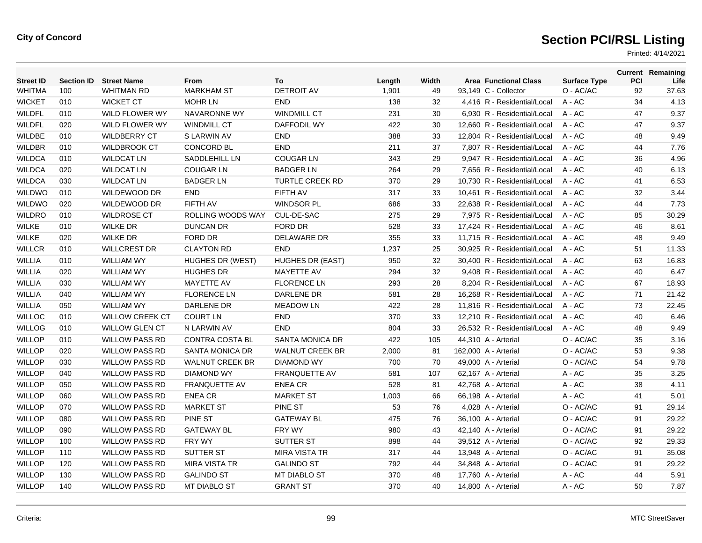| <b>Street ID</b> | <b>Section ID</b> | <b>Street Name</b>     | From                   | To                      | Length | Width | <b>Area Functional Class</b> | <b>Surface Type</b> | <b>PCI</b> | <b>Current Remaining</b><br>Life |
|------------------|-------------------|------------------------|------------------------|-------------------------|--------|-------|------------------------------|---------------------|------------|----------------------------------|
| WHITMA           | 100               | <b>WHITMAN RD</b>      | <b>MARKHAM ST</b>      | <b>DETROIT AV</b>       | 1,901  | 49    | 93,149 C - Collector         | O - AC/AC           | 92         | 37.63                            |
| <b>WICKET</b>    | 010               | <b>WICKET CT</b>       | <b>MOHR LN</b>         | <b>END</b>              | 138    | 32    | 4,416 R - Residential/Local  | A - AC              | 34         | 4.13                             |
| <b>WILDFL</b>    | 010               | <b>WILD FLOWER WY</b>  | NAVARONNE WY           | <b>WINDMILL CT</b>      | 231    | 30    | 6.930 R - Residential/Local  | $A - AC$            | 47         | 9.37                             |
| <b>WILDFL</b>    | 020               | WILD FLOWER WY         | <b>WINDMILL CT</b>     | <b>DAFFODIL WY</b>      | 422    | 30    | 12,660 R - Residential/Local | $A - AC$            | 47         | 9.37                             |
| <b>WILDBE</b>    | 010               | <b>WILDBERRY CT</b>    | S LARWIN AV            | <b>END</b>              | 388    | 33    | 12,804 R - Residential/Local | A - AC              | 48         | 9.49                             |
| <b>WILDBR</b>    | 010               | <b>WILDBROOK CT</b>    | <b>CONCORD BL</b>      | <b>END</b>              | 211    | 37    | 7.807 R - Residential/Local  | $A - AC$            | 44         | 7.76                             |
| <b>WILDCA</b>    | 010               | <b>WILDCAT LN</b>      | <b>SADDLEHILL LN</b>   | <b>COUGAR LN</b>        | 343    | 29    | 9.947 R - Residential/Local  | $A - AC$            | 36         | 4.96                             |
| <b>WILDCA</b>    | 020               | <b>WILDCAT LN</b>      | <b>COUGAR LN</b>       | <b>BADGER LN</b>        | 264    | 29    | 7,656 R - Residential/Local  | $A - AC$            | 40         | 6.13                             |
| <b>WILDCA</b>    | 030               | <b>WILDCAT LN</b>      | <b>BADGER LN</b>       | <b>TURTLE CREEK RD</b>  | 370    | 29    | 10,730 R - Residential/Local | A - AC              | 41         | 6.53                             |
| WILDWO           | 010               | WILDEWOOD DR           | <b>END</b>             | FIFTH AV                | 317    | 33    | 10,461 R - Residential/Local | $A - AC$            | 32         | 3.44                             |
| <b>WILDWO</b>    | 020               | WILDEWOOD DR           | FIFTH AV               | <b>WINDSOR PL</b>       | 686    | 33    | 22.638 R - Residential/Local | $A - AC$            | 44         | 7.73                             |
| <b>WILDRO</b>    | 010               | <b>WILDROSE CT</b>     | ROLLING WOODS WAY      | CUL-DE-SAC              | 275    | 29    | 7,975 R - Residential/Local  | A - AC              | 85         | 30.29                            |
| <b>WILKE</b>     | 010               | <b>WILKE DR</b>        | <b>DUNCAN DR</b>       | FORD DR                 | 528    | 33    | 17,424 R - Residential/Local | A - AC              | 46         | 8.61                             |
| <b>WILKE</b>     | 020               | <b>WILKE DR</b>        | <b>FORD DR</b>         | <b>DELAWARE DR</b>      | 355    | 33    | 11,715 R - Residential/Local | $A - AC$            | 48         | 9.49                             |
| <b>WILLCR</b>    | 010               | <b>WILLCREST DR</b>    | <b>CLAYTON RD</b>      | <b>END</b>              | 1,237  | 25    | 30,925 R - Residential/Local | A - AC              | 51         | 11.33                            |
| WILLIA           | 010               | <b>WILLIAM WY</b>      | HUGHES DR (WEST)       | <b>HUGHES DR (EAST)</b> | 950    | 32    | 30,400 R - Residential/Local | A - AC              | 63         | 16.83                            |
| WILLIA           | 020               | <b>WILLIAM WY</b>      | <b>HUGHES DR</b>       | <b>MAYETTE AV</b>       | 294    | 32    | 9,408 R - Residential/Local  | A - AC              | 40         | 6.47                             |
| WILLIA           | 030               | <b>WILLIAM WY</b>      | <b>MAYETTE AV</b>      | <b>FLORENCE LN</b>      | 293    | 28    | 8.204 R - Residential/Local  | $A - AC$            | 67         | 18.93                            |
| <b>WILLIA</b>    | 040               | <b>WILLIAM WY</b>      | <b>FLORENCE LN</b>     | DARLENE DR              | 581    | 28    | 16,268 R - Residential/Local | A - AC              | 71         | 21.42                            |
| <b>WILLIA</b>    | 050               | <b>WILLIAM WY</b>      | DARLENE DR             | <b>MEADOW LN</b>        | 422    | 28    | 11,816 R - Residential/Local | $A - AC$            | 73         | 22.45                            |
| <b>WILLOC</b>    | 010               | <b>WILLOW CREEK CT</b> | <b>COURT LN</b>        | <b>END</b>              | 370    | 33    | 12.210 R - Residential/Local | $A - AC$            | 40         | 6.46                             |
| <b>WILLOG</b>    | 010               | <b>WILLOW GLEN CT</b>  | <b>N LARWIN AV</b>     | <b>END</b>              | 804    | 33    | 26.532 R - Residential/Local | $A - AC$            | 48         | 9.49                             |
| <b>WILLOP</b>    | 010               | <b>WILLOW PASS RD</b>  | <b>CONTRA COSTA BL</b> | <b>SANTA MONICA DR</b>  | 422    | 105   | 44,310 A - Arterial          | O - AC/AC           | 35         | 3.16                             |
| <b>WILLOP</b>    | 020               | <b>WILLOW PASS RD</b>  | <b>SANTA MONICA DR</b> | <b>WALNUT CREEK BR</b>  | 2,000  | 81    | 162,000 A - Arterial         | O - AC/AC           | 53         | 9.38                             |
| <b>WILLOP</b>    | 030               | <b>WILLOW PASS RD</b>  | <b>WALNUT CREEK BR</b> | <b>DIAMOND WY</b>       | 700    | 70    | 49,000 A - Arterial          | O - AC/AC           | 54         | 9.78                             |
| <b>WILLOP</b>    | 040               | <b>WILLOW PASS RD</b>  | <b>DIAMOND WY</b>      | <b>FRANQUETTE AV</b>    | 581    | 107   | 62,167 A - Arterial          | $A - AC$            | 35         | 3.25                             |
| <b>WILLOP</b>    | 050               | <b>WILLOW PASS RD</b>  | <b>FRANQUETTE AV</b>   | <b>ENEA CR</b>          | 528    | 81    | 42,768 A - Arterial          | A - AC              | 38         | 4.11                             |
| <b>WILLOP</b>    | 060               | <b>WILLOW PASS RD</b>  | <b>ENEA CR</b>         | <b>MARKET ST</b>        | 1,003  | 66    | 66,198 A - Arterial          | A - AC              | 41         | 5.01                             |
| <b>WILLOP</b>    | 070               | <b>WILLOW PASS RD</b>  | <b>MARKET ST</b>       | PINE ST                 | 53     | 76    | 4,028 A - Arterial           | O - AC/AC           | 91         | 29.14                            |
| <b>WILLOP</b>    | 080               | <b>WILLOW PASS RD</b>  | PINE ST                | <b>GATEWAY BL</b>       | 475    | 76    | 36,100 A - Arterial          | O - AC/AC           | 91         | 29.22                            |
| <b>WILLOP</b>    | 090               | <b>WILLOW PASS RD</b>  | <b>GATEWAY BL</b>      | FRY WY                  | 980    | 43    | 42,140 A - Arterial          | O - AC/AC           | 91         | 29.22                            |
| <b>WILLOP</b>    | 100               | <b>WILLOW PASS RD</b>  | <b>FRY WY</b>          | SUTTER ST               | 898    | 44    | 39,512 A - Arterial          | O - AC/AC           | 92         | 29.33                            |
| <b>WILLOP</b>    | 110               | <b>WILLOW PASS RD</b>  | SUTTER ST              | <b>MIRA VISTA TR</b>    | 317    | 44    | 13,948 A - Arterial          | O - AC/AC           | 91         | 35.08                            |
| <b>WILLOP</b>    | 120               | <b>WILLOW PASS RD</b>  | <b>MIRA VISTA TR</b>   | <b>GALINDO ST</b>       | 792    | 44    | 34,848 A - Arterial          | O - AC/AC           | 91         | 29.22                            |
| <b>WILLOP</b>    | 130               | <b>WILLOW PASS RD</b>  | <b>GALINDO ST</b>      | <b>MT DIABLO ST</b>     | 370    | 48    | 17,760 A - Arterial          | A - AC              | 44         | 5.91                             |
| <b>WILLOP</b>    | 140               | <b>WILLOW PASS RD</b>  | <b>MT DIABLO ST</b>    | <b>GRANT ST</b>         | 370    | 40    | 14,800 A - Arterial          | A - AC              | 50         | 7.87                             |
|                  |                   |                        |                        |                         |        |       |                              |                     |            |                                  |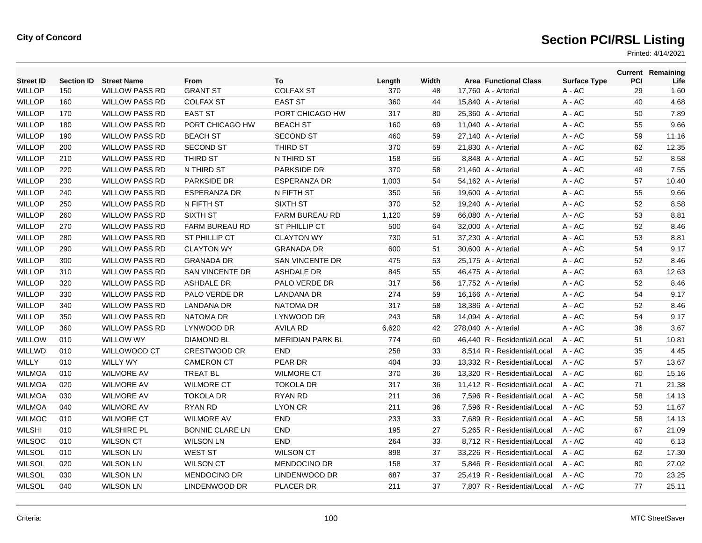| <b>Street ID</b> | <b>Section ID</b> | <b>Street Name</b>    | From                   | To                      | Length | Width | <b>Area Functional Class</b> | <b>Surface Type</b> | PCI | <b>Current Remaining</b><br>Life |
|------------------|-------------------|-----------------------|------------------------|-------------------------|--------|-------|------------------------------|---------------------|-----|----------------------------------|
| <b>WILLOP</b>    | 150               | <b>WILLOW PASS RD</b> | <b>GRANT ST</b>        | <b>COLFAX ST</b>        | 370    | 48    | 17,760 A - Arterial          | A - AC              | 29  | 1.60                             |
| <b>WILLOP</b>    | 160               | <b>WILLOW PASS RD</b> | <b>COLFAX ST</b>       | <b>EAST ST</b>          | 360    | 44    | 15,840 A - Arterial          | A - AC              | 40  | 4.68                             |
| <b>WILLOP</b>    | 170               | <b>WILLOW PASS RD</b> | <b>EAST ST</b>         | PORT CHICAGO HW         | 317    | 80    | 25,360 A - Arterial          | A - AC              | 50  | 7.89                             |
| <b>WILLOP</b>    | 180               | <b>WILLOW PASS RD</b> | PORT CHICAGO HW        | <b>BEACH ST</b>         | 160    | 69    | 11,040 A - Arterial          | A - AC              | 55  | 9.66                             |
| <b>WILLOP</b>    | 190               | <b>WILLOW PASS RD</b> | <b>BEACH ST</b>        | <b>SECOND ST</b>        | 460    | 59    | 27,140 A - Arterial          | A - AC              | 59  | 11.16                            |
| <b>WILLOP</b>    | 200               | <b>WILLOW PASS RD</b> | <b>SECOND ST</b>       | THIRD ST                | 370    | 59    | 21,830 A - Arterial          | A - AC              | 62  | 12.35                            |
| <b>WILLOP</b>    | 210               | <b>WILLOW PASS RD</b> | THIRD ST               | N THIRD ST              | 158    | 56    | 8,848 A - Arterial           | A - AC              | 52  | 8.58                             |
| <b>WILLOP</b>    | 220               | <b>WILLOW PASS RD</b> | N THIRD ST             | PARKSIDE DR             | 370    | 58    | 21,460 A - Arterial          | $A - AC$            | 49  | 7.55                             |
| <b>WILLOP</b>    | 230               | <b>WILLOW PASS RD</b> | <b>PARKSIDE DR</b>     | <b>ESPERANZA DR</b>     | 1,003  | 54    | 54,162 A - Arterial          | A - AC              | 57  | 10.40                            |
| <b>WILLOP</b>    | 240               | <b>WILLOW PASS RD</b> | <b>ESPERANZA DR</b>    | N FIFTH ST              | 350    | 56    | 19,600 A - Arterial          | A - AC              | 55  | 9.66                             |
| <b>WILLOP</b>    | 250               | <b>WILLOW PASS RD</b> | N FIFTH ST             | SIXTH ST                | 370    | 52    | 19,240 A - Arterial          | $A - AC$            | 52  | 8.58                             |
| <b>WILLOP</b>    | 260               | <b>WILLOW PASS RD</b> | <b>SIXTH ST</b>        | <b>FARM BUREAU RD</b>   | 1,120  | 59    | 66,080 A - Arterial          | $A - AC$            | 53  | 8.81                             |
| <b>WILLOP</b>    | 270               | <b>WILLOW PASS RD</b> | <b>FARM BUREAU RD</b>  | <b>ST PHILLIP CT</b>    | 500    | 64    | 32,000 A - Arterial          | $A - AC$            | 52  | 8.46                             |
| <b>WILLOP</b>    | 280               | <b>WILLOW PASS RD</b> | ST PHILLIP CT          | <b>CLAYTON WY</b>       | 730    | 51    | 37,230 A - Arterial          | A - AC              | 53  | 8.81                             |
| <b>WILLOP</b>    | 290               | <b>WILLOW PASS RD</b> | <b>CLAYTON WY</b>      | <b>GRANADA DR</b>       | 600    | 51    | 30,600 A - Arterial          | A - AC              | 54  | 9.17                             |
| <b>WILLOP</b>    | 300               | <b>WILLOW PASS RD</b> | <b>GRANADA DR</b>      | SAN VINCENTE DR         | 475    | 53    | 25,175 A - Arterial          | $A - AC$            | 52  | 8.46                             |
| <b>WILLOP</b>    | 310               | <b>WILLOW PASS RD</b> | SAN VINCENTE DR        | <b>ASHDALE DR</b>       | 845    | 55    | 46,475 A - Arterial          | A - AC              | 63  | 12.63                            |
| <b>WILLOP</b>    | 320               | <b>WILLOW PASS RD</b> | <b>ASHDALE DR</b>      | PALO VERDE DR           | 317    | 56    | 17,752 A - Arterial          | A - AC              | 52  | 8.46                             |
| <b>WILLOP</b>    | 330               | <b>WILLOW PASS RD</b> | PALO VERDE DR          | <b>LANDANA DR</b>       | 274    | 59    | 16,166 A - Arterial          | $A - AC$            | 54  | 9.17                             |
| <b>WILLOP</b>    | 340               | <b>WILLOW PASS RD</b> | LANDANA DR             | <b>NATOMA DR</b>        | 317    | 58    | 18,386 A - Arterial          | $A - AC$            | 52  | 8.46                             |
| <b>WILLOP</b>    | 350               | <b>WILLOW PASS RD</b> | <b>NATOMA DR</b>       | LYNWOOD DR              | 243    | 58    | 14,094 A - Arterial          | $A - AC$            | 54  | 9.17                             |
| <b>WILLOP</b>    | 360               | <b>WILLOW PASS RD</b> | LYNWOOD DR             | <b>AVILA RD</b>         | 6,620  | 42    | 278,040 A - Arterial         | $A - AC$            | 36  | 3.67                             |
| <b>WILLOW</b>    | 010               | <b>WILLOW WY</b>      | <b>DIAMOND BL</b>      | <b>MERIDIAN PARK BL</b> | 774    | 60    | 46,440 R - Residential/Local | $A - AC$            | 51  | 10.81                            |
| <b>WILLWD</b>    | 010               | <b>WILLOWOOD CT</b>   | <b>CRESTWOOD CR</b>    | <b>END</b>              | 258    | 33    | 8.514 R - Residential/Local  | $A - AC$            | 35  | 4.45                             |
| <b>WILLY</b>     | 010               | <b>WILLY WY</b>       | <b>CAMERON CT</b>      | PEAR DR                 | 404    | 33    | 13.332 R - Residential/Local | $A - AC$            | 57  | 13.67                            |
| <b>WILMOA</b>    | 010               | <b>WILMORE AV</b>     | <b>TREAT BL</b>        | <b>WILMORE CT</b>       | 370    | 36    | 13,320 R - Residential/Local | $A - AC$            | 60  | 15.16                            |
| <b>WILMOA</b>    | 020               | <b>WILMORE AV</b>     | <b>WILMORE CT</b>      | <b>TOKOLA DR</b>        | 317    | 36    | 11,412 R - Residential/Local | A - AC              | 71  | 21.38                            |
| <b>WILMOA</b>    | 030               | <b>WILMORE AV</b>     | <b>TOKOLA DR</b>       | RYAN RD                 | 211    | 36    | 7,596 R - Residential/Local  | A - AC              | 58  | 14.13                            |
| <b>WILMOA</b>    | 040               | <b>WILMORE AV</b>     | <b>RYAN RD</b>         | <b>LYON CR</b>          | 211    | 36    | 7.596 R - Residential/Local  | $A - AC$            | 53  | 11.67                            |
| <b>WILMOC</b>    | 010               | <b>WILMORE CT</b>     | <b>WILMORE AV</b>      | <b>END</b>              | 233    | 33    | 7,689 R - Residential/Local  | A - AC              | 58  | 14.13                            |
| <b>WILSHI</b>    | 010               | <b>WILSHIRE PL</b>    | <b>BONNIE CLARE LN</b> | <b>END</b>              | 195    | 27    | 5,265 R - Residential/Local  | A - AC              | 67  | 21.09                            |
| <b>WILSOC</b>    | 010               | <b>WILSON CT</b>      | <b>WILSON LN</b>       | <b>END</b>              | 264    | 33    | 8,712 R - Residential/Local  | A - AC              | 40  | 6.13                             |
| <b>WILSOL</b>    | 010               | <b>WILSON LN</b>      | <b>WEST ST</b>         | <b>WILSON CT</b>        | 898    | 37    | 33.226 R - Residential/Local | $A - AC$            | 62  | 17.30                            |
| <b>WILSOL</b>    | 020               | <b>WILSON LN</b>      | <b>WILSON CT</b>       | <b>MENDOCINO DR</b>     | 158    | 37    | 5,846 R - Residential/Local  | A - AC              | 80  | 27.02                            |
| WILSOL           | 030               | <b>WILSON LN</b>      | <b>MENDOCINO DR</b>    | LINDENWOOD DR           | 687    | 37    | 25.419 R - Residential/Local | A - AC              | 70  | 23.25                            |
| <b>WILSOL</b>    | 040               | <b>WILSON LN</b>      | LINDENWOOD DR          | PLACER DR               | 211    | 37    | 7.807 R - Residential/Local  | $A - AC$            | 77  | 25.11                            |
|                  |                   |                       |                        |                         |        |       |                              |                     |     |                                  |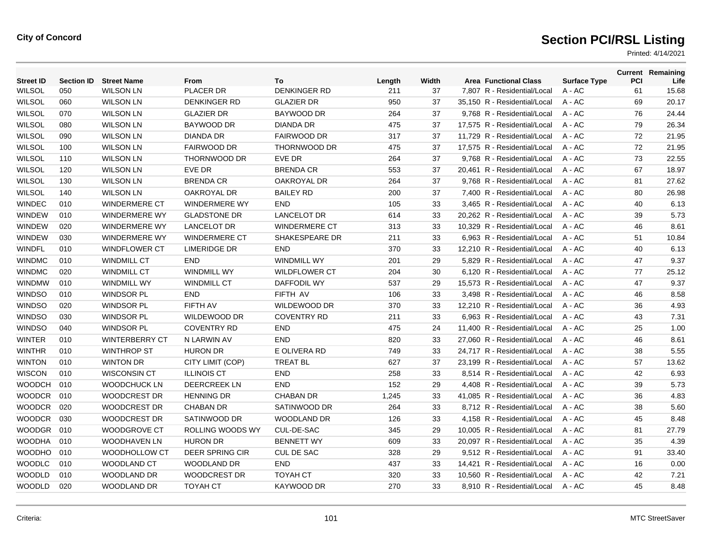| <b>Street ID</b> |     | <b>Section ID Street Name</b> | <b>From</b>             | To                    | Length | Width | <b>Area Functional Class</b> | <b>Surface Type</b> | <b>PCI</b> | <b>Current Remaining</b><br>Life |
|------------------|-----|-------------------------------|-------------------------|-----------------------|--------|-------|------------------------------|---------------------|------------|----------------------------------|
| <b>WILSOL</b>    | 050 | <b>WILSON LN</b>              | <b>PLACER DR</b>        | <b>DENKINGER RD</b>   | 211    | 37    | 7.807 R - Residential/Local  | $A - AC$            | 61         | 15.68                            |
| <b>WILSOL</b>    | 060 | <b>WILSON LN</b>              | <b>DENKINGER RD</b>     | <b>GLAZIER DR</b>     | 950    | 37    | 35,150 R - Residential/Local | A - AC              | 69         | 20.17                            |
| <b>WILSOL</b>    | 070 | <b>WILSON LN</b>              | <b>GLAZIER DR</b>       | BAYWOOD DR            | 264    | 37    | 9,768 R - Residential/Local  | A - AC              | 76         | 24.44                            |
| <b>WILSOL</b>    | 080 | <b>WILSON LN</b>              | <b>BAYWOOD DR</b>       | <b>DIANDA DR</b>      | 475    | 37    | 17,575 R - Residential/Local | $A - AC$            | 79         | 26.34                            |
| <b>WILSOL</b>    | 090 | <b>WILSON LN</b>              | <b>DIANDA DR</b>        | <b>FAIRWOOD DR</b>    | 317    | 37    | 11.729 R - Residential/Local | $A - AC$            | 72         | 21.95                            |
| <b>WILSOL</b>    | 100 | <b>WILSON LN</b>              | <b>FAIRWOOD DR</b>      | THORNWOOD DR          | 475    | 37    | 17,575 R - Residential/Local | A - AC              | 72         | 21.95                            |
| <b>WILSOL</b>    | 110 | <b>WILSON LN</b>              | THORNWOOD DR            | EVE DR                | 264    | 37    | 9,768 R - Residential/Local  | A - AC              | 73         | 22.55                            |
| <b>WILSOL</b>    | 120 | <b>WILSON LN</b>              | EVE DR                  | <b>BRENDA CR</b>      | 553    | 37    | 20,461 R - Residential/Local | A - AC              | 67         | 18.97                            |
| <b>WILSOL</b>    | 130 | <b>WILSON LN</b>              | <b>BRENDA CR</b>        | <b>OAKROYAL DR</b>    | 264    | 37    | 9,768 R - Residential/Local  | A - AC              | 81         | 27.62                            |
| <b>WILSOL</b>    | 140 | <b>WILSON LN</b>              | <b>OAKROYAL DR</b>      | <b>BAILEY RD</b>      | 200    | 37    | 7.400 R - Residential/Local  | $A - AC$            | 80         | 26.98                            |
| <b>WINDEC</b>    | 010 | <b>WINDERMERE CT</b>          | <b>WINDERMERE WY</b>    | <b>END</b>            | 105    | 33    | 3,465 R - Residential/Local  | A - AC              | 40         | 6.13                             |
| WINDEW           | 010 | <b>WINDERMERE WY</b>          | <b>GLADSTONE DR</b>     | <b>LANCELOT DR</b>    | 614    | 33    | 20,262 R - Residential/Local | A - AC              | 39         | 5.73                             |
| WINDEW           | 020 | <b>WINDERMERE WY</b>          | <b>LANCELOT DR</b>      | <b>WINDERMERE CT</b>  | 313    | 33    | 10,329 R - Residential/Local | A - AC              | 46         | 8.61                             |
| <b>WINDEW</b>    | 030 | <b>WINDERMERE WY</b>          | <b>WINDERMERE CT</b>    | <b>SHAKESPEARE DR</b> | 211    | 33    | 6.963 R - Residential/Local  | $A - AC$            | 51         | 10.84                            |
| <b>WINDFL</b>    | 010 | <b>WINDFLOWER CT</b>          | <b>LIMERIDGE DR</b>     | <b>END</b>            | 370    | 33    | 12,210 R - Residential/Local | A - AC              | 40         | 6.13                             |
| <b>WINDMC</b>    | 010 | <b>WINDMILL CT</b>            | <b>END</b>              | <b>WINDMILL WY</b>    | 201    | 29    | 5,829 R - Residential/Local  | A - AC              | 47         | 9.37                             |
| <b>WINDMC</b>    | 020 | <b>WINDMILL CT</b>            | <b>WINDMILL WY</b>      | <b>WILDFLOWER CT</b>  | 204    | 30    | 6.120 R - Residential/Local  | $A - AC$            | 77         | 25.12                            |
| <b>WINDMW</b>    | 010 | <b>WINDMILL WY</b>            | <b>WINDMILL CT</b>      | <b>DAFFODIL WY</b>    | 537    | 29    | 15.573 R - Residential/Local | $A - AC$            | 47         | 9.37                             |
| <b>WINDSO</b>    | 010 | <b>WINDSOR PL</b>             | <b>END</b>              | FIFTH AV              | 106    | 33    | 3,498 R - Residential/Local  | A - AC              | 46         | 8.58                             |
| <b>WINDSO</b>    | 020 | <b>WINDSOR PL</b>             | FIFTH AV                | WILDEWOOD DR          | 370    | 33    | 12,210 R - Residential/Local | A - AC              | 36         | 4.93                             |
| <b>WINDSO</b>    | 030 | <b>WINDSOR PL</b>             | <b>WILDEWOOD DR</b>     | <b>COVENTRY RD</b>    | 211    | 33    | 6.963 R - Residential/Local  | A - AC              | 43         | 7.31                             |
| <b>WINDSO</b>    | 040 | <b>WINDSOR PL</b>             | <b>COVENTRY RD</b>      | <b>END</b>            | 475    | 24    | 11,400 R - Residential/Local | $A - AC$            | 25         | 1.00                             |
| <b>WINTER</b>    | 010 | <b>WINTERBERRY CT</b>         | N LARWIN AV             | <b>END</b>            | 820    | 33    | 27.060 R - Residential/Local | $A - AC$            | 46         | 8.61                             |
| <b>WINTHR</b>    | 010 | <b>WINTHROP ST</b>            | <b>HURON DR</b>         | E OLIVERA RD          | 749    | 33    | 24,717 R - Residential/Local | A - AC              | 38         | 5.55                             |
| <b>WINTON</b>    | 010 | <b>WINTON DR</b>              | CITY LIMIT (COP)        | TREAT BL              | 627    | 37    | 23,199 R - Residential/Local | A - AC              | 57         | 13.62                            |
| <b>WISCON</b>    | 010 | <b>WISCONSIN CT</b>           | <b>ILLINOIS CT</b>      | <b>END</b>            | 258    | 33    | 8,514 R - Residential/Local  | $A - AC$            | 42         | 6.93                             |
| <b>WOODCH</b>    | 010 | <b>WOODCHUCK LN</b>           | <b>DEERCREEK LN</b>     | <b>END</b>            | 152    | 29    | 4,408 R - Residential/Local  | $A - AC$            | 39         | 5.73                             |
| <b>WOODCR</b>    | 010 | <b>WOODCREST DR</b>           | <b>HENNING DR</b>       | <b>CHABAN DR</b>      | 1,245  | 33    | 41,085 R - Residential/Local | $A - AC$            | 36         | 4.83                             |
| <b>WOODCR</b>    | 020 | <b>WOODCREST DR</b>           | <b>CHABAN DR</b>        | SATINWOOD DR          | 264    | 33    | 8,712 R - Residential/Local  | A - AC              | 38         | 5.60                             |
| <b>WOODCR</b>    | 030 | <b>WOODCREST DR</b>           | SATINWOOD DR            | <b>WOODLAND DR</b>    | 126    | 33    | 4,158 R - Residential/Local  | $A - AC$            | 45         | 8.48                             |
| <b>WOODGR</b>    | 010 | <b>WOODGROVE CT</b>           | <b>ROLLING WOODS WY</b> | CUL-DE-SAC            | 345    | 29    | 10,005 R - Residential/Local | A - AC              | 81         | 27.79                            |
| <b>WOODHA</b>    | 010 | <b>WOODHAVEN LN</b>           | <b>HURON DR</b>         | <b>BENNETT WY</b>     | 609    | 33    | 20,097 R - Residential/Local | A - AC              | 35         | 4.39                             |
| <b>WOODHO</b>    | 010 | WOODHOLLOW CT                 | <b>DEER SPRING CIR</b>  | <b>CUL DE SAC</b>     | 328    | 29    | 9,512 R - Residential/Local  | A - AC              | 91         | 33.40                            |
| <b>WOODLC</b>    | 010 | WOODLAND CT                   | <b>WOODLAND DR</b>      | <b>END</b>            | 437    | 33    | 14,421 R - Residential/Local | A - AC              | 16         | 0.00                             |
| <b>WOODLD</b>    | 010 | <b>WOODLAND DR</b>            | WOODCREST DR            | <b>TOYAH CT</b>       | 320    | 33    | 10.560 R - Residential/Local | $A - AC$            | 42         | 7.21                             |
| <b>WOODLD</b>    | 020 | <b>WOODLAND DR</b>            | <b>TOYAH CT</b>         | KAYWOOD DR            | 270    | 33    | 8.910 R - Residential/Local  | $A - AC$            | 45         | 8.48                             |
|                  |     |                               |                         |                       |        |       |                              |                     |            |                                  |